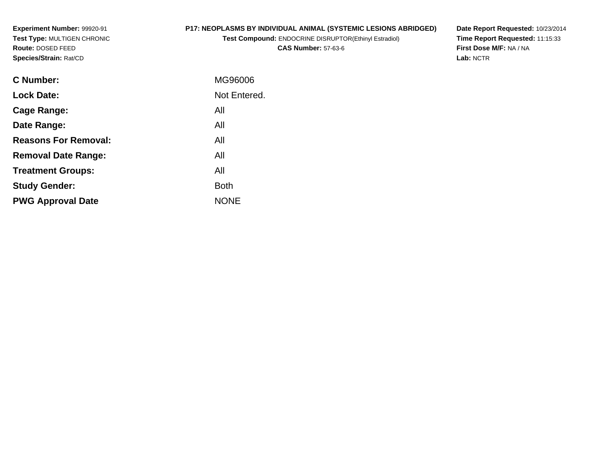**Experiment Number:** 99920-91 **Test Type:** MULTIGEN CHRONIC**Route:** DOSED FEED**Species/Strain:** Rat/CD

# **P17: NEOPLASMS BY INDIVIDUAL ANIMAL (SYSTEMIC LESIONS ABRIDGED)**

**Test Compound:** ENDOCRINE DISRUPTOR(Ethinyl Estradiol)**CAS Number:** 57-63-6

**Date Report Requested:** 10/23/2014 **Time Report Requested:** 11:15:33**First Dose M/F:** NA / NA**Lab:** NCTR

| C Number:                   | MG96006      |
|-----------------------------|--------------|
| <b>Lock Date:</b>           | Not Entered. |
| Cage Range:                 | All          |
| Date Range:                 | All          |
| <b>Reasons For Removal:</b> | All          |
| <b>Removal Date Range:</b>  | All          |
| <b>Treatment Groups:</b>    | All          |
| <b>Study Gender:</b>        | <b>Both</b>  |
| <b>PWG Approval Date</b>    | <b>NONE</b>  |
|                             |              |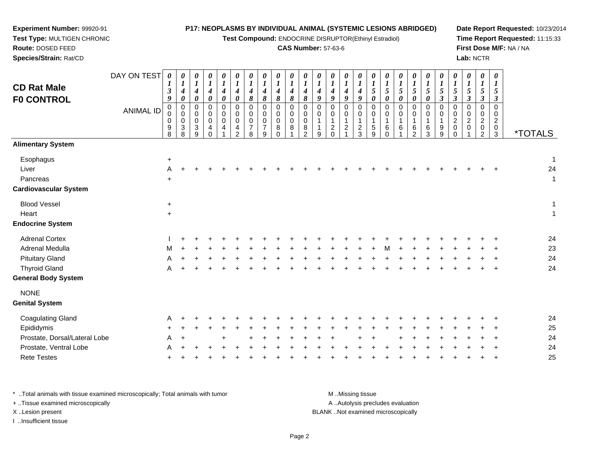**Test Compound:** ENDOCRINE DISRUPTOR(Ethinyl Estradiol)

### **CAS Number:** 57-63-6

**Date Report Requested:** 10/23/2014**Time Report Requested:** 11:15:33**First Dose M/F:** NA / NA**Lab:** NCTR

| <b>CD Rat Male</b><br><b>FO CONTROL</b>                 | DAY ON TEST<br><b>ANIMAL ID</b> | $\pmb{\theta}$<br>$\boldsymbol{l}$<br>$\boldsymbol{\beta}$<br>9<br>$\mathbf 0$<br>0<br>0<br>$^9_8$ | 0<br>$\boldsymbol{l}$<br>$\boldsymbol{4}$<br>$\pmb{\theta}$<br>$\mathbf 0$<br>0<br>$\mathbf 0$<br>3<br>8 | 0<br>$\boldsymbol{l}$<br>$\boldsymbol{4}$<br>$\pmb{\theta}$<br>0<br>0<br>$\mathbf 0$<br>$\ensuremath{\mathsf{3}}$<br>9 | $\frac{\boldsymbol{\theta}}{\boldsymbol{I}}$<br>$\boldsymbol{4}$<br>$\pmb{\theta}$<br>0<br>0<br>$\pmb{0}$<br>4<br>$\Omega$ | $\boldsymbol{\theta}$<br>$\boldsymbol{l}$<br>$\boldsymbol{4}$<br>$\pmb{\theta}$<br>$\mathbf 0$<br>0<br>0<br>$\overline{4}$ | 0<br>$\boldsymbol{l}$<br>$\boldsymbol{4}$<br>$\boldsymbol{\theta}$<br>$\Omega$<br>0<br>$\mathbf 0$<br>$\frac{4}{2}$ | $\boldsymbol{\theta}$<br>$\boldsymbol{l}$<br>$\boldsymbol{4}$<br>$\pmb{8}$<br>$\mathbf 0$<br>0<br>0<br>$\boldsymbol{7}$<br>8 | 0<br>$\boldsymbol{l}$<br>$\boldsymbol{4}$<br>8<br>$\Omega$<br>$\mathbf 0$<br>0<br>7<br>9 | 0<br>$\boldsymbol{l}$<br>$\boldsymbol{4}$<br>8<br>$\Omega$<br>0<br>0<br>8<br>$\Omega$ | 0<br>$\boldsymbol{l}$<br>4<br>8<br>$\Omega$<br>0<br>$\Omega$<br>8 | 0<br>$\boldsymbol{l}$<br>4<br>$\pmb{8}$<br>$\Omega$<br>0<br>$\Omega$<br>8<br>2 | 0<br>$\boldsymbol{I}$<br>$\boldsymbol{4}$<br>9<br>$\Omega$<br>0<br>9 | 0<br>$\boldsymbol{l}$<br>$\boldsymbol{4}$<br>9<br>$\Omega$<br>$\mathbf 0$<br>$\overline{c}$<br>$\mathbf 0$ | 0<br>$\boldsymbol{l}$<br>$\boldsymbol{4}$<br>9<br>0<br>$\mathbf 0$<br>1<br>$\overline{c}$ | $\boldsymbol{\theta}$<br>$\boldsymbol{l}$<br>$\boldsymbol{4}$<br>9<br>$\Omega$<br>0<br>1<br>$\frac{2}{3}$ | 0<br>$\boldsymbol{l}$<br>5<br>0<br>$\Omega$<br>0<br>$\mathbf 1$<br>$\mathbf 5$<br>$\overline{9}$ | $\boldsymbol{\theta}$<br>$\boldsymbol{l}$<br>$\mathfrak{I}$<br>$\boldsymbol{\theta}$<br>$\Omega$<br>0<br>$\mathbf{1}$<br>$\,6\,$<br>$\Omega$ | $\frac{\theta}{I}$<br>5<br>0<br>$\Omega$<br>0<br>6 | $\boldsymbol{\theta}$<br>$\boldsymbol{l}$<br>5<br>$\boldsymbol{\theta}$<br>$\mathbf 0$<br>$\mathbf 0$<br>6<br>$\overline{2}$ | $\boldsymbol{\theta}$<br>$\boldsymbol{l}$<br>5<br>0<br>$\mathbf 0$<br>0<br>6<br>3 | 0<br>$\boldsymbol{l}$<br>5<br>$\boldsymbol{\beta}$<br>0<br>$\mathbf 0$<br>9<br>9 | 0<br>$\boldsymbol{l}$<br>5<br>$\boldsymbol{\beta}$<br>$\Omega$<br>$\mathbf 0$<br>$\boldsymbol{2}$<br>0<br>$\Omega$ | 0<br>$\boldsymbol{l}$<br>5<br>$\boldsymbol{\beta}$<br>$\Omega$<br>0<br>$\boldsymbol{2}$<br>$\mathbf 0$ | $\pmb{\theta}$<br>$\boldsymbol{l}$<br>5<br>$\boldsymbol{\beta}$<br>$\Omega$<br>0<br>$\boldsymbol{2}$<br>$\pmb{0}$<br>$\overline{2}$ | 0<br>$\bm{l}$<br>5<br>$\boldsymbol{\beta}$<br>$\Omega$<br>0<br>$\overline{c}$<br>0<br>3 | <i><b>*TOTALS</b></i>  |
|---------------------------------------------------------|---------------------------------|----------------------------------------------------------------------------------------------------|----------------------------------------------------------------------------------------------------------|------------------------------------------------------------------------------------------------------------------------|----------------------------------------------------------------------------------------------------------------------------|----------------------------------------------------------------------------------------------------------------------------|---------------------------------------------------------------------------------------------------------------------|------------------------------------------------------------------------------------------------------------------------------|------------------------------------------------------------------------------------------|---------------------------------------------------------------------------------------|-------------------------------------------------------------------|--------------------------------------------------------------------------------|----------------------------------------------------------------------|------------------------------------------------------------------------------------------------------------|-------------------------------------------------------------------------------------------|-----------------------------------------------------------------------------------------------------------|--------------------------------------------------------------------------------------------------|----------------------------------------------------------------------------------------------------------------------------------------------|----------------------------------------------------|------------------------------------------------------------------------------------------------------------------------------|-----------------------------------------------------------------------------------|----------------------------------------------------------------------------------|--------------------------------------------------------------------------------------------------------------------|--------------------------------------------------------------------------------------------------------|-------------------------------------------------------------------------------------------------------------------------------------|-----------------------------------------------------------------------------------------|------------------------|
| <b>Alimentary System</b>                                |                                 |                                                                                                    |                                                                                                          |                                                                                                                        |                                                                                                                            |                                                                                                                            |                                                                                                                     |                                                                                                                              |                                                                                          |                                                                                       |                                                                   |                                                                                |                                                                      |                                                                                                            |                                                                                           |                                                                                                           |                                                                                                  |                                                                                                                                              |                                                    |                                                                                                                              |                                                                                   |                                                                                  |                                                                                                                    |                                                                                                        |                                                                                                                                     |                                                                                         |                        |
| Esophagus<br>Liver<br>Pancreas<br>Cardiovascular System |                                 | $+$<br>A<br>$\ddot{}$                                                                              |                                                                                                          |                                                                                                                        |                                                                                                                            |                                                                                                                            |                                                                                                                     |                                                                                                                              |                                                                                          |                                                                                       |                                                                   |                                                                                |                                                                      |                                                                                                            |                                                                                           |                                                                                                           |                                                                                                  |                                                                                                                                              |                                                    |                                                                                                                              |                                                                                   |                                                                                  |                                                                                                                    |                                                                                                        |                                                                                                                                     |                                                                                         | $\mathbf 1$<br>24<br>1 |
| <b>Blood Vessel</b>                                     |                                 | $+$                                                                                                |                                                                                                          |                                                                                                                        |                                                                                                                            |                                                                                                                            |                                                                                                                     |                                                                                                                              |                                                                                          |                                                                                       |                                                                   |                                                                                |                                                                      |                                                                                                            |                                                                                           |                                                                                                           |                                                                                                  |                                                                                                                                              |                                                    |                                                                                                                              |                                                                                   |                                                                                  |                                                                                                                    |                                                                                                        |                                                                                                                                     |                                                                                         | 1                      |
| Heart                                                   |                                 | $\ddot{}$                                                                                          |                                                                                                          |                                                                                                                        |                                                                                                                            |                                                                                                                            |                                                                                                                     |                                                                                                                              |                                                                                          |                                                                                       |                                                                   |                                                                                |                                                                      |                                                                                                            |                                                                                           |                                                                                                           |                                                                                                  |                                                                                                                                              |                                                    |                                                                                                                              |                                                                                   |                                                                                  |                                                                                                                    |                                                                                                        |                                                                                                                                     |                                                                                         | 1                      |
| <b>Endocrine System</b>                                 |                                 |                                                                                                    |                                                                                                          |                                                                                                                        |                                                                                                                            |                                                                                                                            |                                                                                                                     |                                                                                                                              |                                                                                          |                                                                                       |                                                                   |                                                                                |                                                                      |                                                                                                            |                                                                                           |                                                                                                           |                                                                                                  |                                                                                                                                              |                                                    |                                                                                                                              |                                                                                   |                                                                                  |                                                                                                                    |                                                                                                        |                                                                                                                                     |                                                                                         |                        |
| <b>Adrenal Cortex</b>                                   |                                 |                                                                                                    |                                                                                                          |                                                                                                                        |                                                                                                                            |                                                                                                                            |                                                                                                                     |                                                                                                                              |                                                                                          |                                                                                       |                                                                   |                                                                                |                                                                      |                                                                                                            |                                                                                           |                                                                                                           |                                                                                                  |                                                                                                                                              |                                                    |                                                                                                                              |                                                                                   |                                                                                  |                                                                                                                    |                                                                                                        |                                                                                                                                     |                                                                                         | 24                     |
| Adrenal Medulla                                         |                                 | м                                                                                                  |                                                                                                          |                                                                                                                        |                                                                                                                            |                                                                                                                            |                                                                                                                     |                                                                                                                              |                                                                                          |                                                                                       |                                                                   |                                                                                |                                                                      |                                                                                                            |                                                                                           |                                                                                                           |                                                                                                  |                                                                                                                                              |                                                    |                                                                                                                              |                                                                                   |                                                                                  |                                                                                                                    |                                                                                                        |                                                                                                                                     |                                                                                         | 23                     |
| <b>Pituitary Gland</b>                                  |                                 | А                                                                                                  |                                                                                                          |                                                                                                                        |                                                                                                                            |                                                                                                                            |                                                                                                                     |                                                                                                                              |                                                                                          |                                                                                       |                                                                   |                                                                                |                                                                      |                                                                                                            |                                                                                           |                                                                                                           |                                                                                                  |                                                                                                                                              |                                                    |                                                                                                                              |                                                                                   |                                                                                  |                                                                                                                    |                                                                                                        |                                                                                                                                     |                                                                                         | 24                     |
| <b>Thyroid Gland</b><br>General Body System             |                                 | А                                                                                                  |                                                                                                          |                                                                                                                        |                                                                                                                            |                                                                                                                            |                                                                                                                     |                                                                                                                              |                                                                                          |                                                                                       |                                                                   |                                                                                |                                                                      |                                                                                                            |                                                                                           |                                                                                                           |                                                                                                  |                                                                                                                                              |                                                    |                                                                                                                              |                                                                                   |                                                                                  |                                                                                                                    |                                                                                                        |                                                                                                                                     |                                                                                         | 24                     |
| <b>NONE</b><br><b>Genital System</b>                    |                                 |                                                                                                    |                                                                                                          |                                                                                                                        |                                                                                                                            |                                                                                                                            |                                                                                                                     |                                                                                                                              |                                                                                          |                                                                                       |                                                                   |                                                                                |                                                                      |                                                                                                            |                                                                                           |                                                                                                           |                                                                                                  |                                                                                                                                              |                                                    |                                                                                                                              |                                                                                   |                                                                                  |                                                                                                                    |                                                                                                        |                                                                                                                                     |                                                                                         |                        |
| Coagulating Gland                                       |                                 | A                                                                                                  |                                                                                                          |                                                                                                                        |                                                                                                                            |                                                                                                                            |                                                                                                                     |                                                                                                                              |                                                                                          |                                                                                       |                                                                   |                                                                                |                                                                      |                                                                                                            |                                                                                           |                                                                                                           |                                                                                                  |                                                                                                                                              |                                                    |                                                                                                                              |                                                                                   |                                                                                  |                                                                                                                    |                                                                                                        |                                                                                                                                     |                                                                                         | 24                     |
| Epididymis                                              |                                 |                                                                                                    |                                                                                                          |                                                                                                                        |                                                                                                                            |                                                                                                                            |                                                                                                                     |                                                                                                                              |                                                                                          |                                                                                       |                                                                   |                                                                                |                                                                      |                                                                                                            |                                                                                           |                                                                                                           |                                                                                                  |                                                                                                                                              |                                                    |                                                                                                                              |                                                                                   |                                                                                  |                                                                                                                    |                                                                                                        |                                                                                                                                     |                                                                                         | 25                     |
| Prostate, Dorsal/Lateral Lobe                           |                                 | A                                                                                                  |                                                                                                          |                                                                                                                        |                                                                                                                            |                                                                                                                            |                                                                                                                     |                                                                                                                              |                                                                                          |                                                                                       |                                                                   |                                                                                |                                                                      |                                                                                                            |                                                                                           |                                                                                                           |                                                                                                  |                                                                                                                                              |                                                    |                                                                                                                              |                                                                                   |                                                                                  |                                                                                                                    |                                                                                                        |                                                                                                                                     |                                                                                         | 24                     |
| Prostate, Ventral Lobe                                  |                                 |                                                                                                    |                                                                                                          |                                                                                                                        |                                                                                                                            |                                                                                                                            |                                                                                                                     |                                                                                                                              |                                                                                          |                                                                                       |                                                                   |                                                                                |                                                                      |                                                                                                            |                                                                                           |                                                                                                           |                                                                                                  |                                                                                                                                              |                                                    |                                                                                                                              |                                                                                   |                                                                                  |                                                                                                                    |                                                                                                        |                                                                                                                                     |                                                                                         | 24                     |
| <b>Rete Testes</b>                                      |                                 |                                                                                                    |                                                                                                          |                                                                                                                        |                                                                                                                            |                                                                                                                            |                                                                                                                     |                                                                                                                              |                                                                                          |                                                                                       |                                                                   |                                                                                |                                                                      |                                                                                                            |                                                                                           |                                                                                                           |                                                                                                  |                                                                                                                                              |                                                    |                                                                                                                              |                                                                                   |                                                                                  |                                                                                                                    |                                                                                                        |                                                                                                                                     |                                                                                         | 25                     |

\* ..Total animals with tissue examined microscopically; Total animals with tumor **M** . Missing tissue M ..Missing tissue A ..Autolysis precludes evaluation + ..Tissue examined microscopically X ..Lesion present BLANK ..Not examined microscopicallyI ..Insufficient tissue

**Experiment Number:** 99920-91**Test Type:** MULTIGEN CHRONIC

**Route:** DOSED FEED**Species/Strain:** Rat/CD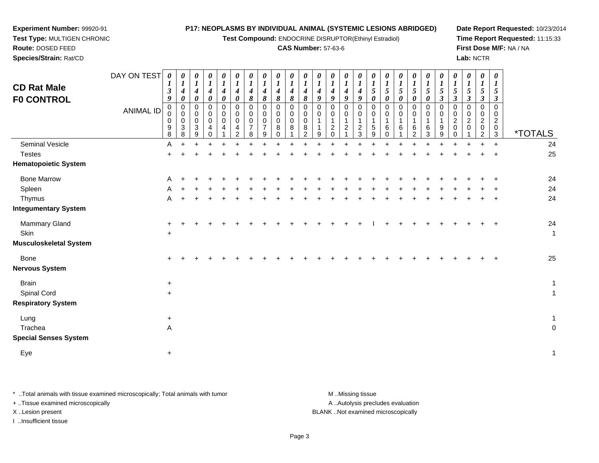**Test Compound:** ENDOCRINE DISRUPTOR(Ethinyl Estradiol)

#### **CAS Number:** 57-63-6

**Date Report Requested:** 10/23/2014**Time Report Requested:** 11:15:33**First Dose M/F:** NA / NA**Lab:** NCTR

3 \*TOTALS

24

**Route:** DOSED FEED **Species/Strain:** Rat/CDDAY ON TEST**CD Rat Male F0 CONTROL**ANIMAL ID*0 1 3 9* 0 0 0 9 8A *0 1 4 0* 0 0 0 3 8*0 1 4 0* 0 0 0 3 9*0 1 4 0* 0 0 0 4 0*0 1 4 0* 0 0 0 4 1*0 1 4 0* 0 0 0 4 2*0 1 4 8* 0 0 0 7 8*0 1 4 8* 0 0 0 7 9*0 1 4 8* 00<br>0<br>0<br>0 *0 1 4 8* 0 0 0 8 1*0 1 4 8* 0 0 0 8 2*0 1 4 9* 0 0 1 1 9*0 1 4 9* 0 0 1 2 0*0 1 4 9* 0 0 1 2 1*0 1 4 9* 0 0 1 2 3*0 1 5 0* 0 0 1 5 9*0 1 5 0* 0 0 1 6 0*0 1 5 0* 0 0 1 6 1 $\ddot{}$ *0 1 5 0* 0 0 1 6 2Seminal Vesiclee A <sup>+</sup> <sup>+</sup> <sup>+</sup> <sup>+</sup> <sup>+</sup> <sup>+</sup> <sup>+</sup> <sup>+</sup> <sup>+</sup> <sup>+</sup> <sup>+</sup> <sup>+</sup> <sup>+</sup> <sup>+</sup> <sup>+</sup> <sup>+</sup> <sup>+</sup> <sup>+</sup> <sup>+</sup> <sup>+</sup> <sup>+</sup> <sup>+</sup> <sup>+</sup> <sup>+</sup> <sup>24</sup> **Testes**  <sup>+</sup> <sup>+</sup> <sup>+</sup> <sup>+</sup> <sup>+</sup> <sup>+</sup> <sup>+</sup> <sup>+</sup> <sup>+</sup> <sup>+</sup> <sup>+</sup> <sup>+</sup> <sup>+</sup> <sup>+</sup> <sup>+</sup> <sup>+</sup> <sup>+</sup> <sup>+</sup> <sup>+</sup> <sup>+</sup> <sup>+</sup> <sup>+</sup> <sup>+</sup> <sup>+</sup> <sup>+</sup> <sup>25</sup> **Hematopoietic System**

**Experiment Number:** 99920-91**Test Type:** MULTIGEN CHRONIC

| nomatopolotio oyotomi         |              |           |           |  |  |  |  |  |  |        |       |       |     |       |           |     |              |
|-------------------------------|--------------|-----------|-----------|--|--|--|--|--|--|--------|-------|-------|-----|-------|-----------|-----|--------------|
| <b>Bone Marrow</b>            | A            | $+$       | $\pm$     |  |  |  |  |  |  |        | $\pm$ |       |     |       | $\pm$     | $+$ | 24           |
| Spleen                        | $\mathsf{A}$ | $+$       | $\ddot{}$ |  |  |  |  |  |  |        |       |       |     |       | $\ddot{}$ | $+$ | 24           |
| Thymus                        | A            | $\ddot{}$ | $\pm$     |  |  |  |  |  |  |        | +     | $\pm$ | $+$ | $\pm$ | $+$       | $+$ | 24           |
| <b>Integumentary System</b>   |              |           |           |  |  |  |  |  |  |        |       |       |     |       |           |     |              |
| Mammary Gland                 | $\ddot{}$    |           | $\ddot{}$ |  |  |  |  |  |  | $\div$ | $+$   |       |     |       | $+$       | $+$ | 24           |
| Skin                          | $\ddot{}$    |           |           |  |  |  |  |  |  |        |       |       |     |       |           |     | $\mathbf 1$  |
| <b>Musculoskeletal System</b> |              |           |           |  |  |  |  |  |  |        |       |       |     |       |           |     |              |
| Bone                          | $+$          | $\ddot{}$ |           |  |  |  |  |  |  |        |       |       |     |       |           | $+$ | 25           |
| <b>Nervous System</b>         |              |           |           |  |  |  |  |  |  |        |       |       |     |       |           |     |              |
| <b>Brain</b>                  | $\ddot{}$    |           |           |  |  |  |  |  |  |        |       |       |     |       |           |     | $\mathbf{1}$ |
| <b>Spinal Cord</b>            | $\ddot{}$    |           |           |  |  |  |  |  |  |        |       |       |     |       |           |     |              |
| <b>Respiratory System</b>     |              |           |           |  |  |  |  |  |  |        |       |       |     |       |           |     |              |
| Lung                          | $\ddot{}$    |           |           |  |  |  |  |  |  |        |       |       |     |       |           |     |              |
| Trachea                       | $\mathsf A$  |           |           |  |  |  |  |  |  |        |       |       |     |       |           |     | $\mathbf 0$  |
| <b>Special Senses System</b>  |              |           |           |  |  |  |  |  |  |        |       |       |     |       |           |     |              |
| Eye                           | $\ddot{}$    |           |           |  |  |  |  |  |  |        |       |       |     |       |           |     | $\mathbf{1}$ |
|                               |              |           |           |  |  |  |  |  |  |        |       |       |     |       |           |     |              |

\* ..Total animals with tissue examined microscopically; Total animals with tumor **M** ..Missing tissue M ..Missing tissue A ..Autolysis precludes evaluation + ..Tissue examined microscopically X ..Lesion present BLANK ..Not examined microscopicallyI ..Insufficient tissue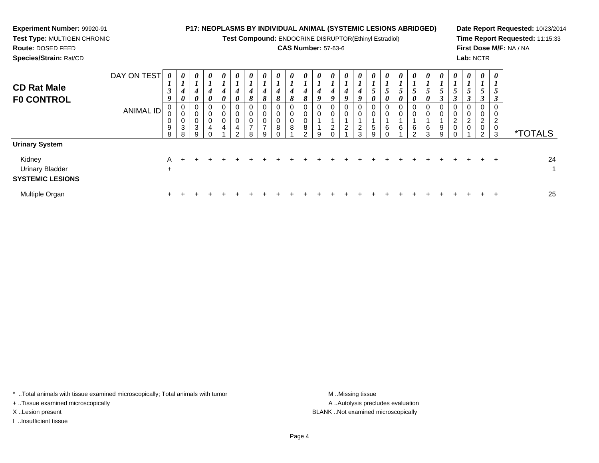| <b>Experiment Number: 99920-91</b><br>Test Type: MULTIGEN CHRONIC<br>Route: DOSED FEED<br>Species/Strain: Rat/CD |                                 |                    |                                     |   |                                                     | <b>P17: NEOPLASMS BY INDIVIDUAL ANIMAL (SYSTEMIC LESIONS ABRIDGED)</b> |   |   |                                      |                    | Test Compound: ENDOCRINE DISRUPTOR(Ethinyl Estradiol)<br><b>CAS Number: 57-63-6</b> |                  |   |               |               |                                                               |  |                                               |                         |  | Lab: NCTR           |   |             | Date Report Requested: 10/23/2014<br>Time Report Requested: 11:15:33<br>First Dose M/F: NA / NA |    |
|------------------------------------------------------------------------------------------------------------------|---------------------------------|--------------------|-------------------------------------|---|-----------------------------------------------------|------------------------------------------------------------------------|---|---|--------------------------------------|--------------------|-------------------------------------------------------------------------------------|------------------|---|---------------|---------------|---------------------------------------------------------------|--|-----------------------------------------------|-------------------------|--|---------------------|---|-------------|-------------------------------------------------------------------------------------------------|----|
| <b>CD Rat Male</b><br><b>FO CONTROL</b>                                                                          | DAY ON TEST<br><b>ANIMAL ID</b> | $\theta$<br>9<br>8 | $\theta$<br>$\theta$<br>0<br>3<br>8 | 3 | $\boldsymbol{\theta}$<br>$\boldsymbol{\theta}$<br>0 | $\boldsymbol{\theta}$<br>$\boldsymbol{\theta}$<br>0<br>0<br>0          | ⌒ | o | $\boldsymbol{\theta}$<br>ŏ<br>0<br>9 | $\theta$<br>ð<br>8 | 8<br>0<br>0<br>0<br>8                                                               | 8<br>0<br>8<br>ົ | 0 | $\theta$<br>0 | $\theta$<br>3 | $\boldsymbol{\theta}$<br>$\boldsymbol{\theta}$<br>0<br>5<br>9 |  | U<br>$\boldsymbol{\mathit{U}}$<br>6<br>$\sim$ | $\theta$<br>0<br>6<br>3 |  | 0<br>$\overline{2}$ | 2 | 0<br>0<br>3 | <i><b>*TOTALS</b></i>                                                                           |    |
| <b>Urinary System</b><br>Kidney<br><b>Urinary Bladder</b><br><b>SYSTEMIC LESIONS</b>                             |                                 | A<br>$\pm$         |                                     |   |                                                     |                                                                        |   |   |                                      |                    |                                                                                     |                  |   |               |               |                                                               |  |                                               |                         |  |                     |   |             |                                                                                                 | 24 |

\* ..Total animals with tissue examined microscopically; Total animals with tumor M..Missing tissue M ..Missing tissue

n  $+$ 

+ ..Tissue examined microscopically

I ..Insufficient tissue

Multiple Organ

A ..Autolysis precludes evaluation X ..Lesion present BLANK ..Not examined microscopically

<sup>+</sup> <sup>+</sup> <sup>+</sup> <sup>+</sup> <sup>+</sup> <sup>+</sup> <sup>+</sup> <sup>+</sup> <sup>+</sup> <sup>+</sup> <sup>+</sup> <sup>+</sup> <sup>+</sup> <sup>+</sup> <sup>+</sup> <sup>+</sup> <sup>+</sup> <sup>+</sup> <sup>+</sup> <sup>+</sup> <sup>+</sup> <sup>+</sup> <sup>+</sup> <sup>+</sup> <sup>25</sup>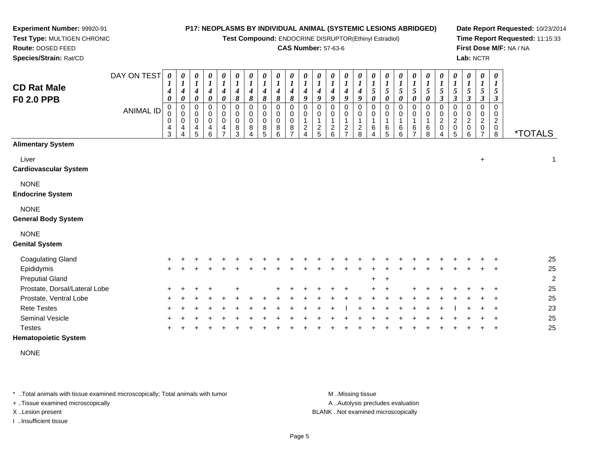**Test Compound:** ENDOCRINE DISRUPTOR(Ethinyl Estradiol)

### **CAS Number:** 57-63-6

**Date Report Requested:** 10/23/2014**Time Report Requested:** 11:15:33**First Dose M/F:** NA / NA**Lab:** NCTR

| <b>CD Rat Male</b><br>F0 2.0 PPB                                  | DAY ON TEST<br><b>ANIMAL ID</b> | $\boldsymbol{\theta}$<br>4<br>0<br>0<br>0<br>0<br>4<br>$\mathbf{3}$ | 0<br>1<br>4<br>0<br>$\mathbf 0$<br>0<br>0<br>4 | $\pmb{\theta}$<br>$\boldsymbol{l}$<br>$\boldsymbol{4}$<br>0<br>$\mathbf 0$<br>0<br>$\pmb{0}$<br>4<br>5 | 0<br>$\boldsymbol{l}$<br>$\boldsymbol{4}$<br>0<br>0<br>0<br>$\mathbf 0$<br>4<br>6 | $\pmb{\theta}$<br>$\boldsymbol{l}$<br>$\boldsymbol{4}$<br>0<br>0<br>0<br>$\pmb{0}$<br>4<br>$\overline{ }$ | $\boldsymbol{\theta}$<br>1<br>$\boldsymbol{4}$<br>8<br>$\mathbf 0$<br>$\mathbf 0$<br>$\mathbf 0$<br>8<br>3 | $\pmb{\theta}$<br>$\boldsymbol{l}$<br>$\boldsymbol{4}$<br>8<br>0<br>0<br>0<br>8<br>4 | 0<br>$\boldsymbol{l}$<br>4<br>8<br>0<br>0<br>$\mathbf 0$<br>8<br>5 | $\pmb{\theta}$<br>$\boldsymbol{l}$<br>4<br>8<br>0<br>0<br>0<br>8<br>6 | 0<br>$\boldsymbol{l}$<br>4<br>8<br>$\Omega$<br>0<br>$\Omega$<br>8 | 0<br>4<br>9<br>$\Omega$<br>0<br>$\overline{c}$ | 0<br>$\boldsymbol{4}$<br>9<br>$\Omega$<br>0<br>1<br>$\frac{2}{5}$ | 0<br>1<br>4<br>9<br>0<br>0<br>1<br>$^2$ 6 | 0<br>$\boldsymbol{l}$<br>$\boldsymbol{4}$<br>9<br>0<br>0<br>1<br>$\overline{a}$<br>$\overline{7}$ | 0<br>$\boldsymbol{l}$<br>4<br>9<br>0<br>0<br>1<br>$\overline{c}$<br>8 | 0<br>$\boldsymbol{l}$<br>5<br>0<br>$\mathbf 0$<br>0<br>1<br>6<br>4 | $\boldsymbol{\theta}$<br>$\boldsymbol{l}$<br>$\mathfrak{s}$<br>0<br>0<br>0<br>$\mathbf 1$<br>6<br>5 | 0<br>$\boldsymbol{l}$<br>5<br>0<br>0<br>0<br>6<br>6 | 0<br>$\boldsymbol{l}$<br>5<br>0<br>0<br>0<br>6<br>⇁ | $\pmb{\theta}$<br>$\boldsymbol{l}$<br>5<br>0<br>0<br>0<br>6<br>8 | 0<br>$\boldsymbol{l}$<br>5<br>3<br>0<br>0<br>$\overline{a}$<br>$\pmb{0}$<br>4 | $\boldsymbol{\theta}$<br>$\boldsymbol{l}$<br>5<br>3<br>0<br>0<br>$\overline{c}$<br>$\pmb{0}$<br>5 | $\pmb{\theta}$<br>1<br>$\sqrt{5}$<br>3<br>$\mathbf 0$<br>0<br>$\overline{2}$<br>0<br>6 | $\pmb{\theta}$<br>$\boldsymbol{l}$<br>5<br>3<br>0<br>0<br>$\overline{c}$<br>0 | $\boldsymbol{\theta}$<br>$\boldsymbol{l}$<br>5<br>3<br>$\Omega$<br>0<br>2<br>0<br>8 | <i><b>*TOTALS</b></i> |
|-------------------------------------------------------------------|---------------------------------|---------------------------------------------------------------------|------------------------------------------------|--------------------------------------------------------------------------------------------------------|-----------------------------------------------------------------------------------|-----------------------------------------------------------------------------------------------------------|------------------------------------------------------------------------------------------------------------|--------------------------------------------------------------------------------------|--------------------------------------------------------------------|-----------------------------------------------------------------------|-------------------------------------------------------------------|------------------------------------------------|-------------------------------------------------------------------|-------------------------------------------|---------------------------------------------------------------------------------------------------|-----------------------------------------------------------------------|--------------------------------------------------------------------|-----------------------------------------------------------------------------------------------------|-----------------------------------------------------|-----------------------------------------------------|------------------------------------------------------------------|-------------------------------------------------------------------------------|---------------------------------------------------------------------------------------------------|----------------------------------------------------------------------------------------|-------------------------------------------------------------------------------|-------------------------------------------------------------------------------------|-----------------------|
| <b>Alimentary System</b><br>Liver<br><b>Cardiovascular System</b> |                                 |                                                                     |                                                |                                                                                                        |                                                                                   |                                                                                                           |                                                                                                            |                                                                                      |                                                                    |                                                                       |                                                                   |                                                |                                                                   |                                           |                                                                                                   |                                                                       |                                                                    |                                                                                                     |                                                     |                                                     |                                                                  |                                                                               |                                                                                                   |                                                                                        | $\ddot{}$                                                                     |                                                                                     | 1                     |
| <b>NONE</b><br><b>Endocrine System</b>                            |                                 |                                                                     |                                                |                                                                                                        |                                                                                   |                                                                                                           |                                                                                                            |                                                                                      |                                                                    |                                                                       |                                                                   |                                                |                                                                   |                                           |                                                                                                   |                                                                       |                                                                    |                                                                                                     |                                                     |                                                     |                                                                  |                                                                               |                                                                                                   |                                                                                        |                                                                               |                                                                                     |                       |
| <b>NONE</b><br><b>General Body System</b>                         |                                 |                                                                     |                                                |                                                                                                        |                                                                                   |                                                                                                           |                                                                                                            |                                                                                      |                                                                    |                                                                       |                                                                   |                                                |                                                                   |                                           |                                                                                                   |                                                                       |                                                                    |                                                                                                     |                                                     |                                                     |                                                                  |                                                                               |                                                                                                   |                                                                                        |                                                                               |                                                                                     |                       |
| <b>NONE</b><br><b>Genital System</b>                              |                                 |                                                                     |                                                |                                                                                                        |                                                                                   |                                                                                                           |                                                                                                            |                                                                                      |                                                                    |                                                                       |                                                                   |                                                |                                                                   |                                           |                                                                                                   |                                                                       |                                                                    |                                                                                                     |                                                     |                                                     |                                                                  |                                                                               |                                                                                                   |                                                                                        |                                                                               |                                                                                     |                       |
| <b>Coagulating Gland</b>                                          |                                 |                                                                     |                                                |                                                                                                        |                                                                                   |                                                                                                           |                                                                                                            |                                                                                      |                                                                    |                                                                       |                                                                   |                                                |                                                                   |                                           |                                                                                                   |                                                                       |                                                                    |                                                                                                     |                                                     |                                                     |                                                                  |                                                                               |                                                                                                   |                                                                                        |                                                                               |                                                                                     | 25                    |
| Epididymis<br><b>Preputial Gland</b>                              |                                 | $+$                                                                 |                                                |                                                                                                        |                                                                                   |                                                                                                           |                                                                                                            |                                                                                      |                                                                    |                                                                       |                                                                   |                                                |                                                                   |                                           |                                                                                                   |                                                                       |                                                                    |                                                                                                     |                                                     |                                                     |                                                                  |                                                                               |                                                                                                   |                                                                                        |                                                                               |                                                                                     | 25<br>2               |
| Prostate, Dorsal/Lateral Lobe                                     |                                 |                                                                     |                                                |                                                                                                        |                                                                                   |                                                                                                           |                                                                                                            |                                                                                      |                                                                    |                                                                       |                                                                   |                                                |                                                                   |                                           |                                                                                                   |                                                                       |                                                                    |                                                                                                     |                                                     |                                                     |                                                                  |                                                                               |                                                                                                   |                                                                                        |                                                                               |                                                                                     | 25                    |
| Prostate, Ventral Lobe                                            |                                 |                                                                     |                                                |                                                                                                        |                                                                                   |                                                                                                           |                                                                                                            |                                                                                      |                                                                    |                                                                       |                                                                   |                                                |                                                                   |                                           |                                                                                                   |                                                                       |                                                                    |                                                                                                     |                                                     |                                                     |                                                                  |                                                                               |                                                                                                   |                                                                                        |                                                                               |                                                                                     | 25                    |
| <b>Rete Testes</b>                                                |                                 |                                                                     |                                                |                                                                                                        |                                                                                   |                                                                                                           |                                                                                                            |                                                                                      |                                                                    |                                                                       |                                                                   |                                                |                                                                   |                                           |                                                                                                   |                                                                       |                                                                    |                                                                                                     |                                                     |                                                     |                                                                  |                                                                               |                                                                                                   |                                                                                        |                                                                               |                                                                                     | 23                    |
| Seminal Vesicle                                                   |                                 |                                                                     |                                                |                                                                                                        |                                                                                   |                                                                                                           |                                                                                                            |                                                                                      |                                                                    |                                                                       |                                                                   |                                                |                                                                   |                                           |                                                                                                   |                                                                       |                                                                    |                                                                                                     |                                                     |                                                     |                                                                  |                                                                               |                                                                                                   |                                                                                        |                                                                               |                                                                                     | 25                    |
| <b>Testes</b>                                                     |                                 |                                                                     |                                                |                                                                                                        |                                                                                   |                                                                                                           |                                                                                                            |                                                                                      |                                                                    |                                                                       |                                                                   |                                                |                                                                   |                                           |                                                                                                   |                                                                       |                                                                    |                                                                                                     |                                                     |                                                     |                                                                  |                                                                               |                                                                                                   |                                                                                        |                                                                               |                                                                                     | 25                    |

**Hematopoietic System**

NONE

\* ..Total animals with tissue examined microscopically; Total animals with tumor **M** ...Missing tissue M ...Missing tissue

+ ..Tissue examined microscopically

**Experiment Number:** 99920-91**Test Type:** MULTIGEN CHRONIC

**Route:** DOSED FEED**Species/Strain:** Rat/CD

I ..Insufficient tissue

A ..Autolysis precludes evaluation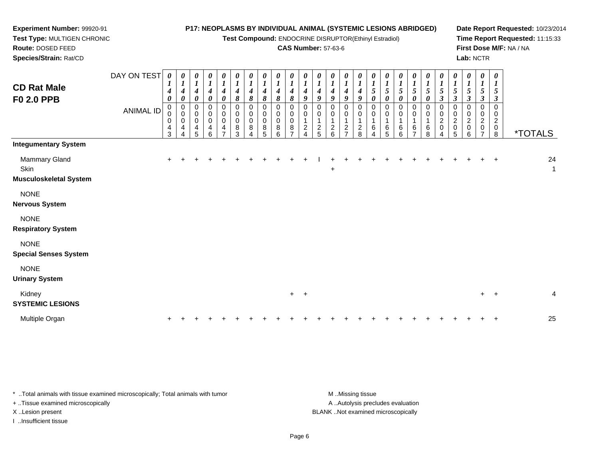**Test Compound:** ENDOCRINE DISRUPTOR(Ethinyl Estradiol)

## **CAS Number:** 57-63-6

**Date Report Requested:** 10/23/2014**Time Report Requested:** 11:15:33**First Dose M/F:** NA / NA**Lab:** NCTR

| <b>CD Rat Male</b><br><b>F0 2.0 PPB</b>                                                                                         | DAY ON TEST<br><b>ANIMAL ID</b> | $\boldsymbol{\theta}$<br>$\mathbf{I}$<br>4<br>$\boldsymbol{\theta}$<br>0<br>0<br>$\overline{4}$<br>3 | 0<br>$\boldsymbol{l}$<br>4<br>0<br>0<br>$\pmb{0}$<br>0<br>4<br>$\overline{4}$ | 0<br>$\boldsymbol{l}$<br>$\boldsymbol{4}$<br>0<br>0<br>$\mathbf 0$<br>$\pmb{0}$<br>4<br>5 | 0<br>$\boldsymbol{l}$<br>$\boldsymbol{4}$<br>$\boldsymbol{\theta}$<br>$\mathbf 0$<br>$\,0\,$<br>$\mathbf 0$<br>$\overline{4}$<br>6 | 0<br>$\boldsymbol{l}$<br>$\boldsymbol{4}$<br>$\boldsymbol{\theta}$<br>0<br>$\pmb{0}$<br>$\pmb{0}$<br>4<br>$\overline{ }$ | 0<br>$\boldsymbol{l}$<br>$\boldsymbol{4}$<br>$\pmb{8}$<br>0<br>0<br>$\pmb{0}$<br>8<br>3 | 0<br>$\boldsymbol{l}$<br>$\boldsymbol{4}$<br>8<br>$\,0\,$<br>$\,0\,$<br>$\pmb{0}$<br>8<br>4 | $\boldsymbol{\theta}$<br>$\boldsymbol{l}$<br>4<br>8<br>0<br>$\pmb{0}$<br>$\pmb{0}$<br>8<br>5 | 0<br>$\boldsymbol{l}$<br>$\boldsymbol{4}$<br>8<br>0<br>0<br>0<br>$\bf 8$<br>6 | 0<br>$\boldsymbol{l}$<br>$\boldsymbol{4}$<br>$\pmb{8}$<br>0<br>$\pmb{0}$<br>$\boldsymbol{0}$<br>8<br>$\overline{ }$ | 0<br>$\boldsymbol{l}$<br>$\boldsymbol{4}$<br>9<br>$\,0\,$<br>$\,0\,$<br>$\overline{c}$<br>4 | 0<br>$\boldsymbol{l}$<br>4<br>9<br>0<br>0<br>$\overline{1}$<br>$\overline{c}$<br>5 | 0<br>$\boldsymbol{l}$<br>4<br>9<br>$\overline{A}$<br>$\overline{\mathbf{c}}$<br>6 | 0<br>$\boldsymbol{l}$<br>4<br>9<br>0<br>2<br>$\rightarrow$ | 0<br>$\boldsymbol{l}$<br>4<br>9<br>0<br>0<br>2<br>8 | 0<br>1<br>5<br>0<br>0<br>0<br>6<br>4 | 0<br>$\boldsymbol{l}$<br>5<br>$\boldsymbol{\theta}$<br>0<br>$\mathbf 0$<br>$\mathbf{1}$<br>6<br>5 | 0<br>$\boldsymbol{l}$<br>5<br>$\pmb{\theta}$<br>0<br>$\pmb{0}$<br>6<br>6 | 0<br>$\boldsymbol{l}$<br>$5\overline{)}$<br>$\pmb{\theta}$<br>0<br>0<br>1<br>6<br>$\overline{ }$ | $\boldsymbol{l}$<br>$\mathfrak{s}$<br>0<br>$\overline{1}$<br>6<br>8 | 0<br>$\boldsymbol{l}$<br>$5\overline{)}$<br>$\boldsymbol{\beta}$<br>0<br>$\overline{c}$<br>$\mathbf 0$<br>4 | 0<br>$\boldsymbol{l}$<br>5<br>3<br>0<br>0<br>$\frac{2}{0}$<br>5 | 0<br>$\boldsymbol{l}$<br>5<br>$\mathfrak{z}$<br>0<br>0<br>$\overline{\mathbf{c}}$<br>0<br>6 | $\boldsymbol{\theta}$<br>$\boldsymbol{l}$<br>$\mathfrak{s}$<br>$\boldsymbol{\beta}$<br>$\mathbf 0$<br>$\mathbf 0$<br>$\boldsymbol{2}$<br>$\pmb{0}$<br>$\overline{7}$ | 0<br>5<br>$\boldsymbol{\beta}$<br>$\mathbf 0$<br>0<br>$\overline{c}$<br>$\pmb{0}$<br>8 | <i><b>*TOTALS</b></i> |
|---------------------------------------------------------------------------------------------------------------------------------|---------------------------------|------------------------------------------------------------------------------------------------------|-------------------------------------------------------------------------------|-------------------------------------------------------------------------------------------|------------------------------------------------------------------------------------------------------------------------------------|--------------------------------------------------------------------------------------------------------------------------|-----------------------------------------------------------------------------------------|---------------------------------------------------------------------------------------------|----------------------------------------------------------------------------------------------|-------------------------------------------------------------------------------|---------------------------------------------------------------------------------------------------------------------|---------------------------------------------------------------------------------------------|------------------------------------------------------------------------------------|-----------------------------------------------------------------------------------|------------------------------------------------------------|-----------------------------------------------------|--------------------------------------|---------------------------------------------------------------------------------------------------|--------------------------------------------------------------------------|--------------------------------------------------------------------------------------------------|---------------------------------------------------------------------|-------------------------------------------------------------------------------------------------------------|-----------------------------------------------------------------|---------------------------------------------------------------------------------------------|----------------------------------------------------------------------------------------------------------------------------------------------------------------------|----------------------------------------------------------------------------------------|-----------------------|
| <b>Integumentary System</b><br>Mammary Gland<br>Skin<br><b>Musculoskeletal System</b>                                           |                                 |                                                                                                      |                                                                               |                                                                                           |                                                                                                                                    |                                                                                                                          |                                                                                         |                                                                                             |                                                                                              | ÷                                                                             |                                                                                                                     |                                                                                             |                                                                                    | $+$                                                                               |                                                            |                                                     |                                      |                                                                                                   |                                                                          |                                                                                                  |                                                                     |                                                                                                             |                                                                 |                                                                                             | $+$                                                                                                                                                                  | $+$                                                                                    | 24<br>1               |
| <b>NONE</b><br><b>Nervous System</b><br><b>NONE</b><br><b>Respiratory System</b><br><b>NONE</b><br><b>Special Senses System</b> |                                 |                                                                                                      |                                                                               |                                                                                           |                                                                                                                                    |                                                                                                                          |                                                                                         |                                                                                             |                                                                                              |                                                                               |                                                                                                                     |                                                                                             |                                                                                    |                                                                                   |                                                            |                                                     |                                      |                                                                                                   |                                                                          |                                                                                                  |                                                                     |                                                                                                             |                                                                 |                                                                                             |                                                                                                                                                                      |                                                                                        |                       |

NONE

**Urinary System**

**Experiment Number:** 99920-91**Test Type:** MULTIGEN CHRONIC

**Route:** DOSED FEED**Species/Strain:** Rat/CD

| ormary oyət <del>c</del> in       |  |  |  |  |  |  |  |  |  |  |  |  |         |    |
|-----------------------------------|--|--|--|--|--|--|--|--|--|--|--|--|---------|----|
| Kidney<br><b>SYSTEMIC LESIONS</b> |  |  |  |  |  |  |  |  |  |  |  |  | $+$ $+$ |    |
| Multiple Organ                    |  |  |  |  |  |  |  |  |  |  |  |  |         | 25 |

\* ..Total animals with tissue examined microscopically; Total animals with tumor **M** . Missing tissue M ..Missing tissue A ..Autolysis precludes evaluation + ..Tissue examined microscopically X ..Lesion present BLANK ..Not examined microscopicallyI ..Insufficient tissue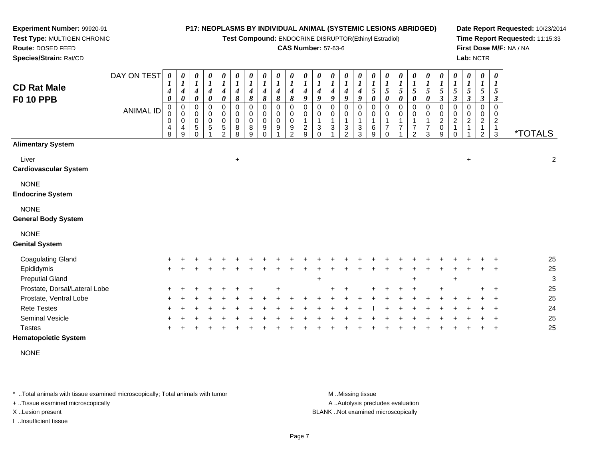**Test Compound:** ENDOCRINE DISRUPTOR(Ethinyl Estradiol)

### **CAS Number:** 57-63-6

**Date Report Requested:** 10/23/2014**Time Report Requested:** 11:15:33**First Dose M/F:** NA / NA**Lab:** NCTR

| <b>CD Rat Male</b><br><b>F0 10 PPB</b>    | DAY ON TEST<br><b>ANIMAL ID</b> | $\pmb{\theta}$<br>1<br>4<br>0<br>0<br>$\mathbf 0$<br>0<br>4<br>8 | 0<br>$\boldsymbol{l}$<br>4<br>$\boldsymbol{\theta}$<br>0<br>$\mathbf 0$<br>$\mathbf 0$<br>4<br>9 | $\pmb{\theta}$<br>$\boldsymbol{l}$<br>4<br>$\boldsymbol{\theta}$<br>$\mathbf 0$<br>$\mathbf 0$<br>0<br>$\sqrt{5}$<br>$\Omega$ | $\boldsymbol{\theta}$<br>$\boldsymbol{l}$<br>4<br>$\boldsymbol{\theta}$<br>$\mathbf 0$<br>$\mathbf 0$<br>$\mathbf 0$<br>5 | $\pmb{\theta}$<br>$\boldsymbol{l}$<br>$\boldsymbol{4}$<br>$\boldsymbol{\theta}$<br>$\mathbf 0$<br>0<br>$\mathbf 0$<br>$\,$ 5 $\,$<br>$\mathfrak{D}$ | 0<br>$\boldsymbol{l}$<br>4<br>8<br>0<br>0<br>0<br>8<br>8 | $\pmb{\theta}$<br>$\boldsymbol{l}$<br>$\boldsymbol{4}$<br>8<br>0<br>0<br>$\mathbf 0$<br>8<br>9 | $\pmb{\theta}$<br>$\boldsymbol{l}$<br>$\boldsymbol{4}$<br>8<br>0<br>$\mathbf 0$<br>$\mathbf 0$<br>9<br>$\Omega$ | $\pmb{\theta}$<br>$\boldsymbol{l}$<br>$\boldsymbol{4}$<br>8<br>$\pmb{0}$<br>$\mathbf 0$<br>$\mathbf 0$<br>9 | 0<br>$\boldsymbol{l}$<br>4<br>8<br>$\Omega$<br>$\mathbf 0$<br>$\mathbf 0$<br>9<br>$\mathcal{P}$ | $\pmb{\theta}$<br>$\boldsymbol{l}$<br>4<br>9<br>0<br>$\Omega$<br>$\overline{c}$<br>9 | $\boldsymbol{\theta}$<br>$\boldsymbol{l}$<br>4<br>9<br>$\Omega$<br>0<br>3<br>$\Omega$ | $\pmb{\theta}$<br>$\boldsymbol{l}$<br>4<br>9<br>$\Omega$<br>$\mathbf 0$<br>3 | $\pmb{\theta}$<br>$\boldsymbol{l}$<br>4<br>9<br>0<br>$\mathbf 0$<br>3<br>$\mathfrak{p}$ | 0<br>$\boldsymbol{l}$<br>4<br>9<br>0<br>0<br>$\mathbf{1}$<br>3<br>3 | $\boldsymbol{\theta}$<br>$\boldsymbol{l}$<br>$\mathfrak{s}$<br>$\boldsymbol{\theta}$<br>0<br>$\pmb{0}$<br>$\mathbf{1}$<br>$\,6$<br>9 | 0<br>$\boldsymbol{l}$<br>5<br>$\boldsymbol{\theta}$<br>0<br>$\pmb{0}$<br>$\mathbf{1}$<br>$\overline{7}$<br>$\Omega$ | $\boldsymbol{\theta}$<br>$\boldsymbol{l}$<br>5<br>$\boldsymbol{\theta}$<br>0<br>0<br>1<br>$\overline{7}$ | 0<br>$\boldsymbol{l}$<br>$\mathfrak{s}$<br>0<br>0<br>0<br>$\overline{7}$<br>$\mathfrak{p}$ | $\boldsymbol{\theta}$<br>$\boldsymbol{l}$<br>5<br>$\boldsymbol{\theta}$<br>$\Omega$<br>0<br>1<br>$\overline{7}$<br>3 | 0<br>$\boldsymbol{l}$<br>5<br>3<br>0<br>0<br>$\overline{\mathbf{c}}$<br>0<br>9 | $\boldsymbol{\theta}$<br>$\boldsymbol{l}$<br>$\mathfrak{s}$<br>$\boldsymbol{\beta}$<br>0<br>0<br>$\overline{2}$ | 0<br>$\boldsymbol{l}$<br>5<br>$\mathbf{3}$<br>0<br>$\pmb{0}$<br>$\boldsymbol{2}$ | $\pmb{\theta}$<br>$\bm{l}$<br>5<br>$\boldsymbol{\beta}$<br>$\Omega$<br>0<br>$\sqrt{2}$<br>$\mathfrak{D}$ | 0<br>1<br>5<br>3<br>$\Omega$<br>0<br>2<br>3 | <i><b>*TOTALS</b></i> |
|-------------------------------------------|---------------------------------|------------------------------------------------------------------|--------------------------------------------------------------------------------------------------|-------------------------------------------------------------------------------------------------------------------------------|---------------------------------------------------------------------------------------------------------------------------|-----------------------------------------------------------------------------------------------------------------------------------------------------|----------------------------------------------------------|------------------------------------------------------------------------------------------------|-----------------------------------------------------------------------------------------------------------------|-------------------------------------------------------------------------------------------------------------|-------------------------------------------------------------------------------------------------|--------------------------------------------------------------------------------------|---------------------------------------------------------------------------------------|------------------------------------------------------------------------------|-----------------------------------------------------------------------------------------|---------------------------------------------------------------------|--------------------------------------------------------------------------------------------------------------------------------------|---------------------------------------------------------------------------------------------------------------------|----------------------------------------------------------------------------------------------------------|--------------------------------------------------------------------------------------------|----------------------------------------------------------------------------------------------------------------------|--------------------------------------------------------------------------------|-----------------------------------------------------------------------------------------------------------------|----------------------------------------------------------------------------------|----------------------------------------------------------------------------------------------------------|---------------------------------------------|-----------------------|
| <b>Alimentary System</b>                  |                                 |                                                                  |                                                                                                  |                                                                                                                               |                                                                                                                           |                                                                                                                                                     |                                                          |                                                                                                |                                                                                                                 |                                                                                                             |                                                                                                 |                                                                                      |                                                                                       |                                                                              |                                                                                         |                                                                     |                                                                                                                                      |                                                                                                                     |                                                                                                          |                                                                                            |                                                                                                                      |                                                                                |                                                                                                                 |                                                                                  |                                                                                                          |                                             |                       |
| Liver<br><b>Cardiovascular System</b>     |                                 |                                                                  |                                                                                                  |                                                                                                                               |                                                                                                                           |                                                                                                                                                     | $\ddot{}$                                                |                                                                                                |                                                                                                                 |                                                                                                             |                                                                                                 |                                                                                      |                                                                                       |                                                                              |                                                                                         |                                                                     |                                                                                                                                      |                                                                                                                     |                                                                                                          |                                                                                            |                                                                                                                      |                                                                                |                                                                                                                 | $\ddot{}$                                                                        |                                                                                                          |                                             | 2                     |
| <b>NONE</b><br><b>Endocrine System</b>    |                                 |                                                                  |                                                                                                  |                                                                                                                               |                                                                                                                           |                                                                                                                                                     |                                                          |                                                                                                |                                                                                                                 |                                                                                                             |                                                                                                 |                                                                                      |                                                                                       |                                                                              |                                                                                         |                                                                     |                                                                                                                                      |                                                                                                                     |                                                                                                          |                                                                                            |                                                                                                                      |                                                                                |                                                                                                                 |                                                                                  |                                                                                                          |                                             |                       |
| <b>NONE</b><br><b>General Body System</b> |                                 |                                                                  |                                                                                                  |                                                                                                                               |                                                                                                                           |                                                                                                                                                     |                                                          |                                                                                                |                                                                                                                 |                                                                                                             |                                                                                                 |                                                                                      |                                                                                       |                                                                              |                                                                                         |                                                                     |                                                                                                                                      |                                                                                                                     |                                                                                                          |                                                                                            |                                                                                                                      |                                                                                |                                                                                                                 |                                                                                  |                                                                                                          |                                             |                       |
| <b>NONE</b><br><b>Genital System</b>      |                                 |                                                                  |                                                                                                  |                                                                                                                               |                                                                                                                           |                                                                                                                                                     |                                                          |                                                                                                |                                                                                                                 |                                                                                                             |                                                                                                 |                                                                                      |                                                                                       |                                                                              |                                                                                         |                                                                     |                                                                                                                                      |                                                                                                                     |                                                                                                          |                                                                                            |                                                                                                                      |                                                                                |                                                                                                                 |                                                                                  |                                                                                                          |                                             |                       |
| Coagulating Gland                         |                                 |                                                                  |                                                                                                  |                                                                                                                               |                                                                                                                           |                                                                                                                                                     |                                                          |                                                                                                |                                                                                                                 |                                                                                                             |                                                                                                 |                                                                                      |                                                                                       |                                                                              |                                                                                         |                                                                     |                                                                                                                                      |                                                                                                                     |                                                                                                          |                                                                                            |                                                                                                                      |                                                                                |                                                                                                                 |                                                                                  |                                                                                                          |                                             | 25                    |
| Epididymis                                |                                 |                                                                  |                                                                                                  |                                                                                                                               |                                                                                                                           |                                                                                                                                                     |                                                          |                                                                                                |                                                                                                                 |                                                                                                             |                                                                                                 |                                                                                      |                                                                                       |                                                                              |                                                                                         |                                                                     |                                                                                                                                      |                                                                                                                     |                                                                                                          |                                                                                            |                                                                                                                      |                                                                                |                                                                                                                 |                                                                                  |                                                                                                          |                                             | 25                    |
| <b>Preputial Gland</b>                    |                                 |                                                                  |                                                                                                  |                                                                                                                               |                                                                                                                           |                                                                                                                                                     |                                                          |                                                                                                |                                                                                                                 |                                                                                                             |                                                                                                 |                                                                                      | $\ddot{}$                                                                             |                                                                              |                                                                                         |                                                                     |                                                                                                                                      |                                                                                                                     |                                                                                                          |                                                                                            |                                                                                                                      |                                                                                | ÷                                                                                                               |                                                                                  |                                                                                                          |                                             | 3                     |
| Prostate, Dorsal/Lateral Lobe             |                                 |                                                                  |                                                                                                  |                                                                                                                               |                                                                                                                           |                                                                                                                                                     |                                                          |                                                                                                |                                                                                                                 |                                                                                                             |                                                                                                 |                                                                                      |                                                                                       |                                                                              |                                                                                         |                                                                     |                                                                                                                                      |                                                                                                                     |                                                                                                          |                                                                                            |                                                                                                                      |                                                                                |                                                                                                                 |                                                                                  |                                                                                                          |                                             | 25                    |
| Prostate, Ventral Lobe                    |                                 |                                                                  |                                                                                                  |                                                                                                                               |                                                                                                                           |                                                                                                                                                     |                                                          |                                                                                                |                                                                                                                 |                                                                                                             |                                                                                                 |                                                                                      |                                                                                       |                                                                              |                                                                                         |                                                                     |                                                                                                                                      |                                                                                                                     |                                                                                                          |                                                                                            |                                                                                                                      |                                                                                |                                                                                                                 |                                                                                  |                                                                                                          |                                             | 25                    |
| <b>Rete Testes</b>                        |                                 |                                                                  |                                                                                                  |                                                                                                                               |                                                                                                                           |                                                                                                                                                     |                                                          |                                                                                                |                                                                                                                 |                                                                                                             |                                                                                                 |                                                                                      |                                                                                       |                                                                              |                                                                                         |                                                                     |                                                                                                                                      |                                                                                                                     |                                                                                                          |                                                                                            |                                                                                                                      |                                                                                |                                                                                                                 |                                                                                  |                                                                                                          |                                             | 24                    |
| Seminal Vesicle                           |                                 |                                                                  |                                                                                                  |                                                                                                                               |                                                                                                                           |                                                                                                                                                     |                                                          |                                                                                                |                                                                                                                 |                                                                                                             |                                                                                                 |                                                                                      |                                                                                       |                                                                              |                                                                                         |                                                                     |                                                                                                                                      |                                                                                                                     |                                                                                                          |                                                                                            |                                                                                                                      |                                                                                |                                                                                                                 |                                                                                  |                                                                                                          |                                             | 25                    |
| <b>Testes</b>                             |                                 |                                                                  |                                                                                                  |                                                                                                                               |                                                                                                                           |                                                                                                                                                     |                                                          |                                                                                                |                                                                                                                 |                                                                                                             |                                                                                                 |                                                                                      |                                                                                       |                                                                              |                                                                                         |                                                                     |                                                                                                                                      |                                                                                                                     |                                                                                                          |                                                                                            |                                                                                                                      |                                                                                |                                                                                                                 |                                                                                  |                                                                                                          | $\ddot{}$                                   | 25                    |
| <b>Hematopoietic System</b>               |                                 |                                                                  |                                                                                                  |                                                                                                                               |                                                                                                                           |                                                                                                                                                     |                                                          |                                                                                                |                                                                                                                 |                                                                                                             |                                                                                                 |                                                                                      |                                                                                       |                                                                              |                                                                                         |                                                                     |                                                                                                                                      |                                                                                                                     |                                                                                                          |                                                                                            |                                                                                                                      |                                                                                |                                                                                                                 |                                                                                  |                                                                                                          |                                             |                       |

NONE

\* ..Total animals with tissue examined microscopically; Total animals with tumor **M** . Missing tissue M ..Missing tissue

+ ..Tissue examined microscopically

**Experiment Number:** 99920-91**Test Type:** MULTIGEN CHRONIC

**Route:** DOSED FEED**Species/Strain:** Rat/CD

I ..Insufficient tissue

A ..Autolysis precludes evaluation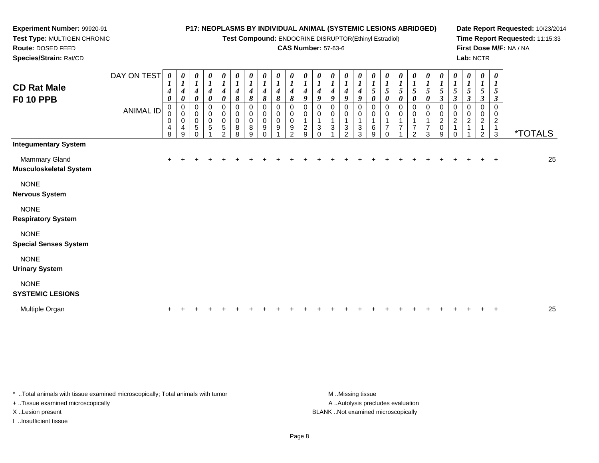DAY ON TEST*0000000000000000000000000*

**Test Compound:** ENDOCRINE DISRUPTOR(Ethinyl Estradiol)

### **CAS Number:** 57-63-6

**Date Report Requested:** 10/23/2014**Time Report Requested:** 11:15:33**First Dose M/F:** NA / NA**Lab:** NCTR

| <b>CD Rat Male</b><br><b>F0 10 PPB</b>         |                  | $\boldsymbol{l}$<br>$\boldsymbol{4}$<br>0 | 1<br>4<br>0           | $\boldsymbol{l}$<br>$\boldsymbol{4}$<br>$\pmb{\theta}$ | $\boldsymbol{l}$<br>$\boldsymbol{4}$<br>0 | $\boldsymbol{l}$<br>$\boldsymbol{4}$<br>0    | $\boldsymbol{l}$<br>$\boldsymbol{4}$<br>8 | 1<br>$\boldsymbol{4}$<br>8            | 1<br>4<br>8                            | $\boldsymbol{l}$<br>4<br>8 | $\boldsymbol{l}$<br>4<br>8        | $\boldsymbol{l}$<br>$\boldsymbol{4}$<br>$\boldsymbol{9}$ | $\boldsymbol{l}$<br>4<br>9    | $\boldsymbol{l}$<br>$\boldsymbol{4}$<br>9 | 1<br>$\boldsymbol{4}$<br>9                                              | 1<br>$\boldsymbol{4}$<br>9                            | 1<br>$\mathfrak{s}$<br>$\pmb{\theta}$ | $\boldsymbol{l}$<br>$\sqrt{5}$<br>0 | 1<br>$\mathfrak{s}$<br>0 | $\boldsymbol{l}$<br>5<br>$\pmb{\theta}$ | $\frac{1}{5}$<br>0                 | $\boldsymbol{l}$<br>5<br>$\boldsymbol{\beta}$               | $\boldsymbol{l}$<br>$\sqrt{5}$<br>$\boldsymbol{\beta}$ | $\boldsymbol{l}$<br>$\sqrt{5}$<br>$\boldsymbol{\beta}$ | 1<br>$\mathfrak{s}$<br>$\mathbf{3}$ | $\boldsymbol{l}$<br>$\mathfrak{s}$<br>$\boldsymbol{\beta}$       |                       |    |
|------------------------------------------------|------------------|-------------------------------------------|-----------------------|--------------------------------------------------------|-------------------------------------------|----------------------------------------------|-------------------------------------------|---------------------------------------|----------------------------------------|----------------------------|-----------------------------------|----------------------------------------------------------|-------------------------------|-------------------------------------------|-------------------------------------------------------------------------|-------------------------------------------------------|---------------------------------------|-------------------------------------|--------------------------|-----------------------------------------|------------------------------------|-------------------------------------------------------------|--------------------------------------------------------|--------------------------------------------------------|-------------------------------------|------------------------------------------------------------------|-----------------------|----|
|                                                | <b>ANIMAL ID</b> | 0<br>0<br>0<br>4<br>8                     | 0<br>0<br>0<br>4<br>9 | 0<br>$\pmb{0}$<br>$\pmb{0}$<br>$\sqrt{5}$<br>$\Omega$  | 0<br>0<br>0<br>5                          | 0<br>0<br>0<br>$\mathbf 5$<br>$\overline{2}$ | 0<br>$\pmb{0}$<br>$\pmb{0}$<br>8<br>8     | 0<br>$\pmb{0}$<br>$\pmb{0}$<br>8<br>9 | 0<br>0<br>$\mathbf 0$<br>9<br>$\Omega$ | 0<br>0<br>0<br>9           | 0<br>0<br>0<br>9<br>$\mathcal{D}$ | 0<br>0<br>$\frac{2}{9}$                                  | 0<br>0<br>3<br>$\overline{0}$ | 0<br>0<br>3                               | 0<br>0<br>$\overline{1}$<br>$\ensuremath{\mathsf{3}}$<br>$\overline{2}$ | 0<br>$\pmb{0}$<br>1<br>$\ensuremath{\mathsf{3}}$<br>3 | 0<br>0<br>1<br>6<br>9                 | 0<br>0<br>$\overline{7}$<br>0       | 0<br>0<br>7              | 0<br>$\pmb{0}$<br>7<br>$\overline{2}$   | 0<br>0<br>1<br>$\overline{7}$<br>3 | 0<br>$\pmb{0}$<br>$\boldsymbol{2}$<br>0<br>$\boldsymbol{9}$ | 0<br>0<br>$\sqrt{2}$<br>$\mathbf{1}$<br>$\Omega$       | 0<br>$\pmb{0}$<br>$\boldsymbol{2}$                     | 0<br>0<br>2<br>$\overline{c}$       | $\pmb{0}$<br>0<br>$\overline{c}$<br>$\mathbf{1}$<br>$\mathbf{3}$ | <i><b>*TOTALS</b></i> |    |
| <b>Integumentary System</b>                    |                  |                                           |                       |                                                        |                                           |                                              |                                           |                                       |                                        |                            |                                   |                                                          |                               |                                           |                                                                         |                                                       |                                       |                                     |                          |                                         |                                    |                                                             |                                                        |                                                        |                                     |                                                                  |                       |    |
| Mammary Gland<br><b>Musculoskeletal System</b> |                  | $+$                                       |                       |                                                        |                                           |                                              |                                           |                                       |                                        |                            |                                   |                                                          |                               |                                           |                                                                         |                                                       |                                       |                                     |                          |                                         |                                    | $\pm$                                                       |                                                        |                                                        |                                     | $\overline{+}$                                                   |                       | 25 |
| <b>NONE</b><br><b>Nervous System</b>           |                  |                                           |                       |                                                        |                                           |                                              |                                           |                                       |                                        |                            |                                   |                                                          |                               |                                           |                                                                         |                                                       |                                       |                                     |                          |                                         |                                    |                                                             |                                                        |                                                        |                                     |                                                                  |                       |    |
| <b>NONE</b><br><b>Respiratory System</b>       |                  |                                           |                       |                                                        |                                           |                                              |                                           |                                       |                                        |                            |                                   |                                                          |                               |                                           |                                                                         |                                                       |                                       |                                     |                          |                                         |                                    |                                                             |                                                        |                                                        |                                     |                                                                  |                       |    |
| <b>NONE</b><br><b>Special Senses System</b>    |                  |                                           |                       |                                                        |                                           |                                              |                                           |                                       |                                        |                            |                                   |                                                          |                               |                                           |                                                                         |                                                       |                                       |                                     |                          |                                         |                                    |                                                             |                                                        |                                                        |                                     |                                                                  |                       |    |
| <b>NONE</b><br><b>Urinary System</b>           |                  |                                           |                       |                                                        |                                           |                                              |                                           |                                       |                                        |                            |                                   |                                                          |                               |                                           |                                                                         |                                                       |                                       |                                     |                          |                                         |                                    |                                                             |                                                        |                                                        |                                     |                                                                  |                       |    |
| <b>NONE</b><br><b>SYSTEMIC LESIONS</b>         |                  |                                           |                       |                                                        |                                           |                                              |                                           |                                       |                                        |                            |                                   |                                                          |                               |                                           |                                                                         |                                                       |                                       |                                     |                          |                                         |                                    |                                                             |                                                        |                                                        |                                     |                                                                  |                       |    |
|                                                |                  |                                           |                       |                                                        |                                           |                                              |                                           |                                       |                                        |                            |                                   |                                                          |                               |                                           |                                                                         |                                                       |                                       |                                     |                          |                                         |                                    |                                                             |                                                        |                                                        |                                     |                                                                  |                       |    |

Multiple Organn  $+$ <sup>+</sup> <sup>+</sup> <sup>+</sup> <sup>+</sup> <sup>+</sup> <sup>+</sup> <sup>+</sup> <sup>+</sup> <sup>+</sup> <sup>+</sup> <sup>+</sup> <sup>+</sup> <sup>+</sup> <sup>+</sup> <sup>+</sup> <sup>+</sup> <sup>+</sup> <sup>+</sup> <sup>+</sup> <sup>+</sup> <sup>+</sup> <sup>+</sup> <sup>+</sup> <sup>+</sup> <sup>25</sup>

\* ..Total animals with tissue examined microscopically; Total animals with tumor **M** ...Missing tissue M ...Missing tissue

+ ..Tissue examined microscopically

**Experiment Number:** 99920-91**Test Type:** MULTIGEN CHRONIC

**Route:** DOSED FEED**Species/Strain:** Rat/CD

I ..Insufficient tissue

A .. Autolysis precludes evaluation X ..Lesion present BLANK ..Not examined microscopically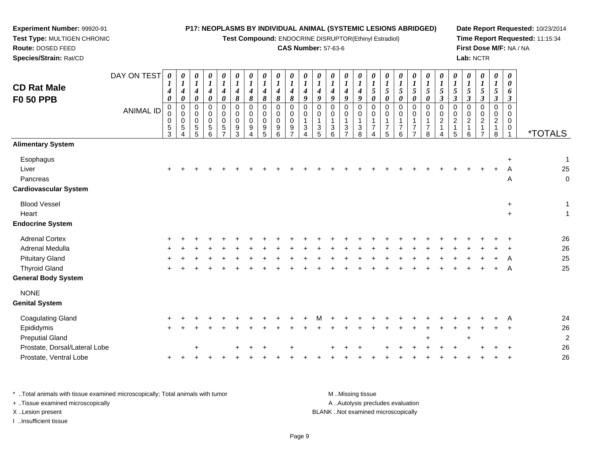**Test Compound:** ENDOCRINE DISRUPTOR(Ethinyl Estradiol)

### **CAS Number:** 57-63-6

**Date Report Requested:** 10/23/2014**Time Report Requested:** 11:15:34**First Dose M/F:** NA / NA**Lab:** NCTR

| <b>CD Rat Male</b><br><b>F0 50 PPB</b>                         | DAY ON TEST<br><b>ANIMAL ID</b> | 0<br>4<br>0<br>$\Omega$<br>0<br>0<br>$\frac{5}{3}$ | 0<br>$\boldsymbol{l}$<br>$\boldsymbol{4}$<br>$\boldsymbol{\theta}$<br>$\mathbf 0$<br>$\mathbf 0$<br>$\mathbf 0$<br>$\sqrt{5}$<br>4 | 0<br>$\boldsymbol{l}$<br>4<br>0<br>$\mathbf 0$<br>0<br>0<br>5<br>5 | 0<br>$\boldsymbol{l}$<br>$\boldsymbol{4}$<br>0<br>$\Omega$<br>0<br>0<br>$\begin{array}{c} 5 \\ 6 \end{array}$ | $\boldsymbol{\theta}$<br>$\boldsymbol{l}$<br>$\boldsymbol{4}$<br>0<br>$\mathbf 0$<br>0<br>$\mathbf 0$<br>$\sqrt{5}$<br>$\overline{7}$ | 0<br>4<br>8<br>$\Omega$<br>0<br>$\mathbf 0$<br>9<br>3 | 0<br>$\boldsymbol{l}$<br>$\boldsymbol{4}$<br>8<br>$\Omega$<br>0<br>0<br>9<br>$\overline{A}$ | 0<br>$\boldsymbol{l}$<br>$\boldsymbol{4}$<br>$\pmb{8}$<br>$\mathbf 0$<br>$\mathbf 0$<br>$\mathbf 0$<br>$\begin{array}{c} 9 \\ 5 \end{array}$ | 0<br>$\boldsymbol{l}$<br>4<br>8<br>$\mathbf 0$<br>0<br>$\mathbf 0$<br>9<br>$6\phantom{a}$ | 0<br>$\boldsymbol{l}$<br>$\boldsymbol{4}$<br>$\pmb{8}$<br>$\mathbf 0$<br>0<br>$\mathbf 0$<br>$\frac{9}{7}$ | 0<br>$\boldsymbol{l}$<br>$\boldsymbol{4}$<br>$\boldsymbol{9}$<br>$\mathbf 0$<br>0<br>$\mathbf 1$<br>$\mathbf{3}$<br>$\Delta$ | 0<br>$\boldsymbol{4}$<br>9<br>$\mathbf 0$<br>0<br>3<br>5 | 0<br>$\boldsymbol{l}$<br>$\boldsymbol{4}$<br>9<br>$\mathbf 0$<br>$\mathsf{O}\xspace$<br>$\mathbf{1}$<br>$\frac{3}{6}$ | $\boldsymbol{\theta}$<br>$\boldsymbol{l}$<br>$\boldsymbol{4}$<br>$\boldsymbol{9}$<br>$\mathbf 0$<br>$\pmb{0}$<br>$\mathbf{1}$<br>$\frac{3}{7}$ | 0<br>$\boldsymbol{l}$<br>$\boldsymbol{4}$<br>9<br>$\Omega$<br>$\mathbf 0$<br>$\mathbf{1}$<br>3<br>8 | 0<br>$\boldsymbol{l}$<br>5<br>$\boldsymbol{\theta}$<br>$\Omega$<br>$\mathbf 0$<br>7<br>$\boldsymbol{\Lambda}$ | $\boldsymbol{\theta}$<br>$\boldsymbol{l}$<br>5<br>$\boldsymbol{\theta}$<br>$\mathbf 0$<br>0<br>$\mathbf 1$<br>$\overline{7}$<br>5 | 0<br>$\mathbf{I}$<br>5<br>0<br>$\Omega$<br>$\mathbf 0$<br>7<br>6 | 0<br>$\boldsymbol{l}$<br>5<br>0<br>$\mathbf 0$<br>$\mathbf 0$<br>7<br>$\overline{7}$ | 0<br>$\boldsymbol{l}$<br>5<br>$\boldsymbol{\theta}$<br>$\mathbf 0$<br>$\mathbf 0$<br>$\mathbf{1}$<br>$\overline{7}$<br>8 | 0<br>$\boldsymbol{l}$<br>5<br>$\boldsymbol{\beta}$<br>$\mathbf 0$<br>0<br>$\overline{a}$<br>$\mathbf{1}$ | 0<br>$\boldsymbol{l}$<br>5<br>$\boldsymbol{\beta}$<br>$\mathbf 0$<br>0<br>$\overline{c}$<br>$\mathbf{1}$<br>5 | 0<br>$\boldsymbol{l}$<br>5<br>$\boldsymbol{\beta}$<br>$\mathbf 0$<br>0<br>$\overline{2}$<br>1<br>6 | 0<br>$\boldsymbol{I}$<br>5<br>$\boldsymbol{\beta}$<br>$\mathbf 0$<br>0<br>$\overline{a}$ | $\pmb{\theta}$<br>$\boldsymbol{l}$<br>$\sqrt{5}$<br>$\boldsymbol{\beta}$<br>$\mathbf 0$<br>$\mathbf 0$<br>$\boldsymbol{2}$<br>$\mathbf{1}$<br>8 | 0<br>$\boldsymbol{\theta}$<br>6<br>$\boldsymbol{\beta}$<br>$\mathbf 0$<br>0<br>0<br>0 | <i><b>*TOTALS</b></i>            |
|----------------------------------------------------------------|---------------------------------|----------------------------------------------------|------------------------------------------------------------------------------------------------------------------------------------|--------------------------------------------------------------------|---------------------------------------------------------------------------------------------------------------|---------------------------------------------------------------------------------------------------------------------------------------|-------------------------------------------------------|---------------------------------------------------------------------------------------------|----------------------------------------------------------------------------------------------------------------------------------------------|-------------------------------------------------------------------------------------------|------------------------------------------------------------------------------------------------------------|------------------------------------------------------------------------------------------------------------------------------|----------------------------------------------------------|-----------------------------------------------------------------------------------------------------------------------|------------------------------------------------------------------------------------------------------------------------------------------------|-----------------------------------------------------------------------------------------------------|---------------------------------------------------------------------------------------------------------------|-----------------------------------------------------------------------------------------------------------------------------------|------------------------------------------------------------------|--------------------------------------------------------------------------------------|--------------------------------------------------------------------------------------------------------------------------|----------------------------------------------------------------------------------------------------------|---------------------------------------------------------------------------------------------------------------|----------------------------------------------------------------------------------------------------|------------------------------------------------------------------------------------------|-------------------------------------------------------------------------------------------------------------------------------------------------|---------------------------------------------------------------------------------------|----------------------------------|
| <b>Alimentary System</b>                                       |                                 |                                                    |                                                                                                                                    |                                                                    |                                                                                                               |                                                                                                                                       |                                                       |                                                                                             |                                                                                                                                              |                                                                                           |                                                                                                            |                                                                                                                              |                                                          |                                                                                                                       |                                                                                                                                                |                                                                                                     |                                                                                                               |                                                                                                                                   |                                                                  |                                                                                      |                                                                                                                          |                                                                                                          |                                                                                                               |                                                                                                    |                                                                                          |                                                                                                                                                 |                                                                                       |                                  |
| Esophagus<br>Liver<br>Pancreas<br><b>Cardiovascular System</b> |                                 |                                                    |                                                                                                                                    |                                                                    |                                                                                                               |                                                                                                                                       |                                                       |                                                                                             |                                                                                                                                              |                                                                                           |                                                                                                            |                                                                                                                              |                                                          |                                                                                                                       |                                                                                                                                                |                                                                                                     |                                                                                                               |                                                                                                                                   |                                                                  |                                                                                      |                                                                                                                          |                                                                                                          |                                                                                                               |                                                                                                    |                                                                                          |                                                                                                                                                 | A<br>Α                                                                                | $\mathbf 1$<br>25<br>$\mathbf 0$ |
| <b>Blood Vessel</b>                                            |                                 |                                                    |                                                                                                                                    |                                                                    |                                                                                                               |                                                                                                                                       |                                                       |                                                                                             |                                                                                                                                              |                                                                                           |                                                                                                            |                                                                                                                              |                                                          |                                                                                                                       |                                                                                                                                                |                                                                                                     |                                                                                                               |                                                                                                                                   |                                                                  |                                                                                      |                                                                                                                          |                                                                                                          |                                                                                                               |                                                                                                    |                                                                                          |                                                                                                                                                 | $\ddot{}$                                                                             | 1                                |
| Heart                                                          |                                 |                                                    |                                                                                                                                    |                                                                    |                                                                                                               |                                                                                                                                       |                                                       |                                                                                             |                                                                                                                                              |                                                                                           |                                                                                                            |                                                                                                                              |                                                          |                                                                                                                       |                                                                                                                                                |                                                                                                     |                                                                                                               |                                                                                                                                   |                                                                  |                                                                                      |                                                                                                                          |                                                                                                          |                                                                                                               |                                                                                                    |                                                                                          |                                                                                                                                                 | $\ddot{}$                                                                             | 1                                |
| <b>Endocrine System</b>                                        |                                 |                                                    |                                                                                                                                    |                                                                    |                                                                                                               |                                                                                                                                       |                                                       |                                                                                             |                                                                                                                                              |                                                                                           |                                                                                                            |                                                                                                                              |                                                          |                                                                                                                       |                                                                                                                                                |                                                                                                     |                                                                                                               |                                                                                                                                   |                                                                  |                                                                                      |                                                                                                                          |                                                                                                          |                                                                                                               |                                                                                                    |                                                                                          |                                                                                                                                                 |                                                                                       |                                  |
| <b>Adrenal Cortex</b>                                          |                                 |                                                    |                                                                                                                                    |                                                                    |                                                                                                               |                                                                                                                                       |                                                       |                                                                                             |                                                                                                                                              |                                                                                           |                                                                                                            |                                                                                                                              |                                                          |                                                                                                                       |                                                                                                                                                |                                                                                                     |                                                                                                               |                                                                                                                                   |                                                                  |                                                                                      |                                                                                                                          |                                                                                                          |                                                                                                               |                                                                                                    |                                                                                          |                                                                                                                                                 |                                                                                       | 26                               |
| Adrenal Medulla                                                |                                 |                                                    |                                                                                                                                    |                                                                    |                                                                                                               |                                                                                                                                       |                                                       |                                                                                             |                                                                                                                                              |                                                                                           |                                                                                                            |                                                                                                                              |                                                          |                                                                                                                       |                                                                                                                                                |                                                                                                     |                                                                                                               |                                                                                                                                   |                                                                  |                                                                                      |                                                                                                                          |                                                                                                          |                                                                                                               |                                                                                                    |                                                                                          |                                                                                                                                                 |                                                                                       | 26                               |
| <b>Pituitary Gland</b>                                         |                                 |                                                    |                                                                                                                                    |                                                                    |                                                                                                               |                                                                                                                                       |                                                       |                                                                                             |                                                                                                                                              |                                                                                           |                                                                                                            |                                                                                                                              |                                                          |                                                                                                                       |                                                                                                                                                |                                                                                                     |                                                                                                               |                                                                                                                                   |                                                                  |                                                                                      |                                                                                                                          |                                                                                                          |                                                                                                               |                                                                                                    |                                                                                          |                                                                                                                                                 |                                                                                       | 25                               |
| <b>Thyroid Gland</b><br><b>General Body System</b>             |                                 |                                                    |                                                                                                                                    |                                                                    |                                                                                                               |                                                                                                                                       |                                                       |                                                                                             |                                                                                                                                              |                                                                                           |                                                                                                            |                                                                                                                              |                                                          |                                                                                                                       |                                                                                                                                                |                                                                                                     |                                                                                                               |                                                                                                                                   |                                                                  |                                                                                      |                                                                                                                          |                                                                                                          |                                                                                                               |                                                                                                    |                                                                                          |                                                                                                                                                 | A                                                                                     | 25                               |
| <b>NONE</b><br><b>Genital System</b>                           |                                 |                                                    |                                                                                                                                    |                                                                    |                                                                                                               |                                                                                                                                       |                                                       |                                                                                             |                                                                                                                                              |                                                                                           |                                                                                                            |                                                                                                                              |                                                          |                                                                                                                       |                                                                                                                                                |                                                                                                     |                                                                                                               |                                                                                                                                   |                                                                  |                                                                                      |                                                                                                                          |                                                                                                          |                                                                                                               |                                                                                                    |                                                                                          |                                                                                                                                                 |                                                                                       |                                  |
| Coagulating Gland                                              |                                 |                                                    |                                                                                                                                    |                                                                    |                                                                                                               |                                                                                                                                       |                                                       |                                                                                             |                                                                                                                                              |                                                                                           |                                                                                                            |                                                                                                                              |                                                          |                                                                                                                       |                                                                                                                                                |                                                                                                     |                                                                                                               |                                                                                                                                   |                                                                  |                                                                                      |                                                                                                                          |                                                                                                          |                                                                                                               |                                                                                                    |                                                                                          |                                                                                                                                                 |                                                                                       | 24                               |
| Epididymis                                                     |                                 |                                                    |                                                                                                                                    |                                                                    |                                                                                                               |                                                                                                                                       |                                                       |                                                                                             |                                                                                                                                              |                                                                                           |                                                                                                            |                                                                                                                              |                                                          |                                                                                                                       |                                                                                                                                                |                                                                                                     |                                                                                                               |                                                                                                                                   |                                                                  |                                                                                      |                                                                                                                          |                                                                                                          |                                                                                                               |                                                                                                    |                                                                                          |                                                                                                                                                 |                                                                                       | 26                               |
| <b>Preputial Gland</b>                                         |                                 |                                                    |                                                                                                                                    |                                                                    |                                                                                                               |                                                                                                                                       |                                                       |                                                                                             |                                                                                                                                              |                                                                                           |                                                                                                            |                                                                                                                              |                                                          |                                                                                                                       |                                                                                                                                                |                                                                                                     |                                                                                                               |                                                                                                                                   |                                                                  |                                                                                      | $\div$                                                                                                                   |                                                                                                          |                                                                                                               | $\div$                                                                                             |                                                                                          |                                                                                                                                                 |                                                                                       | $\overline{a}$                   |
| Prostate, Dorsal/Lateral Lobe                                  |                                 |                                                    |                                                                                                                                    |                                                                    |                                                                                                               |                                                                                                                                       |                                                       |                                                                                             |                                                                                                                                              |                                                                                           |                                                                                                            |                                                                                                                              |                                                          |                                                                                                                       |                                                                                                                                                |                                                                                                     |                                                                                                               |                                                                                                                                   |                                                                  |                                                                                      |                                                                                                                          |                                                                                                          |                                                                                                               |                                                                                                    |                                                                                          |                                                                                                                                                 |                                                                                       | 26                               |
| Prostate, Ventral Lobe                                         |                                 | $\ddot{}$                                          |                                                                                                                                    |                                                                    |                                                                                                               |                                                                                                                                       |                                                       |                                                                                             |                                                                                                                                              |                                                                                           |                                                                                                            |                                                                                                                              |                                                          |                                                                                                                       |                                                                                                                                                |                                                                                                     |                                                                                                               |                                                                                                                                   |                                                                  |                                                                                      |                                                                                                                          |                                                                                                          |                                                                                                               |                                                                                                    |                                                                                          |                                                                                                                                                 |                                                                                       | 26                               |

\* ..Total animals with tissue examined microscopically; Total animals with tumor **M** . Missing tissue M ..Missing tissue A ..Autolysis precludes evaluation + ..Tissue examined microscopically X ..Lesion present BLANK ..Not examined microscopicallyI ..Insufficient tissue

**Experiment Number:** 99920-91**Test Type:** MULTIGEN CHRONIC

**Route:** DOSED FEED**Species/Strain:** Rat/CD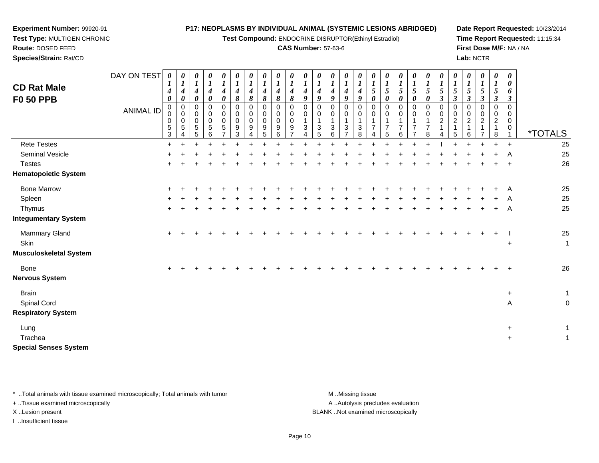**Test Compound:** ENDOCRINE DISRUPTOR(Ethinyl Estradiol)

#### **CAS Number:** 57-63-6

*01*

*01*

*01*

*0*

*01*

*01*

*01*

*01*

*0*

*01*

*01*

*01*

**Date Report Requested:** 10/23/2014**Time Report Requested:** 11:15:34**First Dose M/F:** NA / NA**Lab:** NCTR

> *00*

**Test Type:** MULTIGEN CHRONIC**Route:** DOSED FEED **Species/Strain:** Rat/CDDAY ON TEST**CD Rat MaleF0 50 PPB***0 1 4 00 1 4 00 1 4 00 1 4 00 1 4 00 1 4 80 1 4 80 1 4 80 1 4 80 1 4 80 1 4 90 1 4 901*

**Experiment Number:** 99920-91

ANIMAL ID 0 0 0 5 3 $\ddot{}$  0 0 0 5 4 0 0 0 5 5 0 0 0 5 6 0 0 0 5 7 0 0 0 9 3 0 0 0 9 4 0 0 0 9 5 0 0 0 9 6 0 0 0 9 7 0 0 1 3 4 0 0 1 3 5 *4 9* 0 0 1 3 6 *4 9* 0 0 1 3 7 *4 9* 0 0 1 3 8 *5 0* 0 0 1 7 4 *1 5 0* 0 0 1 7 5 *5 0* 0 0 1 7 6 $\ddot{}$  *5 0* 0 0 1 7 7 *5 0* 0 0 1 7 8 *5 3* 0 0 2 1 4 *1 5 3* 0 0 2 1 5 *5 3* 0 0 2 1 6 $\ddot{}$  *5 3* 0 0 2 1 7 *5 3* 0 0 2 1 8 $\ddot{}$  *6 3* 0 0 0 0 $\mathbf{1}$ <sup>1</sup> \*TOTALS25 Rete Testes <sup>+</sup> <sup>+</sup> <sup>+</sup> <sup>+</sup> <sup>+</sup> <sup>+</sup> <sup>+</sup> <sup>+</sup> <sup>+</sup> <sup>+</sup> <sup>+</sup> <sup>+</sup> <sup>+</sup> <sup>+</sup> <sup>+</sup> <sup>+</sup> <sup>+</sup> <sup>+</sup> <sup>+</sup> <sup>+</sup> <sup>I</sup> <sup>+</sup> <sup>+</sup> <sup>+</sup> <sup>+</sup> <sup>+</sup> <sup>25</sup> Seminal Vesiclee + <sup>+</sup> <sup>+</sup> <sup>+</sup> <sup>+</sup> <sup>+</sup> <sup>+</sup> <sup>+</sup> <sup>+</sup> <sup>+</sup> <sup>+</sup> <sup>+</sup> <sup>+</sup> <sup>+</sup> <sup>+</sup> <sup>+</sup> <sup>+</sup> <sup>+</sup> <sup>+</sup> <sup>+</sup> <sup>+</sup> <sup>+</sup> <sup>+</sup> <sup>+</sup> <sup>+</sup> <sup>A</sup>A 25 **Testes**  <sup>+</sup> <sup>+</sup> <sup>+</sup> <sup>+</sup> <sup>+</sup> <sup>+</sup> <sup>+</sup> <sup>+</sup> <sup>+</sup> <sup>+</sup> <sup>+</sup> <sup>+</sup> <sup>+</sup> <sup>+</sup> <sup>+</sup> <sup>+</sup> <sup>+</sup> <sup>+</sup> <sup>+</sup> <sup>+</sup> <sup>+</sup> <sup>+</sup> <sup>+</sup> <sup>+</sup> <sup>+</sup> <sup>+</sup> <sup>26</sup> **Hematopoietic System**Bone Marrow <sup>+</sup> <sup>+</sup> <sup>+</sup> <sup>+</sup> <sup>+</sup> <sup>+</sup> <sup>+</sup> <sup>+</sup> <sup>+</sup> <sup>+</sup> <sup>+</sup> <sup>+</sup> <sup>+</sup> <sup>+</sup> <sup>+</sup> <sup>+</sup> <sup>+</sup> <sup>+</sup> <sup>+</sup> <sup>+</sup> <sup>+</sup> <sup>+</sup> <sup>+</sup> <sup>+</sup> <sup>+</sup> <sup>A</sup> <sup>25</sup> Spleenn  $+$  <sup>+</sup> <sup>+</sup> <sup>+</sup> <sup>+</sup> <sup>+</sup> <sup>+</sup> <sup>+</sup> <sup>+</sup> <sup>+</sup> <sup>+</sup> <sup>+</sup> <sup>+</sup> <sup>+</sup> <sup>+</sup> <sup>+</sup> <sup>+</sup> <sup>+</sup> <sup>+</sup> <sup>+</sup> <sup>+</sup> <sup>+</sup> <sup>+</sup> <sup>+</sup> <sup>+</sup> <sup>A</sup>A 25 **Thymus**  <sup>+</sup> <sup>+</sup> <sup>+</sup> <sup>+</sup> <sup>+</sup> <sup>+</sup> <sup>+</sup> <sup>+</sup> <sup>+</sup> <sup>+</sup> <sup>+</sup> <sup>+</sup> <sup>+</sup> <sup>+</sup> <sup>+</sup> <sup>+</sup> <sup>+</sup> <sup>+</sup> <sup>+</sup> <sup>+</sup> <sup>+</sup> <sup>+</sup> <sup>+</sup> <sup>+</sup> <sup>+</sup> <sup>A</sup>A 25 **Integumentary System**Mammary Gland $\alpha$  + <sup>+</sup> <sup>+</sup> <sup>+</sup> <sup>+</sup> <sup>+</sup> <sup>+</sup> <sup>+</sup> <sup>+</sup> <sup>+</sup> <sup>+</sup> <sup>+</sup> <sup>+</sup> <sup>+</sup> <sup>+</sup> <sup>+</sup> <sup>+</sup> <sup>+</sup> <sup>+</sup> <sup>+</sup> <sup>+</sup> <sup>+</sup> <sup>+</sup> <sup>+</sup> <sup>+</sup> <sup>I</sup> <sup>25</sup> **Skin**  $\ddot{\phantom{a}}$  +  $+$  1 **Musculoskeletal System**Bone $e$  + <sup>+</sup> <sup>+</sup> <sup>+</sup> <sup>+</sup> <sup>+</sup> <sup>+</sup> <sup>+</sup> <sup>+</sup> <sup>+</sup> <sup>+</sup> <sup>+</sup> <sup>+</sup> <sup>+</sup> <sup>+</sup> <sup>+</sup> <sup>+</sup> <sup>+</sup> <sup>+</sup> <sup>+</sup> <sup>+</sup> <sup>+</sup> <sup>+</sup> <sup>+</sup> <sup>+</sup> <sup>+</sup> <sup>26</sup> **Nervous SystemBrain**  $+$  $+$  1 Spinal Cordd and the contract of the contract of the contract of the contract of the contract of the contract of the contract of the contract of the contract of the contract of the contract of the contract of the contract of the cont A 0 **Respiratory System**Lung <sup>+</sup> $+$  1 **Trachea** а в най-верности на селото на селото на селото на селото на селото на селото на селото на селото на селото на<br>Селото на селото на селото на селото на селото на селото на селото на селото на селото на селото на селото на  $+$  1 **Special Senses System**

\* ..Total animals with tissue examined microscopically; Total animals with tumor M ...Missing tissue M ...Missing tissue A ..Autolysis precludes evaluation + ..Tissue examined microscopically X ..Lesion present BLANK ..Not examined microscopicallyI ..Insufficient tissue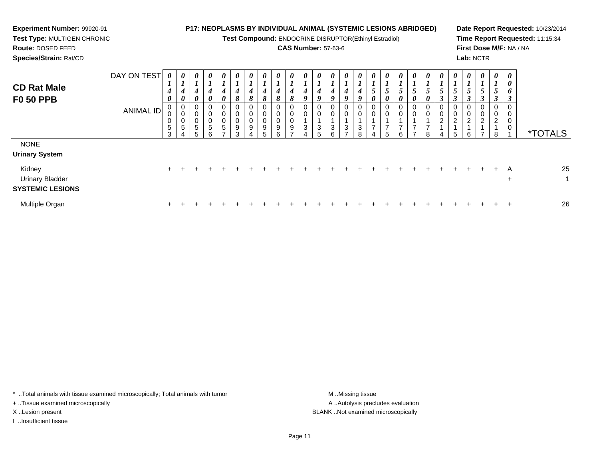| <b>Experiment Number: 99920-91</b><br>Test Type: MULTIGEN CHRONIC<br>Route: DOSED FEED<br>Species/Strain: Rat/CD |                                 |             |                                                |                                                                  |                                                     |                       |                                                |                                       |                            |   |   | <b>P17: NEOPLASMS BY INDIVIDUAL ANIMAL (SYSTEMIC LESIONS ABRIDGED)</b><br>Test Compound: ENDOCRINE DISRUPTOR(Ethinyl Estradiol)<br><b>CAS Number: 57-63-6</b> |              |                            |                  |   |  |                                   |               |               |   |        | Lab: NCTR                            |                                                  | First Dose M/F: NA / NA | Date Report Requested: 10/23/2014<br>Time Report Requested: 11:15:34 |
|------------------------------------------------------------------------------------------------------------------|---------------------------------|-------------|------------------------------------------------|------------------------------------------------------------------|-----------------------------------------------------|-----------------------|------------------------------------------------|---------------------------------------|----------------------------|---|---|---------------------------------------------------------------------------------------------------------------------------------------------------------------|--------------|----------------------------|------------------|---|--|-----------------------------------|---------------|---------------|---|--------|--------------------------------------|--------------------------------------------------|-------------------------|----------------------------------------------------------------------|
| <b>CD Rat Male</b><br><b>F0 50 PPB</b>                                                                           | DAY ON TEST<br><b>ANIMAL ID</b> | 0<br>0<br>5 | $\boldsymbol{\theta}$<br>$\boldsymbol{\theta}$ | $\boldsymbol{\theta}$<br>$\boldsymbol{\theta}$<br>$\pmb{0}$<br>5 | $\boldsymbol{\theta}$<br>$\boldsymbol{\theta}$<br>0 | $\boldsymbol{\theta}$ | $\boldsymbol{\theta}$<br>8<br>0<br>0<br>9<br>З | $\boldsymbol{\theta}$<br>Ō.<br>0<br>0 | $\boldsymbol{\theta}$<br>8 | 8 | 8 |                                                                                                                                                               | U.<br>9<br>0 | 0<br>9<br>0<br>0<br>3<br>6 | 9<br>0<br>0<br>3 | 8 |  | $\boldsymbol{\theta}$<br>$\theta$ | 0<br>$\theta$ | $\theta$<br>8 | 0 | 0<br>ี | $\boldsymbol{\theta}$<br>0<br>0<br>2 | $\theta$<br>$\mathcal{L}$<br>3<br>$\overline{2}$ | 0<br>0<br>o             | <i><b>*TOTALS</b></i>                                                |
| <b>NONE</b><br><b>Urinary System</b><br>Kidney<br><b>Urinary Bladder</b>                                         |                                 |             |                                                |                                                                  |                                                     |                       |                                                |                                       |                            |   |   |                                                                                                                                                               |              |                            |                  |   |  |                                   |               |               |   |        |                                      |                                                  | A<br>$\ddot{}$          | 25                                                                   |

**SYSTEMIC LESIONS**Multiple Organn  $+$ <sup>+</sup> <sup>+</sup> <sup>+</sup> <sup>+</sup> <sup>+</sup> <sup>+</sup> <sup>+</sup> <sup>+</sup> <sup>+</sup> <sup>+</sup> <sup>+</sup> <sup>+</sup> <sup>+</sup> <sup>+</sup> <sup>+</sup> <sup>+</sup> <sup>+</sup> <sup>+</sup> <sup>+</sup> <sup>+</sup> <sup>+</sup> <sup>+</sup> <sup>+</sup> <sup>+</sup> <sup>+</sup> <sup>26</sup>

\* ..Total animals with tissue examined microscopically; Total animals with tumor M..Missing tissue M ..Missing tissue

+ ..Tissue examined microscopically

I ..Insufficient tissue

A ..Autolysis precludes evaluation X ..Lesion present BLANK ..Not examined microscopically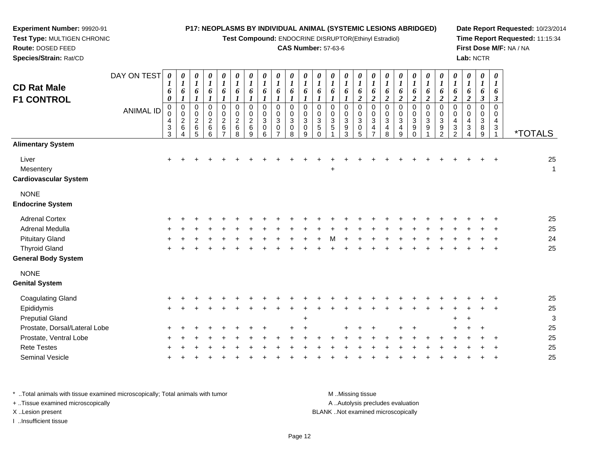**Test Compound:** ENDOCRINE DISRUPTOR(Ethinyl Estradiol)

### **CAS Number:** 57-63-6

**Date Report Requested:** 10/23/2014**Time Report Requested:** 11:15:34**First Dose M/F:** NA / NA**Lab:** NCTR

| Species/Strain: Rat/CD                             |                  |                                 |                                        |                                                 |                                                      |                                      |                                                      |                                              |                            |                                                     |                                                         |                                                   |                                                                        |                                                             |                                                    |                                          |                                                  |                                                                 |                         |                                               |                                              |                                             |                          |                          | Lab: NCTR                                       |                                                    |                       |
|----------------------------------------------------|------------------|---------------------------------|----------------------------------------|-------------------------------------------------|------------------------------------------------------|--------------------------------------|------------------------------------------------------|----------------------------------------------|----------------------------|-----------------------------------------------------|---------------------------------------------------------|---------------------------------------------------|------------------------------------------------------------------------|-------------------------------------------------------------|----------------------------------------------------|------------------------------------------|--------------------------------------------------|-----------------------------------------------------------------|-------------------------|-----------------------------------------------|----------------------------------------------|---------------------------------------------|--------------------------|--------------------------|-------------------------------------------------|----------------------------------------------------|-----------------------|
| <b>CD Rat Male</b><br><b>F1 CONTROL</b>            | DAY ON TEST      | 0<br>6<br>0                     | 0<br>$\boldsymbol{l}$<br>6<br>$\bf{l}$ | 0<br>$\boldsymbol{l}$<br>6                      | 0<br>$\boldsymbol{l}$<br>6                           | 6                                    | 0<br>6                                               | $\boldsymbol{\theta}$<br>6                   | 0<br>$\boldsymbol{l}$<br>6 | 0<br>6                                              | $\boldsymbol{\theta}$<br>6                              | 6<br>$\mathbf{I}$                                 | 0<br>6                                                                 | 0<br>6                                                      | $\boldsymbol{\theta}$<br>$\boldsymbol{l}$<br>6     | 0<br>$\mathbf{I}$<br>6<br>$\overline{2}$ | 0<br>6<br>$\overline{2}$                         | $\boldsymbol{l}$<br>6<br>$\overline{2}$                         | 0<br>6                  | 0<br>6                                        | 0                                            | 0<br>6<br>$\boldsymbol{2}$                  | $\overline{2}$           | 0<br>6<br>$\overline{2}$ | $\boldsymbol{\theta}$<br>1<br>6<br>$\mathbf{3}$ | 0<br>$\boldsymbol{l}$<br>6<br>$\boldsymbol{\beta}$ |                       |
|                                                    | <b>ANIMAL ID</b> | 0<br>0<br>4<br>$\mathbf 3$<br>3 | 0<br>$\boldsymbol{0}$<br>$\frac{2}{6}$ | 0<br>$\mathbf 0$<br>$\frac{2}{6}$<br>$\sqrt{5}$ | $\mathbf 0$<br>$\pmb{0}$<br>$\overline{c}$<br>6<br>6 | $\mathbf 0$<br>$\boldsymbol{2}$<br>6 | 0<br>$\mathsf{O}\xspace$<br>$\overline{2}$<br>6<br>8 | 0<br>$\mathbf 0$<br>$\overline{a}$<br>6<br>9 | 0<br>0<br>3<br>0<br>6      | 0<br>$\mathbf 0$<br>3<br>$\pmb{0}$<br>$\rightarrow$ | 0<br>$\mathbf 0$<br>$\ensuremath{\mathsf{3}}$<br>0<br>8 | $\mathbf 0$<br>$\pmb{0}$<br>3<br>$\mathbf 0$<br>9 | 0<br>$\pmb{0}$<br>$\ensuremath{\mathsf{3}}$<br>$\,$ 5 $\,$<br>$\Omega$ | 0<br>$\mathbf 0$<br>$\ensuremath{\mathsf{3}}$<br>$\sqrt{5}$ | $\mathbf 0$<br>$\mathbf 0$<br>$\sqrt{3}$<br>9<br>3 | 0<br>$\boldsymbol{0}$<br>3<br>0<br>5     | 0<br>$\pmb{0}$<br>$\ensuremath{\mathsf{3}}$<br>4 | $\mathbf 0$<br>$\pmb{0}$<br>$\ensuremath{\mathsf{3}}$<br>4<br>8 | $\Omega$<br>3<br>4<br>9 | $\mathbf 0$<br>$\ensuremath{\mathsf{3}}$<br>9 | $\Omega$<br>$\mathbf 0$<br>$\mathbf{3}$<br>9 | 0<br>$\mathbf 0$<br>3<br>9<br>$\mathcal{D}$ | 4<br>3<br>$\mathfrak{p}$ | 0<br>$\pmb{0}$<br>4<br>3 | 0<br>0<br>3<br>8<br>9                           | 0<br>0<br>4<br>$\sqrt{3}$                          | <i><b>*TOTALS</b></i> |
| <b>Alimentary System</b>                           |                  |                                 |                                        |                                                 |                                                      |                                      |                                                      |                                              |                            |                                                     |                                                         |                                                   |                                                                        |                                                             |                                                    |                                          |                                                  |                                                                 |                         |                                               |                                              |                                             |                          |                          |                                                 |                                                    |                       |
| Liver<br>Mesentery<br><b>Cardiovascular System</b> |                  | $\ddot{}$                       |                                        |                                                 |                                                      |                                      |                                                      |                                              |                            |                                                     |                                                         |                                                   |                                                                        | $\ddot{}$                                                   |                                                    |                                          |                                                  |                                                                 |                         |                                               |                                              |                                             |                          |                          |                                                 |                                                    | 25<br>1               |
| <b>NONE</b><br><b>Endocrine System</b>             |                  |                                 |                                        |                                                 |                                                      |                                      |                                                      |                                              |                            |                                                     |                                                         |                                                   |                                                                        |                                                             |                                                    |                                          |                                                  |                                                                 |                         |                                               |                                              |                                             |                          |                          |                                                 |                                                    |                       |
| <b>Adrenal Cortex</b>                              |                  |                                 |                                        |                                                 |                                                      |                                      |                                                      |                                              |                            |                                                     |                                                         |                                                   |                                                                        |                                                             |                                                    |                                          |                                                  |                                                                 |                         |                                               |                                              |                                             |                          |                          |                                                 |                                                    | 25                    |
| Adrenal Medulla                                    |                  |                                 |                                        |                                                 |                                                      |                                      |                                                      |                                              |                            |                                                     |                                                         |                                                   |                                                                        |                                                             |                                                    |                                          |                                                  |                                                                 |                         |                                               |                                              |                                             |                          |                          |                                                 |                                                    | 25                    |
| <b>Pituitary Gland</b>                             |                  |                                 |                                        |                                                 |                                                      |                                      |                                                      |                                              |                            |                                                     |                                                         |                                                   |                                                                        |                                                             |                                                    |                                          |                                                  |                                                                 |                         |                                               |                                              |                                             |                          |                          |                                                 | $\overline{1}$                                     | 24                    |
| <b>Thyroid Gland</b>                               |                  | $\pm$                           |                                        |                                                 |                                                      |                                      |                                                      |                                              |                            |                                                     |                                                         |                                                   |                                                                        |                                                             |                                                    |                                          |                                                  |                                                                 |                         |                                               |                                              |                                             |                          |                          |                                                 | $\pm$                                              | 25                    |
| <b>General Body System</b>                         |                  |                                 |                                        |                                                 |                                                      |                                      |                                                      |                                              |                            |                                                     |                                                         |                                                   |                                                                        |                                                             |                                                    |                                          |                                                  |                                                                 |                         |                                               |                                              |                                             |                          |                          |                                                 |                                                    |                       |

NONE

**Genital System**

**Experiment Number:** 99920-91**Test Type:** MULTIGEN CHRONIC

**Route:** DOSED FEED

| ienital Svstem                |         |             |     |         |         |  |  |         |  |     |         |  |     |  |             |         |    |
|-------------------------------|---------|-------------|-----|---------|---------|--|--|---------|--|-----|---------|--|-----|--|-------------|---------|----|
| <b>Coagulating Gland</b>      |         | $+$ $+$ $+$ |     |         |         |  |  |         |  |     |         |  |     |  |             | $+$ $+$ | 25 |
| Epididymis                    | $+$ $+$ |             |     |         |         |  |  |         |  |     |         |  |     |  |             | $+$ $+$ | 25 |
| <b>Preputial Gland</b>        |         |             |     |         |         |  |  | ÷       |  |     |         |  |     |  | $+$ $+$     |         | 3  |
| Prostate, Dorsal/Lateral Lobe |         | $+$ $+$ $+$ | $+$ | $+$ $-$ | $+$ $-$ |  |  | $+$ $+$ |  | $+$ | $+$ $+$ |  |     |  | $+$ $+$ $+$ |         | 25 |
| Prostate, Ventral Lobe        | $+$ $+$ |             |     |         |         |  |  |         |  |     |         |  | $+$ |  |             | $+$ $+$ | 25 |
| <b>Rete Testes</b>            | $+$ $+$ |             |     |         |         |  |  |         |  |     |         |  |     |  |             | $+$ $+$ | 25 |
| <b>Seminal Vesicle</b>        |         |             |     |         |         |  |  |         |  |     |         |  |     |  |             |         | 25 |
|                               |         |             |     |         |         |  |  |         |  |     |         |  |     |  |             |         |    |

\* ..Total animals with tissue examined microscopically; Total animals with tumor A ..Autolysis precludes evaluation + ..Tissue examined microscopically X ..Lesion present BLANK ..Not examined microscopicallyI ..Insufficient tissue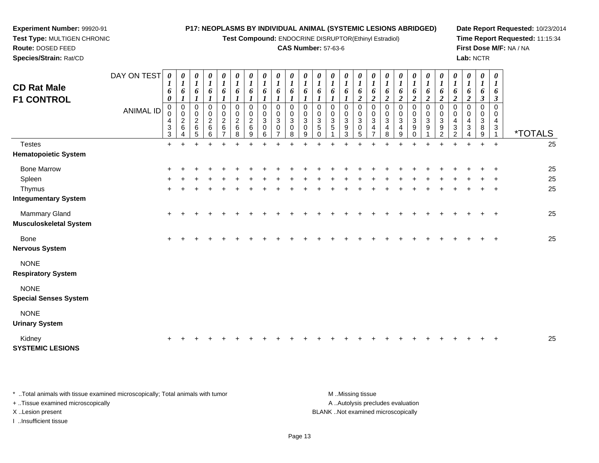**Test Compound:** ENDOCRINE DISRUPTOR(Ethinyl Estradiol)

### **CAS Number:** 57-63-6

**Date Report Requested:** 10/23/2014**Time Report Requested:** 11:15:34**First Dose M/F:** NA / NA**Lab:** NCTR

| <b>CD Rat Male</b><br><b>F1 CONTROL</b>        | DAY ON TEST<br><b>ANIMAL ID</b> | 0<br>$\boldsymbol{l}$<br>6<br>$\boldsymbol{\theta}$<br>$\mathbf 0$<br>0<br>4<br>$\ensuremath{\mathsf{3}}$<br>3 | $\boldsymbol{l}$<br>6<br>1<br>0<br>0<br>$\overline{c}$<br>6 | 0<br>$\boldsymbol{l}$<br>6<br>$\pmb{0}$<br>0<br>$\frac{2}{6}$<br>5 | 0<br>$\boldsymbol{l}$<br>6<br>$\pmb{0}$<br>$\boldsymbol{0}$<br>$\frac{2}{6}$<br>6 | 0<br>$\boldsymbol{l}$<br>6<br>$\boldsymbol{l}$<br>0<br>$\pmb{0}$<br>$\frac{2}{6}$<br>$\overline{7}$ | 0<br>$\boldsymbol{l}$<br>6<br>$\boldsymbol{l}$<br>$\mathbf 0$<br>$\pmb{0}$<br>$\boldsymbol{2}$<br>$\,6\,$<br>8 | 0<br>$\boldsymbol{l}$<br>6<br>$\mathbf 0$<br>$\pmb{0}$<br>$\boldsymbol{2}$<br>$\,6\,$<br>9 | 0<br>$\boldsymbol{l}$<br>6<br>$\mathbf 0$<br>0<br>3<br>$\mathbf 0$<br>6 | $\boldsymbol{\theta}$<br>$\boldsymbol{l}$<br>6<br>$\mathbf 0$<br>0<br>$\sqrt{3}$<br>$\mathbf 0$ | $\boldsymbol{\theta}$<br>$\boldsymbol{l}$<br>6<br>$\Omega$<br>0<br>3<br>0<br>8 | 0<br>$\boldsymbol{l}$<br>6<br>$\mathbf 0$<br>0<br>$\mathbf{3}$<br>$\mathbf 0$<br>9 | 0<br>$\boldsymbol{l}$<br>6<br>$\Omega$<br>0<br>3<br>5<br>$\Omega$ | 0<br>$\boldsymbol{l}$<br>6<br>0<br>$\boldsymbol{0}$<br>$\ensuremath{\mathsf{3}}$<br>5 | 0<br>$\boldsymbol{l}$<br>6<br>$\mathbf 0$<br>$\pmb{0}$<br>$\sqrt{3}$<br>$\boldsymbol{9}$<br>3 | 0<br>$\boldsymbol{l}$<br>6<br>$\boldsymbol{2}$<br>$\mathbf 0$<br>$\pmb{0}$<br>$\ensuremath{\mathsf{3}}$<br>$\pmb{0}$<br>5 | $\boldsymbol{\theta}$<br>$\boldsymbol{l}$<br>6<br>$\boldsymbol{2}$<br>$\pmb{0}$<br>0<br>$\mathbf{3}$<br>4<br>$\overline{7}$ | $\boldsymbol{\theta}$<br>$\boldsymbol{l}$<br>6<br>$\boldsymbol{2}$<br>0<br>0<br>$\ensuremath{\mathsf{3}}$<br>$\overline{\mathbf{4}}$<br>8 | $\boldsymbol{\theta}$<br>$\boldsymbol{l}$<br>6<br>$\boldsymbol{2}$<br>$\pmb{0}$<br>0<br>$\mathbf{3}$<br>4<br>9 | 0<br>$\boldsymbol{l}$<br>6<br>$\boldsymbol{2}$<br>$\mathbf 0$<br>0<br>$\ensuremath{\mathsf{3}}$<br>$\boldsymbol{9}$ | 0<br>$\boldsymbol{l}$<br>6<br>$\overline{c}$<br>0<br>$\mathsf{O}\xspace$<br>$\sqrt{3}$<br>$\boldsymbol{9}$ | 0<br>$\boldsymbol{l}$<br>6<br>2<br>0<br>0<br>$\ensuremath{\mathsf{3}}$<br>$\boldsymbol{9}$<br>$\mathcal{P}$ | $\boldsymbol{\theta}$<br>$\boldsymbol{l}$<br>6<br>2<br>$\Omega$<br>0<br>$\overline{4}$<br>$\sqrt{3}$<br>$\mathcal{P}$ | 0<br>$\boldsymbol{l}$<br>6<br>2<br>$\Omega$<br>0<br>4<br>3 | $\pmb{\theta}$<br>$\boldsymbol{l}$<br>6<br>$\boldsymbol{\beta}$<br>$\Omega$<br>0<br>$\sqrt{3}$<br>$\,8\,$<br>9 | $\boldsymbol{\theta}$<br>1<br>6<br>3<br>$\Omega$<br>0<br>$\overline{4}$<br>3 | <i><b>*TOTALS</b></i> |
|------------------------------------------------|---------------------------------|----------------------------------------------------------------------------------------------------------------|-------------------------------------------------------------|--------------------------------------------------------------------|-----------------------------------------------------------------------------------|-----------------------------------------------------------------------------------------------------|----------------------------------------------------------------------------------------------------------------|--------------------------------------------------------------------------------------------|-------------------------------------------------------------------------|-------------------------------------------------------------------------------------------------|--------------------------------------------------------------------------------|------------------------------------------------------------------------------------|-------------------------------------------------------------------|---------------------------------------------------------------------------------------|-----------------------------------------------------------------------------------------------|---------------------------------------------------------------------------------------------------------------------------|-----------------------------------------------------------------------------------------------------------------------------|-------------------------------------------------------------------------------------------------------------------------------------------|----------------------------------------------------------------------------------------------------------------|---------------------------------------------------------------------------------------------------------------------|------------------------------------------------------------------------------------------------------------|-------------------------------------------------------------------------------------------------------------|-----------------------------------------------------------------------------------------------------------------------|------------------------------------------------------------|----------------------------------------------------------------------------------------------------------------|------------------------------------------------------------------------------|-----------------------|
| <b>Testes</b>                                  |                                 | $\ddot{}$                                                                                                      |                                                             |                                                                    | $\ddot{}$                                                                         |                                                                                                     |                                                                                                                | $\overline{1}$                                                                             | ÷                                                                       |                                                                                                 |                                                                                |                                                                                    | ÷                                                                 |                                                                                       |                                                                                               | ÷                                                                                                                         | ÷                                                                                                                           | ٠                                                                                                                                         |                                                                                                                | $\overline{ }$                                                                                                      | $\ddot{}$                                                                                                  | $\ddot{}$                                                                                                   | $\ddot{}$                                                                                                             | $\ddot{}$                                                  | $+$                                                                                                            | $\ddot{}$                                                                    | 25                    |
| <b>Hematopoietic System</b>                    |                                 |                                                                                                                |                                                             |                                                                    |                                                                                   |                                                                                                     |                                                                                                                |                                                                                            |                                                                         |                                                                                                 |                                                                                |                                                                                    |                                                                   |                                                                                       |                                                                                               |                                                                                                                           |                                                                                                                             |                                                                                                                                           |                                                                                                                |                                                                                                                     |                                                                                                            |                                                                                                             |                                                                                                                       |                                                            |                                                                                                                |                                                                              |                       |
| <b>Bone Marrow</b>                             |                                 | ÷                                                                                                              |                                                             |                                                                    |                                                                                   |                                                                                                     |                                                                                                                |                                                                                            |                                                                         |                                                                                                 |                                                                                |                                                                                    |                                                                   |                                                                                       |                                                                                               |                                                                                                                           |                                                                                                                             |                                                                                                                                           |                                                                                                                |                                                                                                                     |                                                                                                            |                                                                                                             |                                                                                                                       |                                                            |                                                                                                                |                                                                              | 25                    |
| Spleen                                         |                                 |                                                                                                                |                                                             |                                                                    |                                                                                   |                                                                                                     |                                                                                                                |                                                                                            |                                                                         |                                                                                                 |                                                                                |                                                                                    |                                                                   |                                                                                       |                                                                                               |                                                                                                                           |                                                                                                                             |                                                                                                                                           |                                                                                                                |                                                                                                                     |                                                                                                            |                                                                                                             |                                                                                                                       |                                                            |                                                                                                                |                                                                              | 25                    |
| Thymus                                         |                                 | +                                                                                                              |                                                             |                                                                    |                                                                                   |                                                                                                     |                                                                                                                |                                                                                            |                                                                         |                                                                                                 |                                                                                |                                                                                    |                                                                   |                                                                                       |                                                                                               |                                                                                                                           |                                                                                                                             |                                                                                                                                           |                                                                                                                |                                                                                                                     |                                                                                                            |                                                                                                             |                                                                                                                       |                                                            |                                                                                                                | $\ddot{}$                                                                    | 25                    |
| <b>Integumentary System</b>                    |                                 |                                                                                                                |                                                             |                                                                    |                                                                                   |                                                                                                     |                                                                                                                |                                                                                            |                                                                         |                                                                                                 |                                                                                |                                                                                    |                                                                   |                                                                                       |                                                                                               |                                                                                                                           |                                                                                                                             |                                                                                                                                           |                                                                                                                |                                                                                                                     |                                                                                                            |                                                                                                             |                                                                                                                       |                                                            |                                                                                                                |                                                                              |                       |
| Mammary Gland<br><b>Musculoskeletal System</b> |                                 | $\ddot{}$                                                                                                      |                                                             |                                                                    |                                                                                   |                                                                                                     |                                                                                                                |                                                                                            |                                                                         |                                                                                                 |                                                                                |                                                                                    |                                                                   |                                                                                       |                                                                                               |                                                                                                                           |                                                                                                                             |                                                                                                                                           |                                                                                                                |                                                                                                                     |                                                                                                            |                                                                                                             |                                                                                                                       |                                                            |                                                                                                                | $\ddot{}$                                                                    | 25                    |
| Bone<br><b>Nervous System</b>                  |                                 | $\pm$                                                                                                          |                                                             |                                                                    |                                                                                   |                                                                                                     |                                                                                                                |                                                                                            |                                                                         |                                                                                                 |                                                                                |                                                                                    |                                                                   |                                                                                       |                                                                                               |                                                                                                                           |                                                                                                                             |                                                                                                                                           |                                                                                                                |                                                                                                                     |                                                                                                            |                                                                                                             |                                                                                                                       |                                                            |                                                                                                                | $\ddot{}$                                                                    | 25                    |
| <b>NONE</b><br><b>Respiratory System</b>       |                                 |                                                                                                                |                                                             |                                                                    |                                                                                   |                                                                                                     |                                                                                                                |                                                                                            |                                                                         |                                                                                                 |                                                                                |                                                                                    |                                                                   |                                                                                       |                                                                                               |                                                                                                                           |                                                                                                                             |                                                                                                                                           |                                                                                                                |                                                                                                                     |                                                                                                            |                                                                                                             |                                                                                                                       |                                                            |                                                                                                                |                                                                              |                       |
| <b>NONE</b><br><b>Special Senses System</b>    |                                 |                                                                                                                |                                                             |                                                                    |                                                                                   |                                                                                                     |                                                                                                                |                                                                                            |                                                                         |                                                                                                 |                                                                                |                                                                                    |                                                                   |                                                                                       |                                                                                               |                                                                                                                           |                                                                                                                             |                                                                                                                                           |                                                                                                                |                                                                                                                     |                                                                                                            |                                                                                                             |                                                                                                                       |                                                            |                                                                                                                |                                                                              |                       |
| <b>NONE</b><br><b>Urinary System</b>           |                                 |                                                                                                                |                                                             |                                                                    |                                                                                   |                                                                                                     |                                                                                                                |                                                                                            |                                                                         |                                                                                                 |                                                                                |                                                                                    |                                                                   |                                                                                       |                                                                                               |                                                                                                                           |                                                                                                                             |                                                                                                                                           |                                                                                                                |                                                                                                                     |                                                                                                            |                                                                                                             |                                                                                                                       |                                                            |                                                                                                                |                                                                              |                       |

Kidney <sup>+</sup> <sup>+</sup> <sup>+</sup> <sup>+</sup> <sup>+</sup> <sup>+</sup> <sup>+</sup> <sup>+</sup> <sup>+</sup> <sup>+</sup> <sup>+</sup> <sup>+</sup> <sup>+</sup> <sup>+</sup> <sup>+</sup> <sup>+</sup> <sup>+</sup> <sup>+</sup> <sup>+</sup> <sup>+</sup> <sup>+</sup> <sup>+</sup> <sup>+</sup> <sup>+</sup> <sup>+</sup> <sup>25</sup> **SYSTEMIC LESIONS**

\* ..Total animals with tissue examined microscopically; Total animals with tumor **M** ...Missing tissue M ...Missing tissue A ..Autolysis precludes evaluation + ..Tissue examined microscopically X ..Lesion present BLANK ..Not examined microscopicallyI ..Insufficient tissue

**Experiment Number:** 99920-91**Test Type:** MULTIGEN CHRONIC

**Route:** DOSED FEED**Species/Strain:** Rat/CD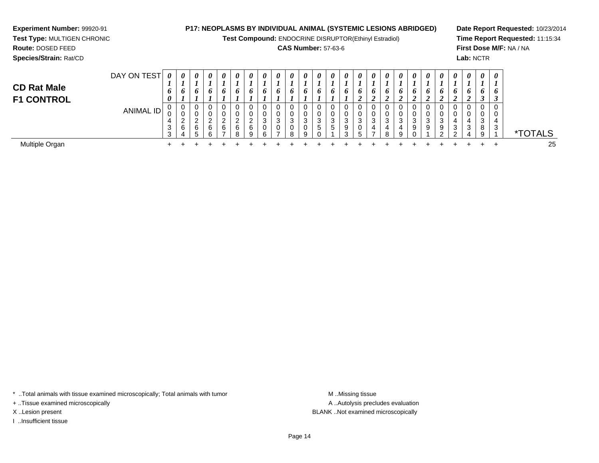**Test Compound:** ENDOCRINE DISRUPTOR(Ethinyl Estradiol)

## **CAS Number:** 57-63-6

**Date Report Requested:** 10/23/2014**Time Report Requested:** 11:15:34**First Dose M/F:** NA / NA**Lab:** NCTR

**Experiment Number:** 99920-91**Test Type:** MULTIGEN CHRONIC

| <b>CD Rat Male</b><br><b>F1 CONTROL</b> | DAY ON TEST          | $\boldsymbol{\theta}$<br>o<br>$\theta$ | 0<br>6                                         | $\boldsymbol{\theta}$<br>o       | $\boldsymbol{\theta}$<br>6 | 0<br>6                | $\boldsymbol{\theta}$<br>o | 0                          | $\boldsymbol{\theta}$<br>6 | 0<br>$\bm{o}$                  | 0<br>6                | $\theta$<br>$\bm{o}$ | 0<br>$\bm{b}$ | 0<br>$\bm{o}$    | $\boldsymbol{\theta}$<br>o | 0<br>6 | 0<br>$\bm{o}$<br>ി<br>◢ | $\boldsymbol{\theta}$<br>6<br>$\overline{ }$ | 0      | 0<br>$\bm{o}$    | 0<br>0<br>◢           | 0      | $\theta$<br>$\bm{o}$ | 0<br>$\bm{o}$                                     | 0<br>L<br>6           | $\boldsymbol{\theta}$<br>O |        |
|-----------------------------------------|----------------------|----------------------------------------|------------------------------------------------|----------------------------------|----------------------------|-----------------------|----------------------------|----------------------------|----------------------------|--------------------------------|-----------------------|----------------------|---------------|------------------|----------------------------|--------|-------------------------|----------------------------------------------|--------|------------------|-----------------------|--------|----------------------|---------------------------------------------------|-----------------------|----------------------------|--------|
|                                         | ID,<br><b>ANIMAL</b> | ັ<br>4<br>◡<br>$\sim$                  | 0<br>U<br>ົ<br><u>_</u><br>6<br>$\overline{ }$ | 0<br>0<br>ົ<br>6<br><sup>5</sup> | $\sim$<br>6<br>ົ           | 0<br>0<br>ົ<br>∼<br>6 | 0<br>U<br>ົ<br>6<br>R      | ◡<br>U<br>$\sim$<br>6<br>Q | 0<br>0<br>3<br>0<br>6      | <b>U</b><br>v<br>3<br><b>U</b> | 0<br>0<br>3<br>0<br>8 | ົ<br>۰J<br>a         | 3<br>ಾ        | 0<br>0<br>3<br>ა | v<br>3<br>9<br>ົ           | 3      | 0<br>0<br>3<br>4        | 0<br>0<br>3<br>4<br>8                        | 3<br>a | U<br>U<br>3<br>9 | 0<br>0<br>◠<br>ັ<br>9 | 3<br>9 | 4<br>3               | v<br>v<br>4<br>ີ<br>ູບ<br>$\mathbf{\mathbf{\mu}}$ | v<br>v<br>3<br>8<br>9 | 3                          | ГОТALS |
| Multiple Organ                          |                      |                                        |                                                |                                  |                            |                       |                            |                            |                            |                                |                       |                      |               |                  |                            |        |                         |                                              |        |                  |                       |        |                      |                                                   |                       |                            | 25     |

\* ..Total animals with tissue examined microscopically; Total animals with tumor **M** . Missing tissue M ..Missing tissue

+ ..Tissue examined microscopically

I ..Insufficient tissue

A ..Autolysis precludes evaluation X ..Lesion present BLANK ..Not examined microscopically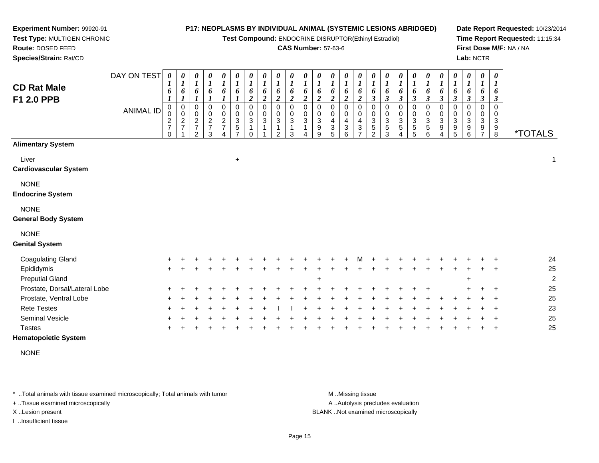**Test Compound:** ENDOCRINE DISRUPTOR(Ethinyl Estradiol)

### **CAS Number:** 57-63-6

 $\top$ ┯ ┱  $\mathbf{I}$ ┬ ┬  $\top$ 

**Date Report Requested:** 10/23/2014**Time Report Requested:** 11:15:34**First Dose M/F:** NA / NA**Lab:** NCTR

 **Test Type:** MULTIGEN CHRONIC**Route:** DOSED FEED **Species/Strain:** Rat/CD $D$  $\overline{\phantom{a}}$  $\top$ ┬ ┯ ┯ T 

| <b>CD Rat Male</b><br>F1 2.0 PPB          | DAY ON TEST<br><b>ANIMAL ID</b> | 0<br>1<br>6<br>$\boldsymbol{l}$<br>$\overline{0}$<br>0<br>$\frac{2}{7}$<br>$\Omega$ | 0<br>1<br>6<br>1<br>$\pmb{0}$<br>0<br>$\overline{c}$<br>$\overline{7}$ | 0<br>1<br>6<br>1<br>$\mathbf 0$<br>0<br>$\overline{c}$<br>$\overline{7}$<br>$\mathcal{P}$ | 0<br>$\boldsymbol{l}$<br>6<br>0<br>0<br>$\overline{c}$<br>$\overline{7}$<br>3 | 0<br>$\boldsymbol{l}$<br>6<br>1<br>0<br>$\pmb{0}$<br>$\overline{c}$<br>$\overline{7}$ | 0<br>$\boldsymbol{l}$<br>6<br>$\boldsymbol{l}$<br>$\mathbf 0$<br>$\mathbf 0$<br>$\mathsf 3$<br>$\mathbf 5$<br>$\overline{7}$ | 0<br>$\boldsymbol{l}$<br>6<br>$\overline{c}$<br>$\pmb{0}$<br>$\pmb{0}$<br>$\sqrt{3}$<br>$\Omega$ | 0<br>$\boldsymbol{l}$<br>6<br>$\boldsymbol{2}$<br>$\mathbf 0$<br>0<br>3 | 0<br>$\boldsymbol{l}$<br>6<br>$\boldsymbol{2}$<br>$\Omega$<br>0<br>$\mathfrak{S}$<br>$\mathcal{P}$ | 0<br>$\boldsymbol{l}$<br>6<br>$\boldsymbol{2}$<br>$\mathbf 0$<br>0<br>$\mathbf{3}$<br>1<br>3 | 0<br>$\boldsymbol{l}$<br>6<br>$\boldsymbol{2}$<br>$\pmb{0}$<br>$\pmb{0}$<br>$\overline{3}$<br>$\mathbf{1}$ | 0<br>$\boldsymbol{l}$<br>6<br>$\overline{\mathbf{c}}$<br>$\Omega$<br>0<br>$\sqrt{3}$<br>$\boldsymbol{9}$<br>9 | 0<br>$\boldsymbol{l}$<br>6<br>$\overline{c}$<br>$\mathbf 0$<br>0<br>4<br>$\ensuremath{\mathsf{3}}$<br>5 | 0<br>$\boldsymbol{l}$<br>6<br>$\boldsymbol{2}$<br>$\mathbf 0$<br>0<br>4<br>3<br>6 | 0<br>$\boldsymbol{l}$<br>6<br>$\boldsymbol{2}$<br>$\mathbf 0$<br>0<br>4<br>3<br>$\overline{ }$ | 0<br>$\boldsymbol{l}$<br>6<br>$\boldsymbol{\beta}$<br>0<br>0<br>$\ensuremath{\mathsf{3}}$<br>$\,$ 5 $\,$<br>$\overline{2}$ | $\boldsymbol{l}$<br>6<br>$\boldsymbol{\beta}$<br>$\mathbf 0$<br>0<br>3<br>5<br>3 | 0<br>$\boldsymbol{l}$<br>6<br>3<br>$\mathbf 0$<br>$\pmb{0}$<br>$\ensuremath{\mathsf{3}}$<br>$\,$ 5 $\,$<br>Δ | 0<br>$\boldsymbol{l}$<br>6<br>$\boldsymbol{\beta}$<br>0<br>0<br>$\mathbf{3}$<br>5<br>5 | 0<br>$\boldsymbol{l}$<br>6<br>$\boldsymbol{\beta}$<br>0<br>0<br>$\ensuremath{\mathsf{3}}$<br>$\mathbf 5$<br>6 | 0<br>$\boldsymbol{l}$<br>$\pmb{6}$<br>$\mathfrak{z}$<br>$\pmb{0}$<br>$\pmb{0}$<br>$\ensuremath{\mathsf{3}}$<br>$\boldsymbol{9}$<br>4 | 0<br>$\boldsymbol{l}$<br>6<br>$\boldsymbol{\beta}$<br>$\pmb{0}$<br>0<br>$\ensuremath{\mathsf{3}}$<br>$\mathsf g$<br>5 | 0<br>$\boldsymbol{l}$<br>6<br>$\boldsymbol{\beta}$<br>$\mathbf 0$<br>0<br>$\ensuremath{\mathsf{3}}$<br>9<br>6 | 0<br>$\boldsymbol{l}$<br>6<br>$\boldsymbol{\beta}$<br>$\Omega$<br>0<br>3<br>9<br>$\overline{7}$ | 0<br>$\boldsymbol{l}$<br>6<br>$\boldsymbol{\beta}$<br>$\mathbf 0$<br>0<br>$\ensuremath{\mathsf{3}}$<br>9<br>8 | <i><b>*TOTALS</b></i> |
|-------------------------------------------|---------------------------------|-------------------------------------------------------------------------------------|------------------------------------------------------------------------|-------------------------------------------------------------------------------------------|-------------------------------------------------------------------------------|---------------------------------------------------------------------------------------|------------------------------------------------------------------------------------------------------------------------------|--------------------------------------------------------------------------------------------------|-------------------------------------------------------------------------|----------------------------------------------------------------------------------------------------|----------------------------------------------------------------------------------------------|------------------------------------------------------------------------------------------------------------|---------------------------------------------------------------------------------------------------------------|---------------------------------------------------------------------------------------------------------|-----------------------------------------------------------------------------------|------------------------------------------------------------------------------------------------|----------------------------------------------------------------------------------------------------------------------------|----------------------------------------------------------------------------------|--------------------------------------------------------------------------------------------------------------|----------------------------------------------------------------------------------------|---------------------------------------------------------------------------------------------------------------|--------------------------------------------------------------------------------------------------------------------------------------|-----------------------------------------------------------------------------------------------------------------------|---------------------------------------------------------------------------------------------------------------|-------------------------------------------------------------------------------------------------|---------------------------------------------------------------------------------------------------------------|-----------------------|
| <b>Alimentary System</b>                  |                                 |                                                                                     |                                                                        |                                                                                           |                                                                               |                                                                                       |                                                                                                                              |                                                                                                  |                                                                         |                                                                                                    |                                                                                              |                                                                                                            |                                                                                                               |                                                                                                         |                                                                                   |                                                                                                |                                                                                                                            |                                                                                  |                                                                                                              |                                                                                        |                                                                                                               |                                                                                                                                      |                                                                                                                       |                                                                                                               |                                                                                                 |                                                                                                               |                       |
| Liver<br><b>Cardiovascular System</b>     |                                 |                                                                                     |                                                                        |                                                                                           |                                                                               |                                                                                       | $\ddot{}$                                                                                                                    |                                                                                                  |                                                                         |                                                                                                    |                                                                                              |                                                                                                            |                                                                                                               |                                                                                                         |                                                                                   |                                                                                                |                                                                                                                            |                                                                                  |                                                                                                              |                                                                                        |                                                                                                               |                                                                                                                                      |                                                                                                                       |                                                                                                               |                                                                                                 |                                                                                                               | 1                     |
| <b>NONE</b><br><b>Endocrine System</b>    |                                 |                                                                                     |                                                                        |                                                                                           |                                                                               |                                                                                       |                                                                                                                              |                                                                                                  |                                                                         |                                                                                                    |                                                                                              |                                                                                                            |                                                                                                               |                                                                                                         |                                                                                   |                                                                                                |                                                                                                                            |                                                                                  |                                                                                                              |                                                                                        |                                                                                                               |                                                                                                                                      |                                                                                                                       |                                                                                                               |                                                                                                 |                                                                                                               |                       |
| <b>NONE</b><br><b>General Body System</b> |                                 |                                                                                     |                                                                        |                                                                                           |                                                                               |                                                                                       |                                                                                                                              |                                                                                                  |                                                                         |                                                                                                    |                                                                                              |                                                                                                            |                                                                                                               |                                                                                                         |                                                                                   |                                                                                                |                                                                                                                            |                                                                                  |                                                                                                              |                                                                                        |                                                                                                               |                                                                                                                                      |                                                                                                                       |                                                                                                               |                                                                                                 |                                                                                                               |                       |
| <b>NONE</b><br><b>Genital System</b>      |                                 |                                                                                     |                                                                        |                                                                                           |                                                                               |                                                                                       |                                                                                                                              |                                                                                                  |                                                                         |                                                                                                    |                                                                                              |                                                                                                            |                                                                                                               |                                                                                                         |                                                                                   |                                                                                                |                                                                                                                            |                                                                                  |                                                                                                              |                                                                                        |                                                                                                               |                                                                                                                                      |                                                                                                                       |                                                                                                               |                                                                                                 |                                                                                                               |                       |
| <b>Coagulating Gland</b>                  |                                 |                                                                                     |                                                                        |                                                                                           |                                                                               |                                                                                       |                                                                                                                              |                                                                                                  |                                                                         |                                                                                                    |                                                                                              |                                                                                                            |                                                                                                               |                                                                                                         |                                                                                   |                                                                                                |                                                                                                                            |                                                                                  |                                                                                                              |                                                                                        |                                                                                                               |                                                                                                                                      |                                                                                                                       |                                                                                                               |                                                                                                 |                                                                                                               | 24                    |
| Epididymis<br><b>Preputial Gland</b>      |                                 |                                                                                     |                                                                        |                                                                                           |                                                                               |                                                                                       |                                                                                                                              |                                                                                                  |                                                                         |                                                                                                    |                                                                                              |                                                                                                            | $+$                                                                                                           |                                                                                                         |                                                                                   |                                                                                                |                                                                                                                            |                                                                                  |                                                                                                              |                                                                                        |                                                                                                               |                                                                                                                                      |                                                                                                                       | $\ddot{}$                                                                                                     |                                                                                                 |                                                                                                               | 25<br>$\overline{2}$  |
| Prostate, Dorsal/Lateral Lobe             |                                 |                                                                                     |                                                                        |                                                                                           |                                                                               |                                                                                       |                                                                                                                              |                                                                                                  |                                                                         |                                                                                                    |                                                                                              |                                                                                                            |                                                                                                               |                                                                                                         |                                                                                   |                                                                                                |                                                                                                                            |                                                                                  |                                                                                                              |                                                                                        |                                                                                                               |                                                                                                                                      |                                                                                                                       |                                                                                                               |                                                                                                 |                                                                                                               | 25                    |
| Prostate, Ventral Lobe                    |                                 |                                                                                     |                                                                        |                                                                                           |                                                                               |                                                                                       |                                                                                                                              |                                                                                                  |                                                                         |                                                                                                    |                                                                                              |                                                                                                            |                                                                                                               |                                                                                                         |                                                                                   |                                                                                                |                                                                                                                            |                                                                                  |                                                                                                              |                                                                                        |                                                                                                               |                                                                                                                                      |                                                                                                                       |                                                                                                               |                                                                                                 |                                                                                                               | 25                    |
| <b>Rete Testes</b>                        |                                 |                                                                                     |                                                                        |                                                                                           |                                                                               |                                                                                       |                                                                                                                              |                                                                                                  |                                                                         |                                                                                                    |                                                                                              |                                                                                                            |                                                                                                               |                                                                                                         |                                                                                   |                                                                                                |                                                                                                                            |                                                                                  |                                                                                                              |                                                                                        |                                                                                                               |                                                                                                                                      |                                                                                                                       |                                                                                                               |                                                                                                 |                                                                                                               | 23                    |
| <b>Seminal Vesicle</b><br><b>Testes</b>   |                                 |                                                                                     |                                                                        |                                                                                           |                                                                               |                                                                                       |                                                                                                                              |                                                                                                  |                                                                         |                                                                                                    |                                                                                              |                                                                                                            |                                                                                                               |                                                                                                         |                                                                                   |                                                                                                |                                                                                                                            |                                                                                  |                                                                                                              |                                                                                        |                                                                                                               |                                                                                                                                      |                                                                                                                       |                                                                                                               |                                                                                                 |                                                                                                               | 25<br>25              |

┬

**Hematopoietic System**

**Experiment Number:** 99920-91

NONE

\* ..Total animals with tissue examined microscopically; Total animals with tumor **M** ...Missing tissue M ...Missing tissue

+ ..Tissue examined microscopically

I ..Insufficient tissue

A ..Autolysis precludes evaluation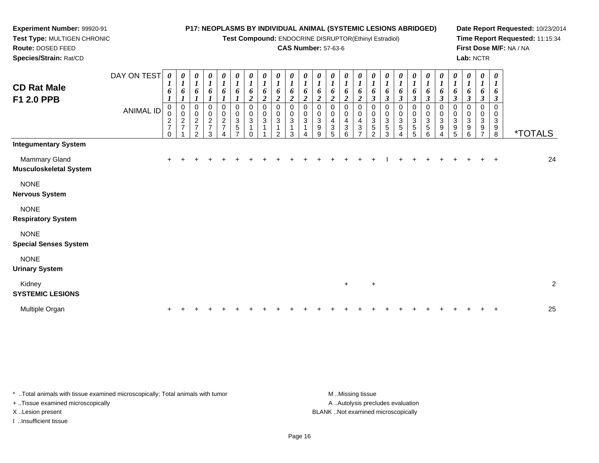**Test Compound:** ENDOCRINE DISRUPTOR(Ethinyl Estradiol)

### **CAS Number:** 57-63-6

**Date Report Requested:** 10/23/2014**Time Report Requested:** 11:15:34**First Dose M/F:** NA / NA**Lab:** NCTR

| <b>CD Rat Male</b><br>F1 2.0 PPB               | DAY ON TEST<br><b>ANIMAL ID</b> | $\boldsymbol{\theta}$<br>$\boldsymbol{l}$<br>6<br>$\pmb{0}$<br>0<br>$\frac{2}{7}$<br>$\Omega$ | 0<br>$\boldsymbol{l}$<br>6<br>$\pmb{0}$<br>0<br>$\frac{2}{7}$ | 0<br>$\boldsymbol{l}$<br>6<br>$\mathbf 0$<br>$\pmb{0}$<br>$\overline{c}$<br>$\overline{7}$<br>$\mathcal{P}$ | 0<br>$\boldsymbol{l}$<br>6<br>0<br>$\pmb{0}$<br>$\frac{2}{7}$<br>3 | 0<br>$\boldsymbol{l}$<br>6<br>0<br>$\pmb{0}$<br>$\boldsymbol{2}$<br>$\overline{7}$ | $\pmb{\theta}$<br>$\boldsymbol{l}$<br>6<br>$\boldsymbol{l}$<br>$\mathbf 0$<br>$\pmb{0}$<br>$\ensuremath{\mathsf{3}}$<br>$\,$ 5 $\,$<br>$\overline{ }$ | 0<br>$\boldsymbol{l}$<br>6<br>$\overline{c}$<br>$\pmb{0}$<br>$\pmb{0}$<br>$\sqrt{3}$<br>$\Omega$ | 0<br>$\boldsymbol{l}$<br>6<br>$\overline{c}$<br>$\mathbf 0$<br>0<br>3 | 0<br>$\boldsymbol{l}$<br>6<br>$\boldsymbol{2}$<br>$\Omega$<br>0<br>3<br>$\mathfrak{p}$ | 0<br>$\boldsymbol{l}$<br>6<br>$\boldsymbol{2}$<br>$\mathbf 0$<br>0<br>3<br>3 | $\boldsymbol{\theta}$<br>$\boldsymbol{l}$<br>6<br>$\boldsymbol{2}$<br>$\mathbf 0$<br>$_{3}^{\rm 0}$<br>$\mathbf{1}$ | $\boldsymbol{\theta}$<br>$\boldsymbol{l}$<br>6<br>$\overline{c}$<br>0<br>0<br>$\overline{3}$<br>9<br>9 | 0<br>$\boldsymbol{l}$<br>6<br>$\overline{c}$<br>0<br>0<br>4<br>$\ensuremath{\mathsf{3}}$<br>5 | 0<br>$\boldsymbol{l}$<br>6<br>$\overline{c}$<br>$\mathbf 0$<br>$\pmb{0}$<br>$\overline{4}$<br>3<br>6 | 0<br>$\boldsymbol{l}$<br>6<br>$\overline{2}$<br>$\mathbf 0$<br>0<br>4<br>3<br>$\overline{ }$ | 0<br>$\boldsymbol{l}$<br>6<br>$\boldsymbol{\beta}$<br>0<br>0<br>$\mathbf{3}$<br>5<br>$\mathcal{P}$ | 0<br>$\boldsymbol{l}$<br>6<br>$\boldsymbol{\beta}$<br>$\mathbf 0$<br>$\pmb{0}$<br>3<br>5<br>3 | 0<br>6<br>$\boldsymbol{\beta}$<br>0<br>$_{3}^{\rm 0}$<br>5 | 0<br>6<br>$\mathfrak{z}$<br>0<br>$\mathbf 0$<br>3<br>5<br>5 | 0<br>$\boldsymbol{l}$<br>6<br>$\mathfrak{z}$<br>0<br>$\pmb{0}$<br>$\ensuremath{\mathsf{3}}$<br>$\sqrt{5}$<br>6 | $\boldsymbol{\theta}$<br>$\boldsymbol{I}$<br>6<br>$\mathfrak{z}$<br>$\pmb{0}$<br>$\pmb{0}$<br>$\ensuremath{\mathsf{3}}$<br>9<br>4 | 0<br>$\boldsymbol{l}$<br>6<br>$\boldsymbol{\beta}$<br>$\mathbf 0$<br>0<br>3<br>9<br>5 | $\boldsymbol{\theta}$<br>$\boldsymbol{l}$<br>6<br>$\mathfrak{z}$<br>$\Omega$<br>0<br>$\mathbf{3}$<br>9<br>6 | 0<br>$\boldsymbol{l}$<br>6<br>$\boldsymbol{\beta}$<br>$\Omega$<br>0<br>3<br>9<br>$\overline{7}$ | $\boldsymbol{\theta}$<br>$\boldsymbol{l}$<br>6<br>$\mathfrak{z}$<br>$\Omega$<br>0<br>3<br>9<br>$\,8\,$ | <i><b>*TOTALS</b></i> |                |
|------------------------------------------------|---------------------------------|-----------------------------------------------------------------------------------------------|---------------------------------------------------------------|-------------------------------------------------------------------------------------------------------------|--------------------------------------------------------------------|------------------------------------------------------------------------------------|-------------------------------------------------------------------------------------------------------------------------------------------------------|--------------------------------------------------------------------------------------------------|-----------------------------------------------------------------------|----------------------------------------------------------------------------------------|------------------------------------------------------------------------------|---------------------------------------------------------------------------------------------------------------------|--------------------------------------------------------------------------------------------------------|-----------------------------------------------------------------------------------------------|------------------------------------------------------------------------------------------------------|----------------------------------------------------------------------------------------------|----------------------------------------------------------------------------------------------------|-----------------------------------------------------------------------------------------------|------------------------------------------------------------|-------------------------------------------------------------|----------------------------------------------------------------------------------------------------------------|-----------------------------------------------------------------------------------------------------------------------------------|---------------------------------------------------------------------------------------|-------------------------------------------------------------------------------------------------------------|-------------------------------------------------------------------------------------------------|--------------------------------------------------------------------------------------------------------|-----------------------|----------------|
| <b>Integumentary System</b>                    |                                 |                                                                                               |                                                               |                                                                                                             |                                                                    |                                                                                    |                                                                                                                                                       |                                                                                                  |                                                                       |                                                                                        |                                                                              |                                                                                                                     |                                                                                                        |                                                                                               |                                                                                                      |                                                                                              |                                                                                                    |                                                                                               |                                                            |                                                             |                                                                                                                |                                                                                                                                   |                                                                                       |                                                                                                             |                                                                                                 |                                                                                                        |                       |                |
| Mammary Gland<br><b>Musculoskeletal System</b> |                                 | $\ddot{}$                                                                                     |                                                               |                                                                                                             |                                                                    |                                                                                    |                                                                                                                                                       |                                                                                                  |                                                                       |                                                                                        |                                                                              |                                                                                                                     |                                                                                                        |                                                                                               |                                                                                                      |                                                                                              |                                                                                                    |                                                                                               |                                                            |                                                             |                                                                                                                |                                                                                                                                   |                                                                                       |                                                                                                             |                                                                                                 | $\overline{+}$                                                                                         |                       | 24             |
| <b>NONE</b><br><b>Nervous System</b>           |                                 |                                                                                               |                                                               |                                                                                                             |                                                                    |                                                                                    |                                                                                                                                                       |                                                                                                  |                                                                       |                                                                                        |                                                                              |                                                                                                                     |                                                                                                        |                                                                                               |                                                                                                      |                                                                                              |                                                                                                    |                                                                                               |                                                            |                                                             |                                                                                                                |                                                                                                                                   |                                                                                       |                                                                                                             |                                                                                                 |                                                                                                        |                       |                |
| <b>NONE</b><br><b>Respiratory System</b>       |                                 |                                                                                               |                                                               |                                                                                                             |                                                                    |                                                                                    |                                                                                                                                                       |                                                                                                  |                                                                       |                                                                                        |                                                                              |                                                                                                                     |                                                                                                        |                                                                                               |                                                                                                      |                                                                                              |                                                                                                    |                                                                                               |                                                            |                                                             |                                                                                                                |                                                                                                                                   |                                                                                       |                                                                                                             |                                                                                                 |                                                                                                        |                       |                |
| <b>NONE</b><br><b>Special Senses System</b>    |                                 |                                                                                               |                                                               |                                                                                                             |                                                                    |                                                                                    |                                                                                                                                                       |                                                                                                  |                                                                       |                                                                                        |                                                                              |                                                                                                                     |                                                                                                        |                                                                                               |                                                                                                      |                                                                                              |                                                                                                    |                                                                                               |                                                            |                                                             |                                                                                                                |                                                                                                                                   |                                                                                       |                                                                                                             |                                                                                                 |                                                                                                        |                       |                |
| <b>NONE</b><br><b>Urinary System</b>           |                                 |                                                                                               |                                                               |                                                                                                             |                                                                    |                                                                                    |                                                                                                                                                       |                                                                                                  |                                                                       |                                                                                        |                                                                              |                                                                                                                     |                                                                                                        |                                                                                               |                                                                                                      |                                                                                              |                                                                                                    |                                                                                               |                                                            |                                                             |                                                                                                                |                                                                                                                                   |                                                                                       |                                                                                                             |                                                                                                 |                                                                                                        |                       |                |
| Kidney<br><b>SYSTEMIC LESIONS</b>              |                                 |                                                                                               |                                                               |                                                                                                             |                                                                    |                                                                                    |                                                                                                                                                       |                                                                                                  |                                                                       |                                                                                        |                                                                              |                                                                                                                     |                                                                                                        |                                                                                               | $+$                                                                                                  |                                                                                              | $\ddot{}$                                                                                          |                                                                                               |                                                            |                                                             |                                                                                                                |                                                                                                                                   |                                                                                       |                                                                                                             |                                                                                                 |                                                                                                        |                       | $\overline{c}$ |
| Multiple Organ                                 |                                 |                                                                                               |                                                               |                                                                                                             |                                                                    |                                                                                    |                                                                                                                                                       |                                                                                                  |                                                                       |                                                                                        |                                                                              |                                                                                                                     |                                                                                                        |                                                                                               |                                                                                                      |                                                                                              |                                                                                                    |                                                                                               |                                                            |                                                             |                                                                                                                |                                                                                                                                   |                                                                                       |                                                                                                             |                                                                                                 |                                                                                                        |                       | 25             |

\* ..Total animals with tissue examined microscopically; Total animals with tumor **M** ...Missing tissue M ...Missing tissue

+ ..Tissue examined microscopically

**Experiment Number:** 99920-91**Test Type:** MULTIGEN CHRONIC

**Route:** DOSED FEED**Species/Strain:** Rat/CD

I ..Insufficient tissue

A ..Autolysis precludes evaluation X ..Lesion present BLANK ..Not examined microscopically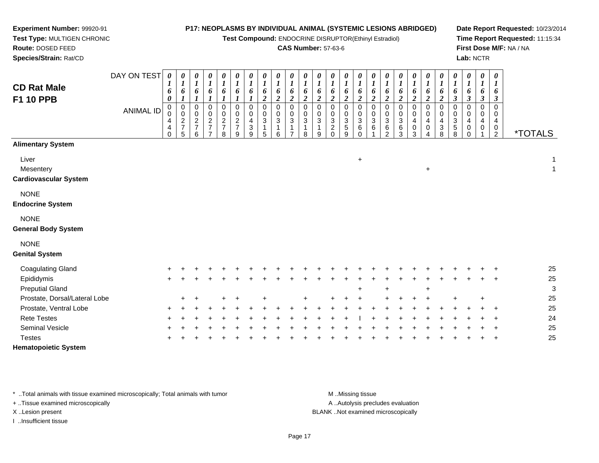**Test Compound:** ENDOCRINE DISRUPTOR(Ethinyl Estradiol)

#### **CAS Number:** 57-63-6

**Date Report Requested:** 10/23/2014**Time Report Requested:** 11:15:34**First Dose M/F:** NA / NA**Lab:** NCTR

<sup>2</sup> \*TOTALS

 $\pm$  1

**Route:** DOSED FEED **Species/Strain:** Rat/CDDAY ON TEST**CD Rat MaleF1 10 PPB**ANIMAL ID*0 1 6 0* 0 0 4 4 0*0 1 6 1* 0 0 2 7 5*0 1 6 1* 0 0 2 7 6*0 1 6 1* 0 0 2 7 7*0 1 6 1* 0 0 2 7 8*0 1 6 1* 0 0 2 7 9*0 1 6 1* 0 0 4 3 9*0 1 6 2*0<br>0<br>3<br>1 5*0 1 6 2*0<br>0<br>3<br>1 6*0 1 6 2* 0 0 3 1 7*0 1 6 2* 0 0 3 1 8*0 1 6 2* 0 0 3 1 9*0 1 6 2* 0 0 3 2 0*0 1 6 2* 0 0 3 5 9*0 1 6 2*0<br>0<br>0<br>0<br>0 *0 1 6 2* 0 0 3 6 1*0 1 6 2* 0 0 3 6 2*0 1 6 2* 0 0 3 6 3**Alimentary System**Livert to the contract of the contract of the contract of the contract of the contract of the contract of the contract of the contract of the contract of the contract of the contract of the contract of the contract of the contr  $\overline{1}$ **Mesentery** <sup>+</sup>

**Cardiovascular System**

**Experiment Number:** 99920-91**Test Type:** MULTIGEN CHRONIC

### NONE

**Endocrine System**

### NONE

**General Body System**

#### NONE

**Genital System**

| <b>Coagulating Gland</b>      | $+$ |         |  |         |     |  |     |     |     |     |        |        |     |         |        |       |          | 25 |
|-------------------------------|-----|---------|--|---------|-----|--|-----|-----|-----|-----|--------|--------|-----|---------|--------|-------|----------|----|
| Epididymis                    | $+$ |         |  |         |     |  |     |     |     |     |        |        |     |         |        |       | <b>+</b> | 25 |
| <b>Preputial Gland</b>        |     |         |  |         |     |  |     |     | $+$ |     | $\div$ |        |     | $+$     |        |       |          | 3  |
| Prostate, Dorsal/Lateral Lobe |     | $+$ $+$ |  | $+$ $+$ | $+$ |  | $+$ | $+$ | $+$ |     | $+$    |        |     | $+$ $+$ | $\div$ | $\pm$ |          | 25 |
| Prostate, Ventral Lobe        | $+$ |         |  |         |     |  |     |     |     |     |        | $\div$ |     |         |        |       | + +      | 25 |
| <b>Rete Testes</b>            | $+$ |         |  |         |     |  |     |     |     | $+$ |        |        | $+$ |         |        |       | $+$ $+$  | 24 |
| <b>Seminal Vesicle</b>        | $+$ |         |  |         |     |  |     |     |     |     |        |        | $+$ |         |        |       | $+$ $+$  | 25 |
| <b>Testes</b>                 | $+$ |         |  |         |     |  |     |     |     |     |        |        | ÷   |         |        |       | $+$      | 25 |
| <b>Hematopoietic System</b>   |     |         |  |         |     |  |     |     |     |     |        |        |     |         |        |       |          |    |

\* ..Total animals with tissue examined microscopically; Total animals with tumor **M** ..Missing tissue M ..Missing tissue

+ ..Tissue examined microscopically

I ..Insufficient tissue

A ..Autolysis precludes evaluation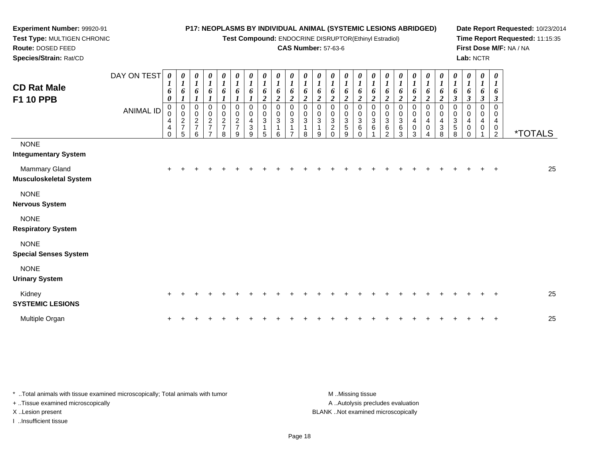**Test Compound:** ENDOCRINE DISRUPTOR(Ethinyl Estradiol)

### **CAS Number:** 57-63-6

**Date Report Requested:** 10/23/2014**Time Report Requested:** 11:15:35**First Dose M/F:** NA / NA**Lab:** NCTR

| <b>CD Rat Male</b><br>F1 10 PPB             | DAY ON TEST<br><b>ANIMAL ID</b> | 0<br>1<br>6<br>0<br>$\pmb{0}$<br>4<br>4<br>$\mathbf 0$ | 0<br>$\overline{I}$<br>6<br>$\overline{ }$<br>$\begin{smallmatrix}0\\0\end{smallmatrix}$<br>$\frac{2}{7}$<br>5 | 0<br>1<br>6<br>$_{\rm 0}^{\rm 0}$<br>$\frac{2}{7}$<br>6 | 0<br>$\boldsymbol{l}$<br>6<br>ı<br>0<br>$\frac{0}{2}$<br>$\overline{\phantom{a}}$ | 0<br>$\boldsymbol{l}$<br>6<br>$\boldsymbol{0}$<br>$\begin{array}{c} 0 \\ 2 \\ 7 \end{array}$<br>8 | 0<br>$\boldsymbol{l}$<br>6<br>0<br>$\pmb{0}$<br>$\frac{2}{7}$<br>9 | 0<br>6<br>0<br>0<br>4<br>3<br>9 | 0<br>6<br>$\boldsymbol{2}$<br>$\mathbf 0$<br>0<br>3<br>5 | 2<br>0<br>3<br>6 | $\boldsymbol{\theta}$<br>6<br>2<br>3 | $\boldsymbol{\theta}$<br>6<br>2<br>0<br>0<br>3<br>8 | $\boldsymbol{\theta}$<br>6<br>$\boldsymbol{2}$<br>$\Omega$<br>0<br>$\sqrt{3}$<br>9 | 0<br>6<br>2<br>$\mathbf 0$<br>0<br>$\ensuremath{\mathsf{3}}$<br>$\overline{2}$<br>$\Omega$ | $\boldsymbol{\theta}$<br>6<br>0<br>$\sqrt{3}$<br>$\sqrt{5}$<br>9 | 0<br>6<br>0<br>0<br>3<br>6 | $\boldsymbol{\theta}$<br>6<br>$\overline{2}$<br>0<br>0<br>3<br>6 | $\frac{\theta}{I}$<br>6<br>$\boldsymbol{2}$<br>0<br>3<br>6<br>$\mathfrak{p}$ | $\boldsymbol{\theta}$<br>6<br>$\boldsymbol{2}$<br>0<br>0<br>$\ensuremath{\mathsf{3}}$<br>$\,6$<br>3 | $\begin{matrix} 0 \\ 1 \end{matrix}$<br>6<br>$\boldsymbol{2}$<br>$\mathbf 0$<br>$\pmb{0}$<br>$\overline{\mathbf{4}}$<br>$\pmb{0}$<br>3 | $\frac{\theta}{I}$<br>6<br>$\overline{2}$<br>0<br>0<br>$\overline{4}$<br>$\pmb{0}$<br>$\overline{4}$ | $\frac{\theta}{I}$<br>6<br>$\boldsymbol{2}$<br>0<br>0<br>$\overline{4}$<br>$\frac{3}{8}$ | $\pmb{\theta}$<br>$\boldsymbol{l}$<br>6<br>$\boldsymbol{\beta}$<br>0<br>0<br>$\sqrt{3}$<br>$\mathbf 5$<br>8 | $\frac{\theta}{I}$<br>6<br>$\boldsymbol{\beta}$<br>0<br>0<br>4<br>$\pmb{0}$<br>$\Omega$ | $\boldsymbol{\theta}$<br>$\boldsymbol{l}$<br>6<br>$\mathbf{3}$<br>0<br>0<br>4<br>0 | $\pmb{\theta}$<br>$\boldsymbol{l}$<br>6<br>$\boldsymbol{\beta}$<br>0<br>4<br>$\frac{0}{2}$ | <i><b>*TOTALS</b></i> |    |
|---------------------------------------------|---------------------------------|--------------------------------------------------------|----------------------------------------------------------------------------------------------------------------|---------------------------------------------------------|-----------------------------------------------------------------------------------|---------------------------------------------------------------------------------------------------|--------------------------------------------------------------------|---------------------------------|----------------------------------------------------------|------------------|--------------------------------------|-----------------------------------------------------|------------------------------------------------------------------------------------|--------------------------------------------------------------------------------------------|------------------------------------------------------------------|----------------------------|------------------------------------------------------------------|------------------------------------------------------------------------------|-----------------------------------------------------------------------------------------------------|----------------------------------------------------------------------------------------------------------------------------------------|------------------------------------------------------------------------------------------------------|------------------------------------------------------------------------------------------|-------------------------------------------------------------------------------------------------------------|-----------------------------------------------------------------------------------------|------------------------------------------------------------------------------------|--------------------------------------------------------------------------------------------|-----------------------|----|
| <b>NONE</b><br><b>Integumentary System</b>  |                                 |                                                        |                                                                                                                |                                                         |                                                                                   |                                                                                                   |                                                                    |                                 |                                                          |                  |                                      |                                                     |                                                                                    |                                                                                            |                                                                  |                            |                                                                  |                                                                              |                                                                                                     |                                                                                                                                        |                                                                                                      |                                                                                          |                                                                                                             |                                                                                         |                                                                                    |                                                                                            |                       |    |
| Mammary Gland<br>Musculoskeletal System     |                                 | $+$                                                    |                                                                                                                |                                                         |                                                                                   |                                                                                                   |                                                                    |                                 |                                                          |                  |                                      |                                                     |                                                                                    |                                                                                            |                                                                  |                            |                                                                  |                                                                              |                                                                                                     |                                                                                                                                        |                                                                                                      |                                                                                          |                                                                                                             |                                                                                         |                                                                                    | $\div$                                                                                     |                       | 25 |
| <b>NONE</b><br>Nervous System               |                                 |                                                        |                                                                                                                |                                                         |                                                                                   |                                                                                                   |                                                                    |                                 |                                                          |                  |                                      |                                                     |                                                                                    |                                                                                            |                                                                  |                            |                                                                  |                                                                              |                                                                                                     |                                                                                                                                        |                                                                                                      |                                                                                          |                                                                                                             |                                                                                         |                                                                                    |                                                                                            |                       |    |
| <b>NONE</b><br><b>Respiratory System</b>    |                                 |                                                        |                                                                                                                |                                                         |                                                                                   |                                                                                                   |                                                                    |                                 |                                                          |                  |                                      |                                                     |                                                                                    |                                                                                            |                                                                  |                            |                                                                  |                                                                              |                                                                                                     |                                                                                                                                        |                                                                                                      |                                                                                          |                                                                                                             |                                                                                         |                                                                                    |                                                                                            |                       |    |
| <b>NONE</b><br><b>Special Senses System</b> |                                 |                                                        |                                                                                                                |                                                         |                                                                                   |                                                                                                   |                                                                    |                                 |                                                          |                  |                                      |                                                     |                                                                                    |                                                                                            |                                                                  |                            |                                                                  |                                                                              |                                                                                                     |                                                                                                                                        |                                                                                                      |                                                                                          |                                                                                                             |                                                                                         |                                                                                    |                                                                                            |                       |    |
| <b>NONE</b><br><b>Urinary System</b>        |                                 |                                                        |                                                                                                                |                                                         |                                                                                   |                                                                                                   |                                                                    |                                 |                                                          |                  |                                      |                                                     |                                                                                    |                                                                                            |                                                                  |                            |                                                                  |                                                                              |                                                                                                     |                                                                                                                                        |                                                                                                      |                                                                                          |                                                                                                             |                                                                                         |                                                                                    |                                                                                            |                       |    |
| Kidney                                      |                                 |                                                        |                                                                                                                | + + + + + +                                             |                                                                                   |                                                                                                   |                                                                    | $+$                             | ÷.                                                       |                  | $\div$                               | $+$                                                 | $+$                                                                                | $+$                                                                                        |                                                                  |                            | + + + + + + + + + +                                              |                                                                              |                                                                                                     |                                                                                                                                        |                                                                                                      |                                                                                          |                                                                                                             |                                                                                         | $\pm$ .                                                                            | $+$                                                                                        |                       | 25 |

| Kidney                  |  |  |  |  |  |  |  |  |  |  |  |  |  | -25 |
|-------------------------|--|--|--|--|--|--|--|--|--|--|--|--|--|-----|
| <b>SYSTEMIC LESIONS</b> |  |  |  |  |  |  |  |  |  |  |  |  |  |     |
| Multiple Organ          |  |  |  |  |  |  |  |  |  |  |  |  |  | 25  |

\* ..Total animals with tissue examined microscopically; Total animals with tumor **M** . Missing tissue M ..Missing tissue A ..Autolysis precludes evaluation + ..Tissue examined microscopically X ..Lesion present BLANK ..Not examined microscopicallyI ..Insufficient tissue

**Experiment Number:** 99920-91**Test Type:** MULTIGEN CHRONIC

**Route:** DOSED FEED**Species/Strain:** Rat/CD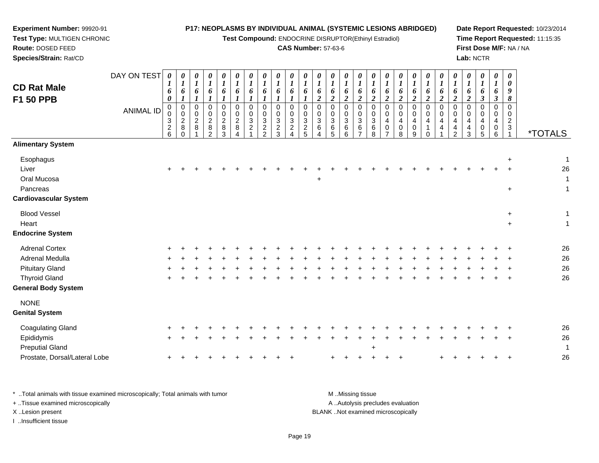**Test Compound:** ENDOCRINE DISRUPTOR(Ethinyl Estradiol)

### **CAS Number:** 57-63-6

**Date Report Requested:** 10/23/2014**Time Report Requested:** 11:15:35**First Dose M/F:** NA / NA**Lab:** NCTR

| <b>CD Rat Male</b><br>F1 50 PPB                                                                                   | DAY ON TEST<br><b>ANIMAL ID</b> | 0<br>$\boldsymbol{l}$<br>6<br>0<br>0<br>0<br>$\begin{array}{c} 3 \\ 2 \\ 6 \end{array}$ | 0<br>$\boldsymbol{l}$<br>6<br>$\mathbf{I}$<br>$\mathbf 0$<br>$\mathbf 0$<br>$\overline{c}$<br>$\bf 8$<br>$\Omega$ | $\boldsymbol{\theta}$<br>$\boldsymbol{l}$<br>6<br>0<br>$\mathbf 0$<br>2<br>8 | $\theta$<br>$\boldsymbol{l}$<br>6<br>0<br>0<br>$\boldsymbol{2}$<br>$\bf 8$<br>$\overline{2}$ | $\theta$<br>$\boldsymbol{l}$<br>6<br>$\mathbf 0$<br>$\Omega$<br>$\overline{c}$<br>$\bf 8$<br>3 | $\boldsymbol{\theta}$<br>$\boldsymbol{l}$<br>6<br>0<br>0<br>$\overline{a}$<br>8<br>4 | 0<br>$\boldsymbol{l}$<br>6<br>0<br>0<br>$\sqrt{3}$<br>$\boldsymbol{2}$ | $\theta$<br>$\boldsymbol{l}$<br>6<br>$\Omega$<br>$\mathbf 0$<br>$\frac{3}{2}$ | $\boldsymbol{\theta}$<br>$\boldsymbol{l}$<br>6<br>0<br>0<br>3<br>$\frac{2}{3}$ | $\theta$<br>$\boldsymbol{l}$<br>6<br>0<br>0<br>$\ensuremath{\mathsf{3}}$<br>$\frac{2}{4}$ | $\boldsymbol{\theta}$<br>$\boldsymbol{l}$<br>6<br>$\mathbf 0$<br>0<br>$\frac{3}{2}$ | 0<br>$\boldsymbol{l}$<br>6<br>$\overline{a}$<br>0<br>0<br>$\mathbf{3}$<br>6<br>4 | 0<br>$\boldsymbol{\mathit{1}}$<br>6<br>$\boldsymbol{2}$<br>0<br>0<br>$\sqrt{3}$<br>6<br>$\overline{5}$ | 0<br>$\boldsymbol{l}$<br>6<br>$\boldsymbol{2}$<br>$\mathbf 0$<br>$\mathbf 0$<br>$\mathbf{3}$<br>$\,6\,$<br>$6\phantom{1}$ | 0<br>$\boldsymbol{l}$<br>6<br>$\overline{2}$<br>$\mathbf 0$<br>$\mathbf 0$<br>3<br>6<br>$\overline{7}$ | $\theta$<br>$\boldsymbol{l}$<br>6<br>$\boldsymbol{2}$<br>$\mathbf 0$<br>$\mathbf 0$<br>$\mathbf{3}$<br>$\,6\,$<br>8 | $\boldsymbol{\theta}$<br>$\boldsymbol{I}$<br>6<br>$\boldsymbol{2}$<br>$\Omega$<br>$\Omega$<br>4<br>$\mathbf 0$<br>$\overline{7}$ | 0<br>$\boldsymbol{I}$<br>6<br>$\overline{2}$<br>$\Omega$<br>$\Omega$<br>4<br>$\boldsymbol{0}$<br>8 | 0<br>$\boldsymbol{I}$<br>6<br>$\boldsymbol{2}$<br>$\Omega$<br>0<br>4<br>$\mathbf 0$<br>$9\,$ | 0<br>$\boldsymbol{l}$<br>6<br>$\boldsymbol{2}$<br>$\mathbf 0$<br>0<br>4<br>$\mathbf{1}$<br>$\Omega$ | 0<br>$\boldsymbol{I}$<br>6<br>$\overline{2}$<br>$\Omega$<br>$\Omega$<br>4<br>4 | 0<br>$\boldsymbol{l}$<br>6<br>$\overline{c}$<br>$\mathbf 0$<br>$\mathbf 0$<br>$\overline{4}$<br>$\overline{4}$<br>$\overline{2}$ | 0<br>$\boldsymbol{l}$<br>6<br>$\boldsymbol{2}$<br>$\Omega$<br>$\Omega$<br>4<br>$\overline{4}$<br>3 | 0<br>$\boldsymbol{I}$<br>6<br>$\boldsymbol{\beta}$<br>$\Omega$<br>$\Omega$<br>0<br>5 | 0<br>$\boldsymbol{l}$<br>6<br>$\boldsymbol{\beta}$<br>$\mathbf 0$<br>0<br>4<br>$\pmb{0}$<br>$\overline{6}$ | $\boldsymbol{\theta}$<br>0<br>9<br>8<br>$\mathbf 0$<br>0<br>$\overline{2}$<br>3<br>$\mathbf{1}$ | <i><b>*TOTALS</b></i>        |
|-------------------------------------------------------------------------------------------------------------------|---------------------------------|-----------------------------------------------------------------------------------------|-------------------------------------------------------------------------------------------------------------------|------------------------------------------------------------------------------|----------------------------------------------------------------------------------------------|------------------------------------------------------------------------------------------------|--------------------------------------------------------------------------------------|------------------------------------------------------------------------|-------------------------------------------------------------------------------|--------------------------------------------------------------------------------|-------------------------------------------------------------------------------------------|-------------------------------------------------------------------------------------|----------------------------------------------------------------------------------|--------------------------------------------------------------------------------------------------------|---------------------------------------------------------------------------------------------------------------------------|--------------------------------------------------------------------------------------------------------|---------------------------------------------------------------------------------------------------------------------|----------------------------------------------------------------------------------------------------------------------------------|----------------------------------------------------------------------------------------------------|----------------------------------------------------------------------------------------------|-----------------------------------------------------------------------------------------------------|--------------------------------------------------------------------------------|----------------------------------------------------------------------------------------------------------------------------------|----------------------------------------------------------------------------------------------------|--------------------------------------------------------------------------------------|------------------------------------------------------------------------------------------------------------|-------------------------------------------------------------------------------------------------|------------------------------|
| <b>Alimentary System</b>                                                                                          |                                 |                                                                                         |                                                                                                                   |                                                                              |                                                                                              |                                                                                                |                                                                                      |                                                                        |                                                                               |                                                                                |                                                                                           |                                                                                     |                                                                                  |                                                                                                        |                                                                                                                           |                                                                                                        |                                                                                                                     |                                                                                                                                  |                                                                                                    |                                                                                              |                                                                                                     |                                                                                |                                                                                                                                  |                                                                                                    |                                                                                      |                                                                                                            |                                                                                                 |                              |
| Esophagus<br>Liver<br>Oral Mucosa<br>Pancreas<br><b>Cardiovascular System</b>                                     |                                 |                                                                                         |                                                                                                                   |                                                                              |                                                                                              |                                                                                                |                                                                                      |                                                                        |                                                                               |                                                                                |                                                                                           |                                                                                     | $\ddot{}$                                                                        |                                                                                                        |                                                                                                                           |                                                                                                        |                                                                                                                     |                                                                                                                                  |                                                                                                    |                                                                                              |                                                                                                     |                                                                                |                                                                                                                                  |                                                                                                    |                                                                                      |                                                                                                            | $\ddot{}$                                                                                       | $\mathbf 1$<br>26<br>-1<br>1 |
| <b>Blood Vessel</b><br>Heart<br><b>Endocrine System</b>                                                           |                                 |                                                                                         |                                                                                                                   |                                                                              |                                                                                              |                                                                                                |                                                                                      |                                                                        |                                                                               |                                                                                |                                                                                           |                                                                                     |                                                                                  |                                                                                                        |                                                                                                                           |                                                                                                        |                                                                                                                     |                                                                                                                                  |                                                                                                    |                                                                                              |                                                                                                     |                                                                                |                                                                                                                                  |                                                                                                    |                                                                                      |                                                                                                            | $+$<br>$+$                                                                                      | 1<br>$\overline{1}$          |
| <b>Adrenal Cortex</b><br>Adrenal Medulla<br><b>Pituitary Gland</b><br><b>Thyroid Gland</b><br>General Body System |                                 |                                                                                         |                                                                                                                   |                                                                              |                                                                                              |                                                                                                |                                                                                      |                                                                        |                                                                               |                                                                                |                                                                                           |                                                                                     |                                                                                  |                                                                                                        |                                                                                                                           |                                                                                                        |                                                                                                                     |                                                                                                                                  |                                                                                                    |                                                                                              |                                                                                                     |                                                                                |                                                                                                                                  |                                                                                                    |                                                                                      |                                                                                                            |                                                                                                 | 26<br>26<br>26<br>26         |
| <b>NONE</b><br><b>Genital System</b>                                                                              |                                 |                                                                                         |                                                                                                                   |                                                                              |                                                                                              |                                                                                                |                                                                                      |                                                                        |                                                                               |                                                                                |                                                                                           |                                                                                     |                                                                                  |                                                                                                        |                                                                                                                           |                                                                                                        |                                                                                                                     |                                                                                                                                  |                                                                                                    |                                                                                              |                                                                                                     |                                                                                |                                                                                                                                  |                                                                                                    |                                                                                      |                                                                                                            |                                                                                                 |                              |
| Coagulating Gland<br>Epididymis<br><b>Preputial Gland</b><br>Prostate, Dorsal/Lateral Lobe                        |                                 |                                                                                         |                                                                                                                   |                                                                              |                                                                                              |                                                                                                |                                                                                      |                                                                        |                                                                               |                                                                                |                                                                                           |                                                                                     |                                                                                  |                                                                                                        |                                                                                                                           |                                                                                                        | ÷                                                                                                                   |                                                                                                                                  |                                                                                                    |                                                                                              |                                                                                                     |                                                                                |                                                                                                                                  |                                                                                                    |                                                                                      |                                                                                                            |                                                                                                 | 26<br>26<br>-1<br>26         |

\* ..Total animals with tissue examined microscopically; Total animals with tumor **M** . Missing tissue M ..Missing tissue A ..Autolysis precludes evaluation + ..Tissue examined microscopically X ..Lesion present BLANK ..Not examined microscopicallyI ..Insufficient tissue

**Experiment Number:** 99920-91**Test Type:** MULTIGEN CHRONIC

**Route:** DOSED FEED**Species/Strain:** Rat/CD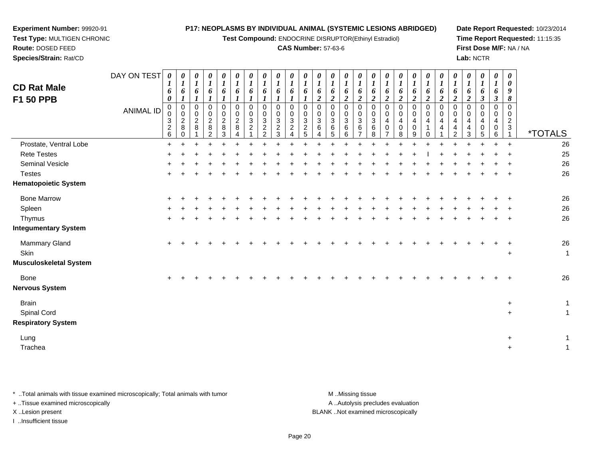**Test Compound:** ENDOCRINE DISRUPTOR(Ethinyl Estradiol)

**Date Report Requested:** 10/23/2014**Time Report Requested:** 11:15:35**First Dose M/F:** NA / NA**Lab:** NCTR

> *0*

 **Test Type:** MULTIGEN CHRONIC**Route:** DOSED FEED **Species/Strain:** Rat/CD**CAS Number:** 57-63-6DAY ON TEST **CD Rat MaleF1 50 PPB**ANIMAL ID*0 1 6 00 1 6 10 1 6 10 1 60 1 6 10 1 6 10 1 60 1 6 10 1 6 10 1 6 10 1 6 10 1 6 0 1 6 0 1 6 0 1 6* 

**Experiment Number:** 99920-91

| <b>CD Rat Male</b><br>F1 50 PPB                          | DAY ON TEST<br><b>ANIMAL ID</b> | $\boldsymbol{\theta}$<br>6<br>$\boldsymbol{\theta}$<br>$\mathbf 0$<br>0<br>$\mathbf{3}$<br>$\frac{2}{6}$ | 0<br>6<br>$\pmb{0}$<br>$\pmb{0}$<br>$\overline{2}$<br>8<br>$\Omega$ | 0<br>$\mathbf{I}$<br>6<br>$\Omega$<br>0<br>$\overline{c}$<br>8 | 0<br>$\boldsymbol{l}$<br>6<br>$\Omega$<br>$\mathbf 0$<br>$\overline{c}$<br>8<br>2 | 0<br>$\bm{l}$<br>6<br>$\mathbf 0$<br>$\mathbf 0$<br>$\sqrt{2}$<br>8<br>3 | 0<br>$\boldsymbol{l}$<br>6<br>$\Omega$<br>$\mathbf{0}$<br>$\overline{a}$<br>8 | 0<br>$\boldsymbol{l}$<br>6<br>0<br>0<br>$\overline{3}$<br>$\overline{a}$ | 0<br>6<br>0<br>$\mathsf 0$<br>$\sqrt{3}$<br>$\overline{c}$<br>$\mathfrak{p}$ | 0<br>$\boldsymbol{l}$<br>6<br>1<br>0<br>$\mathbf 0$<br>$\sqrt{3}$<br>$\overline{c}$<br>3 | 1<br>6<br>0<br>$\mathbf 0$<br>$\ensuremath{\mathsf{3}}$<br>$\boldsymbol{2}$ | 0<br>6<br>$\,0\,$<br>0<br>$\sqrt{3}$<br>$\overline{c}$<br>5 | 0<br>1<br>6<br>$\overline{2}$<br>$\pmb{0}$<br>$\mathbf 0$<br>$\ensuremath{\mathsf{3}}$<br>6<br>Δ | $\boldsymbol{\theta}$<br>$\boldsymbol{l}$<br>6<br>$\boldsymbol{2}$<br>$\pmb{0}$<br>$\mathbf 0$<br>$\mathbf{3}$<br>$\,6\,$<br>5 | 0<br>$\boldsymbol{l}$<br>6<br>2<br>$\Omega$<br>0<br>$\mathbf{3}$<br>6<br>6 | 0<br>$\boldsymbol{l}$<br>6<br>$\boldsymbol{2}$<br>$\mathbf 0$<br>$\mathbf 0$<br>$\mathbf{3}$<br>$\,6\,$<br>$\overline{ }$ | 0<br>$\boldsymbol{l}$<br>6<br>$\boldsymbol{2}$<br>$\mathbf 0$<br>$\mathbf 0$<br>$\mathbf{3}$<br>$6\phantom{1}6$<br>8 | 0<br>6<br>$\overline{2}$<br>0<br>0<br>4<br>$\mathbf 0$ | 0<br>$\boldsymbol{l}$<br>6<br>$\boldsymbol{2}$<br>0<br>$\pmb{0}$<br>$\overline{\mathbf{4}}$<br>$\pmb{0}$<br>8 | 0<br>6<br>$\overline{2}$<br>$\mathbf 0$<br>0<br>$\overline{4}$<br>$\pmb{0}$<br>9 | $\boldsymbol{\theta}$<br>1<br>6<br>$\boldsymbol{2}$<br>0<br>0<br>4<br>0 | 1<br>6<br>$\boldsymbol{2}$<br>0<br>$\Omega$<br>4<br>4 | 0<br>6<br>$\boldsymbol{2}$<br>$\pmb{0}$<br>0<br>4<br>4<br>$\overline{2}$ | 0<br>$\boldsymbol{l}$<br>6<br>$\overline{2}$<br>$\mathbf 0$<br>$\mathbf 0$<br>4<br>4<br>3 | 0<br>$\boldsymbol{l}$<br>6<br>$\boldsymbol{\beta}$<br>$\mathbf 0$<br>$\mathbf 0$<br>$\overline{4}$<br>$\mathbf 0$<br>5 | 0<br>$\boldsymbol{l}$<br>6<br>$\boldsymbol{\beta}$<br>$\mathbf 0$<br>0<br>4<br>0<br>6 | 0<br>0<br>9<br>8<br>$\Omega$<br>$\Omega$<br>$\overline{a}$<br>3 | <i><b>*TOTALS</b></i>        |
|----------------------------------------------------------|---------------------------------|----------------------------------------------------------------------------------------------------------|---------------------------------------------------------------------|----------------------------------------------------------------|-----------------------------------------------------------------------------------|--------------------------------------------------------------------------|-------------------------------------------------------------------------------|--------------------------------------------------------------------------|------------------------------------------------------------------------------|------------------------------------------------------------------------------------------|-----------------------------------------------------------------------------|-------------------------------------------------------------|--------------------------------------------------------------------------------------------------|--------------------------------------------------------------------------------------------------------------------------------|----------------------------------------------------------------------------|---------------------------------------------------------------------------------------------------------------------------|----------------------------------------------------------------------------------------------------------------------|--------------------------------------------------------|---------------------------------------------------------------------------------------------------------------|----------------------------------------------------------------------------------|-------------------------------------------------------------------------|-------------------------------------------------------|--------------------------------------------------------------------------|-------------------------------------------------------------------------------------------|------------------------------------------------------------------------------------------------------------------------|---------------------------------------------------------------------------------------|-----------------------------------------------------------------|------------------------------|
| Prostate, Ventral Lobe                                   |                                 | $\ddot{}$                                                                                                |                                                                     |                                                                |                                                                                   |                                                                          |                                                                               |                                                                          |                                                                              |                                                                                          |                                                                             |                                                             |                                                                                                  |                                                                                                                                |                                                                            |                                                                                                                           |                                                                                                                      |                                                        |                                                                                                               |                                                                                  |                                                                         |                                                       |                                                                          |                                                                                           |                                                                                                                        |                                                                                       | $\ddot{+}$                                                      | 26                           |
| <b>Rete Testes</b>                                       |                                 |                                                                                                          |                                                                     |                                                                |                                                                                   |                                                                          |                                                                               |                                                                          |                                                                              |                                                                                          |                                                                             |                                                             |                                                                                                  |                                                                                                                                |                                                                            |                                                                                                                           |                                                                                                                      |                                                        |                                                                                                               |                                                                                  |                                                                         |                                                       |                                                                          |                                                                                           |                                                                                                                        |                                                                                       |                                                                 | 25                           |
| Seminal Vesicle                                          |                                 |                                                                                                          |                                                                     |                                                                |                                                                                   |                                                                          |                                                                               |                                                                          |                                                                              |                                                                                          |                                                                             |                                                             |                                                                                                  |                                                                                                                                |                                                                            |                                                                                                                           |                                                                                                                      |                                                        |                                                                                                               |                                                                                  |                                                                         |                                                       |                                                                          |                                                                                           |                                                                                                                        |                                                                                       |                                                                 | $26\,$                       |
| <b>Testes</b>                                            |                                 |                                                                                                          |                                                                     |                                                                |                                                                                   |                                                                          |                                                                               |                                                                          |                                                                              |                                                                                          |                                                                             |                                                             |                                                                                                  |                                                                                                                                |                                                                            |                                                                                                                           |                                                                                                                      |                                                        |                                                                                                               |                                                                                  |                                                                         |                                                       |                                                                          |                                                                                           |                                                                                                                        |                                                                                       | ÷                                                               | 26                           |
| <b>Hematopoietic System</b>                              |                                 |                                                                                                          |                                                                     |                                                                |                                                                                   |                                                                          |                                                                               |                                                                          |                                                                              |                                                                                          |                                                                             |                                                             |                                                                                                  |                                                                                                                                |                                                                            |                                                                                                                           |                                                                                                                      |                                                        |                                                                                                               |                                                                                  |                                                                         |                                                       |                                                                          |                                                                                           |                                                                                                                        |                                                                                       |                                                                 |                              |
| <b>Bone Marrow</b>                                       |                                 |                                                                                                          |                                                                     |                                                                |                                                                                   |                                                                          |                                                                               |                                                                          |                                                                              |                                                                                          |                                                                             |                                                             |                                                                                                  |                                                                                                                                |                                                                            |                                                                                                                           |                                                                                                                      |                                                        |                                                                                                               |                                                                                  |                                                                         |                                                       |                                                                          |                                                                                           |                                                                                                                        |                                                                                       |                                                                 | 26                           |
| Spleen                                                   |                                 |                                                                                                          |                                                                     |                                                                |                                                                                   |                                                                          |                                                                               |                                                                          |                                                                              |                                                                                          |                                                                             |                                                             |                                                                                                  |                                                                                                                                |                                                                            |                                                                                                                           |                                                                                                                      |                                                        |                                                                                                               |                                                                                  |                                                                         |                                                       |                                                                          |                                                                                           |                                                                                                                        |                                                                                       |                                                                 | 26                           |
| Thymus                                                   |                                 |                                                                                                          |                                                                     |                                                                |                                                                                   |                                                                          |                                                                               |                                                                          |                                                                              |                                                                                          |                                                                             |                                                             |                                                                                                  |                                                                                                                                |                                                                            |                                                                                                                           |                                                                                                                      |                                                        |                                                                                                               |                                                                                  |                                                                         |                                                       |                                                                          |                                                                                           |                                                                                                                        |                                                                                       |                                                                 | 26                           |
| <b>Integumentary System</b>                              |                                 |                                                                                                          |                                                                     |                                                                |                                                                                   |                                                                          |                                                                               |                                                                          |                                                                              |                                                                                          |                                                                             |                                                             |                                                                                                  |                                                                                                                                |                                                                            |                                                                                                                           |                                                                                                                      |                                                        |                                                                                                               |                                                                                  |                                                                         |                                                       |                                                                          |                                                                                           |                                                                                                                        |                                                                                       |                                                                 |                              |
| Mammary Gland<br>Skin                                    |                                 |                                                                                                          |                                                                     |                                                                |                                                                                   |                                                                          |                                                                               |                                                                          |                                                                              |                                                                                          |                                                                             |                                                             |                                                                                                  |                                                                                                                                |                                                                            |                                                                                                                           |                                                                                                                      |                                                        |                                                                                                               |                                                                                  |                                                                         |                                                       |                                                                          |                                                                                           |                                                                                                                        |                                                                                       | $\div$<br>$\ddot{}$                                             | 26<br>$\mathbf{1}$           |
| <b>Musculoskeletal System</b>                            |                                 |                                                                                                          |                                                                     |                                                                |                                                                                   |                                                                          |                                                                               |                                                                          |                                                                              |                                                                                          |                                                                             |                                                             |                                                                                                  |                                                                                                                                |                                                                            |                                                                                                                           |                                                                                                                      |                                                        |                                                                                                               |                                                                                  |                                                                         |                                                       |                                                                          |                                                                                           |                                                                                                                        |                                                                                       |                                                                 |                              |
| Bone<br><b>Nervous System</b>                            |                                 |                                                                                                          |                                                                     |                                                                |                                                                                   |                                                                          |                                                                               |                                                                          |                                                                              |                                                                                          |                                                                             |                                                             |                                                                                                  |                                                                                                                                |                                                                            |                                                                                                                           |                                                                                                                      |                                                        |                                                                                                               |                                                                                  |                                                                         |                                                       |                                                                          |                                                                                           |                                                                                                                        |                                                                                       | $\div$                                                          | 26                           |
| <b>Brain</b><br>Spinal Cord<br><b>Respiratory System</b> |                                 |                                                                                                          |                                                                     |                                                                |                                                                                   |                                                                          |                                                                               |                                                                          |                                                                              |                                                                                          |                                                                             |                                                             |                                                                                                  |                                                                                                                                |                                                                            |                                                                                                                           |                                                                                                                      |                                                        |                                                                                                               |                                                                                  |                                                                         |                                                       |                                                                          |                                                                                           |                                                                                                                        |                                                                                       | $\ddot{}$<br>$\ddot{}$                                          | $\mathbf{1}$<br>$\mathbf{1}$ |
| Lung<br>Trachea                                          |                                 |                                                                                                          |                                                                     |                                                                |                                                                                   |                                                                          |                                                                               |                                                                          |                                                                              |                                                                                          |                                                                             |                                                             |                                                                                                  |                                                                                                                                |                                                                            |                                                                                                                           |                                                                                                                      |                                                        |                                                                                                               |                                                                                  |                                                                         |                                                       |                                                                          |                                                                                           |                                                                                                                        |                                                                                       | $\ddot{}$<br>$\ddot{}$                                          | 1<br>$\mathbf{1}$            |

\* ..Total animals with tissue examined microscopically; Total animals with tumor **M** ..Missing tissue M ..Missing tissue A ..Autolysis precludes evaluation + ..Tissue examined microscopically X ..Lesion present BLANK ..Not examined microscopicallyI ..Insufficient tissue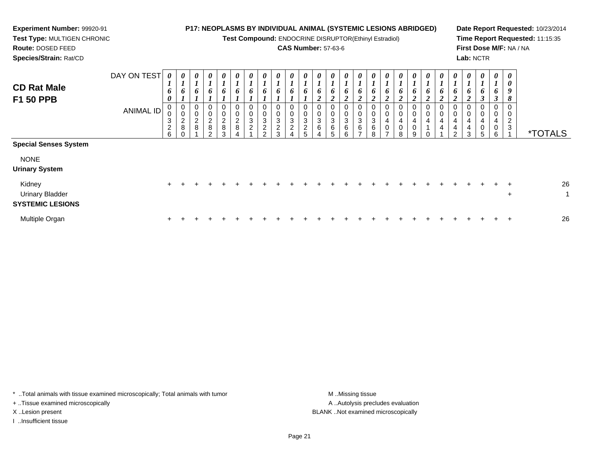**Test Compound:** ENDOCRINE DISRUPTOR(Ethinyl Estradiol)

## **CAS Number:** 57-63-6

**Date Report Requested:** 10/23/2014**Time Report Requested:** 11:15:35**First Dose M/F:** NA / NA**Lab:** NCTR

**Route:** DOSED FEED**Species/Strain:** Rat/CD

**Experiment Number:** 99920-91**Test Type:** MULTIGEN CHRONIC

| <b>CD Rat Male</b><br>F1 50 PPB                                      | DAY ON TEST<br>ANIMAL ID | 0<br>$\mathbf{I}$<br>6<br>$\boldsymbol{\theta}$<br>0<br>0<br>$\mathbf 3$<br>$\frac{2}{6}$ | U<br>$\boldsymbol{l}$<br>6<br>$\mathbf{I}$<br>$\boldsymbol{0}$<br>$\mathbf 0$<br>$\begin{array}{c} 2 \\ 8 \end{array}$<br>$\Omega$ | 0<br>$\mathbf{r}$<br>$\mathbf{I}$<br>6<br>0<br>0<br>$\frac{2}{8}$ | 0<br>$\mathbf{I}$<br>6<br>0<br>0<br>$\frac{2}{8}$<br>$\mathcal{L}$ | $\boldsymbol{\theta}$<br>$\boldsymbol{l}$<br>6<br>$\mathbf{r}$<br>$\mathbf{I}$<br>$\pmb{0}$<br>$\frac{0}{2}$<br>$\,8\,$<br>3 | 0<br>$\overline{ }$<br>6<br>0<br>$\pmb{0}$<br>$\begin{array}{c} 2 \\ 8 \end{array}$ | 0<br>$\boldsymbol{l}$<br>6<br>$\pmb{0}$<br>0<br>$\ensuremath{\mathsf{3}}$<br>$\overline{c}$ | 0<br>6<br>0<br>0<br>$\ensuremath{\mathsf{3}}$<br>$\overline{c}$<br>$\sim$ | $\boldsymbol{\theta}$<br>$\mathbf{I}$<br>6<br>0<br>0<br>$\ensuremath{\mathsf{3}}$<br>$\frac{2}{3}$ | 0<br>$\boldsymbol{l}$<br>6<br>$\boldsymbol{0}$<br>$\boldsymbol{0}$<br>$\sqrt{3}$<br>$\boldsymbol{2}$ | 0<br>6<br>0<br>0<br>3<br>$\frac{2}{5}$ | $\boldsymbol{\theta}$<br>$\mathbf{I}$<br>6<br>$\mathbf{\Omega}$<br>◢<br>$\,0\,$<br>$\ensuremath{\mathsf{3}}$<br>6 | $\boldsymbol{\theta}$<br>$\mathbf{I}$<br>6<br>$\mathbf{\hat{z}}$<br>◢<br>$\pmb{0}$<br>$\pmb{0}$<br>$\sqrt{3}$<br>$\,6\,$ | $\boldsymbol{\theta}$<br>$\overline{ }$<br>6<br>$\mathbf{\hat{z}}$<br>◢<br>0<br>0<br>3<br>6<br>6 | 0<br>$\mathbf{r}$<br>$\mathbf{I}$<br>6<br>$\mathbf{\Omega}$<br>◢<br>0<br>$\boldsymbol{0}$<br>$\ensuremath{\mathsf{3}}$<br>6<br>$\overline{ }$ | $\boldsymbol{\theta}$<br>6<br>$\rightarrow$<br>◢<br>0<br>$\pmb{0}$<br>$\ensuremath{\mathsf{3}}$<br>6<br>8 | $\boldsymbol{\theta}$<br>6<br>$\mathbf{\Omega}$<br>◢<br>0<br>$\,0\,$<br>$\overline{\mathbf{4}}$<br>$\pmb{0}$<br>$\rightarrow$ | $\boldsymbol{l}$<br>6<br>$\boldsymbol{2}$<br>0<br>$\pmb{0}$<br>$\overline{4}$<br>$\pmb{0}$<br>8 | $\theta$<br>6<br>$\mathbf{\Omega}$<br>4<br>0<br>g | $\boldsymbol{\theta}$<br>6<br>$\mathbf{\Omega}$<br>∠<br>0<br>0<br>4<br>$\Omega$ | 0<br>0<br>$\mathbf{\hat{z}}$<br>◢<br>0<br>$\pmb{0}$<br>$\overline{4}$<br>$\overline{4}$ | $\boldsymbol{\theta}$<br>L<br>6<br>$\boldsymbol{2}$<br>0<br>$\pmb{0}$<br>4<br>4<br>C. | $\boldsymbol{\mathit{U}}$<br>$\mathbf{I}$<br>o<br>$\boldsymbol{2}$<br>$\boldsymbol{0}$<br>4<br>$\overline{4}$<br>3 | 0<br>$\overline{ }$<br>6<br>$\overline{2}$<br>J<br>0<br>$\pmb{0}$<br>$\overline{4}$<br>$\mathsf{O}\xspace$<br>5 | 0<br>$\mathbf{I}$<br>6<br>3<br>0<br>0<br>4<br>0<br>6 | $\boldsymbol{\theta}$<br>$\boldsymbol{\theta}$<br>$\boldsymbol{9}$<br>8<br>0<br>0<br>$\overline{c}$<br>$\mathbf{3}$ | <i><b>*TOTALS</b></i> |
|----------------------------------------------------------------------|--------------------------|-------------------------------------------------------------------------------------------|------------------------------------------------------------------------------------------------------------------------------------|-------------------------------------------------------------------|--------------------------------------------------------------------|------------------------------------------------------------------------------------------------------------------------------|-------------------------------------------------------------------------------------|---------------------------------------------------------------------------------------------|---------------------------------------------------------------------------|----------------------------------------------------------------------------------------------------|------------------------------------------------------------------------------------------------------|----------------------------------------|-------------------------------------------------------------------------------------------------------------------|--------------------------------------------------------------------------------------------------------------------------|--------------------------------------------------------------------------------------------------|-----------------------------------------------------------------------------------------------------------------------------------------------|-----------------------------------------------------------------------------------------------------------|-------------------------------------------------------------------------------------------------------------------------------|-------------------------------------------------------------------------------------------------|---------------------------------------------------|---------------------------------------------------------------------------------|-----------------------------------------------------------------------------------------|---------------------------------------------------------------------------------------|--------------------------------------------------------------------------------------------------------------------|-----------------------------------------------------------------------------------------------------------------|------------------------------------------------------|---------------------------------------------------------------------------------------------------------------------|-----------------------|
| <b>Special Senses System</b><br><b>NONE</b><br><b>Urinary System</b> |                          |                                                                                           |                                                                                                                                    |                                                                   |                                                                    |                                                                                                                              |                                                                                     |                                                                                             |                                                                           |                                                                                                    |                                                                                                      |                                        |                                                                                                                   |                                                                                                                          |                                                                                                  |                                                                                                                                               |                                                                                                           |                                                                                                                               |                                                                                                 |                                                   |                                                                                 |                                                                                         |                                                                                       |                                                                                                                    |                                                                                                                 |                                                      |                                                                                                                     |                       |
| Kidney<br><b>Urinary Bladder</b><br><b>SYSTEMIC LESIONS</b>          |                          | $\pm$                                                                                     |                                                                                                                                    |                                                                   |                                                                    |                                                                                                                              |                                                                                     |                                                                                             |                                                                           |                                                                                                    |                                                                                                      |                                        |                                                                                                                   |                                                                                                                          |                                                                                                  |                                                                                                                                               |                                                                                                           |                                                                                                                               |                                                                                                 |                                                   |                                                                                 |                                                                                         |                                                                                       |                                                                                                                    |                                                                                                                 | ÷.                                                   | $+$<br>$\ddot{}$                                                                                                    | 26<br>$\overline{A}$  |
| Multiple Organ                                                       |                          | $\ddot{}$                                                                                 |                                                                                                                                    |                                                                   |                                                                    |                                                                                                                              |                                                                                     |                                                                                             |                                                                           |                                                                                                    |                                                                                                      |                                        |                                                                                                                   |                                                                                                                          |                                                                                                  |                                                                                                                                               |                                                                                                           |                                                                                                                               |                                                                                                 |                                                   |                                                                                 |                                                                                         |                                                                                       |                                                                                                                    |                                                                                                                 | +                                                    | $\div$                                                                                                              | 26                    |

\* ..Total animals with tissue examined microscopically; Total animals with tumor **M** . Missing tissue M ..Missing tissue

+ ..Tissue examined microscopically

I ..Insufficient tissue

A ..Autolysis precludes evaluation X ..Lesion present BLANK ..Not examined microscopically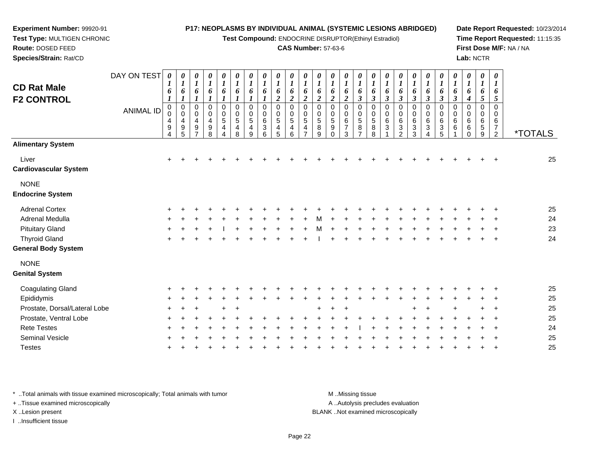**Test Compound:** ENDOCRINE DISRUPTOR(Ethinyl Estradiol)

#### **CAS Number:** 57-63-6

*0 1*

*0 1*

 *6 2*0

*0 1*

*0 1*

*0 1*

 *6 3*0

*6 3*

*6 3*

 *6 2*0

**Date Report Requested:** 10/23/2014**Time Report Requested:** 11:15:35**First Dose M/F:** NA / NA**Lab:** NCTR

**Route:** DOSED FEED **Species/Strain:** Rat/CDDAY ON TEST**CD Rat Male F2 CONTROL**ANIMAL ID*0 1 6 1* 0 0*0 1 6 1* 0 0 4*0 1 6 1* 0 0 4*0 1 6 1* 0 0 4*0 1 6 1* 0 0 5*0 1 6 1* 0 0 5*0 1 6 1* 0 0 5*0 1 6 1* 0 0 6*0 1 6 2* 0 0 5*0 1 6 2* 0 0 5*0 1 6 2*0 0 5

|                               | <b>ANIMAL ID</b> | $\begin{matrix} 0 \\ 0 \end{matrix}$<br>4<br>9<br>4 | 0<br>$\pmb{0}$<br>$\overline{4}$<br>$\boldsymbol{9}$<br>5 | 0<br>$\pmb{0}$<br>4<br>9<br>7 | 0<br>$\pmb{0}$<br>$\overline{\mathbf{4}}$<br>$\boldsymbol{9}$<br>8 | 0<br>$\mathsf 0$<br>5<br>$\overline{4}$<br>$\overline{4}$ | 0<br>$\begin{array}{c} 0 \\ 5 \end{array}$<br>$\overline{\mathbf{4}}$<br>8 | 0<br>$\pmb{0}$<br>$\overline{5}$<br>$\overline{\mathbf{r}}$<br>9 | 0<br>$\pmb{0}$<br>$\,6\,$<br>$\ensuremath{\mathsf{3}}$<br>6 | 0<br>$\pmb{0}$<br>$\sqrt{5}$<br>4<br>5 | 0<br>$\pmb{0}$<br>5<br>4<br>6 | 0<br>$\pmb{0}$<br>$\sqrt{5}$<br>4 | 0<br>$\pmb{0}$<br>5<br>8<br>9 | 0<br>$\begin{array}{c} 0 \\ 5 \end{array}$<br>$\boldsymbol{9}$<br>$\mathbf 0$ | 0<br>$\pmb{0}$<br>$\,6$<br>$\overline{7}$<br>$\mathbf{3}$ | 0<br>$\mathsf 0$<br>$\,$ 5 $\,$<br>$\,8\,$<br>$\overline{ }$ | 0<br>$\pmb{0}$<br>$\mathbf 5$<br>$\bf 8$<br>8 | 0<br>$\pmb{0}$<br>$\,6$<br>3 | 0<br>$\begin{array}{c} 0 \\ 6 \end{array}$<br>$\ensuremath{\mathsf{3}}$<br>$\overline{2}$ | 0<br>$\pmb{0}$<br>6<br>3<br>3 | 0<br>$\pmb{0}$<br>6<br>$\sqrt{3}$<br>$\overline{4}$ | 0<br>$\pmb{0}$<br>$\,6\,$<br>$\sqrt{3}$<br>5 | 0<br>$\mathbf 0$<br>6<br>6 | 0<br>$\pmb{0}$<br>6<br>6<br>$\mathbf 0$ | 0<br>$\pmb{0}$<br>6<br>$\mathbf 5$<br>9 | 0<br>$\pmb{0}$<br>$\,6\,$<br>$\boldsymbol{7}$<br>$\overline{2}$ | <i><b>*TOTALS</b></i> |
|-------------------------------|------------------|-----------------------------------------------------|-----------------------------------------------------------|-------------------------------|--------------------------------------------------------------------|-----------------------------------------------------------|----------------------------------------------------------------------------|------------------------------------------------------------------|-------------------------------------------------------------|----------------------------------------|-------------------------------|-----------------------------------|-------------------------------|-------------------------------------------------------------------------------|-----------------------------------------------------------|--------------------------------------------------------------|-----------------------------------------------|------------------------------|-------------------------------------------------------------------------------------------|-------------------------------|-----------------------------------------------------|----------------------------------------------|----------------------------|-----------------------------------------|-----------------------------------------|-----------------------------------------------------------------|-----------------------|
| <b>Alimentary System</b>      |                  |                                                     |                                                           |                               |                                                                    |                                                           |                                                                            |                                                                  |                                                             |                                        |                               |                                   |                               |                                                                               |                                                           |                                                              |                                               |                              |                                                                                           |                               |                                                     |                                              |                            |                                         |                                         |                                                                 |                       |
| Liver                         |                  | $+$                                                 |                                                           |                               |                                                                    |                                                           |                                                                            |                                                                  |                                                             |                                        |                               |                                   |                               |                                                                               |                                                           |                                                              |                                               |                              |                                                                                           |                               |                                                     |                                              |                            |                                         |                                         | $\overline{+}$                                                  | 25                    |
| <b>Cardiovascular System</b>  |                  |                                                     |                                                           |                               |                                                                    |                                                           |                                                                            |                                                                  |                                                             |                                        |                               |                                   |                               |                                                                               |                                                           |                                                              |                                               |                              |                                                                                           |                               |                                                     |                                              |                            |                                         |                                         |                                                                 |                       |
| <b>NONE</b>                   |                  |                                                     |                                                           |                               |                                                                    |                                                           |                                                                            |                                                                  |                                                             |                                        |                               |                                   |                               |                                                                               |                                                           |                                                              |                                               |                              |                                                                                           |                               |                                                     |                                              |                            |                                         |                                         |                                                                 |                       |
| <b>Endocrine System</b>       |                  |                                                     |                                                           |                               |                                                                    |                                                           |                                                                            |                                                                  |                                                             |                                        |                               |                                   |                               |                                                                               |                                                           |                                                              |                                               |                              |                                                                                           |                               |                                                     |                                              |                            |                                         |                                         |                                                                 |                       |
| <b>Adrenal Cortex</b>         |                  | $\div$                                              |                                                           |                               |                                                                    |                                                           |                                                                            |                                                                  |                                                             |                                        |                               |                                   |                               |                                                                               |                                                           |                                                              |                                               |                              |                                                                                           |                               |                                                     |                                              |                            |                                         |                                         |                                                                 | 25                    |
| Adrenal Medulla               |                  | ÷                                                   |                                                           |                               |                                                                    |                                                           |                                                                            |                                                                  |                                                             |                                        |                               |                                   |                               |                                                                               |                                                           |                                                              |                                               |                              |                                                                                           |                               |                                                     |                                              |                            |                                         |                                         |                                                                 | 24                    |
| <b>Pituitary Gland</b>        |                  | $\ddot{}$                                           |                                                           |                               |                                                                    |                                                           |                                                                            |                                                                  |                                                             |                                        |                               |                                   |                               |                                                                               |                                                           |                                                              |                                               |                              |                                                                                           |                               |                                                     |                                              |                            |                                         |                                         |                                                                 | 23                    |
| <b>Thyroid Gland</b>          |                  | $\pm$                                               |                                                           |                               |                                                                    |                                                           |                                                                            |                                                                  |                                                             |                                        |                               |                                   |                               |                                                                               |                                                           |                                                              |                                               |                              |                                                                                           |                               |                                                     |                                              |                            |                                         |                                         | $\overline{1}$                                                  | 24                    |
| <b>General Body System</b>    |                  |                                                     |                                                           |                               |                                                                    |                                                           |                                                                            |                                                                  |                                                             |                                        |                               |                                   |                               |                                                                               |                                                           |                                                              |                                               |                              |                                                                                           |                               |                                                     |                                              |                            |                                         |                                         |                                                                 |                       |
| <b>NONE</b>                   |                  |                                                     |                                                           |                               |                                                                    |                                                           |                                                                            |                                                                  |                                                             |                                        |                               |                                   |                               |                                                                               |                                                           |                                                              |                                               |                              |                                                                                           |                               |                                                     |                                              |                            |                                         |                                         |                                                                 |                       |
| <b>Genital System</b>         |                  |                                                     |                                                           |                               |                                                                    |                                                           |                                                                            |                                                                  |                                                             |                                        |                               |                                   |                               |                                                                               |                                                           |                                                              |                                               |                              |                                                                                           |                               |                                                     |                                              |                            |                                         |                                         |                                                                 |                       |
| <b>Coagulating Gland</b>      |                  | ÷                                                   |                                                           |                               |                                                                    |                                                           |                                                                            |                                                                  |                                                             |                                        |                               |                                   |                               |                                                                               |                                                           |                                                              |                                               |                              |                                                                                           |                               |                                                     |                                              |                            |                                         |                                         |                                                                 | 25                    |
| Epididymis                    |                  |                                                     |                                                           |                               |                                                                    |                                                           |                                                                            |                                                                  |                                                             |                                        |                               |                                   |                               |                                                                               |                                                           |                                                              |                                               |                              |                                                                                           |                               |                                                     |                                              |                            |                                         |                                         |                                                                 | 25                    |
| Prostate, Dorsal/Lateral Lobe |                  | ÷                                                   |                                                           |                               |                                                                    |                                                           |                                                                            |                                                                  |                                                             |                                        |                               |                                   | $\ddot{}$                     |                                                                               |                                                           |                                                              |                                               |                              |                                                                                           |                               |                                                     |                                              |                            |                                         |                                         |                                                                 | 25                    |
| Prostate, Ventral Lobe        |                  |                                                     |                                                           |                               |                                                                    |                                                           |                                                                            |                                                                  |                                                             |                                        |                               |                                   |                               |                                                                               |                                                           |                                                              |                                               |                              |                                                                                           |                               |                                                     |                                              |                            |                                         |                                         |                                                                 | 25                    |
| <b>Rete Testes</b>            |                  |                                                     |                                                           |                               |                                                                    |                                                           |                                                                            |                                                                  |                                                             |                                        |                               |                                   |                               |                                                                               |                                                           |                                                              |                                               |                              |                                                                                           |                               |                                                     |                                              |                            |                                         |                                         |                                                                 | 24                    |
| Seminal Vesicle               |                  |                                                     |                                                           |                               |                                                                    |                                                           |                                                                            |                                                                  |                                                             |                                        |                               |                                   |                               |                                                                               |                                                           |                                                              |                                               |                              |                                                                                           |                               |                                                     |                                              |                            |                                         |                                         |                                                                 | 25                    |
| <b>Testes</b>                 |                  | $\ddot{}$                                           |                                                           |                               |                                                                    |                                                           |                                                                            |                                                                  |                                                             |                                        |                               |                                   |                               |                                                                               |                                                           |                                                              |                                               |                              |                                                                                           |                               |                                                     |                                              |                            |                                         |                                         | $\ddot{}$                                                       | 25                    |

\* ..Total animals with tissue examined microscopically; Total animals with tumor **M** ..Missing tissue M ..Missing tissue

+ ..Tissue examined microscopically

**Experiment Number:** 99920-91**Test Type:** MULTIGEN CHRONIC

I ..Insufficient tissue

A ..Autolysis precludes evaluation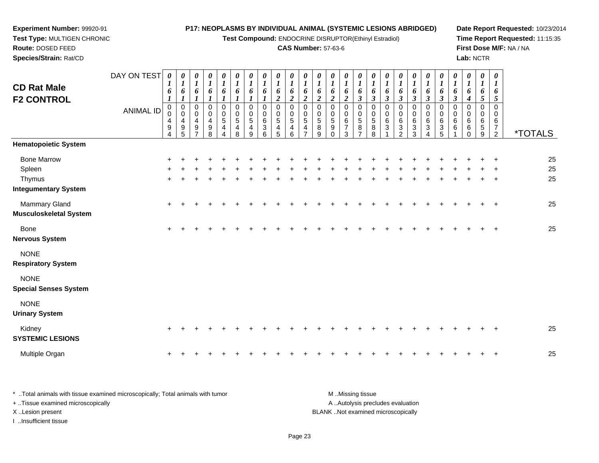**Test Compound:** ENDOCRINE DISRUPTOR(Ethinyl Estradiol)

### **CAS Number:** 57-63-6

**Date Report Requested:** 10/23/2014**Time Report Requested:** 11:15:35**First Dose M/F:** NA / NA**Lab:** NCTR

|                                                | DAY ON TEST      | $\boldsymbol{\theta}$                                                     | $\boldsymbol{\theta}$                                               | 0                                         | 0                                              | 0                          | 0                                                                 | 0                                                                 | $\boldsymbol{\theta}$                          | 0                                      | $\boldsymbol{\theta}$                     | 0                          | 0                                           | 0                                                               | 0                                        | 0                                                 | 0                                         | 0                                | 0                                            | 0                                                       | $\boldsymbol{\theta}$                      | 0                              | 0                                             | 0                                         | 0                                              | 0                                                      |                       |
|------------------------------------------------|------------------|---------------------------------------------------------------------------|---------------------------------------------------------------------|-------------------------------------------|------------------------------------------------|----------------------------|-------------------------------------------------------------------|-------------------------------------------------------------------|------------------------------------------------|----------------------------------------|-------------------------------------------|----------------------------|---------------------------------------------|-----------------------------------------------------------------|------------------------------------------|---------------------------------------------------|-------------------------------------------|----------------------------------|----------------------------------------------|---------------------------------------------------------|--------------------------------------------|--------------------------------|-----------------------------------------------|-------------------------------------------|------------------------------------------------|--------------------------------------------------------|-----------------------|
| <b>CD Rat Male</b><br><b>F2 CONTROL</b>        |                  | 6                                                                         | $\boldsymbol{l}$<br>6<br>$\boldsymbol{l}$                           | $\boldsymbol{l}$<br>6<br>$\boldsymbol{l}$ | $\boldsymbol{l}$<br>6                          | $\boldsymbol{l}$<br>6      | $\boldsymbol{l}$<br>6                                             | $\boldsymbol{l}$<br>6                                             | $\boldsymbol{l}$<br>6                          | 1<br>6<br>$\boldsymbol{2}$             | $\boldsymbol{l}$<br>6<br>$\boldsymbol{2}$ | 1<br>6<br>$\boldsymbol{2}$ | 6<br>$\boldsymbol{2}$                       | 1<br>6<br>$\boldsymbol{2}$                                      | $\bm{l}$<br>6<br>$\overline{2}$          | $\boldsymbol{l}$<br>6<br>$\boldsymbol{\beta}$     | $\boldsymbol{I}$<br>6<br>$\mathfrak{z}$   | 1<br>6<br>$\boldsymbol{\beta}$   | $\boldsymbol{l}$<br>6<br>$\mathfrak{z}$      | 1<br>6<br>$\boldsymbol{\beta}$                          | 6<br>$\mathfrak{z}$                        | 1<br>6<br>$\boldsymbol{\beta}$ | $\boldsymbol{l}$<br>6<br>$\boldsymbol{\beta}$ | $\boldsymbol{l}$<br>6<br>$\boldsymbol{4}$ | $\boldsymbol{l}$<br>6<br>$\sqrt{5}$            | 1<br>6<br>5                                            |                       |
|                                                | <b>ANIMAL ID</b> | $\begin{smallmatrix}0\0\0\end{smallmatrix}$<br>4<br>$\boldsymbol{9}$<br>4 | $\pmb{0}$<br>$\mathbf 0$<br>$\overline{4}$<br>$\boldsymbol{9}$<br>5 | $\mathbf 0$<br>0<br>4<br>$\boldsymbol{9}$ | $\mathbf 0$<br>0<br>4<br>$\boldsymbol{9}$<br>8 | $\mathbf 0$<br>0<br>5<br>4 | $\mathsf 0$<br>$\pmb{0}$<br>$\overline{5}$<br>$\overline{4}$<br>8 | $\mathbf 0$<br>$\pmb{0}$<br>$\overline{5}$<br>$\overline{4}$<br>9 | $\mathbf 0$<br>0<br>$\,6\,$<br>$\sqrt{3}$<br>6 | $\Omega$<br>0<br>$\,$ 5 $\,$<br>4<br>5 | $\Omega$<br>0<br>$\sqrt{5}$<br>4<br>6     | $\Omega$<br>0<br>5<br>4    | $\overline{0}$<br>0<br>$\sqrt{5}$<br>8<br>9 | $\mathbf{0}$<br>0<br>$\sqrt{5}$<br>$\boldsymbol{9}$<br>$\Omega$ | 0<br>0<br>$\,6\,$<br>$\overline{7}$<br>3 | 0<br>0<br>$\sqrt{5}$<br>$\bf 8$<br>$\overline{7}$ | $\mathbf{0}$<br>0<br>$\sqrt{5}$<br>8<br>8 | $\mathbf 0$<br>0<br>$\,6\,$<br>3 | $\mathbf 0$<br>0<br>$\,6$<br>$\sqrt{3}$<br>2 | $\mathbf 0$<br>0<br>6<br>$\ensuremath{\mathsf{3}}$<br>3 | $\overline{0}$<br>0<br>$\,6$<br>$\sqrt{3}$ | 0<br>0<br>$\,6\,$<br>3<br>5    | 0<br>0<br>$\,6$<br>$\,6\,$                    | $\mathsf 0$<br>0<br>6<br>6<br>$\Omega$    | $\mathbf 0$<br>0<br>$\,6\,$<br>$\sqrt{5}$<br>9 | $\Omega$<br>0<br>6<br>$\overline{7}$<br>$\overline{2}$ | <i><b>*TOTALS</b></i> |
| <b>Hematopoietic System</b>                    |                  |                                                                           |                                                                     |                                           |                                                |                            |                                                                   |                                                                   |                                                |                                        |                                           |                            |                                             |                                                                 |                                          |                                                   |                                           |                                  |                                              |                                                         |                                            |                                |                                               |                                           |                                                |                                                        |                       |
| <b>Bone Marrow</b><br>Spleen                   |                  |                                                                           |                                                                     |                                           |                                                |                            |                                                                   |                                                                   |                                                |                                        |                                           |                            |                                             |                                                                 |                                          |                                                   |                                           |                                  |                                              |                                                         |                                            |                                |                                               |                                           |                                                |                                                        | 25<br>25<br>25        |
| Thymus<br><b>Integumentary System</b>          |                  |                                                                           |                                                                     |                                           |                                                |                            |                                                                   |                                                                   |                                                |                                        |                                           |                            |                                             |                                                                 |                                          |                                                   |                                           |                                  |                                              |                                                         |                                            |                                |                                               |                                           |                                                |                                                        |                       |
| Mammary Gland<br><b>Musculoskeletal System</b> |                  | $\ddot{}$                                                                 |                                                                     |                                           |                                                |                            |                                                                   |                                                                   |                                                |                                        |                                           |                            |                                             |                                                                 |                                          |                                                   |                                           |                                  |                                              |                                                         |                                            |                                |                                               |                                           |                                                |                                                        | 25                    |
| <b>Bone</b><br><b>Nervous System</b>           |                  | $+$                                                                       |                                                                     |                                           |                                                |                            |                                                                   |                                                                   |                                                |                                        |                                           |                            |                                             |                                                                 |                                          |                                                   |                                           |                                  |                                              |                                                         |                                            |                                |                                               |                                           |                                                |                                                        | 25                    |
| <b>NONE</b><br><b>Respiratory System</b>       |                  |                                                                           |                                                                     |                                           |                                                |                            |                                                                   |                                                                   |                                                |                                        |                                           |                            |                                             |                                                                 |                                          |                                                   |                                           |                                  |                                              |                                                         |                                            |                                |                                               |                                           |                                                |                                                        |                       |
| <b>NONE</b><br><b>Special Senses System</b>    |                  |                                                                           |                                                                     |                                           |                                                |                            |                                                                   |                                                                   |                                                |                                        |                                           |                            |                                             |                                                                 |                                          |                                                   |                                           |                                  |                                              |                                                         |                                            |                                |                                               |                                           |                                                |                                                        |                       |
| <b>NONE</b><br><b>Urinary System</b>           |                  |                                                                           |                                                                     |                                           |                                                |                            |                                                                   |                                                                   |                                                |                                        |                                           |                            |                                             |                                                                 |                                          |                                                   |                                           |                                  |                                              |                                                         |                                            |                                |                                               |                                           |                                                |                                                        |                       |
| Kidney<br><b>SYSTEMIC LESIONS</b>              |                  | $\ddot{}$                                                                 |                                                                     |                                           |                                                |                            |                                                                   |                                                                   |                                                |                                        |                                           |                            |                                             |                                                                 |                                          |                                                   |                                           |                                  |                                              |                                                         |                                            |                                |                                               |                                           |                                                |                                                        | 25                    |
| Multiple Organ                                 |                  | +                                                                         |                                                                     |                                           |                                                |                            |                                                                   |                                                                   |                                                |                                        |                                           |                            |                                             |                                                                 |                                          |                                                   |                                           |                                  |                                              |                                                         |                                            |                                |                                               |                                           |                                                |                                                        | 25                    |

\* ..Total animals with tissue examined microscopically; Total animals with tumor **M** . Missing tissue M ..Missing tissue A ..Autolysis precludes evaluation + ..Tissue examined microscopically X ..Lesion present BLANK ..Not examined microscopicallyI ..Insufficient tissue

**Experiment Number:** 99920-91**Test Type:** MULTIGEN CHRONIC

**Route:** DOSED FEED**Species/Strain:** Rat/CD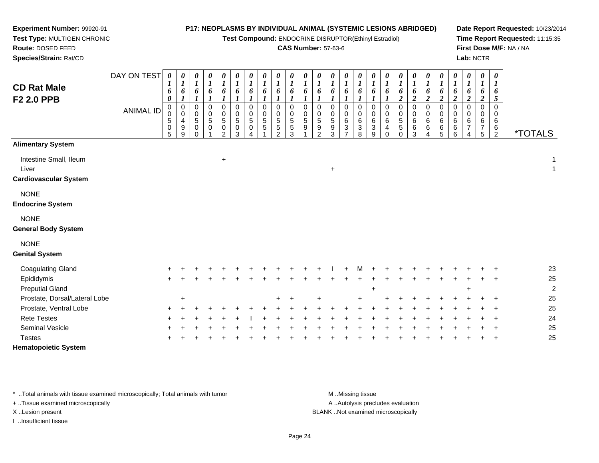**Test Compound:** ENDOCRINE DISRUPTOR(Ethinyl Estradiol)

**Date Report Requested:** 10/23/2014**Time Report Requested:** 11:15:35**First Dose M/F:** NA / NA**Lab:** NCTR

<sup>2</sup> \*TOTALS

**Route:** DOSED FEED **Species/Strain:** Rat/CD**CAS Number:** 57-63-6DAY ON TEST**CD Rat MaleF2 2.0 PPB**ANIMAL ID*0 1 6 0* 0 0 5 0 5*0 1 6 1* 0 0 4 9 9*0 1 6 1*0<br>0<br>5<br>0<br>0 *0 1 6 1* 0 0 5 0 1*0 1 6 1* 0 0 5 0 2*0 1 6 1* 0 0 5 0 3*0 1 6 1* 0 0 5 0 4*0 1 6 1* 0 0 5 5 1*0 1 6 1* 0 0 5 5 2*0 1 6 1* 0 0 5 5 3*0 1 6 1* 0 0 5 9 1*0 1 6 1* 0 0 5 9 2*0 1 6 1* 0 0 5 9 3*0 1 6 1* 00 6 3 7

# **Alimentary System**

**Experiment Number:** 99920-91**Test Type:** MULTIGEN CHRONIC

Intestine Small, Ileum $+$  1 Liver <sup>+</sup> $\overline{1}$ **Cardiovascular System**

### NONE

**Endocrine System**

## NONE

**General Body System**

#### NONE

**Genital System**

| <b>Coagulating Gland</b>      | $+$ |        |        |  |  |         | $+$ | $+$ | M     | $+$   | $+$ $-$ |     | $+$ $+$ $+$ |  |     | $+$ $+$ | 23             |
|-------------------------------|-----|--------|--------|--|--|---------|-----|-----|-------|-------|---------|-----|-------------|--|-----|---------|----------------|
| Epididymis                    | $+$ |        |        |  |  |         |     |     |       |       |         |     |             |  |     | $+$ $+$ | 25             |
| <b>Preputial Gland</b>        |     |        |        |  |  |         |     |     |       | $\pm$ |         |     |             |  | $+$ |         | $\overline{2}$ |
| Prostate, Dorsal/Lateral Lobe |     | $\div$ |        |  |  | $+$ $+$ |     |     | $\pm$ |       | $+$     |     |             |  |     |         | 25             |
| Prostate, Ventral Lobe        | $+$ |        |        |  |  |         |     |     |       |       |         | $+$ |             |  |     | $+$ $+$ | 25             |
| <b>Rete Testes</b>            | $+$ |        | $\div$ |  |  |         |     |     |       |       |         |     |             |  |     | $+$ $+$ | 24             |
| <b>Seminal Vesicle</b>        | $+$ |        |        |  |  |         |     |     |       |       |         |     | ÷.          |  |     | $+$ $+$ | 25             |
| <b>Testes</b>                 | $+$ |        |        |  |  |         |     |     |       |       |         |     |             |  |     | $+$ $+$ | 25             |
| <b>Hematopoietic System</b>   |     |        |        |  |  |         |     |     |       |       |         |     |             |  |     |         |                |

\* ..Total animals with tissue examined microscopically; Total animals with tumor **M** ..Missing tissue M ..Missing tissue

+ ..Tissue examined microscopically

I ..Insufficient tissue

A ..Autolysis precludes evaluation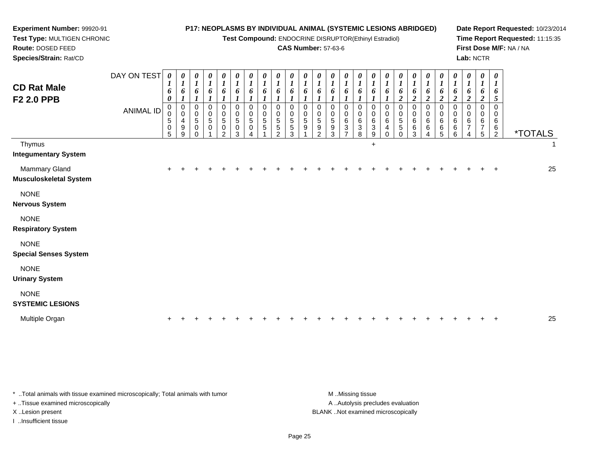| Experiment Number: 99920-91                           |                  |                                        |                                 |                                               |                                    |                                                  |                                        |                                   |                         |                                          | P17: NEOPLASMS BY INDIVIDUAL ANIMAL (SYSTEMIC LESIONS ABRIDGED) |                             |                                              |                                 |                                                |                                 |                                     |                                     |                                                     |                                                |                                              |                               |                                        |                                                     |                                        |                                           | Date Report Requested: 10/23/2014 |  |
|-------------------------------------------------------|------------------|----------------------------------------|---------------------------------|-----------------------------------------------|------------------------------------|--------------------------------------------------|----------------------------------------|-----------------------------------|-------------------------|------------------------------------------|-----------------------------------------------------------------|-----------------------------|----------------------------------------------|---------------------------------|------------------------------------------------|---------------------------------|-------------------------------------|-------------------------------------|-----------------------------------------------------|------------------------------------------------|----------------------------------------------|-------------------------------|----------------------------------------|-----------------------------------------------------|----------------------------------------|-------------------------------------------|-----------------------------------|--|
| Test Type: MULTIGEN CHRONIC                           |                  |                                        |                                 |                                               |                                    |                                                  |                                        |                                   |                         |                                          | Test Compound: ENDOCRINE DISRUPTOR(Ethinyl Estradiol)           |                             |                                              |                                 |                                                |                                 |                                     |                                     |                                                     |                                                |                                              |                               |                                        |                                                     |                                        |                                           | Time Report Requested: 11:15:35   |  |
| Route: DOSED FEED                                     |                  |                                        |                                 |                                               |                                    |                                                  |                                        |                                   |                         |                                          | <b>CAS Number: 57-63-6</b>                                      |                             |                                              |                                 |                                                |                                 |                                     |                                     |                                                     |                                                |                                              |                               |                                        |                                                     |                                        |                                           | First Dose M/F: NA / NA           |  |
| Species/Strain: Rat/CD                                |                  |                                        |                                 |                                               |                                    |                                                  |                                        |                                   |                         |                                          |                                                                 |                             |                                              |                                 |                                                |                                 |                                     |                                     |                                                     |                                                |                                              |                               |                                        |                                                     | Lab: NCTR                              |                                           |                                   |  |
| <b>CD Rat Male</b><br>F <sub>2</sub> 2.0 PPB          | DAY ON TEST      | 0<br>6<br>0                            | 0<br>$\boldsymbol{l}$<br>6      | 0<br>1<br>6                                   | $\boldsymbol{\theta}$<br>6         | 0<br>$\boldsymbol{I}$<br>6<br>$\boldsymbol{l}$   | 0<br>1<br>6<br>$\boldsymbol{l}$        | $\boldsymbol{\theta}$<br>6        | 0<br>1<br>6             | 0<br>6                                   | $\boldsymbol{\theta}$<br>6                                      | $\boldsymbol{\theta}$<br>6  | 1<br>6                                       | $\boldsymbol{\theta}$<br>6      | $\boldsymbol{\theta}$<br>$\boldsymbol{l}$<br>6 | 0<br>$\boldsymbol{l}$<br>6      | 0<br>$\boldsymbol{\mathit{1}}$<br>6 | $\boldsymbol{\theta}$<br>6          | $\boldsymbol{\theta}$<br>1<br>6<br>$\boldsymbol{2}$ | $\boldsymbol{\theta}$<br>6<br>$\boldsymbol{2}$ | $\boldsymbol{\theta}$<br>6<br>$\overline{2}$ | 0<br>1<br>6<br>$\overline{c}$ | $\boldsymbol{\theta}$<br>6<br>2        | $\boldsymbol{\theta}$<br>1<br>6<br>$\boldsymbol{2}$ | 0<br>$\bm{l}$<br>6<br>$\boldsymbol{2}$ | 0<br>6<br>5                               |                                   |  |
|                                                       | <b>ANIMAL ID</b> | $\mathbf 0$<br>$\Omega$<br>5<br>0<br>5 | $\mathbf 0$<br>0<br>4<br>9<br>9 | $\mathbf 0$<br>0<br>5<br>$\Omega$<br>$\Omega$ | $\pmb{0}$<br>$\mathbf 0$<br>5<br>0 | $\Omega$<br>$\Omega$<br>5<br>0<br>$\mathfrak{p}$ | $\mathbf 0$<br>$\Omega$<br>5<br>0<br>3 | $\mathbf 0$<br>$\Omega$<br>5<br>0 | $\Omega$<br>0<br>5<br>5 | $\Omega$<br>0<br>5<br>5<br>$\mathcal{P}$ | $\mathbf 0$<br>0<br>5<br>5<br>3                                 | $\mathbf{0}$<br>0<br>5<br>9 | $\mathbf 0$<br>0<br>5<br>9<br>$\mathfrak{p}$ | $\mathbf 0$<br>0<br>5<br>9<br>3 | 0<br>0<br>6<br>3                               | $\mathbf 0$<br>0<br>6<br>3<br>8 | $\mathbf 0$<br>0<br>6<br>3<br>9     | $\Omega$<br>$\Omega$<br>6<br>4<br>0 | $\mathbf{0}$<br>0<br>5<br>5                         | $\Omega$<br>0<br>6<br>6<br>3                   | $\Omega$<br>$\Omega$<br>6<br>6               | 0<br>0<br>6<br>6<br>5         | $\mathbf 0$<br>$\Omega$<br>6<br>6<br>6 | $\mathbf 0$<br>$\Omega$<br>6<br>4                   | $\mathbf 0$<br>0<br>6<br>7<br>5        | $\Omega$<br>0<br>6<br>6<br>$\overline{2}$ | <i><b>*TOTALS</b></i>             |  |
| Thymus<br><b>Integumentary System</b>                 |                  |                                        |                                 |                                               |                                    |                                                  |                                        |                                   |                         |                                          |                                                                 |                             |                                              |                                 |                                                |                                 | $\ddot{}$                           |                                     |                                                     |                                                |                                              |                               |                                        |                                                     |                                        |                                           |                                   |  |
| <b>Mammary Gland</b><br><b>Musculoskeletal System</b> |                  |                                        |                                 |                                               |                                    |                                                  |                                        |                                   |                         |                                          |                                                                 |                             |                                              |                                 |                                                |                                 |                                     |                                     |                                                     |                                                |                                              |                               |                                        |                                                     |                                        |                                           | 25                                |  |
| <b>NONE</b><br><b>Nervous System</b>                  |                  |                                        |                                 |                                               |                                    |                                                  |                                        |                                   |                         |                                          |                                                                 |                             |                                              |                                 |                                                |                                 |                                     |                                     |                                                     |                                                |                                              |                               |                                        |                                                     |                                        |                                           |                                   |  |
| <b>NONE</b><br><b>Respiratory System</b>              |                  |                                        |                                 |                                               |                                    |                                                  |                                        |                                   |                         |                                          |                                                                 |                             |                                              |                                 |                                                |                                 |                                     |                                     |                                                     |                                                |                                              |                               |                                        |                                                     |                                        |                                           |                                   |  |
| <b>NONE</b><br><b>Special Senses System</b>           |                  |                                        |                                 |                                               |                                    |                                                  |                                        |                                   |                         |                                          |                                                                 |                             |                                              |                                 |                                                |                                 |                                     |                                     |                                                     |                                                |                                              |                               |                                        |                                                     |                                        |                                           |                                   |  |
| <b>NONE</b><br><b>Urinary System</b>                  |                  |                                        |                                 |                                               |                                    |                                                  |                                        |                                   |                         |                                          |                                                                 |                             |                                              |                                 |                                                |                                 |                                     |                                     |                                                     |                                                |                                              |                               |                                        |                                                     |                                        |                                           |                                   |  |
| <b>NONE</b><br><b>SYSTEMIC LESIONS</b>                |                  |                                        |                                 |                                               |                                    |                                                  |                                        |                                   |                         |                                          |                                                                 |                             |                                              |                                 |                                                |                                 |                                     |                                     |                                                     |                                                |                                              |                               |                                        |                                                     |                                        |                                           |                                   |  |
| Multiple Organ                                        |                  |                                        |                                 |                                               |                                    |                                                  |                                        |                                   |                         |                                          |                                                                 |                             |                                              |                                 |                                                |                                 |                                     |                                     |                                                     |                                                |                                              |                               |                                        |                                                     |                                        |                                           | 25                                |  |

\* ..Total animals with tissue examined microscopically; Total animals with tumor M..Missing tissue M ..Missing tissue + ..Tissue examined microscopically X ..Lesion present BLANK ..Not examined microscopically

I ..Insufficient tissue

A ..Autolysis precludes evaluation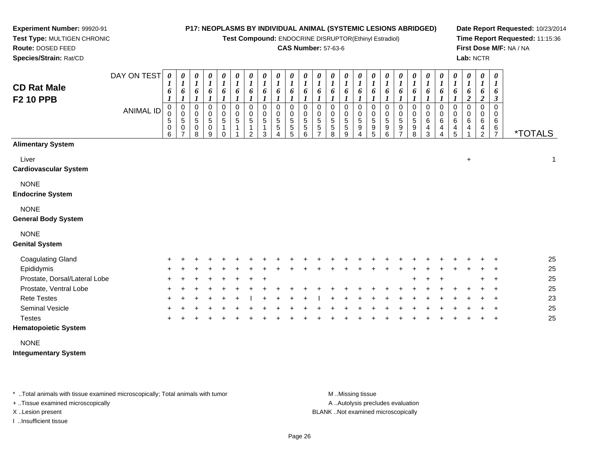**Test Compound:** ENDOCRINE DISRUPTOR(Ethinyl Estradiol)

### **CAS Number:** 57-63-6

**Date Report Requested:** 10/23/2014**Time Report Requested:** 11:15:36**First Dose M/F:** NA / NA**Lab:** NCTR

| <b>CD Rat Male</b><br><b>F2 10 PPB</b>       | DAY ON TEST | 0<br>$\mathbf{I}$<br>6                         | 0<br>$\boldsymbol{I}$<br>6                            | 0<br>$\boldsymbol{l}$<br>6      | 0<br>$\boldsymbol{l}$<br>6                | 0<br>1<br>6           | $\boldsymbol{\theta}$<br>$\boldsymbol{l}$<br>6 | 0<br>$\boldsymbol{l}$<br>6               | 0<br>$\boldsymbol{l}$<br>6                      | 0<br>6                            | $\boldsymbol{\theta}$<br>$\boldsymbol{l}$<br>6   | 0<br>$\boldsymbol{l}$<br>6 | 0<br>6                            | 0<br>6                | 0<br>1<br>6                              | 0<br>$\boldsymbol{l}$<br>6              | 0<br>$\boldsymbol{l}$<br>6                      | 0<br>6                       | 0<br>$\boldsymbol{l}$<br>6                          | 0<br>$\boldsymbol{l}$<br>6 | 0<br>6                                 | 0<br>6                                  | $\pmb{\theta}$<br>1<br>6        | 0<br>$\boldsymbol{l}$<br>6<br>$\overline{c}$ | $\pmb{\theta}$<br>$\boldsymbol{l}$<br>6<br>$\overline{2}$ | 0<br>1<br>6<br>3                          |                       |
|----------------------------------------------|-------------|------------------------------------------------|-------------------------------------------------------|---------------------------------|-------------------------------------------|-----------------------|------------------------------------------------|------------------------------------------|-------------------------------------------------|-----------------------------------|--------------------------------------------------|----------------------------|-----------------------------------|-----------------------|------------------------------------------|-----------------------------------------|-------------------------------------------------|------------------------------|-----------------------------------------------------|----------------------------|----------------------------------------|-----------------------------------------|---------------------------------|----------------------------------------------|-----------------------------------------------------------|-------------------------------------------|-----------------------|
|                                              | ANIMAL ID   | 0<br>$\mathbf 0$<br>5<br>$\boldsymbol{0}$<br>6 | 0<br>$\mathbf 0$<br>$\sqrt{5}$<br>0<br>$\overline{ }$ | 0<br>$\mathbf 0$<br>5<br>0<br>8 | $\mathbf 0$<br>$\mathbf 0$<br>5<br>0<br>9 | $\mathbf 0$<br>0<br>5 | 0<br>$\mathbf 0$<br>$\sqrt{5}$<br>1            | 0<br>$\pmb{0}$<br>5<br>$\mathbf{1}$<br>2 | $\Omega$<br>$\mathbf 0$<br>$\sqrt{5}$<br>1<br>3 | $\Omega$<br>$\mathbf 0$<br>5<br>5 | $\Omega$<br>$\mathbf 0$<br>5<br>$\,$ 5 $\,$<br>5 | 0<br>5<br>5<br>6           | $\Omega$<br>$\mathbf 0$<br>5<br>5 | 0<br>0<br>5<br>5<br>8 | 0<br>0<br>$\,$ 5 $\,$<br>$\sqrt{5}$<br>9 | 0<br>$\pmb{0}$<br>5<br>$\boldsymbol{9}$ | $\Omega$<br>$\mathbf 0$<br>$\sqrt{5}$<br>9<br>5 | $\Omega$<br>0<br>5<br>9<br>6 | $\Omega$<br>0<br>$\,$ 5 $\,$<br>9<br>$\overline{ }$ | 0<br>0<br>5<br>9<br>8      | $\Omega$<br>$\mathbf 0$<br>6<br>4<br>3 | $\Omega$<br>$\mathbf 0$<br>$\,6\,$<br>4 | 0<br>$\mathbf 0$<br>6<br>4<br>5 | $\Omega$<br>0<br>6<br>4                      | $\Omega$<br>$\mathbf 0$<br>6<br>4<br>$\overline{2}$       | $\Omega$<br>0<br>6<br>6<br>$\overline{7}$ | <i><b>*TOTALS</b></i> |
| <b>Alimentary System</b>                     |             |                                                |                                                       |                                 |                                           |                       |                                                |                                          |                                                 |                                   |                                                  |                            |                                   |                       |                                          |                                         |                                                 |                              |                                                     |                            |                                        |                                         |                                 |                                              |                                                           |                                           |                       |
| Liver<br><b>Cardiovascular System</b>        |             |                                                |                                                       |                                 |                                           |                       |                                                |                                          |                                                 |                                   |                                                  |                            |                                   |                       |                                          |                                         |                                                 |                              |                                                     |                            |                                        |                                         |                                 | $\ddot{}$                                    |                                                           |                                           | 1                     |
| <b>NONE</b><br><b>Endocrine System</b>       |             |                                                |                                                       |                                 |                                           |                       |                                                |                                          |                                                 |                                   |                                                  |                            |                                   |                       |                                          |                                         |                                                 |                              |                                                     |                            |                                        |                                         |                                 |                                              |                                                           |                                           |                       |
| <b>NONE</b><br><b>General Body System</b>    |             |                                                |                                                       |                                 |                                           |                       |                                                |                                          |                                                 |                                   |                                                  |                            |                                   |                       |                                          |                                         |                                                 |                              |                                                     |                            |                                        |                                         |                                 |                                              |                                                           |                                           |                       |
| <b>NONE</b><br><b>Genital System</b>         |             |                                                |                                                       |                                 |                                           |                       |                                                |                                          |                                                 |                                   |                                                  |                            |                                   |                       |                                          |                                         |                                                 |                              |                                                     |                            |                                        |                                         |                                 |                                              |                                                           |                                           |                       |
| <b>Coagulating Gland</b>                     |             |                                                |                                                       |                                 |                                           |                       |                                                |                                          |                                                 |                                   |                                                  |                            |                                   |                       |                                          |                                         |                                                 |                              |                                                     |                            |                                        |                                         |                                 |                                              |                                                           |                                           | 25                    |
| Epididymis                                   |             |                                                |                                                       |                                 |                                           |                       |                                                |                                          |                                                 |                                   |                                                  |                            |                                   |                       |                                          |                                         |                                                 |                              |                                                     |                            |                                        |                                         |                                 |                                              |                                                           |                                           | 25                    |
| Prostate, Dorsal/Lateral Lobe                |             |                                                |                                                       |                                 |                                           |                       |                                                |                                          |                                                 |                                   |                                                  |                            |                                   |                       |                                          |                                         |                                                 |                              |                                                     |                            |                                        |                                         |                                 |                                              |                                                           |                                           | 25                    |
| Prostate, Ventral Lobe                       |             |                                                |                                                       |                                 |                                           |                       |                                                |                                          |                                                 |                                   |                                                  |                            |                                   |                       |                                          |                                         |                                                 |                              |                                                     |                            |                                        |                                         |                                 |                                              |                                                           |                                           | 25                    |
| <b>Rete Testes</b>                           |             |                                                |                                                       |                                 |                                           |                       |                                                |                                          |                                                 |                                   |                                                  |                            |                                   |                       |                                          |                                         |                                                 |                              |                                                     |                            |                                        |                                         |                                 |                                              |                                                           |                                           | 23                    |
| Seminal Vesicle                              |             |                                                |                                                       |                                 |                                           |                       |                                                |                                          |                                                 |                                   |                                                  |                            |                                   |                       |                                          |                                         |                                                 |                              |                                                     |                            |                                        |                                         |                                 |                                              |                                                           |                                           | 25                    |
| <b>Testes</b><br><b>Hematopoietic System</b> |             |                                                |                                                       |                                 |                                           |                       |                                                |                                          |                                                 |                                   |                                                  |                            |                                   |                       |                                          |                                         |                                                 |                              |                                                     |                            |                                        |                                         |                                 |                                              |                                                           | $\ddot{}$                                 | 25                    |

NONE

**Integumentary System**

**Experiment Number:** 99920-91**Test Type:** MULTIGEN CHRONIC

**Route:** DOSED FEED**Species/Strain:** Rat/CD

\* ..Total animals with tissue examined microscopically; Total animals with tumor **M** . Missing tissue M ..Missing tissue

+ ..Tissue examined microscopically

I ..Insufficient tissue

A ..Autolysis precludes evaluation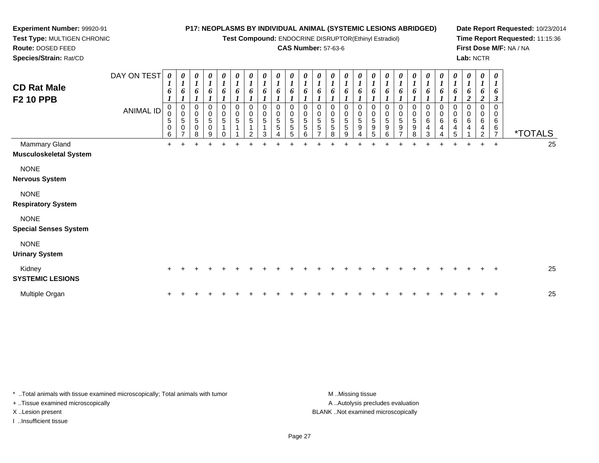**Test Compound:** ENDOCRINE DISRUPTOR(Ethinyl Estradiol)

## **CAS Number:** 57-63-6

**Date Report Requested:** 10/23/2014**Time Report Requested:** 11:15:36**First Dose M/F:** NA / NA**Lab:** NCTR

 **Test Type:** MULTIGEN CHRONIC**Route:** DOSED FEED **Species/Strain:** Rat/CDDAY ON TEST*0000000000000000000000000***CD Rat Male**

**Experiment Number:** 99920-91

| <b>CD Rat Male</b><br><b>F2 10 PPB</b>         | ANIMAL ID | $\boldsymbol{l}$<br>6<br>0<br>$\mathbf 0$<br>$\sqrt{5}$<br>$\pmb{0}$<br>6 | $\mathbf{I}$<br>6<br>0<br>$\pmb{0}$<br>5<br>$\pmb{0}$<br>$\overline{ }$ | $\boldsymbol{I}$<br>6<br>$\pmb{0}$<br>$\sqrt{5}$<br>$\pmb{0}$<br>8 | 1<br>6<br>0<br>$\pmb{0}$<br>$\mathbf 5$<br>$\mathbf 0$<br>9 | $\mathbf{I}$<br>6<br>0<br>$\mathbf 0$<br>$\overline{5}$ | 6<br>0<br>$\mathsf{O}\xspace$<br>$\overline{5}$ | 1<br>6<br>0<br>$\mathbf 0$<br>$\overline{5}$ | 6<br>0<br>$\pmb{0}$<br>$\sqrt{5}$<br>3 | $\overline{1}$<br>6<br>0<br>$\pmb{0}$<br>5<br>5 | 6<br>0<br>$\sqrt{5}$<br>$\mathbf 5$<br>5 | 6<br>$\pmb{0}$<br>$\sqrt{5}$<br>5<br>6 | 6<br>0<br>0<br>5<br>5 | 6<br>0<br>5<br>5<br>8 | 6<br>0<br>$\,0\,$<br>$\sqrt{5}$<br>5<br>9 | 6<br>0<br>$\,0\,$<br>$\overline{5}$<br>$\boldsymbol{9}$ | 6<br>0<br>$\pmb{0}$<br>$\sqrt{5}$<br>$\boldsymbol{9}$<br>5 | 6<br>0<br>5<br>9 | 6<br>0<br>$\overline{5}$<br>$\boldsymbol{9}$ | 6<br>0<br>$\frac{0}{5}$<br>9<br>8 | $\mathbf{I}$<br>6<br>0<br>6<br>$\overline{\mathbf{4}}$<br>3 | 6<br>$\pmb{0}$<br>$\,6\,$<br>4 | $\mathbf{I}$<br>6<br>0<br>0<br>6<br>4<br>5 | $\boldsymbol{I}$<br>6<br>$\overline{2}$<br>0<br>6<br>4 | $\boldsymbol{l}$<br>6<br>$\boldsymbol{2}$<br>0<br>$\mathbf 0$<br>6<br>4<br>ົ | $\boldsymbol{l}$<br>6<br>3<br>$\mathbf 0$<br>0<br>6<br>$\,6\,$<br>$\overline{z}$ | <i><b>*TOTALS</b></i> |
|------------------------------------------------|-----------|---------------------------------------------------------------------------|-------------------------------------------------------------------------|--------------------------------------------------------------------|-------------------------------------------------------------|---------------------------------------------------------|-------------------------------------------------|----------------------------------------------|----------------------------------------|-------------------------------------------------|------------------------------------------|----------------------------------------|-----------------------|-----------------------|-------------------------------------------|---------------------------------------------------------|------------------------------------------------------------|------------------|----------------------------------------------|-----------------------------------|-------------------------------------------------------------|--------------------------------|--------------------------------------------|--------------------------------------------------------|------------------------------------------------------------------------------|----------------------------------------------------------------------------------|-----------------------|
| Mammary Gland<br><b>Musculoskeletal System</b> |           | $+$                                                                       |                                                                         |                                                                    |                                                             |                                                         |                                                 |                                              |                                        |                                                 |                                          |                                        |                       |                       |                                           |                                                         |                                                            |                  |                                              |                                   |                                                             |                                |                                            |                                                        |                                                                              | $\overline{+}$                                                                   | 25                    |
| <b>NONE</b><br><b>Nervous System</b>           |           |                                                                           |                                                                         |                                                                    |                                                             |                                                         |                                                 |                                              |                                        |                                                 |                                          |                                        |                       |                       |                                           |                                                         |                                                            |                  |                                              |                                   |                                                             |                                |                                            |                                                        |                                                                              |                                                                                  |                       |
| <b>NONE</b><br><b>Respiratory System</b>       |           |                                                                           |                                                                         |                                                                    |                                                             |                                                         |                                                 |                                              |                                        |                                                 |                                          |                                        |                       |                       |                                           |                                                         |                                                            |                  |                                              |                                   |                                                             |                                |                                            |                                                        |                                                                              |                                                                                  |                       |
| <b>NONE</b><br><b>Special Senses System</b>    |           |                                                                           |                                                                         |                                                                    |                                                             |                                                         |                                                 |                                              |                                        |                                                 |                                          |                                        |                       |                       |                                           |                                                         |                                                            |                  |                                              |                                   |                                                             |                                |                                            |                                                        |                                                                              |                                                                                  |                       |
| <b>NONE</b><br><b>Urinary System</b>           |           |                                                                           |                                                                         |                                                                    |                                                             |                                                         |                                                 |                                              |                                        |                                                 |                                          |                                        |                       |                       |                                           |                                                         |                                                            |                  |                                              |                                   |                                                             |                                |                                            |                                                        |                                                                              |                                                                                  |                       |
| Kidney<br><b>SYSTEMIC LESIONS</b>              |           | $\ddot{}$                                                                 |                                                                         |                                                                    |                                                             |                                                         |                                                 |                                              |                                        |                                                 |                                          |                                        |                       |                       |                                           |                                                         |                                                            |                  |                                              |                                   |                                                             |                                |                                            |                                                        |                                                                              | $\ddot{}$                                                                        | 25                    |
| Multiple Organ                                 |           |                                                                           |                                                                         |                                                                    |                                                             |                                                         |                                                 |                                              |                                        |                                                 |                                          |                                        |                       |                       |                                           |                                                         |                                                            |                  |                                              |                                   |                                                             |                                |                                            |                                                        |                                                                              | $\ddot{}$                                                                        | 25                    |

\* ..Total animals with tissue examined microscopically; Total animals with tumor **M** ...Missing tissue M ...Missing tissue A .. Autolysis precludes evaluation + ..Tissue examined microscopically X ..Lesion present BLANK ..Not examined microscopicallyI ..Insufficient tissue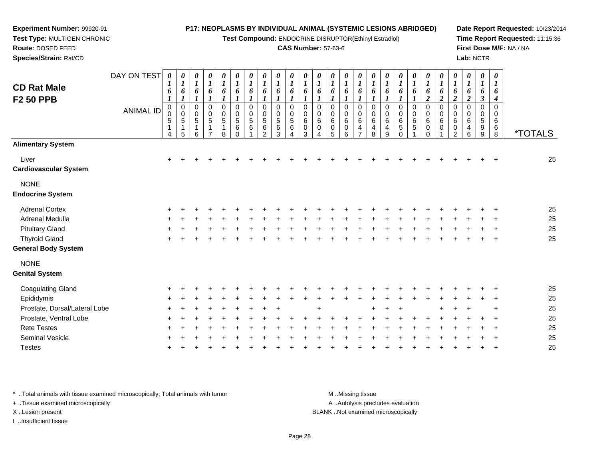**Test Compound:** ENDOCRINE DISRUPTOR(Ethinyl Estradiol)

### **CAS Number:** 57-63-6

**Date Report Requested:** 10/23/2014**Time Report Requested:** 11:15:36**First Dose M/F:** NA / NA**Lab:** NCTR

| Species/Strain: Rat/CD                 |                  |                            |                               |                                           |                                                              |                                                |                                                             |                                  |                                                      |                        |                                       |                                              |                         |                                      |                                                 |                                                   |                        |                        |                            |                            |                                              |                              |                            |                          | Lab: NCTR                                                      |                                                      |                       |
|----------------------------------------|------------------|----------------------------|-------------------------------|-------------------------------------------|--------------------------------------------------------------|------------------------------------------------|-------------------------------------------------------------|----------------------------------|------------------------------------------------------|------------------------|---------------------------------------|----------------------------------------------|-------------------------|--------------------------------------|-------------------------------------------------|---------------------------------------------------|------------------------|------------------------|----------------------------|----------------------------|----------------------------------------------|------------------------------|----------------------------|--------------------------|----------------------------------------------------------------|------------------------------------------------------|-----------------------|
| <b>CD Rat Male</b>                     | DAY ON TEST      | $\boldsymbol{\theta}$<br>6 | 0<br>$\boldsymbol{l}$<br>6    | 0<br>6                                    | 0<br>$\boldsymbol{l}$<br>6                                   | $\boldsymbol{\theta}$<br>$\boldsymbol{l}$<br>6 | 0<br>$\mathbf{I}$<br>6                                      | 0<br>$\boldsymbol{l}$<br>6       | 0<br>$\boldsymbol{l}$<br>6                           | 0<br>$\mathbf{I}$<br>6 | 0<br>6                                | $\boldsymbol{l}$<br>6                        | 0<br>6                  | 0<br>$\boldsymbol{l}$<br>6           | 0<br>$\boldsymbol{l}$<br>6                      | 0<br>6                                            | $\boldsymbol{l}$       | 6                      | $\boldsymbol{\theta}$<br>6 | 0<br>$\boldsymbol{l}$<br>6 | $\boldsymbol{\theta}$<br>6<br>$\overline{2}$ | 6<br>$\overline{\mathbf{2}}$ | $\overline{2}$             | 0<br>6<br>$\overline{c}$ | $\boldsymbol{\theta}$<br>$\boldsymbol{l}$<br>6<br>$\mathbf{3}$ | 0<br>$\boldsymbol{l}$<br>6                           |                       |
| <b>F2 50 PPB</b>                       | <b>ANIMAL ID</b> | 0<br>0<br>5<br>4           | $\pmb{0}$<br>$\mathbf 5$<br>5 | $\pmb{0}$<br>$\pmb{0}$<br>$\sqrt{5}$<br>6 | $\Omega$<br>$\boldsymbol{0}$<br>$\sqrt{5}$<br>$\overline{ }$ | $\pmb{0}$<br>5<br>8                            | 0<br>$\begin{array}{c} 0 \\ 5 \end{array}$<br>6<br>$\Omega$ | $\Omega$<br>0<br>$\sqrt{5}$<br>6 | $\mathbf 0$<br>$\sqrt{5}$<br>$\,6$<br>$\mathfrak{p}$ | 0<br>0<br>5<br>6<br>3  | $\Omega$<br>0<br>$\sqrt{5}$<br>6<br>4 | $\Omega$<br>0<br>$\,6\,$<br>$\mathbf 0$<br>3 | $\Omega$<br>0<br>6<br>0 | $\mathbf 0$<br>6<br>$\mathsf 0$<br>5 | 0<br>$\mathbf 0$<br>$\,6\,$<br>$\mathbf 0$<br>6 | $\mathbf 0$<br>6<br>4<br>$\overline{\phantom{0}}$ | 0<br>$\,6\,$<br>4<br>8 | 0<br>6<br>$\mathsf{Q}$ | 0<br>6<br>5<br>$\Omega$    | 0<br>6<br>5                | 0<br>0<br>$\,6$<br>$\pmb{0}$<br>$\Omega$     | 0<br>$\,6\,$<br>$\mathbf 0$  | 0<br>6<br>$\mathbf 0$<br>2 | 0<br>$\,6$<br>4<br>6     | 0<br>$\pmb{0}$<br>$\sqrt{5}$<br>$\boldsymbol{9}$<br>9          | $\boldsymbol{4}$<br>$\mathbf 0$<br>6<br>$\,6\,$<br>8 | <i><b>*TOTALS</b></i> |
| <b>Alimentary System</b>               |                  |                            |                               |                                           |                                                              |                                                |                                                             |                                  |                                                      |                        |                                       |                                              |                         |                                      |                                                 |                                                   |                        |                        |                            |                            |                                              |                              |                            |                          |                                                                |                                                      |                       |
| Liver<br><b>Cardiovascular System</b>  |                  | $\pm$                      |                               |                                           |                                                              |                                                |                                                             |                                  |                                                      |                        |                                       |                                              |                         |                                      |                                                 |                                                   |                        |                        |                            |                            |                                              |                              |                            |                          |                                                                | $\pm$                                                | 25                    |
| <b>NONE</b><br><b>Endocrine System</b> |                  |                            |                               |                                           |                                                              |                                                |                                                             |                                  |                                                      |                        |                                       |                                              |                         |                                      |                                                 |                                                   |                        |                        |                            |                            |                                              |                              |                            |                          |                                                                |                                                      |                       |
| <b>Adrenal Cortex</b>                  |                  |                            |                               |                                           |                                                              |                                                |                                                             |                                  |                                                      |                        |                                       |                                              |                         |                                      |                                                 |                                                   |                        |                        |                            |                            |                                              |                              |                            |                          |                                                                |                                                      | 25                    |
| Adrenal Medulla                        |                  |                            |                               |                                           |                                                              |                                                |                                                             |                                  |                                                      |                        |                                       |                                              |                         |                                      |                                                 |                                                   |                        |                        |                            |                            |                                              |                              |                            |                          | $\ddot{}$                                                      | $+$                                                  | 25                    |
| <b>Pituitary Gland</b>                 |                  |                            |                               |                                           |                                                              |                                                |                                                             |                                  |                                                      |                        |                                       |                                              |                         |                                      |                                                 |                                                   |                        |                        |                            |                            |                                              |                              |                            |                          | $\pm$                                                          | $+$                                                  | 25                    |
| <b>Thyroid Gland</b>                   |                  |                            |                               |                                           |                                                              |                                                |                                                             |                                  |                                                      |                        |                                       |                                              |                         |                                      |                                                 |                                                   |                        |                        |                            |                            |                                              |                              |                            |                          |                                                                | $\mathbf +$                                          | 25                    |
|                                        |                  |                            |                               |                                           |                                                              |                                                |                                                             |                                  |                                                      |                        |                                       |                                              |                         |                                      |                                                 |                                                   |                        |                        |                            |                            |                                              |                              |                            |                          |                                                                |                                                      |                       |

# **General Body System**

**Experiment Number:** 99920-91**Test Type:** MULTIGEN CHRONIC

**Route:** DOSED FEED

|  | ٠ |
|--|---|
|--|---|

#### **Genital System**

|  |  |                                                                         |                                  |  |           |  |  |                   |  |             |  |                                   |                                              |     | 25                                                       |
|--|--|-------------------------------------------------------------------------|----------------------------------|--|-----------|--|--|-------------------|--|-------------|--|-----------------------------------|----------------------------------------------|-----|----------------------------------------------------------|
|  |  |                                                                         |                                  |  |           |  |  |                   |  |             |  |                                   |                                              |     | 25                                                       |
|  |  |                                                                         |                                  |  |           |  |  |                   |  |             |  |                                   |                                              | $+$ | 25                                                       |
|  |  |                                                                         |                                  |  |           |  |  |                   |  |             |  |                                   |                                              |     | 25                                                       |
|  |  |                                                                         |                                  |  |           |  |  |                   |  |             |  |                                   |                                              |     | 25                                                       |
|  |  |                                                                         |                                  |  |           |  |  |                   |  |             |  |                                   |                                              |     | 25                                                       |
|  |  |                                                                         |                                  |  |           |  |  |                   |  |             |  |                                   |                                              |     | 25                                                       |
|  |  | $+$ $+$ $+$<br>$+$ $+$ $+$<br>$+$ $+$ $+$<br>$+$ $+$ $+$<br>$+$ $+$ $+$ | $+$ $-$<br>$+$<br>$+$ $-$<br>$+$ |  | + + + + + |  |  | + + + + + + + + + |  | $+$ $+$ $+$ |  | + + + + + + + + + + + + + + + + + | + + +<br>$+$<br>+ + + + + + + + +<br>$+$ $-$ |     | $+$ $+$ $+$<br>$+$ $+$ $+$<br>$+$ $+$ $+$<br>$+$ $+$ $+$ |

\* ..Total animals with tissue examined microscopically; Total animals with tumor **M** ...Missing tissue M ...Missing tissue

+ ..Tissue examined microscopically

I ..Insufficient tissue

A ..Autolysis precludes evaluation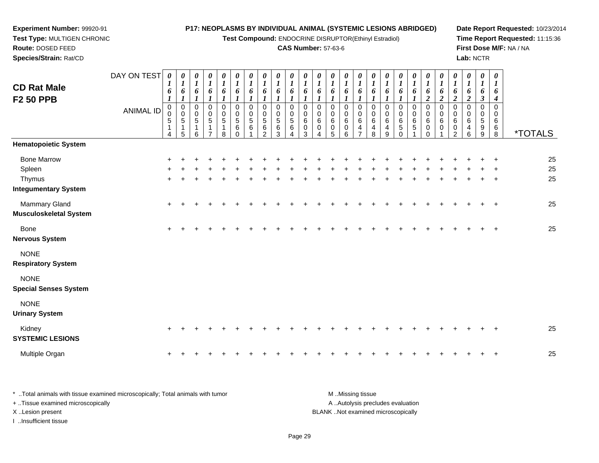**Test Compound:** ENDOCRINE DISRUPTOR(Ethinyl Estradiol)

0<br>0<br>6<br>0<br>2

0<br>06<br>0<br>0<br>0

**Date Report Requested:** 10/23/2014**Time Report Requested:** 11:15:36**First Dose M/F:** NA / NA**Lab:** NCTR

8 \*TOTALS

| Test Type: MULTIGEN CHRONIC |                  |        |                       |        |          |        |          |                      |        |        |        |                            |        |        | Test Compound: ENDOCRINE DISRUPTOR(Ethi |                       |
|-----------------------------|------------------|--------|-----------------------|--------|----------|--------|----------|----------------------|--------|--------|--------|----------------------------|--------|--------|-----------------------------------------|-----------------------|
| Route: DOSED FEED           |                  |        |                       |        |          |        |          |                      |        |        |        | <b>CAS Number: 57-63-6</b> |        |        |                                         |                       |
| Species/Strain: Rat/CD      |                  |        |                       |        |          |        |          |                      |        |        |        |                            |        |        |                                         |                       |
|                             | DAY ON TEST      |        | $\boldsymbol{\theta}$ | 0      | $\theta$ | 0      | $\theta$ | 0                    | 0      | O      | 0      | 0                          | 0      | 0      | 0                                       | $\boldsymbol{\theta}$ |
| <b>CD Rat Male</b>          |                  |        |                       |        |          |        |          |                      |        |        |        |                            |        |        |                                         |                       |
| <b>F2 50 PPB</b>            |                  | 6      | o                     | 6      | 6        | 6      | 6        | 6                    | h      | h      | 6      | 6                          | 6      | 6      | o                                       | 6                     |
|                             | <b>ANIMAL ID</b> |        | $\Omega$              | 0      | 0        | 0      | 0        | 0                    | 0      | 0      | 0      | 0                          | 0      | 0      | $\Omega$                                | 0                     |
|                             |                  | 0<br>5 | 0<br>5                | 0<br>5 | 0<br>5   | 0<br>5 | 0<br>5   | 0<br>$5\phantom{.0}$ | 0<br>5 | 0<br>5 | 0<br>5 | 0<br>6                     | 0<br>6 | 0<br>6 | 0<br>6                                  | 0<br>6                |
|                             |                  |        |                       |        |          |        | 6        | 6                    | 6      | 6      | 6      | 0                          | 0      | 0      | 0                                       | 4                     |
|                             |                  | 4      | 5                     | 6      |          | 8      |          |                      | ⌒      | 3      | 4      | 3                          | 4      | 5      | 6                                       |                       |

| <b>Hematopoietic System</b>   |     |  |  |  |   |  |  |  |  |     |     |  |     |         |    |
|-------------------------------|-----|--|--|--|---|--|--|--|--|-----|-----|--|-----|---------|----|
| <b>Bone Marrow</b>            | $+$ |  |  |  |   |  |  |  |  |     |     |  |     | $+$ $+$ | 25 |
| Spleen                        | $+$ |  |  |  |   |  |  |  |  | $+$ | $+$ |  |     | $+$ $+$ | 25 |
| Thymus                        | $+$ |  |  |  | + |  |  |  |  | $+$ |     |  | $+$ | $+$ $+$ | 25 |
| <b>Integumentary System</b>   |     |  |  |  |   |  |  |  |  |     |     |  |     |         |    |
| <b>Mammary Gland</b>          | $+$ |  |  |  |   |  |  |  |  |     |     |  |     | $+$ $+$ | 25 |
| <b>Musculoskeletal System</b> |     |  |  |  |   |  |  |  |  |     |     |  |     |         |    |
| Bone                          | $+$ |  |  |  |   |  |  |  |  |     |     |  |     | $+$     | 25 |
| <b>Nervous System</b>         |     |  |  |  |   |  |  |  |  |     |     |  |     |         |    |

NONE

**Respiratory System**

NONE

**Special Senses System**

**Experiment Number:** 99920-91

NONE

**Urinary System**

| Kidnev<br><b>SYSTEMIC LESIONS</b> |  |  |  |  |  |  |  |  |  |  |  |  |  | 25 |
|-----------------------------------|--|--|--|--|--|--|--|--|--|--|--|--|--|----|
| Multiple Organ                    |  |  |  |  |  |  |  |  |  |  |  |  |  | 25 |

| Total animals with tissue examined microscopically: Total animals with tumor | M Missing tissue                   |
|------------------------------------------------------------------------------|------------------------------------|
| + Tissue examined microscopically                                            | A Autolysis precludes evaluation   |
| X Lesion present                                                             | BLANK Not examined microscopically |
| Insufficient tissue                                                          |                                    |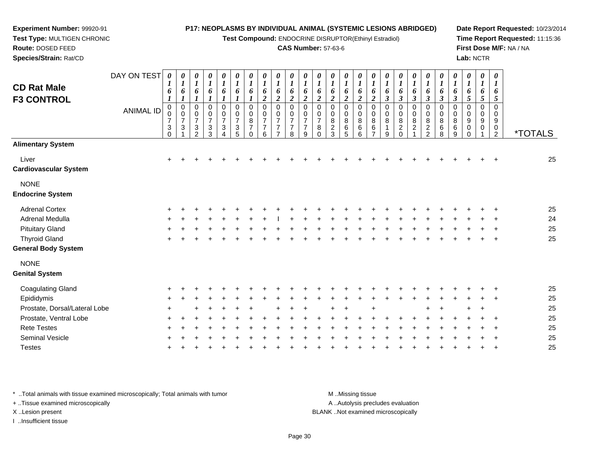**Test Compound:** ENDOCRINE DISRUPTOR(Ethinyl Estradiol)

### **CAS Number:** 57-63-6

**Date Report Requested:** 10/23/2014**Time Report Requested:** 11:15:36**First Dose M/F:** NA / NA**Lab:** NCTR

 **Test Type:** MULTIGEN CHRONIC**Route:** DOSED FEED **Species/Strain:** Rat/CDDAY ON TEST*0000000000000000000000000***CD Rat Male**

| <b>CD Rat Male</b><br><b>F3 CONTROL</b> |                  | $\boldsymbol{l}$<br>6                               | $\boldsymbol{l}$<br>6<br>1                       | 6                                                                  | 6                                                                         | 1<br>6<br>1                                         | $\boldsymbol{l}$<br>6<br>$\boldsymbol{l}$                                    | 6                                                               | 1<br>6<br>$\boldsymbol{2}$                                | $\boldsymbol{l}$<br>6<br>$\boldsymbol{2}$                              | $\boldsymbol{l}$<br>6<br>$\overline{\mathbf{c}}$          | 6<br>$\boldsymbol{2}$                                           | $\boldsymbol{l}$<br>6<br>$\overline{c}$         | 6<br>$\boldsymbol{2}$              | 6<br>$\boldsymbol{2}$                       | 6<br>$\overline{2}$                       | 6<br>$\overline{c}$                                | 6<br>$\boldsymbol{\beta}$       | 6<br>$\boldsymbol{\beta}$                               | 1<br>6<br>$\mathfrak{z}$                | $\boldsymbol{l}$<br>6<br>$\boldsymbol{\beta}$               | $\boldsymbol{l}$<br>6<br>$\boldsymbol{\beta}$      | $\boldsymbol{l}$<br>6<br>$\boldsymbol{\beta}$ | $\boldsymbol{l}$<br>6<br>$\mathfrak{s}$        | $\boldsymbol{l}$<br>6<br>$\sqrt{5}$ | $\boldsymbol{l}$<br>6<br>$\mathfrak{s}$              |         |
|-----------------------------------------|------------------|-----------------------------------------------------|--------------------------------------------------|--------------------------------------------------------------------|---------------------------------------------------------------------------|-----------------------------------------------------|------------------------------------------------------------------------------|-----------------------------------------------------------------|-----------------------------------------------------------|------------------------------------------------------------------------|-----------------------------------------------------------|-----------------------------------------------------------------|-------------------------------------------------|------------------------------------|---------------------------------------------|-------------------------------------------|----------------------------------------------------|---------------------------------|---------------------------------------------------------|-----------------------------------------|-------------------------------------------------------------|----------------------------------------------------|-----------------------------------------------|------------------------------------------------|-------------------------------------|------------------------------------------------------|---------|
|                                         | <b>ANIMAL ID</b> | $\mathbf 0$<br>0<br>$\overline{7}$<br>3<br>$\Omega$ | $\mathbf 0$<br>0<br>$\overline{7}$<br>$\sqrt{3}$ | $\mathbf 0$<br>0<br>$\overline{7}$<br>$\sqrt{3}$<br>$\mathfrak{p}$ | 0<br>$\boldsymbol{0}$<br>$\overline{7}$<br>$\ensuremath{\mathsf{3}}$<br>3 | 0<br>$\pmb{0}$<br>$\overline{7}$<br>$\sqrt{3}$<br>4 | $\mathbf 0$<br>$\pmb{0}$<br>$\overline{7}$<br>$\ensuremath{\mathsf{3}}$<br>5 | $\pmb{0}$<br>$\pmb{0}$<br>$\bf 8$<br>$\overline{7}$<br>$\Omega$ | $\mathbf 0$<br>0<br>$\overline{7}$<br>$\overline{7}$<br>6 | $\mathbf 0$<br>0<br>$\overline{7}$<br>$\overline{7}$<br>$\overline{z}$ | $\mathbf 0$<br>0<br>$\overline{7}$<br>$\overline{7}$<br>8 | $\mathbf 0$<br>$\,0\,$<br>$\overline{7}$<br>$\overline{7}$<br>9 | 0<br>0<br>$\overline{7}$<br>$\,8\,$<br>$\Omega$ | 0<br>0<br>$\bf 8$<br>$\frac{2}{3}$ | $\mathbf 0$<br>$\pmb{0}$<br>8<br>$\,6$<br>5 | $\mathbf 0$<br>$\mathbf 0$<br>8<br>6<br>6 | $\mathbf 0$<br>0<br>8<br>$\,6\,$<br>$\overline{z}$ | $\mathbf 0$<br>0<br>8<br>1<br>9 | 0<br>$\pmb{0}$<br>$\bf 8$<br>$\overline{c}$<br>$\Omega$ | $\mathbf 0$<br>0<br>8<br>$\overline{c}$ | $\mathbf 0$<br>$\boldsymbol{0}$<br>$\bf 8$<br>$\frac{2}{2}$ | $\mathbf 0$<br>$\mathbf 0$<br>$\, 8$<br>$\,6$<br>8 | $\mathbf 0$<br>0<br>$\bf8$<br>$\,6\,$<br>9    | $\mathbf 0$<br>0<br>9<br>$\pmb{0}$<br>$\Omega$ | 0<br>0<br>9<br>0                    | $\mathbf 0$<br>0<br>9<br>$\pmb{0}$<br>$\overline{2}$ | *TOTALS |
| <b>Alimentary System</b>                |                  |                                                     |                                                  |                                                                    |                                                                           |                                                     |                                                                              |                                                                 |                                                           |                                                                        |                                                           |                                                                 |                                                 |                                    |                                             |                                           |                                                    |                                 |                                                         |                                         |                                                             |                                                    |                                               |                                                |                                     |                                                      |         |
| Liver<br><b>Cardiovascular System</b>   |                  | $\ddot{}$                                           |                                                  |                                                                    |                                                                           |                                                     |                                                                              |                                                                 |                                                           |                                                                        |                                                           |                                                                 |                                                 |                                    |                                             |                                           |                                                    |                                 |                                                         |                                         |                                                             |                                                    |                                               |                                                |                                     |                                                      | 25      |
| <b>NONE</b><br><b>Endocrine System</b>  |                  |                                                     |                                                  |                                                                    |                                                                           |                                                     |                                                                              |                                                                 |                                                           |                                                                        |                                                           |                                                                 |                                                 |                                    |                                             |                                           |                                                    |                                 |                                                         |                                         |                                                             |                                                    |                                               |                                                |                                     |                                                      |         |
| <b>Adrenal Cortex</b>                   |                  |                                                     |                                                  |                                                                    |                                                                           |                                                     |                                                                              |                                                                 |                                                           |                                                                        |                                                           |                                                                 |                                                 |                                    |                                             |                                           |                                                    |                                 |                                                         |                                         |                                                             |                                                    |                                               |                                                |                                     |                                                      | 25      |
| Adrenal Medulla                         |                  |                                                     |                                                  |                                                                    |                                                                           |                                                     |                                                                              |                                                                 |                                                           |                                                                        |                                                           |                                                                 |                                                 |                                    |                                             |                                           |                                                    |                                 |                                                         |                                         |                                                             |                                                    |                                               |                                                |                                     |                                                      | 24      |
| <b>Pituitary Gland</b>                  |                  |                                                     |                                                  |                                                                    |                                                                           |                                                     |                                                                              |                                                                 |                                                           |                                                                        |                                                           |                                                                 |                                                 |                                    |                                             |                                           |                                                    |                                 |                                                         |                                         |                                                             |                                                    |                                               |                                                |                                     |                                                      | 25      |
| <b>Thyroid Gland</b>                    |                  | $\ddot{}$                                           |                                                  |                                                                    |                                                                           |                                                     |                                                                              |                                                                 |                                                           |                                                                        |                                                           |                                                                 |                                                 |                                    |                                             |                                           |                                                    |                                 |                                                         |                                         |                                                             |                                                    |                                               |                                                |                                     |                                                      | 25      |
| <b>General Body System</b>              |                  |                                                     |                                                  |                                                                    |                                                                           |                                                     |                                                                              |                                                                 |                                                           |                                                                        |                                                           |                                                                 |                                                 |                                    |                                             |                                           |                                                    |                                 |                                                         |                                         |                                                             |                                                    |                                               |                                                |                                     |                                                      |         |
| <b>NONE</b>                             |                  |                                                     |                                                  |                                                                    |                                                                           |                                                     |                                                                              |                                                                 |                                                           |                                                                        |                                                           |                                                                 |                                                 |                                    |                                             |                                           |                                                    |                                 |                                                         |                                         |                                                             |                                                    |                                               |                                                |                                     |                                                      |         |
| <b>Genital System</b>                   |                  |                                                     |                                                  |                                                                    |                                                                           |                                                     |                                                                              |                                                                 |                                                           |                                                                        |                                                           |                                                                 |                                                 |                                    |                                             |                                           |                                                    |                                 |                                                         |                                         |                                                             |                                                    |                                               |                                                |                                     |                                                      |         |
| <b>Coagulating Gland</b>                |                  |                                                     |                                                  |                                                                    |                                                                           |                                                     |                                                                              |                                                                 |                                                           |                                                                        |                                                           |                                                                 |                                                 |                                    |                                             |                                           |                                                    |                                 |                                                         |                                         |                                                             |                                                    |                                               |                                                |                                     |                                                      | 25      |
| Epididymis                              |                  |                                                     |                                                  |                                                                    |                                                                           |                                                     |                                                                              |                                                                 |                                                           |                                                                        |                                                           |                                                                 |                                                 |                                    |                                             |                                           |                                                    |                                 |                                                         |                                         |                                                             |                                                    |                                               |                                                |                                     |                                                      | 25      |
| Prostate, Dorsal/Lateral Lobe           |                  |                                                     |                                                  |                                                                    |                                                                           |                                                     |                                                                              |                                                                 |                                                           |                                                                        |                                                           |                                                                 |                                                 |                                    |                                             |                                           |                                                    |                                 |                                                         |                                         |                                                             |                                                    |                                               |                                                |                                     |                                                      | 25      |
| Prostate, Ventral Lobe                  |                  |                                                     |                                                  |                                                                    |                                                                           |                                                     |                                                                              |                                                                 |                                                           |                                                                        |                                                           |                                                                 |                                                 |                                    |                                             |                                           |                                                    |                                 |                                                         |                                         |                                                             |                                                    |                                               |                                                |                                     |                                                      | 25      |
| <b>Rete Testes</b>                      |                  |                                                     |                                                  |                                                                    |                                                                           |                                                     |                                                                              |                                                                 |                                                           |                                                                        |                                                           |                                                                 |                                                 |                                    |                                             |                                           |                                                    |                                 |                                                         |                                         |                                                             |                                                    |                                               |                                                |                                     |                                                      | 25      |
| Seminal Vesicle                         |                  |                                                     |                                                  |                                                                    |                                                                           |                                                     |                                                                              |                                                                 |                                                           |                                                                        |                                                           |                                                                 |                                                 |                                    |                                             |                                           |                                                    |                                 |                                                         |                                         |                                                             |                                                    |                                               |                                                |                                     |                                                      | 25      |
| <b>Testes</b>                           |                  |                                                     |                                                  |                                                                    |                                                                           |                                                     |                                                                              |                                                                 |                                                           |                                                                        |                                                           |                                                                 |                                                 |                                    |                                             |                                           |                                                    |                                 |                                                         |                                         |                                                             |                                                    |                                               |                                                |                                     |                                                      | 25      |

\* ..Total animals with tissue examined microscopically; Total animals with tumor **M** ...Missing tissue M ...Missing tissue

+ ..Tissue examined microscopically

**Experiment Number:** 99920-91

I ..Insufficient tissue

A .. Autolysis precludes evaluation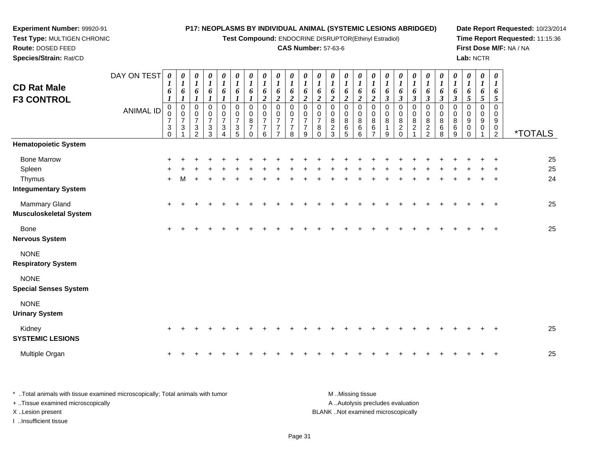**Test Compound:** ENDOCRINE DISRUPTOR(Ethinyl Estradiol)

**Date Report Requested:** 10/23/2014**Time Report Requested:** 11:15:36**First Dose M/F:** NA / NA**Lab:** NCTR

<sup>2</sup> \*TOTALS

 **Test Type:** MULTIGEN CHRONIC**Route:** DOSED FEED **Species/Strain:** Rat/CD**CAS Number:** 57-63-6DAY ON TEST**CD Rat Male F3 CONTROL**ANIMAL ID*0 1 6 1* 0 0 7 3 0*0 1 6 1* 0 0 7 3 1*0 1 6 1* 0 0 7 3 2*0 1 6 1* 0 0 7 3 3*0 1 6 1* 0 0 7 3 4*0 1 6 1* 0 0 7 3 5*0 1 6 1* 0 0 8 7 0*0 1 6 2* 0 0 7 7 6*0 1 6 2* 0 0 7 7 7*0 1 6 2* 0 0 7 7 8*0 1 6 2* 0 0 7 7 9*0 1 6 2* 0 0 7 8 0*0 1 6 2* 0 0 8 2 3*0 1 6 2* 0 0 8 6 5*0 1 6 2* 0 0 8 6 6**Hematopoietic System**

Bone Marrow <sup>+</sup> <sup>+</sup> <sup>+</sup> <sup>+</sup> <sup>+</sup> <sup>+</sup> <sup>+</sup> <sup>+</sup> <sup>+</sup> <sup>+</sup> <sup>+</sup> <sup>+</sup> <sup>+</sup> <sup>+</sup> <sup>+</sup> <sup>+</sup> <sup>+</sup> <sup>+</sup> <sup>+</sup> <sup>+</sup> <sup>+</sup> <sup>+</sup> <sup>+</sup> <sup>+</sup> <sup>+</sup> <sup>25</sup> Spleenn  $+$  <sup>+</sup> <sup>+</sup> <sup>+</sup> <sup>+</sup> <sup>+</sup> <sup>+</sup> <sup>+</sup> <sup>+</sup> <sup>+</sup> <sup>+</sup> <sup>+</sup> <sup>+</sup> <sup>+</sup> <sup>+</sup> <sup>+</sup> <sup>+</sup> <sup>+</sup> <sup>+</sup> <sup>+</sup> <sup>+</sup> <sup>+</sup> <sup>+</sup> <sup>+</sup> <sup>+</sup> <sup>25</sup> Thymus <sup>+</sup> <sup>M</sup> <sup>+</sup> <sup>+</sup> <sup>+</sup> <sup>+</sup> <sup>+</sup> <sup>+</sup> <sup>+</sup> <sup>+</sup> <sup>+</sup> <sup>+</sup> <sup>+</sup> <sup>+</sup> <sup>+</sup> <sup>+</sup> <sup>+</sup> <sup>+</sup> <sup>+</sup> <sup>+</sup> <sup>+</sup> <sup>+</sup> <sup>+</sup> <sup>+</sup> <sup>+</sup> <sup>24</sup> **Integumentary System**Mammary Gland $\alpha$  + <sup>+</sup> <sup>+</sup> <sup>+</sup> <sup>+</sup> <sup>+</sup> <sup>+</sup> <sup>+</sup> <sup>+</sup> <sup>+</sup> <sup>+</sup> <sup>+</sup> <sup>+</sup> <sup>+</sup> <sup>+</sup> <sup>+</sup> <sup>+</sup> <sup>+</sup> <sup>+</sup> <sup>+</sup> <sup>+</sup> <sup>+</sup> <sup>+</sup> <sup>+</sup> <sup>+</sup> <sup>25</sup> **Musculoskeletal System**Bone $e$  + <sup>+</sup> <sup>+</sup> <sup>+</sup> <sup>+</sup> <sup>+</sup> <sup>+</sup> <sup>+</sup> <sup>+</sup> <sup>+</sup> <sup>+</sup> <sup>+</sup> <sup>+</sup> <sup>+</sup> <sup>+</sup> <sup>+</sup> <sup>+</sup> <sup>+</sup> <sup>+</sup> <sup>+</sup> <sup>+</sup> <sup>+</sup> <sup>+</sup> <sup>+</sup> <sup>+</sup> <sup>25</sup>

**Nervous System**

**Experiment Number:** 99920-91

NONE

**Respiratory System**

NONE

**Special Senses System**

NONE

**Urinary System**

| Kidnev<br><b>SYSTEMIC LESIONS</b> |  |  |  |  |  |  |  |  |  |  |  |  |  | 25 |
|-----------------------------------|--|--|--|--|--|--|--|--|--|--|--|--|--|----|
| Multiple Organ                    |  |  |  |  |  |  |  |  |  |  |  |  |  | 25 |

| * Total animals with tissue examined microscopically; Total animals with tumor | M Missing tissue                   |
|--------------------------------------------------------------------------------|------------------------------------|
| + Tissue examined microscopically                                              | A Autolysis precludes evaluation   |
| X Lesion present                                                               | BLANK Not examined microscopically |
| Insufficient tissue                                                            |                                    |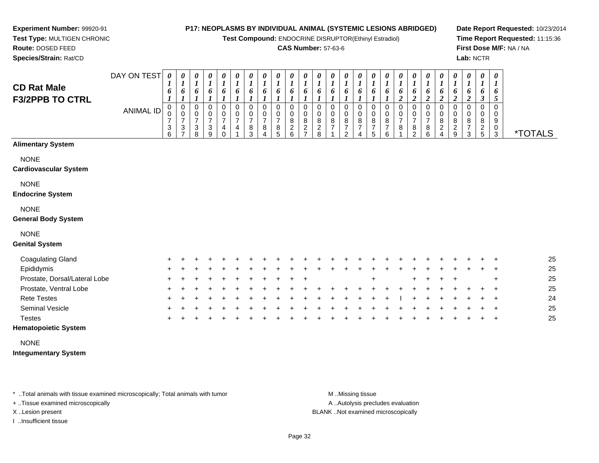**Test Compound:** ENDOCRINE DISRUPTOR(Ethinyl Estradiol)

### **CAS Number:** 57-63-6

**Date Report Requested:** 10/23/2014**Time Report Requested:** 11:15:36**First Dose M/F:** NA / NA**Lab:** NCTR

**Experiment Number:** 99920-91 **Test Type:** MULTIGEN CHRONIC**Route:** DOSED FEED

**Species/Strain:** Rat/CD

| <b>CD Rat Male</b><br><b>F3/2PPB TO CTRL</b> | DAY ON TEST<br><b>ANIMAL ID</b> | $\boldsymbol{\theta}$<br>1<br>6<br>$\boldsymbol{l}$<br>$\mathbf 0$<br>0<br>$\overline{7}$<br>3<br>6 | 0<br>1<br>6<br>1<br>0<br>0<br>7<br>3 | 0<br>1<br>6<br>1<br>$\mathbf 0$<br>$\mathbf 0$<br>$\overline{7}$<br>3<br>8 | 0<br>$\boldsymbol{l}$<br>6<br>1<br>0<br>0<br>$\overline{7}$<br>3<br>9 | 0<br>$\boldsymbol{l}$<br>6<br>$\boldsymbol{l}$<br>0<br>0<br>7<br>4<br>$\Omega$ | 0<br>$\boldsymbol{l}$<br>6<br>$\boldsymbol{l}$<br>0<br>$\mathbf 0$<br>7<br>4 | 0<br>$\boldsymbol{l}$<br>6<br>0<br>$\pmb{0}$<br>$\overline{7}$<br>$\frac{8}{3}$ | 0<br>$\boldsymbol{l}$<br>6<br>1<br>0<br>0<br>$\overline{7}$<br>8<br>4 | 0<br>$\boldsymbol{l}$<br>6<br>$\boldsymbol{l}$<br>0<br>0<br>$\overline{7}$<br>$^8$ 5 | 0<br>1<br>6<br>1<br>$\mathbf 0$<br>0<br>8<br>$\overline{c}$<br>6 | 0<br>$\boldsymbol{l}$<br>6<br>$\mathbf 0$<br>$\mathbf 0$<br>$\bf 8$<br>$\boldsymbol{2}$<br>$\overline{ }$ | 0<br>6<br>0<br>0<br>$\bf 8$<br>$\frac{2}{8}$ | 0<br>$\boldsymbol{l}$<br>6<br>0<br>0<br>$\begin{array}{c} 8 \\ 7 \end{array}$ | 0<br>$\boldsymbol{l}$<br>6<br>0<br>$\mathbf 0$<br>8<br>$\boldsymbol{7}$<br>$\overline{2}$ | 0<br>$\boldsymbol{l}$<br>6<br>0<br>0<br>$\begin{array}{c} 8 \\ 7 \end{array}$<br>$\overline{\mathbf{4}}$ | 0<br>$\boldsymbol{l}$<br>6<br>0<br>0<br>8<br>$\overline{7}$<br>5 | 1<br>6<br>1<br>0<br>0<br>8<br>7<br>6 | 0<br>1<br>6<br>$\boldsymbol{2}$<br>$\mathbf 0$<br>0<br>$\overline{7}$<br>8 | 0<br>6<br>$\boldsymbol{2}$<br>0<br>0<br>$\overline{7}$<br>8<br>$\overline{2}$ | 0<br>1<br>6<br>$\overline{\mathbf{c}}$<br>0<br>0<br>7<br>$\begin{matrix} 8 \\ 6 \end{matrix}$ | 0<br>$\boldsymbol{l}$<br>6<br>$\boldsymbol{2}$<br>0<br>$\mathbf 0$<br>8<br>$\boldsymbol{2}$<br>$\overline{A}$ | 0<br>$\boldsymbol{l}$<br>6<br>$\overline{2}$<br>0<br>0<br>8<br>$\frac{2}{9}$ | 0<br>$\boldsymbol{l}$<br>6<br>$\boldsymbol{2}$<br>0<br>0<br>8<br>$\boldsymbol{7}$<br>3 | 0<br>$\boldsymbol{l}$<br>6<br>$\boldsymbol{\beta}$<br>0<br>0<br>8<br>$\frac{2}{5}$ | $\boldsymbol{\theta}$<br>1<br>6<br>5<br>$\mathbf 0$<br>0<br>9<br>0<br>$\mathbf{3}$ | <i><b>*TOTALS</b></i> |
|----------------------------------------------|---------------------------------|-----------------------------------------------------------------------------------------------------|--------------------------------------|----------------------------------------------------------------------------|-----------------------------------------------------------------------|--------------------------------------------------------------------------------|------------------------------------------------------------------------------|---------------------------------------------------------------------------------|-----------------------------------------------------------------------|--------------------------------------------------------------------------------------|------------------------------------------------------------------|-----------------------------------------------------------------------------------------------------------|----------------------------------------------|-------------------------------------------------------------------------------|-------------------------------------------------------------------------------------------|----------------------------------------------------------------------------------------------------------|------------------------------------------------------------------|--------------------------------------|----------------------------------------------------------------------------|-------------------------------------------------------------------------------|-----------------------------------------------------------------------------------------------|---------------------------------------------------------------------------------------------------------------|------------------------------------------------------------------------------|----------------------------------------------------------------------------------------|------------------------------------------------------------------------------------|------------------------------------------------------------------------------------|-----------------------|
| <b>Alimentary System</b>                     |                                 |                                                                                                     |                                      |                                                                            |                                                                       |                                                                                |                                                                              |                                                                                 |                                                                       |                                                                                      |                                                                  |                                                                                                           |                                              |                                                                               |                                                                                           |                                                                                                          |                                                                  |                                      |                                                                            |                                                                               |                                                                                               |                                                                                                               |                                                                              |                                                                                        |                                                                                    |                                                                                    |                       |
| <b>NONE</b><br><b>Cardiovascular System</b>  |                                 |                                                                                                     |                                      |                                                                            |                                                                       |                                                                                |                                                                              |                                                                                 |                                                                       |                                                                                      |                                                                  |                                                                                                           |                                              |                                                                               |                                                                                           |                                                                                                          |                                                                  |                                      |                                                                            |                                                                               |                                                                                               |                                                                                                               |                                                                              |                                                                                        |                                                                                    |                                                                                    |                       |
| <b>NONE</b><br><b>Endocrine System</b>       |                                 |                                                                                                     |                                      |                                                                            |                                                                       |                                                                                |                                                                              |                                                                                 |                                                                       |                                                                                      |                                                                  |                                                                                                           |                                              |                                                                               |                                                                                           |                                                                                                          |                                                                  |                                      |                                                                            |                                                                               |                                                                                               |                                                                                                               |                                                                              |                                                                                        |                                                                                    |                                                                                    |                       |
| <b>NONE</b><br><b>General Body System</b>    |                                 |                                                                                                     |                                      |                                                                            |                                                                       |                                                                                |                                                                              |                                                                                 |                                                                       |                                                                                      |                                                                  |                                                                                                           |                                              |                                                                               |                                                                                           |                                                                                                          |                                                                  |                                      |                                                                            |                                                                               |                                                                                               |                                                                                                               |                                                                              |                                                                                        |                                                                                    |                                                                                    |                       |
| <b>NONE</b><br><b>Genital System</b>         |                                 |                                                                                                     |                                      |                                                                            |                                                                       |                                                                                |                                                                              |                                                                                 |                                                                       |                                                                                      |                                                                  |                                                                                                           |                                              |                                                                               |                                                                                           |                                                                                                          |                                                                  |                                      |                                                                            |                                                                               |                                                                                               |                                                                                                               |                                                                              |                                                                                        |                                                                                    |                                                                                    |                       |
| <b>Coagulating Gland</b>                     |                                 |                                                                                                     |                                      |                                                                            |                                                                       |                                                                                |                                                                              |                                                                                 |                                                                       |                                                                                      |                                                                  |                                                                                                           |                                              |                                                                               |                                                                                           |                                                                                                          |                                                                  |                                      |                                                                            |                                                                               |                                                                                               |                                                                                                               |                                                                              |                                                                                        |                                                                                    |                                                                                    | 25                    |
| Epididymis                                   |                                 |                                                                                                     |                                      |                                                                            |                                                                       |                                                                                |                                                                              |                                                                                 |                                                                       |                                                                                      |                                                                  |                                                                                                           |                                              |                                                                               |                                                                                           |                                                                                                          |                                                                  |                                      |                                                                            |                                                                               |                                                                                               |                                                                                                               |                                                                              |                                                                                        |                                                                                    |                                                                                    | 25                    |
| Prostate, Dorsal/Lateral Lobe                |                                 |                                                                                                     |                                      |                                                                            |                                                                       |                                                                                |                                                                              |                                                                                 |                                                                       |                                                                                      |                                                                  |                                                                                                           |                                              |                                                                               |                                                                                           |                                                                                                          |                                                                  |                                      |                                                                            |                                                                               |                                                                                               |                                                                                                               |                                                                              |                                                                                        |                                                                                    |                                                                                    | 25                    |
| Prostate, Ventral Lobe                       |                                 |                                                                                                     |                                      |                                                                            |                                                                       |                                                                                |                                                                              |                                                                                 |                                                                       |                                                                                      |                                                                  |                                                                                                           |                                              |                                                                               |                                                                                           |                                                                                                          |                                                                  |                                      |                                                                            |                                                                               |                                                                                               |                                                                                                               |                                                                              |                                                                                        |                                                                                    |                                                                                    | 25                    |
| <b>Rete Testes</b>                           |                                 |                                                                                                     |                                      |                                                                            |                                                                       |                                                                                |                                                                              |                                                                                 |                                                                       |                                                                                      |                                                                  |                                                                                                           |                                              |                                                                               |                                                                                           |                                                                                                          |                                                                  |                                      |                                                                            |                                                                               |                                                                                               |                                                                                                               |                                                                              |                                                                                        |                                                                                    |                                                                                    | 24                    |
| Seminal Vesicle                              |                                 |                                                                                                     |                                      |                                                                            |                                                                       |                                                                                |                                                                              |                                                                                 |                                                                       |                                                                                      |                                                                  |                                                                                                           |                                              |                                                                               |                                                                                           |                                                                                                          |                                                                  |                                      |                                                                            |                                                                               |                                                                                               |                                                                                                               |                                                                              |                                                                                        |                                                                                    |                                                                                    | 25                    |
| <b>Testes</b><br>.                           |                                 |                                                                                                     |                                      |                                                                            |                                                                       |                                                                                |                                                                              |                                                                                 |                                                                       |                                                                                      |                                                                  |                                                                                                           |                                              |                                                                               |                                                                                           |                                                                                                          |                                                                  |                                      |                                                                            |                                                                               |                                                                                               |                                                                                                               |                                                                              |                                                                                        |                                                                                    | ÷                                                                                  | 25                    |

### **Hematopoietic System**

NONE

**Integumentary System**

\* ..Total animals with tissue examined microscopically; Total animals with tumor **M** ...Missing tissue M ...Missing tissue

+ ..Tissue examined microscopically

I ..Insufficient tissue

A ..Autolysis precludes evaluation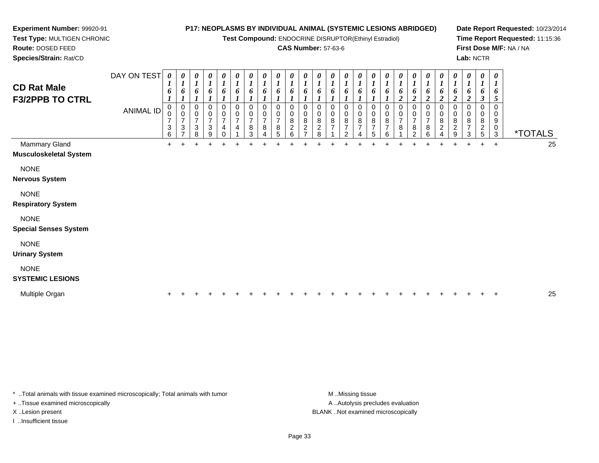**Test Compound:** ENDOCRINE DISRUPTOR(Ethinyl Estradiol)

### **CAS Number:** 57-63-6

**Date Report Requested:** 10/23/2014**Time Report Requested:** 11:15:36**First Dose M/F:** NA / NA**Lab:** NCTR

| <b>Species/Strain: Rat/CD</b> |                  |                                                      |                                                  |                                              |                                                            |                                     |                                            |                                                       |                                        |                                                                                  |                               |                                                            |                                                   |                         |                                            |                                       |                                |                                              |                                   |                                          |                              |                                            |                                                    |                                           | <b>Lab: NCTR</b>                       |                          |                       |    |
|-------------------------------|------------------|------------------------------------------------------|--------------------------------------------------|----------------------------------------------|------------------------------------------------------------|-------------------------------------|--------------------------------------------|-------------------------------------------------------|----------------------------------------|----------------------------------------------------------------------------------|-------------------------------|------------------------------------------------------------|---------------------------------------------------|-------------------------|--------------------------------------------|---------------------------------------|--------------------------------|----------------------------------------------|-----------------------------------|------------------------------------------|------------------------------|--------------------------------------------|----------------------------------------------------|-------------------------------------------|----------------------------------------|--------------------------|-----------------------|----|
| <b>CD Rat Male</b>            | DAY ON TEST      | 0<br>x.<br>6                                         | $\boldsymbol{\theta}$<br>$\mathbf{I}$<br>0       | $\boldsymbol{\theta}$<br>$\mathbf{I}$<br>6   | $\boldsymbol{\theta}$<br>$\mathbf{r}$<br>$\mathbf{I}$<br>6 | 0<br>0                              | $\boldsymbol{\theta}$<br>$\mathbf{I}$<br>6 | $\boldsymbol{\theta}$<br>$\boldsymbol{l}$<br>$\bm{0}$ | 0<br>$\mathbf{I}$<br>$\mathbf{I}$<br>6 | $\boldsymbol{\theta}$<br>$\mathbf{r}$<br>$\overline{ }$<br>$\boldsymbol{\theta}$ | $\boldsymbol{\theta}$<br>6    | $\boldsymbol{\theta}$<br>L<br>o                            | $\boldsymbol{\theta}$<br>$\mathbf{I}$<br>6        | $\theta$<br>6           | $\boldsymbol{\theta}$<br>$\mathbf{I}$<br>6 | $\boldsymbol{\theta}$<br>$\bm{b}$     | $\boldsymbol{\theta}$<br>6     |                                              | $\boldsymbol{\theta}$<br>$\bm{o}$ | 0<br>6                                   | 0<br>6                       | 0<br>$\bm{b}$                              | $\boldsymbol{\theta}$<br>$\bm{o}$                  | o                                         | $\boldsymbol{\theta}$<br>6             | 0<br>$\overline{ }$<br>6 |                       |    |
| <b>F3/2PPB TO CTRL</b>        |                  |                                                      |                                                  |                                              |                                                            |                                     |                                            |                                                       |                                        |                                                                                  |                               |                                                            |                                                   |                         |                                            |                                       |                                |                                              |                                   | $\rightarrow$                            |                              | $\sim$                                     |                                                    |                                           |                                        | 5                        |                       |    |
|                               | <b>ANIMAL ID</b> | ν<br>$\rightarrow$<br>$\ensuremath{\mathsf{3}}$<br>6 | $\frac{0}{7}$<br>$\overline{ }$<br>$\frac{3}{7}$ | 0<br>0<br>$\overline{ }$<br>$\,$ 3 $\,$<br>8 | $\frac{0}{7}$<br>$\ensuremath{\mathsf{3}}$<br>9            | 0<br>$\rightarrow$<br>4<br>$\Omega$ | 0<br>$\frac{0}{7}$<br>4                    | $\boldsymbol{0}$<br>$\overline{7}$<br>8<br>3          | 0<br>$\rightarrow$<br>8                | $\mathbf 0$<br>$\overline{ }$<br>$\,8\,$<br>5                                    | 0<br>8<br>$\overline{c}$<br>6 | 0<br>$\,0\,$<br>$\overline{8}$<br>C.<br>∼<br>$\rightarrow$ | $\pmb{0}$<br>$\bf8$<br>$\overline{c}$<br>$\Omega$ | $_{\rm 8}^{\rm 0}$<br>- | 0<br>0<br>$\,8\,$<br>$\overline{ }$<br>ົ   | $\pmb{0}$<br>$\, 8$<br>$\overline{ }$ | 0<br>8<br>$\overline{ }$<br>5. | 0<br>$\bf8$<br>$\overline{\phantom{a}}$<br>ี | 0<br>$\overline{ }$<br>8          | 0<br>$\rightarrow$<br>8<br>$\mathcal{P}$ | 0<br>$\rightarrow$<br>8<br>ĥ | 0<br>$\bf 8$<br>$\overline{c}$<br>$\Delta$ | $\pmb{0}$<br>$\overline{8}$<br>$\overline{c}$<br>9 | $_{\rm 0}^{\rm 0}$<br>$\overline{ }$<br>3 | 0<br>8<br>$\overline{\mathbf{c}}$<br>5 | 0<br>9<br>$\pmb{0}$<br>3 | <i><b>*TOTALS</b></i> |    |
| <b>Mammary Gland</b>          |                  | $+$                                                  |                                                  | ÷                                            | $\div$                                                     | ÷                                   |                                            |                                                       |                                        |                                                                                  |                               |                                                            |                                                   |                         |                                            |                                       |                                |                                              |                                   |                                          |                              | $+$                                        |                                                    |                                           | $\ddot{}$                              | $+$                      |                       | 25 |
| <b>Musculoskeletal System</b> |                  |                                                      |                                                  |                                              |                                                            |                                     |                                            |                                                       |                                        |                                                                                  |                               |                                                            |                                                   |                         |                                            |                                       |                                |                                              |                                   |                                          |                              |                                            |                                                    |                                           |                                        |                          |                       |    |
| <b>NONE</b>                   |                  |                                                      |                                                  |                                              |                                                            |                                     |                                            |                                                       |                                        |                                                                                  |                               |                                                            |                                                   |                         |                                            |                                       |                                |                                              |                                   |                                          |                              |                                            |                                                    |                                           |                                        |                          |                       |    |
| <b>Nervous System</b>         |                  |                                                      |                                                  |                                              |                                                            |                                     |                                            |                                                       |                                        |                                                                                  |                               |                                                            |                                                   |                         |                                            |                                       |                                |                                              |                                   |                                          |                              |                                            |                                                    |                                           |                                        |                          |                       |    |
| <b>NONE</b>                   |                  |                                                      |                                                  |                                              |                                                            |                                     |                                            |                                                       |                                        |                                                                                  |                               |                                                            |                                                   |                         |                                            |                                       |                                |                                              |                                   |                                          |                              |                                            |                                                    |                                           |                                        |                          |                       |    |
| <b>Respiratory System</b>     |                  |                                                      |                                                  |                                              |                                                            |                                     |                                            |                                                       |                                        |                                                                                  |                               |                                                            |                                                   |                         |                                            |                                       |                                |                                              |                                   |                                          |                              |                                            |                                                    |                                           |                                        |                          |                       |    |

### NONE

**Special Senses System**

**Experiment Number:** 99920-91**Test Type:** MULTIGEN CHRONIC

**Route:** DOSED FEED

NONE

**Urinary System**

## NONE

#### **SYSTEMIC LESIONS**

| Multiple Organ |  |  |  |  |  |  |  |  |  |  |  |  |  |  |  |  |  |  |  |  |  |  |  |  |  |  |  | つら<br>w |
|----------------|--|--|--|--|--|--|--|--|--|--|--|--|--|--|--|--|--|--|--|--|--|--|--|--|--|--|--|---------|
|----------------|--|--|--|--|--|--|--|--|--|--|--|--|--|--|--|--|--|--|--|--|--|--|--|--|--|--|--|---------|

\* ..Total animals with tissue examined microscopically; Total animals with tumor **M** ...Missing tissue M ...Missing tissue

+ ..Tissue examined microscopically

I ..Insufficient tissue

A .. Autolysis precludes evaluation X ..Lesion present BLANK ..Not examined microscopically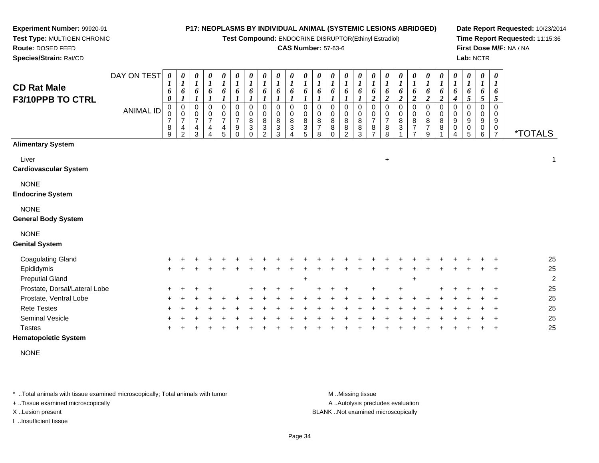**Test Compound:** ENDOCRINE DISRUPTOR(Ethinyl Estradiol)

### **CAS Number:** 57-63-6

**Date Report Requested:** 10/23/2014**Time Report Requested:** 11:15:36**First Dose M/F:** NA / NA**Lab:** NCTR

| <b>CD Rat Male</b><br>F3/10PPB TO CTRL    | DAY ON TEST<br><b>ANIMAL ID</b> | 0<br>6<br>0<br>$\pmb{0}$<br>$\pmb{0}$<br>$\overline{7}$<br>8 | 0<br>6<br>0<br>0<br>$\overline{7}$<br>4 | 0<br>$\boldsymbol{l}$<br>6<br>$\mathbf 0$<br>$\mathbf 0$<br>$\overline{7}$<br>4 | 0<br>$\boldsymbol{l}$<br>6<br>$\mathbf 0$<br>$\mathbf 0$<br>$\overline{7}$<br>4 | $\pmb{\theta}$<br>$\boldsymbol{l}$<br>6<br>$\pmb{0}$<br>0<br>$\overline{7}$<br>4 | 0<br>$\boldsymbol{l}$<br>6<br>0<br>0<br>$\overline{7}$<br>9 | 0<br>$\boldsymbol{l}$<br>6<br>0<br>0<br>8<br>$\ensuremath{\mathsf{3}}$ | 0<br>$\boldsymbol{l}$<br>6<br>$\mathbf 0$<br>0<br>8<br>$\ensuremath{\mathsf{3}}$ | $\pmb{\theta}$<br>$\boldsymbol{l}$<br>6<br>$\mathbf 0$<br>$\pmb{0}$<br>$\bf 8$<br>$\ensuremath{\mathsf{3}}$ | 0<br>$\boldsymbol{l}$<br>6<br>0<br>$\mathbf 0$<br>8<br>3 | 0<br>$\boldsymbol{l}$<br>6<br>$\Omega$<br>0<br>$\bf 8$<br>$\ensuremath{\mathsf{3}}$ | $\pmb{\theta}$<br>$\boldsymbol{l}$<br>6<br>$\Omega$<br>$\Omega$<br>8<br>$\overline{7}$ | $\pmb{\theta}$<br>$\boldsymbol{l}$<br>6<br>$\mathbf 0$<br>$\pmb{0}$<br>$\overline{8}$ | $\pmb{\theta}$<br>$\overline{\mathbf{I}}$<br>6<br>0<br>0<br>$\bf 8$<br>$\bf 8$ | 0<br>$\boldsymbol{l}$<br>6<br>0<br>0<br>$\bf 8$ | $\boldsymbol{\theta}$<br>$\boldsymbol{l}$<br>6<br>$\boldsymbol{2}$<br>$\mathbf 0$<br>0<br>$\boldsymbol{7}$<br>$\,8\,$ | 0<br>$\boldsymbol{l}$<br>6<br>$\boldsymbol{2}$<br>$\mathbf 0$<br>0<br>$\overline{7}$ | $\boldsymbol{\theta}$<br>$\boldsymbol{I}$<br>6<br>$\boldsymbol{2}$<br>0<br>0<br>$\bf 8$<br>$\ensuremath{\mathsf{3}}$ | 0<br>$\boldsymbol{l}$<br>6<br>$\boldsymbol{2}$<br>0<br>0<br>8<br>$\overline{\mathcal{I}}$ | 0<br>$\boldsymbol{l}$<br>6<br>$\boldsymbol{2}$<br>$\mathbf 0$<br>0<br>8<br>$\overline{7}$ | 0<br>$\boldsymbol{l}$<br>6<br>$\boldsymbol{2}$<br>$\mathbf 0$<br>0<br>$\frac{8}{8}$ | 0<br>$\boldsymbol{l}$<br>6<br>4<br>$\Omega$<br>$\mathbf 0$<br>9<br>$\pmb{0}$ | 0<br>$\boldsymbol{l}$<br>6<br>5<br>0<br>0<br>9<br>0 | 0<br>$\boldsymbol{l}$<br>6<br>5<br>$\Omega$<br>0<br>9<br>$\pmb{0}$ | 0<br>6<br>5<br>$\Omega$<br>0<br>9<br>$\mathbf 0$ |                       |
|-------------------------------------------|---------------------------------|--------------------------------------------------------------|-----------------------------------------|---------------------------------------------------------------------------------|---------------------------------------------------------------------------------|----------------------------------------------------------------------------------|-------------------------------------------------------------|------------------------------------------------------------------------|----------------------------------------------------------------------------------|-------------------------------------------------------------------------------------------------------------|----------------------------------------------------------|-------------------------------------------------------------------------------------|----------------------------------------------------------------------------------------|---------------------------------------------------------------------------------------|--------------------------------------------------------------------------------|-------------------------------------------------|-----------------------------------------------------------------------------------------------------------------------|--------------------------------------------------------------------------------------|----------------------------------------------------------------------------------------------------------------------|-------------------------------------------------------------------------------------------|-------------------------------------------------------------------------------------------|-------------------------------------------------------------------------------------|------------------------------------------------------------------------------|-----------------------------------------------------|--------------------------------------------------------------------|--------------------------------------------------|-----------------------|
|                                           |                                 | 9                                                            | $\mathcal{P}$                           | 3                                                                               |                                                                                 | 5                                                                                | $\Omega$                                                    | $\Omega$                                                               | $\mathfrak{p}$                                                                   | 3                                                                                                           |                                                          | 5                                                                                   | 8                                                                                      | $\Omega$                                                                              | $\mathcal{P}$                                                                  | $\frac{8}{3}$                                   | $\overline{7}$                                                                                                        | $\frac{8}{8}$                                                                        |                                                                                                                      | $\overline{z}$                                                                            | 9                                                                                         |                                                                                     |                                                                              | 5                                                   | 6                                                                  | $\overline{7}$                                   | <i><b>*TOTALS</b></i> |
| <b>Alimentary System</b>                  |                                 |                                                              |                                         |                                                                                 |                                                                                 |                                                                                  |                                                             |                                                                        |                                                                                  |                                                                                                             |                                                          |                                                                                     |                                                                                        |                                                                                       |                                                                                |                                                 |                                                                                                                       |                                                                                      |                                                                                                                      |                                                                                           |                                                                                           |                                                                                     |                                                                              |                                                     |                                                                    |                                                  |                       |
| Liver<br><b>Cardiovascular System</b>     |                                 |                                                              |                                         |                                                                                 |                                                                                 |                                                                                  |                                                             |                                                                        |                                                                                  |                                                                                                             |                                                          |                                                                                     |                                                                                        |                                                                                       |                                                                                |                                                 |                                                                                                                       | $+$                                                                                  |                                                                                                                      |                                                                                           |                                                                                           |                                                                                     |                                                                              |                                                     |                                                                    |                                                  | 1                     |
| <b>NONE</b><br><b>Endocrine System</b>    |                                 |                                                              |                                         |                                                                                 |                                                                                 |                                                                                  |                                                             |                                                                        |                                                                                  |                                                                                                             |                                                          |                                                                                     |                                                                                        |                                                                                       |                                                                                |                                                 |                                                                                                                       |                                                                                      |                                                                                                                      |                                                                                           |                                                                                           |                                                                                     |                                                                              |                                                     |                                                                    |                                                  |                       |
| <b>NONE</b><br><b>General Body System</b> |                                 |                                                              |                                         |                                                                                 |                                                                                 |                                                                                  |                                                             |                                                                        |                                                                                  |                                                                                                             |                                                          |                                                                                     |                                                                                        |                                                                                       |                                                                                |                                                 |                                                                                                                       |                                                                                      |                                                                                                                      |                                                                                           |                                                                                           |                                                                                     |                                                                              |                                                     |                                                                    |                                                  |                       |
| <b>NONE</b><br><b>Genital System</b>      |                                 |                                                              |                                         |                                                                                 |                                                                                 |                                                                                  |                                                             |                                                                        |                                                                                  |                                                                                                             |                                                          |                                                                                     |                                                                                        |                                                                                       |                                                                                |                                                 |                                                                                                                       |                                                                                      |                                                                                                                      |                                                                                           |                                                                                           |                                                                                     |                                                                              |                                                     |                                                                    |                                                  |                       |
| <b>Coagulating Gland</b>                  |                                 |                                                              |                                         |                                                                                 |                                                                                 |                                                                                  |                                                             |                                                                        |                                                                                  |                                                                                                             |                                                          |                                                                                     |                                                                                        |                                                                                       |                                                                                |                                                 |                                                                                                                       |                                                                                      |                                                                                                                      |                                                                                           |                                                                                           |                                                                                     |                                                                              |                                                     |                                                                    |                                                  | 25                    |
| Epididymis                                |                                 |                                                              |                                         |                                                                                 |                                                                                 |                                                                                  |                                                             |                                                                        |                                                                                  |                                                                                                             |                                                          |                                                                                     |                                                                                        |                                                                                       |                                                                                |                                                 |                                                                                                                       |                                                                                      |                                                                                                                      |                                                                                           |                                                                                           |                                                                                     |                                                                              |                                                     |                                                                    |                                                  | 25                    |
| <b>Preputial Gland</b>                    |                                 |                                                              |                                         |                                                                                 |                                                                                 |                                                                                  |                                                             |                                                                        |                                                                                  |                                                                                                             |                                                          | $\ddot{}$                                                                           |                                                                                        |                                                                                       |                                                                                |                                                 |                                                                                                                       |                                                                                      |                                                                                                                      |                                                                                           |                                                                                           |                                                                                     |                                                                              |                                                     |                                                                    |                                                  |                       |
| Prostate, Dorsal/Lateral Lobe             |                                 |                                                              |                                         |                                                                                 |                                                                                 |                                                                                  |                                                             |                                                                        |                                                                                  |                                                                                                             |                                                          |                                                                                     |                                                                                        |                                                                                       |                                                                                |                                                 |                                                                                                                       |                                                                                      |                                                                                                                      |                                                                                           |                                                                                           |                                                                                     |                                                                              |                                                     |                                                                    |                                                  | 25                    |
| Prostate, Ventral Lobe                    |                                 |                                                              |                                         |                                                                                 |                                                                                 |                                                                                  |                                                             |                                                                        |                                                                                  |                                                                                                             |                                                          |                                                                                     |                                                                                        |                                                                                       |                                                                                |                                                 |                                                                                                                       |                                                                                      |                                                                                                                      |                                                                                           |                                                                                           |                                                                                     |                                                                              |                                                     |                                                                    |                                                  | 25                    |
| <b>Rete Testes</b>                        |                                 |                                                              |                                         |                                                                                 |                                                                                 |                                                                                  |                                                             |                                                                        |                                                                                  |                                                                                                             |                                                          |                                                                                     |                                                                                        |                                                                                       |                                                                                |                                                 |                                                                                                                       |                                                                                      |                                                                                                                      |                                                                                           |                                                                                           |                                                                                     |                                                                              |                                                     |                                                                    |                                                  | 25                    |
| Seminal Vesicle                           |                                 |                                                              |                                         |                                                                                 |                                                                                 |                                                                                  |                                                             |                                                                        |                                                                                  |                                                                                                             |                                                          |                                                                                     |                                                                                        |                                                                                       |                                                                                |                                                 |                                                                                                                       |                                                                                      |                                                                                                                      |                                                                                           |                                                                                           |                                                                                     |                                                                              |                                                     |                                                                    |                                                  | 25                    |
| <b>Testes</b>                             |                                 |                                                              |                                         |                                                                                 |                                                                                 |                                                                                  |                                                             |                                                                        |                                                                                  |                                                                                                             |                                                          |                                                                                     |                                                                                        |                                                                                       |                                                                                |                                                 |                                                                                                                       |                                                                                      |                                                                                                                      |                                                                                           |                                                                                           |                                                                                     |                                                                              |                                                     |                                                                    |                                                  | 25                    |
| <b>Hematopoietic System</b>               |                                 |                                                              |                                         |                                                                                 |                                                                                 |                                                                                  |                                                             |                                                                        |                                                                                  |                                                                                                             |                                                          |                                                                                     |                                                                                        |                                                                                       |                                                                                |                                                 |                                                                                                                       |                                                                                      |                                                                                                                      |                                                                                           |                                                                                           |                                                                                     |                                                                              |                                                     |                                                                    |                                                  |                       |

NONE

\* ..Total animals with tissue examined microscopically; Total animals with tumor **M** ...Missing tissue M ...Missing tissue

+ ..Tissue examined microscopically

**Experiment Number:** 99920-91**Test Type:** MULTIGEN CHRONIC

**Route:** DOSED FEED**Species/Strain:** Rat/CD

I ..Insufficient tissue

A ..Autolysis precludes evaluation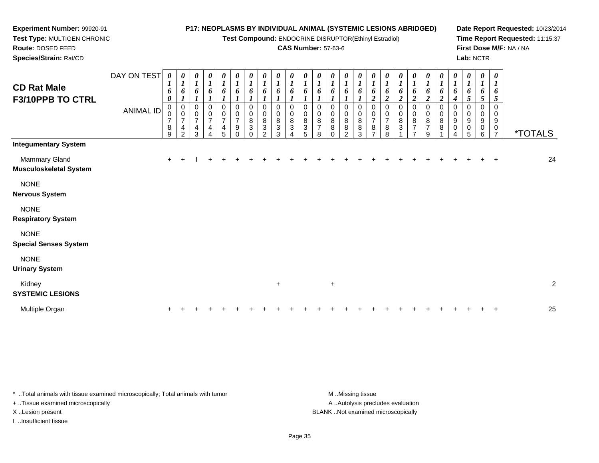**Test Compound:** ENDOCRINE DISRUPTOR(Ethinyl Estradiol)

### **CAS Number:** 57-63-6

**Date Report Requested:** 10/23/2014**Time Report Requested:** 11:15:37**First Dose M/F:** NA / NA**Lab:** NCTR

| <b>CD Rat Male</b><br>F3/10PPB TO CTRL      | DAY ON TEST<br><b>ANIMAL ID</b> | 0<br>1<br>6<br>0<br>$\mathbf 0$<br>$\overline{7}$<br>8<br>9 | 0<br>6<br>0<br>$\mathbf 0$<br>$\overline{7}$<br>4<br>$\mathcal{P}$ | 0<br>$\boldsymbol{l}$<br>6<br>0<br>$\mathbf 0$<br>$\overline{7}$<br>4<br>3 | 0<br>$\boldsymbol{l}$<br>6<br>0<br>$\pmb{0}$<br>$\boldsymbol{7}$<br>4<br>$\overline{4}$ | $\pmb{\theta}$<br>$\boldsymbol{l}$<br>6<br>$\mathbf 0$<br>$\pmb{0}$<br>$\overline{\mathcal{I}}$<br>4<br>5 | 0<br>$\boldsymbol{l}$<br>6<br>$\mathbf 0$<br>$\pmb{0}$<br>$\overline{7}$<br>9<br>$\Omega$ | 0<br>$\overline{\mathbf{I}}$<br>6<br>$\Omega$<br>$\mathbf 0$<br>8<br>3<br>$\Omega$ | $\pmb{\theta}$<br>$\boldsymbol{l}$<br>6<br>0<br>$\bf 8$<br>$\ensuremath{\mathsf{3}}$<br>$\mathfrak{p}$ | $\boldsymbol{\theta}$<br>$\boldsymbol{l}$<br>6<br>$\Omega$<br>0<br>8<br>3<br>3 | 0<br>$\boldsymbol{l}$<br>6<br>$\Omega$<br>$\mathbf 0$<br>8<br>$\mathbf{3}$ | 0<br>$\boldsymbol{l}$<br>6<br>0<br>0<br>8<br>3<br>5 | $\pmb{\theta}$<br>$\boldsymbol{l}$<br>6<br>0<br>0<br>$\bf 8$<br>$\overline{7}$<br>8 | 0<br>$\boldsymbol{l}$<br>6<br>0<br>$\pmb{0}$<br>8<br>8<br>$\Omega$ | 0<br>$\boldsymbol{l}$<br>6<br>$\pmb{0}$<br>$\pmb{0}$<br>$\bf 8$<br>$\bf 8$<br>$\overline{2}$ | $\frac{\theta}{I}$<br>6<br>0<br>0<br>$\bf 8$<br>8<br>3 | 0<br>$\boldsymbol{l}$<br>6<br>$\boldsymbol{2}$<br>0<br>0<br>$\boldsymbol{7}$<br>$\bf 8$ | $\boldsymbol{\theta}$<br>$\boldsymbol{I}$<br>6<br>$\overline{c}$<br>$\mathbf 0$<br>0<br>$\overline{7}$<br>8<br>8 | $\frac{\boldsymbol{\theta}}{\boldsymbol{I}}$<br>6<br>$\boldsymbol{2}$<br>$\pmb{0}$<br>$\mathbf 0$<br>8<br>$\overline{3}$ | $\frac{\theta}{I}$<br>6<br>$\overline{c}$<br>0<br>$\pmb{0}$<br>$\bf 8$<br>$\overline{7}$<br>$\overline{7}$ | 0<br>$\boldsymbol{l}$<br>6<br>$\boldsymbol{2}$<br>0<br>0<br>8<br>$\overline{\mathbf{7}}$<br>9 | $\boldsymbol{\theta}$<br>$\boldsymbol{l}$<br>6<br>$\boldsymbol{2}$<br>$\pmb{0}$<br>$\pmb{0}$<br>$\, 8$<br>8 | 0<br>$\boldsymbol{l}$<br>6<br>$\boldsymbol{4}$<br>0<br>0<br>9<br>$\,0\,$<br>4 | $\boldsymbol{\theta}$<br>$\overline{\mathbf{I}}$<br>6<br>$5\overline{)}$<br>0<br>9<br>0<br>5 | 0<br>$\boldsymbol{l}$<br>6<br>5<br>0<br>9<br>0<br>6 | $\boldsymbol{\theta}$<br>$\boldsymbol{l}$<br>6<br>5<br>$\Omega$<br>$\mathbf 0$<br>9<br>0<br>$\overline{7}$ | <i><b>*TOTALS</b></i> |                |
|---------------------------------------------|---------------------------------|-------------------------------------------------------------|--------------------------------------------------------------------|----------------------------------------------------------------------------|-----------------------------------------------------------------------------------------|-----------------------------------------------------------------------------------------------------------|-------------------------------------------------------------------------------------------|------------------------------------------------------------------------------------|--------------------------------------------------------------------------------------------------------|--------------------------------------------------------------------------------|----------------------------------------------------------------------------|-----------------------------------------------------|-------------------------------------------------------------------------------------|--------------------------------------------------------------------|----------------------------------------------------------------------------------------------|--------------------------------------------------------|-----------------------------------------------------------------------------------------|------------------------------------------------------------------------------------------------------------------|--------------------------------------------------------------------------------------------------------------------------|------------------------------------------------------------------------------------------------------------|-----------------------------------------------------------------------------------------------|-------------------------------------------------------------------------------------------------------------|-------------------------------------------------------------------------------|----------------------------------------------------------------------------------------------|-----------------------------------------------------|------------------------------------------------------------------------------------------------------------|-----------------------|----------------|
| <b>Integumentary System</b>                 |                                 |                                                             |                                                                    |                                                                            |                                                                                         |                                                                                                           |                                                                                           |                                                                                    |                                                                                                        |                                                                                |                                                                            |                                                     |                                                                                     |                                                                    |                                                                                              |                                                        |                                                                                         |                                                                                                                  |                                                                                                                          |                                                                                                            |                                                                                               |                                                                                                             |                                                                               |                                                                                              |                                                     |                                                                                                            |                       |                |
| Mammary Gland<br>Musculoskeletal System     |                                 | $\ddot{}$                                                   |                                                                    |                                                                            |                                                                                         |                                                                                                           |                                                                                           |                                                                                    |                                                                                                        |                                                                                |                                                                            |                                                     |                                                                                     |                                                                    |                                                                                              |                                                        |                                                                                         |                                                                                                                  |                                                                                                                          |                                                                                                            |                                                                                               |                                                                                                             |                                                                               |                                                                                              |                                                     |                                                                                                            |                       | 24             |
| <b>NONE</b><br>Nervous System               |                                 |                                                             |                                                                    |                                                                            |                                                                                         |                                                                                                           |                                                                                           |                                                                                    |                                                                                                        |                                                                                |                                                                            |                                                     |                                                                                     |                                                                    |                                                                                              |                                                        |                                                                                         |                                                                                                                  |                                                                                                                          |                                                                                                            |                                                                                               |                                                                                                             |                                                                               |                                                                                              |                                                     |                                                                                                            |                       |                |
| <b>NONE</b><br><b>Respiratory System</b>    |                                 |                                                             |                                                                    |                                                                            |                                                                                         |                                                                                                           |                                                                                           |                                                                                    |                                                                                                        |                                                                                |                                                                            |                                                     |                                                                                     |                                                                    |                                                                                              |                                                        |                                                                                         |                                                                                                                  |                                                                                                                          |                                                                                                            |                                                                                               |                                                                                                             |                                                                               |                                                                                              |                                                     |                                                                                                            |                       |                |
| <b>NONE</b><br><b>Special Senses System</b> |                                 |                                                             |                                                                    |                                                                            |                                                                                         |                                                                                                           |                                                                                           |                                                                                    |                                                                                                        |                                                                                |                                                                            |                                                     |                                                                                     |                                                                    |                                                                                              |                                                        |                                                                                         |                                                                                                                  |                                                                                                                          |                                                                                                            |                                                                                               |                                                                                                             |                                                                               |                                                                                              |                                                     |                                                                                                            |                       |                |
| <b>NONE</b><br><b>Urinary System</b>        |                                 |                                                             |                                                                    |                                                                            |                                                                                         |                                                                                                           |                                                                                           |                                                                                    |                                                                                                        |                                                                                |                                                                            |                                                     |                                                                                     |                                                                    |                                                                                              |                                                        |                                                                                         |                                                                                                                  |                                                                                                                          |                                                                                                            |                                                                                               |                                                                                                             |                                                                               |                                                                                              |                                                     |                                                                                                            |                       |                |
| Kidney<br><b>SYSTEMIC LESIONS</b>           |                                 |                                                             |                                                                    |                                                                            |                                                                                         |                                                                                                           |                                                                                           |                                                                                    |                                                                                                        | $\ddot{}$                                                                      |                                                                            |                                                     |                                                                                     | $+$                                                                |                                                                                              |                                                        |                                                                                         |                                                                                                                  |                                                                                                                          |                                                                                                            |                                                                                               |                                                                                                             |                                                                               |                                                                                              |                                                     |                                                                                                            |                       | $\overline{2}$ |
| Multiple Organ                              |                                 |                                                             |                                                                    |                                                                            |                                                                                         |                                                                                                           |                                                                                           |                                                                                    |                                                                                                        |                                                                                |                                                                            |                                                     |                                                                                     |                                                                    |                                                                                              |                                                        |                                                                                         |                                                                                                                  |                                                                                                                          |                                                                                                            |                                                                                               |                                                                                                             |                                                                               |                                                                                              |                                                     |                                                                                                            |                       | 25             |
|                                             |                                 |                                                             |                                                                    |                                                                            |                                                                                         |                                                                                                           |                                                                                           |                                                                                    |                                                                                                        |                                                                                |                                                                            |                                                     |                                                                                     |                                                                    |                                                                                              |                                                        |                                                                                         |                                                                                                                  |                                                                                                                          |                                                                                                            |                                                                                               |                                                                                                             |                                                                               |                                                                                              |                                                     |                                                                                                            |                       |                |

\* ..Total animals with tissue examined microscopically; Total animals with tumor **M** . Missing tissue M ..Missing tissue

+ ..Tissue examined microscopically

**Experiment Number:** 99920-91**Test Type:** MULTIGEN CHRONIC

**Route:** DOSED FEED**Species/Strain:** Rat/CD

I ..Insufficient tissue

A ..Autolysis precludes evaluation X ..Lesion present BLANK ..Not examined microscopically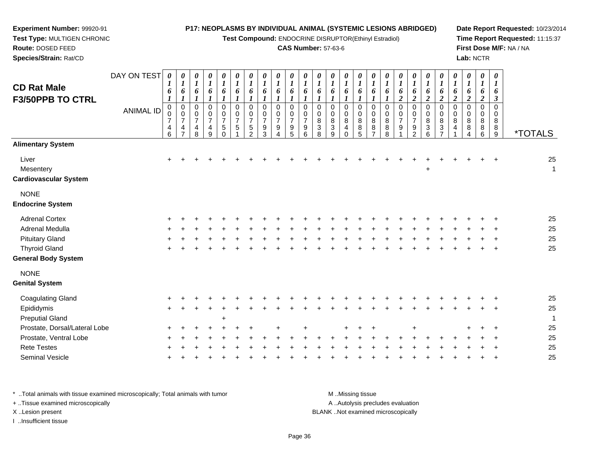**Test Compound:** ENDOCRINE DISRUPTOR(Ethinyl Estradiol)

## **CAS Number:** 57-63-6

**Date Report Requested:** 10/23/2014**Time Report Requested:** 11:15:37**First Dose M/F:** NA / NA**Lab:** NCTR

 **Test Type:** MULTIGEN CHRONIC**Route:** DOSED FEED**Species/Strain:** Rat/CD

**Experiment Number:** 99920-91

| <b>CD Rat Male</b><br><b>F3/50PPB TO CTRL</b>      | DAY ON TEST<br><b>ANIMAL ID</b> | 0<br>1<br>6<br>$\boldsymbol{l}$<br>$\pmb{0}$<br>$\pmb{0}$<br>$\overline{7}$<br>4<br>6 | 0<br>$\boldsymbol{l}$<br>6<br>$\pmb{0}$<br>$\mathbf 0$<br>$\overline{7}$<br>4<br>$\overline{7}$ | 0<br>$\boldsymbol{l}$<br>6<br>1<br>0<br>$\mathbf 0$<br>$\boldsymbol{7}$<br>$\overline{4}$<br>8 | 0<br>$\boldsymbol{l}$<br>6<br>1<br>0<br>0<br>$\overline{7}$<br>$\overline{\mathbf{4}}$<br>9 | 0<br>$\boldsymbol{l}$<br>6<br>1<br>$\mathbf 0$<br>$\pmb{0}$<br>$\overline{7}$<br>$\sqrt{5}$<br>$\Omega$ | 0<br>$\boldsymbol{l}$<br>6<br>0<br>$\boldsymbol{0}$<br>$\overline{7}$<br>5 | 0<br>$\boldsymbol{l}$<br>6<br>1<br>0<br>$\mathbf 0$<br>$\overline{7}$<br>$\sqrt{5}$<br>$\overline{2}$ | 0<br>$\boldsymbol{l}$<br>6<br>$\boldsymbol{l}$<br>$\mathbf 0$<br>$\pmb{0}$<br>$\overline{7}$<br>$\boldsymbol{9}$<br>3 | 0<br>$\boldsymbol{l}$<br>6<br>$\mathbf{I}$<br>$\mathbf 0$<br>$\pmb{0}$<br>$\overline{7}$<br>$\boldsymbol{9}$<br>4 | 0<br>$\boldsymbol{l}$<br>6<br>$\mathbf 0$<br>$\mathbf 0$<br>$\overline{7}$<br>$\boldsymbol{9}$<br>5 | 0<br>$\boldsymbol{l}$<br>6<br>1<br>$\Omega$<br>$\mathbf 0$<br>$\overline{7}$<br>$9\,$<br>6 | $\boldsymbol{\theta}$<br>$\boldsymbol{l}$<br>6<br>$\pmb{0}$<br>$\pmb{0}$<br>8<br>$\sqrt{3}$<br>8 | 0<br>$\boldsymbol{l}$<br>6<br>$\Omega$<br>0<br>8<br>3<br>9 | 0<br>$\boldsymbol{l}$<br>6<br>$\Omega$<br>0<br>$\bf 8$<br>$\overline{a}$<br>$\Omega$ | 0<br>$\boldsymbol{l}$<br>6<br>1<br>$\mathbf 0$<br>$\boldsymbol{0}$<br>8<br>8<br>5 | 0<br>$\boldsymbol{l}$<br>6<br>$\mathbf{I}$<br>0<br>$\mathbf 0$<br>$\, 8$<br>8<br>$\overline{7}$ | 0<br>$\boldsymbol{l}$<br>6<br>0<br>$\boldsymbol{0}$<br>8<br>8<br>8 | 0<br>$\boldsymbol{l}$<br>6<br>$\boldsymbol{2}$<br>$\mathbf 0$<br>$\pmb{0}$<br>$\overline{7}$<br>$\boldsymbol{9}$ | 0<br>$\boldsymbol{l}$<br>6<br>$\overline{2}$<br>$\boldsymbol{0}$<br>$\pmb{0}$<br>$\overline{7}$<br>$\boldsymbol{9}$<br>$\mathcal{P}$ | 0<br>$\boldsymbol{l}$<br>6<br>$\boldsymbol{2}$<br>$\pmb{0}$<br>$\pmb{0}$<br>$\overline{8}$<br>$\mathbf{3}$<br>6 | 0<br>$\boldsymbol{l}$<br>6<br>$\overline{c}$<br>$\pmb{0}$<br>$\mathsf{O}$<br>$\bf 8$<br>$\mathsf 3$<br>⇁ | 0<br>$\boldsymbol{l}$<br>6<br>$\boldsymbol{2}$<br>$\pmb{0}$<br>$\mathbf 0$<br>$\bf 8$<br>$\overline{4}$ | $\boldsymbol{\theta}$<br>$\boldsymbol{l}$<br>6<br>2<br>$\mathbf 0$<br>$\pmb{0}$<br>$\bf 8$<br>$\,8\,$<br>$\Delta$ | 0<br>$\boldsymbol{l}$<br>6<br>$\overline{2}$<br>$\mathbf 0$<br>$\boldsymbol{0}$<br>8<br>8<br>6 | $\boldsymbol{\theta}$<br>$\boldsymbol{l}$<br>6<br>$\boldsymbol{\beta}$<br>$\Omega$<br>0<br>8<br>8<br>9 | <i><b>*TOTALS</b></i> |
|----------------------------------------------------|---------------------------------|---------------------------------------------------------------------------------------|-------------------------------------------------------------------------------------------------|------------------------------------------------------------------------------------------------|---------------------------------------------------------------------------------------------|---------------------------------------------------------------------------------------------------------|----------------------------------------------------------------------------|-------------------------------------------------------------------------------------------------------|-----------------------------------------------------------------------------------------------------------------------|-------------------------------------------------------------------------------------------------------------------|-----------------------------------------------------------------------------------------------------|--------------------------------------------------------------------------------------------|--------------------------------------------------------------------------------------------------|------------------------------------------------------------|--------------------------------------------------------------------------------------|-----------------------------------------------------------------------------------|-------------------------------------------------------------------------------------------------|--------------------------------------------------------------------|------------------------------------------------------------------------------------------------------------------|--------------------------------------------------------------------------------------------------------------------------------------|-----------------------------------------------------------------------------------------------------------------|----------------------------------------------------------------------------------------------------------|---------------------------------------------------------------------------------------------------------|-------------------------------------------------------------------------------------------------------------------|------------------------------------------------------------------------------------------------|--------------------------------------------------------------------------------------------------------|-----------------------|
| <b>Alimentary System</b>                           |                                 |                                                                                       |                                                                                                 |                                                                                                |                                                                                             |                                                                                                         |                                                                            |                                                                                                       |                                                                                                                       |                                                                                                                   |                                                                                                     |                                                                                            |                                                                                                  |                                                            |                                                                                      |                                                                                   |                                                                                                 |                                                                    |                                                                                                                  |                                                                                                                                      |                                                                                                                 |                                                                                                          |                                                                                                         |                                                                                                                   |                                                                                                |                                                                                                        |                       |
| Liver<br>Mesentery<br><b>Cardiovascular System</b> |                                 |                                                                                       |                                                                                                 |                                                                                                |                                                                                             |                                                                                                         |                                                                            |                                                                                                       |                                                                                                                       |                                                                                                                   |                                                                                                     |                                                                                            |                                                                                                  |                                                            |                                                                                      |                                                                                   |                                                                                                 |                                                                    |                                                                                                                  |                                                                                                                                      | $\ddot{}$                                                                                                       |                                                                                                          |                                                                                                         |                                                                                                                   |                                                                                                |                                                                                                        | 25<br>$\mathbf{1}$    |
| <b>NONE</b><br><b>Endocrine System</b>             |                                 |                                                                                       |                                                                                                 |                                                                                                |                                                                                             |                                                                                                         |                                                                            |                                                                                                       |                                                                                                                       |                                                                                                                   |                                                                                                     |                                                                                            |                                                                                                  |                                                            |                                                                                      |                                                                                   |                                                                                                 |                                                                    |                                                                                                                  |                                                                                                                                      |                                                                                                                 |                                                                                                          |                                                                                                         |                                                                                                                   |                                                                                                |                                                                                                        |                       |
| <b>Adrenal Cortex</b>                              |                                 |                                                                                       |                                                                                                 |                                                                                                |                                                                                             |                                                                                                         |                                                                            |                                                                                                       |                                                                                                                       |                                                                                                                   |                                                                                                     |                                                                                            |                                                                                                  |                                                            |                                                                                      |                                                                                   |                                                                                                 |                                                                    |                                                                                                                  |                                                                                                                                      |                                                                                                                 |                                                                                                          |                                                                                                         |                                                                                                                   |                                                                                                |                                                                                                        | 25                    |
| Adrenal Medulla                                    |                                 |                                                                                       |                                                                                                 |                                                                                                |                                                                                             |                                                                                                         |                                                                            |                                                                                                       |                                                                                                                       |                                                                                                                   |                                                                                                     |                                                                                            |                                                                                                  |                                                            |                                                                                      |                                                                                   |                                                                                                 |                                                                    |                                                                                                                  |                                                                                                                                      |                                                                                                                 |                                                                                                          |                                                                                                         |                                                                                                                   |                                                                                                |                                                                                                        | 25                    |
| <b>Pituitary Gland</b>                             |                                 |                                                                                       |                                                                                                 |                                                                                                |                                                                                             |                                                                                                         |                                                                            |                                                                                                       |                                                                                                                       |                                                                                                                   |                                                                                                     |                                                                                            |                                                                                                  |                                                            |                                                                                      |                                                                                   |                                                                                                 |                                                                    |                                                                                                                  |                                                                                                                                      |                                                                                                                 |                                                                                                          |                                                                                                         |                                                                                                                   |                                                                                                |                                                                                                        | 25                    |
| <b>Thyroid Gland</b>                               |                                 |                                                                                       |                                                                                                 |                                                                                                |                                                                                             |                                                                                                         |                                                                            |                                                                                                       |                                                                                                                       |                                                                                                                   |                                                                                                     |                                                                                            |                                                                                                  |                                                            |                                                                                      |                                                                                   |                                                                                                 |                                                                    |                                                                                                                  |                                                                                                                                      |                                                                                                                 |                                                                                                          |                                                                                                         |                                                                                                                   |                                                                                                |                                                                                                        | 25                    |
| <b>General Body System</b>                         |                                 |                                                                                       |                                                                                                 |                                                                                                |                                                                                             |                                                                                                         |                                                                            |                                                                                                       |                                                                                                                       |                                                                                                                   |                                                                                                     |                                                                                            |                                                                                                  |                                                            |                                                                                      |                                                                                   |                                                                                                 |                                                                    |                                                                                                                  |                                                                                                                                      |                                                                                                                 |                                                                                                          |                                                                                                         |                                                                                                                   |                                                                                                |                                                                                                        |                       |
| <b>NONE</b><br><b>Genital System</b>               |                                 |                                                                                       |                                                                                                 |                                                                                                |                                                                                             |                                                                                                         |                                                                            |                                                                                                       |                                                                                                                       |                                                                                                                   |                                                                                                     |                                                                                            |                                                                                                  |                                                            |                                                                                      |                                                                                   |                                                                                                 |                                                                    |                                                                                                                  |                                                                                                                                      |                                                                                                                 |                                                                                                          |                                                                                                         |                                                                                                                   |                                                                                                |                                                                                                        |                       |
| Coagulating Gland                                  |                                 |                                                                                       |                                                                                                 |                                                                                                |                                                                                             |                                                                                                         |                                                                            |                                                                                                       |                                                                                                                       |                                                                                                                   |                                                                                                     |                                                                                            |                                                                                                  |                                                            |                                                                                      |                                                                                   |                                                                                                 |                                                                    |                                                                                                                  |                                                                                                                                      |                                                                                                                 |                                                                                                          |                                                                                                         |                                                                                                                   |                                                                                                |                                                                                                        | 25                    |
| Epididymis                                         |                                 |                                                                                       |                                                                                                 |                                                                                                |                                                                                             |                                                                                                         |                                                                            |                                                                                                       |                                                                                                                       |                                                                                                                   |                                                                                                     |                                                                                            |                                                                                                  |                                                            |                                                                                      |                                                                                   |                                                                                                 |                                                                    |                                                                                                                  |                                                                                                                                      |                                                                                                                 |                                                                                                          |                                                                                                         |                                                                                                                   |                                                                                                |                                                                                                        | 25                    |
| <b>Preputial Gland</b>                             |                                 |                                                                                       |                                                                                                 |                                                                                                |                                                                                             | 4                                                                                                       |                                                                            |                                                                                                       |                                                                                                                       |                                                                                                                   |                                                                                                     |                                                                                            |                                                                                                  |                                                            |                                                                                      |                                                                                   |                                                                                                 |                                                                    |                                                                                                                  |                                                                                                                                      |                                                                                                                 |                                                                                                          |                                                                                                         |                                                                                                                   |                                                                                                |                                                                                                        | 1                     |
| Prostate, Dorsal/Lateral Lobe                      |                                 |                                                                                       |                                                                                                 |                                                                                                |                                                                                             |                                                                                                         |                                                                            |                                                                                                       |                                                                                                                       |                                                                                                                   |                                                                                                     |                                                                                            |                                                                                                  |                                                            |                                                                                      |                                                                                   |                                                                                                 |                                                                    |                                                                                                                  | 4                                                                                                                                    |                                                                                                                 |                                                                                                          |                                                                                                         |                                                                                                                   |                                                                                                |                                                                                                        | 25                    |
| Prostate, Ventral Lobe                             |                                 |                                                                                       |                                                                                                 |                                                                                                |                                                                                             |                                                                                                         |                                                                            |                                                                                                       |                                                                                                                       |                                                                                                                   |                                                                                                     |                                                                                            |                                                                                                  |                                                            |                                                                                      |                                                                                   |                                                                                                 |                                                                    |                                                                                                                  |                                                                                                                                      |                                                                                                                 |                                                                                                          |                                                                                                         |                                                                                                                   |                                                                                                |                                                                                                        | 25                    |
| <b>Rete Testes</b>                                 |                                 |                                                                                       |                                                                                                 |                                                                                                |                                                                                             |                                                                                                         |                                                                            |                                                                                                       |                                                                                                                       |                                                                                                                   |                                                                                                     |                                                                                            |                                                                                                  |                                                            |                                                                                      |                                                                                   |                                                                                                 |                                                                    |                                                                                                                  |                                                                                                                                      |                                                                                                                 |                                                                                                          |                                                                                                         |                                                                                                                   |                                                                                                |                                                                                                        | 25                    |
| <b>Seminal Vesicle</b>                             |                                 |                                                                                       |                                                                                                 |                                                                                                |                                                                                             |                                                                                                         |                                                                            |                                                                                                       |                                                                                                                       |                                                                                                                   |                                                                                                     |                                                                                            |                                                                                                  |                                                            |                                                                                      |                                                                                   |                                                                                                 |                                                                    |                                                                                                                  |                                                                                                                                      |                                                                                                                 |                                                                                                          |                                                                                                         |                                                                                                                   |                                                                                                |                                                                                                        | 25                    |

\* ..Total animals with tissue examined microscopically; Total animals with tumor **M** . Missing tissue M ..Missing tissue A ..Autolysis precludes evaluation + ..Tissue examined microscopically X ..Lesion present BLANK ..Not examined microscopicallyI ..Insufficient tissue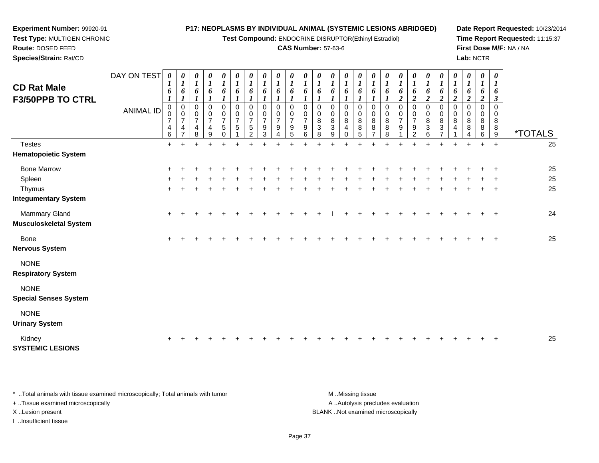**Test Compound:** ENDOCRINE DISRUPTOR(Ethinyl Estradiol)

### **CAS Number:** 57-63-6

<sup>+</sup> <sup>+</sup> <sup>+</sup> <sup>+</sup> <sup>+</sup> <sup>+</sup> <sup>+</sup> <sup>+</sup> <sup>+</sup> <sup>+</sup> <sup>+</sup> <sup>+</sup> <sup>+</sup> <sup>+</sup> <sup>+</sup> <sup>+</sup> <sup>+</sup> <sup>+</sup> <sup>+</sup> <sup>+</sup> <sup>+</sup> <sup>+</sup> <sup>+</sup> <sup>+</sup> <sup>25</sup>

<sup>+</sup> <sup>+</sup> <sup>+</sup> <sup>+</sup> <sup>+</sup> <sup>+</sup> <sup>+</sup> <sup>+</sup> <sup>+</sup> <sup>+</sup> <sup>+</sup> <sup>+</sup> <sup>+</sup> <sup>+</sup> <sup>+</sup> <sup>+</sup> <sup>+</sup> <sup>+</sup> <sup>+</sup> <sup>+</sup> <sup>+</sup> <sup>+</sup> <sup>+</sup> <sup>+</sup> <sup>25</sup>

**Date Report Requested:** 10/23/2014**Time Report Requested:** 11:15:37**First Dose M/F:** NA / NA**Lab:** NCTR

| Species/Strain: Rat/CD      |                  |                                    |                                      |                       |                                    |                                  |                                  |                |                                  |                          |                                  |                     |        |                                |             |                       |             |        |                       |                          |         |                  |                  |             | Lab: NCTR |                        |                       |                       |
|-----------------------------|------------------|------------------------------------|--------------------------------------|-----------------------|------------------------------------|----------------------------------|----------------------------------|----------------|----------------------------------|--------------------------|----------------------------------|---------------------|--------|--------------------------------|-------------|-----------------------|-------------|--------|-----------------------|--------------------------|---------|------------------|------------------|-------------|-----------|------------------------|-----------------------|-----------------------|
| <b>CD Rat Male</b>          | DAY ON TEST      | 0<br>$\mathbf{I}$                  | U<br>$\boldsymbol{l}$                | $\boldsymbol{\theta}$ | $\boldsymbol{\theta}$              | $\boldsymbol{\theta}$            |                                  |                | 0                                | 0                        | 0                                | 0                   |        | 0                              | 0           | $\boldsymbol{\theta}$ | 0           | U      | $\boldsymbol{\theta}$ | 0                        | 0       |                  |                  |             | 0         |                        | $\boldsymbol{\theta}$ |                       |
| <b>F3/50PPB TO CTRL</b>     |                  | 6<br>$\mathbf{I}$                  | 6                                    | 6                     | 6                                  | 6                                | 6                                | 6              | 6                                | 6                        | 6                                | 6                   |        | 6                              | 6           | 6                     | 6           | 6      | $\bm{o}$              | 6                        | 6       | o                |                  |             | 6         | 6<br>$\mathbf{\Omega}$ |                       |                       |
|                             | <b>ANIMAL ID</b> | 0<br>0<br>$\overline{\phantom{a}}$ | $\boldsymbol{0}$<br>$\boldsymbol{7}$ | 0<br>$\overline{ }$   | 0<br>$\mathbf 0$<br>$\overline{ }$ | 0<br>$\pmb{0}$<br>$\overline{ }$ | 0<br>$\pmb{0}$<br>$\overline{ }$ | $\overline{ }$ | $\pmb{0}$<br>0<br>$\overline{ }$ | 0<br>0<br>$\overline{ }$ | 0<br>$\pmb{0}$<br>$\overline{7}$ | 0<br>$\overline{ }$ | 0<br>8 | 0<br>0<br>8                    | 0<br>0<br>8 | 0<br>8                | 0<br>0<br>8 | 0<br>8 | $\rightarrow$         | 0<br>0<br>$\overline{ }$ | $\bf 8$ | 0<br>0<br>$\bf8$ | 0<br>0<br>$\bf8$ | 0<br>$\bf8$ | 0<br>8    | 0<br>8                 |                       |                       |
|                             |                  | 4<br>6                             | $\overline{\mathbf{4}}$              | 4<br>R                | 4<br>9                             | $\,$ 5 $\,$                      | 5                                |                | 9<br>3                           | 9                        | $\boldsymbol{9}$<br>5            | 9<br>6              | 3<br>8 | $\ensuremath{\mathsf{3}}$<br>9 | 4           | 8                     | 8           | 8<br>8 | 9                     | 9<br>$\sim$              | 3       | 3                | 4                | 8           | 8<br>6    | 9                      | 8                     | <i><b>*TOTALS</b></i> |
| Testes                      |                  | $+$                                |                                      |                       |                                    |                                  |                                  |                |                                  |                          |                                  |                     |        |                                |             |                       |             |        |                       |                          |         |                  |                  |             | ٠         | $\pm$                  |                       | 25                    |
| <b>Hematopoietic System</b> |                  |                                    |                                      |                       |                                    |                                  |                                  |                |                                  |                          |                                  |                     |        |                                |             |                       |             |        |                       |                          |         |                  |                  |             |           |                        |                       |                       |
| <b>Bone Marrow</b>          |                  |                                    |                                      |                       |                                    |                                  |                                  |                |                                  |                          |                                  |                     |        |                                |             |                       |             |        |                       |                          |         |                  |                  |             |           |                        |                       | 25                    |
| Spleen                      |                  |                                    |                                      |                       |                                    |                                  |                                  |                |                                  |                          |                                  |                     |        |                                |             |                       |             |        |                       |                          |         |                  |                  |             |           |                        |                       | 25                    |
| Thymus                      |                  | $+$                                |                                      |                       |                                    |                                  |                                  |                |                                  |                          |                                  |                     |        |                                |             |                       |             |        |                       |                          |         |                  |                  |             |           | $\overline{+}$         |                       | 25                    |
| <b>Integumentary System</b> |                  |                                    |                                      |                       |                                    |                                  |                                  |                |                                  |                          |                                  |                     |        |                                |             |                       |             |        |                       |                          |         |                  |                  |             |           |                        |                       |                       |
| <b>Mammary Gland</b>        |                  | $\pm$                              |                                      |                       |                                    |                                  |                                  |                |                                  |                          |                                  |                     |        |                                |             |                       |             |        |                       |                          |         |                  |                  |             |           | $\pm$                  |                       | 24                    |
|                             |                  |                                    |                                      |                       |                                    |                                  |                                  |                |                                  |                          |                                  |                     |        |                                |             |                       |             |        |                       |                          |         |                  |                  |             |           |                        |                       |                       |

**Musculoskeletal System**

**Experiment Number:** 99920-91**Test Type:** MULTIGEN CHRONIC

**Route:** DOSED FEED

Bone $e$  +

**Nervous System**

NONE

**Respiratory System**

NONE

**Special Senses System**

NONE

**Urinary System**

Kidney<sup>+</sup>

**SYSTEMIC LESIONS**

\* ..Total animals with tissue examined microscopically; Total animals with tumor **M** ..Missing tissue M ..Missing tissue A ..Autolysis precludes evaluation + ..Tissue examined microscopically X ..Lesion present BLANK ..Not examined microscopicallyI ..Insufficient tissue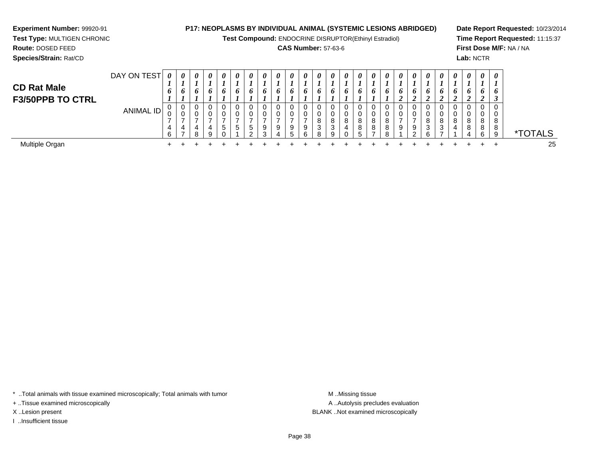**Experiment Number:** 99920-91

 **Test Type:** MULTIGEN CHRONIC**Route:** DOSED FEED**Species/Strain:** Rat/CD

**P17: NEOPLASMS BY INDIVIDUAL ANIMAL (SYSTEMIC LESIONS ABRIDGED)**

**Test Compound:** ENDOCRINE DISRUPTOR(Ethinyl Estradiol)

# **CAS Number:** 57-63-6

**Date Report Requested:** 10/23/2014**Time Report Requested:** 11:15:37**First Dose M/F:** NA / NA**Lab:** NCTR

| <b>CD Rat Male</b><br><b>F3/50PPB TO CTRL</b> | DAY ON TEST      | $\boldsymbol{\theta}$<br>o | 0<br>o           | $\theta$<br>6     | 0<br>6                      | 0<br>6 | 0<br>6                 | 0<br>6                      | $\boldsymbol{\theta}$<br>Đ | $\boldsymbol{\theta}$<br>o | 0<br>o      | $\theta$<br>o | 0<br>o       | 0<br>O           | $\theta$<br>o | $\boldsymbol{\theta}$<br>o | 0<br>6                | $\theta$<br>$\bm{o}$ | $\boldsymbol{\theta}$<br>O | $\theta$<br>o    | 0<br>o<br>◢           | $\boldsymbol{\theta}$<br>o | $\boldsymbol{\theta}$<br>O. | 0<br>$\bm{o}$ | $\boldsymbol{\theta}$<br>6<br>$\overline{v}$ | $\boldsymbol{\theta}$<br>o<br>J |                       |
|-----------------------------------------------|------------------|----------------------------|------------------|-------------------|-----------------------------|--------|------------------------|-----------------------------|----------------------------|----------------------------|-------------|---------------|--------------|------------------|---------------|----------------------------|-----------------------|----------------------|----------------------------|------------------|-----------------------|----------------------------|-----------------------------|---------------|----------------------------------------------|---------------------------------|-----------------------|
|                                               | <b>ANIMAL ID</b> | U<br>U<br>4<br>Q           | 0<br>U<br>4<br>- | 4<br><sup>o</sup> | $\mathbf{0}$<br>0<br>4<br>9 | v<br>5 | 0<br>0<br><sub>5</sub> | U<br>$\mathbf{p}$<br>$\sim$ |                            | υ<br>9                     | U<br>v<br>9 | 9<br>R        | $\circ$<br>3 | 8<br>$\sim$<br>J | 8<br>4        | 0<br>0<br>8<br>8           | 0<br>U<br>8<br>8<br>- | O<br>$\circ$         | 9                          | Ü<br>0<br>9<br>ົ | 0<br>0<br>8<br>3<br>6 | 3                          | o                           | 8<br>8<br>4   | C<br>8<br>$\circ$<br>o<br>6                  | υ<br>◡<br>8<br>8<br>9           | <i><b>*TOTALS</b></i> |
| Multiple Organ                                |                  |                            |                  |                   |                             |        |                        |                             |                            |                            |             |               |              |                  |               |                            |                       |                      |                            |                  |                       |                            |                             |               |                                              |                                 | 25                    |

\* ..Total animals with tissue examined microscopically; Total animals with tumor **M** . Missing tissue M ..Missing tissue

+ ..Tissue examined microscopically

I ..Insufficient tissue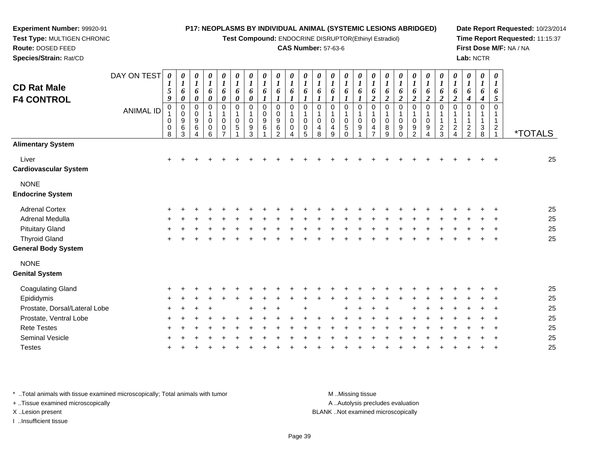**Test Compound:** ENDOCRINE DISRUPTOR(Ethinyl Estradiol)

### **CAS Number:** 57-63-6

**Date Report Requested:** 10/23/2014**Time Report Requested:** 11:15:37**First Dose M/F:** NA / NA**Lab:** NCTR

| <b>CD Rat Male</b><br><b>F4 CONTROL</b> | DAY ON TEST<br><b>ANIMAL ID</b> | 0<br>$\mathfrak{s}$<br>9<br>0<br>0<br>0<br>8 | 0<br>$\boldsymbol{l}$<br>6<br>$\boldsymbol{\theta}$<br>$\pmb{0}$<br>$\pmb{0}$<br>$\boldsymbol{9}$<br>$\,6$<br>3 | $\pmb{\theta}$<br>$\boldsymbol{l}$<br>6<br>$\pmb{\theta}$<br>$\mathbf 0$<br>0<br>$\boldsymbol{9}$<br>6<br>Δ | 0<br>$\boldsymbol{l}$<br>6<br>0<br>$\mathbf 0$<br>$\mathbf{1}$<br>$\pmb{0}$<br>0<br>6 | $\pmb{\theta}$<br>$\boldsymbol{l}$<br>6<br>$\pmb{\theta}$<br>$\mathbf 0$<br>$\mathbf{1}$<br>$\pmb{0}$<br>0 | $\boldsymbol{\theta}$<br>$\boldsymbol{l}$<br>6<br>$\boldsymbol{\theta}$<br>$\mathbf 0$<br>1<br>$\boldsymbol{0}$<br>5 | $\pmb{\theta}$<br>$\boldsymbol{l}$<br>6<br>$\boldsymbol{\theta}$<br>0<br>$\mathbf 1$<br>0<br>9<br>3 | 0<br>$\boldsymbol{l}$<br>6<br>$\mathbf 0$<br>0<br>9<br>6 | 0<br>$\boldsymbol{l}$<br>6<br>$\boldsymbol{l}$<br>0<br>0<br>$\boldsymbol{9}$<br>6<br>2 | 0<br>$\boldsymbol{l}$<br>6<br>$\boldsymbol{l}$<br>$\Omega$<br>$\Omega$<br>0 | $\boldsymbol{\theta}$<br>6<br>$\Omega$<br>$\Omega$<br>0<br>5 | 0<br>6<br>$\mathbf 0$<br>$\Omega$<br>4<br>8 | 0<br>$\boldsymbol{l}$<br>6<br>$\Omega$<br>$\mathbf 0$<br>4<br>9 | 0<br>$\bm{l}$<br>6<br>0<br>1<br>0<br>5<br>$\Omega$ | 0<br>$\boldsymbol{l}$<br>6<br>$\mathbf 0$<br>1<br>$\mathbf 0$<br>9 | 0<br>$\boldsymbol{l}$<br>6<br>$\boldsymbol{2}$<br>0<br>$\mathbf 1$<br>$\pmb{0}$<br>4<br>7 | $\boldsymbol{\theta}$<br>$\boldsymbol{l}$<br>6<br>$\boldsymbol{2}$<br>$\mathbf 0$<br>$\mathbf{1}$<br>$\mathbf 0$<br>8<br>9 | 0<br>$\boldsymbol{l}$<br>6<br>$\boldsymbol{2}$<br>0<br>0<br>9<br>0 | 0<br>6<br>$\boldsymbol{2}$<br>$\mathbf 0$<br>$\mathbf 0$<br>9<br>$\mathcal{D}$ | 0<br>$\boldsymbol{l}$<br>6<br>$\boldsymbol{2}$<br>$\mathbf 0$<br>$\pmb{0}$<br>$\boldsymbol{9}$<br>4 | 0<br>6<br>$\boldsymbol{2}$<br>0<br>$\overline{c}$<br>3 | $\boldsymbol{\theta}$<br>$\boldsymbol{l}$<br>6<br>$\boldsymbol{2}$<br>$\Omega$<br>$\sqrt{2}$<br>4 | $\boldsymbol{\theta}$<br>$\boldsymbol{l}$<br>6<br>$\boldsymbol{4}$<br>0<br>1<br>$\mathbf 1$<br>$\sqrt{2}$<br>$\overline{c}$ | $\boldsymbol{\theta}$<br>$\boldsymbol{l}$<br>6<br>4<br>$\mathbf 0$<br>1<br>$\mathbf{1}$<br>$\sqrt{3}$<br>8 | $\boldsymbol{\theta}$<br>$\boldsymbol{l}$<br>6<br>5<br>0<br>1<br>1<br>$\overline{2}$ | <i><b>*TOTALS</b></i> |
|-----------------------------------------|---------------------------------|----------------------------------------------|-----------------------------------------------------------------------------------------------------------------|-------------------------------------------------------------------------------------------------------------|---------------------------------------------------------------------------------------|------------------------------------------------------------------------------------------------------------|----------------------------------------------------------------------------------------------------------------------|-----------------------------------------------------------------------------------------------------|----------------------------------------------------------|----------------------------------------------------------------------------------------|-----------------------------------------------------------------------------|--------------------------------------------------------------|---------------------------------------------|-----------------------------------------------------------------|----------------------------------------------------|--------------------------------------------------------------------|-------------------------------------------------------------------------------------------|----------------------------------------------------------------------------------------------------------------------------|--------------------------------------------------------------------|--------------------------------------------------------------------------------|-----------------------------------------------------------------------------------------------------|--------------------------------------------------------|---------------------------------------------------------------------------------------------------|-----------------------------------------------------------------------------------------------------------------------------|------------------------------------------------------------------------------------------------------------|--------------------------------------------------------------------------------------|-----------------------|
| <b>Alimentary System</b>                |                                 |                                              |                                                                                                                 |                                                                                                             |                                                                                       |                                                                                                            |                                                                                                                      |                                                                                                     |                                                          |                                                                                        |                                                                             |                                                              |                                             |                                                                 |                                                    |                                                                    |                                                                                           |                                                                                                                            |                                                                    |                                                                                |                                                                                                     |                                                        |                                                                                                   |                                                                                                                             |                                                                                                            |                                                                                      |                       |
| Liver<br><b>Cardiovascular System</b>   |                                 | $+$                                          |                                                                                                                 |                                                                                                             |                                                                                       |                                                                                                            |                                                                                                                      |                                                                                                     |                                                          |                                                                                        |                                                                             |                                                              |                                             |                                                                 |                                                    |                                                                    |                                                                                           |                                                                                                                            |                                                                    |                                                                                |                                                                                                     |                                                        |                                                                                                   |                                                                                                                             |                                                                                                            |                                                                                      | 25                    |
| <b>NONE</b><br><b>Endocrine System</b>  |                                 |                                              |                                                                                                                 |                                                                                                             |                                                                                       |                                                                                                            |                                                                                                                      |                                                                                                     |                                                          |                                                                                        |                                                                             |                                                              |                                             |                                                                 |                                                    |                                                                    |                                                                                           |                                                                                                                            |                                                                    |                                                                                |                                                                                                     |                                                        |                                                                                                   |                                                                                                                             |                                                                                                            |                                                                                      |                       |
| <b>Adrenal Cortex</b>                   |                                 |                                              |                                                                                                                 |                                                                                                             |                                                                                       |                                                                                                            |                                                                                                                      |                                                                                                     |                                                          |                                                                                        |                                                                             |                                                              |                                             |                                                                 |                                                    |                                                                    |                                                                                           |                                                                                                                            |                                                                    |                                                                                |                                                                                                     |                                                        |                                                                                                   |                                                                                                                             |                                                                                                            |                                                                                      | 25                    |
| <b>Adrenal Medulla</b>                  |                                 |                                              |                                                                                                                 |                                                                                                             |                                                                                       |                                                                                                            |                                                                                                                      |                                                                                                     |                                                          |                                                                                        |                                                                             |                                                              |                                             |                                                                 |                                                    |                                                                    |                                                                                           |                                                                                                                            |                                                                    |                                                                                |                                                                                                     |                                                        |                                                                                                   |                                                                                                                             |                                                                                                            |                                                                                      | 25                    |
| <b>Pituitary Gland</b>                  |                                 |                                              |                                                                                                                 |                                                                                                             |                                                                                       |                                                                                                            |                                                                                                                      |                                                                                                     |                                                          |                                                                                        |                                                                             |                                                              |                                             |                                                                 |                                                    |                                                                    |                                                                                           |                                                                                                                            |                                                                    |                                                                                |                                                                                                     |                                                        |                                                                                                   |                                                                                                                             |                                                                                                            |                                                                                      | 25                    |
| <b>Thyroid Gland</b>                    |                                 |                                              |                                                                                                                 |                                                                                                             |                                                                                       |                                                                                                            |                                                                                                                      |                                                                                                     |                                                          |                                                                                        |                                                                             |                                                              |                                             |                                                                 |                                                    |                                                                    |                                                                                           |                                                                                                                            |                                                                    |                                                                                |                                                                                                     |                                                        |                                                                                                   |                                                                                                                             |                                                                                                            |                                                                                      | 25                    |
| <b>General Body System</b>              |                                 |                                              |                                                                                                                 |                                                                                                             |                                                                                       |                                                                                                            |                                                                                                                      |                                                                                                     |                                                          |                                                                                        |                                                                             |                                                              |                                             |                                                                 |                                                    |                                                                    |                                                                                           |                                                                                                                            |                                                                    |                                                                                |                                                                                                     |                                                        |                                                                                                   |                                                                                                                             |                                                                                                            |                                                                                      |                       |
| <b>NONE</b><br><b>Genital System</b>    |                                 |                                              |                                                                                                                 |                                                                                                             |                                                                                       |                                                                                                            |                                                                                                                      |                                                                                                     |                                                          |                                                                                        |                                                                             |                                                              |                                             |                                                                 |                                                    |                                                                    |                                                                                           |                                                                                                                            |                                                                    |                                                                                |                                                                                                     |                                                        |                                                                                                   |                                                                                                                             |                                                                                                            |                                                                                      |                       |
| <b>Coagulating Gland</b>                |                                 |                                              |                                                                                                                 |                                                                                                             |                                                                                       |                                                                                                            |                                                                                                                      |                                                                                                     |                                                          |                                                                                        |                                                                             |                                                              |                                             |                                                                 |                                                    |                                                                    |                                                                                           |                                                                                                                            |                                                                    |                                                                                |                                                                                                     |                                                        |                                                                                                   |                                                                                                                             |                                                                                                            |                                                                                      | 25                    |
| Epididymis                              |                                 |                                              |                                                                                                                 |                                                                                                             |                                                                                       |                                                                                                            |                                                                                                                      |                                                                                                     |                                                          |                                                                                        |                                                                             |                                                              |                                             |                                                                 |                                                    |                                                                    |                                                                                           |                                                                                                                            |                                                                    |                                                                                |                                                                                                     |                                                        |                                                                                                   |                                                                                                                             |                                                                                                            |                                                                                      | 25                    |
| Prostate, Dorsal/Lateral Lobe           |                                 |                                              |                                                                                                                 |                                                                                                             |                                                                                       |                                                                                                            |                                                                                                                      |                                                                                                     |                                                          |                                                                                        |                                                                             |                                                              |                                             |                                                                 |                                                    |                                                                    |                                                                                           |                                                                                                                            |                                                                    |                                                                                |                                                                                                     |                                                        |                                                                                                   |                                                                                                                             |                                                                                                            |                                                                                      | 25                    |
| Prostate, Ventral Lobe                  |                                 |                                              |                                                                                                                 |                                                                                                             |                                                                                       |                                                                                                            |                                                                                                                      |                                                                                                     |                                                          |                                                                                        |                                                                             |                                                              |                                             |                                                                 |                                                    |                                                                    |                                                                                           |                                                                                                                            |                                                                    |                                                                                |                                                                                                     |                                                        |                                                                                                   |                                                                                                                             |                                                                                                            |                                                                                      | 25                    |
| <b>Rete Testes</b>                      |                                 |                                              |                                                                                                                 |                                                                                                             |                                                                                       |                                                                                                            |                                                                                                                      |                                                                                                     |                                                          |                                                                                        |                                                                             |                                                              |                                             |                                                                 |                                                    |                                                                    |                                                                                           |                                                                                                                            |                                                                    |                                                                                |                                                                                                     |                                                        |                                                                                                   |                                                                                                                             |                                                                                                            |                                                                                      | 25                    |
| Seminal Vesicle                         |                                 |                                              |                                                                                                                 |                                                                                                             |                                                                                       |                                                                                                            |                                                                                                                      |                                                                                                     |                                                          |                                                                                        |                                                                             |                                                              |                                             |                                                                 |                                                    |                                                                    |                                                                                           |                                                                                                                            |                                                                    |                                                                                |                                                                                                     |                                                        |                                                                                                   |                                                                                                                             |                                                                                                            |                                                                                      | 25                    |
| <b>Testes</b>                           |                                 |                                              |                                                                                                                 |                                                                                                             |                                                                                       |                                                                                                            |                                                                                                                      |                                                                                                     |                                                          |                                                                                        |                                                                             |                                                              |                                             |                                                                 |                                                    |                                                                    |                                                                                           |                                                                                                                            |                                                                    |                                                                                |                                                                                                     |                                                        |                                                                                                   |                                                                                                                             |                                                                                                            |                                                                                      | 25                    |
|                                         |                                 |                                              |                                                                                                                 |                                                                                                             |                                                                                       |                                                                                                            |                                                                                                                      |                                                                                                     |                                                          |                                                                                        |                                                                             |                                                              |                                             |                                                                 |                                                    |                                                                    |                                                                                           |                                                                                                                            |                                                                    |                                                                                |                                                                                                     |                                                        |                                                                                                   |                                                                                                                             |                                                                                                            |                                                                                      |                       |

\* ..Total animals with tissue examined microscopically; Total animals with tumor **M** . Missing tissue M ..Missing tissue

+ ..Tissue examined microscopically

**Experiment Number:** 99920-91**Test Type:** MULTIGEN CHRONIC

**Route:** DOSED FEED**Species/Strain:** Rat/CD

X ..Lesion present BLANK ..Not examined microscopically

I ..Insufficient tissue

A ..Autolysis precludes evaluation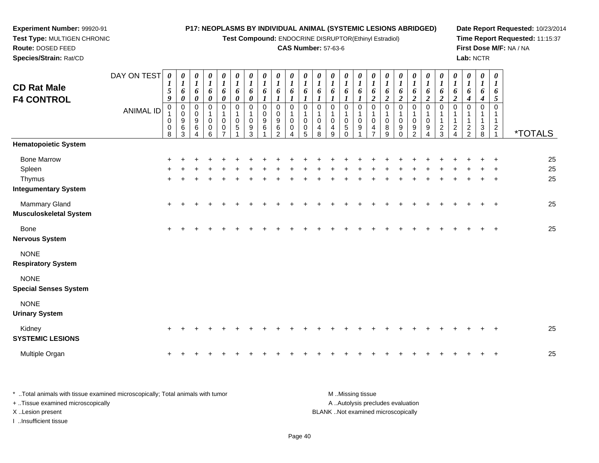**Test Compound:** ENDOCRINE DISRUPTOR(Ethinyl Estradiol)

# **CAS Number:** 57-63-6

**Date Report Requested:** 10/23/2014 **Time Report Requested:** 11:15:37**First Dose M/F:** NA / NA**Lab:** NCTR

| <b>CD Rat Male</b><br><b>F4 CONTROL</b>                               | DAY ON TEST<br><b>ANIMAL ID</b> | 0<br>$\boldsymbol{l}$<br>$\sqrt{5}$<br>9<br>$\pmb{0}$<br>0<br>0<br>8 | $\boldsymbol{\theta}$<br>$\boldsymbol{l}$<br>6<br>$\boldsymbol{\theta}$<br>$\pmb{0}$<br>$\mathbf 0$<br>9<br>6<br>3 | 0<br>$\boldsymbol{l}$<br>6<br>$\pmb{\theta}$<br>$\pmb{0}$<br>$\mathbf 0$<br>9<br>6<br>$\lambda$ | 0<br>$\boldsymbol{l}$<br>6<br>0<br>0<br>$\pmb{0}$<br>0<br>6 | $\pmb{\theta}$<br>$\boldsymbol{l}$<br>6<br>$\pmb{\theta}$<br>0<br>1<br>$\pmb{0}$<br>0 | 0<br>$\boldsymbol{l}$<br>6<br>$\boldsymbol{\theta}$<br>$\pmb{0}$<br>$\mathbf 1$<br>$\overline{0}$<br>$\sqrt{5}$<br>1 | $\pmb{\theta}$<br>$\boldsymbol{l}$<br>6<br>$\pmb{\theta}$<br>$\pmb{0}$<br>1<br>0<br>9<br>3 | $\boldsymbol{\theta}$<br>$\boldsymbol{l}$<br>6<br>$\pmb{0}$<br>$\mathbf 0$<br>9<br>6 | 0<br>$\boldsymbol{l}$<br>6<br>$\mathbf 0$<br>0<br>9<br>6<br>$\mathfrak{p}$ | 0<br>1<br>6<br>$\Omega$<br>0<br>0 | 0<br>1<br>6<br>$\mathbf 0$<br>0<br>0<br>5 | 0<br>1<br>6<br>0<br>0<br>4<br>8 | 0<br>$\bm{l}$<br>6<br>$\Omega$<br>0<br>4<br>9 | 0<br>$\bm{l}$<br>6<br>0<br>1<br>$\pmb{0}$<br>$\sqrt{5}$<br>$\Omega$ | 0<br>$\boldsymbol{l}$<br>6<br>$\mathbf 0$<br>1<br>$\pmb{0}$<br>9 | 0<br>$\boldsymbol{l}$<br>6<br>$\boldsymbol{2}$<br>$\pmb{0}$<br>$\mathbf{1}$<br>0<br>4<br>7 | $\boldsymbol{\theta}$<br>$\boldsymbol{l}$<br>6<br>$\boldsymbol{2}$<br>$\pmb{0}$<br>1<br>0<br>8<br>9 | 0<br>$\boldsymbol{l}$<br>6<br>$\boldsymbol{2}$<br>$\pmb{0}$<br>0<br>9<br>$\Omega$ | $\boldsymbol{\theta}$<br>$\boldsymbol{l}$<br>6<br>$\boldsymbol{2}$<br>$\pmb{0}$<br>1<br>$\pmb{0}$<br>9<br>$\mathcal{P}$ | 0<br>$\boldsymbol{l}$<br>6<br>$\boldsymbol{2}$<br>$\pmb{0}$<br>$\pmb{0}$<br>$\boldsymbol{9}$<br>$\Delta$ | 0<br>$\boldsymbol{l}$<br>6<br>$\overline{2}$<br>0<br>$\overline{c}$<br>3 | $\pmb{\theta}$<br>$\boldsymbol{l}$<br>6<br>$\boldsymbol{2}$<br>$\mathbf 0$<br>$\overline{c}$<br>$\overline{4}$ | $\pmb{\theta}$<br>$\boldsymbol{l}$<br>6<br>4<br>$\mathbf 0$<br>1<br>$\mathbf{1}$<br>$\overline{2}$<br>$\overline{2}$ | $\boldsymbol{\theta}$<br>$\boldsymbol{l}$<br>6<br>$\boldsymbol{4}$<br>$\mathbf 0$<br>$\mathbf{1}$<br>3<br>8 | $\boldsymbol{\theta}$<br>$\boldsymbol{l}$<br>6<br>5<br>$\mathbf 0$<br>$\mathbf{1}$<br>$\overline{a}$ | <i><b>*TOTALS</b></i> |
|-----------------------------------------------------------------------|---------------------------------|----------------------------------------------------------------------|--------------------------------------------------------------------------------------------------------------------|-------------------------------------------------------------------------------------------------|-------------------------------------------------------------|---------------------------------------------------------------------------------------|----------------------------------------------------------------------------------------------------------------------|--------------------------------------------------------------------------------------------|--------------------------------------------------------------------------------------|----------------------------------------------------------------------------|-----------------------------------|-------------------------------------------|---------------------------------|-----------------------------------------------|---------------------------------------------------------------------|------------------------------------------------------------------|--------------------------------------------------------------------------------------------|-----------------------------------------------------------------------------------------------------|-----------------------------------------------------------------------------------|-------------------------------------------------------------------------------------------------------------------------|----------------------------------------------------------------------------------------------------------|--------------------------------------------------------------------------|----------------------------------------------------------------------------------------------------------------|----------------------------------------------------------------------------------------------------------------------|-------------------------------------------------------------------------------------------------------------|------------------------------------------------------------------------------------------------------|-----------------------|
| <b>Hematopoietic System</b>                                           |                                 |                                                                      |                                                                                                                    |                                                                                                 |                                                             |                                                                                       |                                                                                                                      |                                                                                            |                                                                                      |                                                                            |                                   |                                           |                                 |                                               |                                                                     |                                                                  |                                                                                            |                                                                                                     |                                                                                   |                                                                                                                         |                                                                                                          |                                                                          |                                                                                                                |                                                                                                                      |                                                                                                             |                                                                                                      |                       |
| <b>Bone Marrow</b><br>Spleen<br>Thymus<br><b>Integumentary System</b> |                                 | $\ddot{}$<br>$\ddot{}$                                               |                                                                                                                    |                                                                                                 |                                                             |                                                                                       |                                                                                                                      |                                                                                            |                                                                                      |                                                                            |                                   |                                           |                                 |                                               |                                                                     |                                                                  |                                                                                            |                                                                                                     |                                                                                   |                                                                                                                         |                                                                                                          |                                                                          |                                                                                                                |                                                                                                                      |                                                                                                             |                                                                                                      | 25<br>25<br>25        |
| Mammary Gland<br>Musculoskeletal System                               |                                 | $\ddot{}$                                                            |                                                                                                                    |                                                                                                 |                                                             |                                                                                       |                                                                                                                      |                                                                                            |                                                                                      |                                                                            |                                   |                                           |                                 |                                               |                                                                     |                                                                  |                                                                                            |                                                                                                     |                                                                                   |                                                                                                                         |                                                                                                          |                                                                          |                                                                                                                |                                                                                                                      |                                                                                                             |                                                                                                      | 25                    |
| Bone<br>Nervous System                                                |                                 | $\pm$                                                                |                                                                                                                    |                                                                                                 |                                                             |                                                                                       |                                                                                                                      |                                                                                            |                                                                                      |                                                                            |                                   |                                           |                                 |                                               |                                                                     |                                                                  |                                                                                            |                                                                                                     |                                                                                   |                                                                                                                         |                                                                                                          |                                                                          |                                                                                                                |                                                                                                                      |                                                                                                             |                                                                                                      | 25                    |
| <b>NONE</b><br><b>Respiratory System</b>                              |                                 |                                                                      |                                                                                                                    |                                                                                                 |                                                             |                                                                                       |                                                                                                                      |                                                                                            |                                                                                      |                                                                            |                                   |                                           |                                 |                                               |                                                                     |                                                                  |                                                                                            |                                                                                                     |                                                                                   |                                                                                                                         |                                                                                                          |                                                                          |                                                                                                                |                                                                                                                      |                                                                                                             |                                                                                                      |                       |
| <b>NONE</b><br><b>Special Senses System</b>                           |                                 |                                                                      |                                                                                                                    |                                                                                                 |                                                             |                                                                                       |                                                                                                                      |                                                                                            |                                                                                      |                                                                            |                                   |                                           |                                 |                                               |                                                                     |                                                                  |                                                                                            |                                                                                                     |                                                                                   |                                                                                                                         |                                                                                                          |                                                                          |                                                                                                                |                                                                                                                      |                                                                                                             |                                                                                                      |                       |
| <b>NONE</b><br><b>Urinary System</b>                                  |                                 |                                                                      |                                                                                                                    |                                                                                                 |                                                             |                                                                                       |                                                                                                                      |                                                                                            |                                                                                      |                                                                            |                                   |                                           |                                 |                                               |                                                                     |                                                                  |                                                                                            |                                                                                                     |                                                                                   |                                                                                                                         |                                                                                                          |                                                                          |                                                                                                                |                                                                                                                      |                                                                                                             |                                                                                                      |                       |
| Kidney<br><b>SYSTEMIC LESIONS</b>                                     |                                 | $\ddot{}$                                                            |                                                                                                                    |                                                                                                 |                                                             |                                                                                       |                                                                                                                      |                                                                                            |                                                                                      |                                                                            |                                   |                                           |                                 |                                               |                                                                     |                                                                  |                                                                                            |                                                                                                     |                                                                                   |                                                                                                                         |                                                                                                          |                                                                          |                                                                                                                |                                                                                                                      |                                                                                                             |                                                                                                      | 25                    |
| Multiple Organ                                                        |                                 | $\ddot{}$                                                            |                                                                                                                    |                                                                                                 |                                                             |                                                                                       |                                                                                                                      |                                                                                            |                                                                                      |                                                                            |                                   |                                           |                                 |                                               |                                                                     |                                                                  |                                                                                            |                                                                                                     |                                                                                   |                                                                                                                         |                                                                                                          |                                                                          |                                                                                                                |                                                                                                                      |                                                                                                             |                                                                                                      | 25                    |

| Total animals with tissue examined microscopically: Total animals with tumor | M Missing tissue                   |
|------------------------------------------------------------------------------|------------------------------------|
| + Tissue examined microscopically                                            | A Autolysis precludes evaluation   |
| X Lesion present                                                             | BLANK Not examined microscopically |
| Insufficient tissue                                                          |                                    |

**Experiment Number:** 99920-91**Test Type:** MULTIGEN CHRONIC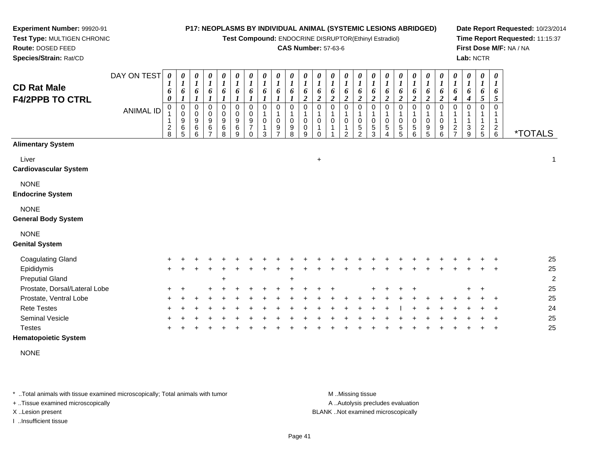**Test Compound:** ENDOCRINE DISRUPTOR(Ethinyl Estradiol)

### **CAS Number:** 57-63-6

**Date Report Requested:** 10/23/2014**Time Report Requested:** 11:15:37**First Dose M/F:** NA / NA**Lab:** NCTR

| <b>CD Rat Male</b><br><b>F4/2PPB TO CTRL</b> | DAY ON TEST<br><b>ANIMAL ID</b> | $\boldsymbol{\theta}$<br>$\boldsymbol{l}$<br>6<br>0<br>0<br>1<br>$\frac{2}{8}$ | 0<br>$\boldsymbol{l}$<br>6<br>1<br>0<br>$\mathbf 0$<br>9<br>6<br>5 | 0<br>$\boldsymbol{l}$<br>6<br>0<br>0<br>9<br>6<br>6 | 0<br>$\boldsymbol{l}$<br>6<br>0<br>0<br>$\boldsymbol{9}$<br>6 | 0<br>$\boldsymbol{l}$<br>6<br>0<br>$\pmb{0}$<br>9<br>6<br>8 | $\boldsymbol{\theta}$<br>$\boldsymbol{l}$<br>6<br>$\mathbf 0$<br>$\pmb{0}$<br>$\boldsymbol{9}$<br>$\,6$<br>9 | 0<br>$\boldsymbol{l}$<br>6<br>$\mathbf 0$<br>$\pmb{0}$<br>$\boldsymbol{9}$<br>$\overline{7}$<br>$\Omega$ | 0<br>$\boldsymbol{l}$<br>6<br>$\Omega$<br>$\mathbf 0$<br>3 | 0<br>$\boldsymbol{l}$<br>6<br>0<br>0<br>9 | $\pmb{\theta}$<br>$\boldsymbol{l}$<br>6<br>0<br>1<br>$\mathbf 0$<br>9<br>8 | $\frac{\theta}{I}$<br>6<br>$\boldsymbol{2}$<br>$\mathbf 0$<br>1<br>$\,0\,$<br>$\,0\,$<br>9 | $\pmb{\theta}$<br>$\boldsymbol{l}$<br>6<br>$\boldsymbol{2}$<br>$\mathbf 0$<br>1<br>$\mathbf 0$<br>$\mathbf{1}$<br>0 | 0<br>$\boldsymbol{l}$<br>6<br>$\boldsymbol{2}$<br>$\mathbf 0$<br>$\mathbf 0$<br>$\overline{1}$ | 0<br>$\boldsymbol{l}$<br>6<br>$\boldsymbol{2}$<br>$\mathbf 0$<br>1<br>$\mathbf 0$<br>1<br>2 | 0<br>$\boldsymbol{l}$<br>6<br>$\boldsymbol{2}$<br>$\mathbf 0$<br>0<br>5<br>2 | 0<br>$\boldsymbol{l}$<br>6<br>$\boldsymbol{2}$<br>$\Omega$<br>0<br>5<br>3 | 0<br>$\boldsymbol{l}$<br>6<br>$\boldsymbol{2}$<br>0<br>0<br>5 | $\pmb{\theta}$<br>$\boldsymbol{l}$<br>6<br>$\boldsymbol{2}$<br>$\mathbf 0$<br>0<br>5<br>5 | $\pmb{\theta}$<br>$\boldsymbol{l}$<br>6<br>$\boldsymbol{2}$<br>0<br>0<br>5<br>6 | $\pmb{\theta}$<br>$\boldsymbol{l}$<br>6<br>$\overline{2}$<br>$\Omega$<br>$\pmb{0}$<br>$\begin{array}{c} 9 \\ 5 \end{array}$ | $\boldsymbol{\theta}$<br>$\boldsymbol{l}$<br>6<br>$\overline{\mathbf{c}}$<br>$\mathbf 0$<br>$\mathbf{1}$<br>$\pmb{0}$<br>$\boldsymbol{9}$<br>6 | $\begin{matrix} 0 \\ 1 \end{matrix}$<br>6<br>4<br>0<br>1<br>$\frac{2}{7}$ | $\boldsymbol{\theta}$<br>$\boldsymbol{l}$<br>6<br>4<br>$\Omega$<br>1<br>3<br>9 | 0<br>$\boldsymbol{l}$<br>6<br>5<br>0<br>$rac{2}{5}$ | $\pmb{\theta}$<br>$\boldsymbol{l}$<br>6<br>5<br>$\Omega$<br>$\mathbf{1}$<br>$\frac{2}{6}$ | <i><b>*TOTALS</b></i> |
|----------------------------------------------|---------------------------------|--------------------------------------------------------------------------------|--------------------------------------------------------------------|-----------------------------------------------------|---------------------------------------------------------------|-------------------------------------------------------------|--------------------------------------------------------------------------------------------------------------|----------------------------------------------------------------------------------------------------------|------------------------------------------------------------|-------------------------------------------|----------------------------------------------------------------------------|--------------------------------------------------------------------------------------------|---------------------------------------------------------------------------------------------------------------------|------------------------------------------------------------------------------------------------|---------------------------------------------------------------------------------------------|------------------------------------------------------------------------------|---------------------------------------------------------------------------|---------------------------------------------------------------|-------------------------------------------------------------------------------------------|---------------------------------------------------------------------------------|-----------------------------------------------------------------------------------------------------------------------------|------------------------------------------------------------------------------------------------------------------------------------------------|---------------------------------------------------------------------------|--------------------------------------------------------------------------------|-----------------------------------------------------|-------------------------------------------------------------------------------------------|-----------------------|
| <b>Alimentary System</b>                     |                                 |                                                                                |                                                                    |                                                     |                                                               |                                                             |                                                                                                              |                                                                                                          |                                                            |                                           |                                                                            |                                                                                            |                                                                                                                     |                                                                                                |                                                                                             |                                                                              |                                                                           |                                                               |                                                                                           |                                                                                 |                                                                                                                             |                                                                                                                                                |                                                                           |                                                                                |                                                     |                                                                                           |                       |
| Liver<br><b>Cardiovascular System</b>        |                                 |                                                                                |                                                                    |                                                     |                                                               |                                                             |                                                                                                              |                                                                                                          |                                                            |                                           |                                                                            |                                                                                            | $\ddot{}$                                                                                                           |                                                                                                |                                                                                             |                                                                              |                                                                           |                                                               |                                                                                           |                                                                                 |                                                                                                                             |                                                                                                                                                |                                                                           |                                                                                |                                                     |                                                                                           |                       |
| <b>NONE</b><br><b>Endocrine System</b>       |                                 |                                                                                |                                                                    |                                                     |                                                               |                                                             |                                                                                                              |                                                                                                          |                                                            |                                           |                                                                            |                                                                                            |                                                                                                                     |                                                                                                |                                                                                             |                                                                              |                                                                           |                                                               |                                                                                           |                                                                                 |                                                                                                                             |                                                                                                                                                |                                                                           |                                                                                |                                                     |                                                                                           |                       |
| <b>NONE</b><br><b>General Body System</b>    |                                 |                                                                                |                                                                    |                                                     |                                                               |                                                             |                                                                                                              |                                                                                                          |                                                            |                                           |                                                                            |                                                                                            |                                                                                                                     |                                                                                                |                                                                                             |                                                                              |                                                                           |                                                               |                                                                                           |                                                                                 |                                                                                                                             |                                                                                                                                                |                                                                           |                                                                                |                                                     |                                                                                           |                       |
| <b>NONE</b><br><b>Genital System</b>         |                                 |                                                                                |                                                                    |                                                     |                                                               |                                                             |                                                                                                              |                                                                                                          |                                                            |                                           |                                                                            |                                                                                            |                                                                                                                     |                                                                                                |                                                                                             |                                                                              |                                                                           |                                                               |                                                                                           |                                                                                 |                                                                                                                             |                                                                                                                                                |                                                                           |                                                                                |                                                     |                                                                                           |                       |
| <b>Coagulating Gland</b>                     |                                 |                                                                                |                                                                    |                                                     |                                                               |                                                             |                                                                                                              |                                                                                                          |                                                            |                                           |                                                                            |                                                                                            |                                                                                                                     |                                                                                                |                                                                                             |                                                                              |                                                                           |                                                               |                                                                                           |                                                                                 |                                                                                                                             |                                                                                                                                                |                                                                           |                                                                                |                                                     |                                                                                           | 25                    |
| Epididymis<br><b>Preputial Gland</b>         |                                 | ٠                                                                              |                                                                    |                                                     |                                                               |                                                             |                                                                                                              |                                                                                                          |                                                            |                                           |                                                                            |                                                                                            |                                                                                                                     |                                                                                                |                                                                                             |                                                                              |                                                                           |                                                               |                                                                                           |                                                                                 |                                                                                                                             |                                                                                                                                                |                                                                           |                                                                                |                                                     |                                                                                           | 25<br>$\overline{2}$  |
| Prostate, Dorsal/Lateral Lobe                |                                 |                                                                                |                                                                    |                                                     |                                                               |                                                             |                                                                                                              |                                                                                                          |                                                            |                                           |                                                                            |                                                                                            |                                                                                                                     |                                                                                                |                                                                                             |                                                                              |                                                                           |                                                               |                                                                                           |                                                                                 |                                                                                                                             |                                                                                                                                                |                                                                           |                                                                                |                                                     |                                                                                           | 25                    |
| Prostate, Ventral Lobe                       |                                 |                                                                                |                                                                    |                                                     |                                                               |                                                             |                                                                                                              |                                                                                                          |                                                            |                                           |                                                                            |                                                                                            |                                                                                                                     |                                                                                                |                                                                                             |                                                                              |                                                                           |                                                               |                                                                                           |                                                                                 |                                                                                                                             |                                                                                                                                                |                                                                           |                                                                                |                                                     |                                                                                           | 25                    |
| <b>Rete Testes</b>                           |                                 |                                                                                |                                                                    |                                                     |                                                               |                                                             |                                                                                                              |                                                                                                          |                                                            |                                           |                                                                            |                                                                                            |                                                                                                                     |                                                                                                |                                                                                             |                                                                              |                                                                           |                                                               |                                                                                           |                                                                                 |                                                                                                                             |                                                                                                                                                |                                                                           |                                                                                |                                                     |                                                                                           | 24                    |
| <b>Seminal Vesicle</b><br><b>Testes</b>      |                                 |                                                                                |                                                                    |                                                     |                                                               |                                                             |                                                                                                              |                                                                                                          |                                                            |                                           |                                                                            |                                                                                            |                                                                                                                     |                                                                                                |                                                                                             |                                                                              |                                                                           |                                                               |                                                                                           |                                                                                 |                                                                                                                             |                                                                                                                                                |                                                                           |                                                                                |                                                     |                                                                                           | 25<br>25              |

**Hematopoietic System**

**Experiment Number:** 99920-91**Test Type:** MULTIGEN CHRONIC

**Route:** DOSED FEED**Species/Strain:** Rat/CD

NONE

\* ..Total animals with tissue examined microscopically; Total animals with tumor **M** ...Missing tissue M ...Missing tissue

+ ..Tissue examined microscopically

I ..Insufficient tissue

A ..Autolysis precludes evaluation

X ..Lesion present BLANK ..Not examined microscopically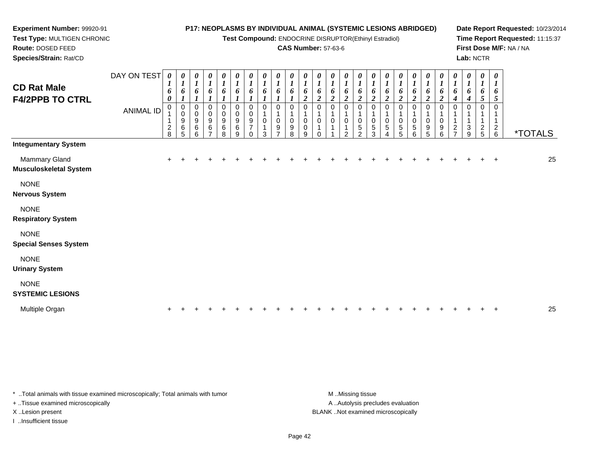**Test Compound:** ENDOCRINE DISRUPTOR(Ethinyl Estradiol)

### **CAS Number:** 57-63-6

**Date Report Requested:** 10/23/2014**Time Report Requested:** 11:15:37**First Dose M/F:** NA / NA**Lab:** NCTR

| <b>CD Rat Male</b><br><b>F4/2PPB TO CTRL</b>   | DAY ON TEST<br><b>ANIMAL ID</b> | 0<br>$\mathbf{I}$<br>6<br>0<br>0<br>$\frac{2}{8}$ | 0<br>$\boldsymbol{l}$<br>6<br>0<br>0<br>9<br>6<br>5 | 0<br>$\boldsymbol{l}$<br>6<br>0<br>0<br>9<br>$\,6$<br>6 | $\frac{\theta}{I}$<br>6<br>0<br>0<br>$\boldsymbol{9}$<br>$\,6$<br>$\overline{ }$ | 0<br>$\boldsymbol{l}$<br>6<br>0<br>0<br>$\boldsymbol{9}$<br>6<br>8 | 0<br>$\boldsymbol{l}$<br>6<br>0<br>0<br>9<br>6<br>9 | $\frac{\boldsymbol{\theta}}{\boldsymbol{I}}$<br>6<br>0<br>$\pmb{0}$<br>$\boldsymbol{9}$<br>$\overline{7}$<br>$\mathbf 0$ | $\frac{\boldsymbol{\theta}}{\boldsymbol{I}}$<br>6<br>0<br>0<br>3 | 0<br>$\boldsymbol{l}$<br>6<br>0<br>9 | $\boldsymbol{\theta}$<br>$\boldsymbol{l}$<br>6<br>0<br>9<br>8 | $\begin{matrix} 0 \\ 1 \end{matrix}$<br>6<br>2<br>0<br>0<br>$\pmb{0}$<br>9 | 0<br>$\overline{\mathbf{I}}$<br>6<br>$\overline{\mathbf{c}}$<br>0<br>0<br>$\Omega$ | 0<br>$\boldsymbol{l}$<br>6<br>2<br>0<br>0 | 0<br>$\boldsymbol{l}$<br>6<br>2<br>0<br>0<br>$\mathcal{P}$ | 0<br>$\boldsymbol{l}$<br>6<br>$\boldsymbol{2}$<br>0<br>$\pmb{0}$<br>$\mathbf 5$<br>2 | $\begin{matrix} 0 \\ 1 \end{matrix}$<br>6<br>$\boldsymbol{2}$<br>0<br>0<br>5<br>3 | 0<br>$\boldsymbol{l}$<br>6<br>$\boldsymbol{2}$<br>0<br>5<br>4 | $\boldsymbol{\theta}$<br>$\boldsymbol{l}$<br>6<br>$\boldsymbol{2}$<br>0<br>5<br>5 | $\begin{matrix} 0 \\ 1 \end{matrix}$<br>6<br>$\boldsymbol{2}$<br>0<br>$\pmb{0}$<br>$\sqrt{5}$<br>6 | $\begin{matrix} 0 \\ 1 \end{matrix}$<br>6<br>$\overline{c}$<br>0<br>0<br>9<br>5 | 0<br>$\boldsymbol{l}$<br>6<br>$\overline{\mathbf{c}}$<br>0<br>0<br>9<br>6 | 0<br>$\boldsymbol{l}$<br>6<br>1<br>$\frac{2}{7}$ | 0<br>$\boldsymbol{l}$<br>6<br>4<br>0<br>$\ensuremath{\mathsf{3}}$<br>9 | 0<br>$\boldsymbol{l}$<br>6<br>$\mathfrak{s}$<br>0<br>$\frac{2}{5}$ | 0<br>$\boldsymbol{l}$<br>6<br>5<br>$^2$ 6 | <i><b>*TOTALS</b></i> |
|------------------------------------------------|---------------------------------|---------------------------------------------------|-----------------------------------------------------|---------------------------------------------------------|----------------------------------------------------------------------------------|--------------------------------------------------------------------|-----------------------------------------------------|--------------------------------------------------------------------------------------------------------------------------|------------------------------------------------------------------|--------------------------------------|---------------------------------------------------------------|----------------------------------------------------------------------------|------------------------------------------------------------------------------------|-------------------------------------------|------------------------------------------------------------|--------------------------------------------------------------------------------------|-----------------------------------------------------------------------------------|---------------------------------------------------------------|-----------------------------------------------------------------------------------|----------------------------------------------------------------------------------------------------|---------------------------------------------------------------------------------|---------------------------------------------------------------------------|--------------------------------------------------|------------------------------------------------------------------------|--------------------------------------------------------------------|-------------------------------------------|-----------------------|
| <b>Integumentary System</b>                    |                                 |                                                   |                                                     |                                                         |                                                                                  |                                                                    |                                                     |                                                                                                                          |                                                                  |                                      |                                                               |                                                                            |                                                                                    |                                           |                                                            |                                                                                      |                                                                                   |                                                               |                                                                                   |                                                                                                    |                                                                                 |                                                                           |                                                  |                                                                        |                                                                    |                                           |                       |
| Mammary Gland<br><b>Musculoskeletal System</b> |                                 | $\ddot{}$                                         |                                                     |                                                         |                                                                                  |                                                                    |                                                     |                                                                                                                          |                                                                  |                                      |                                                               |                                                                            |                                                                                    |                                           |                                                            |                                                                                      |                                                                                   |                                                               |                                                                                   |                                                                                                    |                                                                                 |                                                                           |                                                  |                                                                        |                                                                    | $\overline{+}$                            | 25                    |
| <b>NONE</b><br><b>Nervous System</b>           |                                 |                                                   |                                                     |                                                         |                                                                                  |                                                                    |                                                     |                                                                                                                          |                                                                  |                                      |                                                               |                                                                            |                                                                                    |                                           |                                                            |                                                                                      |                                                                                   |                                                               |                                                                                   |                                                                                                    |                                                                                 |                                                                           |                                                  |                                                                        |                                                                    |                                           |                       |
| <b>NONE</b><br><b>Respiratory System</b>       |                                 |                                                   |                                                     |                                                         |                                                                                  |                                                                    |                                                     |                                                                                                                          |                                                                  |                                      |                                                               |                                                                            |                                                                                    |                                           |                                                            |                                                                                      |                                                                                   |                                                               |                                                                                   |                                                                                                    |                                                                                 |                                                                           |                                                  |                                                                        |                                                                    |                                           |                       |
| <b>NONE</b><br><b>Special Senses System</b>    |                                 |                                                   |                                                     |                                                         |                                                                                  |                                                                    |                                                     |                                                                                                                          |                                                                  |                                      |                                                               |                                                                            |                                                                                    |                                           |                                                            |                                                                                      |                                                                                   |                                                               |                                                                                   |                                                                                                    |                                                                                 |                                                                           |                                                  |                                                                        |                                                                    |                                           |                       |
| <b>NONE</b><br><b>Urinary System</b>           |                                 |                                                   |                                                     |                                                         |                                                                                  |                                                                    |                                                     |                                                                                                                          |                                                                  |                                      |                                                               |                                                                            |                                                                                    |                                           |                                                            |                                                                                      |                                                                                   |                                                               |                                                                                   |                                                                                                    |                                                                                 |                                                                           |                                                  |                                                                        |                                                                    |                                           |                       |
| <b>NONE</b><br><b>SYSTEMIC LESIONS</b>         |                                 |                                                   |                                                     |                                                         |                                                                                  |                                                                    |                                                     |                                                                                                                          |                                                                  |                                      |                                                               |                                                                            |                                                                                    |                                           |                                                            |                                                                                      |                                                                                   |                                                               |                                                                                   |                                                                                                    |                                                                                 |                                                                           |                                                  |                                                                        |                                                                    |                                           |                       |

| Multiple C |  |  |  |  |  |  |  |  |  |  |  |  |  |  |  |  |  |  |  |  |  |  |  |  |  |  |  | $\sim$ |
|------------|--|--|--|--|--|--|--|--|--|--|--|--|--|--|--|--|--|--|--|--|--|--|--|--|--|--|--|--------|
|------------|--|--|--|--|--|--|--|--|--|--|--|--|--|--|--|--|--|--|--|--|--|--|--|--|--|--|--|--------|

\* ..Total animals with tissue examined microscopically; Total animals with tumor **M** ...Missing tissue M ...Missing tissue

+ ..Tissue examined microscopically

**Experiment Number:** 99920-91**Test Type:** MULTIGEN CHRONIC

**Route:** DOSED FEED**Species/Strain:** Rat/CD

I ..Insufficient tissue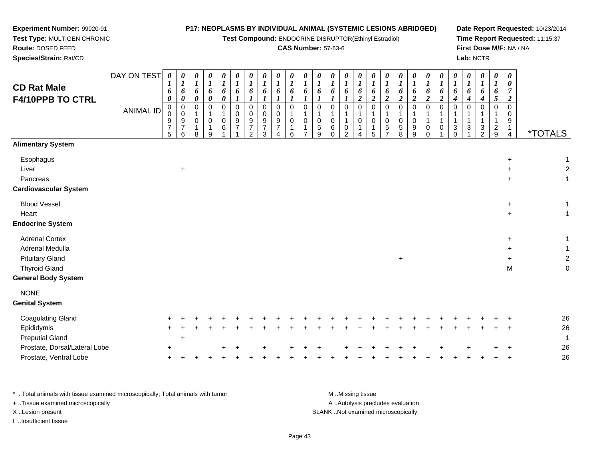**Test Compound:** ENDOCRINE DISRUPTOR(Ethinyl Estradiol)

### **CAS Number:** 57-63-6

**Date Report Requested:** 10/23/2014**Time Report Requested:** 11:15:37**First Dose M/F:** NA / NA**Lab:** NCTR

| <b>CD Rat Male</b><br>F4/10PPB TO CTRL<br><b>Alimentary System</b>                                                       | DAY ON TEST<br><b>ANIMAL ID</b> | 0<br>1<br>6<br>0<br>$_{\rm 0}^{\rm 0}$<br>9<br>$\overline{7}$<br>5 | 0<br>$\boldsymbol{l}$<br>6<br>0<br>0<br>0<br>9<br>$\overline{7}$<br>6 | 0<br>$\boldsymbol{l}$<br>6<br>0<br>0<br>$\overline{1}$<br>$\pmb{0}$<br>$\mathbf{1}$<br>8 | 0<br>$\boldsymbol{l}$<br>6<br>$\pmb{\theta}$<br>$\mathbf 0$<br>0<br>9 | $\pmb{\theta}$<br>$\boldsymbol{l}$<br>$\pmb{6}$<br>$\boldsymbol{\theta}$<br>$\Omega$<br>0<br>6 | $\boldsymbol{\theta}$<br>$\boldsymbol{l}$<br>6<br>$\mathbf 0$<br>$\mathbf 0$<br>$\boldsymbol{9}$<br>$\overline{7}$ | 0<br>$\boldsymbol{l}$<br>6<br>$\mathbf 0$<br>0<br>$\boldsymbol{9}$<br>$\overline{7}$<br>$\mathcal{P}$ | $\boldsymbol{\theta}$<br>$\boldsymbol{l}$<br>6<br>$\Omega$<br>0<br>$\boldsymbol{9}$<br>$\boldsymbol{7}$<br>3 | $\boldsymbol{\theta}$<br>$\boldsymbol{l}$<br>6<br>$\mathbf 0$<br>$\mathbf 0$<br>$9\,$<br>$\overline{7}$<br>4 | 0<br>$\boldsymbol{l}$<br>6<br>$\mathbf 0$<br>0<br>6 | 0<br>$\boldsymbol{l}$<br>6<br>$\boldsymbol{l}$<br>$\mathbf 0$<br>0<br>$\overline{ }$ | $\boldsymbol{\theta}$<br>$\boldsymbol{l}$<br>6<br>0<br>0<br>$\,$ 5 $\,$<br>9 | $\pmb{\theta}$<br>$\boldsymbol{l}$<br>$\boldsymbol{6}$<br>$\boldsymbol{l}$<br>0<br>$\mathbf{1}$<br>$\pmb{0}$<br>$\,6\,$<br>$\Omega$ | $\boldsymbol{\theta}$<br>$\boldsymbol{l}$<br>6<br>0<br>$\mathbf{1}$<br>$\mathbf{1}$<br>$\pmb{0}$<br>2 | $\frac{\theta}{I}$<br>6<br>$\overline{2}$<br>$\pmb{0}$<br>$\mathbf{1}$<br>$\pmb{0}$<br>$\mathbf{1}$<br>4 | $\pmb{\theta}$<br>$\boldsymbol{l}$<br>6<br>$\boldsymbol{2}$<br>$\Omega$<br>0<br>$\mathbf 1$<br>5 | $\boldsymbol{\theta}$<br>$\boldsymbol{l}$<br>6<br>$\boldsymbol{2}$<br>$\Omega$<br>1<br>0<br>$\sqrt{5}$<br>$\overline{\phantom{a}}$ | 0<br>$\boldsymbol{l}$<br>6<br>$\overline{\mathbf{c}}$<br>$\Omega$<br>0<br>5<br>8 | 0<br>$\boldsymbol{l}$<br>6<br>$\boldsymbol{2}$<br>0<br>$\,0\,$<br>$\boldsymbol{9}$<br>9 | 0<br>$\boldsymbol{l}$<br>6<br>$\boldsymbol{2}$<br>$\Omega$<br>1<br>0<br>$\Omega$ | 0<br>$\boldsymbol{l}$<br>6<br>$\boldsymbol{2}$<br>0<br>1<br>1<br>0 | 0<br>$\boldsymbol{l}$<br>6<br>$\boldsymbol{4}$<br>$\Omega$<br>$\ensuremath{\mathsf{3}}$<br>$\Omega$ | 0<br>$\boldsymbol{l}$<br>6<br>4<br>$\mathbf 0$<br>$\ensuremath{\mathsf{3}}$ | $\boldsymbol{\theta}$<br>$\boldsymbol{l}$<br>6<br>$\boldsymbol{4}$<br>$\Omega$<br>$\frac{3}{2}$ | $\boldsymbol{\theta}$<br>$\boldsymbol{l}$<br>6<br>$\mathfrak{s}$<br>$\mathbf 0$<br>$\mathbf 1$<br>$\frac{2}{9}$ | $\boldsymbol{\theta}$<br>$\boldsymbol{\theta}$<br>$\overline{7}$<br>$\overline{2}$<br>$\Omega$<br>0<br>9<br>4 | <i><b>*TOTALS</b></i> |                                |
|--------------------------------------------------------------------------------------------------------------------------|---------------------------------|--------------------------------------------------------------------|-----------------------------------------------------------------------|------------------------------------------------------------------------------------------|-----------------------------------------------------------------------|------------------------------------------------------------------------------------------------|--------------------------------------------------------------------------------------------------------------------|-------------------------------------------------------------------------------------------------------|--------------------------------------------------------------------------------------------------------------|--------------------------------------------------------------------------------------------------------------|-----------------------------------------------------|--------------------------------------------------------------------------------------|------------------------------------------------------------------------------|-------------------------------------------------------------------------------------------------------------------------------------|-------------------------------------------------------------------------------------------------------|----------------------------------------------------------------------------------------------------------|--------------------------------------------------------------------------------------------------|------------------------------------------------------------------------------------------------------------------------------------|----------------------------------------------------------------------------------|-----------------------------------------------------------------------------------------|----------------------------------------------------------------------------------|--------------------------------------------------------------------|-----------------------------------------------------------------------------------------------------|-----------------------------------------------------------------------------|-------------------------------------------------------------------------------------------------|-----------------------------------------------------------------------------------------------------------------|---------------------------------------------------------------------------------------------------------------|-----------------------|--------------------------------|
| Esophagus<br>Liver<br>Pancreas<br><b>Cardiovascular System</b>                                                           |                                 |                                                                    | $\ddot{}$                                                             |                                                                                          |                                                                       |                                                                                                |                                                                                                                    |                                                                                                       |                                                                                                              |                                                                                                              |                                                     |                                                                                      |                                                                              |                                                                                                                                     |                                                                                                       |                                                                                                          |                                                                                                  |                                                                                                                                    |                                                                                  |                                                                                         |                                                                                  |                                                                    |                                                                                                     |                                                                             |                                                                                                 |                                                                                                                 | $\div$<br>$\ddot{}$                                                                                           |                       | $\overline{c}$<br>$\mathbf{1}$ |
| <b>Blood Vessel</b><br>Heart<br><b>Endocrine System</b>                                                                  |                                 |                                                                    |                                                                       |                                                                                          |                                                                       |                                                                                                |                                                                                                                    |                                                                                                       |                                                                                                              |                                                                                                              |                                                     |                                                                                      |                                                                              |                                                                                                                                     |                                                                                                       |                                                                                                          |                                                                                                  |                                                                                                                                    |                                                                                  |                                                                                         |                                                                                  |                                                                    |                                                                                                     |                                                                             |                                                                                                 |                                                                                                                 | $\ddot{}$<br>$\ddot{}$                                                                                        |                       | 1<br>$\mathbf{1}$              |
| <b>Adrenal Cortex</b><br>Adrenal Medulla<br><b>Pituitary Gland</b><br><b>Thyroid Gland</b><br><b>General Body System</b> |                                 |                                                                    |                                                                       |                                                                                          |                                                                       |                                                                                                |                                                                                                                    |                                                                                                       |                                                                                                              |                                                                                                              |                                                     |                                                                                      |                                                                              |                                                                                                                                     |                                                                                                       |                                                                                                          |                                                                                                  |                                                                                                                                    | $\ddot{}$                                                                        |                                                                                         |                                                                                  |                                                                    |                                                                                                     |                                                                             |                                                                                                 |                                                                                                                 | ÷<br>$\ddot{}$<br>M                                                                                           |                       | $\overline{c}$<br>$\mathbf 0$  |
| <b>NONE</b><br><b>Genital System</b>                                                                                     |                                 |                                                                    |                                                                       |                                                                                          |                                                                       |                                                                                                |                                                                                                                    |                                                                                                       |                                                                                                              |                                                                                                              |                                                     |                                                                                      |                                                                              |                                                                                                                                     |                                                                                                       |                                                                                                          |                                                                                                  |                                                                                                                                    |                                                                                  |                                                                                         |                                                                                  |                                                                    |                                                                                                     |                                                                             |                                                                                                 |                                                                                                                 |                                                                                                               |                       |                                |
| <b>Coagulating Gland</b><br>Epididymis                                                                                   |                                 |                                                                    |                                                                       |                                                                                          |                                                                       |                                                                                                |                                                                                                                    |                                                                                                       |                                                                                                              |                                                                                                              |                                                     |                                                                                      |                                                                              |                                                                                                                                     |                                                                                                       |                                                                                                          |                                                                                                  |                                                                                                                                    |                                                                                  |                                                                                         |                                                                                  |                                                                    |                                                                                                     |                                                                             |                                                                                                 |                                                                                                                 |                                                                                                               | 26<br>26              |                                |

Preputial Gland $\alpha$  +  $\ddot{\phantom{a}}$ Prostate, Dorsal/Lateral Lobee + <sup>+</sup> <sup>+</sup> <sup>+</sup> <sup>+</sup> <sup>+</sup> <sup>+</sup> <sup>+</sup> <sup>+</sup> <sup>+</sup> <sup>+</sup> <sup>+</sup> <sup>+</sup> <sup>+</sup> <sup>+</sup> <sup>+</sup> <sup>+</sup> <sup>26</sup> Prostate, Ventral Lobee + <sup>+</sup> <sup>+</sup> <sup>+</sup> <sup>+</sup> <sup>+</sup> <sup>+</sup> <sup>+</sup> <sup>+</sup> <sup>+</sup> <sup>+</sup> <sup>+</sup> <sup>+</sup> <sup>+</sup> <sup>+</sup> <sup>+</sup> <sup>+</sup> <sup>+</sup> <sup>+</sup> <sup>+</sup> <sup>+</sup> <sup>+</sup> <sup>+</sup> <sup>+</sup> <sup>+</sup> <sup>+</sup> <sup>26</sup>

\* ..Total animals with tissue examined microscopically; Total animals with tumor **M** ...Missing tissue M ...Missing tissue A .. Autolysis precludes evaluation + ..Tissue examined microscopically X ..Lesion present BLANK ..Not examined microscopicallyI ..Insufficient tissue

**Experiment Number:** 99920-91**Test Type:** MULTIGEN CHRONIC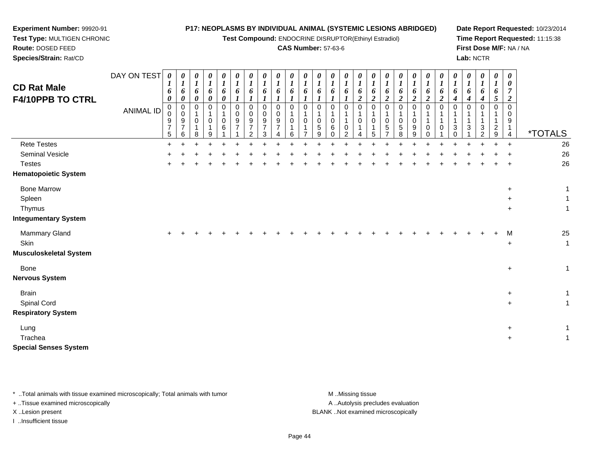#### **Experiment Number:** 99920-91 **Test Type:** MULTIGEN CHRONIC**Route:** DOSED FEED **Species/Strain:** Rat/CD**P17: NEOPLASMS BY INDIVIDUAL ANIMAL (SYSTEMIC LESIONS ABRIDGED)Test Compound:** ENDOCRINE DISRUPTOR(Ethinyl Estradiol)**CAS Number:** 57-63-6**Date Report Requested:** 10/23/2014**Time Report Requested:** 11:15:38**First Dose M/F:** NA / NA**Lab:** NCTR

| <b>CD Rat Male</b><br><b>F4/10PPB TO CTRL</b> | DAY ON TEST<br>ANIMAL ID | 0<br>6<br>0<br>0<br>$\mathbf 0$<br>9<br>$\overline{7}$<br>5 | 0<br>$\boldsymbol{l}$<br>6<br>0<br>0<br>0<br>9<br>$\overline{7}$<br>6 | $\boldsymbol{\theta}$<br>$\boldsymbol{l}$<br>6<br>$\pmb{\theta}$<br>0<br>$\mathbf{1}$<br>$\mathbf 0$<br>$\mathbf{1}$<br>8 | 0<br>$\boldsymbol{l}$<br>6<br>$\boldsymbol{\theta}$<br>0<br>1<br>0<br>1<br>9 | 0<br>$\boldsymbol{l}$<br>6<br>0<br>0<br>$\mathbf{1}$<br>0<br>6 | 0<br>$\boldsymbol{l}$<br>6<br>$\mathbf 0$<br>$\mathbf 0$<br>9 | 0<br>$\boldsymbol{l}$<br>6<br>0<br>0<br>9<br>7<br>$\overline{2}$ | 0<br>1<br>6<br>0<br>0<br>9<br>$\overline{7}$<br>3 | $\boldsymbol{\theta}$<br>$\boldsymbol{l}$<br>6<br>0<br>$\pmb{0}$<br>9<br>$\overline{7}$<br>4 | 0<br>$\boldsymbol{l}$<br>6<br>$\Omega$<br>0<br>6 | 0<br>$\boldsymbol{l}$<br>6<br>0<br>1<br>0<br>1 | 0<br>6<br>0<br>1<br>$\pmb{0}$<br>5<br>9 | 0<br>$\boldsymbol{l}$<br>6<br>$\mathbf 0$<br>$\pmb{0}$<br>6<br>0 | 0<br>$\boldsymbol{l}$<br>6<br>$\Omega$<br>$\overline{1}$<br>0<br>2 | $\boldsymbol{\theta}$<br>$\boldsymbol{l}$<br>6<br>$\overline{c}$<br>$\Omega$<br>$\mathbf 0$<br>4 | 0<br>$\boldsymbol{l}$<br>6<br>$\overline{2}$<br>$\Omega$<br>0<br>5 | 0<br>$\boldsymbol{l}$<br>6<br>$\boldsymbol{2}$<br>$\Omega$<br>$\mathbf 0$<br>5 | 0<br>$\boldsymbol{l}$<br>6<br>$\overline{c}$<br>0<br>1<br>$\pmb{0}$<br>$\sqrt{5}$<br>8 | $\boldsymbol{\theta}$<br>$\boldsymbol{l}$<br>6<br>$\overline{c}$<br>$\mathbf 0$<br>$\mathbf{1}$<br>$\pmb{0}$<br>$\boldsymbol{9}$<br>9 | 0<br>$\boldsymbol{l}$<br>6<br>$\boldsymbol{2}$<br>0<br>$\mathbf 1$<br>$\mathbf{1}$<br>0<br>0 | 0<br>$\boldsymbol{l}$<br>6<br>$\boldsymbol{2}$<br>$\Omega$<br>0 | $\boldsymbol{\theta}$<br>$\boldsymbol{l}$<br>6<br>4<br>0<br>1<br>$\mathbf{1}$<br>3<br>$\Omega$ | 0<br>6<br>4<br>0<br>3 | 0<br>$\boldsymbol{l}$<br>6<br>$\boldsymbol{4}$<br>$\Omega$<br>3<br>2 | 0<br>$\boldsymbol{l}$<br>6<br>$\mathfrak{s}$<br>$\mathbf 0$<br>$\overline{1}$<br>$\frac{2}{9}$ | $\boldsymbol{\theta}$<br>$\boldsymbol{\theta}$<br>7<br>$\overline{2}$<br>$\Omega$<br>0<br>9<br>$\mathbf{1}$<br>4 | <i><b>*TOTALS</b></i> |
|-----------------------------------------------|--------------------------|-------------------------------------------------------------|-----------------------------------------------------------------------|---------------------------------------------------------------------------------------------------------------------------|------------------------------------------------------------------------------|----------------------------------------------------------------|---------------------------------------------------------------|------------------------------------------------------------------|---------------------------------------------------|----------------------------------------------------------------------------------------------|--------------------------------------------------|------------------------------------------------|-----------------------------------------|------------------------------------------------------------------|--------------------------------------------------------------------|--------------------------------------------------------------------------------------------------|--------------------------------------------------------------------|--------------------------------------------------------------------------------|----------------------------------------------------------------------------------------|---------------------------------------------------------------------------------------------------------------------------------------|----------------------------------------------------------------------------------------------|-----------------------------------------------------------------|------------------------------------------------------------------------------------------------|-----------------------|----------------------------------------------------------------------|------------------------------------------------------------------------------------------------|------------------------------------------------------------------------------------------------------------------|-----------------------|
| <b>Rete Testes</b>                            |                          | $\ddot{}$                                                   |                                                                       |                                                                                                                           |                                                                              |                                                                |                                                               |                                                                  |                                                   |                                                                                              |                                                  |                                                |                                         |                                                                  |                                                                    |                                                                                                  |                                                                    |                                                                                |                                                                                        |                                                                                                                                       |                                                                                              |                                                                 |                                                                                                |                       |                                                                      |                                                                                                | $\ddot{}$                                                                                                        | 26                    |
| Seminal Vesicle                               |                          |                                                             |                                                                       |                                                                                                                           |                                                                              |                                                                |                                                               |                                                                  |                                                   |                                                                                              |                                                  |                                                |                                         |                                                                  |                                                                    |                                                                                                  |                                                                    |                                                                                |                                                                                        |                                                                                                                                       |                                                                                              |                                                                 |                                                                                                |                       |                                                                      |                                                                                                |                                                                                                                  | 26                    |
| <b>Testes</b>                                 |                          |                                                             |                                                                       |                                                                                                                           |                                                                              |                                                                |                                                               |                                                                  |                                                   |                                                                                              |                                                  |                                                |                                         |                                                                  |                                                                    |                                                                                                  |                                                                    |                                                                                |                                                                                        |                                                                                                                                       |                                                                                              |                                                                 |                                                                                                |                       |                                                                      |                                                                                                |                                                                                                                  | 26                    |
| <b>Hematopoietic System</b>                   |                          |                                                             |                                                                       |                                                                                                                           |                                                                              |                                                                |                                                               |                                                                  |                                                   |                                                                                              |                                                  |                                                |                                         |                                                                  |                                                                    |                                                                                                  |                                                                    |                                                                                |                                                                                        |                                                                                                                                       |                                                                                              |                                                                 |                                                                                                |                       |                                                                      |                                                                                                |                                                                                                                  |                       |
| <b>Bone Marrow</b>                            |                          |                                                             |                                                                       |                                                                                                                           |                                                                              |                                                                |                                                               |                                                                  |                                                   |                                                                                              |                                                  |                                                |                                         |                                                                  |                                                                    |                                                                                                  |                                                                    |                                                                                |                                                                                        |                                                                                                                                       |                                                                                              |                                                                 |                                                                                                |                       |                                                                      |                                                                                                | $\ddot{}$                                                                                                        | $\mathbf{1}$          |
| Spleen                                        |                          |                                                             |                                                                       |                                                                                                                           |                                                                              |                                                                |                                                               |                                                                  |                                                   |                                                                                              |                                                  |                                                |                                         |                                                                  |                                                                    |                                                                                                  |                                                                    |                                                                                |                                                                                        |                                                                                                                                       |                                                                                              |                                                                 |                                                                                                |                       |                                                                      |                                                                                                | $\ddot{}$                                                                                                        | $\mathbf{1}$          |
| Thymus                                        |                          |                                                             |                                                                       |                                                                                                                           |                                                                              |                                                                |                                                               |                                                                  |                                                   |                                                                                              |                                                  |                                                |                                         |                                                                  |                                                                    |                                                                                                  |                                                                    |                                                                                |                                                                                        |                                                                                                                                       |                                                                                              |                                                                 |                                                                                                |                       |                                                                      |                                                                                                | $\ddot{}$                                                                                                        | $\mathbf{1}$          |
| <b>Integumentary System</b>                   |                          |                                                             |                                                                       |                                                                                                                           |                                                                              |                                                                |                                                               |                                                                  |                                                   |                                                                                              |                                                  |                                                |                                         |                                                                  |                                                                    |                                                                                                  |                                                                    |                                                                                |                                                                                        |                                                                                                                                       |                                                                                              |                                                                 |                                                                                                |                       |                                                                      |                                                                                                |                                                                                                                  |                       |
| Mammary Gland                                 |                          |                                                             |                                                                       |                                                                                                                           |                                                                              |                                                                |                                                               |                                                                  |                                                   |                                                                                              |                                                  |                                                |                                         |                                                                  |                                                                    |                                                                                                  |                                                                    |                                                                                |                                                                                        |                                                                                                                                       |                                                                                              |                                                                 |                                                                                                |                       |                                                                      |                                                                                                | M                                                                                                                | 25                    |
| Skin                                          |                          |                                                             |                                                                       |                                                                                                                           |                                                                              |                                                                |                                                               |                                                                  |                                                   |                                                                                              |                                                  |                                                |                                         |                                                                  |                                                                    |                                                                                                  |                                                                    |                                                                                |                                                                                        |                                                                                                                                       |                                                                                              |                                                                 |                                                                                                |                       |                                                                      |                                                                                                | $\ddot{}$                                                                                                        | $\overline{1}$        |
| <b>Musculoskeletal System</b>                 |                          |                                                             |                                                                       |                                                                                                                           |                                                                              |                                                                |                                                               |                                                                  |                                                   |                                                                                              |                                                  |                                                |                                         |                                                                  |                                                                    |                                                                                                  |                                                                    |                                                                                |                                                                                        |                                                                                                                                       |                                                                                              |                                                                 |                                                                                                |                       |                                                                      |                                                                                                |                                                                                                                  |                       |
| Bone                                          |                          |                                                             |                                                                       |                                                                                                                           |                                                                              |                                                                |                                                               |                                                                  |                                                   |                                                                                              |                                                  |                                                |                                         |                                                                  |                                                                    |                                                                                                  |                                                                    |                                                                                |                                                                                        |                                                                                                                                       |                                                                                              |                                                                 |                                                                                                |                       |                                                                      |                                                                                                | $\ddot{}$                                                                                                        | $\mathbf{1}$          |
| <b>Nervous System</b>                         |                          |                                                             |                                                                       |                                                                                                                           |                                                                              |                                                                |                                                               |                                                                  |                                                   |                                                                                              |                                                  |                                                |                                         |                                                                  |                                                                    |                                                                                                  |                                                                    |                                                                                |                                                                                        |                                                                                                                                       |                                                                                              |                                                                 |                                                                                                |                       |                                                                      |                                                                                                |                                                                                                                  |                       |
| <b>Brain</b>                                  |                          |                                                             |                                                                       |                                                                                                                           |                                                                              |                                                                |                                                               |                                                                  |                                                   |                                                                                              |                                                  |                                                |                                         |                                                                  |                                                                    |                                                                                                  |                                                                    |                                                                                |                                                                                        |                                                                                                                                       |                                                                                              |                                                                 |                                                                                                |                       |                                                                      |                                                                                                | $\ddot{}$                                                                                                        | $\mathbf{1}$          |
| Spinal Cord                                   |                          |                                                             |                                                                       |                                                                                                                           |                                                                              |                                                                |                                                               |                                                                  |                                                   |                                                                                              |                                                  |                                                |                                         |                                                                  |                                                                    |                                                                                                  |                                                                    |                                                                                |                                                                                        |                                                                                                                                       |                                                                                              |                                                                 |                                                                                                |                       |                                                                      |                                                                                                | $\ddot{}$                                                                                                        | $\mathbf{1}$          |
| <b>Respiratory System</b>                     |                          |                                                             |                                                                       |                                                                                                                           |                                                                              |                                                                |                                                               |                                                                  |                                                   |                                                                                              |                                                  |                                                |                                         |                                                                  |                                                                    |                                                                                                  |                                                                    |                                                                                |                                                                                        |                                                                                                                                       |                                                                                              |                                                                 |                                                                                                |                       |                                                                      |                                                                                                |                                                                                                                  |                       |
| Lung                                          |                          |                                                             |                                                                       |                                                                                                                           |                                                                              |                                                                |                                                               |                                                                  |                                                   |                                                                                              |                                                  |                                                |                                         |                                                                  |                                                                    |                                                                                                  |                                                                    |                                                                                |                                                                                        |                                                                                                                                       |                                                                                              |                                                                 |                                                                                                |                       |                                                                      |                                                                                                | $\ddot{}$                                                                                                        | $\mathbf{1}$          |
| Trachea                                       |                          |                                                             |                                                                       |                                                                                                                           |                                                                              |                                                                |                                                               |                                                                  |                                                   |                                                                                              |                                                  |                                                |                                         |                                                                  |                                                                    |                                                                                                  |                                                                    |                                                                                |                                                                                        |                                                                                                                                       |                                                                                              |                                                                 |                                                                                                |                       |                                                                      |                                                                                                | $\ddot{}$                                                                                                        | $\mathbf{1}$          |
| <b>Special Senses System</b>                  |                          |                                                             |                                                                       |                                                                                                                           |                                                                              |                                                                |                                                               |                                                                  |                                                   |                                                                                              |                                                  |                                                |                                         |                                                                  |                                                                    |                                                                                                  |                                                                    |                                                                                |                                                                                        |                                                                                                                                       |                                                                                              |                                                                 |                                                                                                |                       |                                                                      |                                                                                                |                                                                                                                  |                       |

\* ..Total animals with tissue examined microscopically; Total animals with tumor **M** . Missing tissue M ..Missing tissue + ..Tissue examined microscopically X ..Lesion present BLANK ..Not examined microscopically

I ..Insufficient tissue

Page 44

A ..Autolysis precludes evaluation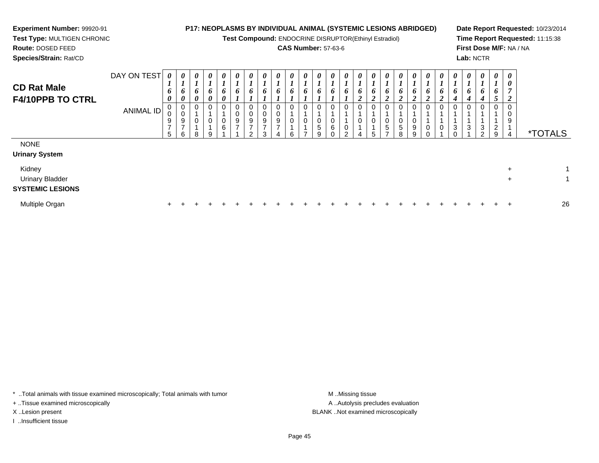# **Experiment Number:** 99920-91**Test Type:** MULTIGEN CHRONIC

**Route:** DOSED FEED

**Species/Strain:** Rat/CD

## **P17: NEOPLASMS BY INDIVIDUAL ANIMAL (SYSTEMIC LESIONS ABRIDGED)**

**Test Compound:** ENDOCRINE DISRUPTOR(Ethinyl Estradiol)

## **CAS Number:** 57-63-6

**Date Report Requested:** 10/23/2014**Time Report Requested:** 11:15:38**First Dose M/F:** NA / NA**Lab:** NCTR

| <b>CD Rat Male</b><br><b>F4/10PPB TO CTRL</b>               | DAY ON TEST<br><b>ANIMAL ID</b> | 0<br>$\mathbf{I}$<br>6<br>0<br>U<br>9<br>$\overline{7}$<br>5 | $\boldsymbol{\theta}$<br>$\mathbf{I}$<br>6<br>0<br>0<br>0<br>9<br>$\overline{ }$<br>6 | 0<br>×.<br>6<br>0<br>0<br>0<br>8 | $\boldsymbol{\theta}$<br>$\boldsymbol{l}$<br>6<br>$\boldsymbol{\theta}$<br>0<br>9 | $\boldsymbol{\theta}$<br>$\mathbf{I}$<br>6<br>0<br>0<br>0<br>6 | 0<br>6<br>0<br>$\boldsymbol{9}$<br>$\overline{ }$ | $\boldsymbol{\theta}$<br>6<br>0<br>$\pmb{0}$<br>$9\,$<br>$\overline{ }$<br>$\sim$ | $\boldsymbol{\theta}$<br>L<br>6<br>0<br>0<br>9<br>$\overline{ }$<br>3 | $\boldsymbol{\theta}$<br>6<br>9<br>$\overline{ }$ | $\boldsymbol{\theta}$<br>6<br>0<br>0<br>6 | 0<br>6<br>0 | $\boldsymbol{\theta}$<br>$\overline{ }$<br>6<br>$\mathbf 0$<br>$\pmb{0}$<br>$\sqrt{5}$<br>g | $\boldsymbol{\theta}$<br>L,<br>6<br>0<br>0<br>$\,6\,$ | $\boldsymbol{\theta}$<br>6<br>0<br>$\pmb{0}$<br>$\sim$ | 0<br>6<br>$\boldsymbol{2}$<br>0<br>0<br>Δ | 0<br>6<br>$\boldsymbol{2}$<br>0<br>0<br>5 | $\boldsymbol{\theta}$<br>6<br>$\overline{2}$<br>0<br>5 | $\boldsymbol{\theta}$<br>6<br>$\overline{2}$<br>0<br>0<br>5<br>8 | $\boldsymbol{\theta}$<br>6<br>$\overline{2}$<br>0<br>9<br>$\mathbf{Q}$ | 0<br>6<br>ി<br>◢<br>0<br>0 | $\boldsymbol{\theta}$<br>$\bm{o}$<br>$\overline{2}$<br>0<br>0 | $\boldsymbol{\theta}$<br>1<br>6<br>4<br>3 | $\boldsymbol{\theta}$<br>6<br>4<br>0<br>3 | $\boldsymbol{\theta}$<br>$\mathbf{I}$<br>6<br>$\boldsymbol{4}$<br>0<br>$\ensuremath{\mathsf{3}}$<br>$\overline{2}$ | $\boldsymbol{\theta}$<br>6<br>J<br>0<br>$\overline{a}$<br>9 | $\boldsymbol{\theta}$<br>$\boldsymbol{\theta}$<br>$\overline{ }$<br>2<br>0<br>0<br>9<br>$\overline{4}$ | <i><b>*TOTALS</b></i> |
|-------------------------------------------------------------|---------------------------------|--------------------------------------------------------------|---------------------------------------------------------------------------------------|----------------------------------|-----------------------------------------------------------------------------------|----------------------------------------------------------------|---------------------------------------------------|-----------------------------------------------------------------------------------|-----------------------------------------------------------------------|---------------------------------------------------|-------------------------------------------|-------------|---------------------------------------------------------------------------------------------|-------------------------------------------------------|--------------------------------------------------------|-------------------------------------------|-------------------------------------------|--------------------------------------------------------|------------------------------------------------------------------|------------------------------------------------------------------------|----------------------------|---------------------------------------------------------------|-------------------------------------------|-------------------------------------------|--------------------------------------------------------------------------------------------------------------------|-------------------------------------------------------------|--------------------------------------------------------------------------------------------------------|-----------------------|
| <b>NONE</b><br><b>Urinary System</b>                        |                                 |                                                              |                                                                                       |                                  |                                                                                   |                                                                |                                                   |                                                                                   |                                                                       |                                                   |                                           |             |                                                                                             |                                                       |                                                        |                                           |                                           |                                                        |                                                                  |                                                                        |                            |                                                               |                                           |                                           |                                                                                                                    |                                                             |                                                                                                        |                       |
| Kidney<br><b>Urinary Bladder</b><br><b>SYSTEMIC LESIONS</b> |                                 |                                                              |                                                                                       |                                  |                                                                                   |                                                                |                                                   |                                                                                   |                                                                       |                                                   |                                           |             |                                                                                             |                                                       |                                                        |                                           |                                           |                                                        |                                                                  |                                                                        |                            |                                                               |                                           |                                           |                                                                                                                    |                                                             | $\ddot{}$<br>$\ddot{}$                                                                                 | 1<br>1                |
| Multiple Organ                                              |                                 | $\pm$                                                        |                                                                                       | $\div$                           |                                                                                   |                                                                |                                                   |                                                                                   |                                                                       |                                                   |                                           |             |                                                                                             |                                                       |                                                        |                                           |                                           |                                                        |                                                                  |                                                                        |                            |                                                               |                                           |                                           |                                                                                                                    | ÷.                                                          | $\div$                                                                                                 | 26                    |

\* ..Total animals with tissue examined microscopically; Total animals with tumor **M** . Missing tissue M ..Missing tissue

+ ..Tissue examined microscopically

I ..Insufficient tissue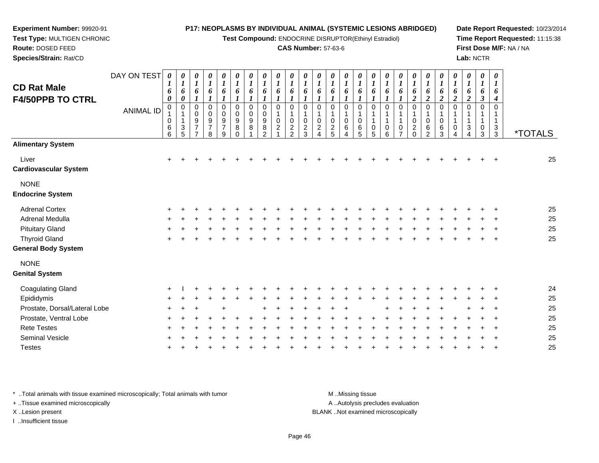**Test Compound:** ENDOCRINE DISRUPTOR(Ethinyl Estradiol)

### **CAS Number:** 57-63-6

**Date Report Requested:** 10/23/2014**Time Report Requested:** 11:15:38**First Dose M/F:** NA / NA**Lab:** NCTR

| DAY ON TEST                   | 0                | 0                                                  | 0                                                      | 0                                                         | $\boldsymbol{\theta}$                                          | 0                                                                         | $\boldsymbol{\theta}$                        | 0                                                          | 0                                  | 0                                 | 0                                 | 0                  | 0                  | 0                              | 0                                   | 0                                | $\boldsymbol{\theta}$                      | 0                             | 0                                                                                 | 0                                                                              | 0                                    | $\pmb{\theta}$                            | $\boldsymbol{\theta}$                                          | $\pmb{\theta}$                                          | $\boldsymbol{\theta}$                 |                                |
|-------------------------------|------------------|----------------------------------------------------|--------------------------------------------------------|-----------------------------------------------------------|----------------------------------------------------------------|---------------------------------------------------------------------------|----------------------------------------------|------------------------------------------------------------|------------------------------------|-----------------------------------|-----------------------------------|--------------------|--------------------|--------------------------------|-------------------------------------|----------------------------------|--------------------------------------------|-------------------------------|-----------------------------------------------------------------------------------|--------------------------------------------------------------------------------|--------------------------------------|-------------------------------------------|----------------------------------------------------------------|---------------------------------------------------------|---------------------------------------|--------------------------------|
| <b>ANIMAL ID</b>              | 6<br>0<br>0<br>0 | 6<br>0<br>$\mathbf 0$<br>$\ensuremath{\mathsf{3}}$ | 6<br>0<br>$\pmb{0}$<br>$\frac{9}{7}$<br>$\overline{ }$ | 6<br>0<br>$\pmb{0}$<br>$\boldsymbol{9}$<br>$\overline{7}$ | 6<br>$\boldsymbol{l}$<br>0<br>$\pmb{0}$<br>9<br>$\overline{7}$ | 6<br>$\boldsymbol{l}$<br>$\mathbf 0$<br>$\mathbf 0$<br>9<br>8<br>$\Omega$ | 6<br>$\boldsymbol{\eta}$<br>0<br>0<br>9<br>8 | 6<br>$\mathbf 0$<br>$\mathbf 0$<br>9<br>8<br>$\mathcal{P}$ | 6<br>1<br>0<br>0<br>$\overline{c}$ | 6<br>$\mathbf 0$<br>1<br>$\Omega$ | 6<br>$\mathbf 0$<br>$\Omega$      | 6<br>0<br>1<br>0   | 6<br>0<br>1<br>0   | 6<br>0<br>1<br>0<br>$\,6$<br>4 | 6<br>$\mathbf 0$<br>1<br>0<br>$\,6$ | 6<br>0<br>1<br>$\mathbf{1}$<br>0 | 6<br>$\mathbf 0$<br>$\mathbf{1}$<br>1<br>0 | 6<br>0<br>0<br>$\overline{ }$ | 6<br>$\boldsymbol{2}$<br>$\mathbf 0$<br>$\mathbf 0$<br>$\overline{c}$<br>$\Omega$ | 6<br>$\boldsymbol{2}$<br>$\mathbf 0$<br>$\mathbf 0$<br>$\,6$<br>$\mathfrak{p}$ | 6<br>$\boldsymbol{2}$<br>0<br>0<br>6 | 6<br>$\boldsymbol{2}$<br>$\mathbf 0$<br>0 | 6<br>$\boldsymbol{2}$<br>$\mathbf 0$<br>1<br>$\mathbf{1}$<br>3 | 6<br>$\boldsymbol{\beta}$<br>$\mathbf 0$<br>1<br>1<br>0 | 6<br>4<br>0<br>1<br>$\mathbf{1}$<br>3 | <i><b>*TOTALS</b></i>          |
|                               |                  |                                                    |                                                        |                                                           |                                                                |                                                                           |                                              |                                                            |                                    |                                   |                                   |                    |                    |                                |                                     |                                  |                                            |                               |                                                                                   |                                                                                |                                      |                                           |                                                                |                                                         |                                       |                                |
|                               | $\ddot{}$        |                                                    |                                                        |                                                           |                                                                |                                                                           |                                              |                                                            |                                    |                                   |                                   |                    |                    |                                |                                     |                                  |                                            |                               |                                                                                   |                                                                                |                                      |                                           |                                                                |                                                         |                                       | 25                             |
|                               |                  |                                                    |                                                        |                                                           |                                                                |                                                                           |                                              |                                                            |                                    |                                   |                                   |                    |                    |                                |                                     |                                  |                                            |                               |                                                                                   |                                                                                |                                      |                                           |                                                                |                                                         |                                       |                                |
|                               |                  |                                                    |                                                        |                                                           |                                                                |                                                                           |                                              |                                                            |                                    |                                   |                                   |                    |                    |                                |                                     |                                  |                                            |                               |                                                                                   |                                                                                |                                      |                                           |                                                                |                                                         |                                       | 25                             |
|                               |                  |                                                    |                                                        |                                                           |                                                                |                                                                           |                                              |                                                            |                                    |                                   |                                   |                    |                    |                                |                                     |                                  |                                            |                               |                                                                                   |                                                                                |                                      |                                           |                                                                |                                                         |                                       | 25                             |
|                               |                  |                                                    |                                                        |                                                           |                                                                |                                                                           |                                              |                                                            |                                    |                                   |                                   |                    |                    |                                |                                     |                                  |                                            |                               |                                                                                   |                                                                                |                                      |                                           |                                                                |                                                         |                                       | 25                             |
|                               |                  |                                                    |                                                        |                                                           |                                                                |                                                                           |                                              |                                                            |                                    |                                   |                                   |                    |                    |                                |                                     |                                  |                                            |                               |                                                                                   |                                                                                |                                      |                                           |                                                                |                                                         |                                       | 25                             |
|                               |                  |                                                    |                                                        |                                                           |                                                                |                                                                           |                                              |                                                            |                                    |                                   |                                   |                    |                    |                                |                                     |                                  |                                            |                               |                                                                                   |                                                                                |                                      |                                           |                                                                |                                                         |                                       |                                |
|                               |                  |                                                    |                                                        |                                                           |                                                                |                                                                           |                                              |                                                            |                                    |                                   |                                   |                    |                    |                                |                                     |                                  |                                            |                               |                                                                                   |                                                                                |                                      |                                           |                                                                |                                                         |                                       |                                |
|                               |                  |                                                    |                                                        |                                                           |                                                                |                                                                           |                                              |                                                            |                                    |                                   |                                   |                    |                    |                                |                                     |                                  |                                            |                               |                                                                                   |                                                                                |                                      |                                           |                                                                |                                                         |                                       | 24                             |
|                               |                  |                                                    |                                                        |                                                           |                                                                |                                                                           |                                              |                                                            |                                    |                                   |                                   |                    |                    |                                |                                     |                                  |                                            |                               |                                                                                   |                                                                                |                                      |                                           |                                                                |                                                         |                                       | 25                             |
| Prostate, Dorsal/Lateral Lobe |                  |                                                    |                                                        |                                                           |                                                                |                                                                           |                                              |                                                            |                                    |                                   |                                   |                    |                    |                                |                                     |                                  |                                            |                               |                                                                                   |                                                                                |                                      |                                           |                                                                |                                                         |                                       | 25                             |
|                               |                  |                                                    |                                                        |                                                           |                                                                |                                                                           |                                              |                                                            |                                    |                                   |                                   |                    |                    |                                |                                     |                                  |                                            |                               |                                                                                   |                                                                                |                                      |                                           |                                                                |                                                         |                                       | 25                             |
|                               |                  |                                                    |                                                        |                                                           |                                                                |                                                                           |                                              |                                                            |                                    |                                   |                                   |                    |                    |                                |                                     |                                  |                                            |                               |                                                                                   |                                                                                |                                      |                                           |                                                                |                                                         |                                       | 25                             |
|                               |                  |                                                    |                                                        |                                                           |                                                                |                                                                           |                                              |                                                            |                                    |                                   |                                   |                    |                    |                                |                                     |                                  |                                            |                               |                                                                                   |                                                                                |                                      |                                           |                                                                |                                                         |                                       | 25                             |
|                               |                  |                                                    |                                                        |                                                           |                                                                |                                                                           |                                              |                                                            |                                    |                                   |                                   |                    |                    |                                |                                     |                                  |                                            |                               |                                                                                   |                                                                                |                                      |                                           |                                                                |                                                         |                                       | 25                             |
|                               |                  | $\boldsymbol{l}$<br>$^6_6$                         | $\boldsymbol{l}$<br>5                                  | $\bm{l}$                                                  | $\boldsymbol{l}$<br>8                                          | $\boldsymbol{l}$<br>$\boldsymbol{9}$                                      | $\boldsymbol{l}$                             | $\boldsymbol{l}$                                           | $\boldsymbol{I}$                   | $\boldsymbol{l}$                  | $\boldsymbol{l}$<br>$\frac{2}{2}$ | 1<br>$\frac{2}{3}$ | 1<br>$\frac{2}{4}$ | $\bm{l}$<br>$\frac{2}{5}$      | $\bm{l}$                            | $\boldsymbol{I}$<br>5            | $\boldsymbol{l}$<br>5                      | $\boldsymbol{l}$<br>6         | $\boldsymbol{l}$                                                                  | $\boldsymbol{l}$                                                               | $\boldsymbol{l}$                     | $\boldsymbol{l}$<br>3                     | $\boldsymbol{I}$                                               | $\boldsymbol{l}$                                        | $\boldsymbol{l}$<br>3                 | $\boldsymbol{\mathit{1}}$<br>3 |

\* ..Total animals with tissue examined microscopically; Total animals with tumor **M** . Missing tissue M ..Missing tissue

+ ..Tissue examined microscopically

**Experiment Number:** 99920-91**Test Type:** MULTIGEN CHRONIC

**Route:** DOSED FEED**Species/Strain:** Rat/CD

I ..Insufficient tissue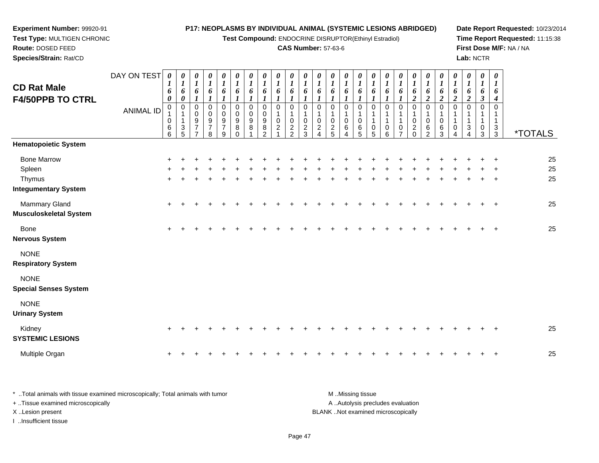| Experiment Number: 99920-91                                           |                  |                                 |                                                     |                                                                     |                                                     |                                                |                                                     |                            |                                                                    |                                                              |                                     |                                                                    |                                                                    |                                              |                                                        |                                                      | P17: NEOPLASMS BY INDIVIDUAL ANIMAL (SYSTEMIC LESIONS ABRIDGED) |                            |                                                |                                              |                                                       |                                                         |                                                       |                                                |                                                    |                                                         | Date Report Requested: 10/23/2014                          |
|-----------------------------------------------------------------------|------------------|---------------------------------|-----------------------------------------------------|---------------------------------------------------------------------|-----------------------------------------------------|------------------------------------------------|-----------------------------------------------------|----------------------------|--------------------------------------------------------------------|--------------------------------------------------------------|-------------------------------------|--------------------------------------------------------------------|--------------------------------------------------------------------|----------------------------------------------|--------------------------------------------------------|------------------------------------------------------|-----------------------------------------------------------------|----------------------------|------------------------------------------------|----------------------------------------------|-------------------------------------------------------|---------------------------------------------------------|-------------------------------------------------------|------------------------------------------------|----------------------------------------------------|---------------------------------------------------------|------------------------------------------------------------|
| Test Type: MULTIGEN CHRONIC<br>Route: DOSED FEED                      |                  |                                 |                                                     |                                                                     |                                                     |                                                |                                                     |                            |                                                                    |                                                              | <b>CAS Number: 57-63-6</b>          |                                                                    |                                                                    |                                              |                                                        |                                                      | Test Compound: ENDOCRINE DISRUPTOR(Ethinyl Estradiol)           |                            |                                                |                                              |                                                       |                                                         |                                                       |                                                |                                                    |                                                         | Time Report Requested: 11:15:38<br>First Dose M/F: NA / NA |
| Species/Strain: Rat/CD                                                |                  |                                 |                                                     |                                                                     |                                                     |                                                |                                                     |                            |                                                                    |                                                              |                                     |                                                                    |                                                                    |                                              |                                                        |                                                      |                                                                 |                            |                                                |                                              |                                                       |                                                         |                                                       | Lab: NCTR                                      |                                                    |                                                         |                                                            |
| <b>CD Rat Male</b><br><b>F4/50PPB TO CTRL</b>                         | DAY ON TEST      | $\boldsymbol{\theta}$<br>6<br>0 | $\boldsymbol{\theta}$<br>$\boldsymbol{l}$<br>6<br>0 | $\boldsymbol{\theta}$<br>$\boldsymbol{I}$<br>6<br>$\boldsymbol{l}$  | 0<br>$\boldsymbol{I}$<br>6<br>$\boldsymbol{l}$      | 0<br>$\boldsymbol{l}$<br>6<br>$\boldsymbol{l}$ | $\boldsymbol{\theta}$<br>$\boldsymbol{l}$<br>6<br>1 | 0<br>$\boldsymbol{l}$<br>6 | 0<br>$\boldsymbol{l}$<br>6<br>$\boldsymbol{l}$                     | 0<br>$\boldsymbol{l}$<br>6<br>$\boldsymbol{l}$               | 0<br>$\boldsymbol{l}$<br>6          | $\boldsymbol{\theta}$<br>$\boldsymbol{l}$<br>6<br>$\boldsymbol{l}$ | $\boldsymbol{\theta}$<br>$\boldsymbol{l}$<br>6<br>$\boldsymbol{l}$ | 0<br>$\boldsymbol{l}$<br>6                   | 0<br>$\boldsymbol{l}$<br>6<br>$\boldsymbol{l}$         | $\boldsymbol{\theta}$<br>$\boldsymbol{l}$<br>6<br>1  | 0<br>$\boldsymbol{l}$<br>6                                      | 0<br>$\boldsymbol{l}$<br>6 | 0<br>$\boldsymbol{I}$<br>6<br>$\boldsymbol{l}$ | 0<br>$\boldsymbol{l}$<br>6<br>$\overline{2}$ | 0<br>$\boldsymbol{l}$<br>6<br>$\overline{\mathbf{c}}$ | 0<br>$\boldsymbol{\mathit{1}}$<br>6<br>$\boldsymbol{2}$ | 0<br>$\boldsymbol{l}$<br>6<br>$\overline{\mathbf{c}}$ | 0<br>$\boldsymbol{l}$<br>6<br>$\boldsymbol{2}$ | 0<br>$\boldsymbol{l}$<br>6<br>$\boldsymbol{\beta}$ | 0<br>$\bm{l}$<br>6<br>4                                 |                                                            |
|                                                                       | <b>ANIMAL ID</b> | 0<br>0<br>6<br>$6\phantom{a}$   | 0<br>$\frac{3}{5}$                                  | $\mathbf 0$<br>$\mathbf 0$<br>9<br>$\overline{7}$<br>$\overline{7}$ | $\Omega$<br>$\mathbf 0$<br>9<br>$\overline{7}$<br>8 | $\Omega$<br>0<br>9<br>$\overline{7}$<br>9      | $\Omega$<br>$\Omega$<br>9<br>8<br>$\Omega$          | $\Omega$<br>0<br>9<br>8    | $\Omega$<br>$\mathbf 0$<br>$\boldsymbol{9}$<br>8<br>$\overline{2}$ | $\mathbf 0$<br>$\mathbf{1}$<br>$\mathbf 0$<br>$\overline{c}$ | $\Omega$<br>1<br>0<br>$\frac{2}{2}$ | $\mathbf 0$<br>$\mathbf{1}$<br>$\mathbf 0$<br>$\frac{2}{3}$        | $\mathbf 0$<br>1<br>$\pmb{0}$<br>$\overline{c}$<br>$\Delta$        | $\mathbf 0$<br>1<br>0<br>$\overline{c}$<br>5 | $\mathbf 0$<br>$\mathbf{1}$<br>$\pmb{0}$<br>$\,6$<br>4 | $\mathbf 0$<br>$\mathbf{1}$<br>$\mathbf 0$<br>6<br>5 | $\Omega$<br>0<br>5                                              | $\Omega$<br>0<br>6         | $\Omega$<br>0                                  | $\Omega$<br>0<br>$\overline{c}$<br>$\Omega$  | $\Omega$<br>0<br>6<br>$\overline{2}$                  | $\mathbf 0$<br>1<br>$\mathbf 0$<br>6<br>3               | $\Omega$<br>1<br>0<br>4                               | $\Omega$<br>3<br>4                             | $\mathbf 0$<br>-1<br>1<br>0<br>3                   | $\mathbf 0$<br>1<br>$\mathbf{1}$<br>3<br>$\overline{3}$ | <i><b>*TOTALS</b></i>                                      |
| <b>Hematopoietic System</b>                                           |                  |                                 |                                                     |                                                                     |                                                     |                                                |                                                     |                            |                                                                    |                                                              |                                     |                                                                    |                                                                    |                                              |                                                        |                                                      |                                                                 |                            |                                                |                                              |                                                       |                                                         |                                                       |                                                |                                                    |                                                         |                                                            |
| <b>Bone Marrow</b><br>Spleen<br>Thymus<br><b>Integumentary System</b> |                  |                                 |                                                     |                                                                     |                                                     |                                                |                                                     |                            |                                                                    |                                                              |                                     |                                                                    |                                                                    |                                              |                                                        |                                                      |                                                                 |                            |                                                |                                              |                                                       |                                                         |                                                       |                                                |                                                    |                                                         | 25<br>25<br>25                                             |
| <b>Mammary Gland</b><br><b>Musculoskeletal System</b>                 |                  |                                 |                                                     |                                                                     |                                                     |                                                |                                                     |                            |                                                                    |                                                              |                                     |                                                                    |                                                                    |                                              |                                                        |                                                      |                                                                 |                            |                                                |                                              |                                                       |                                                         |                                                       |                                                |                                                    |                                                         | 25                                                         |
| Bone<br><b>Nervous System</b>                                         |                  | $+$                             |                                                     |                                                                     |                                                     |                                                |                                                     |                            |                                                                    |                                                              |                                     |                                                                    |                                                                    |                                              |                                                        |                                                      |                                                                 |                            |                                                |                                              |                                                       |                                                         |                                                       |                                                |                                                    | $\overline{ }$                                          | 25                                                         |
| <b>NONE</b><br><b>Respiratory System</b>                              |                  |                                 |                                                     |                                                                     |                                                     |                                                |                                                     |                            |                                                                    |                                                              |                                     |                                                                    |                                                                    |                                              |                                                        |                                                      |                                                                 |                            |                                                |                                              |                                                       |                                                         |                                                       |                                                |                                                    |                                                         |                                                            |
| <b>NONE</b><br><b>Special Senses System</b>                           |                  |                                 |                                                     |                                                                     |                                                     |                                                |                                                     |                            |                                                                    |                                                              |                                     |                                                                    |                                                                    |                                              |                                                        |                                                      |                                                                 |                            |                                                |                                              |                                                       |                                                         |                                                       |                                                |                                                    |                                                         |                                                            |
| <b>NONE</b><br><b>Urinary System</b>                                  |                  |                                 |                                                     |                                                                     |                                                     |                                                |                                                     |                            |                                                                    |                                                              |                                     |                                                                    |                                                                    |                                              |                                                        |                                                      |                                                                 |                            |                                                |                                              |                                                       |                                                         |                                                       |                                                |                                                    |                                                         |                                                            |
| Kidney<br><b>SYSTEMIC LESIONS</b>                                     |                  |                                 |                                                     |                                                                     |                                                     |                                                |                                                     |                            |                                                                    |                                                              |                                     |                                                                    |                                                                    |                                              |                                                        |                                                      |                                                                 |                            |                                                |                                              |                                                       |                                                         |                                                       |                                                |                                                    |                                                         | 25                                                         |
| Multiple Organ                                                        |                  |                                 |                                                     |                                                                     |                                                     |                                                |                                                     |                            |                                                                    |                                                              |                                     |                                                                    |                                                                    |                                              |                                                        |                                                      |                                                                 |                            |                                                |                                              |                                                       |                                                         |                                                       |                                                |                                                    |                                                         | 25                                                         |

\* ..Total animals with tissue examined microscopically; Total animals with tumor M..Missing tissue M ..Missing tissue A ..Autolysis precludes evaluation + ..Tissue examined microscopically X ..Lesion present BLANK ..Not examined microscopicallyI ..Insufficient tissue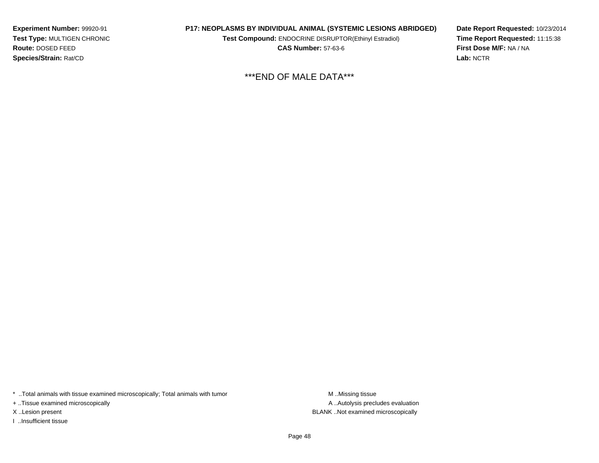**Experiment Number:** 99920-91 **Test Type:** MULTIGEN CHRONIC**Route:** DOSED FEED**Species/Strain:** Rat/CD

**P17: NEOPLASMS BY INDIVIDUAL ANIMAL (SYSTEMIC LESIONS ABRIDGED)**

**Test Compound:** ENDOCRINE DISRUPTOR(Ethinyl Estradiol)

**CAS Number:** 57-63-6

**Date Report Requested:** 10/23/2014**Time Report Requested:** 11:15:38**First Dose M/F:** NA / NA**Lab:** NCTR

\*\*\*END OF MALE DATA\*\*\*

\* ..Total animals with tissue examined microscopically; Total animals with tumor M..Missing tissue

+ ..Tissue examined microscopically

I ..Insufficient tissue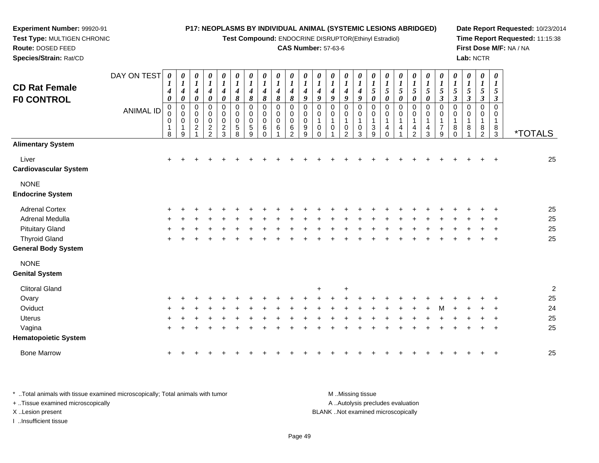**Test Compound:** ENDOCRINE DISRUPTOR(Ethinyl Estradiol)

#### **CAS Number:** 57-63-6

**Date Report Requested:** 10/23/2014**Time Report Requested:** 11:15:38**First Dose M/F:** NA / NA**Lab:** NCTR

3 \*TOTALS

 **Species/Strain:** Rat/CDDAY ON TEST**CD Rat FemaleF0 CONTROL**ANIMAL ID*0 1 4 0* 0 0 0 1 8*0 1 4 0* 0 0 0 1 9*0 1 4 0* 0 0 0 2 1*0 1 4 0* 0 0 0 2 2*0 1 4 0* 0 0 0 2 3*0 1 4 8* 0 0 0 5 8*0 1 4 8* 0 0 0 5 9*0 1 4 8* 0 0 0 6 0*0 1 4 8* 00<br>0<br>6<br>1 *0 1 4 8* 0 0 0 6 2*0 1 4 9* 0 0 0 9 9*0 1 4 9* 0 0 1 0 0*0 1 4 9* 0 0 1 0 1*0 1 4 9* 0 0 1 0 2*0 1 4 9* 0 0 1 0 3*0 1 5 0* 0 0 1 3 9*0 1 5 0* 0 0 1 4 0*0 1 5 0* 0 0 1 4 1*0 1 5 0* 0 0 1 4 2*0 1 5 0* 0 0 1 4 3*0 1 5 3* 0 0 1 7 9*0 1 5 3* 0 0 1 8 0**Alimentary System**Liver $\mathsf{r}$  + <sup>+</sup> <sup>+</sup> <sup>+</sup> <sup>+</sup> <sup>+</sup> <sup>+</sup> <sup>+</sup> <sup>+</sup> <sup>+</sup> <sup>+</sup> <sup>+</sup> <sup>+</sup> <sup>+</sup> <sup>+</sup> <sup>+</sup> <sup>+</sup> <sup>+</sup> <sup>+</sup> <sup>+</sup> <sup>+</sup> <sup>+</sup> <sup>+</sup> <sup>+</sup> <sup>+</sup> <sup>25</sup> **Cardiovascular System**NONE **Endocrine System**Adrenal Cortex $\times$  + <sup>+</sup> <sup>+</sup> <sup>+</sup> <sup>+</sup> <sup>+</sup> <sup>+</sup> <sup>+</sup> <sup>+</sup> <sup>+</sup> <sup>+</sup> <sup>+</sup> <sup>+</sup> <sup>+</sup> <sup>+</sup> <sup>+</sup> <sup>+</sup> <sup>+</sup> <sup>+</sup> <sup>+</sup> <sup>+</sup> <sup>+</sup> <sup>+</sup> <sup>+</sup> <sup>+</sup> <sup>25</sup> Adrenal Medulla

| Adrenal Medulla            |  |  |  |  |  |  |  |  |  |  |  |  |  | -25 |
|----------------------------|--|--|--|--|--|--|--|--|--|--|--|--|--|-----|
| Pituitary Gland            |  |  |  |  |  |  |  |  |  |  |  |  |  | 25  |
| Thyroid Gland              |  |  |  |  |  |  |  |  |  |  |  |  |  | 25  |
| <b>General Body System</b> |  |  |  |  |  |  |  |  |  |  |  |  |  |     |

**Genital System**

**Experiment Number:** 99920-91**Test Type:** MULTIGEN CHRONIC

**Route:** DOSED FEED

NONE

| <b>Clitoral Gland</b> |         |             |             |       |               |        |     | $+$       | $\div$  |       |                 |         |         |                           |             |         |             |  | $\mathcal{P}$ |  |
|-----------------------|---------|-------------|-------------|-------|---------------|--------|-----|-----------|---------|-------|-----------------|---------|---------|---------------------------|-------------|---------|-------------|--|---------------|--|
| Ovary                 |         |             | + + + + + + |       | + + + + + + + |        |     |           | $+$ $-$ |       | $+$ $+$ $+$ $+$ |         |         |                           | $+$ $+$ $+$ | $+$ $-$ | $+$ $+$ $+$ |  | 25            |  |
| Oviduct               |         |             | + + + + + + |       |               |        |     |           |         |       |                 |         |         |                           |             |         |             |  | 24            |  |
| <b>Uterus</b>         | $+$ $+$ | $+$         | $+$         | $\pm$ | $+$ $-$       | $\div$ | $+$ | $+$       | $+$     | $\pm$ |                 | $+$ $+$ | $+$ $-$ |                           | $+$ $+$ $+$ | $+$ $-$ | $+$ $+$     |  | 25            |  |
| Vagina                | $+$ $+$ |             |             | $+$   | $+$ $-$       |        |     |           |         |       |                 |         |         | + + + + + + + + + + + + + |             | $+$     | $+$ $+$ $+$ |  | 25            |  |
| Hematopoietic System  |         |             |             |       |               |        |     |           |         |       |                 |         |         |                           |             |         |             |  |               |  |
| <b>Bone Marrow</b>    |         | $+$ $+$ $+$ |             |       |               |        |     | + + + + + | $+$ $-$ |       |                 |         |         |                           |             |         | $+$ $+$     |  | 25            |  |

\* ..Total animals with tissue examined microscopically; Total animals with tumor **M** ..Missing tissue M ..Missing tissue A ..Autolysis precludes evaluation + ..Tissue examined microscopically X ..Lesion present BLANK ..Not examined microscopicallyI ..Insufficient tissue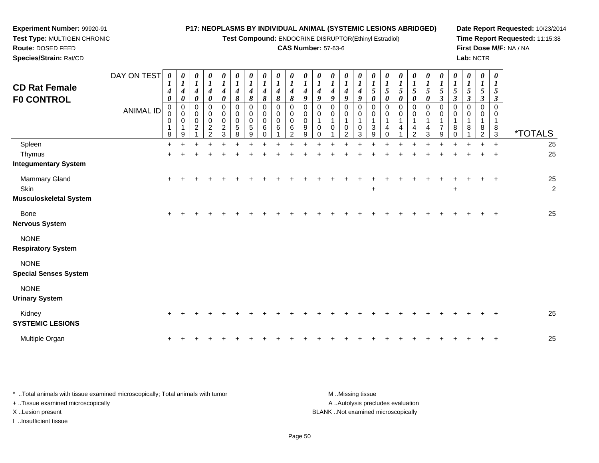**Test Compound:** ENDOCRINE DISRUPTOR(Ethinyl Estradiol)

**Date Report Requested:** 10/23/2014 **Time Report Requested:** 11:15:38**First Dose M/F:** NA / NA**Lab:** NCTR

| <b>Route: DOSED FEED</b><br>Species/Strain: Rat/CD |                  |             |   |                       |                    |                  |                                 |                                 |                    |                                 |   |          |        | <b>CAS Number: 57-63-6</b> |          |
|----------------------------------------------------|------------------|-------------|---|-----------------------|--------------------|------------------|---------------------------------|---------------------------------|--------------------|---------------------------------|---|----------|--------|----------------------------|----------|
| <b>CD Rat Female</b><br><b>FO CONTROL</b>          | DAY ON TEST      | 4           |   | $\boldsymbol{\theta}$ | $\theta$<br>4<br>6 | 0<br>4           | $\boldsymbol{\theta}$<br>4<br>8 | $\boldsymbol{\theta}$<br>4<br>8 | 0<br>$\Omega$<br>ο | $\boldsymbol{\theta}$<br>4<br>8 | Ω | $\prime$ | 0<br>O |                            | $\theta$ |
|                                                    | <b>ANIMAL ID</b> | 0<br>0<br>0 | 0 | c                     | 0<br>0<br>0<br>≏   | 0<br>0<br>0<br>ົ | O<br>0<br>0<br>5                | 0<br>0<br>0<br>5                | 0<br>0<br>0<br>6   | 0<br>0<br>0<br>6                | 6 | 9        | 0      | 0                          |          |

**Experiment Number:** 99920-91**Test Type:** MULTIGEN CHRONIC

| <b>CD Rat Female</b><br><b>F0 CONTROL</b>   | DAY ON TEST<br><b>ANIMAL ID</b> | 0<br>4<br>0<br>0<br>0<br>0<br>1<br>8 | 0<br>4<br>0<br>0<br>0<br>0<br>1<br>9 | 0<br>1<br>$\boldsymbol{4}$<br>$\boldsymbol{\theta}$<br>0<br>0<br>0<br>$\overline{c}$ | 0<br>$\boldsymbol{l}$<br>$\boldsymbol{4}$<br>$\pmb{\theta}$<br>0<br>0<br>$\pmb{0}$<br>$\frac{2}{2}$ | 0<br>$\boldsymbol{l}$<br>$\boldsymbol{4}$<br>0<br>0<br>$\mathbf 0$<br>$\mathbf 0$<br>$\boldsymbol{2}$<br>3 | 0<br>$\boldsymbol{l}$<br>4<br>8<br>0<br>$\pmb{0}$<br>0<br>$\,$ 5 $\,$<br>8 | 0<br>$\boldsymbol{l}$<br>4<br>8<br>$\mathbf 0$<br>0<br>0<br>5<br>9 | 0<br>$\boldsymbol{l}$<br>$\boldsymbol{4}$<br>8<br>$\Omega$<br>$\mathbf 0$<br>0<br>6<br>$\Omega$ | $\boldsymbol{\theta}$<br>$\boldsymbol{l}$<br>4<br>8<br>$\Omega$<br>$\Omega$<br>$\mathbf 0$<br>6 | 0<br>$\boldsymbol{l}$<br>$\boldsymbol{4}$<br>8<br>0<br>0<br>$\mathbf 0$<br>6<br>$\mathfrak{p}$ | 0<br>$\boldsymbol{l}$<br>4<br>9<br>0<br>0<br>0<br>9<br>9 | 0<br>$\boldsymbol{l}$<br>$\boldsymbol{4}$<br>9<br>0<br>0<br>$\mathbf{1}$<br>0 | $\boldsymbol{l}$<br>$\boldsymbol{4}$<br>9<br>0<br>0<br>$\mathbf 1$<br>$\mathbf 0$ | $\boldsymbol{l}$<br>4<br>$\boldsymbol{g}$<br>0<br>0<br>1<br>0<br>2 | $\boldsymbol{\theta}$<br>$\boldsymbol{l}$<br>$\boldsymbol{4}$<br>9<br>$\Omega$<br>$\mathbf 0$<br>$\overline{1}$<br>0<br>3 | 1<br>$\sqrt{5}$<br>0<br>0<br>0<br>3<br>9 | 0<br>1<br>$\sqrt{5}$<br>$\boldsymbol{\theta}$<br>0<br>0<br>4<br>U | 0<br>$\boldsymbol{l}$<br>5<br>0<br>0<br>0<br>4 | 0<br>$\boldsymbol{l}$<br>$\mathfrak{s}$<br>$\pmb{\theta}$<br>0<br>$\pmb{0}$<br>1<br>4<br>2 | $\boldsymbol{\theta}$<br>$\boldsymbol{l}$<br>$\sqrt{5}$<br>$\boldsymbol{\theta}$<br>0<br>$\mathbf 0$<br>1<br>4<br>3 | 0<br>$\boldsymbol{l}$<br>$\sqrt{5}$<br>$\mathfrak{z}$<br>0<br>0<br>$\mathbf 1$<br>$\overline{7}$<br>9 | 0<br>5<br>$\boldsymbol{\beta}$<br>$\Omega$<br>0<br>8<br>0 | 0<br>$\boldsymbol{l}$<br>5<br>3<br>0<br>0<br>8 | 0<br>$\boldsymbol{l}$<br>$\mathfrak{s}$<br>$\boldsymbol{\beta}$<br>$\Omega$<br>$\Omega$<br>1<br>8<br>$\overline{2}$ | 0<br>1<br>5<br>3<br>$\Omega$<br>0<br>$\mathbf{1}$<br>$^8_3$ | <i><b>*TOTALS</b></i> |
|---------------------------------------------|---------------------------------|--------------------------------------|--------------------------------------|--------------------------------------------------------------------------------------|-----------------------------------------------------------------------------------------------------|------------------------------------------------------------------------------------------------------------|----------------------------------------------------------------------------|--------------------------------------------------------------------|-------------------------------------------------------------------------------------------------|-------------------------------------------------------------------------------------------------|------------------------------------------------------------------------------------------------|----------------------------------------------------------|-------------------------------------------------------------------------------|-----------------------------------------------------------------------------------|--------------------------------------------------------------------|---------------------------------------------------------------------------------------------------------------------------|------------------------------------------|-------------------------------------------------------------------|------------------------------------------------|--------------------------------------------------------------------------------------------|---------------------------------------------------------------------------------------------------------------------|-------------------------------------------------------------------------------------------------------|-----------------------------------------------------------|------------------------------------------------|---------------------------------------------------------------------------------------------------------------------|-------------------------------------------------------------|-----------------------|
| Spleen                                      |                                 | $+$                                  |                                      |                                                                                      |                                                                                                     |                                                                                                            |                                                                            |                                                                    |                                                                                                 |                                                                                                 |                                                                                                |                                                          |                                                                               |                                                                                   |                                                                    |                                                                                                                           |                                          |                                                                   |                                                |                                                                                            |                                                                                                                     |                                                                                                       |                                                           |                                                |                                                                                                                     | $\ddot{+}$                                                  | 25                    |
| Thymus                                      |                                 | $\pm$                                |                                      |                                                                                      |                                                                                                     |                                                                                                            |                                                                            |                                                                    |                                                                                                 |                                                                                                 |                                                                                                |                                                          |                                                                               |                                                                                   |                                                                    |                                                                                                                           |                                          |                                                                   |                                                |                                                                                            |                                                                                                                     |                                                                                                       |                                                           |                                                |                                                                                                                     |                                                             | 25                    |
| <b>Integumentary System</b>                 |                                 |                                      |                                      |                                                                                      |                                                                                                     |                                                                                                            |                                                                            |                                                                    |                                                                                                 |                                                                                                 |                                                                                                |                                                          |                                                                               |                                                                                   |                                                                    |                                                                                                                           |                                          |                                                                   |                                                |                                                                                            |                                                                                                                     |                                                                                                       |                                                           |                                                |                                                                                                                     |                                                             |                       |
| <b>Mammary Gland</b>                        |                                 | $\ddot{}$                            |                                      |                                                                                      |                                                                                                     |                                                                                                            |                                                                            |                                                                    |                                                                                                 |                                                                                                 |                                                                                                |                                                          |                                                                               |                                                                                   |                                                                    |                                                                                                                           |                                          |                                                                   |                                                |                                                                                            |                                                                                                                     |                                                                                                       |                                                           |                                                |                                                                                                                     | $\ddot{}$                                                   | 25                    |
| Skin                                        |                                 |                                      |                                      |                                                                                      |                                                                                                     |                                                                                                            |                                                                            |                                                                    |                                                                                                 |                                                                                                 |                                                                                                |                                                          |                                                                               |                                                                                   |                                                                    |                                                                                                                           | +                                        |                                                                   |                                                |                                                                                            |                                                                                                                     |                                                                                                       | $\ddot{}$                                                 |                                                |                                                                                                                     |                                                             | $\overline{2}$        |
| <b>Musculoskeletal System</b>               |                                 |                                      |                                      |                                                                                      |                                                                                                     |                                                                                                            |                                                                            |                                                                    |                                                                                                 |                                                                                                 |                                                                                                |                                                          |                                                                               |                                                                                   |                                                                    |                                                                                                                           |                                          |                                                                   |                                                |                                                                                            |                                                                                                                     |                                                                                                       |                                                           |                                                |                                                                                                                     |                                                             |                       |
| Bone                                        |                                 | $\ddot{}$                            |                                      |                                                                                      |                                                                                                     |                                                                                                            |                                                                            |                                                                    |                                                                                                 |                                                                                                 |                                                                                                |                                                          |                                                                               |                                                                                   |                                                                    |                                                                                                                           |                                          |                                                                   |                                                |                                                                                            |                                                                                                                     |                                                                                                       |                                                           |                                                |                                                                                                                     | $\ddot{}$                                                   | 25                    |
| <b>Nervous System</b>                       |                                 |                                      |                                      |                                                                                      |                                                                                                     |                                                                                                            |                                                                            |                                                                    |                                                                                                 |                                                                                                 |                                                                                                |                                                          |                                                                               |                                                                                   |                                                                    |                                                                                                                           |                                          |                                                                   |                                                |                                                                                            |                                                                                                                     |                                                                                                       |                                                           |                                                |                                                                                                                     |                                                             |                       |
| <b>NONE</b><br><b>Respiratory System</b>    |                                 |                                      |                                      |                                                                                      |                                                                                                     |                                                                                                            |                                                                            |                                                                    |                                                                                                 |                                                                                                 |                                                                                                |                                                          |                                                                               |                                                                                   |                                                                    |                                                                                                                           |                                          |                                                                   |                                                |                                                                                            |                                                                                                                     |                                                                                                       |                                                           |                                                |                                                                                                                     |                                                             |                       |
| <b>NONE</b><br><b>Special Senses System</b> |                                 |                                      |                                      |                                                                                      |                                                                                                     |                                                                                                            |                                                                            |                                                                    |                                                                                                 |                                                                                                 |                                                                                                |                                                          |                                                                               |                                                                                   |                                                                    |                                                                                                                           |                                          |                                                                   |                                                |                                                                                            |                                                                                                                     |                                                                                                       |                                                           |                                                |                                                                                                                     |                                                             |                       |
| <b>NONE</b><br><b>Urinary System</b>        |                                 |                                      |                                      |                                                                                      |                                                                                                     |                                                                                                            |                                                                            |                                                                    |                                                                                                 |                                                                                                 |                                                                                                |                                                          |                                                                               |                                                                                   |                                                                    |                                                                                                                           |                                          |                                                                   |                                                |                                                                                            |                                                                                                                     |                                                                                                       |                                                           |                                                |                                                                                                                     |                                                             |                       |
| Kidney<br><b>SYSTEMIC LESIONS</b>           |                                 | $\pm$                                |                                      |                                                                                      |                                                                                                     |                                                                                                            |                                                                            |                                                                    |                                                                                                 |                                                                                                 |                                                                                                |                                                          |                                                                               |                                                                                   |                                                                    |                                                                                                                           |                                          |                                                                   |                                                |                                                                                            |                                                                                                                     |                                                                                                       |                                                           |                                                |                                                                                                                     | $\overline{ }$                                              | 25                    |
| Multiple Organ                              |                                 |                                      |                                      |                                                                                      |                                                                                                     |                                                                                                            |                                                                            |                                                                    |                                                                                                 |                                                                                                 |                                                                                                |                                                          |                                                                               |                                                                                   |                                                                    |                                                                                                                           |                                          |                                                                   |                                                |                                                                                            |                                                                                                                     |                                                                                                       |                                                           |                                                |                                                                                                                     | $\div$                                                      | 25                    |

| Total animals with tissue examined microscopically; Total animals with tumor | M Missing tissue                   |
|------------------------------------------------------------------------------|------------------------------------|
| + Tissue examined microscopically                                            | A  Autolysis precludes evaluation  |
| X Lesion present                                                             | BLANK Not examined microscopically |
| …Insufficient tissue                                                         |                                    |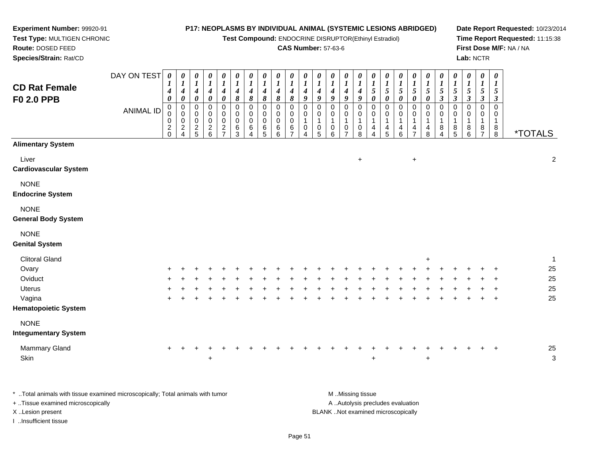**Test Compound:** ENDOCRINE DISRUPTOR(Ethinyl Estradiol)

**Date Report Requested:** 10/23/2014**Time Report Requested:** 11:15:38**First Dose M/F:** NA / NA**Lab:** NCTR

| Route: DOSED FEED                         |             |                                       |                                           |                                            |                                            |                                                |                     |                  |                          |                                                    | <b>CAS Number: 57-63-6</b> |                       |        |              |                       |                       |                |                     |                     |                     |                       |                 |                                    |                                        |                           |                                        | First Dose M/F: NA / NA |
|-------------------------------------------|-------------|---------------------------------------|-------------------------------------------|--------------------------------------------|--------------------------------------------|------------------------------------------------|---------------------|------------------|--------------------------|----------------------------------------------------|----------------------------|-----------------------|--------|--------------|-----------------------|-----------------------|----------------|---------------------|---------------------|---------------------|-----------------------|-----------------|------------------------------------|----------------------------------------|---------------------------|----------------------------------------|-------------------------|
| Species/Strain: Rat/CD                    |             |                                       |                                           |                                            |                                            |                                                |                     |                  |                          |                                                    |                            |                       |        |              |                       |                       |                |                     |                     |                     |                       |                 |                                    | Lab: NCTR                              |                           |                                        |                         |
|                                           | DAY ON TEST | $\boldsymbol{\theta}$<br>$\mathbf{I}$ | 1                                         | $\theta$                                   | 0                                          | 0<br>$\boldsymbol{l}$                          | 0                   | $\boldsymbol{l}$ | $\theta$                 | 0<br>$\boldsymbol{l}$                              | $\boldsymbol{\theta}$      | 0                     | 1      |              | 0<br>1                | 0<br>1                | 0              |                     |                     | 0                   | 0<br>$\boldsymbol{l}$ |                 |                                    |                                        | 0                         | 0<br>$\boldsymbol{l}$                  |                         |
| <b>CD Rat Female</b><br><b>F0 2.0 PPB</b> |             | 4<br>0                                | $\boldsymbol{4}$<br>$\boldsymbol{\theta}$ | $\boldsymbol{4}$<br>$\pmb{\theta}$         | 4<br>0                                     | $\boldsymbol{4}$<br>$\boldsymbol{\theta}$      | 4<br>8              | 4<br>8           | $\boldsymbol{4}$<br>8    | 4<br>$\pmb{8}$                                     | $\boldsymbol{4}$<br>8      | $\boldsymbol{4}$<br>9 | 4<br>9 | 4<br>9       | $\boldsymbol{4}$<br>9 | $\boldsymbol{4}$<br>9 | 0              | $\mathfrak{s}$<br>0 | 5<br>0              | 0                   | $\mathfrak{s}$<br>0   | $\sqrt{5}$<br>3 | $\sqrt{5}$<br>$\boldsymbol{\beta}$ | $\mathfrak{I}$<br>$\boldsymbol{\beta}$ | 5<br>$\boldsymbol{\beta}$ | $\mathfrak{s}$<br>$\boldsymbol{\beta}$ |                         |
|                                           | ANIMAL ID   | $\mathbf 0$<br>0<br>0                 | $\frac{0}{2}$                             | $_{\rm 0}^{\rm 0}$                         | 0<br>0                                     | 0<br>$\begin{matrix} 0 \\ 0 \\ 2 \end{matrix}$ | 0<br>0<br>$\pmb{0}$ | 0<br>$_0^0$      | 0<br>$\ddot{\mathbf{0}}$ | 0<br>$\begin{smallmatrix}0\0\0\6\end{smallmatrix}$ | 0<br>$\ddot{o}$            | 0<br>0                |        | 0<br>0       | 0<br>0                |                       | 0<br>$\pmb{0}$ | 0<br>0              |                     | 0                   | 0<br>0                |                 | $\mathbf 0$                        |                                        | $\pmb{0}$<br>0            | 0<br>0                                 |                         |
|                                           |             | $\overline{2}$<br>$\mathbf 0$         |                                           | $\begin{array}{c} 0 \\ 2 \\ 5 \end{array}$ | $\begin{array}{c} 0 \\ 2 \\ 6 \end{array}$ | $\overline{ }$                                 | $\,6$<br>3          | 6                | $\,6\,$<br>5             | 6                                                  | $\,6\,$<br>$\overline{ }$  | 0                     | 0<br>5 | $\,0\,$<br>6 | 0<br>$\overline{ }$   | 0<br>8                | 4<br>4         | 4<br>5              | $\overline{4}$<br>6 | 4<br>$\overline{ }$ | 4<br>8                | 8<br>4          | 8<br>$\overline{5}$                | 8<br>6                                 | 8<br>$\overline{ }$       | $\begin{array}{c} 8 \\ 8 \end{array}$  | <i><b>*TOTALS</b></i>   |
| <b>Alimentary System</b>                  |             |                                       |                                           |                                            |                                            |                                                |                     |                  |                          |                                                    |                            |                       |        |              |                       |                       |                |                     |                     |                     |                       |                 |                                    |                                        |                           |                                        |                         |
| Liver                                     |             |                                       |                                           |                                            |                                            |                                                |                     |                  |                          |                                                    |                            |                       |        |              |                       | $\ddot{}$             |                |                     |                     | $\ddot{}$           |                       |                 |                                    |                                        |                           |                                        | 2                       |
| <b>Cardiovascular System</b>              |             |                                       |                                           |                                            |                                            |                                                |                     |                  |                          |                                                    |                            |                       |        |              |                       |                       |                |                     |                     |                     |                       |                 |                                    |                                        |                           |                                        |                         |
| <b>NONE</b><br><b>Endocrine System</b>    |             |                                       |                                           |                                            |                                            |                                                |                     |                  |                          |                                                    |                            |                       |        |              |                       |                       |                |                     |                     |                     |                       |                 |                                    |                                        |                           |                                        |                         |
| <b>NONE</b><br><b>General Body System</b> |             |                                       |                                           |                                            |                                            |                                                |                     |                  |                          |                                                    |                            |                       |        |              |                       |                       |                |                     |                     |                     |                       |                 |                                    |                                        |                           |                                        |                         |

### NONE

#### **Genital System**

**Experiment Number:** 99920-91**Test Type:** MULTIGEN CHRONIC

| <b>Clitoral Gland</b> |         |         |                           |     |     |  |     |     |     |     |         |         |         |         |             | $\pm$ |     |     |         |         |         |    |
|-----------------------|---------|---------|---------------------------|-----|-----|--|-----|-----|-----|-----|---------|---------|---------|---------|-------------|-------|-----|-----|---------|---------|---------|----|
| Ovary                 |         |         | + + + + + + + + + + + + + |     |     |  |     |     |     |     | $+$ $-$ |         |         |         | + + + + + + |       |     | $+$ |         | $+ + +$ |         | 25 |
| Oviduct               |         |         | + + + + +                 |     |     |  |     |     |     |     |         | $+$     |         |         | $+$         | $+$   | $+$ |     |         |         | $+$ $+$ | 25 |
| <b>Uterus</b>         | $+$ $+$ | $+$     | $+$                       |     |     |  | $+$ | $+$ | $+$ |     | $+$ $-$ | $+$ $-$ | $+$ $-$ | $+$ $-$ | $+$         | $+$   | $+$ | $+$ |         |         | $+$ $+$ | 25 |
| Vagina                | $+$ $+$ | $+$ $-$ | $+$                       | $+$ | $+$ |  |     |     |     | $+$ | $+$     | $+$     |         | $+$     | $+$         | $+$   | $+$ | $+$ | $+$ $-$ |         | $+$ $+$ | 25 |
| Hematopoietic System  |         |         |                           |     |     |  |     |     |     |     |         |         |         |         |             |       |     |     |         |         |         |    |
| <b>NONE</b>           |         |         |                           |     |     |  |     |     |     |     |         |         |         |         |             |       |     |     |         |         |         |    |
|                       |         |         |                           |     |     |  |     |     |     |     |         |         |         |         |             |       |     |     |         |         |         |    |

#### **Integumentary System**

| <b>Mammary Gland</b> |  |  |  |  |  |  |  |  |  |  |  |  |  | 25 |
|----------------------|--|--|--|--|--|--|--|--|--|--|--|--|--|----|
| Skin                 |  |  |  |  |  |  |  |  |  |  |  |  |  |    |

\* ..Total animals with tissue examined microscopically; Total animals with tumor **M** ...Missing tissue M ...Missing tissue A .. Autolysis precludes evaluation + ..Tissue examined microscopically X ..Lesion present BLANK ..Not examined microscopicallyI ..Insufficient tissue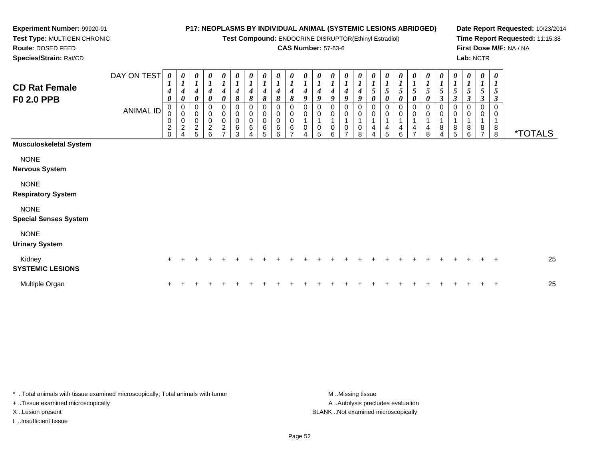**Test Compound:** ENDOCRINE DISRUPTOR(Ethinyl Estradiol)

### **CAS Number:** 57-63-6

**Date Report Requested:** 10/23/2014**Time Report Requested:** 11:15:38**First Dose M/F:** NA / NA**Lab:** NCTR

 **Test Type:** MULTIGEN CHRONIC**Route:** DOSED FEED**Species/Strain:** Rat/CD

**Experiment Number:** 99920-91

| <b>CD Rat Female</b><br><b>F0 2.0 PPB</b>   | DAY ON TEST<br><b>ANIMAL ID</b> | 0<br>$\mathbf{I}$<br>$\boldsymbol{4}$<br>$\boldsymbol{\theta}$<br>0<br>0<br>0<br>$\overline{c}$<br>$\mathbf 0$ | 0<br>$\boldsymbol{4}$<br>0<br>0<br>$\pmb{0}$<br>$\pmb{0}$<br>$\overline{c}$<br>4 | 0<br>$\boldsymbol{l}$<br>$\boldsymbol{4}$<br>$\boldsymbol{\theta}$<br>0<br>0<br>$\mathbf 0$<br>$\frac{2}{5}$ | $\boldsymbol{\theta}$<br>$\boldsymbol{l}$<br>4<br>$\boldsymbol{\theta}$<br>$\mathbf 0$<br>$\pmb{0}$<br>$\pmb{0}$<br>$\overline{c}$<br>6 | $\begin{matrix} 0 \\ 1 \end{matrix}$<br>$\boldsymbol{4}$<br>$\boldsymbol{\theta}$<br>$\begin{smallmatrix}0\0\0\0\end{smallmatrix}$<br>$\boldsymbol{2}$<br>$\overline{ }$ | $\boldsymbol{\theta}$<br>$\boldsymbol{l}$<br>4<br>8<br>0<br>$\pmb{0}$<br>0<br>6<br>3 | 0<br>$\boldsymbol{l}$<br>4<br>8<br>0<br>0<br>0<br>$\,6$<br>$\Delta$ | 0<br>$\boldsymbol{l}$<br>$\boldsymbol{4}$<br>8<br>0<br>$\pmb{0}$<br>$\pmb{0}$<br>$\,6$<br>5 | 0<br>4<br>8<br>0<br>0<br>$\pmb{0}$<br>6<br>6 | 0<br>$\boldsymbol{l}$<br>4<br>8<br>0<br>0<br>$\pmb{0}$<br>6 | $\boldsymbol{\theta}$<br>$\boldsymbol{l}$<br>4<br>9<br>0<br>0<br>1<br>0 | $\frac{\theta}{I}$<br>$\boldsymbol{4}$<br>9<br>0<br>$\pmb{0}$<br>$\overline{A}$<br>$\pmb{0}$<br>5 | 0<br>$\boldsymbol{l}$<br>$\boldsymbol{4}$<br>9<br>0<br>0<br>$\mathbf{1}$<br>0<br>6 | 0<br>$\boldsymbol{l}$<br>4<br>9<br>0<br>0<br>$\mathbf 1$<br>0<br>$\overline{7}$ | $\pmb{\theta}$<br>1<br>$\boldsymbol{4}$<br>9<br>0<br>$\pmb{0}$<br>$\overline{ }$<br>0<br>8 | 0<br>5<br>0<br>0<br>0<br>4 | 0<br>$\boldsymbol{l}$<br>$\mathfrak{s}$<br>0<br>0<br>0<br>4<br>5 | $\boldsymbol{\theta}$<br>$\boldsymbol{l}$<br>$\sqrt{5}$<br>0<br>$\mathbf 0$<br>0<br>1<br>4<br>6 | $\begin{matrix} 0 \\ 1 \end{matrix}$<br>$\sqrt{5}$<br>$\boldsymbol{\theta}$<br>0<br>$\mathbf 0$<br>4 | 0<br>$\boldsymbol{l}$<br>$\sqrt{5}$<br>$\pmb{\theta}$<br>0<br>$\pmb{0}$<br>$\mathbf{1}$<br>$\overline{4}$<br>8 | 0<br>$\boldsymbol{l}$<br>$\sqrt{5}$<br>$\mathfrak{z}$<br>0<br>0<br>$\mathbf{1}$<br>8<br>$\Delta$ | 0<br>$\boldsymbol{l}$<br>$\mathfrak{s}$<br>$\mathfrak{z}$<br>0<br>$\mathbf 0$<br>4<br>$\,8\,$<br>5 | 0<br>5<br>3<br>0<br>0<br>8<br>6 | $\boldsymbol{\theta}$<br>$\boldsymbol{l}$<br>$\mathfrak{s}$<br>$\mathfrak{z}$<br>0<br>0<br>8<br>$\overline{ }$ | $\boldsymbol{\theta}$<br>$\boldsymbol{l}$<br>5<br>$\boldsymbol{\beta}$<br>$\mathbf 0$<br>$\mathbf 0$<br>$\mathbf{1}$<br>$\,8\,$<br>8 | <i><b>*TOTALS</b></i> |
|---------------------------------------------|---------------------------------|----------------------------------------------------------------------------------------------------------------|----------------------------------------------------------------------------------|--------------------------------------------------------------------------------------------------------------|-----------------------------------------------------------------------------------------------------------------------------------------|--------------------------------------------------------------------------------------------------------------------------------------------------------------------------|--------------------------------------------------------------------------------------|---------------------------------------------------------------------|---------------------------------------------------------------------------------------------|----------------------------------------------|-------------------------------------------------------------|-------------------------------------------------------------------------|---------------------------------------------------------------------------------------------------|------------------------------------------------------------------------------------|---------------------------------------------------------------------------------|--------------------------------------------------------------------------------------------|----------------------------|------------------------------------------------------------------|-------------------------------------------------------------------------------------------------|------------------------------------------------------------------------------------------------------|----------------------------------------------------------------------------------------------------------------|--------------------------------------------------------------------------------------------------|----------------------------------------------------------------------------------------------------|---------------------------------|----------------------------------------------------------------------------------------------------------------|--------------------------------------------------------------------------------------------------------------------------------------|-----------------------|
| <b>Musculoskeletal System</b>               |                                 |                                                                                                                |                                                                                  |                                                                                                              |                                                                                                                                         |                                                                                                                                                                          |                                                                                      |                                                                     |                                                                                             |                                              |                                                             |                                                                         |                                                                                                   |                                                                                    |                                                                                 |                                                                                            |                            |                                                                  |                                                                                                 |                                                                                                      |                                                                                                                |                                                                                                  |                                                                                                    |                                 |                                                                                                                |                                                                                                                                      |                       |
| <b>NONE</b><br><b>Nervous System</b>        |                                 |                                                                                                                |                                                                                  |                                                                                                              |                                                                                                                                         |                                                                                                                                                                          |                                                                                      |                                                                     |                                                                                             |                                              |                                                             |                                                                         |                                                                                                   |                                                                                    |                                                                                 |                                                                                            |                            |                                                                  |                                                                                                 |                                                                                                      |                                                                                                                |                                                                                                  |                                                                                                    |                                 |                                                                                                                |                                                                                                                                      |                       |
| <b>NONE</b><br><b>Respiratory System</b>    |                                 |                                                                                                                |                                                                                  |                                                                                                              |                                                                                                                                         |                                                                                                                                                                          |                                                                                      |                                                                     |                                                                                             |                                              |                                                             |                                                                         |                                                                                                   |                                                                                    |                                                                                 |                                                                                            |                            |                                                                  |                                                                                                 |                                                                                                      |                                                                                                                |                                                                                                  |                                                                                                    |                                 |                                                                                                                |                                                                                                                                      |                       |
| <b>NONE</b><br><b>Special Senses System</b> |                                 |                                                                                                                |                                                                                  |                                                                                                              |                                                                                                                                         |                                                                                                                                                                          |                                                                                      |                                                                     |                                                                                             |                                              |                                                             |                                                                         |                                                                                                   |                                                                                    |                                                                                 |                                                                                            |                            |                                                                  |                                                                                                 |                                                                                                      |                                                                                                                |                                                                                                  |                                                                                                    |                                 |                                                                                                                |                                                                                                                                      |                       |
| <b>NONE</b><br><b>Urinary System</b>        |                                 |                                                                                                                |                                                                                  |                                                                                                              |                                                                                                                                         |                                                                                                                                                                          |                                                                                      |                                                                     |                                                                                             |                                              |                                                             |                                                                         |                                                                                                   |                                                                                    |                                                                                 |                                                                                            |                            |                                                                  |                                                                                                 |                                                                                                      |                                                                                                                |                                                                                                  |                                                                                                    |                                 |                                                                                                                |                                                                                                                                      |                       |
| Kidney<br><b>SYSTEMIC LESIONS</b>           |                                 | $\div$                                                                                                         |                                                                                  |                                                                                                              |                                                                                                                                         |                                                                                                                                                                          |                                                                                      |                                                                     |                                                                                             |                                              |                                                             |                                                                         |                                                                                                   |                                                                                    |                                                                                 |                                                                                            |                            |                                                                  |                                                                                                 |                                                                                                      |                                                                                                                |                                                                                                  |                                                                                                    |                                 | $^+$                                                                                                           | $\overline{+}$                                                                                                                       | 25                    |
| Multiple Organ                              |                                 |                                                                                                                |                                                                                  |                                                                                                              |                                                                                                                                         |                                                                                                                                                                          |                                                                                      |                                                                     |                                                                                             |                                              |                                                             |                                                                         |                                                                                                   |                                                                                    |                                                                                 |                                                                                            |                            |                                                                  |                                                                                                 |                                                                                                      |                                                                                                                |                                                                                                  |                                                                                                    |                                 |                                                                                                                | $\div$                                                                                                                               | 25                    |

\* ..Total animals with tissue examined microscopically; Total animals with tumor **M** . Missing tissue M ..Missing tissue + ..Tissue examined microscopically

I ..Insufficient tissue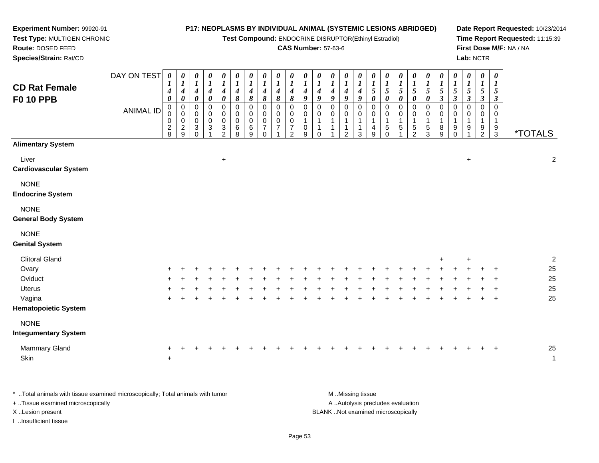**Test Compound:** ENDOCRINE DISRUPTOR(Ethinyl Estradiol)

### **CAS Number:** 57-63-6

**Date Report Requested:** 10/23/2014**Time Report Requested:** 11:15:39**First Dose M/F:** NA / NA**Lab:** NCTR

| Species/Strain: Rat/CD                     |                                 |                                                                           |                                                                                                    |                                                                                                                                  |                                                                                       |                                                                                                               |                                                                              |                                                                            |                                                                                            |                                                                 |                                                                    |                                                                                              |                                                                                                               |                                                                    |                                                                                        |                                                                                                                    |                                                                                                                               |                                                                                                    |                                                                                    |                                                                                                         |                                                                                                                      |                                                                                                                    |                                                                                                                                                     | Lab: NCTR                                                                             |                                                              |                                           |                                                                                      |                       |                    |
|--------------------------------------------|---------------------------------|---------------------------------------------------------------------------|----------------------------------------------------------------------------------------------------|----------------------------------------------------------------------------------------------------------------------------------|---------------------------------------------------------------------------------------|---------------------------------------------------------------------------------------------------------------|------------------------------------------------------------------------------|----------------------------------------------------------------------------|--------------------------------------------------------------------------------------------|-----------------------------------------------------------------|--------------------------------------------------------------------|----------------------------------------------------------------------------------------------|---------------------------------------------------------------------------------------------------------------|--------------------------------------------------------------------|----------------------------------------------------------------------------------------|--------------------------------------------------------------------------------------------------------------------|-------------------------------------------------------------------------------------------------------------------------------|----------------------------------------------------------------------------------------------------|------------------------------------------------------------------------------------|---------------------------------------------------------------------------------------------------------|----------------------------------------------------------------------------------------------------------------------|--------------------------------------------------------------------------------------------------------------------|-----------------------------------------------------------------------------------------------------------------------------------------------------|---------------------------------------------------------------------------------------|--------------------------------------------------------------|-------------------------------------------|--------------------------------------------------------------------------------------|-----------------------|--------------------|
| <b>CD Rat Female</b><br><b>F0 10 PPB</b>   | DAY ON TEST<br><b>ANIMAL ID</b> | $\boldsymbol{\theta}$<br>4<br>0<br>$\mathbf 0$<br>0<br>0<br>$\frac{2}{8}$ | $\boldsymbol{\theta}$<br>$\boldsymbol{l}$<br>$\boldsymbol{4}$<br>0<br>0<br>0<br>0<br>$\frac{2}{9}$ | 0<br>$\boldsymbol{I}$<br>$\boldsymbol{4}$<br>$\pmb{\theta}$<br>$\pmb{0}$<br>$\mathbf 0$<br>$\mathbf 0$<br>$\sqrt{3}$<br>$\Omega$ | 0<br>$\boldsymbol{l}$<br>$\boldsymbol{4}$<br>0<br>0<br>0<br>$\mathbf 0$<br>$\sqrt{3}$ | 0<br>$\boldsymbol{l}$<br>4<br>$\boldsymbol{\theta}$<br>$\mathbf 0$<br>$\mathbf 0$<br>0<br>3<br>$\overline{c}$ | 0<br>$\boldsymbol{l}$<br>4<br>8<br>$\mathbf 0$<br>0<br>$\mathbf 0$<br>6<br>8 | 0<br>$\boldsymbol{l}$<br>4<br>$\pmb{8}$<br>$\mathbf 0$<br>0<br>0<br>6<br>9 | 0<br>$\boldsymbol{l}$<br>4<br>8<br>$\mathbf 0$<br>$\Omega$<br>$\Omega$<br>7<br>$\mathbf 0$ | 0<br>$\boldsymbol{l}$<br>4<br>8<br>$\mathbf 0$<br>$\Omega$<br>0 | 0<br>$\boldsymbol{l}$<br>4<br>8<br>0<br>$\mathbf 0$<br>0<br>7<br>2 | 0<br>$\boldsymbol{l}$<br>$\boldsymbol{4}$<br>9<br>0<br>$\mathbf 0$<br>$\mathbf{1}$<br>0<br>9 | 0<br>$\boldsymbol{l}$<br>$\boldsymbol{4}$<br>9<br>$\mathbf 0$<br>$\mathbf 0$<br>$\mathbf{1}$<br>1<br>$\Omega$ | 0<br>$\boldsymbol{l}$<br>4<br>9<br>$\mathbf 0$<br>$\mathbf 0$<br>1 | 0<br>$\boldsymbol{l}$<br>4<br>9<br>$\mathbf 0$<br>$\mathbf 0$<br>$\mathbf 1$<br>1<br>2 | 0<br>$\boldsymbol{l}$<br>$\boldsymbol{4}$<br>$\boldsymbol{9}$<br>$\pmb{0}$<br>$\mathbf 0$<br>1<br>$\mathbf 1$<br>3 | $\boldsymbol{\theta}$<br>$\boldsymbol{l}$<br>$\sqrt{5}$<br>$\boldsymbol{\theta}$<br>$\mathbf 0$<br>$\mathbf 0$<br>1<br>4<br>9 | 0<br>$\boldsymbol{l}$<br>$\sqrt{5}$<br>$\pmb{\theta}$<br>$\pmb{0}$<br>$\mathbf 0$<br>5<br>$\Omega$ | 0<br>$\boldsymbol{l}$<br>$\mathfrak{s}$<br>0<br>$\pmb{0}$<br>$\mathbf 0$<br>1<br>5 | 0<br>$\boldsymbol{l}$<br>$\sqrt{5}$<br>$\pmb{\theta}$<br>$\pmb{0}$<br>$\mathbf 0$<br>1<br>$\frac{5}{2}$ | 0<br>$\boldsymbol{l}$<br>$\sqrt{5}$<br>$\pmb{\theta}$<br>$\mathbf 0$<br>$\mathbf 0$<br>$\mathbf{1}$<br>$\frac{5}{3}$ | 0<br>$\boldsymbol{l}$<br>$\mathfrak{H}$<br>$\boldsymbol{\mathfrak{z}}$<br>$\pmb{0}$<br>0<br>$\mathbf{1}$<br>$^8_9$ | $\boldsymbol{\theta}$<br>$\boldsymbol{l}$<br>$5\overline{)}$<br>$\boldsymbol{\beta}$<br>$\mathbf 0$<br>$\Omega$<br>$\mathbf{1}$<br>9<br>$\mathbf 0$ | $\boldsymbol{\theta}$<br>$\boldsymbol{l}$<br>5<br>$\boldsymbol{\beta}$<br>0<br>0<br>9 | $\boldsymbol{l}$<br>5<br>$\boldsymbol{\beta}$<br>$\mathbf 0$ | 0<br>$\Omega$<br>1<br>9<br>$\overline{2}$ | 0<br>$\boldsymbol{l}$<br>5<br>3<br>$\mathbf 0$<br>0<br>$\mathbf{1}$<br>$\frac{9}{3}$ | <i><b>*TOTALS</b></i> |                    |
| <b>Alimentary System</b>                   |                                 |                                                                           |                                                                                                    |                                                                                                                                  |                                                                                       |                                                                                                               |                                                                              |                                                                            |                                                                                            |                                                                 |                                                                    |                                                                                              |                                                                                                               |                                                                    |                                                                                        |                                                                                                                    |                                                                                                                               |                                                                                                    |                                                                                    |                                                                                                         |                                                                                                                      |                                                                                                                    |                                                                                                                                                     |                                                                                       |                                                              |                                           |                                                                                      |                       |                    |
| Liver<br>Cardiovascular System             |                                 |                                                                           |                                                                                                    |                                                                                                                                  |                                                                                       | $\ddot{}$                                                                                                     |                                                                              |                                                                            |                                                                                            |                                                                 |                                                                    |                                                                                              |                                                                                                               |                                                                    |                                                                                        |                                                                                                                    |                                                                                                                               |                                                                                                    |                                                                                    |                                                                                                         |                                                                                                                      |                                                                                                                    |                                                                                                                                                     | $+$                                                                                   |                                                              |                                           |                                                                                      |                       | $\overline{a}$     |
| <b>NONE</b><br><b>Endocrine System</b>     |                                 |                                                                           |                                                                                                    |                                                                                                                                  |                                                                                       |                                                                                                               |                                                                              |                                                                            |                                                                                            |                                                                 |                                                                    |                                                                                              |                                                                                                               |                                                                    |                                                                                        |                                                                                                                    |                                                                                                                               |                                                                                                    |                                                                                    |                                                                                                         |                                                                                                                      |                                                                                                                    |                                                                                                                                                     |                                                                                       |                                                              |                                           |                                                                                      |                       |                    |
| <b>NONE</b><br><b>General Body System</b>  |                                 |                                                                           |                                                                                                    |                                                                                                                                  |                                                                                       |                                                                                                               |                                                                              |                                                                            |                                                                                            |                                                                 |                                                                    |                                                                                              |                                                                                                               |                                                                    |                                                                                        |                                                                                                                    |                                                                                                                               |                                                                                                    |                                                                                    |                                                                                                         |                                                                                                                      |                                                                                                                    |                                                                                                                                                     |                                                                                       |                                                              |                                           |                                                                                      |                       |                    |
| <b>NONE</b><br><b>Genital System</b>       |                                 |                                                                           |                                                                                                    |                                                                                                                                  |                                                                                       |                                                                                                               |                                                                              |                                                                            |                                                                                            |                                                                 |                                                                    |                                                                                              |                                                                                                               |                                                                    |                                                                                        |                                                                                                                    |                                                                                                                               |                                                                                                    |                                                                                    |                                                                                                         |                                                                                                                      |                                                                                                                    |                                                                                                                                                     |                                                                                       |                                                              |                                           |                                                                                      |                       |                    |
| <b>Clitoral Gland</b>                      |                                 |                                                                           |                                                                                                    |                                                                                                                                  |                                                                                       |                                                                                                               |                                                                              |                                                                            |                                                                                            |                                                                 |                                                                    |                                                                                              |                                                                                                               |                                                                    |                                                                                        |                                                                                                                    |                                                                                                                               |                                                                                                    |                                                                                    |                                                                                                         |                                                                                                                      | $\ddot{}$                                                                                                          |                                                                                                                                                     | $\ddot{}$                                                                             |                                                              |                                           |                                                                                      |                       | $\overline{2}$     |
| Ovary                                      |                                 |                                                                           |                                                                                                    |                                                                                                                                  |                                                                                       |                                                                                                               |                                                                              |                                                                            |                                                                                            |                                                                 |                                                                    |                                                                                              |                                                                                                               |                                                                    |                                                                                        |                                                                                                                    |                                                                                                                               |                                                                                                    |                                                                                    |                                                                                                         |                                                                                                                      |                                                                                                                    |                                                                                                                                                     |                                                                                       |                                                              |                                           | $\ddot{}$                                                                            |                       | 25                 |
| Oviduct                                    |                                 |                                                                           |                                                                                                    |                                                                                                                                  |                                                                                       |                                                                                                               |                                                                              |                                                                            |                                                                                            |                                                                 |                                                                    |                                                                                              |                                                                                                               |                                                                    |                                                                                        |                                                                                                                    |                                                                                                                               |                                                                                                    |                                                                                    |                                                                                                         |                                                                                                                      |                                                                                                                    |                                                                                                                                                     |                                                                                       |                                                              |                                           | $\ddot{}$                                                                            |                       | 25                 |
| Uterus                                     |                                 |                                                                           |                                                                                                    |                                                                                                                                  |                                                                                       |                                                                                                               |                                                                              |                                                                            |                                                                                            |                                                                 |                                                                    |                                                                                              |                                                                                                               |                                                                    |                                                                                        |                                                                                                                    |                                                                                                                               |                                                                                                    |                                                                                    |                                                                                                         |                                                                                                                      |                                                                                                                    |                                                                                                                                                     |                                                                                       |                                                              |                                           | $\ddot{}$                                                                            |                       | 25                 |
| Vagina<br><b>Hematopoietic System</b>      |                                 |                                                                           |                                                                                                    |                                                                                                                                  |                                                                                       |                                                                                                               |                                                                              |                                                                            |                                                                                            |                                                                 |                                                                    |                                                                                              |                                                                                                               |                                                                    |                                                                                        |                                                                                                                    |                                                                                                                               |                                                                                                    |                                                                                    |                                                                                                         |                                                                                                                      |                                                                                                                    |                                                                                                                                                     |                                                                                       |                                                              |                                           | $\ddot{}$                                                                            |                       | 25                 |
| <b>NONE</b><br><b>Integumentary System</b> |                                 |                                                                           |                                                                                                    |                                                                                                                                  |                                                                                       |                                                                                                               |                                                                              |                                                                            |                                                                                            |                                                                 |                                                                    |                                                                                              |                                                                                                               |                                                                    |                                                                                        |                                                                                                                    |                                                                                                                               |                                                                                                    |                                                                                    |                                                                                                         |                                                                                                                      |                                                                                                                    |                                                                                                                                                     |                                                                                       |                                                              |                                           |                                                                                      |                       |                    |
| Mammary Gland<br>Skin                      |                                 | +<br>$\ddot{}$                                                            |                                                                                                    |                                                                                                                                  |                                                                                       |                                                                                                               |                                                                              |                                                                            |                                                                                            |                                                                 |                                                                    |                                                                                              |                                                                                                               |                                                                    |                                                                                        |                                                                                                                    |                                                                                                                               |                                                                                                    |                                                                                    |                                                                                                         |                                                                                                                      |                                                                                                                    |                                                                                                                                                     |                                                                                       |                                                              |                                           | $^{+}$                                                                               |                       | 25<br>$\mathbf{1}$ |
|                                            |                                 |                                                                           |                                                                                                    |                                                                                                                                  |                                                                                       |                                                                                                               |                                                                              |                                                                            |                                                                                            |                                                                 |                                                                    |                                                                                              |                                                                                                               |                                                                    |                                                                                        |                                                                                                                    |                                                                                                                               |                                                                                                    |                                                                                    |                                                                                                         |                                                                                                                      |                                                                                                                    |                                                                                                                                                     |                                                                                       |                                                              |                                           |                                                                                      |                       |                    |

\* ..Total animals with tissue examined microscopically; Total animals with tumor **M** . Missing tissue M ..Missing tissue A ..Autolysis precludes evaluation + ..Tissue examined microscopically X ..Lesion present BLANK ..Not examined microscopicallyI ..Insufficient tissue

**Experiment Number:** 99920-91**Test Type:** MULTIGEN CHRONIC

**Route:** DOSED FEED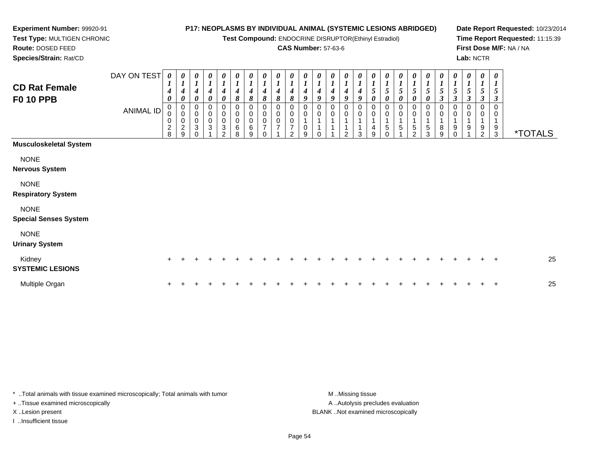**Test Compound:** ENDOCRINE DISRUPTOR(Ethinyl Estradiol)

### **CAS Number:** 57-63-6

**Date Report Requested:** 10/23/2014**Time Report Requested:** 11:15:39**First Dose M/F:** NA / NA**Lab:** NCTR

 **Test Type:** MULTIGEN CHRONIC**Route:** DOSED FEED**Species/Strain:** Rat/CD

**Experiment Number:** 99920-91

| <b>CD Rat Female</b><br><b>F0 10 PPB</b>    | DAY ON TEST<br><b>ANIMAL ID</b> | $\boldsymbol{\theta}$<br>$\boldsymbol{l}$<br>4<br>$\boldsymbol{\theta}$<br>0<br>$\pmb{0}$<br>$\mathbf 0$<br>$\overline{2}$<br>8 | 0<br>$\boldsymbol{l}$<br>$\boldsymbol{4}$<br>$\pmb{\theta}$<br>$\begin{smallmatrix} 0\\0 \end{smallmatrix}$<br>$\begin{smallmatrix} 0\\2 \end{smallmatrix}$<br>9 | 0<br>$\boldsymbol{l}$<br>4<br>$\boldsymbol{\theta}$<br>0<br>0<br>$\pmb{0}$<br>3<br>$\Omega$ | 0<br>$\boldsymbol{l}$<br>$\boldsymbol{4}$<br>0<br>0<br>$\,0\,$<br>$\sqrt{3}$ | $\boldsymbol{\theta}$<br>$\boldsymbol{l}$<br>4<br>$\boldsymbol{\theta}$<br>0<br>0<br>$\pmb{0}$<br>$\sqrt{3}$<br>C | 0<br>$\boldsymbol{l}$<br>$\boldsymbol{4}$<br>8<br>0<br>$\pmb{0}$<br>$\pmb{0}$<br>6<br>8 | 0<br>$\boldsymbol{l}$<br>4<br>$\pmb{8}$<br>0<br>$\pmb{0}$<br>0<br>6<br>9 | $\boldsymbol{\theta}$<br>$\boldsymbol{I}$<br>4<br>$\boldsymbol{\delta}$<br>$\mathbf 0$<br>$\pmb{0}$<br>$\pmb{0}$<br>$\overline{7}$ | $\frac{\theta}{I}$<br>$\boldsymbol{4}$<br>8<br>$\pmb{0}$<br>$\pmb{0}$<br>$\frac{0}{7}$ | $\frac{\boldsymbol{\theta}}{\boldsymbol{I}}$<br>4<br>8<br>0<br>$\pmb{0}$<br>0<br>7<br>2 | 0<br>$\boldsymbol{l}$<br>4<br>9<br>0<br>0<br>9 | $\boldsymbol{\theta}$<br>$\boldsymbol{l}$<br>4<br>9<br>0 | 0<br>$\boldsymbol{l}$<br>4<br>9<br>0<br>0 | 0<br>$\boldsymbol{l}$<br>4<br>9<br>0<br>0<br>2 | $\boldsymbol{\theta}$<br>$\boldsymbol{l}$<br>$\boldsymbol{4}$<br>$\boldsymbol{9}$<br>$\mathbf 0$<br>$\mathbf 0$<br>$\mathbf{1}$<br>1<br>3 | 0<br>$\boldsymbol{l}$<br>$\sqrt{5}$<br>$\pmb{\theta}$<br>0<br>$\pmb{0}$<br>$\overline{A}$<br>4<br>9 | $\frac{\boldsymbol{\theta}}{\boldsymbol{I}}$<br>$5\overline{)}$<br>$\pmb{\theta}$<br>0<br>$\pmb{0}$<br>$\mathbf{1}$<br>5<br>$\Omega$ | 0<br>$\boldsymbol{l}$<br>5<br>0<br>0<br>$\mathbf{1}$<br>5 | $\boldsymbol{\theta}$<br>5<br>$\boldsymbol{\theta}$<br>0<br>0<br>1<br>$\,$ 5 $\,$<br>$\mathcal{P}$ | 0<br>$\boldsymbol{l}$<br>5<br>$\boldsymbol{\theta}$<br>0<br>0<br>5<br>3 | 0<br>$\boldsymbol{l}$<br>5<br>$\boldsymbol{\beta}$<br>0<br>$\pmb{0}$<br>8<br>9 | $\pmb{\theta}$<br>$\boldsymbol{l}$<br>5<br>$\mathfrak{z}$<br>$\mathbf 0$<br>$\mathbf 0$<br>$\mathbf{1}$<br>9<br>$\Omega$ | 0<br>$\boldsymbol{l}$<br>$\sqrt{5}$<br>$\boldsymbol{\beta}$<br>$\pmb{0}$<br>$\pmb{0}$<br>$\overline{1}$<br>9 | $\boldsymbol{\theta}$<br>$\boldsymbol{l}$<br>$5\overline{)}$<br>$\boldsymbol{\beta}$<br>0<br>0<br>$\mathbf{1}$<br>9<br>$\overline{2}$ | $\boldsymbol{\theta}$<br>$\boldsymbol{l}$<br>5<br>$\boldsymbol{\beta}$<br>0<br>1<br>9<br>$\mathbf{3}$ | <i><b>*TOTALS</b></i> |
|---------------------------------------------|---------------------------------|---------------------------------------------------------------------------------------------------------------------------------|------------------------------------------------------------------------------------------------------------------------------------------------------------------|---------------------------------------------------------------------------------------------|------------------------------------------------------------------------------|-------------------------------------------------------------------------------------------------------------------|-----------------------------------------------------------------------------------------|--------------------------------------------------------------------------|------------------------------------------------------------------------------------------------------------------------------------|----------------------------------------------------------------------------------------|-----------------------------------------------------------------------------------------|------------------------------------------------|----------------------------------------------------------|-------------------------------------------|------------------------------------------------|-------------------------------------------------------------------------------------------------------------------------------------------|-----------------------------------------------------------------------------------------------------|--------------------------------------------------------------------------------------------------------------------------------------|-----------------------------------------------------------|----------------------------------------------------------------------------------------------------|-------------------------------------------------------------------------|--------------------------------------------------------------------------------|--------------------------------------------------------------------------------------------------------------------------|--------------------------------------------------------------------------------------------------------------|---------------------------------------------------------------------------------------------------------------------------------------|-------------------------------------------------------------------------------------------------------|-----------------------|
| <b>Musculoskeletal System</b>               |                                 |                                                                                                                                 |                                                                                                                                                                  |                                                                                             |                                                                              |                                                                                                                   |                                                                                         |                                                                          |                                                                                                                                    |                                                                                        |                                                                                         |                                                |                                                          |                                           |                                                |                                                                                                                                           |                                                                                                     |                                                                                                                                      |                                                           |                                                                                                    |                                                                         |                                                                                |                                                                                                                          |                                                                                                              |                                                                                                                                       |                                                                                                       |                       |
| <b>NONE</b><br><b>Nervous System</b>        |                                 |                                                                                                                                 |                                                                                                                                                                  |                                                                                             |                                                                              |                                                                                                                   |                                                                                         |                                                                          |                                                                                                                                    |                                                                                        |                                                                                         |                                                |                                                          |                                           |                                                |                                                                                                                                           |                                                                                                     |                                                                                                                                      |                                                           |                                                                                                    |                                                                         |                                                                                |                                                                                                                          |                                                                                                              |                                                                                                                                       |                                                                                                       |                       |
| <b>NONE</b><br><b>Respiratory System</b>    |                                 |                                                                                                                                 |                                                                                                                                                                  |                                                                                             |                                                                              |                                                                                                                   |                                                                                         |                                                                          |                                                                                                                                    |                                                                                        |                                                                                         |                                                |                                                          |                                           |                                                |                                                                                                                                           |                                                                                                     |                                                                                                                                      |                                                           |                                                                                                    |                                                                         |                                                                                |                                                                                                                          |                                                                                                              |                                                                                                                                       |                                                                                                       |                       |
| <b>NONE</b><br><b>Special Senses System</b> |                                 |                                                                                                                                 |                                                                                                                                                                  |                                                                                             |                                                                              |                                                                                                                   |                                                                                         |                                                                          |                                                                                                                                    |                                                                                        |                                                                                         |                                                |                                                          |                                           |                                                |                                                                                                                                           |                                                                                                     |                                                                                                                                      |                                                           |                                                                                                    |                                                                         |                                                                                |                                                                                                                          |                                                                                                              |                                                                                                                                       |                                                                                                       |                       |
| <b>NONE</b><br><b>Urinary System</b>        |                                 |                                                                                                                                 |                                                                                                                                                                  |                                                                                             |                                                                              |                                                                                                                   |                                                                                         |                                                                          |                                                                                                                                    |                                                                                        |                                                                                         |                                                |                                                          |                                           |                                                |                                                                                                                                           |                                                                                                     |                                                                                                                                      |                                                           |                                                                                                    |                                                                         |                                                                                |                                                                                                                          |                                                                                                              |                                                                                                                                       |                                                                                                       |                       |
| Kidney<br><b>SYSTEMIC LESIONS</b>           |                                 | $+$                                                                                                                             |                                                                                                                                                                  |                                                                                             |                                                                              |                                                                                                                   |                                                                                         |                                                                          |                                                                                                                                    |                                                                                        |                                                                                         |                                                |                                                          |                                           |                                                |                                                                                                                                           |                                                                                                     |                                                                                                                                      |                                                           |                                                                                                    |                                                                         |                                                                                |                                                                                                                          |                                                                                                              |                                                                                                                                       | $\ddot{}$                                                                                             | 25                    |
| Multiple Organ                              |                                 |                                                                                                                                 |                                                                                                                                                                  |                                                                                             |                                                                              |                                                                                                                   |                                                                                         |                                                                          |                                                                                                                                    |                                                                                        |                                                                                         |                                                |                                                          |                                           |                                                |                                                                                                                                           |                                                                                                     |                                                                                                                                      |                                                           |                                                                                                    |                                                                         |                                                                                |                                                                                                                          |                                                                                                              |                                                                                                                                       | $\ddot{}$                                                                                             | 25                    |

\* ..Total animals with tissue examined microscopically; Total animals with tumor **M** . Missing tissue M ..Missing tissue + ..Tissue examined microscopically

I ..Insufficient tissue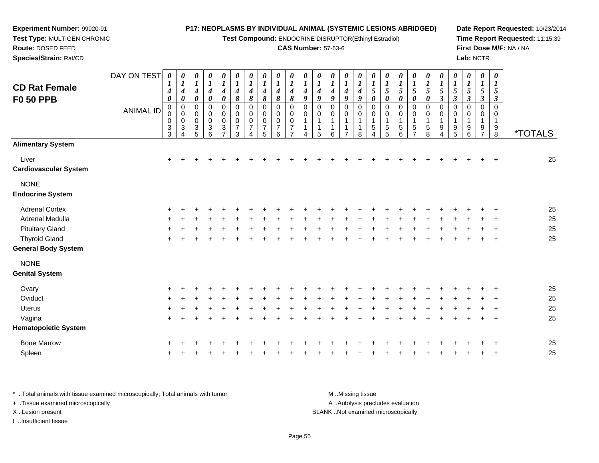**Test Compound:** ENDOCRINE DISRUPTOR(Ethinyl Estradiol)

### **CAS Number:** 57-63-6

**Date Report Requested:** 10/23/2014**Time Report Requested:** 11:15:39**First Dose M/F:** NA / NA**Lab:** NCTR

| <b>CD Rat Female</b>                   | DAY ON TEST      | $\pmb{\theta}$<br>1                                    | $\boldsymbol{\theta}$<br>$\boldsymbol{l}$      | 0<br>$\boldsymbol{l}$                                                       | 0<br>$\boldsymbol{l}$           | 0<br>$\boldsymbol{l}$                                                        | $\pmb{\theta}$<br>$\boldsymbol{l}$                                         | $\boldsymbol{\theta}$<br>$\boldsymbol{l}$              | 0<br>$\boldsymbol{l}$                                       | 0<br>$\boldsymbol{l}$                        | 0<br>1                                                        | 0                            | 0<br>1                | 0<br>$\boldsymbol{l}$                  | 0<br>$\boldsymbol{l}$                        | 0<br>$\boldsymbol{I}$           | 0<br>$\boldsymbol{l}$                                      | $\boldsymbol{\theta}$<br>$\boldsymbol{l}$  | 0<br>$\boldsymbol{l}$                               | 0                                    | 0<br>$\boldsymbol{l}$                        | 0                                             | 0<br>$\boldsymbol{l}$                                | 0<br>$\boldsymbol{l}$                                        | $\pmb{\theta}$<br>$\boldsymbol{l}$                                                   | $\boldsymbol{\theta}$<br>$\boldsymbol{l}$  |                       |
|----------------------------------------|------------------|--------------------------------------------------------|------------------------------------------------|-----------------------------------------------------------------------------|---------------------------------|------------------------------------------------------------------------------|----------------------------------------------------------------------------|--------------------------------------------------------|-------------------------------------------------------------|----------------------------------------------|---------------------------------------------------------------|------------------------------|-----------------------|----------------------------------------|----------------------------------------------|---------------------------------|------------------------------------------------------------|--------------------------------------------|-----------------------------------------------------|--------------------------------------|----------------------------------------------|-----------------------------------------------|------------------------------------------------------|--------------------------------------------------------------|--------------------------------------------------------------------------------------|--------------------------------------------|-----------------------|
| <b>F0 50 PPB</b>                       | <b>ANIMAL ID</b> | 4<br>$\pmb{\theta}$<br>$\mathbf 0$<br>0<br>0<br>$_3^3$ | 4<br>0<br>$\mathbf 0$<br>0<br>$\mathbf 0$<br>3 | 4<br>0<br>$\mathbf 0$<br>$\mathbf 0$<br>0<br>$\ensuremath{\mathsf{3}}$<br>5 | 4<br>0<br>0<br>0<br>0<br>3<br>6 | $\boldsymbol{4}$<br>0<br>0<br>0<br>$\pmb{0}$<br>$\sqrt{3}$<br>$\overline{ }$ | 4<br>8<br>$\mathbf 0$<br>$\mathbf 0$<br>$\mathbf 0$<br>$\overline{7}$<br>3 | 4<br>8<br>$\mathbf 0$<br>0<br>0<br>$\overline{7}$<br>4 | 4<br>8<br>$\pmb{0}$<br>$\Omega$<br>0<br>$\overline{7}$<br>5 | 4<br>8<br>0<br>0<br>0<br>$\overline{7}$<br>6 | 4<br>8<br>$\mathbf 0$<br>$\Omega$<br>0<br>7<br>$\overline{7}$ | 4<br>9<br>0<br>$\Omega$<br>Δ | 4<br>9<br>0<br>0<br>5 | 4<br>9<br>0<br>$\Omega$<br>1<br>1<br>6 | 4<br>9<br>0<br>0<br>1<br>1<br>$\overline{7}$ | 4<br>9<br>0<br>0<br>1<br>1<br>8 | 5<br>0<br>$\pmb{0}$<br>0<br>$\mathbf 1$<br>$\sqrt{5}$<br>4 | 5<br>0<br>0<br>$\mathbf 0$<br>-1<br>5<br>5 | 5<br>0<br>$\mathbf 0$<br>0<br>$\mathbf 1$<br>5<br>6 | 5<br>0<br>$\mathbf 0$<br>0<br>5<br>7 | 5<br>0<br>$\pmb{0}$<br>0<br>$\,$ 5 $\,$<br>8 | 5<br>$\boldsymbol{\beta}$<br>0<br>0<br>9<br>4 | 5<br>$\boldsymbol{\beta}$<br>0<br>$\Omega$<br>9<br>5 | 5<br>$\boldsymbol{\beta}$<br>0<br>$\mathbf 0$<br>1<br>9<br>6 | 5<br>$\boldsymbol{\beta}$<br>$\mathbf 0$<br>0<br>$\mathbf{1}$<br>9<br>$\overline{ }$ | 5<br>3<br>0<br>0<br>$\mathbf{1}$<br>9<br>8 | <i><b>*TOTALS</b></i> |
| <b>Alimentary System</b>               |                  |                                                        |                                                |                                                                             |                                 |                                                                              |                                                                            |                                                        |                                                             |                                              |                                                               |                              |                       |                                        |                                              |                                 |                                                            |                                            |                                                     |                                      |                                              |                                               |                                                      |                                                              |                                                                                      |                                            |                       |
| Liver<br><b>Cardiovascular System</b>  |                  | $\ddot{}$                                              |                                                |                                                                             |                                 |                                                                              |                                                                            |                                                        |                                                             |                                              |                                                               |                              |                       |                                        |                                              |                                 |                                                            |                                            |                                                     |                                      |                                              |                                               |                                                      |                                                              |                                                                                      |                                            | 25                    |
| <b>NONE</b><br><b>Endocrine System</b> |                  |                                                        |                                                |                                                                             |                                 |                                                                              |                                                                            |                                                        |                                                             |                                              |                                                               |                              |                       |                                        |                                              |                                 |                                                            |                                            |                                                     |                                      |                                              |                                               |                                                      |                                                              |                                                                                      |                                            |                       |
| <b>Adrenal Cortex</b>                  |                  |                                                        |                                                |                                                                             |                                 |                                                                              |                                                                            |                                                        |                                                             |                                              |                                                               |                              |                       |                                        |                                              |                                 |                                                            |                                            |                                                     |                                      |                                              |                                               |                                                      |                                                              |                                                                                      |                                            | 25                    |
| Adrenal Medulla                        |                  |                                                        |                                                |                                                                             |                                 |                                                                              |                                                                            |                                                        |                                                             |                                              |                                                               |                              |                       |                                        |                                              |                                 |                                                            |                                            |                                                     |                                      |                                              |                                               |                                                      |                                                              |                                                                                      |                                            | 25                    |
| <b>Pituitary Gland</b>                 |                  |                                                        |                                                |                                                                             |                                 |                                                                              |                                                                            |                                                        |                                                             |                                              |                                                               |                              |                       |                                        |                                              |                                 |                                                            |                                            |                                                     |                                      |                                              |                                               |                                                      |                                                              |                                                                                      |                                            | 25                    |
| <b>Thyroid Gland</b>                   |                  | ÷                                                      |                                                |                                                                             |                                 |                                                                              |                                                                            |                                                        |                                                             |                                              |                                                               |                              |                       |                                        |                                              |                                 |                                                            |                                            |                                                     |                                      |                                              |                                               |                                                      |                                                              |                                                                                      |                                            | 25                    |
| <b>General Body System</b>             |                  |                                                        |                                                |                                                                             |                                 |                                                                              |                                                                            |                                                        |                                                             |                                              |                                                               |                              |                       |                                        |                                              |                                 |                                                            |                                            |                                                     |                                      |                                              |                                               |                                                      |                                                              |                                                                                      |                                            |                       |
| <b>NONE</b>                            |                  |                                                        |                                                |                                                                             |                                 |                                                                              |                                                                            |                                                        |                                                             |                                              |                                                               |                              |                       |                                        |                                              |                                 |                                                            |                                            |                                                     |                                      |                                              |                                               |                                                      |                                                              |                                                                                      |                                            |                       |
| <b>Genital System</b>                  |                  |                                                        |                                                |                                                                             |                                 |                                                                              |                                                                            |                                                        |                                                             |                                              |                                                               |                              |                       |                                        |                                              |                                 |                                                            |                                            |                                                     |                                      |                                              |                                               |                                                      |                                                              |                                                                                      |                                            |                       |
| Ovary                                  |                  |                                                        |                                                |                                                                             |                                 |                                                                              |                                                                            |                                                        |                                                             |                                              |                                                               |                              |                       |                                        |                                              |                                 |                                                            |                                            |                                                     |                                      |                                              |                                               |                                                      |                                                              |                                                                                      |                                            | 25                    |
| Oviduct                                |                  | $\pm$                                                  |                                                |                                                                             |                                 |                                                                              |                                                                            |                                                        |                                                             |                                              |                                                               |                              |                       |                                        |                                              |                                 |                                                            |                                            |                                                     |                                      |                                              |                                               |                                                      |                                                              |                                                                                      |                                            | 25                    |
| <b>Uterus</b>                          |                  |                                                        |                                                |                                                                             |                                 |                                                                              |                                                                            |                                                        |                                                             |                                              |                                                               |                              |                       |                                        |                                              |                                 |                                                            |                                            |                                                     |                                      |                                              |                                               |                                                      |                                                              |                                                                                      |                                            | 25                    |
| Vagina                                 |                  | $+$                                                    |                                                |                                                                             |                                 |                                                                              |                                                                            |                                                        |                                                             |                                              |                                                               |                              |                       |                                        |                                              |                                 |                                                            |                                            |                                                     |                                      |                                              |                                               |                                                      |                                                              |                                                                                      | $\ddot{}$                                  | 25                    |
| <b>Hematopoietic System</b>            |                  |                                                        |                                                |                                                                             |                                 |                                                                              |                                                                            |                                                        |                                                             |                                              |                                                               |                              |                       |                                        |                                              |                                 |                                                            |                                            |                                                     |                                      |                                              |                                               |                                                      |                                                              |                                                                                      |                                            |                       |
| <b>Bone Marrow</b>                     |                  |                                                        |                                                |                                                                             |                                 |                                                                              |                                                                            |                                                        |                                                             |                                              |                                                               |                              |                       |                                        |                                              |                                 |                                                            |                                            |                                                     |                                      |                                              |                                               |                                                      |                                                              |                                                                                      |                                            | 25                    |
| Spleen                                 |                  |                                                        |                                                |                                                                             |                                 |                                                                              |                                                                            |                                                        |                                                             |                                              |                                                               |                              |                       |                                        |                                              |                                 |                                                            |                                            |                                                     |                                      |                                              |                                               |                                                      |                                                              |                                                                                      |                                            | 25                    |
|                                        |                  |                                                        |                                                |                                                                             |                                 |                                                                              |                                                                            |                                                        |                                                             |                                              |                                                               |                              |                       |                                        |                                              |                                 |                                                            |                                            |                                                     |                                      |                                              |                                               |                                                      |                                                              |                                                                                      |                                            |                       |

\* ..Total animals with tissue examined microscopically; Total animals with tumor **M** ...Missing tissue M ...Missing tissue A ..Autolysis precludes evaluation + ..Tissue examined microscopically X ..Lesion present BLANK ..Not examined microscopicallyI ..Insufficient tissue

**Experiment Number:** 99920-91**Test Type:** MULTIGEN CHRONIC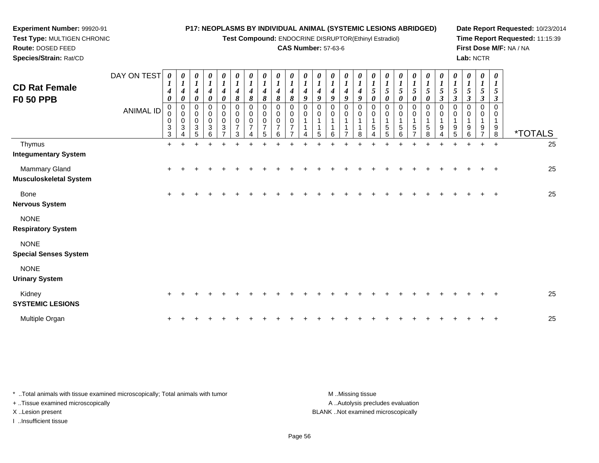**Test Compound:** ENDOCRINE DISRUPTOR(Ethinyl Estradiol)

### **CAS Number:** 57-63-6

**Date Report Requested:** 10/23/2014**Time Report Requested:** 11:15:39**First Dose M/F:** NA / NA**Lab:** NCTR

| <b>CD Rat Female</b><br><b>F0 50 PPB</b>    | DAY ON TEST<br><b>ANIMAL ID</b> | $\boldsymbol{\theta}$<br>1<br>4<br>$\boldsymbol{\theta}$<br>$\mathbf 0$<br>0<br>$\boldsymbol{0}$<br>3<br>3 | 0<br>1<br>$\boldsymbol{4}$<br>$\pmb{\theta}$<br>$\mathbf 0$<br>$\pmb{0}$<br>$\pmb{0}$<br>$\sqrt{3}$ | 0<br>1<br>$\boldsymbol{4}$<br>0<br>$\pmb{0}$<br>0<br>$\pmb{0}$<br>3<br>5 | $\boldsymbol{\theta}$<br>$\boldsymbol{l}$<br>$\boldsymbol{4}$<br>$\boldsymbol{\theta}$<br>0<br>0<br>$\pmb{0}$<br>$\sqrt{3}$<br>6 | 0<br>$\boldsymbol{l}$<br>$\boldsymbol{4}$<br>$\boldsymbol{\theta}$<br>$\mathbf 0$<br>0<br>$\pmb{0}$<br>3<br>7 | 0<br>$\boldsymbol{l}$<br>$\boldsymbol{4}$<br>8<br>$\mathbf 0$<br>0<br>$\pmb{0}$<br>$\overline{7}$<br>3 | 0<br>$\boldsymbol{l}$<br>$\boldsymbol{4}$<br>8<br>$\Omega$<br>0<br>0 | 0<br>$\boldsymbol{l}$<br>$\boldsymbol{4}$<br>8<br>$\Omega$<br>0<br>0<br>$\overline{7}$<br>5 | 0<br>$\boldsymbol{l}$<br>4<br>8<br>$\Omega$<br>0<br>$\Omega$<br>6 | 0<br>$\boldsymbol{l}$<br>$\boldsymbol{4}$<br>8<br>$\Omega$<br>0<br>$\mathbf 0$ | 0<br>$\boldsymbol{4}$<br>9<br>$\Omega$<br>0 | 0<br>$\boldsymbol{l}$<br>$\boldsymbol{4}$<br>9<br>$\Omega$<br>0<br>5 | $\boldsymbol{\theta}$<br>$\boldsymbol{l}$<br>$\boldsymbol{4}$<br>9<br>0<br>0<br>1<br>1<br>6 | 0<br>$\boldsymbol{l}$<br>$\boldsymbol{4}$<br>$\boldsymbol{g}$<br>$\mathbf 0$<br>0<br>7 | 0<br>$\boldsymbol{l}$<br>$\boldsymbol{4}$<br>9<br>0<br>0<br>8 | 0<br>$\boldsymbol{l}$<br>5<br>0<br>$\Omega$<br>0<br>5 | $\boldsymbol{\theta}$<br>5<br>0<br>0<br>0<br>5<br>5 | 0<br>$\boldsymbol{l}$<br>5<br>0<br>$\pmb{0}$<br>0<br>$\mathbf 5$<br>6 | $\boldsymbol{\theta}$<br>$\boldsymbol{l}$<br>5<br>0<br>0<br>0<br>5 | 0<br>$\boldsymbol{l}$<br>5<br>0<br>0<br>0<br>5<br>8 | $\boldsymbol{\theta}$<br>$\boldsymbol{l}$<br>$\mathfrak{S}$<br>$\boldsymbol{\beta}$<br>$\pmb{0}$<br>0<br>$\mathbf 1$<br>9 | 0<br>$\boldsymbol{l}$<br>5<br>3<br>0<br>0<br>$\mathbf{1}$<br>9<br>5 | $\boldsymbol{\theta}$<br>$\boldsymbol{l}$<br>$5\overline{)}$<br>$\mathbf{3}$<br>$\Omega$<br>0<br>9<br>6 | $\pmb{\theta}$<br>$\boldsymbol{l}$<br>$\sqrt{5}$<br>3<br>9 | $\boldsymbol{\theta}$<br>$\boldsymbol{l}$<br>5<br>$\boldsymbol{\beta}$<br>$\Omega$<br>0<br>-1<br>9<br>8 | <i><b>*TOTALS</b></i> |  |
|---------------------------------------------|---------------------------------|------------------------------------------------------------------------------------------------------------|-----------------------------------------------------------------------------------------------------|--------------------------------------------------------------------------|----------------------------------------------------------------------------------------------------------------------------------|---------------------------------------------------------------------------------------------------------------|--------------------------------------------------------------------------------------------------------|----------------------------------------------------------------------|---------------------------------------------------------------------------------------------|-------------------------------------------------------------------|--------------------------------------------------------------------------------|---------------------------------------------|----------------------------------------------------------------------|---------------------------------------------------------------------------------------------|----------------------------------------------------------------------------------------|---------------------------------------------------------------|-------------------------------------------------------|-----------------------------------------------------|-----------------------------------------------------------------------|--------------------------------------------------------------------|-----------------------------------------------------|---------------------------------------------------------------------------------------------------------------------------|---------------------------------------------------------------------|---------------------------------------------------------------------------------------------------------|------------------------------------------------------------|---------------------------------------------------------------------------------------------------------|-----------------------|--|
| Thymus<br><b>Integumentary System</b>       |                                 | $+$                                                                                                        | $\ddot{}$                                                                                           | ÷                                                                        | $\ddot{}$                                                                                                                        | ÷                                                                                                             | $\div$                                                                                                 | ᆠ                                                                    | +                                                                                           |                                                                   |                                                                                |                                             | ÷                                                                    |                                                                                             | ÷                                                                                      |                                                               |                                                       |                                                     |                                                                       |                                                                    | ÷                                                   | $\ddot{}$                                                                                                                 | $\ddot{}$                                                           | $\ddot{}$                                                                                               | $+$                                                        | $\ddot{}$                                                                                               | 25                    |  |
| Mammary Gland<br>Musculoskeletal System     |                                 | $+$                                                                                                        |                                                                                                     |                                                                          |                                                                                                                                  |                                                                                                               |                                                                                                        |                                                                      |                                                                                             |                                                                   |                                                                                |                                             |                                                                      |                                                                                             |                                                                                        |                                                               |                                                       |                                                     |                                                                       |                                                                    |                                                     |                                                                                                                           |                                                                     |                                                                                                         |                                                            | $\ddot{}$                                                                                               | 25                    |  |
| <b>Bone</b><br>Nervous System               |                                 | $\pm$                                                                                                      |                                                                                                     |                                                                          |                                                                                                                                  |                                                                                                               |                                                                                                        |                                                                      |                                                                                             |                                                                   |                                                                                |                                             |                                                                      |                                                                                             |                                                                                        |                                                               |                                                       |                                                     |                                                                       |                                                                    |                                                     |                                                                                                                           |                                                                     |                                                                                                         |                                                            |                                                                                                         | 25                    |  |
| <b>NONE</b><br><b>Respiratory System</b>    |                                 |                                                                                                            |                                                                                                     |                                                                          |                                                                                                                                  |                                                                                                               |                                                                                                        |                                                                      |                                                                                             |                                                                   |                                                                                |                                             |                                                                      |                                                                                             |                                                                                        |                                                               |                                                       |                                                     |                                                                       |                                                                    |                                                     |                                                                                                                           |                                                                     |                                                                                                         |                                                            |                                                                                                         |                       |  |
| <b>NONE</b><br><b>Special Senses System</b> |                                 |                                                                                                            |                                                                                                     |                                                                          |                                                                                                                                  |                                                                                                               |                                                                                                        |                                                                      |                                                                                             |                                                                   |                                                                                |                                             |                                                                      |                                                                                             |                                                                                        |                                                               |                                                       |                                                     |                                                                       |                                                                    |                                                     |                                                                                                                           |                                                                     |                                                                                                         |                                                            |                                                                                                         |                       |  |
| <b>NONE</b><br><b>Urinary System</b>        |                                 |                                                                                                            |                                                                                                     |                                                                          |                                                                                                                                  |                                                                                                               |                                                                                                        |                                                                      |                                                                                             |                                                                   |                                                                                |                                             |                                                                      |                                                                                             |                                                                                        |                                                               |                                                       |                                                     |                                                                       |                                                                    |                                                     |                                                                                                                           |                                                                     |                                                                                                         |                                                            |                                                                                                         |                       |  |
| Kidney<br><b>SYSTEMIC LESIONS</b>           |                                 |                                                                                                            |                                                                                                     |                                                                          |                                                                                                                                  |                                                                                                               |                                                                                                        |                                                                      |                                                                                             |                                                                   |                                                                                |                                             |                                                                      |                                                                                             |                                                                                        |                                                               |                                                       |                                                     |                                                                       |                                                                    |                                                     |                                                                                                                           |                                                                     |                                                                                                         |                                                            |                                                                                                         | 25                    |  |
| Multiple Organ                              |                                 | +                                                                                                          |                                                                                                     |                                                                          |                                                                                                                                  |                                                                                                               |                                                                                                        |                                                                      |                                                                                             |                                                                   |                                                                                |                                             |                                                                      |                                                                                             |                                                                                        |                                                               |                                                       |                                                     |                                                                       |                                                                    |                                                     |                                                                                                                           |                                                                     |                                                                                                         |                                                            |                                                                                                         | 25                    |  |

\* ..Total animals with tissue examined microscopically; Total animals with tumor **M** . Missing tissue M ..Missing tissue A ..Autolysis precludes evaluation + ..Tissue examined microscopically X ..Lesion present BLANK ..Not examined microscopicallyI ..Insufficient tissue

**Experiment Number:** 99920-91**Test Type:** MULTIGEN CHRONIC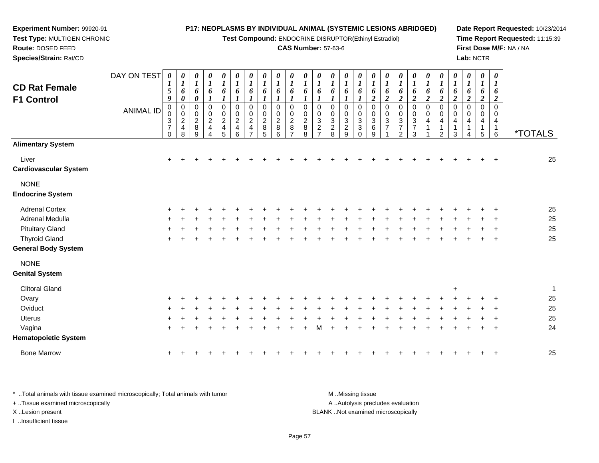**Test Compound:** ENDOCRINE DISRUPTOR(Ethinyl Estradiol)

#### **CAS Number:** 57-63-6

**Date Report Requested:** 10/23/2014**Time Report Requested:** 11:15:39**First Dose M/F:** NA / NA**Lab:** NCTR

 **Species/Strain:** Rat/CDDAY ON TEST**CD Rat FemaleF1 Control**ANIMAL ID*0 1 5 9* 0 0 3 7 0*0 1 6 0* 0 0 2 4 8*0 1 6 0* 0 0 2 8 9*0 1 6 1* 0 0 2 4 4*0 1 6 1* 0 0 2 4 5*0 1 6 1* 0 0 2 4 6*0 1 6 1* 0 0 2 4 7*0 1 6 1* 0 0 2 8 5*0 1 6 1* 0 0 2 8 6*0 1 6 1* 0 0 2 8 7*0 1 6 1* 0 0 2 8 8*0 1 6 1* 0 0 3 2 7*0 1 6 1* 0 0 3 2 8*0 1 6 1* 0 0 3 2 9*0 1 6 1* 0 0 3 3 0*0 1 6 2* 0 0 3 6 9*0 1 6 2* 0 0 3 7 1*0 1 6 2* 0 0 3 7 2*0 1 6 2* 0 0 3 7 3*0 1 6 2* 0 0 4 1 1*0 1 6 2* 0 0 4 1 2*0 1 6 2* 0 0 4 1 3*0 1 6 2* 0 0 4 1 4*0 1 6 2* 0 0 4 1 5*0 1 6 2* 0 0 4 1 $\overline{6}$ 6 \*TOTALS**Alimentary System**Liver $\mathsf{r}$  + <sup>+</sup> <sup>+</sup> <sup>+</sup> <sup>+</sup> <sup>+</sup> <sup>+</sup> <sup>+</sup> <sup>+</sup> <sup>+</sup> <sup>+</sup> <sup>+</sup> <sup>+</sup> <sup>+</sup> <sup>+</sup> <sup>+</sup> <sup>+</sup> <sup>+</sup> <sup>+</sup> <sup>+</sup> <sup>+</sup> <sup>+</sup> <sup>+</sup> <sup>+</sup> <sup>+</sup> <sup>25</sup> **Cardiovascular System**NONE **Endocrine System**Adrenal Cortex $\times$  + <sup>+</sup> <sup>+</sup> <sup>+</sup> <sup>+</sup> <sup>+</sup> <sup>+</sup> <sup>+</sup> <sup>+</sup> <sup>+</sup> <sup>+</sup> <sup>+</sup> <sup>+</sup> <sup>+</sup> <sup>+</sup> <sup>+</sup> <sup>+</sup> <sup>+</sup> <sup>+</sup> <sup>+</sup> <sup>+</sup> <sup>+</sup> <sup>+</sup> <sup>+</sup> <sup>+</sup> <sup>25</sup> Adrenal Medullaa  $+$  <sup>+</sup> <sup>+</sup> <sup>+</sup> <sup>+</sup> <sup>+</sup> <sup>+</sup> <sup>+</sup> <sup>+</sup> <sup>+</sup> <sup>+</sup> <sup>+</sup> <sup>+</sup> <sup>+</sup> <sup>+</sup> <sup>+</sup> <sup>+</sup> <sup>+</sup> <sup>+</sup> <sup>+</sup> <sup>+</sup> <sup>+</sup> <sup>+</sup> <sup>+</sup> <sup>+</sup> <sup>25</sup> Pituitary Gland $\alpha$  + <sup>+</sup> <sup>+</sup> <sup>+</sup> <sup>+</sup> <sup>+</sup> <sup>+</sup> <sup>+</sup> <sup>+</sup> <sup>+</sup> <sup>+</sup> <sup>+</sup> <sup>+</sup> <sup>+</sup> <sup>+</sup> <sup>+</sup> <sup>+</sup> <sup>+</sup> <sup>+</sup> <sup>+</sup> <sup>+</sup> <sup>+</sup> <sup>+</sup> <sup>+</sup> <sup>+</sup> <sup>25</sup> Thyroid Glandd  $+$  <sup>+</sup> <sup>+</sup> <sup>+</sup> <sup>+</sup> <sup>+</sup> <sup>+</sup> <sup>+</sup> <sup>+</sup> <sup>+</sup> <sup>+</sup> <sup>+</sup> <sup>+</sup> <sup>+</sup> <sup>+</sup> <sup>+</sup> <sup>+</sup> <sup>+</sup> <sup>+</sup> <sup>+</sup> <sup>+</sup> <sup>+</sup> <sup>+</sup> <sup>+</sup> <sup>+</sup> <sup>25</sup> **General Body System**NONE **Genital System**Clitoral Gland $\alpha$  and  $\alpha$  is the contract of  $\alpha$  is the contract of  $\alpha$  in  $\alpha$  is the contract of  $\alpha$  is the contract of  $\alpha$  $\overline{1}$ Ovary $\mathsf y$  <sup>+</sup> <sup>+</sup> <sup>+</sup> <sup>+</sup> <sup>+</sup> <sup>+</sup> <sup>+</sup> <sup>+</sup> <sup>+</sup> <sup>+</sup> <sup>+</sup> <sup>+</sup> <sup>+</sup> <sup>+</sup> <sup>+</sup> <sup>+</sup> <sup>+</sup> <sup>+</sup> <sup>+</sup> <sup>+</sup> <sup>+</sup> <sup>+</sup> <sup>+</sup> <sup>+</sup> <sup>25</sup> **Oviduct**  $\frac{1}{2}$ <sup>+</sup> <sup>+</sup> <sup>+</sup> <sup>+</sup> <sup>+</sup> <sup>+</sup> <sup>+</sup> <sup>+</sup> <sup>+</sup> <sup>+</sup> <sup>+</sup> <sup>+</sup> <sup>+</sup> <sup>+</sup> <sup>+</sup> <sup>+</sup> <sup>+</sup> <sup>+</sup> <sup>+</sup> <sup>+</sup> <sup>+</sup> <sup>+</sup> <sup>+</sup> <sup>+</sup> <sup>25</sup>

Uterus <sup>+</sup> <sup>+</sup> <sup>+</sup> <sup>+</sup> <sup>+</sup> <sup>+</sup> <sup>+</sup> <sup>+</sup> <sup>+</sup> <sup>+</sup> <sup>+</sup> <sup>+</sup> <sup>+</sup> <sup>+</sup> <sup>+</sup> <sup>+</sup> <sup>+</sup> <sup>+</sup> <sup>+</sup> <sup>+</sup> <sup>+</sup> <sup>+</sup> <sup>+</sup> <sup>+</sup> <sup>+</sup> <sup>25</sup> Vaginaa  $+$  <sup>+</sup> <sup>+</sup> <sup>+</sup> <sup>+</sup> <sup>+</sup> <sup>+</sup> <sup>+</sup> <sup>+</sup> <sup>+</sup> <sup>+</sup> <sup>M</sup> <sup>+</sup> <sup>+</sup> <sup>+</sup> <sup>+</sup> <sup>+</sup> <sup>+</sup> <sup>+</sup> <sup>+</sup> <sup>+</sup> <sup>+</sup> <sup>+</sup> <sup>+</sup> <sup>+</sup> <sup>24</sup> **Hematopoietic System**Bone Marrow<sup>+</sup> <sup>+</sup> <sup>+</sup> <sup>+</sup> <sup>+</sup> <sup>+</sup> <sup>+</sup> <sup>+</sup> <sup>+</sup> <sup>+</sup> <sup>+</sup> <sup>+</sup> <sup>+</sup> <sup>+</sup> <sup>+</sup> <sup>+</sup> <sup>+</sup> <sup>+</sup> <sup>+</sup> <sup>+</sup> <sup>+</sup> <sup>+</sup> <sup>+</sup> <sup>+</sup> <sup>+</sup> <sup>25</sup>

\* ..Total animals with tissue examined microscopically; Total animals with tumor M ...Missing tissue M ...Missing tissue A ..Autolysis precludes evaluation + ..Tissue examined microscopically X ..Lesion present BLANK ..Not examined microscopicallyI ..Insufficient tissue

**Experiment Number:** 99920-91**Test Type:** MULTIGEN CHRONIC

**Route:** DOSED FEED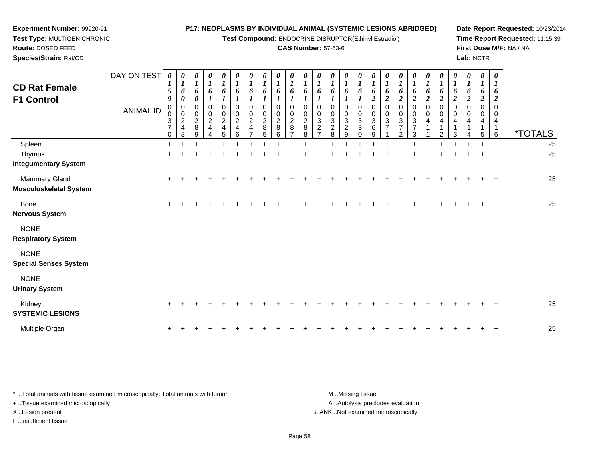**Test Compound:** ENDOCRINE DISRUPTOR(Ethinyl Estradiol)

### **CAS Number:** 57-63-6

**Date Report Requested:** 10/23/2014**Time Report Requested:** 11:15:39**First Dose M/F:** NA / NA**Lab:** NCTR

| DAY ON TEST<br><b>CD Rat Female</b><br><b>F1 Control</b><br><b>ANIMAL ID</b> | 0<br>1<br>5<br>9<br>0<br>$\mathbf 0$<br>3<br>$\overline{7}$<br>0 | 0<br>$\boldsymbol{l}$<br>6<br>$\boldsymbol{\theta}$<br>0<br>$\mathbf 0$<br>$\overline{2}$<br>$\overline{4}$<br>8 | 0<br>$\boldsymbol{l}$<br>6<br>$\boldsymbol{\theta}$<br>0<br>$\pmb{0}$<br>$\overline{c}$<br>8<br>9 | $\boldsymbol{\theta}$<br>$\boldsymbol{l}$<br>6<br>$\boldsymbol{l}$<br>0<br>$\pmb{0}$<br>$\overline{2}$<br>4 | $\boldsymbol{\theta}$<br>6<br>0<br>0<br>$\overline{c}$<br>4<br>5 | $\boldsymbol{\theta}$<br>$\boldsymbol{l}$<br>6<br>0<br>$\mathbf 0$<br>$\sqrt{2}$<br>$\overline{\mathbf{4}}$<br>6 | $\boldsymbol{\theta}$<br>$\boldsymbol{l}$<br>6<br>0<br>$\pmb{0}$<br>$\overline{a}$<br>4 | o<br>0<br>$\mathbf 0$<br>$\sqrt{2}$<br>8<br>5 | $\boldsymbol{\theta}$<br>6<br>0<br>$\mathbf 0$<br>$\sqrt{2}$<br>8<br>6 | $\boldsymbol{\theta}$<br>6<br>0<br>$\mathbf 0$<br>$\sqrt{2}$<br>8 | 6<br>$\Omega$<br>$\mathbf 0$<br>$\sqrt{2}$<br>8<br>8 | 6<br>0<br>$\mathbf 0$<br>3 | 6<br>$\Omega$<br>0<br>3<br>$\overline{\mathbf{c}}$<br>8 | $\boldsymbol{\theta}$<br>6<br>$\Omega$<br>$\mathbf 0$<br>$\sqrt{3}$<br>$\overline{c}$<br>9 | $\boldsymbol{\theta}$<br>6<br>0<br>$\pmb{0}$<br>$\sqrt{3}$<br>$\mathbf{3}$ | 6<br>$\overline{2}$<br>$\Omega$<br>$\mathbf 0$<br>$\sqrt{3}$<br>6<br>9 | $\boldsymbol{\theta}$<br>6<br>$\overline{c}$<br>$\Omega$<br>$\mathbf 0$<br>3<br>$\overline{7}$ | $\boldsymbol{\theta}$<br>6<br>$\boldsymbol{2}$<br>0<br>$\mathbf 0$<br>$\mathbf{3}$<br>$\overline{7}$<br>$\overline{2}$ | 6<br>$\boldsymbol{2}$<br>0<br>0<br>3<br>$\overline{7}$ | 6<br>$\boldsymbol{2}$<br>0<br>0<br>4 | $\boldsymbol{\theta}$<br>6<br>$\boldsymbol{2}$<br>0<br>0<br>4<br>2 | 0<br>1<br>6<br>$\boldsymbol{2}$<br>0<br>$\overline{0}$<br>4<br>3 | 0<br>$\boldsymbol{l}$<br>6<br>$\overline{c}$<br>0<br>0<br>4 | 0<br>$\boldsymbol{l}$<br>6<br>$\boldsymbol{2}$<br>$\mathbf 0$<br>$\mathbf 0$<br>4<br>$\mathbf{1}$<br>5 | 0<br>1<br>6<br>2<br>$\Omega$<br>0<br>4<br>6 | <i><b>*TOTALS</b></i> |
|------------------------------------------------------------------------------|------------------------------------------------------------------|------------------------------------------------------------------------------------------------------------------|---------------------------------------------------------------------------------------------------|-------------------------------------------------------------------------------------------------------------|------------------------------------------------------------------|------------------------------------------------------------------------------------------------------------------|-----------------------------------------------------------------------------------------|-----------------------------------------------|------------------------------------------------------------------------|-------------------------------------------------------------------|------------------------------------------------------|----------------------------|---------------------------------------------------------|--------------------------------------------------------------------------------------------|----------------------------------------------------------------------------|------------------------------------------------------------------------|------------------------------------------------------------------------------------------------|------------------------------------------------------------------------------------------------------------------------|--------------------------------------------------------|--------------------------------------|--------------------------------------------------------------------|------------------------------------------------------------------|-------------------------------------------------------------|--------------------------------------------------------------------------------------------------------|---------------------------------------------|-----------------------|
| Spleen                                                                       | $\ddot{}$                                                        | ÷                                                                                                                |                                                                                                   |                                                                                                             |                                                                  |                                                                                                                  |                                                                                         |                                               |                                                                        |                                                                   |                                                      |                            |                                                         |                                                                                            |                                                                            |                                                                        |                                                                                                |                                                                                                                        |                                                        |                                      |                                                                    | $\ddot{}$                                                        |                                                             |                                                                                                        | $\ddot{}$                                   | 25                    |
| Thymus                                                                       | $\ddot{}$                                                        |                                                                                                                  |                                                                                                   |                                                                                                             |                                                                  |                                                                                                                  |                                                                                         |                                               |                                                                        |                                                                   |                                                      |                            |                                                         |                                                                                            |                                                                            |                                                                        |                                                                                                |                                                                                                                        |                                                        |                                      |                                                                    |                                                                  |                                                             |                                                                                                        |                                             | 25                    |
| <b>Integumentary System</b>                                                  |                                                                  |                                                                                                                  |                                                                                                   |                                                                                                             |                                                                  |                                                                                                                  |                                                                                         |                                               |                                                                        |                                                                   |                                                      |                            |                                                         |                                                                                            |                                                                            |                                                                        |                                                                                                |                                                                                                                        |                                                        |                                      |                                                                    |                                                                  |                                                             |                                                                                                        |                                             |                       |
| Mammary Gland<br><b>Musculoskeletal System</b>                               | $\ddot{}$                                                        |                                                                                                                  |                                                                                                   |                                                                                                             |                                                                  |                                                                                                                  |                                                                                         |                                               |                                                                        |                                                                   |                                                      |                            |                                                         |                                                                                            |                                                                            |                                                                        |                                                                                                |                                                                                                                        |                                                        |                                      |                                                                    |                                                                  |                                                             |                                                                                                        |                                             | 25                    |
| Bone                                                                         | $\ddot{}$                                                        |                                                                                                                  |                                                                                                   |                                                                                                             |                                                                  |                                                                                                                  |                                                                                         |                                               |                                                                        |                                                                   |                                                      |                            |                                                         |                                                                                            |                                                                            |                                                                        |                                                                                                |                                                                                                                        |                                                        |                                      |                                                                    |                                                                  |                                                             |                                                                                                        |                                             | 25                    |
| <b>Nervous System</b>                                                        |                                                                  |                                                                                                                  |                                                                                                   |                                                                                                             |                                                                  |                                                                                                                  |                                                                                         |                                               |                                                                        |                                                                   |                                                      |                            |                                                         |                                                                                            |                                                                            |                                                                        |                                                                                                |                                                                                                                        |                                                        |                                      |                                                                    |                                                                  |                                                             |                                                                                                        |                                             |                       |
| <b>NONE</b>                                                                  |                                                                  |                                                                                                                  |                                                                                                   |                                                                                                             |                                                                  |                                                                                                                  |                                                                                         |                                               |                                                                        |                                                                   |                                                      |                            |                                                         |                                                                                            |                                                                            |                                                                        |                                                                                                |                                                                                                                        |                                                        |                                      |                                                                    |                                                                  |                                                             |                                                                                                        |                                             |                       |
| <b>Respiratory System</b>                                                    |                                                                  |                                                                                                                  |                                                                                                   |                                                                                                             |                                                                  |                                                                                                                  |                                                                                         |                                               |                                                                        |                                                                   |                                                      |                            |                                                         |                                                                                            |                                                                            |                                                                        |                                                                                                |                                                                                                                        |                                                        |                                      |                                                                    |                                                                  |                                                             |                                                                                                        |                                             |                       |
| <b>NONE</b>                                                                  |                                                                  |                                                                                                                  |                                                                                                   |                                                                                                             |                                                                  |                                                                                                                  |                                                                                         |                                               |                                                                        |                                                                   |                                                      |                            |                                                         |                                                                                            |                                                                            |                                                                        |                                                                                                |                                                                                                                        |                                                        |                                      |                                                                    |                                                                  |                                                             |                                                                                                        |                                             |                       |
| <b>Special Senses System</b>                                                 |                                                                  |                                                                                                                  |                                                                                                   |                                                                                                             |                                                                  |                                                                                                                  |                                                                                         |                                               |                                                                        |                                                                   |                                                      |                            |                                                         |                                                                                            |                                                                            |                                                                        |                                                                                                |                                                                                                                        |                                                        |                                      |                                                                    |                                                                  |                                                             |                                                                                                        |                                             |                       |
| <b>NONE</b>                                                                  |                                                                  |                                                                                                                  |                                                                                                   |                                                                                                             |                                                                  |                                                                                                                  |                                                                                         |                                               |                                                                        |                                                                   |                                                      |                            |                                                         |                                                                                            |                                                                            |                                                                        |                                                                                                |                                                                                                                        |                                                        |                                      |                                                                    |                                                                  |                                                             |                                                                                                        |                                             |                       |
| <b>Urinary System</b>                                                        |                                                                  |                                                                                                                  |                                                                                                   |                                                                                                             |                                                                  |                                                                                                                  |                                                                                         |                                               |                                                                        |                                                                   |                                                      |                            |                                                         |                                                                                            |                                                                            |                                                                        |                                                                                                |                                                                                                                        |                                                        |                                      |                                                                    |                                                                  |                                                             |                                                                                                        |                                             |                       |
| Kidney<br><b>SYSTEMIC LESIONS</b>                                            |                                                                  |                                                                                                                  |                                                                                                   |                                                                                                             |                                                                  |                                                                                                                  |                                                                                         |                                               |                                                                        |                                                                   |                                                      |                            |                                                         |                                                                                            |                                                                            |                                                                        |                                                                                                |                                                                                                                        |                                                        |                                      |                                                                    |                                                                  |                                                             |                                                                                                        |                                             | 25                    |
| Multiple Organ                                                               |                                                                  |                                                                                                                  |                                                                                                   |                                                                                                             |                                                                  |                                                                                                                  |                                                                                         |                                               |                                                                        |                                                                   |                                                      |                            |                                                         |                                                                                            |                                                                            |                                                                        |                                                                                                |                                                                                                                        |                                                        |                                      |                                                                    |                                                                  |                                                             |                                                                                                        |                                             | 25                    |

\* ..Total animals with tissue examined microscopically; Total animals with tumor **M** . Missing tissue M ..Missing tissue A ..Autolysis precludes evaluation + ..Tissue examined microscopically X ..Lesion present BLANK ..Not examined microscopicallyI ..Insufficient tissue

**Experiment Number:** 99920-91**Test Type:** MULTIGEN CHRONIC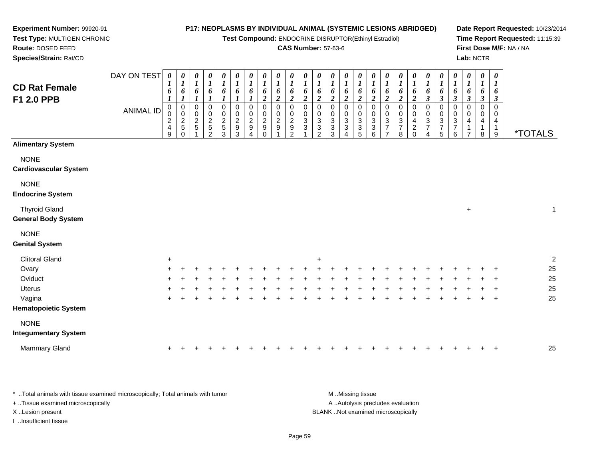**Test Compound:** ENDOCRINE DISRUPTOR(Ethinyl Estradiol)

#### **CAS Number:** 57-63-6

**Date Report Requested:** 10/23/2014**Time Report Requested:** 11:15:39**First Dose M/F:** NA / NA**Lab:** NCTR

9 \*TOTALS

**Route:** DOSED FEED **Species/Strain:** Rat/CDDAY ON TEST**CD Rat FemaleF1 2.0 PPB**ANIMAL ID*0 1 6 1* 0 0 2 4 9*0 1 6 1*0<br>0<br>0<br>5<br>0 *0 1 6 1* 0 0 2 5 1*0 1 6 1* 0 0 2 5 2*0 1 6 1* 0 0 2 5 3*0 1 6 1* 0 0 2 9 3*0 1 6 1* 0 0 2 9 4*0 1 6 2*0<br>0<br>0<br>0<br>0<br>0 *0 1 6 2*0<br>0<br>2<br>9<br>1 *0 1 6 2* 0 0 2 9 2*0 1 6 2* 0 0 3 3 1*0 1 6 2* 0 0 3 3 2*0 1 6 2* 0 0 3 3 3*0 1 6 2* 00 3 3 4

# **Alimentary System**

**NONE** 

#### **Cardiovascular System**

**Experiment Number:** 99920-91**Test Type:** MULTIGEN CHRONIC

NONE

#### **Endocrine System**

Thyroid Gland $\alpha$  +  $\overline{1}$ **General Body System**

### NONE

#### **Genital System**

| <b>Clitoral Gland</b>       | ÷   |        |     |    |  |     |  |   | $+$ |  |  |     |     |     |        |     |  |         | ົ  |
|-----------------------------|-----|--------|-----|----|--|-----|--|---|-----|--|--|-----|-----|-----|--------|-----|--|---------|----|
| Ovary                       | $+$ | $\div$ |     |    |  |     |  |   |     |  |  |     |     |     |        |     |  | $+$ $+$ | 25 |
| Oviduct                     | $+$ |        |     |    |  |     |  |   |     |  |  |     | $+$ |     |        |     |  | $+$ $+$ | 25 |
| <b>Uterus</b>               | $+$ | +      | $+$ |    |  |     |  | ÷ |     |  |  | $+$ | $+$ | $+$ |        |     |  | $+$ $+$ | 25 |
| Vagina                      | $+$ |        | ÷   | ÷. |  | $+$ |  | ÷ |     |  |  | ÷   | $+$ | $+$ | $\div$ | $+$ |  | $+$ $+$ | 25 |
| <b>Hematopoietic System</b> |     |        |     |    |  |     |  |   |     |  |  |     |     |     |        |     |  |         |    |
| <b>NONE</b>                 |     |        |     |    |  |     |  |   |     |  |  |     |     |     |        |     |  |         |    |
| <b>Integumentary System</b> |     |        |     |    |  |     |  |   |     |  |  |     |     |     |        |     |  |         |    |

| Mammary Gland |  |  |  |  |  |  |  |  |  |  |  |  |  |  |  |  |  |  |  |  |  |  |  |  |  |  | -25 |
|---------------|--|--|--|--|--|--|--|--|--|--|--|--|--|--|--|--|--|--|--|--|--|--|--|--|--|--|-----|
|---------------|--|--|--|--|--|--|--|--|--|--|--|--|--|--|--|--|--|--|--|--|--|--|--|--|--|--|-----|

\* ..Total animals with tissue examined microscopically; Total animals with tumor **M** ..Missing tissue M ..Missing tissue A ..Autolysis precludes evaluation + ..Tissue examined microscopically X ..Lesion present BLANK ..Not examined microscopicallyI ..Insufficient tissue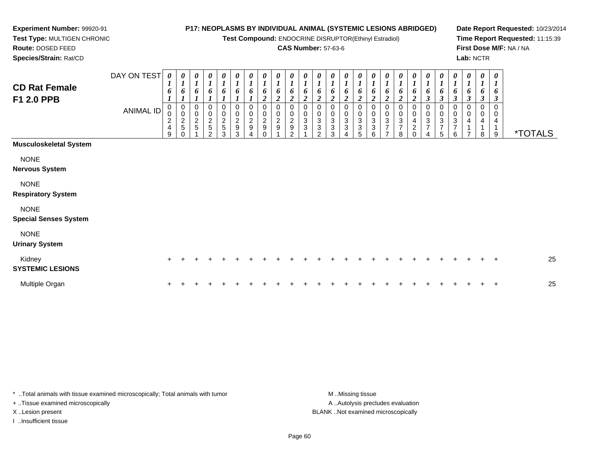**Test Compound:** ENDOCRINE DISRUPTOR(Ethinyl Estradiol)

### **CAS Number:** 57-63-6

**Date Report Requested:** 10/23/2014**Time Report Requested:** 11:15:39**First Dose M/F:** NA / NA**Lab:** NCTR

 **Test Type:** MULTIGEN CHRONIC**Route:** DOSED FEED**Species/Strain:** Rat/CD

**Experiment Number:** 99920-91

| <b>CD Rat Female</b><br>F1 2.0 PPB          | DAY ON TEST<br><b>ANIMAL ID</b> | $\boldsymbol{\theta}$<br>$\boldsymbol{l}$<br>6<br>$\pmb{0}$<br>$\overline{\mathbf{c}}$<br>$\overline{\mathbf{4}}$<br>9 | 0<br>$\boldsymbol{l}$<br>6<br>$\pmb{0}$<br>$\pmb{0}$<br>$\frac{2}{5}$<br>0 | $\boldsymbol{\theta}$<br>$\boldsymbol{l}$<br>6<br>0<br>$\pmb{0}$<br>$\frac{2}{5}$ | 0<br>$\boldsymbol{l}$<br>$\begin{array}{c} 0 \\ 2 \\ 5 \end{array}$<br>2 | $\boldsymbol{\theta}$<br>$\boldsymbol{l}$<br>6<br>0<br>0<br>$\frac{2}{5}$<br>3 | $\frac{\theta}{I}$<br>6<br>0<br>0<br>$\frac{2}{9}$<br>3 | $\frac{\boldsymbol{\theta}}{\boldsymbol{I}}$<br>6<br>0<br>$\begin{array}{c} 0 \\ 2 \\ 9 \end{array}$<br>4 | $\boldsymbol{\theta}$<br>$\boldsymbol{l}$<br>6<br>$\boldsymbol{2}$<br>0<br>$\pmb{0}$<br>$\frac{2}{9}$ | $\frac{\theta}{I}$<br>6<br>2<br>0<br>$\pmb{0}$<br>$\boldsymbol{2}$<br>$\boldsymbol{9}$ | $\frac{\theta}{I}$<br>6<br>$\boldsymbol{2}$<br>0<br>0<br>$\sqrt{2}$<br>$\boldsymbol{9}$<br>$\mathcal{P}$ | 0<br>$\boldsymbol{l}$<br>0<br>3<br>3 | 0<br>$\mathbf{I}$<br>6<br>2<br>0<br>0<br>$\ensuremath{\mathsf{3}}$<br>$\ensuremath{\mathsf{3}}$<br>$\mathcal{P}$ | $\frac{\theta}{I}$<br>6<br>$\overline{\mathbf{2}}$<br>0<br>$\mathbf{3}$<br>$\mathbf{3}$<br>3 | 0<br>$\boldsymbol{l}$<br>6<br>2<br>$\pmb{0}$<br>$\sqrt{3}$<br>$\sqrt{3}$<br>4 | 0<br>$\boldsymbol{l}$<br>6<br>$\overline{c}$<br>0<br>0<br>$\ensuremath{\mathsf{3}}$<br>3<br>5 | 0<br>$\boldsymbol{l}$<br>6<br>0<br>$\pmb{0}$<br>$\ensuremath{\mathsf{3}}$<br>$\ensuremath{\mathsf{3}}$<br>6 | $\boldsymbol{\theta}$<br>$\boldsymbol{l}$<br>6<br>$\boldsymbol{2}$<br>0<br>$\boldsymbol{0}$<br>$\ensuremath{\mathsf{3}}$<br>$\overline{7}$<br>$\overline{7}$ | 0<br>$\boldsymbol{l}$<br>0<br>3<br>$\overline{7}$<br>8 | $\boldsymbol{\theta}$<br>6<br>2<br>0<br>0<br>4<br>$\overline{c}$<br>$\Omega$ | $\frac{\theta}{I}$<br>6<br>$\boldsymbol{\beta}$<br>0<br>$\mathbf 0$<br>3<br>$\overline{7}$<br>4 | 0<br>$\boldsymbol{l}$<br>6<br>$\boldsymbol{\beta}$<br>0<br>0<br>$\ensuremath{\mathsf{3}}$<br>$\boldsymbol{7}$<br>5 | $\boldsymbol{\theta}$<br>$\boldsymbol{l}$<br>6<br>$\boldsymbol{\beta}$<br>0<br>$\pmb{0}$<br>$\sqrt{3}$<br>$\overline{\mathbf{7}}$<br>6 | 0<br>$\overline{\mathbf{I}}$<br>6<br>$\mathfrak{z}$<br>0<br>0<br>4<br>$\overline{ }$ | 0<br>$\boldsymbol{l}$<br>6<br>$\boldsymbol{\beta}$<br>0<br>0<br>4<br>8 | $\pmb{\theta}$<br>$\boldsymbol{l}$<br>6<br>3<br>$\Omega$<br>0<br>4<br>9 | <i><b>*TOTALS</b></i> |
|---------------------------------------------|---------------------------------|------------------------------------------------------------------------------------------------------------------------|----------------------------------------------------------------------------|-----------------------------------------------------------------------------------|--------------------------------------------------------------------------|--------------------------------------------------------------------------------|---------------------------------------------------------|-----------------------------------------------------------------------------------------------------------|-------------------------------------------------------------------------------------------------------|----------------------------------------------------------------------------------------|----------------------------------------------------------------------------------------------------------|--------------------------------------|------------------------------------------------------------------------------------------------------------------|----------------------------------------------------------------------------------------------|-------------------------------------------------------------------------------|-----------------------------------------------------------------------------------------------|-------------------------------------------------------------------------------------------------------------|--------------------------------------------------------------------------------------------------------------------------------------------------------------|--------------------------------------------------------|------------------------------------------------------------------------------|-------------------------------------------------------------------------------------------------|--------------------------------------------------------------------------------------------------------------------|----------------------------------------------------------------------------------------------------------------------------------------|--------------------------------------------------------------------------------------|------------------------------------------------------------------------|-------------------------------------------------------------------------|-----------------------|
| <b>Musculoskeletal System</b>               |                                 |                                                                                                                        |                                                                            |                                                                                   |                                                                          |                                                                                |                                                         |                                                                                                           |                                                                                                       |                                                                                        |                                                                                                          |                                      |                                                                                                                  |                                                                                              |                                                                               |                                                                                               |                                                                                                             |                                                                                                                                                              |                                                        |                                                                              |                                                                                                 |                                                                                                                    |                                                                                                                                        |                                                                                      |                                                                        |                                                                         |                       |
| <b>NONE</b><br><b>Nervous System</b>        |                                 |                                                                                                                        |                                                                            |                                                                                   |                                                                          |                                                                                |                                                         |                                                                                                           |                                                                                                       |                                                                                        |                                                                                                          |                                      |                                                                                                                  |                                                                                              |                                                                               |                                                                                               |                                                                                                             |                                                                                                                                                              |                                                        |                                                                              |                                                                                                 |                                                                                                                    |                                                                                                                                        |                                                                                      |                                                                        |                                                                         |                       |
| <b>NONE</b><br><b>Respiratory System</b>    |                                 |                                                                                                                        |                                                                            |                                                                                   |                                                                          |                                                                                |                                                         |                                                                                                           |                                                                                                       |                                                                                        |                                                                                                          |                                      |                                                                                                                  |                                                                                              |                                                                               |                                                                                               |                                                                                                             |                                                                                                                                                              |                                                        |                                                                              |                                                                                                 |                                                                                                                    |                                                                                                                                        |                                                                                      |                                                                        |                                                                         |                       |
| <b>NONE</b><br><b>Special Senses System</b> |                                 |                                                                                                                        |                                                                            |                                                                                   |                                                                          |                                                                                |                                                         |                                                                                                           |                                                                                                       |                                                                                        |                                                                                                          |                                      |                                                                                                                  |                                                                                              |                                                                               |                                                                                               |                                                                                                             |                                                                                                                                                              |                                                        |                                                                              |                                                                                                 |                                                                                                                    |                                                                                                                                        |                                                                                      |                                                                        |                                                                         |                       |
| <b>NONE</b><br><b>Urinary System</b>        |                                 |                                                                                                                        |                                                                            |                                                                                   |                                                                          |                                                                                |                                                         |                                                                                                           |                                                                                                       |                                                                                        |                                                                                                          |                                      |                                                                                                                  |                                                                                              |                                                                               |                                                                                               |                                                                                                             |                                                                                                                                                              |                                                        |                                                                              |                                                                                                 |                                                                                                                    |                                                                                                                                        |                                                                                      |                                                                        |                                                                         |                       |
| Kidney<br><b>SYSTEMIC LESIONS</b>           |                                 | ÷.                                                                                                                     |                                                                            |                                                                                   |                                                                          |                                                                                |                                                         |                                                                                                           |                                                                                                       |                                                                                        |                                                                                                          |                                      |                                                                                                                  |                                                                                              |                                                                               |                                                                                               |                                                                                                             |                                                                                                                                                              |                                                        |                                                                              |                                                                                                 |                                                                                                                    |                                                                                                                                        |                                                                                      |                                                                        | $\pm$                                                                   | 25                    |
| Multiple Organ                              |                                 |                                                                                                                        |                                                                            |                                                                                   |                                                                          |                                                                                |                                                         |                                                                                                           |                                                                                                       |                                                                                        |                                                                                                          |                                      |                                                                                                                  |                                                                                              |                                                                               |                                                                                               |                                                                                                             |                                                                                                                                                              |                                                        |                                                                              |                                                                                                 |                                                                                                                    |                                                                                                                                        |                                                                                      |                                                                        | $\ddot{}$                                                               | 25                    |

\* ..Total animals with tissue examined microscopically; Total animals with tumor **M** . Missing tissue M ..Missing tissue + ..Tissue examined microscopically

I ..Insufficient tissue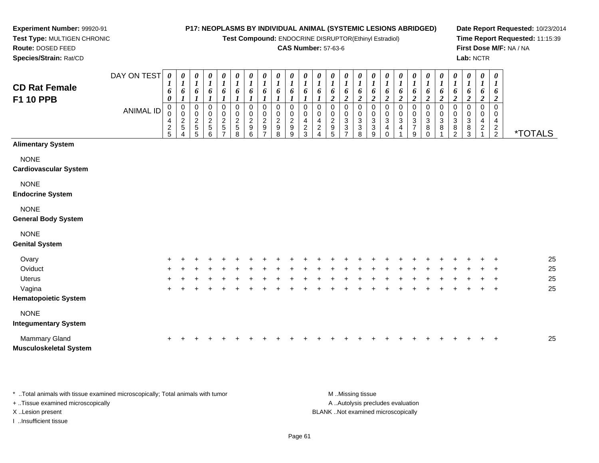**Test Compound:** ENDOCRINE DISRUPTOR(Ethinyl Estradiol)

### **CAS Number:** 57-63-6

**Date Report Requested:** 10/23/2014**Time Report Requested:** 11:15:39**First Dose M/F:** NA / NA**Lab:** NCTR

 *16*

┯ ┯ ┯ ┬

| <b>CD Rat Female</b><br><b>F1 10 PPB</b>    | DAY ON TEST<br><b>ANIMAL ID</b> | 0<br>$\mathbf I$<br>6<br>0<br>$\mathbf 0$<br>4<br>$\frac{2}{5}$ | 0<br>1<br>6<br>$\boldsymbol{0}$<br>$\mathbf 0$<br>$rac{2}{5}$ | 0<br>$\boldsymbol{l}$<br>6<br>0<br>$\mathsf 0$<br>$\frac{2}{5}$<br>5 | $\boldsymbol{\theta}$<br>$\boldsymbol{l}$<br>6<br>0<br>0<br>$\frac{2}{5}$<br>6 | 0<br>$\boldsymbol{l}$<br>6<br>0<br>0<br>$\frac{2}{5}$ | $\boldsymbol{\theta}$<br>$\boldsymbol{l}$<br>6<br>$\Omega$<br>$\mathbf 0$<br>$\boldsymbol{2}$<br>5<br>8 | 0<br>$\boldsymbol{l}$<br>6<br>0<br>$\pmb{0}$<br>$\boldsymbol{2}$<br>$\boldsymbol{9}$<br>6 | 0<br>$\boldsymbol{l}$<br>6<br>0<br>0<br>$\boldsymbol{2}$<br>9 | 0<br>$\boldsymbol{l}$<br>6<br>1<br>0<br>0<br>$\overline{\mathbf{c}}$<br>9<br>8 | 0<br>$\boldsymbol{l}$<br>1<br>0<br>$\overline{c}$<br>9<br>9 | 0<br>6<br>0<br>0<br>4<br>2<br>3 | 0<br>$\mathbf{r}$<br>6<br>0<br>4<br>$\overline{c}$ | 0<br>6<br>$\overline{2}$<br>0<br>0<br>$\overline{c}$<br>9<br>5 | 0<br>6<br>$\boldsymbol{2}$<br>0<br>3<br>3 | $\boldsymbol{\theta}$<br>6<br>3<br>3<br>8 | 0<br>$\boldsymbol{l}$<br>6<br>2<br>0<br>0<br>$\ensuremath{\mathsf{3}}$<br>$\ensuremath{\mathsf{3}}$<br>9 | $\boldsymbol{\theta}$<br>6<br>$\overline{2}$<br>0<br>0<br>3<br>4<br>$\Omega$ | 0<br>$\boldsymbol{l}$<br>6<br>$\boldsymbol{2}$<br>3<br>4 | $\boldsymbol{\theta}$<br>$\boldsymbol{l}$<br>6<br>2<br>0<br>0<br>$\ensuremath{\mathsf{3}}$<br>$\overline{7}$<br>9 | $\begin{matrix} 0 \\ 1 \end{matrix}$<br>6<br>$\overline{c}$<br>0<br>$\begin{smallmatrix}0\\3\end{smallmatrix}$<br>8<br>$\mathbf 0$ | 0<br>6<br>$\overline{2}$<br>0<br>3<br>8 | 0<br>$\boldsymbol{l}$<br>6<br>$\overline{c}$<br>0<br>3<br>8<br>2 | 0<br>$\boldsymbol{l}$<br>6<br>$\boldsymbol{2}$<br>$\Omega$<br>$\mathbf 0$<br>3<br>8<br>3 | 0<br>$\boldsymbol{l}$<br>6<br>$\boldsymbol{2}$<br>0<br>0<br>4<br>$\overline{c}$ | $\boldsymbol{\theta}$<br>$\mathbf{I}$<br>6<br>2<br>$\Omega$<br>0<br>4<br>$\frac{2}{2}$ | <i><b>*TOTALS</b></i> |    |
|---------------------------------------------|---------------------------------|-----------------------------------------------------------------|---------------------------------------------------------------|----------------------------------------------------------------------|--------------------------------------------------------------------------------|-------------------------------------------------------|---------------------------------------------------------------------------------------------------------|-------------------------------------------------------------------------------------------|---------------------------------------------------------------|--------------------------------------------------------------------------------|-------------------------------------------------------------|---------------------------------|----------------------------------------------------|----------------------------------------------------------------|-------------------------------------------|-------------------------------------------|----------------------------------------------------------------------------------------------------------|------------------------------------------------------------------------------|----------------------------------------------------------|-------------------------------------------------------------------------------------------------------------------|------------------------------------------------------------------------------------------------------------------------------------|-----------------------------------------|------------------------------------------------------------------|------------------------------------------------------------------------------------------|---------------------------------------------------------------------------------|----------------------------------------------------------------------------------------|-----------------------|----|
| <b>Alimentary System</b>                    |                                 |                                                                 |                                                               |                                                                      |                                                                                |                                                       |                                                                                                         |                                                                                           |                                                               |                                                                                |                                                             |                                 |                                                    |                                                                |                                           |                                           |                                                                                                          |                                                                              |                                                          |                                                                                                                   |                                                                                                                                    |                                         |                                                                  |                                                                                          |                                                                                 |                                                                                        |                       |    |
| <b>NONE</b><br><b>Cardiovascular System</b> |                                 |                                                                 |                                                               |                                                                      |                                                                                |                                                       |                                                                                                         |                                                                                           |                                                               |                                                                                |                                                             |                                 |                                                    |                                                                |                                           |                                           |                                                                                                          |                                                                              |                                                          |                                                                                                                   |                                                                                                                                    |                                         |                                                                  |                                                                                          |                                                                                 |                                                                                        |                       |    |
| <b>NONE</b><br><b>Endocrine System</b>      |                                 |                                                                 |                                                               |                                                                      |                                                                                |                                                       |                                                                                                         |                                                                                           |                                                               |                                                                                |                                                             |                                 |                                                    |                                                                |                                           |                                           |                                                                                                          |                                                                              |                                                          |                                                                                                                   |                                                                                                                                    |                                         |                                                                  |                                                                                          |                                                                                 |                                                                                        |                       |    |
| <b>NONE</b><br><b>General Body System</b>   |                                 |                                                                 |                                                               |                                                                      |                                                                                |                                                       |                                                                                                         |                                                                                           |                                                               |                                                                                |                                                             |                                 |                                                    |                                                                |                                           |                                           |                                                                                                          |                                                                              |                                                          |                                                                                                                   |                                                                                                                                    |                                         |                                                                  |                                                                                          |                                                                                 |                                                                                        |                       |    |
| <b>NONE</b><br><b>Genital System</b>        |                                 |                                                                 |                                                               |                                                                      |                                                                                |                                                       |                                                                                                         |                                                                                           |                                                               |                                                                                |                                                             |                                 |                                                    |                                                                |                                           |                                           |                                                                                                          |                                                                              |                                                          |                                                                                                                   |                                                                                                                                    |                                         |                                                                  |                                                                                          |                                                                                 |                                                                                        |                       |    |
| Ovary                                       |                                 |                                                                 |                                                               |                                                                      |                                                                                |                                                       |                                                                                                         |                                                                                           |                                                               |                                                                                |                                                             |                                 |                                                    |                                                                |                                           |                                           |                                                                                                          |                                                                              |                                                          |                                                                                                                   |                                                                                                                                    |                                         |                                                                  |                                                                                          |                                                                                 |                                                                                        |                       | 25 |
| Oviduct                                     |                                 |                                                                 |                                                               |                                                                      |                                                                                |                                                       |                                                                                                         |                                                                                           |                                                               |                                                                                |                                                             |                                 |                                                    |                                                                |                                           |                                           |                                                                                                          |                                                                              |                                                          |                                                                                                                   |                                                                                                                                    |                                         |                                                                  |                                                                                          |                                                                                 |                                                                                        |                       | 25 |
| <b>Uterus</b>                               |                                 | ÷                                                               |                                                               |                                                                      |                                                                                |                                                       |                                                                                                         |                                                                                           |                                                               |                                                                                |                                                             |                                 |                                                    |                                                                |                                           |                                           |                                                                                                          |                                                                              |                                                          |                                                                                                                   |                                                                                                                                    |                                         |                                                                  |                                                                                          |                                                                                 | $\ddot{}$                                                                              |                       | 25 |

Vaginaa  $+$ **Hematopoietic System**

# NONE

# **Integumentary System**

**Experiment Number:** 99920-91**Test Type:** MULTIGEN CHRONIC

**Route:** DOSED FEED**Species/Strain:** Rat/CD

| Mammary Gland                 |  |  |  |  |  |  |  |  |  |  |  |  |  | 25 |
|-------------------------------|--|--|--|--|--|--|--|--|--|--|--|--|--|----|
| <b>Musculoskeletal System</b> |  |  |  |  |  |  |  |  |  |  |  |  |  |    |

\* ..Total animals with tissue examined microscopically; Total animals with tumor **M** ...Missing tissue M ...Missing tissue + ..Tissue examined microscopically X ..Lesion present BLANK ..Not examined microscopically

г ┯ ┬ ┬ ┯ ┯ ┯ ┯ ┯ ┯ ┯  $\overline{\phantom{a}}$  $\top$ ┯ ┯ ┬

I ..Insufficient tissue

A .. Autolysis precludes evaluation

<sup>+</sup> <sup>+</sup> <sup>+</sup> <sup>+</sup> <sup>+</sup> <sup>+</sup> <sup>+</sup> <sup>+</sup> <sup>+</sup> <sup>+</sup> <sup>+</sup> <sup>+</sup> <sup>+</sup> <sup>+</sup> <sup>+</sup> <sup>+</sup> <sup>+</sup> <sup>+</sup> <sup>+</sup> <sup>+</sup> <sup>+</sup> <sup>+</sup> <sup>+</sup> <sup>+</sup> <sup>25</sup>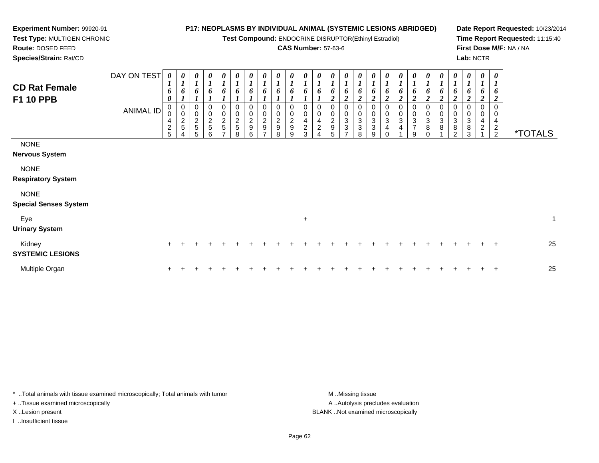**Test Compound:** ENDOCRINE DISRUPTOR(Ethinyl Estradiol)

### **CAS Number:** 57-63-6

**Date Report Requested:** 10/23/2014**Time Report Requested:** 11:15:40**First Dose M/F:** NA / NA**Lab:** NCTR

\*TOTALS

| <b>CD Rat Female</b><br><b>F1 10 PPB</b>                                                        | DAY ON TEST<br>ANIMAL ID | $\boldsymbol{\theta}$<br>o<br>0<br>$\overline{2}$ | $\boldsymbol{\theta}$<br>$\bm{b}$<br>$\bf{I}$<br>$\overline{c}$<br>5 | $\boldsymbol{\theta}$<br>$\mathbf{I}$<br>6<br>$\overline{I}$<br>$\overline{0}$<br>0<br>$rac{2}{5}$ | $\boldsymbol{\theta}$<br>$\boldsymbol{l}$<br>6<br>$\mathbf{I}$<br>$\mathbf 0$<br>$\bar{0}$<br>$\frac{2}{5}$ | 0<br>$\boldsymbol{l}$<br>6<br>0<br>0<br>$\frac{2}{5}$<br>$\overline{ }$ | 0<br>$\mathbf{I}$<br>$\mathbf{I}$<br>6<br>A.<br>0<br>$\mathbf 0$<br>$\frac{2}{5}$ | 0<br>$\boldsymbol{l}$<br>6<br>0<br>$\boldsymbol{0}$<br>$\frac{2}{9}$ | $\boldsymbol{\theta}$<br>1<br>6<br>$\boldsymbol{l}$<br>0<br>$\mathbf 0$<br>$\frac{2}{9}$<br>$\overline{ }$ | $\boldsymbol{\theta}$<br>6<br>$\mathbf{I}$<br>0<br>$\pmb{0}$<br>$\frac{2}{9}$ | $\boldsymbol{\theta}$<br>$\boldsymbol{l}$<br>6<br>$\boldsymbol{l}$<br>0<br>0<br>$\frac{2}{9}$ | $\boldsymbol{\theta}$<br>$\boldsymbol{l}$<br>6<br>$\mathbf{I}$<br>0<br>0<br>4<br>$\overline{c}$ | 0<br>ı<br>6<br>0<br>$\mathbf 0$<br>4<br>2 | $\boldsymbol{\theta}$<br>$\mathbf{r}$<br>$\mathbf{I}$<br>6<br>$\boldsymbol{2}$<br>0<br>$\pmb{0}$<br>$\overline{\mathbf{c}}$<br>9 | 0<br>6<br>$\mathbf{\Omega}$<br>∠<br>0<br>0<br>3<br>3 | 0<br>6<br>$\overline{2}$<br>0<br>0<br>3<br>3 | 0<br>o<br>3<br>3 | $\boldsymbol{\theta}$<br>6<br>$\overline{c}$<br>0<br>3<br>$\overline{4}$ | $\boldsymbol{\theta}$<br>1<br>6<br>$\overline{2}$<br>$\mathbf 0$<br>0<br>3<br>$\overline{4}$ | $\boldsymbol{\theta}$<br>1<br>6<br>$\boldsymbol{2}$<br>0<br>0<br>$\frac{3}{7}$ | $\boldsymbol{\theta}$<br>$\overline{ }$<br>6<br>$\overline{2}$<br>0<br>0<br>3<br>8 | 0<br>$\mathbf{I}$<br>6<br>$\boldsymbol{2}$<br>0<br>$\,0\,$<br>$\begin{smallmatrix} 3 \\ 8 \end{smallmatrix}$ | 0<br>$\boldsymbol{l}$<br>6<br>$\boldsymbol{2}$<br>0<br>$\pmb{0}$<br>$\mathbf{3}$<br>8 | 0<br>6<br>$\mathbf{\hat{z}}$<br>∠<br>0<br>3<br>8 | 0<br>$\boldsymbol{l}$<br>6<br>$\boldsymbol{2}$<br>0<br>$\mathbf 0$<br>4<br>$\overline{c}$ | 0<br>6<br>$\overline{2}$<br>2 |
|-------------------------------------------------------------------------------------------------|--------------------------|---------------------------------------------------|----------------------------------------------------------------------|----------------------------------------------------------------------------------------------------|-------------------------------------------------------------------------------------------------------------|-------------------------------------------------------------------------|-----------------------------------------------------------------------------------|----------------------------------------------------------------------|------------------------------------------------------------------------------------------------------------|-------------------------------------------------------------------------------|-----------------------------------------------------------------------------------------------|-------------------------------------------------------------------------------------------------|-------------------------------------------|----------------------------------------------------------------------------------------------------------------------------------|------------------------------------------------------|----------------------------------------------|------------------|--------------------------------------------------------------------------|----------------------------------------------------------------------------------------------|--------------------------------------------------------------------------------|------------------------------------------------------------------------------------|--------------------------------------------------------------------------------------------------------------|---------------------------------------------------------------------------------------|--------------------------------------------------|-------------------------------------------------------------------------------------------|-------------------------------|
| <b>NONE</b><br><b>Nervous System</b><br><b>NONE</b><br><b>Respiratory System</b><br><b>NONE</b> |                          | 5 <sup>5</sup>                                    |                                                                      | 5                                                                                                  | 6                                                                                                           |                                                                         | 8                                                                                 | 6                                                                    |                                                                                                            | 8                                                                             | 9                                                                                             | 3                                                                                               | 4                                         | 5                                                                                                                                |                                                      | 8                                            | 9                |                                                                          |                                                                                              | 9                                                                              | $\Omega$                                                                           |                                                                                                              | $\overline{2}$                                                                        | 3                                                |                                                                                           | $\overline{2}$                |

### **Special Senses System**

**Experiment Number:** 99920-91**Test Type:** MULTIGEN CHRONIC

**Route:** DOSED FEED**Species/Strain:** Rat/CD

| Eve<br><b>Urinary System</b>      |  |  |  |  |  |  |  |  |  |  |  |  |  |    |
|-----------------------------------|--|--|--|--|--|--|--|--|--|--|--|--|--|----|
| Kidney<br><b>SYSTEMIC LESIONS</b> |  |  |  |  |  |  |  |  |  |  |  |  |  | 25 |
| Multiple Organ                    |  |  |  |  |  |  |  |  |  |  |  |  |  | 25 |

\* ..Total animals with tissue examined microscopically; Total animals with tumor **M** . Missing tissue M ..Missing tissue + ..Tissue examined microscopically X ..Lesion present BLANK ..Not examined microscopically

I ..Insufficient tissue

A ..Autolysis precludes evaluation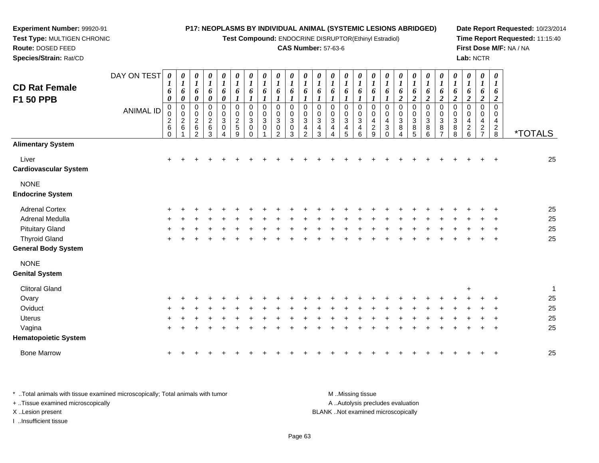**Test Compound:** ENDOCRINE DISRUPTOR(Ethinyl Estradiol)

### **CAS Number:** 57-63-6

**Date Report Requested:** 10/23/2014**Time Report Requested:** 11:15:40**First Dose M/F:** NA / NA**Lab:** NCTR

| <b>CD Rat Female</b><br>F1 50 PPB                  | DAY ON TEST<br><b>ANIMAL ID</b> | 0<br>1<br>6<br>0<br>$\pmb{0}$<br>0<br>$\frac{2}{6}$<br>$\Omega$ | $\boldsymbol{\theta}$<br>$\bm{l}$<br>6<br>0<br>$\pmb{0}$<br>$\pmb{0}$<br>$\sqrt{2}$<br>6 | 0<br>$\boldsymbol{l}$<br>6<br>$\pmb{\theta}$<br>$\mathbf 0$<br>$\pmb{0}$<br>$\boldsymbol{2}$<br>$\,6$<br>$\mathcal{P}$ | 0<br>$\boldsymbol{l}$<br>6<br>$\pmb{\theta}$<br>0<br>0<br>$\overline{c}$<br>$\,6\,$<br>3 | 0<br>$\boldsymbol{l}$<br>6<br>$\pmb{\theta}$<br>0<br>$\pmb{0}$<br>$\sqrt{3}$<br>0<br>4 | 0<br>$\boldsymbol{l}$<br>6<br>1<br>$\boldsymbol{0}$<br>$\mathbf 0$<br>$\boldsymbol{2}$<br>5<br>9 | 0<br>$\boldsymbol{l}$<br>6<br>$\boldsymbol{\mathit{1}}$<br>0<br>$\pmb{0}$<br>$\mathbf{3}$<br>0<br>$\Omega$ | 0<br>$\boldsymbol{l}$<br>6<br>1<br>$\mathbf 0$<br>0<br>3<br>$\Omega$ | 0<br>$\boldsymbol{l}$<br>6<br>$\boldsymbol{l}$<br>$\mathbf 0$<br>0<br>3<br>0<br>2 | 0<br>$\boldsymbol{l}$<br>6<br>1<br>$\mathbf 0$<br>0<br>3<br>0<br>3 | $\boldsymbol{\theta}$<br>1<br>6<br>1<br>$\mathbf 0$<br>0<br>3<br>4<br>$\mathcal{P}$ | 0<br>1<br>6<br>0<br>0<br>$\mathbf{3}$<br>4<br>3 | 0<br>1<br>6<br>0<br>0<br>$\mathbf{3}$<br>$\overline{4}$<br>Δ | 0<br>$\bm{l}$<br>6<br>1<br>$\mathbf 0$<br>0<br>$\sqrt{3}$<br>4<br>5 | 0<br>$\boldsymbol{l}$<br>6<br>$\mathbf 0$<br>0<br>$\sqrt{3}$<br>4<br>6 | 0<br>$\boldsymbol{l}$<br>6<br>0<br>0<br>$\overline{4}$<br>$\overline{c}$<br>9 | $\boldsymbol{\theta}$<br>$\boldsymbol{l}$<br>6<br>$\mathbf 0$<br>$\mathbf 0$<br>$\overline{4}$<br>3<br>$\Omega$ | 0<br>$\boldsymbol{l}$<br>6<br>$\boldsymbol{2}$<br>$\pmb{0}$<br>$\pmb{0}$<br>3<br>8<br>4 | $\boldsymbol{\theta}$<br>1<br>6<br>$\boldsymbol{2}$<br>$\mathbf 0$<br>0<br>$\mathbf{3}$<br>8<br>5 | 0<br>$\boldsymbol{l}$<br>6<br>$\boldsymbol{2}$<br>$\mathbf 0$<br>$\pmb{0}$<br>$\ensuremath{\mathsf{3}}$<br>8<br>6 | 0<br>1<br>6<br>$\overline{2}$<br>$\mathbf 0$<br>0<br>3<br>8 | 0<br>$\boldsymbol{l}$<br>6<br>$\boldsymbol{2}$<br>$\mathbf 0$<br>0<br>3<br>8<br>8 | 0<br>$\boldsymbol{l}$<br>6<br>$\boldsymbol{2}$<br>$\mathbf 0$<br>0<br>$\overline{4}$<br>$\overline{2}$<br>6 | 0<br>$\boldsymbol{l}$<br>6<br>$\boldsymbol{2}$<br>$\mathbf 0$<br>0<br>4<br>$\overline{2}$<br>$\overline{7}$ | 0<br>$\boldsymbol{l}$<br>6<br>$\overline{2}$<br>$\mathbf 0$<br>0<br>4<br>$\overline{2}$<br>8 | <i><b>*TOTALS</b></i> |
|----------------------------------------------------|---------------------------------|-----------------------------------------------------------------|------------------------------------------------------------------------------------------|------------------------------------------------------------------------------------------------------------------------|------------------------------------------------------------------------------------------|----------------------------------------------------------------------------------------|--------------------------------------------------------------------------------------------------|------------------------------------------------------------------------------------------------------------|----------------------------------------------------------------------|-----------------------------------------------------------------------------------|--------------------------------------------------------------------|-------------------------------------------------------------------------------------|-------------------------------------------------|--------------------------------------------------------------|---------------------------------------------------------------------|------------------------------------------------------------------------|-------------------------------------------------------------------------------|-----------------------------------------------------------------------------------------------------------------|-----------------------------------------------------------------------------------------|---------------------------------------------------------------------------------------------------|-------------------------------------------------------------------------------------------------------------------|-------------------------------------------------------------|-----------------------------------------------------------------------------------|-------------------------------------------------------------------------------------------------------------|-------------------------------------------------------------------------------------------------------------|----------------------------------------------------------------------------------------------|-----------------------|
| <b>Alimentary System</b>                           |                                 |                                                                 |                                                                                          |                                                                                                                        |                                                                                          |                                                                                        |                                                                                                  |                                                                                                            |                                                                      |                                                                                   |                                                                    |                                                                                     |                                                 |                                                              |                                                                     |                                                                        |                                                                               |                                                                                                                 |                                                                                         |                                                                                                   |                                                                                                                   |                                                             |                                                                                   |                                                                                                             |                                                                                                             |                                                                                              |                       |
| Liver<br>Cardiovascular System                     |                                 | $\ddot{}$                                                       |                                                                                          |                                                                                                                        |                                                                                          |                                                                                        |                                                                                                  |                                                                                                            |                                                                      |                                                                                   |                                                                    |                                                                                     |                                                 |                                                              |                                                                     |                                                                        |                                                                               |                                                                                                                 |                                                                                         |                                                                                                   |                                                                                                                   |                                                             |                                                                                   |                                                                                                             |                                                                                                             |                                                                                              | 25                    |
| <b>NONE</b><br><b>Endocrine System</b>             |                                 |                                                                 |                                                                                          |                                                                                                                        |                                                                                          |                                                                                        |                                                                                                  |                                                                                                            |                                                                      |                                                                                   |                                                                    |                                                                                     |                                                 |                                                              |                                                                     |                                                                        |                                                                               |                                                                                                                 |                                                                                         |                                                                                                   |                                                                                                                   |                                                             |                                                                                   |                                                                                                             |                                                                                                             |                                                                                              |                       |
| <b>Adrenal Cortex</b>                              |                                 |                                                                 |                                                                                          |                                                                                                                        |                                                                                          |                                                                                        |                                                                                                  |                                                                                                            |                                                                      |                                                                                   |                                                                    |                                                                                     |                                                 |                                                              |                                                                     |                                                                        |                                                                               |                                                                                                                 |                                                                                         |                                                                                                   |                                                                                                                   |                                                             |                                                                                   |                                                                                                             |                                                                                                             |                                                                                              | 25                    |
| Adrenal Medulla                                    |                                 |                                                                 |                                                                                          |                                                                                                                        |                                                                                          |                                                                                        |                                                                                                  |                                                                                                            |                                                                      |                                                                                   |                                                                    |                                                                                     |                                                 |                                                              |                                                                     |                                                                        |                                                                               |                                                                                                                 |                                                                                         |                                                                                                   |                                                                                                                   |                                                             |                                                                                   |                                                                                                             |                                                                                                             |                                                                                              | 25                    |
| <b>Pituitary Gland</b>                             |                                 |                                                                 |                                                                                          |                                                                                                                        |                                                                                          |                                                                                        |                                                                                                  |                                                                                                            |                                                                      |                                                                                   |                                                                    |                                                                                     |                                                 |                                                              |                                                                     |                                                                        |                                                                               |                                                                                                                 |                                                                                         |                                                                                                   |                                                                                                                   |                                                             |                                                                                   |                                                                                                             |                                                                                                             |                                                                                              | 25                    |
| <b>Thyroid Gland</b><br><b>General Body System</b> |                                 |                                                                 |                                                                                          |                                                                                                                        |                                                                                          |                                                                                        |                                                                                                  |                                                                                                            |                                                                      |                                                                                   |                                                                    |                                                                                     |                                                 |                                                              |                                                                     |                                                                        |                                                                               |                                                                                                                 |                                                                                         |                                                                                                   |                                                                                                                   |                                                             |                                                                                   |                                                                                                             |                                                                                                             |                                                                                              | 25                    |
| <b>NONE</b><br><b>Genital System</b>               |                                 |                                                                 |                                                                                          |                                                                                                                        |                                                                                          |                                                                                        |                                                                                                  |                                                                                                            |                                                                      |                                                                                   |                                                                    |                                                                                     |                                                 |                                                              |                                                                     |                                                                        |                                                                               |                                                                                                                 |                                                                                         |                                                                                                   |                                                                                                                   |                                                             |                                                                                   |                                                                                                             |                                                                                                             |                                                                                              |                       |
| <b>Clitoral Gland</b>                              |                                 |                                                                 |                                                                                          |                                                                                                                        |                                                                                          |                                                                                        |                                                                                                  |                                                                                                            |                                                                      |                                                                                   |                                                                    |                                                                                     |                                                 |                                                              |                                                                     |                                                                        |                                                                               |                                                                                                                 |                                                                                         |                                                                                                   |                                                                                                                   |                                                             |                                                                                   | ÷                                                                                                           |                                                                                                             |                                                                                              | 1                     |
| Ovary                                              |                                 |                                                                 |                                                                                          |                                                                                                                        |                                                                                          |                                                                                        |                                                                                                  |                                                                                                            |                                                                      |                                                                                   |                                                                    |                                                                                     |                                                 |                                                              |                                                                     |                                                                        |                                                                               |                                                                                                                 |                                                                                         |                                                                                                   |                                                                                                                   |                                                             |                                                                                   |                                                                                                             |                                                                                                             |                                                                                              | 25                    |
| Oviduct                                            |                                 |                                                                 |                                                                                          |                                                                                                                        |                                                                                          |                                                                                        |                                                                                                  |                                                                                                            |                                                                      |                                                                                   |                                                                    |                                                                                     |                                                 |                                                              |                                                                     |                                                                        |                                                                               |                                                                                                                 |                                                                                         |                                                                                                   |                                                                                                                   |                                                             |                                                                                   |                                                                                                             |                                                                                                             |                                                                                              | 25                    |
| <b>Uterus</b>                                      |                                 |                                                                 |                                                                                          |                                                                                                                        |                                                                                          |                                                                                        |                                                                                                  |                                                                                                            |                                                                      |                                                                                   |                                                                    |                                                                                     |                                                 |                                                              |                                                                     |                                                                        |                                                                               |                                                                                                                 |                                                                                         |                                                                                                   |                                                                                                                   |                                                             |                                                                                   |                                                                                                             |                                                                                                             |                                                                                              | 25                    |
| Vagina<br><b>Hematopoietic System</b>              |                                 |                                                                 |                                                                                          |                                                                                                                        |                                                                                          |                                                                                        |                                                                                                  |                                                                                                            |                                                                      |                                                                                   |                                                                    |                                                                                     |                                                 |                                                              |                                                                     |                                                                        |                                                                               |                                                                                                                 |                                                                                         |                                                                                                   |                                                                                                                   |                                                             |                                                                                   |                                                                                                             |                                                                                                             |                                                                                              | 25                    |
| <b>Bone Marrow</b>                                 |                                 | $\ddot{}$                                                       |                                                                                          |                                                                                                                        |                                                                                          |                                                                                        |                                                                                                  |                                                                                                            |                                                                      |                                                                                   |                                                                    |                                                                                     |                                                 |                                                              |                                                                     |                                                                        |                                                                               |                                                                                                                 |                                                                                         |                                                                                                   |                                                                                                                   |                                                             |                                                                                   |                                                                                                             |                                                                                                             |                                                                                              | 25                    |
|                                                    |                                 |                                                                 |                                                                                          |                                                                                                                        |                                                                                          |                                                                                        |                                                                                                  |                                                                                                            |                                                                      |                                                                                   |                                                                    |                                                                                     |                                                 |                                                              |                                                                     |                                                                        |                                                                               |                                                                                                                 |                                                                                         |                                                                                                   |                                                                                                                   |                                                             |                                                                                   |                                                                                                             |                                                                                                             |                                                                                              |                       |

\* ..Total animals with tissue examined microscopically; Total animals with tumor **M** . Missing tissue M ..Missing tissue A ..Autolysis precludes evaluation + ..Tissue examined microscopically X ..Lesion present BLANK ..Not examined microscopicallyI ..Insufficient tissue

**Experiment Number:** 99920-91**Test Type:** MULTIGEN CHRONIC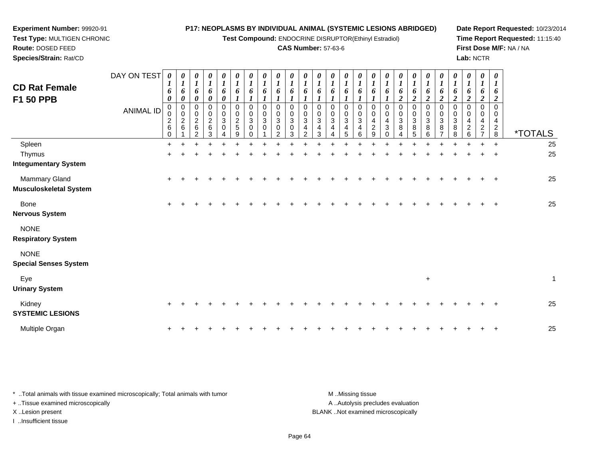**Test Compound:** ENDOCRINE DISRUPTOR(Ethinyl Estradiol)

### **CAS Number:** 57-63-6

**Date Report Requested:** 10/23/2014**Time Report Requested:** 11:15:40**First Dose M/F:** NA / NA**Lab:** NCTR

| Species/Strain: Rat/CD                                |             |                                                                     |                                                |                                                 |                               |                            |                                   |                                    |                            |                                                    |                                 |                                                    |                                                       |                                                     |                                         |                  |                                            |                                                 |                     |                                   |                                      |             |                                          |                                            | Lab: NCTR |                                                                           |                                     |                       |
|-------------------------------------------------------|-------------|---------------------------------------------------------------------|------------------------------------------------|-------------------------------------------------|-------------------------------|----------------------------|-----------------------------------|------------------------------------|----------------------------|----------------------------------------------------|---------------------------------|----------------------------------------------------|-------------------------------------------------------|-----------------------------------------------------|-----------------------------------------|------------------|--------------------------------------------|-------------------------------------------------|---------------------|-----------------------------------|--------------------------------------|-------------|------------------------------------------|--------------------------------------------|-----------|---------------------------------------------------------------------------|-------------------------------------|-----------------------|
| <b>CD Rat Female</b><br>F1 50 PPB                     | DAY ON TEST | $\boldsymbol{\theta}$<br>$\mathbf{I}$<br>6<br>$\boldsymbol{\theta}$ | $\boldsymbol{\theta}$<br>$\boldsymbol{l}$<br>6 | $\boldsymbol{\theta}$<br>6<br>0                 | 0<br>6<br>0                   | $\boldsymbol{\theta}$<br>6 | 0<br>6                            | 0<br>6                             | $\boldsymbol{\theta}$<br>6 | $\boldsymbol{\mathit{U}}$<br>$\boldsymbol{l}$<br>6 | 0<br>6                          | 0<br>$\mathbf{I}$<br>6                             | 0<br>$\boldsymbol{l}$<br>6                            | 0<br>6                                              | $\boldsymbol{\theta}$                   | U<br>6           | 0<br>6                                     | $\boldsymbol{\theta}$<br>$\mathbf{I}$<br>6      | 0<br>6              | 0<br>6<br>◠                       | $\boldsymbol{\theta}$<br>6<br>2      |             | $\boldsymbol{\theta}$<br>0               | 0<br>6<br>$\overline{2}$                   |           | $\boldsymbol{\theta}$<br>$\boldsymbol{l}$<br>6<br>$\boldsymbol{2}$        | $\boldsymbol{\theta}$<br>6<br>2     |                       |
|                                                       | ANIMAL ID   | 0<br>0<br>$\overline{c}$<br>$\,6\,$<br>$\Omega$                     | $\overline{c}$<br>6                            | 0<br>0<br>$\overline{c}$<br>6<br>$\mathfrak{D}$ | 0<br>$\overline{a}$<br>6<br>3 | 0<br>$\mathbf{3}$<br>0     | $\pmb{0}$<br>$\sqrt{2}$<br>5<br>9 | 0<br>$\mathbf{3}$<br>0<br>$\Omega$ | $_{3}^{\rm 0}$<br>0        | $\pmb{0}$<br>$\mathbf{3}$<br>0<br>$\mathcal{P}$    | 0<br>$\mathbf 0$<br>3<br>0<br>3 | 0<br>$\pmb{0}$<br>$\sqrt{3}$<br>4<br>$\mathcal{P}$ | 0<br>$\pmb{0}$<br>$\ensuremath{\mathsf{3}}$<br>4<br>3 | 0<br>$_{3}^{\rm 0}$<br>$\overline{\mathbf{4}}$<br>Δ | $\Omega$<br>0<br>$\mathbf{3}$<br>4<br>5 | 0<br>3<br>4<br>6 | 0<br>$\pmb{0}$<br>4<br>$\overline{c}$<br>9 | 0<br>$\mathbf 0$<br>4<br>$\sqrt{3}$<br>$\Omega$ | $\pmb{0}$<br>3<br>8 | $\pmb{0}$<br>$\sqrt{3}$<br>8<br>5 | 0<br>$\,0\,$<br>$\sqrt{3}$<br>8<br>6 | 0<br>3<br>8 | 0<br>$\ensuremath{\mathsf{3}}$<br>8<br>8 | 0<br>$\overline{4}$<br>$\overline{c}$<br>6 |           | 0<br>$\overline{\mathbf{4}}$<br>$\overline{\mathbf{c}}$<br>$\overline{ }$ | $\Omega$<br>0<br>4<br>$\frac{2}{8}$ | <i><b>*TOTALS</b></i> |
| Spleen                                                |             | $\pm$                                                               |                                                |                                                 |                               |                            |                                   |                                    |                            |                                                    |                                 |                                                    |                                                       |                                                     |                                         |                  |                                            |                                                 |                     |                                   |                                      |             |                                          |                                            |           | $+$                                                                       | $+$                                 | 25                    |
| Thymus<br><b>Integumentary System</b>                 |             |                                                                     |                                                |                                                 |                               |                            |                                   |                                    |                            |                                                    |                                 |                                                    |                                                       |                                                     |                                         |                  |                                            |                                                 |                     |                                   |                                      |             |                                          |                                            |           | $\ddot{}$                                                                 | $+$                                 | 25                    |
| <b>Mammary Gland</b><br><b>Musculoskeletal System</b> |             | $+$                                                                 |                                                |                                                 |                               |                            |                                   |                                    |                            |                                                    |                                 |                                                    |                                                       |                                                     |                                         |                  |                                            |                                                 |                     |                                   |                                      |             |                                          |                                            |           | $+$                                                                       | $+$                                 | 25                    |
| Bone<br><b>Nervous System</b>                         |             | $\ddot{}$                                                           |                                                |                                                 |                               |                            |                                   |                                    |                            |                                                    |                                 |                                                    |                                                       |                                                     |                                         |                  |                                            |                                                 |                     |                                   |                                      |             |                                          |                                            |           | ÷.                                                                        | $_{+}$                              | 25                    |
| <b>NONE</b><br><b>Respiratory System</b>              |             |                                                                     |                                                |                                                 |                               |                            |                                   |                                    |                            |                                                    |                                 |                                                    |                                                       |                                                     |                                         |                  |                                            |                                                 |                     |                                   |                                      |             |                                          |                                            |           |                                                                           |                                     |                       |
| <b>NONE</b>                                           |             |                                                                     |                                                |                                                 |                               |                            |                                   |                                    |                            |                                                    |                                 |                                                    |                                                       |                                                     |                                         |                  |                                            |                                                 |                     |                                   |                                      |             |                                          |                                            |           |                                                                           |                                     |                       |

**Special Senses System**

**Experiment Number:** 99920-91**Test Type:** MULTIGEN CHRONIC

**Route:** DOSED FEED

| Eye<br><b>Urinary System</b>      |  |  |  |  |  |  |  |  |  | ÷ |  |  |  |    |
|-----------------------------------|--|--|--|--|--|--|--|--|--|---|--|--|--|----|
| Kidney<br><b>SYSTEMIC LESIONS</b> |  |  |  |  |  |  |  |  |  |   |  |  |  | 25 |
| Multiple Organ                    |  |  |  |  |  |  |  |  |  |   |  |  |  | 25 |

\* ..Total animals with tissue examined microscopically; Total animals with tumor **M** . Missing tissue M ..Missing tissue A ..Autolysis precludes evaluation + ..Tissue examined microscopically X ..Lesion present BLANK ..Not examined microscopicallyI ..Insufficient tissue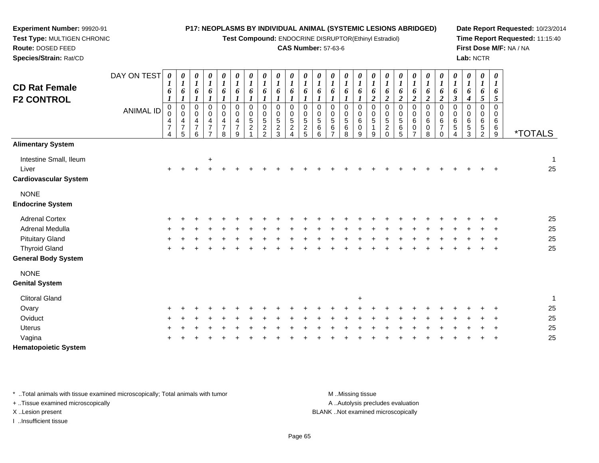**Test Compound:** ENDOCRINE DISRUPTOR(Ethinyl Estradiol)

### **CAS Number:** 57-63-6

**Date Report Requested:** 10/23/2014**Time Report Requested:** 11:15:40**First Dose M/F:** NA / NA**Lab:** NCTR

|                              | DAY ON TEST      | $\boldsymbol{\theta}$ | 0                      | 0                                 | 0                       | $\boldsymbol{\theta}$                      | 0                                | 0                          | 0                            | 0                          | 0                          | 0                            | 0                     | 0                        | 0                        | $\pmb{\theta}$           | 0                     | 0                             | 0                        | $\boldsymbol{\theta}$  | 0                                       | $\pmb{\theta}$             | $\pmb{\theta}$             | $\pmb{\theta}$             | 0                              | $\boldsymbol{\theta}$     |                       |
|------------------------------|------------------|-----------------------|------------------------|-----------------------------------|-------------------------|--------------------------------------------|----------------------------------|----------------------------|------------------------------|----------------------------|----------------------------|------------------------------|-----------------------|--------------------------|--------------------------|--------------------------|-----------------------|-------------------------------|--------------------------|------------------------|-----------------------------------------|----------------------------|----------------------------|----------------------------|--------------------------------|---------------------------|-----------------------|
| <b>CD Rat Female</b>         |                  | 1<br>6                | $\boldsymbol{l}$<br>6  | $\boldsymbol{l}$<br>6             | $\boldsymbol{l}$<br>6   | $\boldsymbol{l}$<br>6                      | $\boldsymbol{l}$<br>6            | $\boldsymbol{l}$<br>6      | $\boldsymbol{l}$<br>6        | $\boldsymbol{l}$<br>6      | $\boldsymbol{l}$<br>6      | $\boldsymbol{l}$<br>6        | $\boldsymbol{l}$<br>6 | $\boldsymbol{l}$<br>6    | $\boldsymbol{l}$<br>6    | $\boldsymbol{l}$<br>6    | $\boldsymbol{l}$<br>6 | $\boldsymbol{l}$<br>6         | $\boldsymbol{l}$<br>6    | $\boldsymbol{l}$<br>6  | $\boldsymbol{l}$<br>6                   | $\boldsymbol{l}$<br>6      | $\boldsymbol{l}$<br>6      | $\boldsymbol{l}$<br>6      | $\boldsymbol{\mathit{1}}$<br>6 | $\boldsymbol{l}$<br>6     |                       |
| <b>F2 CONTROL</b>            |                  | $\boldsymbol{l}$      | $\boldsymbol{l}$       | $\boldsymbol{l}$                  |                         |                                            |                                  |                            |                              |                            |                            | 1                            |                       | 1                        | 1                        | $\mathbf{I}$             | $\boldsymbol{2}$      | $\boldsymbol{2}$              | $\boldsymbol{2}$         | $\boldsymbol{2}$       | $\overline{\mathbf{c}}$                 | $\overline{2}$             | $\mathfrak{z}$             | $\boldsymbol{4}$           | $5\overline{)}$                | 5                         |                       |
|                              | <b>ANIMAL ID</b> | $\mathbf 0$<br>0      | $\pmb{0}$<br>$\pmb{0}$ | $\pmb{0}$<br>$\mathbf 0$          | 0<br>$\boldsymbol{0}$   | $\mathsf{O}\xspace$<br>$\mathsf{O}\xspace$ | $\pmb{0}$<br>$\mathsf{O}\xspace$ | $\mathbf 0$<br>$\mathbf 0$ | $\mathbf 0$<br>$\mathbf 0$   | $\mathbf 0$<br>$\mathbf 0$ | $\mathbf 0$<br>$\mathbf 0$ | $\mathbf 0$<br>0             | 0<br>$\pmb{0}$        | $\mathbf 0$<br>$\pmb{0}$ | $\mathbf 0$<br>$\pmb{0}$ | $\mathbf 0$<br>$\pmb{0}$ | $\pmb{0}$<br>0        | 0<br>$\mathbf 0$              | $\mathbf 0$<br>$\pmb{0}$ | $\pmb{0}$<br>$\pmb{0}$ | $\boldsymbol{0}$<br>$\mathsf{O}\xspace$ | $\pmb{0}$<br>$\pmb{0}$     | $\mathbf 0$<br>$\mathbf 0$ | $\mathbf 0$<br>$\mathbf 0$ | $\mathbf 0$<br>0               | $\Omega$<br>$\mathbf 0$   |                       |
|                              |                  | 4                     | $\overline{4}$         | $\overline{4}$                    | $\overline{\mathbf{4}}$ | $\overline{4}$                             | $\overline{4}$                   | $\sqrt{5}$                 | $\sqrt{5}$                   | $\sqrt{5}$                 | 5                          | $\sqrt{5}$                   | 5                     | $\sqrt{5}$               | $\sqrt{5}$               | $\,6\,$                  | 5                     | $\sqrt{5}$                    | $\,$ 5 $\,$              | $\,6$                  | $\,6\,$                                 | $\,6\,$                    | $\,6$                      | $\,6$                      | $\,6$                          | 6                         |                       |
|                              |                  | $\boldsymbol{7}$<br>4 | $\overline{7}$<br>5    | $\overline{7}$<br>$6\phantom{1}6$ | $\overline{7}$          | $\overline{7}$<br>8                        | $\overline{7}$<br>9              | $\sqrt{2}$                 | $\sqrt{2}$<br>$\mathfrak{p}$ | $\sqrt{2}$<br>3            | $\overline{c}$             | $\sqrt{2}$<br>$\overline{5}$ | $\,6\,$<br>6          | $\,6$<br>$\overline{ }$  | $\,6$<br>8               | $\pmb{0}$<br>9           | 9                     | $\overline{c}$<br>$\mathbf 0$ | $\,6$<br>5               | $\mathbf 0$            | 0<br>8                                  | $\overline{7}$<br>$\Omega$ | 5<br>$\overline{A}$        | $\,$ 5 $\,$<br>3           | $\sqrt{5}$<br>$\overline{2}$   | $\,6$<br>$\boldsymbol{9}$ | <i><b>*TOTALS</b></i> |
| <b>Alimentary System</b>     |                  |                       |                        |                                   |                         |                                            |                                  |                            |                              |                            |                            |                              |                       |                          |                          |                          |                       |                               |                          |                        |                                         |                            |                            |                            |                                |                           |                       |
| Intestine Small, Ileum       |                  |                       |                        |                                   | $\ddot{}$               |                                            |                                  |                            |                              |                            |                            |                              |                       |                          |                          |                          |                       |                               |                          |                        |                                         |                            |                            |                            |                                |                           | 1                     |
| Liver                        |                  | $\ddot{}$             |                        |                                   |                         |                                            |                                  |                            |                              |                            |                            |                              |                       |                          |                          |                          |                       |                               |                          |                        |                                         |                            |                            |                            |                                |                           | 25                    |
| <b>Cardiovascular System</b> |                  |                       |                        |                                   |                         |                                            |                                  |                            |                              |                            |                            |                              |                       |                          |                          |                          |                       |                               |                          |                        |                                         |                            |                            |                            |                                |                           |                       |
| <b>NONE</b>                  |                  |                       |                        |                                   |                         |                                            |                                  |                            |                              |                            |                            |                              |                       |                          |                          |                          |                       |                               |                          |                        |                                         |                            |                            |                            |                                |                           |                       |
| <b>Endocrine System</b>      |                  |                       |                        |                                   |                         |                                            |                                  |                            |                              |                            |                            |                              |                       |                          |                          |                          |                       |                               |                          |                        |                                         |                            |                            |                            |                                |                           |                       |
| <b>Adrenal Cortex</b>        |                  |                       |                        |                                   |                         |                                            |                                  |                            |                              |                            |                            |                              |                       |                          |                          |                          |                       |                               |                          |                        |                                         |                            |                            |                            |                                |                           | 25                    |
| <b>Adrenal Medulla</b>       |                  |                       |                        |                                   |                         |                                            |                                  |                            |                              |                            |                            |                              |                       |                          |                          |                          |                       |                               |                          |                        |                                         |                            |                            |                            |                                |                           | 25                    |
| <b>Pituitary Gland</b>       |                  |                       |                        |                                   |                         |                                            |                                  |                            |                              |                            |                            |                              |                       |                          |                          |                          |                       |                               |                          |                        |                                         |                            |                            |                            |                                |                           | 25                    |
| <b>Thyroid Gland</b>         |                  |                       |                        |                                   |                         |                                            |                                  |                            |                              |                            |                            |                              |                       |                          |                          |                          |                       |                               |                          |                        |                                         |                            |                            |                            |                                | $\ddot{}$                 | 25                    |
| <b>General Body System</b>   |                  |                       |                        |                                   |                         |                                            |                                  |                            |                              |                            |                            |                              |                       |                          |                          |                          |                       |                               |                          |                        |                                         |                            |                            |                            |                                |                           |                       |
| <b>NONE</b>                  |                  |                       |                        |                                   |                         |                                            |                                  |                            |                              |                            |                            |                              |                       |                          |                          |                          |                       |                               |                          |                        |                                         |                            |                            |                            |                                |                           |                       |
| <b>Genital System</b>        |                  |                       |                        |                                   |                         |                                            |                                  |                            |                              |                            |                            |                              |                       |                          |                          |                          |                       |                               |                          |                        |                                         |                            |                            |                            |                                |                           |                       |
| <b>Clitoral Gland</b>        |                  |                       |                        |                                   |                         |                                            |                                  |                            |                              |                            |                            |                              |                       |                          |                          |                          |                       |                               |                          |                        |                                         |                            |                            |                            |                                |                           | 1                     |
| Ovary                        |                  |                       |                        |                                   |                         |                                            |                                  |                            |                              |                            |                            |                              |                       |                          |                          |                          |                       |                               |                          |                        |                                         |                            |                            |                            |                                |                           | 25                    |
| Oviduct                      |                  |                       |                        |                                   |                         |                                            |                                  |                            |                              |                            |                            |                              |                       |                          |                          |                          |                       |                               |                          |                        |                                         |                            |                            |                            |                                |                           | 25                    |
| <b>Uterus</b>                |                  |                       |                        |                                   |                         |                                            |                                  |                            |                              |                            |                            |                              |                       |                          |                          |                          |                       |                               |                          |                        |                                         |                            |                            |                            |                                |                           | 25                    |
| Vagina                       |                  |                       |                        |                                   |                         |                                            |                                  |                            |                              |                            |                            |                              |                       |                          |                          |                          |                       |                               |                          |                        |                                         |                            |                            |                            |                                |                           | 25                    |
| <b>Hematopoietic System</b>  |                  |                       |                        |                                   |                         |                                            |                                  |                            |                              |                            |                            |                              |                       |                          |                          |                          |                       |                               |                          |                        |                                         |                            |                            |                            |                                |                           |                       |

\* ..Total animals with tissue examined microscopically; Total animals with tumor **M** . Missing tissue M ..Missing tissue

+ ..Tissue examined microscopically

**Experiment Number:** 99920-91**Test Type:** MULTIGEN CHRONIC

**Route:** DOSED FEED**Species/Strain:** Rat/CD

I ..Insufficient tissue

A ..Autolysis precludes evaluation

X ..Lesion present BLANK ..Not examined microscopically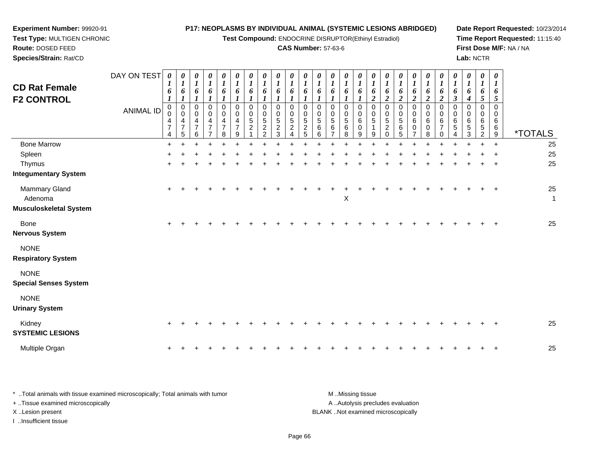**Test Compound:** ENDOCRINE DISRUPTOR(Ethinyl Estradiol)

# **CAS Number:** 57-63-6

**Date Report Requested:** 10/23/2014 **Time Report Requested:** 11:15:40**First Dose M/F:** NA / NA**Lab:** NCTR

| <b>CD Rat Female</b><br><b>F2 CONTROL</b>          | DAY ON TEST<br><b>ANIMAL ID</b> | 0<br>$\boldsymbol{I}$<br>6<br>1<br>$\pmb{0}$<br>0<br>4<br>$\overline{7}$<br>4 | 1<br>6<br>1<br>$\pmb{0}$<br>$\mathbf 0$<br>4<br>$\overline{7}$<br>5 | 0<br>1<br>6<br>0<br>0<br>4<br>$\overline{7}$<br>6 | 0<br>$\boldsymbol{l}$<br>6<br>1<br>$\pmb{0}$<br>0<br>4<br>$\overline{7}$<br>$\overline{ }$ | 0<br>$\boldsymbol{l}$<br>6<br>1<br>$\pmb{0}$<br>0<br>4<br>$\overline{7}$<br>8 | $\boldsymbol{l}$<br>6<br>1<br>$\mathbf 0$<br>$\mathbf 0$<br>$\overline{4}$<br>$\overline{7}$<br>9 | 0<br>6<br>$\Omega$<br>$\Omega$<br>5<br>$\overline{c}$ | 0<br>6<br>$\Omega$<br>$\Omega$<br>$\sqrt{5}$<br>$\overline{2}$<br>2 | 6<br>1<br>$\Omega$<br>0<br>5<br>$\overline{c}$<br>3 | 6<br>$\Omega$<br>$\Omega$<br>5<br>$\overline{2}$ | 6<br>$\Omega$<br>$\Omega$<br>5<br>$\overline{c}$<br>5 | 0<br>6<br>$\Omega$<br>$\Omega$<br>$\sqrt{5}$<br>6<br>6 | 0<br>$\boldsymbol{l}$<br>6<br>$\mathbf 0$<br>0<br>5<br>6<br>$\overline{ }$ | $\boldsymbol{\theta}$<br>6<br>$\Omega$<br>$\mathbf 0$<br>5<br>6<br>8 | $\boldsymbol{\theta}$<br>6<br>$\Omega$<br>0<br>6<br>0<br>9 | 0<br>$\boldsymbol{l}$<br>6<br>$\overline{2}$<br>$\mathbf 0$<br>$\mathbf 0$<br>5<br>$\mathbf{1}$<br>9 | 0<br>6<br>$\overline{2}$<br>$\mathbf 0$<br>0<br>5<br>$\overline{c}$<br>0 | $\boldsymbol{\theta}$<br>6<br>$\overline{2}$<br>$\mathbf 0$<br>$\Omega$<br>$\overline{5}$<br>6<br>5 | 0<br>$\boldsymbol{l}$<br>6<br>$\boldsymbol{2}$<br>$\mathbf 0$<br>$\mathbf 0$<br>$\,6\,$<br>0 | 0<br>$\mathbf{I}$<br>6<br>$\overline{2}$<br>0<br>$\mathbf 0$<br>$\,6\,$<br>0<br>8 | 0<br>$\boldsymbol{l}$<br>6<br>$\boldsymbol{2}$<br>$\pmb{0}$<br>0<br>6<br>$\overline{7}$<br>$\Omega$ | 0<br>$\boldsymbol{l}$<br>6<br>$\boldsymbol{\beta}$<br>$\mathbf 0$<br>$\mathbf 0$<br>6<br>$\sqrt{5}$ | 0<br>$\boldsymbol{l}$<br>6<br>$\boldsymbol{4}$<br>$\pmb{0}$<br>$\mathbf 0$<br>6<br>$\,$ 5 $\,$<br>3 | $\boldsymbol{\theta}$<br>$\boldsymbol{l}$<br>6<br>5<br>$\mathbf 0$<br>0<br>6<br>$\sqrt{5}$<br>$\overline{2}$ | $\boldsymbol{\theta}$<br>$\boldsymbol{l}$<br>6<br>5<br>$\Omega$<br>$\Omega$<br>6<br>6<br>9 | <i><b>*TOTALS</b></i> |
|----------------------------------------------------|---------------------------------|-------------------------------------------------------------------------------|---------------------------------------------------------------------|---------------------------------------------------|--------------------------------------------------------------------------------------------|-------------------------------------------------------------------------------|---------------------------------------------------------------------------------------------------|-------------------------------------------------------|---------------------------------------------------------------------|-----------------------------------------------------|--------------------------------------------------|-------------------------------------------------------|--------------------------------------------------------|----------------------------------------------------------------------------|----------------------------------------------------------------------|------------------------------------------------------------|------------------------------------------------------------------------------------------------------|--------------------------------------------------------------------------|-----------------------------------------------------------------------------------------------------|----------------------------------------------------------------------------------------------|-----------------------------------------------------------------------------------|-----------------------------------------------------------------------------------------------------|-----------------------------------------------------------------------------------------------------|-----------------------------------------------------------------------------------------------------|--------------------------------------------------------------------------------------------------------------|--------------------------------------------------------------------------------------------|-----------------------|
| <b>Bone Marrow</b>                                 |                                 | $\ddot{}$                                                                     |                                                                     |                                                   |                                                                                            |                                                                               |                                                                                                   |                                                       |                                                                     |                                                     |                                                  |                                                       |                                                        |                                                                            |                                                                      |                                                            |                                                                                                      |                                                                          |                                                                                                     |                                                                                              |                                                                                   |                                                                                                     |                                                                                                     |                                                                                                     |                                                                                                              | $\ddot{}$                                                                                  | 25                    |
| Spleen                                             |                                 |                                                                               |                                                                     |                                                   |                                                                                            |                                                                               |                                                                                                   |                                                       |                                                                     |                                                     |                                                  |                                                       |                                                        |                                                                            |                                                                      |                                                            |                                                                                                      |                                                                          |                                                                                                     |                                                                                              |                                                                                   |                                                                                                     |                                                                                                     |                                                                                                     |                                                                                                              |                                                                                            | 25                    |
| Thymus<br><b>Integumentary System</b>              |                                 |                                                                               |                                                                     |                                                   |                                                                                            |                                                                               |                                                                                                   |                                                       |                                                                     |                                                     |                                                  |                                                       |                                                        |                                                                            |                                                                      |                                                            |                                                                                                      |                                                                          |                                                                                                     |                                                                                              |                                                                                   |                                                                                                     |                                                                                                     |                                                                                                     |                                                                                                              |                                                                                            | 25                    |
| Mammary Gland<br>Adenoma<br>Musculoskeletal System |                                 | $+$                                                                           |                                                                     |                                                   |                                                                                            |                                                                               |                                                                                                   |                                                       |                                                                     |                                                     |                                                  |                                                       |                                                        |                                                                            | $\boldsymbol{\mathsf{X}}$                                            |                                                            |                                                                                                      |                                                                          |                                                                                                     |                                                                                              |                                                                                   |                                                                                                     |                                                                                                     |                                                                                                     |                                                                                                              |                                                                                            | 25<br>$\mathbf{1}$    |
| <b>Bone</b><br>Nervous System                      |                                 | $\pm$                                                                         |                                                                     |                                                   |                                                                                            |                                                                               |                                                                                                   |                                                       |                                                                     |                                                     |                                                  |                                                       |                                                        |                                                                            |                                                                      |                                                            |                                                                                                      |                                                                          |                                                                                                     |                                                                                              |                                                                                   |                                                                                                     |                                                                                                     |                                                                                                     |                                                                                                              |                                                                                            | 25                    |
| <b>NONE</b><br><b>Respiratory System</b>           |                                 |                                                                               |                                                                     |                                                   |                                                                                            |                                                                               |                                                                                                   |                                                       |                                                                     |                                                     |                                                  |                                                       |                                                        |                                                                            |                                                                      |                                                            |                                                                                                      |                                                                          |                                                                                                     |                                                                                              |                                                                                   |                                                                                                     |                                                                                                     |                                                                                                     |                                                                                                              |                                                                                            |                       |
| <b>NONE</b><br><b>Special Senses System</b>        |                                 |                                                                               |                                                                     |                                                   |                                                                                            |                                                                               |                                                                                                   |                                                       |                                                                     |                                                     |                                                  |                                                       |                                                        |                                                                            |                                                                      |                                                            |                                                                                                      |                                                                          |                                                                                                     |                                                                                              |                                                                                   |                                                                                                     |                                                                                                     |                                                                                                     |                                                                                                              |                                                                                            |                       |
| <b>NONE</b><br><b>Urinary System</b>               |                                 |                                                                               |                                                                     |                                                   |                                                                                            |                                                                               |                                                                                                   |                                                       |                                                                     |                                                     |                                                  |                                                       |                                                        |                                                                            |                                                                      |                                                            |                                                                                                      |                                                                          |                                                                                                     |                                                                                              |                                                                                   |                                                                                                     |                                                                                                     |                                                                                                     |                                                                                                              |                                                                                            |                       |
| Kidney<br><b>SYSTEMIC LESIONS</b>                  |                                 |                                                                               |                                                                     |                                                   |                                                                                            |                                                                               |                                                                                                   |                                                       |                                                                     |                                                     |                                                  |                                                       |                                                        |                                                                            |                                                                      |                                                            |                                                                                                      |                                                                          |                                                                                                     |                                                                                              |                                                                                   |                                                                                                     |                                                                                                     |                                                                                                     |                                                                                                              |                                                                                            | 25                    |
| Multiple Organ                                     |                                 | $\ddot{}$                                                                     |                                                                     |                                                   |                                                                                            |                                                                               |                                                                                                   |                                                       |                                                                     |                                                     |                                                  |                                                       |                                                        |                                                                            |                                                                      |                                                            |                                                                                                      |                                                                          |                                                                                                     |                                                                                              |                                                                                   |                                                                                                     |                                                                                                     |                                                                                                     |                                                                                                              |                                                                                            | 25                    |
|                                                    |                                 |                                                                               |                                                                     |                                                   |                                                                                            |                                                                               |                                                                                                   |                                                       |                                                                     |                                                     |                                                  |                                                       |                                                        |                                                                            |                                                                      |                                                            |                                                                                                      |                                                                          |                                                                                                     |                                                                                              |                                                                                   |                                                                                                     |                                                                                                     |                                                                                                     |                                                                                                              |                                                                                            |                       |

| Total animals with tissue examined microscopically; Total animals with tumor | M Missing tissue                   |
|------------------------------------------------------------------------------|------------------------------------|
| + Tissue examined microscopically                                            | A Autolysis precludes evaluation   |
| X Lesion present                                                             | BLANK Not examined microscopically |
| …Insufficient tissue                                                         |                                    |

**Experiment Number:** 99920-91**Test Type:** MULTIGEN CHRONIC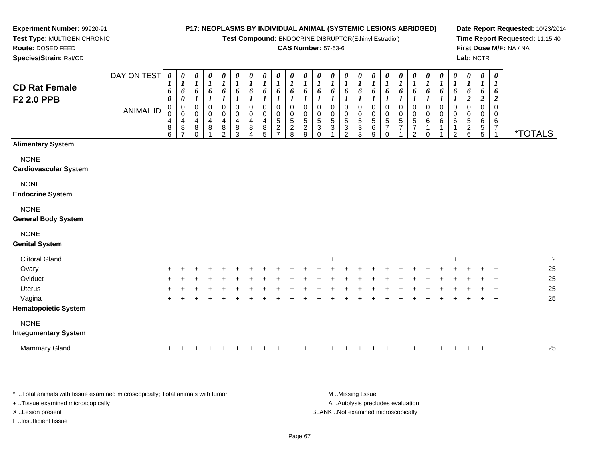**Test Compound:** ENDOCRINE DISRUPTOR(Ethinyl Estradiol)

### **CAS Number:** 57-63-6

**Date Report Requested:** 10/23/2014**Time Report Requested:** 11:15:40**First Dose M/F:** NA / NA**Lab:** NCTR

 **Test Type:** MULTIGEN CHRONIC**Route:** DOSED FEED**Species/Strain:** Rat/CD

**Experiment Number:** 99920-91

| <b>CD Rat Female</b><br>F2 2.0 PPB          | DAY ON TEST      | 0<br>6<br>0<br>0                                           | 0<br>$\boldsymbol{l}$<br>6<br>$\pmb{\theta}$<br>$\pmb{0}$ | 0<br>$\boldsymbol{l}$<br>6<br>$\boldsymbol{l}$<br>$\pmb{0}$ | 0<br>$\boldsymbol{l}$<br>6<br>$\boldsymbol{l}$<br>$\mathbf 0$ | 0<br>$\boldsymbol{l}$<br>6<br>$\boldsymbol{l}$<br>$\pmb{0}$       | 0<br>$\boldsymbol{l}$<br>6<br>$\boldsymbol{l}$<br>$\pmb{0}$ | 0<br>$\boldsymbol{l}$<br>6<br>$\boldsymbol{l}$<br>$\mathbf 0$ | 0<br>$\boldsymbol{l}$<br>6<br>$\pmb{0}$ | 0<br>$\boldsymbol{l}$<br>6<br>$\boldsymbol{l}$<br>$\mathbf 0$   | 0<br>$\boldsymbol{l}$<br>6<br>$\boldsymbol{l}$<br>$\mathbf 0$ | 0<br>$\boldsymbol{l}$<br>6<br>$\mathbf 0$          | 0<br>$\boldsymbol{l}$<br>6<br>$\mathbf 0$ | 0<br>$\boldsymbol{l}$<br>6<br>0         | 0<br>$\boldsymbol{l}$<br>6<br>$\mathbf{I}$<br>$\mathbf 0$ | 0<br>$\boldsymbol{l}$<br>6<br>0     | 0<br>$\boldsymbol{l}$<br>6<br>$\boldsymbol{l}$<br>$\mathbf 0$ | 0<br>$\boldsymbol{l}$<br>6<br>1<br>$\pmb{0}$                | 0<br>$\boldsymbol{l}$<br>6<br>$\mathbf 0$  | 0<br>$\boldsymbol{l}$<br>6<br>1<br>$\pmb{0}$   | 0<br>$\boldsymbol{l}$<br>6<br>$\mathbf 0$ | 0<br>$\boldsymbol{l}$<br>6<br>$\mathbf 0$ | 0<br>$\boldsymbol{l}$<br>6<br>$\mathbf 0$ | 0<br>$\boldsymbol{l}$<br>6<br>$\boldsymbol{2}$<br>0 | 0<br>1<br>6<br>$\boldsymbol{2}$<br>$\mathbf 0$ | 0<br>$\boldsymbol{l}$<br>6<br>$\boldsymbol{2}$<br>$\mathbf 0$ |                       |
|---------------------------------------------|------------------|------------------------------------------------------------|-----------------------------------------------------------|-------------------------------------------------------------|---------------------------------------------------------------|-------------------------------------------------------------------|-------------------------------------------------------------|---------------------------------------------------------------|-----------------------------------------|-----------------------------------------------------------------|---------------------------------------------------------------|----------------------------------------------------|-------------------------------------------|-----------------------------------------|-----------------------------------------------------------|-------------------------------------|---------------------------------------------------------------|-------------------------------------------------------------|--------------------------------------------|------------------------------------------------|-------------------------------------------|-------------------------------------------|-------------------------------------------|-----------------------------------------------------|------------------------------------------------|---------------------------------------------------------------|-----------------------|
|                                             | <b>ANIMAL ID</b> | $\mathsf 0$<br>$\overline{4}$<br>$\bf 8$<br>$\overline{6}$ | $\pmb{0}$<br>4<br>8<br>$\overline{7}$                     | $\pmb{0}$<br>$\overline{4}$<br>$\bf 8$<br>$\Omega$          | $\mathbf 0$<br>4<br>8                                         | $\pmb{0}$<br>$\overline{\mathbf{4}}$<br>$\bf 8$<br>$\overline{2}$ | $\mathbf 0$<br>4<br>$\, 8$<br>3                             | 0<br>4<br>8<br>$\Delta$                                       | $\mathsf 0$<br>4<br>$^8_5$              | $\mathbf 0$<br>$\sqrt{5}$<br>$\boldsymbol{2}$<br>$\overline{ }$ | $\mathbf 0$<br>$\frac{5}{2}$                                  | $\mathbf 0$<br>$\sqrt{5}$<br>$\boldsymbol{2}$<br>9 | $\mathbf 0$<br>5<br>3<br>$\Omega$         | $\pmb{0}$<br>$\sqrt{5}$<br>$\mathbf{3}$ | $\mathbf 0$<br>$\overline{5}$<br>$\sqrt{3}$<br>2          | $\pmb{0}$<br>5<br>$\mathbf{3}$<br>3 | $\pmb{0}$<br>$\frac{5}{9}$                                    | $\mathbf 0$<br>$\overline{5}$<br>$\overline{7}$<br>$\Omega$ | $\begin{array}{c} 0 \\ 5 \\ 7 \end{array}$ | $\mathbf 0$<br>$\frac{5}{7}$<br>$\overline{c}$ | $\pmb{0}$<br>6<br>1<br>$\Omega$           | $\pmb{0}$<br>6                            | $\mathbf 0$<br>6<br>2                     | 0<br>5<br>$\begin{array}{c} 2 \\ 6 \end{array}$     | $\mathbf 0$<br>6<br>$\,$ 5 $\,$<br>5           | $\mathbf 0$<br>6<br>$\boldsymbol{7}$<br>$\mathbf{1}$          | <i><b>*TOTALS</b></i> |
| <b>Alimentary System</b>                    |                  |                                                            |                                                           |                                                             |                                                               |                                                                   |                                                             |                                                               |                                         |                                                                 |                                                               |                                                    |                                           |                                         |                                                           |                                     |                                                               |                                                             |                                            |                                                |                                           |                                           |                                           |                                                     |                                                |                                                               |                       |
| <b>NONE</b><br><b>Cardiovascular System</b> |                  |                                                            |                                                           |                                                             |                                                               |                                                                   |                                                             |                                                               |                                         |                                                                 |                                                               |                                                    |                                           |                                         |                                                           |                                     |                                                               |                                                             |                                            |                                                |                                           |                                           |                                           |                                                     |                                                |                                                               |                       |
| <b>NONE</b><br><b>Endocrine System</b>      |                  |                                                            |                                                           |                                                             |                                                               |                                                                   |                                                             |                                                               |                                         |                                                                 |                                                               |                                                    |                                           |                                         |                                                           |                                     |                                                               |                                                             |                                            |                                                |                                           |                                           |                                           |                                                     |                                                |                                                               |                       |
| <b>NONE</b><br><b>General Body System</b>   |                  |                                                            |                                                           |                                                             |                                                               |                                                                   |                                                             |                                                               |                                         |                                                                 |                                                               |                                                    |                                           |                                         |                                                           |                                     |                                                               |                                                             |                                            |                                                |                                           |                                           |                                           |                                                     |                                                |                                                               |                       |
| <b>NONE</b><br><b>Genital System</b>        |                  |                                                            |                                                           |                                                             |                                                               |                                                                   |                                                             |                                                               |                                         |                                                                 |                                                               |                                                    |                                           |                                         |                                                           |                                     |                                                               |                                                             |                                            |                                                |                                           |                                           |                                           |                                                     |                                                |                                                               |                       |
| <b>Clitoral Gland</b>                       |                  |                                                            |                                                           |                                                             |                                                               |                                                                   |                                                             |                                                               |                                         |                                                                 |                                                               |                                                    |                                           | $+$                                     |                                                           |                                     |                                                               |                                                             |                                            |                                                |                                           |                                           | $\ddot{}$                                 |                                                     |                                                |                                                               | $\overline{2}$        |
| Ovary                                       |                  |                                                            |                                                           |                                                             |                                                               |                                                                   |                                                             |                                                               |                                         |                                                                 |                                                               |                                                    |                                           |                                         |                                                           |                                     |                                                               |                                                             |                                            |                                                |                                           |                                           |                                           |                                                     |                                                |                                                               | 25                    |
| Oviduct                                     |                  |                                                            |                                                           |                                                             |                                                               |                                                                   |                                                             |                                                               |                                         |                                                                 |                                                               |                                                    |                                           |                                         |                                                           |                                     |                                                               |                                                             |                                            |                                                |                                           |                                           |                                           |                                                     |                                                |                                                               | 25                    |
| <b>Uterus</b>                               |                  |                                                            |                                                           |                                                             |                                                               |                                                                   |                                                             |                                                               |                                         |                                                                 |                                                               |                                                    |                                           |                                         |                                                           |                                     |                                                               |                                                             |                                            |                                                |                                           |                                           |                                           |                                                     |                                                |                                                               | 25                    |
| Vagina<br><b>Hematopoietic System</b>       |                  |                                                            |                                                           |                                                             |                                                               |                                                                   |                                                             |                                                               |                                         |                                                                 |                                                               |                                                    |                                           |                                         |                                                           |                                     |                                                               |                                                             |                                            |                                                |                                           |                                           |                                           |                                                     |                                                | $\ddot{}$                                                     | 25                    |
| <b>NONE</b><br><b>Integumentary System</b>  |                  |                                                            |                                                           |                                                             |                                                               |                                                                   |                                                             |                                                               |                                         |                                                                 |                                                               |                                                    |                                           |                                         |                                                           |                                     |                                                               |                                                             |                                            |                                                |                                           |                                           |                                           |                                                     |                                                |                                                               |                       |
| <b>Mammary Gland</b>                        |                  |                                                            |                                                           |                                                             |                                                               |                                                                   |                                                             |                                                               |                                         |                                                                 |                                                               |                                                    |                                           |                                         |                                                           |                                     |                                                               |                                                             |                                            |                                                |                                           |                                           |                                           |                                                     |                                                | $\div$                                                        | 25                    |

\* ..Total animals with tissue examined microscopically; Total animals with tumor **M** ...Missing tissue M ...Missing tissue A ..Autolysis precludes evaluation + ..Tissue examined microscopically X ..Lesion present BLANK ..Not examined microscopicallyI ..Insufficient tissue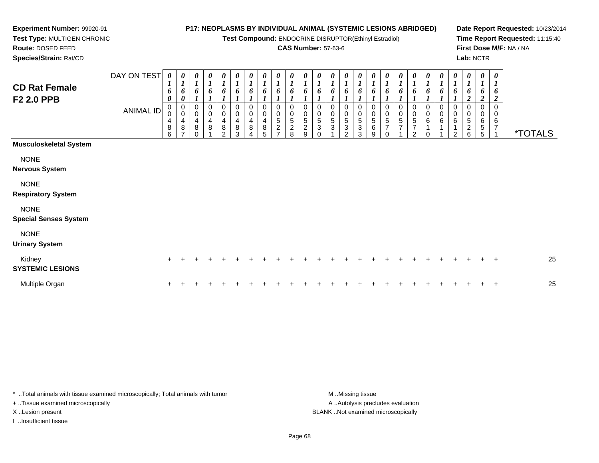**Test Compound:** ENDOCRINE DISRUPTOR(Ethinyl Estradiol)

### **CAS Number:** 57-63-6

**Date Report Requested:** 10/23/2014**Time Report Requested:** 11:15:40**First Dose M/F:** NA / NA**Lab:** NCTR

 **Test Type:** MULTIGEN CHRONIC**Route:** DOSED FEED**Species/Strain:** Rat/CD

**Experiment Number:** 99920-91

| <b>CD Rat Female</b><br><b>F2 2.0 PPB</b>   | DAY ON TEST<br>ANIMAL ID | $\boldsymbol{\theta}$<br>$\boldsymbol{l}$<br>6<br>0<br>0<br>$\,0\,$<br>$\begin{array}{c} 4 \\ 8 \end{array}$<br>6 | 0<br>$\boldsymbol{l}$<br>6<br>0<br>0<br>0<br>$\frac{4}{8}$<br>$\overline{ }$ | 0<br>$\boldsymbol{l}$<br>6<br>0<br>$\mathbf 0$<br>4<br>$\bf 8$<br>0 | 0<br>$\boldsymbol{l}$<br>6<br>0<br>4<br>8 | $\boldsymbol{\theta}$<br>$\boldsymbol{l}$<br>6<br>0<br>$\pmb{0}$<br>4<br>$\,8\,$<br>$\mathfrak{D}$ | 0<br>$\boldsymbol{l}$<br>6<br>0<br>0<br>$\overline{\mathbf{4}}$<br>8<br>3 | 0<br>$\boldsymbol{l}$<br>6<br>0<br>$\pmb{0}$<br>$\overline{\mathbf{4}}$<br>8<br>4 | $\boldsymbol{\theta}$<br>$\boldsymbol{l}$<br>6<br>0<br>$\mathbf 0$<br>$\begin{array}{c} 4 \\ 8 \end{array}$<br>5 | $\boldsymbol{\theta}$<br>$\boldsymbol{l}$<br>6<br>0<br>$\mathbf 0$<br>$\overline{5}$<br>$\boldsymbol{2}$<br>⇁ | $\pmb{\theta}$<br>$\boldsymbol{l}$<br>6<br>0<br>$\pmb{0}$<br>5<br>$\boldsymbol{2}$<br>8 | $\boldsymbol{\theta}$<br>$\boldsymbol{l}$<br>6<br>$\pmb{0}$<br>5<br>2<br>9 | $\pmb{\theta}$<br>$\boldsymbol{l}$<br>6<br>0<br>$\begin{array}{c} 0 \\ 5 \end{array}$<br>3<br>$\Omega$ | 0<br>$\boldsymbol{l}$<br>6<br>0<br>$\mathbf 0$<br>$\overline{5}$<br>3 | 0<br>$\boldsymbol{l}$<br>6<br>0<br>$\,0\,$<br>$\overline{5}$<br>$\sqrt{3}$<br>2 | $\boldsymbol{\theta}$<br>$\boldsymbol{l}$<br>6<br>0<br>$\pmb{0}$<br>5<br>$\sqrt{3}$<br>3 | 0<br>$\boldsymbol{l}$<br>6<br>0<br>$\pmb{0}$<br>5<br>$\,6$<br>9 | 0<br>$\boldsymbol{l}$<br>6<br>0<br>$\pmb{0}$<br>5<br>$\overline{ }$<br>$\Omega$ | $\boldsymbol{\theta}$<br>$\boldsymbol{l}$<br>0<br>$\mathbf 0$<br>5<br>$\overline{7}$ | $\frac{\theta}{I}$<br>6<br>0<br>$\frac{0}{5}$<br>$\overline{7}$<br>$\mathfrak{p}$ | $\frac{\theta}{I}$<br>6<br>0<br>$_{6}^{\rm 0}$<br>$\Omega$ | 0<br>$\boldsymbol{l}$<br>6<br>0<br>$\begin{matrix} 0 \\ 6 \end{matrix}$ | $\boldsymbol{\theta}$<br>$\boldsymbol{\mathit{1}}$<br>6<br>0<br>$\mathbf 0$<br>$\,6\,$<br>$\mathcal{P}$ | 0<br>$\boldsymbol{l}$<br>6<br>0<br>$\mathbf 0$<br>5<br>2<br>6 | $\pmb{\theta}$<br>$\boldsymbol{l}$<br>6<br>2<br>0<br>0<br>6<br>$\,$ 5 $\,$<br>5 | $\boldsymbol{\theta}$<br>$\boldsymbol{l}$<br>6<br>$\overline{2}$<br>$\mathbf 0$<br>$\mathbf 0$<br>$6\phantom{1}6$<br>$\overline{7}$ | <i><b>*TOTALS</b></i> |
|---------------------------------------------|--------------------------|-------------------------------------------------------------------------------------------------------------------|------------------------------------------------------------------------------|---------------------------------------------------------------------|-------------------------------------------|----------------------------------------------------------------------------------------------------|---------------------------------------------------------------------------|-----------------------------------------------------------------------------------|------------------------------------------------------------------------------------------------------------------|---------------------------------------------------------------------------------------------------------------|-----------------------------------------------------------------------------------------|----------------------------------------------------------------------------|--------------------------------------------------------------------------------------------------------|-----------------------------------------------------------------------|---------------------------------------------------------------------------------|------------------------------------------------------------------------------------------|-----------------------------------------------------------------|---------------------------------------------------------------------------------|--------------------------------------------------------------------------------------|-----------------------------------------------------------------------------------|------------------------------------------------------------|-------------------------------------------------------------------------|---------------------------------------------------------------------------------------------------------|---------------------------------------------------------------|---------------------------------------------------------------------------------|-------------------------------------------------------------------------------------------------------------------------------------|-----------------------|
| <b>Musculoskeletal System</b>               |                          |                                                                                                                   |                                                                              |                                                                     |                                           |                                                                                                    |                                                                           |                                                                                   |                                                                                                                  |                                                                                                               |                                                                                         |                                                                            |                                                                                                        |                                                                       |                                                                                 |                                                                                          |                                                                 |                                                                                 |                                                                                      |                                                                                   |                                                            |                                                                         |                                                                                                         |                                                               |                                                                                 |                                                                                                                                     |                       |
| <b>NONE</b><br><b>Nervous System</b>        |                          |                                                                                                                   |                                                                              |                                                                     |                                           |                                                                                                    |                                                                           |                                                                                   |                                                                                                                  |                                                                                                               |                                                                                         |                                                                            |                                                                                                        |                                                                       |                                                                                 |                                                                                          |                                                                 |                                                                                 |                                                                                      |                                                                                   |                                                            |                                                                         |                                                                                                         |                                                               |                                                                                 |                                                                                                                                     |                       |
| <b>NONE</b><br><b>Respiratory System</b>    |                          |                                                                                                                   |                                                                              |                                                                     |                                           |                                                                                                    |                                                                           |                                                                                   |                                                                                                                  |                                                                                                               |                                                                                         |                                                                            |                                                                                                        |                                                                       |                                                                                 |                                                                                          |                                                                 |                                                                                 |                                                                                      |                                                                                   |                                                            |                                                                         |                                                                                                         |                                                               |                                                                                 |                                                                                                                                     |                       |
| <b>NONE</b><br><b>Special Senses System</b> |                          |                                                                                                                   |                                                                              |                                                                     |                                           |                                                                                                    |                                                                           |                                                                                   |                                                                                                                  |                                                                                                               |                                                                                         |                                                                            |                                                                                                        |                                                                       |                                                                                 |                                                                                          |                                                                 |                                                                                 |                                                                                      |                                                                                   |                                                            |                                                                         |                                                                                                         |                                                               |                                                                                 |                                                                                                                                     |                       |
| <b>NONE</b><br><b>Urinary System</b>        |                          |                                                                                                                   |                                                                              |                                                                     |                                           |                                                                                                    |                                                                           |                                                                                   |                                                                                                                  |                                                                                                               |                                                                                         |                                                                            |                                                                                                        |                                                                       |                                                                                 |                                                                                          |                                                                 |                                                                                 |                                                                                      |                                                                                   |                                                            |                                                                         |                                                                                                         |                                                               |                                                                                 |                                                                                                                                     |                       |
| Kidney<br><b>SYSTEMIC LESIONS</b>           |                          | $\pm$                                                                                                             |                                                                              |                                                                     |                                           |                                                                                                    |                                                                           |                                                                                   |                                                                                                                  |                                                                                                               |                                                                                         |                                                                            |                                                                                                        |                                                                       |                                                                                 |                                                                                          |                                                                 |                                                                                 |                                                                                      |                                                                                   |                                                            |                                                                         |                                                                                                         |                                                               |                                                                                 | $\div$                                                                                                                              | 25                    |
| Multiple Organ                              |                          |                                                                                                                   |                                                                              |                                                                     |                                           |                                                                                                    |                                                                           |                                                                                   |                                                                                                                  |                                                                                                               |                                                                                         |                                                                            |                                                                                                        |                                                                       |                                                                                 |                                                                                          |                                                                 |                                                                                 |                                                                                      |                                                                                   |                                                            |                                                                         |                                                                                                         |                                                               |                                                                                 | $\div$                                                                                                                              | 25                    |

\* ..Total animals with tissue examined microscopically; Total animals with tumor **M** . Missing tissue M ..Missing tissue

+ ..Tissue examined microscopically

I ..Insufficient tissue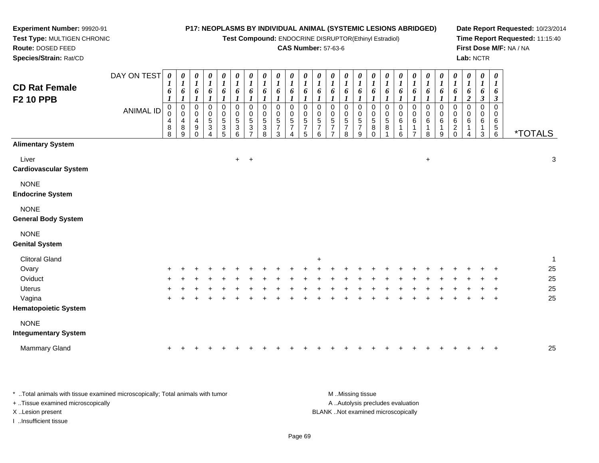**Test Compound:** ENDOCRINE DISRUPTOR(Ethinyl Estradiol)

### **CAS Number:** 57-63-6

**Date Report Requested:** 10/23/2014**Time Report Requested:** 11:15:40**First Dose M/F:** NA / NA**Lab:** NCTR

| <b>CD Rat Female</b><br><b>F2 10 PPB</b>   | DAY ON TEST<br><b>ANIMAL ID</b> | 0<br>$\boldsymbol{l}$<br>6<br>$\boldsymbol{l}$<br>$\pmb{0}$<br>0<br>4<br>8<br>8 | $\boldsymbol{\theta}$<br>$\boldsymbol{l}$<br>6<br>$\boldsymbol{l}$<br>$\pmb{0}$<br>$\mathbf 0$<br>4<br>8<br>$\boldsymbol{9}$ | $\boldsymbol{\theta}$<br>$\boldsymbol{l}$<br>6<br>1<br>$\pmb{0}$<br>$\mathbf 0$<br>4<br>9<br>$\Omega$ | $\boldsymbol{\theta}$<br>$\boldsymbol{l}$<br>6<br>1<br>$\pmb{0}$<br>$\pmb{0}$<br>$\,$ 5 $\,$<br>$\ensuremath{\mathsf{3}}$<br>4 | 0<br>$\boldsymbol{l}$<br>6<br>0<br>0<br>5<br>3<br>5 | 0<br>$\boldsymbol{l}$<br>6<br>$\pmb{0}$<br>0<br>$\sqrt{5}$<br>3<br>6 | $\pmb{\theta}$<br>$\boldsymbol{l}$<br>6<br>$\boldsymbol{l}$<br>$\,0\,$<br>0<br>$\sqrt{5}$<br>3<br>$\overline{7}$ | 0<br>$\boldsymbol{l}$<br>6<br>$\boldsymbol{l}$<br>$\pmb{0}$<br>$\pmb{0}$<br>$\mathbf 5$<br>$\ensuremath{\mathsf{3}}$<br>8 | $\frac{\theta}{I}$<br>6<br>1<br>0<br>$\mathbf 0$<br>5<br>$\overline{7}$<br>3 | 0<br>$\boldsymbol{l}$<br>6<br>$\boldsymbol{l}$<br>$\pmb{0}$<br>0<br>$\,$ 5 $\,$<br>$\boldsymbol{7}$<br>4 | $\boldsymbol{\theta}$<br>$\boldsymbol{l}$<br>6<br>$\boldsymbol{l}$<br>$\pmb{0}$<br>0<br>$\overline{5}$<br>$\overline{7}$<br>$\overline{5}$ | $\frac{\theta}{I}$<br>6<br>$\,0\,$<br>$\,0\,$<br>$\frac{5}{7}$<br>$\,6$ | $\boldsymbol{\theta}$<br>$\boldsymbol{l}$<br>6<br>0<br>0<br>$\frac{5}{7}$<br>$\overline{ }$ | 0<br>$\boldsymbol{l}$<br>6<br>0<br>0<br>5<br>$\overline{\mathcal{I}}$<br>8 | $\boldsymbol{\theta}$<br>$\boldsymbol{l}$<br>6<br>0<br>0<br>$\sqrt{5}$<br>$\overline{7}$<br>9 | 0<br>$\boldsymbol{l}$<br>6<br>$\mathbf 0$<br>0<br>5<br>8<br>$\Omega$ | $\pmb{\theta}$<br>$\boldsymbol{l}$<br>6<br>$\boldsymbol{l}$<br>$\mathbf 0$<br>0<br>$\sqrt{5}$<br>8 | 0<br>$\boldsymbol{l}$<br>6<br>1<br>$\pmb{0}$<br>0<br>6<br>1<br>6 | 0<br>$\boldsymbol{l}$<br>6<br>$\boldsymbol{l}$<br>$\pmb{0}$<br>0<br>6<br>1<br>$\overline{\phantom{a}}$ | 0<br>$\boldsymbol{l}$<br>6<br>1<br>0<br>0<br>6<br>1<br>8 | $\pmb{\theta}$<br>$\boldsymbol{l}$<br>6<br>$\boldsymbol{l}$<br>0<br>0<br>6<br>1<br>9 | $\boldsymbol{\theta}$<br>$\boldsymbol{l}$<br>6<br>1<br>0<br>0<br>6<br>$\boldsymbol{2}$<br>$\Omega$ | $\boldsymbol{\theta}$<br>$\boldsymbol{l}$<br>6<br>$\boldsymbol{2}$<br>$\pmb{0}$<br>0<br>$\,6$<br>4 | 0<br>$\boldsymbol{l}$<br>6<br>$\boldsymbol{\beta}$<br>0<br>0<br>6<br>1<br>3 | $\pmb{\theta}$<br>$\boldsymbol{l}$<br>6<br>$\boldsymbol{\beta}$<br>$\mathbf 0$<br>0<br>6<br>$\begin{array}{c} 5 \\ 6 \end{array}$ | <i><b>*TOTALS</b></i> |
|--------------------------------------------|---------------------------------|---------------------------------------------------------------------------------|------------------------------------------------------------------------------------------------------------------------------|-------------------------------------------------------------------------------------------------------|--------------------------------------------------------------------------------------------------------------------------------|-----------------------------------------------------|----------------------------------------------------------------------|------------------------------------------------------------------------------------------------------------------|---------------------------------------------------------------------------------------------------------------------------|------------------------------------------------------------------------------|----------------------------------------------------------------------------------------------------------|--------------------------------------------------------------------------------------------------------------------------------------------|-------------------------------------------------------------------------|---------------------------------------------------------------------------------------------|----------------------------------------------------------------------------|-----------------------------------------------------------------------------------------------|----------------------------------------------------------------------|----------------------------------------------------------------------------------------------------|------------------------------------------------------------------|--------------------------------------------------------------------------------------------------------|----------------------------------------------------------|--------------------------------------------------------------------------------------|----------------------------------------------------------------------------------------------------|----------------------------------------------------------------------------------------------------|-----------------------------------------------------------------------------|-----------------------------------------------------------------------------------------------------------------------------------|-----------------------|
| <b>Alimentary System</b>                   |                                 |                                                                                 |                                                                                                                              |                                                                                                       |                                                                                                                                |                                                     |                                                                      |                                                                                                                  |                                                                                                                           |                                                                              |                                                                                                          |                                                                                                                                            |                                                                         |                                                                                             |                                                                            |                                                                                               |                                                                      |                                                                                                    |                                                                  |                                                                                                        |                                                          |                                                                                      |                                                                                                    |                                                                                                    |                                                                             |                                                                                                                                   |                       |
| Liver<br><b>Cardiovascular System</b>      |                                 |                                                                                 |                                                                                                                              |                                                                                                       |                                                                                                                                |                                                     | $+$                                                                  | $+$                                                                                                              |                                                                                                                           |                                                                              |                                                                                                          |                                                                                                                                            |                                                                         |                                                                                             |                                                                            |                                                                                               |                                                                      |                                                                                                    |                                                                  |                                                                                                        | $\ddot{}$                                                |                                                                                      |                                                                                                    |                                                                                                    |                                                                             |                                                                                                                                   | 3                     |
| <b>NONE</b><br><b>Endocrine System</b>     |                                 |                                                                                 |                                                                                                                              |                                                                                                       |                                                                                                                                |                                                     |                                                                      |                                                                                                                  |                                                                                                                           |                                                                              |                                                                                                          |                                                                                                                                            |                                                                         |                                                                                             |                                                                            |                                                                                               |                                                                      |                                                                                                    |                                                                  |                                                                                                        |                                                          |                                                                                      |                                                                                                    |                                                                                                    |                                                                             |                                                                                                                                   |                       |
| <b>NONE</b><br><b>General Body System</b>  |                                 |                                                                                 |                                                                                                                              |                                                                                                       |                                                                                                                                |                                                     |                                                                      |                                                                                                                  |                                                                                                                           |                                                                              |                                                                                                          |                                                                                                                                            |                                                                         |                                                                                             |                                                                            |                                                                                               |                                                                      |                                                                                                    |                                                                  |                                                                                                        |                                                          |                                                                                      |                                                                                                    |                                                                                                    |                                                                             |                                                                                                                                   |                       |
| <b>NONE</b><br><b>Genital System</b>       |                                 |                                                                                 |                                                                                                                              |                                                                                                       |                                                                                                                                |                                                     |                                                                      |                                                                                                                  |                                                                                                                           |                                                                              |                                                                                                          |                                                                                                                                            |                                                                         |                                                                                             |                                                                            |                                                                                               |                                                                      |                                                                                                    |                                                                  |                                                                                                        |                                                          |                                                                                      |                                                                                                    |                                                                                                    |                                                                             |                                                                                                                                   |                       |
| <b>Clitoral Gland</b>                      |                                 |                                                                                 |                                                                                                                              |                                                                                                       |                                                                                                                                |                                                     |                                                                      |                                                                                                                  |                                                                                                                           |                                                                              |                                                                                                          |                                                                                                                                            | $\ddot{}$                                                               |                                                                                             |                                                                            |                                                                                               |                                                                      |                                                                                                    |                                                                  |                                                                                                        |                                                          |                                                                                      |                                                                                                    |                                                                                                    |                                                                             |                                                                                                                                   | 1                     |
| Ovary                                      |                                 |                                                                                 |                                                                                                                              |                                                                                                       |                                                                                                                                |                                                     |                                                                      |                                                                                                                  |                                                                                                                           |                                                                              |                                                                                                          |                                                                                                                                            |                                                                         |                                                                                             |                                                                            |                                                                                               |                                                                      |                                                                                                    |                                                                  |                                                                                                        |                                                          |                                                                                      |                                                                                                    |                                                                                                    |                                                                             |                                                                                                                                   | 25                    |
| Oviduct                                    |                                 |                                                                                 |                                                                                                                              |                                                                                                       |                                                                                                                                |                                                     |                                                                      |                                                                                                                  |                                                                                                                           |                                                                              |                                                                                                          |                                                                                                                                            |                                                                         |                                                                                             |                                                                            |                                                                                               |                                                                      |                                                                                                    |                                                                  |                                                                                                        |                                                          |                                                                                      |                                                                                                    |                                                                                                    |                                                                             |                                                                                                                                   | 25                    |
| <b>Uterus</b>                              |                                 |                                                                                 |                                                                                                                              |                                                                                                       |                                                                                                                                |                                                     |                                                                      |                                                                                                                  |                                                                                                                           |                                                                              |                                                                                                          |                                                                                                                                            |                                                                         |                                                                                             |                                                                            |                                                                                               |                                                                      |                                                                                                    |                                                                  |                                                                                                        |                                                          |                                                                                      |                                                                                                    |                                                                                                    |                                                                             |                                                                                                                                   | 25                    |
| Vagina                                     |                                 | ÷                                                                               |                                                                                                                              |                                                                                                       |                                                                                                                                |                                                     |                                                                      |                                                                                                                  |                                                                                                                           |                                                                              |                                                                                                          |                                                                                                                                            |                                                                         |                                                                                             |                                                                            |                                                                                               |                                                                      |                                                                                                    |                                                                  |                                                                                                        |                                                          |                                                                                      |                                                                                                    |                                                                                                    |                                                                             | $\ddot{}$                                                                                                                         | 25                    |
| <b>Hematopoietic System</b>                |                                 |                                                                                 |                                                                                                                              |                                                                                                       |                                                                                                                                |                                                     |                                                                      |                                                                                                                  |                                                                                                                           |                                                                              |                                                                                                          |                                                                                                                                            |                                                                         |                                                                                             |                                                                            |                                                                                               |                                                                      |                                                                                                    |                                                                  |                                                                                                        |                                                          |                                                                                      |                                                                                                    |                                                                                                    |                                                                             |                                                                                                                                   |                       |
| <b>NONE</b><br><b>Integumentary System</b> |                                 |                                                                                 |                                                                                                                              |                                                                                                       |                                                                                                                                |                                                     |                                                                      |                                                                                                                  |                                                                                                                           |                                                                              |                                                                                                          |                                                                                                                                            |                                                                         |                                                                                             |                                                                            |                                                                                               |                                                                      |                                                                                                    |                                                                  |                                                                                                        |                                                          |                                                                                      |                                                                                                    |                                                                                                    |                                                                             |                                                                                                                                   |                       |

\* ..Total animals with tissue examined microscopically; Total animals with tumor **M** ...Missing tissue M ...Missing tissue A ..Autolysis precludes evaluation + ..Tissue examined microscopically X ..Lesion present BLANK ..Not examined microscopicallyI ..Insufficient tissue

**Experiment Number:** 99920-91**Test Type:** MULTIGEN CHRONIC

**Route:** DOSED FEED**Species/Strain:** Rat/CD

Mammary Gland

 $\alpha$  +

<sup>+</sup> <sup>+</sup> <sup>+</sup> <sup>+</sup> <sup>+</sup> <sup>+</sup> <sup>+</sup> <sup>+</sup> <sup>+</sup> <sup>+</sup> <sup>+</sup> <sup>+</sup> <sup>+</sup> <sup>+</sup> <sup>+</sup> <sup>+</sup> <sup>+</sup> <sup>+</sup> <sup>+</sup> <sup>+</sup> <sup>+</sup> <sup>+</sup> <sup>+</sup> <sup>+</sup> <sup>25</sup>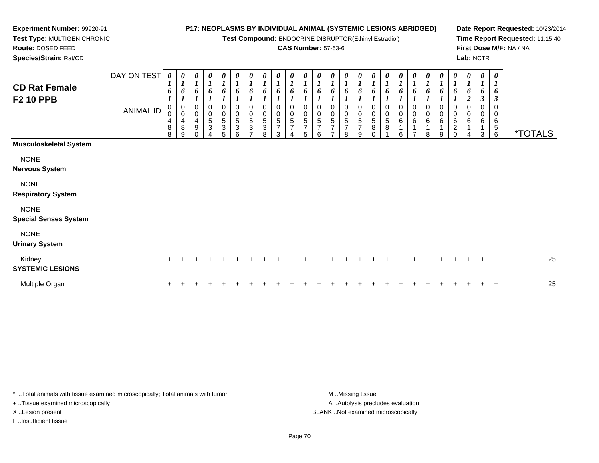**Test Compound:** ENDOCRINE DISRUPTOR(Ethinyl Estradiol)

#### **CAS Number:** 57-63-6

7

8

**Date Report Requested:** 10/23/2014**Time Report Requested:** 11:15:40**First Dose M/F:** NA / NA**Lab:** NCTR

6 \*TOTALS

 **Species/Strain:** Rat/CDDAY ON TEST**CD Rat FemaleF2 10 PPB**ANIMAL ID*0 1 6 1* 0 0 4 8 8*0 1 6 1* 0 0 4 8 9*0 1 6 1* 0 0 4*0 1 6 1* 0 0 5 3 4*0 1 6 1* 0 0 5 3 5*0 1 6 1* 0 0 5 3 6*0 1 6 1* 0 0 5 3 7*0 1 6 1* 0 0 5 3 8*0 1 6 1* 0 0 5 7 3*0 1 6 1* 0 0 5 7 4*0 1 6 1* 0 0 5 7 5*0 1 6 1* 0 0 5 7 6*0 1 6 1* 0 0 5 7*0 1 6 1* 00 5 7

9 0

|  |  |  | <b>Musculoskeletal System</b> |
|--|--|--|-------------------------------|
|--|--|--|-------------------------------|

**Experiment Number:** 99920-91**Test Type:** MULTIGEN CHRONIC

**Route:** DOSED FEED

**NONE** 

**Nervous System**

NONE

**Respiratory System**

NONE

**Special Senses System**

NONE

**Urinary System**

| Kidney<br><b>SYSTEMIC LESIONS</b> |  |  |  |  |  |  |  |  |  |  |  |  |  | 25 |
|-----------------------------------|--|--|--|--|--|--|--|--|--|--|--|--|--|----|
| Multiple Organ                    |  |  |  |  |  |  |  |  |  |  |  |  |  | 25 |

\* ..Total animals with tissue examined microscopically; Total animals with tumor **M** ..Missing tissue M ..Missing tissue + ..Tissue examined microscopically X ..Lesion present BLANK ..Not examined microscopically

I ..Insufficient tissue

A ..Autolysis precludes evaluation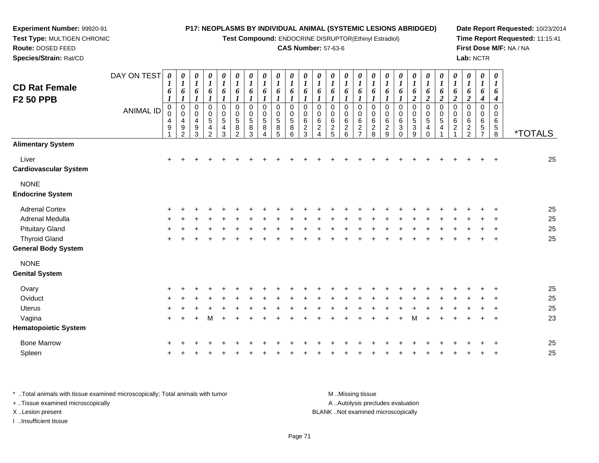**Test Compound:** ENDOCRINE DISRUPTOR(Ethinyl Estradiol)

### **CAS Number:** 57-63-6

**Date Report Requested:** 10/23/2014**Time Report Requested:** 11:15:41**First Dose M/F:** NA / NA**Lab:** NCTR

| <b>CD Rat Female</b><br><b>F2 50 PPB</b> | DAY ON TEST<br><b>ANIMAL ID</b> | $\pmb{\theta}$<br>1<br>6<br>$\mathbf 0$<br>0<br>4<br>9 | $\boldsymbol{\theta}$<br>$\bm{l}$<br>6<br>$\mathbf 0$<br>$\mathbf 0$<br>4<br>9<br>$\mathcal{P}$ | 0<br>$\boldsymbol{l}$<br>6<br>$\mathbf 0$<br>$\mathbf 0$<br>4<br>$\boldsymbol{9}$ | 0<br>$\boldsymbol{l}$<br>6<br>0<br>0<br>5<br>4 | 0<br>$\boldsymbol{l}$<br>6<br>$\mathbf 0$<br>0<br>$\sqrt{5}$<br>$\overline{4}$ | $\pmb{\theta}$<br>$\boldsymbol{l}$<br>6<br>$\boldsymbol{l}$<br>$\mathbf 0$<br>$\mathbf 0$<br>$\sqrt{5}$<br>8<br>$\mathfrak{p}$ | $\boldsymbol{\theta}$<br>$\boldsymbol{l}$<br>6<br>$\mathbf 0$<br>0<br>$\,$ 5 $\,$<br>8 | 0<br>$\boldsymbol{l}$<br>6<br>0<br>$\Omega$<br>5<br>8 | 0<br>$\boldsymbol{l}$<br>6<br>0<br>$\Omega$<br>5<br>8 | 0<br>1<br>$\mathbf 0$<br>$\Omega$<br>5<br>8 | 0<br>6<br>0<br>$\Omega$<br>6<br>$\overline{c}$ | 0<br>6<br>0<br>0<br>6<br>$\overline{c}$ | 0<br>6<br>0<br>$\Omega$<br>6<br>$\frac{2}{5}$ | 0<br>1<br>6<br>0<br>0<br>$\,6\,$<br>$\begin{array}{c} 2 \\ 6 \end{array}$ | 0<br>1<br>6<br>$\mathbf 0$<br>0<br>6<br>$\overline{c}$<br>$\overline{ }$ | 0<br>$\boldsymbol{l}$<br>6<br>$\pmb{0}$<br>0<br>$\,6\,$<br>$\frac{2}{8}$ | 0<br>$\boldsymbol{l}$<br>6<br>0<br>0<br>6<br>$\overline{c}$ | 0<br>$\boldsymbol{l}$<br>6<br>$\mathbf 0$<br>0<br>6<br>3 | 0<br>6<br>$\boldsymbol{2}$<br>$\mathbf 0$<br>$\mathbf 0$<br>$\sqrt{5}$<br>3 | 0<br>$\boldsymbol{l}$<br>6<br>$\boldsymbol{2}$<br>$\pmb{0}$<br>$\mathbf 0$<br>$\mathbf 5$<br>$\overline{\mathbf{4}}$ | 0<br>6<br>$\overline{2}$<br>0<br>0<br>5<br>4 | 0<br>$\boldsymbol{l}$<br>6<br>$\boldsymbol{2}$<br>0<br>0<br>6<br>$\overline{c}$ | 0<br>$\boldsymbol{l}$<br>6<br>$\overline{c}$<br>0<br>$\mathbf 0$<br>6<br>$\overline{c}$ | $\pmb{\theta}$<br>$\boldsymbol{l}$<br>6<br>$\boldsymbol{4}$<br>0<br>0<br>$\,6\,$<br>$\sqrt{5}$<br>$\overline{7}$ | $\boldsymbol{\theta}$<br>1<br>6<br>4<br>0<br>$\Omega$<br>6<br>$\sqrt{5}$ | <i><b>*TOTALS</b></i> |
|------------------------------------------|---------------------------------|--------------------------------------------------------|-------------------------------------------------------------------------------------------------|-----------------------------------------------------------------------------------|------------------------------------------------|--------------------------------------------------------------------------------|--------------------------------------------------------------------------------------------------------------------------------|----------------------------------------------------------------------------------------|-------------------------------------------------------|-------------------------------------------------------|---------------------------------------------|------------------------------------------------|-----------------------------------------|-----------------------------------------------|---------------------------------------------------------------------------|--------------------------------------------------------------------------|--------------------------------------------------------------------------|-------------------------------------------------------------|----------------------------------------------------------|-----------------------------------------------------------------------------|----------------------------------------------------------------------------------------------------------------------|----------------------------------------------|---------------------------------------------------------------------------------|-----------------------------------------------------------------------------------------|------------------------------------------------------------------------------------------------------------------|--------------------------------------------------------------------------|-----------------------|
| <b>Alimentary System</b>                 |                                 |                                                        |                                                                                                 | 3                                                                                 | 2                                              | 3                                                                              |                                                                                                                                | 3                                                                                      |                                                       | 5                                                     | 6                                           | 3                                              | $\overline{\mathbf{4}}$                 |                                               |                                                                           |                                                                          |                                                                          | 9                                                           | $\Omega$                                                 | 9                                                                           | $\Omega$                                                                                                             |                                              |                                                                                 | 2                                                                                       |                                                                                                                  | 8                                                                        |                       |
| Liver<br><b>Cardiovascular System</b>    |                                 | $\ddot{}$                                              |                                                                                                 |                                                                                   |                                                |                                                                                |                                                                                                                                |                                                                                        |                                                       |                                                       |                                             |                                                |                                         |                                               |                                                                           |                                                                          |                                                                          |                                                             |                                                          |                                                                             |                                                                                                                      |                                              |                                                                                 |                                                                                         |                                                                                                                  |                                                                          | 25                    |
| <b>NONE</b><br><b>Endocrine System</b>   |                                 |                                                        |                                                                                                 |                                                                                   |                                                |                                                                                |                                                                                                                                |                                                                                        |                                                       |                                                       |                                             |                                                |                                         |                                               |                                                                           |                                                                          |                                                                          |                                                             |                                                          |                                                                             |                                                                                                                      |                                              |                                                                                 |                                                                                         |                                                                                                                  |                                                                          |                       |
| <b>Adrenal Cortex</b>                    |                                 |                                                        |                                                                                                 |                                                                                   |                                                |                                                                                |                                                                                                                                |                                                                                        |                                                       |                                                       |                                             |                                                |                                         |                                               |                                                                           |                                                                          |                                                                          |                                                             |                                                          |                                                                             |                                                                                                                      |                                              |                                                                                 |                                                                                         |                                                                                                                  |                                                                          | 25                    |
| Adrenal Medulla                          |                                 |                                                        |                                                                                                 |                                                                                   |                                                |                                                                                |                                                                                                                                |                                                                                        |                                                       |                                                       |                                             |                                                |                                         |                                               |                                                                           |                                                                          |                                                                          |                                                             |                                                          |                                                                             |                                                                                                                      |                                              |                                                                                 |                                                                                         |                                                                                                                  |                                                                          | 25                    |
| <b>Pituitary Gland</b>                   |                                 |                                                        |                                                                                                 |                                                                                   |                                                |                                                                                |                                                                                                                                |                                                                                        |                                                       |                                                       |                                             |                                                |                                         |                                               |                                                                           |                                                                          |                                                                          |                                                             |                                                          |                                                                             |                                                                                                                      |                                              |                                                                                 |                                                                                         |                                                                                                                  |                                                                          | 25                    |
| <b>Thyroid Gland</b>                     |                                 | ÷                                                      |                                                                                                 |                                                                                   |                                                |                                                                                |                                                                                                                                |                                                                                        |                                                       |                                                       |                                             |                                                |                                         |                                               |                                                                           |                                                                          |                                                                          |                                                             |                                                          |                                                                             |                                                                                                                      |                                              |                                                                                 |                                                                                         |                                                                                                                  |                                                                          | 25                    |
| <b>General Body System</b>               |                                 |                                                        |                                                                                                 |                                                                                   |                                                |                                                                                |                                                                                                                                |                                                                                        |                                                       |                                                       |                                             |                                                |                                         |                                               |                                                                           |                                                                          |                                                                          |                                                             |                                                          |                                                                             |                                                                                                                      |                                              |                                                                                 |                                                                                         |                                                                                                                  |                                                                          |                       |
| <b>NONE</b>                              |                                 |                                                        |                                                                                                 |                                                                                   |                                                |                                                                                |                                                                                                                                |                                                                                        |                                                       |                                                       |                                             |                                                |                                         |                                               |                                                                           |                                                                          |                                                                          |                                                             |                                                          |                                                                             |                                                                                                                      |                                              |                                                                                 |                                                                                         |                                                                                                                  |                                                                          |                       |
| <b>Genital System</b>                    |                                 |                                                        |                                                                                                 |                                                                                   |                                                |                                                                                |                                                                                                                                |                                                                                        |                                                       |                                                       |                                             |                                                |                                         |                                               |                                                                           |                                                                          |                                                                          |                                                             |                                                          |                                                                             |                                                                                                                      |                                              |                                                                                 |                                                                                         |                                                                                                                  |                                                                          |                       |
| Ovary                                    |                                 |                                                        |                                                                                                 |                                                                                   |                                                |                                                                                |                                                                                                                                |                                                                                        |                                                       |                                                       |                                             |                                                |                                         |                                               |                                                                           |                                                                          |                                                                          |                                                             |                                                          |                                                                             |                                                                                                                      |                                              |                                                                                 |                                                                                         |                                                                                                                  |                                                                          | 25                    |
| Oviduct                                  |                                 | ٠                                                      |                                                                                                 |                                                                                   |                                                |                                                                                |                                                                                                                                |                                                                                        |                                                       |                                                       |                                             |                                                |                                         |                                               |                                                                           |                                                                          |                                                                          |                                                             |                                                          |                                                                             |                                                                                                                      |                                              |                                                                                 |                                                                                         |                                                                                                                  |                                                                          | 25                    |
| <b>Uterus</b>                            |                                 |                                                        |                                                                                                 |                                                                                   |                                                |                                                                                |                                                                                                                                |                                                                                        |                                                       |                                                       |                                             |                                                |                                         |                                               |                                                                           |                                                                          |                                                                          |                                                             |                                                          |                                                                             |                                                                                                                      |                                              |                                                                                 |                                                                                         |                                                                                                                  |                                                                          | 25                    |
| Vagina                                   |                                 | $+$                                                    |                                                                                                 |                                                                                   | м                                              |                                                                                |                                                                                                                                |                                                                                        |                                                       |                                                       |                                             |                                                |                                         |                                               |                                                                           |                                                                          |                                                                          |                                                             |                                                          | м                                                                           |                                                                                                                      | $\ddot{}$                                    | $\ddot{}$                                                                       |                                                                                         |                                                                                                                  | $\ddot{}$                                                                | 23                    |
| <b>Hematopoietic System</b>              |                                 |                                                        |                                                                                                 |                                                                                   |                                                |                                                                                |                                                                                                                                |                                                                                        |                                                       |                                                       |                                             |                                                |                                         |                                               |                                                                           |                                                                          |                                                                          |                                                             |                                                          |                                                                             |                                                                                                                      |                                              |                                                                                 |                                                                                         |                                                                                                                  |                                                                          |                       |
| <b>Bone Marrow</b>                       |                                 |                                                        |                                                                                                 |                                                                                   |                                                |                                                                                |                                                                                                                                |                                                                                        |                                                       |                                                       |                                             |                                                |                                         |                                               |                                                                           |                                                                          |                                                                          |                                                             |                                                          |                                                                             |                                                                                                                      |                                              |                                                                                 |                                                                                         |                                                                                                                  |                                                                          | 25                    |
| Spleen                                   |                                 |                                                        |                                                                                                 |                                                                                   |                                                |                                                                                |                                                                                                                                |                                                                                        |                                                       |                                                       |                                             |                                                |                                         |                                               |                                                                           |                                                                          |                                                                          |                                                             |                                                          |                                                                             |                                                                                                                      |                                              |                                                                                 |                                                                                         |                                                                                                                  |                                                                          | 25                    |
|                                          |                                 |                                                        |                                                                                                 |                                                                                   |                                                |                                                                                |                                                                                                                                |                                                                                        |                                                       |                                                       |                                             |                                                |                                         |                                               |                                                                           |                                                                          |                                                                          |                                                             |                                                          |                                                                             |                                                                                                                      |                                              |                                                                                 |                                                                                         |                                                                                                                  |                                                                          |                       |

\* ..Total animals with tissue examined microscopically; Total animals with tumor **M** . Missing tissue M ..Missing tissue A ..Autolysis precludes evaluation + ..Tissue examined microscopically X ..Lesion present BLANK ..Not examined microscopicallyI ..Insufficient tissue

**Experiment Number:** 99920-91**Test Type:** MULTIGEN CHRONIC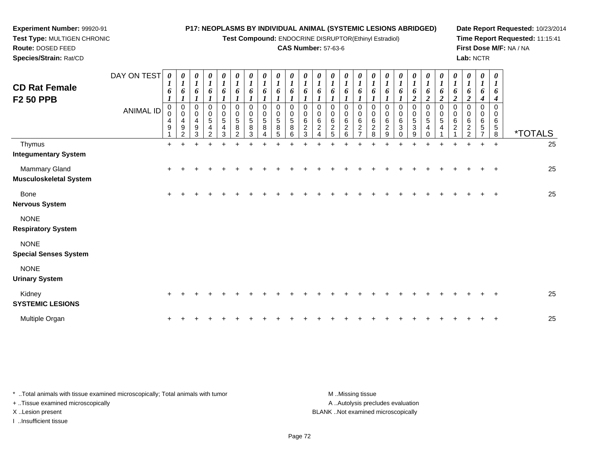**Test Compound:** ENDOCRINE DISRUPTOR(Ethinyl Estradiol)

### **CAS Number:** 57-63-6

**Date Report Requested:** 10/23/2014**Time Report Requested:** 11:15:41**First Dose M/F:** NA / NA**Lab:** NCTR

| <b>CD Rat Female</b><br><b>F2 50 PPB</b>              | DAY ON TEST<br><b>ANIMAL ID</b> | 0<br>$\mathbf{I}$<br>6<br>$\boldsymbol{l}$<br>$\mathbf 0$<br>0<br>4<br>9 | 0<br>$\boldsymbol{l}$<br>6<br>$\boldsymbol{l}$<br>$\mathbf 0$<br>$\mathbf 0$<br>4<br>$\boldsymbol{9}$<br>$\overline{2}$ | $\boldsymbol{\theta}$<br>$\boldsymbol{l}$<br>6<br>$\boldsymbol{l}$<br>$\mathbf 0$<br>$\mathbf 0$<br>4<br>9<br>3 | 0<br>$\boldsymbol{l}$<br>6<br>$\boldsymbol{l}$<br>0<br>0<br>$\sqrt{5}$<br>4<br>2 | 0<br>6<br>0<br>0<br>5<br>4<br>3 | 0<br>$\boldsymbol{l}$<br>6<br>$\mathbf 0$<br>0<br>$\sqrt{5}$<br>8<br>2 | 0<br>$\boldsymbol{l}$<br>6<br>$\mathbf 0$<br>$\mathbf 0$<br>$\sqrt{5}$<br>8<br>3 | 0<br>$\boldsymbol{l}$<br>6<br>$\mathbf 0$<br>$\mathbf 0$<br>$\sqrt{5}$<br>8<br>4 | $\boldsymbol{\theta}$<br>6<br>$\Omega$<br>$\mathbf 0$<br>5<br>8<br>5 | $\boldsymbol{\theta}$<br>o<br>$\Omega$<br>$\mathbf 0$<br>5<br>8<br>6 | $\boldsymbol{\theta}$<br>6<br>1<br>$\Omega$<br>$\mathbf 0$<br>6<br>$\overline{c}$<br>3 | 0<br>6<br>$\Omega$<br>0<br>6<br>$\overline{c}$<br>$\boldsymbol{\varDelta}$ | $\theta$<br>6<br>$\Omega$<br>$\mathbf 0$<br>6<br>$\overline{c}$<br>5 | 0<br>6<br>0<br>$\mathbf 0$<br>6<br>$\overline{c}$<br>6 | 0<br>$\boldsymbol{l}$<br>6<br>$\mathbf 0$<br>$\mathbf 0$<br>$\,6\,$<br>$\overline{c}$<br>$\overline{7}$ | 0<br>$\boldsymbol{l}$<br>6<br>$\pmb{0}$<br>$\mathbf 0$<br>$\,6$<br>$^{\mathsf{2}}_{\mathsf{8}}$ | 0<br>6<br>$\Omega$<br>0<br>6<br>$\overline{c}$<br>9 | 0<br>6<br>0<br>$\mathbf 0$<br>6<br>3<br>$\Omega$ | 0<br>6<br>$\boldsymbol{2}$<br>$\mathbf 0$<br>$\mathbf 0$<br>$\overline{5}$<br>3<br>9 | 0<br>6<br>$\boldsymbol{2}$<br>$\mathbf 0$<br>0<br>$\sqrt{5}$<br>4<br>$\Omega$ | 0<br>$\boldsymbol{l}$<br>6<br>$\overline{2}$<br>$\mathbf 0$<br>0<br>5<br>4 | 0<br>$\boldsymbol{l}$<br>6<br>$\boldsymbol{2}$<br>0<br>0<br>6<br>$\overline{c}$ | $\boldsymbol{\theta}$<br>$\boldsymbol{I}$<br>6<br>$\boldsymbol{2}$<br>$\mathbf 0$<br>$\mathbf 0$<br>$\,6\,$<br>$\overline{c}$<br>$\overline{2}$ | 0<br>$\boldsymbol{l}$<br>6<br>$\boldsymbol{4}$<br>$\mathbf 0$<br>$\mathbf 0$<br>$\,6$<br>$\mathbf 5$<br>$\overline{7}$ | 0<br>$\mathbf{I}$<br>0<br>4<br>$\Omega$<br>$\Omega$<br>6<br>5<br>8 | <i><b>*TOTALS</b></i> |
|-------------------------------------------------------|---------------------------------|--------------------------------------------------------------------------|-------------------------------------------------------------------------------------------------------------------------|-----------------------------------------------------------------------------------------------------------------|----------------------------------------------------------------------------------|---------------------------------|------------------------------------------------------------------------|----------------------------------------------------------------------------------|----------------------------------------------------------------------------------|----------------------------------------------------------------------|----------------------------------------------------------------------|----------------------------------------------------------------------------------------|----------------------------------------------------------------------------|----------------------------------------------------------------------|--------------------------------------------------------|---------------------------------------------------------------------------------------------------------|-------------------------------------------------------------------------------------------------|-----------------------------------------------------|--------------------------------------------------|--------------------------------------------------------------------------------------|-------------------------------------------------------------------------------|----------------------------------------------------------------------------|---------------------------------------------------------------------------------|-------------------------------------------------------------------------------------------------------------------------------------------------|------------------------------------------------------------------------------------------------------------------------|--------------------------------------------------------------------|-----------------------|
| Thymus<br><b>Integumentary System</b>                 |                                 | $\ddot{}$                                                                | $\pm$                                                                                                                   |                                                                                                                 |                                                                                  |                                 |                                                                        |                                                                                  |                                                                                  |                                                                      |                                                                      |                                                                                        |                                                                            |                                                                      |                                                        |                                                                                                         |                                                                                                 |                                                     |                                                  |                                                                                      |                                                                               |                                                                            | $\pm$                                                                           |                                                                                                                                                 | $\ddot{}$                                                                                                              | $\overline{+}$                                                     | 25                    |
| <b>Mammary Gland</b><br><b>Musculoskeletal System</b> |                                 | +                                                                        |                                                                                                                         |                                                                                                                 |                                                                                  |                                 |                                                                        |                                                                                  |                                                                                  |                                                                      |                                                                      |                                                                                        |                                                                            |                                                                      |                                                        |                                                                                                         |                                                                                                 |                                                     |                                                  |                                                                                      |                                                                               |                                                                            |                                                                                 |                                                                                                                                                 |                                                                                                                        |                                                                    | 25                    |
| <b>Bone</b><br><b>Nervous System</b>                  |                                 | $\ddot{}$                                                                |                                                                                                                         |                                                                                                                 |                                                                                  |                                 |                                                                        |                                                                                  |                                                                                  |                                                                      |                                                                      |                                                                                        |                                                                            |                                                                      |                                                        |                                                                                                         |                                                                                                 |                                                     |                                                  |                                                                                      |                                                                               |                                                                            |                                                                                 |                                                                                                                                                 |                                                                                                                        |                                                                    | 25                    |
| <b>NONE</b><br><b>Respiratory System</b>              |                                 |                                                                          |                                                                                                                         |                                                                                                                 |                                                                                  |                                 |                                                                        |                                                                                  |                                                                                  |                                                                      |                                                                      |                                                                                        |                                                                            |                                                                      |                                                        |                                                                                                         |                                                                                                 |                                                     |                                                  |                                                                                      |                                                                               |                                                                            |                                                                                 |                                                                                                                                                 |                                                                                                                        |                                                                    |                       |
| <b>NONE</b><br><b>Special Senses System</b>           |                                 |                                                                          |                                                                                                                         |                                                                                                                 |                                                                                  |                                 |                                                                        |                                                                                  |                                                                                  |                                                                      |                                                                      |                                                                                        |                                                                            |                                                                      |                                                        |                                                                                                         |                                                                                                 |                                                     |                                                  |                                                                                      |                                                                               |                                                                            |                                                                                 |                                                                                                                                                 |                                                                                                                        |                                                                    |                       |
| <b>NONE</b><br><b>Urinary System</b>                  |                                 |                                                                          |                                                                                                                         |                                                                                                                 |                                                                                  |                                 |                                                                        |                                                                                  |                                                                                  |                                                                      |                                                                      |                                                                                        |                                                                            |                                                                      |                                                        |                                                                                                         |                                                                                                 |                                                     |                                                  |                                                                                      |                                                                               |                                                                            |                                                                                 |                                                                                                                                                 |                                                                                                                        |                                                                    |                       |
| Kidney<br><b>SYSTEMIC LESIONS</b>                     |                                 | ٠                                                                        |                                                                                                                         |                                                                                                                 |                                                                                  |                                 |                                                                        |                                                                                  |                                                                                  |                                                                      |                                                                      |                                                                                        |                                                                            |                                                                      |                                                        |                                                                                                         |                                                                                                 |                                                     |                                                  |                                                                                      |                                                                               |                                                                            |                                                                                 |                                                                                                                                                 |                                                                                                                        |                                                                    | 25                    |
| Multiple Organ                                        |                                 |                                                                          |                                                                                                                         |                                                                                                                 |                                                                                  |                                 |                                                                        |                                                                                  |                                                                                  |                                                                      |                                                                      |                                                                                        |                                                                            |                                                                      |                                                        |                                                                                                         |                                                                                                 |                                                     |                                                  |                                                                                      |                                                                               |                                                                            |                                                                                 |                                                                                                                                                 |                                                                                                                        |                                                                    | 25                    |

\* ..Total animals with tissue examined microscopically; Total animals with tumor **M** . Missing tissue M ..Missing tissue A ..Autolysis precludes evaluation + ..Tissue examined microscopically X ..Lesion present BLANK ..Not examined microscopicallyI ..Insufficient tissue

**Experiment Number:** 99920-91**Test Type:** MULTIGEN CHRONIC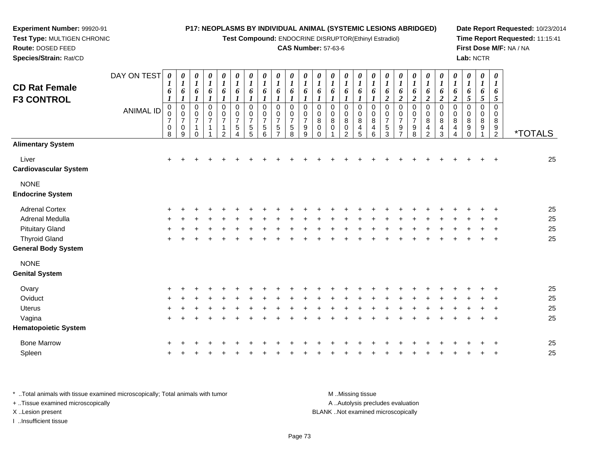**Test Compound:** ENDOCRINE DISRUPTOR(Ethinyl Estradiol)

#### **CAS Number:** 57-63-6

**Date Report Requested:** 10/23/2014**Time Report Requested:** 11:15:41**First Dose M/F:** NA / NA**Lab:** NCTR

| Species/Strain: Rat/CD                 |             |                                              |                                                                       |                                          |                          |                                       |                                       |                                                                                 |                                                          |                                                    |                                                            |                                                      |                                          |                                                       |                                             |                         |                                  |                                                                                 |                                                                |                     |                                        |                                                |                                  |                                  | Lab: NCTR               |                       |                       |
|----------------------------------------|-------------|----------------------------------------------|-----------------------------------------------------------------------|------------------------------------------|--------------------------|---------------------------------------|---------------------------------------|---------------------------------------------------------------------------------|----------------------------------------------------------|----------------------------------------------------|------------------------------------------------------------|------------------------------------------------------|------------------------------------------|-------------------------------------------------------|---------------------------------------------|-------------------------|----------------------------------|---------------------------------------------------------------------------------|----------------------------------------------------------------|---------------------|----------------------------------------|------------------------------------------------|----------------------------------|----------------------------------|-------------------------|-----------------------|-----------------------|
| <b>CD Rat Female</b>                   | DAY ON TEST | 0<br>$\mathbf{I}$                            | 0<br>$\boldsymbol{l}$                                                 | $\boldsymbol{\theta}$                    | 0<br>$\overline{ }$      | $\boldsymbol{\theta}$<br>$\mathbf{I}$ | 0<br>$\mathbf{I}$                     | 0<br>$\mathbf{I}$                                                               | $\boldsymbol{\theta}$<br>$\mathbf{I}$                    | $\boldsymbol{\theta}$<br>$\mathbf{I}$              | $\boldsymbol{\theta}$<br>$\mathbf{r}$<br>$\mathbf{I}$      | 0                                                    | 0                                        | 0<br>$\boldsymbol{l}$                                 | 0                                           | 0<br>$\boldsymbol{l}$   | 0                                | $\boldsymbol{\theta}$<br>$\mathbf{I}$                                           | $\boldsymbol{\theta}$                                          | 0                   | 0                                      | 0                                              | 0<br>$\overline{ }$              | 0                                | 0<br>$\mathbf{I}$       | 0<br>$\boldsymbol{l}$ |                       |
| <b>F3 CONTROL</b>                      |             | 6                                            | 6                                                                     | 6                                        | 6                        | 6                                     | 6                                     | 6                                                                               | $\boldsymbol{6}$                                         | 6                                                  | 6                                                          | 6                                                    | 6                                        | 6                                                     | 6                                           | 6                       | 6                                | 6<br>$\overline{2}$                                                             | 6<br>$\overline{\mathbf{c}}$                                   | 6<br>$\rightarrow$  | 6<br>$\boldsymbol{2}$                  | 6<br>$\boldsymbol{2}$                          | 6<br>$\overline{2}$              | o<br>5                           | 6<br>$5\overline{)}$    | 6<br>$\mathfrak{I}$   |                       |
|                                        | ANIMAL ID   | 0<br>$\boldsymbol{0}$<br>$\overline{ }$<br>0 | $\boldsymbol{0}$<br>$\mathbf 0$<br>$\overline{ }$<br>$\boldsymbol{0}$ | $\pmb{0}$<br>$\pmb{0}$<br>$\overline{ }$ | 0<br>0<br>$\overline{ }$ | 0<br>$\mathbf 0$<br>$\overline{ }$    | 0<br>$\pmb{0}$<br>$\overline{ }$<br>5 | $\begin{smallmatrix}0\0\0\end{smallmatrix}$<br>$\overline{ }$<br>$\overline{5}$ | $\pmb{0}$<br>$\mathbf 0$<br>$\overline{z}$<br>$\sqrt{5}$ | 0<br>$\pmb{0}$<br>$\overline{ }$<br>$\overline{5}$ | 0<br>$\boldsymbol{0}$<br>$\overline{ }$<br>$5\phantom{.0}$ | 0<br>$\pmb{0}$<br>$\overline{ }$<br>$\boldsymbol{9}$ | $\pmb{0}$<br>$\pmb{0}$<br>8<br>$\pmb{0}$ | $\pmb{0}$<br>$\pmb{0}$<br>$\overline{8}$ <sup>0</sup> | 0<br>$\boldsymbol{0}$<br>$_{\rm 0}^{\rm 8}$ | 0<br>0<br>$\frac{8}{4}$ | 0<br>$\mathsf 0$<br>$\,8\,$<br>4 | $\boldsymbol{0}$<br>$\pmb{0}$<br>$\overline{z}$<br>$\overline{1}$<br>$\sqrt{5}$ | $\mathbf 0$<br>$\pmb{0}$<br>$\overline{7}$<br>$\boldsymbol{9}$ | $\overline{ }$<br>9 | 0<br>0<br>8<br>$\overline{\mathbf{4}}$ | 0<br>$\pmb{0}$<br>8<br>$\overline{\mathbf{4}}$ | 0<br>$\mathbf 0$<br>$\bf 8$<br>4 | $\boldsymbol{0}$<br>$\,8\,$<br>9 | 0<br>0<br>$\frac{8}{9}$ | 0<br>0<br>$^8_9$      |                       |
|                                        |             | 8                                            | 9                                                                     |                                          |                          | $\overline{2}$                        | 4                                     | 5                                                                               | 6                                                        | ⇁                                                  | 8                                                          | 9                                                    | $\Omega$                                 |                                                       | $\mathcal{D}$                               | 5                       | 6                                | 3                                                                               | $\rightarrow$                                                  | 8                   | $\overline{2}$                         | 3                                              | 4                                |                                  |                         | $\overline{2}$        | <i><b>*TOTALS</b></i> |
| <b>Alimentary System</b>               |             |                                              |                                                                       |                                          |                          |                                       |                                       |                                                                                 |                                                          |                                                    |                                                            |                                                      |                                          |                                                       |                                             |                         |                                  |                                                                                 |                                                                |                     |                                        |                                                |                                  |                                  |                         |                       |                       |
| Liver<br><b>Cardiovascular System</b>  |             | $\ddot{}$                                    |                                                                       |                                          |                          |                                       |                                       |                                                                                 |                                                          |                                                    |                                                            |                                                      |                                          |                                                       |                                             |                         |                                  |                                                                                 |                                                                |                     |                                        |                                                |                                  |                                  | $+$                     | $\pm$                 | 25                    |
| <b>NONE</b><br><b>Endocrine System</b> |             |                                              |                                                                       |                                          |                          |                                       |                                       |                                                                                 |                                                          |                                                    |                                                            |                                                      |                                          |                                                       |                                             |                         |                                  |                                                                                 |                                                                |                     |                                        |                                                |                                  |                                  |                         |                       |                       |

| Adrenal Cortex             |  |  |  |  |  |  |  |  |  |  |  |  |  | -25 |
|----------------------------|--|--|--|--|--|--|--|--|--|--|--|--|--|-----|
| Adrenal Medulla            |  |  |  |  |  |  |  |  |  |  |  |  |  | 25  |
| Pituitary Gland            |  |  |  |  |  |  |  |  |  |  |  |  |  | 25  |
| Thvroid Gland              |  |  |  |  |  |  |  |  |  |  |  |  |  | 25  |
| <b>General Body System</b> |  |  |  |  |  |  |  |  |  |  |  |  |  |     |

NONE

**Experiment Number:** 99920-91**Test Type:** MULTIGEN CHRONIC

**Route:** DOSED FEED

| 25 |
|----|
| 25 |
| 25 |
| 25 |
|    |
| 25 |
| 25 |
|    |

\* ..Total animals with tissue examined microscopically; Total animals with tumor **M** ...Missing tissue M ...Missing tissue A .. Autolysis precludes evaluation + ..Tissue examined microscopically X ..Lesion present BLANK ..Not examined microscopicallyI ..Insufficient tissue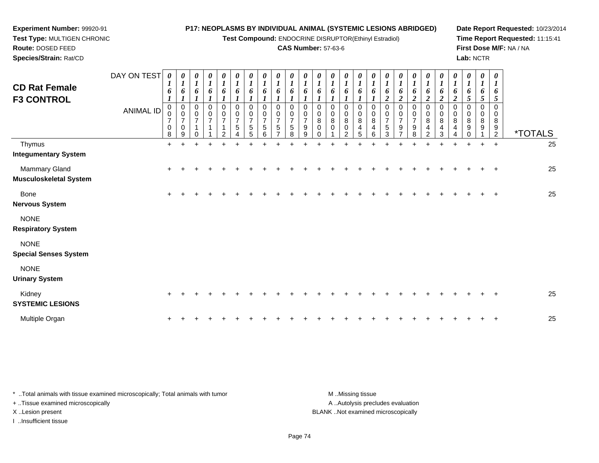**Test Compound:** ENDOCRINE DISRUPTOR(Ethinyl Estradiol)

# **CAS Number:** 57-63-6

**Date Report Requested:** 10/23/2014**Time Report Requested:** 11:15:41**First Dose M/F:** NA / NA**Lab:** NCTR

| <b>CD Rat Female</b><br><b>F3 CONTROL</b>   | DAY ON TEST<br><b>ANIMAL ID</b> | 0<br>6<br>$\boldsymbol{l}$<br>0<br>7<br>$\pmb{0}$<br>8 | 0<br>1<br>6<br>1<br>0<br>$\mathbf 0$<br>$\overline{7}$<br>$\mathbf 0$<br>9 | 0<br>1<br>6<br>0<br>0<br>$\overline{7}$<br>O | 0<br>$\boldsymbol{l}$<br>6<br>1<br>0<br>$\pmb{0}$<br>$\overline{7}$ | 0<br>$\boldsymbol{l}$<br>6<br>$\boldsymbol{l}$<br>$\mathbf 0$<br>$\pmb{0}$<br>$\overline{7}$<br>1<br>$\mathcal{P}$ | 0<br>$\boldsymbol{l}$<br>6<br>$\boldsymbol{l}$<br>$\mathbf 0$<br>$\pmb{0}$<br>$\overline{7}$<br>$\sqrt{5}$<br>4 | 0<br>$\boldsymbol{l}$<br>6<br>0<br>0<br>$\overline{7}$<br>5<br>5 | 0<br>$\boldsymbol{l}$<br>6<br>$\boldsymbol{l}$<br>0<br>0<br>$\overline{7}$<br>5<br>6 | 0<br>1<br>6<br>1<br>$\Omega$<br>0<br>$\overline{7}$<br>5 | $\boldsymbol{\theta}$<br>6<br>1<br>0<br>0<br>$\overline{7}$<br>$\sqrt{5}$<br>8 | 0<br>6<br>0<br>0<br>$\overline{7}$<br>9<br>9 | 0<br>6<br>0<br>0<br>8<br>$\pmb{0}$<br>$\Omega$ | 0<br>$\boldsymbol{l}$<br>6<br>0<br>$\boldsymbol{0}$<br>$\bf 8$<br>$\mathsf 0$ | 0<br>6<br>0<br>$\mathbf 0$<br>$\bf 8$<br>$\mathbf 0$<br>2 | 0<br>6<br>0<br>0<br>$\bf 8$<br>4<br>5 | 0<br>6<br>$\boldsymbol{l}$<br>0<br>0<br>$\bf 8$<br>4<br>6 | 6<br>$\boldsymbol{2}$<br>0<br>0<br>$\overline{7}$<br>5<br>3 | 6<br>$\boldsymbol{2}$<br>$\mathbf 0$<br>0<br>$\overline{7}$<br>9<br>⇁ | $\boldsymbol{\theta}$<br>6<br>$\overline{c}$<br>0<br>0<br>$\overline{7}$<br>9<br>8 | 0<br>6<br>$\overline{c}$<br>0<br>0<br>$\bf 8$<br>4<br>$\overline{2}$ | 0<br>1<br>6<br>$\boldsymbol{2}$<br>0<br>0<br>$\bf 8$<br>$\overline{4}$<br>3 | 0<br>6<br>$\boldsymbol{2}$<br>$\mathbf 0$<br>0<br>8<br>4<br>4 | 0<br>$\boldsymbol{I}$<br>6<br>5<br>0<br>0<br>8<br>9<br>$\Omega$ | $\boldsymbol{\theta}$<br>$\bm{l}$<br>6<br>5<br>0<br>0<br>8<br>9 | 0<br>1<br>6<br>5<br>$\Omega$<br>0<br>8<br>9<br>$\overline{2}$ | *TOTALS |
|---------------------------------------------|---------------------------------|--------------------------------------------------------|----------------------------------------------------------------------------|----------------------------------------------|---------------------------------------------------------------------|--------------------------------------------------------------------------------------------------------------------|-----------------------------------------------------------------------------------------------------------------|------------------------------------------------------------------|--------------------------------------------------------------------------------------|----------------------------------------------------------|--------------------------------------------------------------------------------|----------------------------------------------|------------------------------------------------|-------------------------------------------------------------------------------|-----------------------------------------------------------|---------------------------------------|-----------------------------------------------------------|-------------------------------------------------------------|-----------------------------------------------------------------------|------------------------------------------------------------------------------------|----------------------------------------------------------------------|-----------------------------------------------------------------------------|---------------------------------------------------------------|-----------------------------------------------------------------|-----------------------------------------------------------------|---------------------------------------------------------------|---------|
| Thymus<br><b>Integumentary System</b>       |                                 | $\ddot{}$                                              |                                                                            | +                                            | $\ddot{}$                                                           |                                                                                                                    |                                                                                                                 | $\ddot{}$                                                        |                                                                                      |                                                          |                                                                                |                                              |                                                |                                                                               |                                                           |                                       |                                                           |                                                             |                                                                       |                                                                                    | +                                                                    | +                                                                           | $\ddot{}$                                                     | $\ddot{}$                                                       | $\ddot{}$                                                       | $\ddot{}$                                                     | 25      |
| Mammary Gland<br>Musculoskeletal System     |                                 | $\ddot{}$                                              |                                                                            |                                              |                                                                     |                                                                                                                    |                                                                                                                 |                                                                  |                                                                                      |                                                          |                                                                                |                                              |                                                |                                                                               |                                                           |                                       |                                                           |                                                             |                                                                       |                                                                                    |                                                                      |                                                                             |                                                               |                                                                 |                                                                 | $\div$                                                        | 25      |
| <b>Bone</b><br>Nervous System               |                                 | $\ddot{}$                                              |                                                                            |                                              |                                                                     |                                                                                                                    |                                                                                                                 |                                                                  |                                                                                      |                                                          |                                                                                |                                              |                                                |                                                                               |                                                           |                                       |                                                           |                                                             |                                                                       |                                                                                    |                                                                      |                                                                             |                                                               |                                                                 |                                                                 | $\pm$                                                         | 25      |
| <b>NONE</b><br><b>Respiratory System</b>    |                                 |                                                        |                                                                            |                                              |                                                                     |                                                                                                                    |                                                                                                                 |                                                                  |                                                                                      |                                                          |                                                                                |                                              |                                                |                                                                               |                                                           |                                       |                                                           |                                                             |                                                                       |                                                                                    |                                                                      |                                                                             |                                                               |                                                                 |                                                                 |                                                               |         |
| <b>NONE</b><br><b>Special Senses System</b> |                                 |                                                        |                                                                            |                                              |                                                                     |                                                                                                                    |                                                                                                                 |                                                                  |                                                                                      |                                                          |                                                                                |                                              |                                                |                                                                               |                                                           |                                       |                                                           |                                                             |                                                                       |                                                                                    |                                                                      |                                                                             |                                                               |                                                                 |                                                                 |                                                               |         |
| <b>NONE</b><br><b>Urinary System</b>        |                                 |                                                        |                                                                            |                                              |                                                                     |                                                                                                                    |                                                                                                                 |                                                                  |                                                                                      |                                                          |                                                                                |                                              |                                                |                                                                               |                                                           |                                       |                                                           |                                                             |                                                                       |                                                                                    |                                                                      |                                                                             |                                                               |                                                                 |                                                                 |                                                               |         |
| Kidney<br><b>SYSTEMIC LESIONS</b>           |                                 | $\pm$                                                  |                                                                            |                                              |                                                                     |                                                                                                                    |                                                                                                                 |                                                                  |                                                                                      |                                                          |                                                                                |                                              |                                                |                                                                               |                                                           |                                       |                                                           |                                                             |                                                                       |                                                                                    |                                                                      |                                                                             |                                                               |                                                                 |                                                                 |                                                               | 25      |
| Multiple Organ                              |                                 |                                                        |                                                                            |                                              |                                                                     |                                                                                                                    |                                                                                                                 |                                                                  |                                                                                      |                                                          |                                                                                |                                              |                                                |                                                                               |                                                           |                                       |                                                           |                                                             |                                                                       |                                                                                    |                                                                      |                                                                             |                                                               |                                                                 |                                                                 |                                                               | 25      |

\* ..Total animals with tissue examined microscopically; Total animals with tumor **M** . Missing tissue M ..Missing tissue A ..Autolysis precludes evaluation + ..Tissue examined microscopically X ..Lesion present BLANK ..Not examined microscopicallyI ..Insufficient tissue

**Experiment Number:** 99920-91**Test Type:** MULTIGEN CHRONIC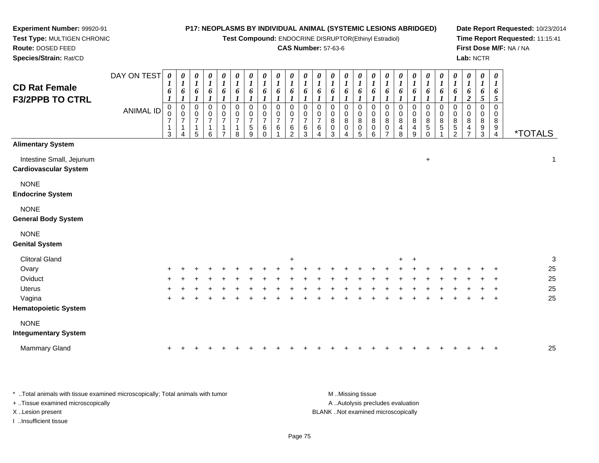**Test Compound:** ENDOCRINE DISRUPTOR(Ethinyl Estradiol)

#### **CAS Number:** 57-63-6

**Date Report Requested:** 10/23/2014**Time Report Requested:** 11:15:41**First Dose M/F:** NA / NA**Lab:** NCTR

| <b>CD Rat Female</b><br><b>F3/2PPB TO CTRL</b>           | DAY ON TEST<br><b>ANIMAL ID</b> | 0<br>$\mathbf{I}$<br>6<br>0<br>0<br>$\overline{7}$<br>1<br>3 | 0<br>$\boldsymbol{l}$<br>6<br>0<br>0<br>$\overline{7}$<br>1<br>4 | $\boldsymbol{\theta}$<br>$\boldsymbol{l}$<br>6<br>$\mathbf 0$<br>$\pmb{0}$<br>$\overline{\mathbf{7}}$<br>$\mathbf{1}$<br>5 | $\pmb{\theta}$<br>$\boldsymbol{l}$<br>6<br>$\pmb{0}$<br>$\pmb{0}$<br>$\overline{7}$<br>6 | 0<br>$\boldsymbol{l}$<br>6<br>0<br>0<br>$\overline{7}$<br>7 | $\pmb{\theta}$<br>$\boldsymbol{l}$<br>6<br>0<br>0<br>$\overline{7}$<br>8 | $\pmb{\theta}$<br>$\boldsymbol{l}$<br>6<br>0<br>0<br>$\overline{7}$<br>$\mathbf 5$<br>9 | $\pmb{\theta}$<br>$\boldsymbol{l}$<br>6<br>$\pmb{0}$<br>$\pmb{0}$<br>$\overline{7}$<br>6<br>$\mathbf 0$ | $\frac{\theta}{I}$<br>6<br>0<br>0<br>$\overline{7}$<br>6 | $\pmb{\theta}$<br>$\boldsymbol{l}$<br>6<br>0<br>0<br>$\overline{7}$<br>6<br>2 | $\boldsymbol{\theta}$<br>$\boldsymbol{l}$<br>6<br>0<br>0<br>$\overline{7}$<br>$\,6$<br>3 | $\begin{matrix} 0 \\ 1 \end{matrix}$<br>6<br>0<br>$\frac{0}{7}$<br>6<br>$\overline{4}$ | $\boldsymbol{\theta}$<br>$\boldsymbol{l}$<br>6<br>0<br>0<br>8<br>$\pmb{0}$<br>3 | $\boldsymbol{\theta}$<br>$\boldsymbol{l}$<br>6<br>0<br>0<br>8<br>0 | 0<br>$\boldsymbol{l}$<br>6<br>0<br>0<br>8<br>0<br>5 | 0<br>$\boldsymbol{l}$<br>6<br>0<br>0<br>8<br>0<br>6 | $\pmb{\theta}$<br>$\boldsymbol{l}$<br>6<br>0<br>0<br>8<br>0<br>⇁ | 0<br>$\boldsymbol{l}$<br>6<br>$\pmb{0}$<br>0<br>8<br>4<br>8 | $\pmb{\theta}$<br>1<br>6<br>$\mathbf 0$<br>0<br>8<br>4<br>9 | 0<br>$\boldsymbol{l}$<br>6<br>0<br>$\pmb{0}$<br>8<br>$\sqrt{5}$<br>$\Omega$ | 0<br>$\boldsymbol{l}$<br>6<br>0<br>0<br>8<br>5 | $\boldsymbol{\theta}$<br>$\boldsymbol{l}$<br>6<br>0<br>0<br>8<br>5<br>$\overline{2}$ | $\boldsymbol{\theta}$<br>$\boldsymbol{l}$<br>6<br>$\boldsymbol{2}$<br>$\mathbf 0$<br>0<br>8<br>4<br>7 | 0<br>$\boldsymbol{l}$<br>6<br>5<br>0<br>0<br>8<br>9<br>3 | $\pmb{\theta}$<br>$\boldsymbol{l}$<br>6<br>$\mathfrak{s}$<br>0<br>0<br>8<br>9<br>$\overline{4}$ | <i><b>*TOTALS</b></i> |
|----------------------------------------------------------|---------------------------------|--------------------------------------------------------------|------------------------------------------------------------------|----------------------------------------------------------------------------------------------------------------------------|------------------------------------------------------------------------------------------|-------------------------------------------------------------|--------------------------------------------------------------------------|-----------------------------------------------------------------------------------------|---------------------------------------------------------------------------------------------------------|----------------------------------------------------------|-------------------------------------------------------------------------------|------------------------------------------------------------------------------------------|----------------------------------------------------------------------------------------|---------------------------------------------------------------------------------|--------------------------------------------------------------------|-----------------------------------------------------|-----------------------------------------------------|------------------------------------------------------------------|-------------------------------------------------------------|-------------------------------------------------------------|-----------------------------------------------------------------------------|------------------------------------------------|--------------------------------------------------------------------------------------|-------------------------------------------------------------------------------------------------------|----------------------------------------------------------|-------------------------------------------------------------------------------------------------|-----------------------|
| <b>Alimentary System</b>                                 |                                 |                                                              |                                                                  |                                                                                                                            |                                                                                          |                                                             |                                                                          |                                                                                         |                                                                                                         |                                                          |                                                                               |                                                                                          |                                                                                        |                                                                                 |                                                                    |                                                     |                                                     |                                                                  |                                                             |                                                             |                                                                             |                                                |                                                                                      |                                                                                                       |                                                          |                                                                                                 |                       |
| Intestine Small, Jejunum<br><b>Cardiovascular System</b> |                                 |                                                              |                                                                  |                                                                                                                            |                                                                                          |                                                             |                                                                          |                                                                                         |                                                                                                         |                                                          |                                                                               |                                                                                          |                                                                                        |                                                                                 |                                                                    |                                                     |                                                     |                                                                  |                                                             |                                                             | $\ddot{}$                                                                   |                                                |                                                                                      |                                                                                                       |                                                          |                                                                                                 | $\mathbf{1}$          |
| <b>NONE</b><br><b>Endocrine System</b>                   |                                 |                                                              |                                                                  |                                                                                                                            |                                                                                          |                                                             |                                                                          |                                                                                         |                                                                                                         |                                                          |                                                                               |                                                                                          |                                                                                        |                                                                                 |                                                                    |                                                     |                                                     |                                                                  |                                                             |                                                             |                                                                             |                                                |                                                                                      |                                                                                                       |                                                          |                                                                                                 |                       |
| <b>NONE</b><br><b>General Body System</b>                |                                 |                                                              |                                                                  |                                                                                                                            |                                                                                          |                                                             |                                                                          |                                                                                         |                                                                                                         |                                                          |                                                                               |                                                                                          |                                                                                        |                                                                                 |                                                                    |                                                     |                                                     |                                                                  |                                                             |                                                             |                                                                             |                                                |                                                                                      |                                                                                                       |                                                          |                                                                                                 |                       |
| <b>NONE</b>                                              |                                 |                                                              |                                                                  |                                                                                                                            |                                                                                          |                                                             |                                                                          |                                                                                         |                                                                                                         |                                                          |                                                                               |                                                                                          |                                                                                        |                                                                                 |                                                                    |                                                     |                                                     |                                                                  |                                                             |                                                             |                                                                             |                                                |                                                                                      |                                                                                                       |                                                          |                                                                                                 |                       |
| <b>Genital System</b>                                    |                                 |                                                              |                                                                  |                                                                                                                            |                                                                                          |                                                             |                                                                          |                                                                                         |                                                                                                         |                                                          |                                                                               |                                                                                          |                                                                                        |                                                                                 |                                                                    |                                                     |                                                     |                                                                  |                                                             |                                                             |                                                                             |                                                |                                                                                      |                                                                                                       |                                                          |                                                                                                 |                       |
| <b>Clitoral Gland</b>                                    |                                 |                                                              |                                                                  |                                                                                                                            |                                                                                          |                                                             |                                                                          |                                                                                         |                                                                                                         |                                                          | $\ddot{}$                                                                     |                                                                                          |                                                                                        |                                                                                 |                                                                    |                                                     |                                                     |                                                                  | $\pm$                                                       | $\pm$                                                       |                                                                             |                                                |                                                                                      |                                                                                                       |                                                          |                                                                                                 | 3                     |
| Ovary                                                    |                                 |                                                              |                                                                  |                                                                                                                            |                                                                                          |                                                             |                                                                          |                                                                                         |                                                                                                         |                                                          |                                                                               |                                                                                          |                                                                                        |                                                                                 |                                                                    |                                                     |                                                     |                                                                  |                                                             |                                                             |                                                                             |                                                |                                                                                      |                                                                                                       |                                                          |                                                                                                 | 25                    |
| Oviduct                                                  |                                 |                                                              |                                                                  |                                                                                                                            |                                                                                          |                                                             |                                                                          |                                                                                         |                                                                                                         |                                                          |                                                                               |                                                                                          |                                                                                        |                                                                                 |                                                                    |                                                     |                                                     |                                                                  |                                                             |                                                             |                                                                             |                                                |                                                                                      |                                                                                                       |                                                          |                                                                                                 | 25                    |
| <b>Uterus</b>                                            |                                 |                                                              |                                                                  |                                                                                                                            |                                                                                          |                                                             |                                                                          |                                                                                         |                                                                                                         |                                                          |                                                                               |                                                                                          |                                                                                        |                                                                                 |                                                                    |                                                     |                                                     |                                                                  |                                                             |                                                             |                                                                             |                                                |                                                                                      |                                                                                                       |                                                          |                                                                                                 | 25                    |
| Vagina<br><b>Hematopoietic System</b>                    |                                 |                                                              |                                                                  |                                                                                                                            |                                                                                          |                                                             |                                                                          |                                                                                         |                                                                                                         |                                                          |                                                                               |                                                                                          |                                                                                        |                                                                                 |                                                                    |                                                     |                                                     |                                                                  |                                                             |                                                             |                                                                             |                                                |                                                                                      |                                                                                                       |                                                          | $\ddot{}$                                                                                       | 25                    |
| <b>NONE</b>                                              |                                 |                                                              |                                                                  |                                                                                                                            |                                                                                          |                                                             |                                                                          |                                                                                         |                                                                                                         |                                                          |                                                                               |                                                                                          |                                                                                        |                                                                                 |                                                                    |                                                     |                                                     |                                                                  |                                                             |                                                             |                                                                             |                                                |                                                                                      |                                                                                                       |                                                          |                                                                                                 |                       |

#### **Integumentary System**

**Experiment Number:** 99920-91**Test Type:** MULTIGEN CHRONIC

**Route:** DOSED FEED**Species/Strain:** Rat/CD

| Mammary Gland<br>25 |
|---------------------|
|---------------------|

\* ..Total animals with tissue examined microscopically; Total animals with tumor **M** ...Missing tissue M ...Missing tissue A ..Autolysis precludes evaluation + ..Tissue examined microscopically X ..Lesion present BLANK ..Not examined microscopicallyI ..Insufficient tissue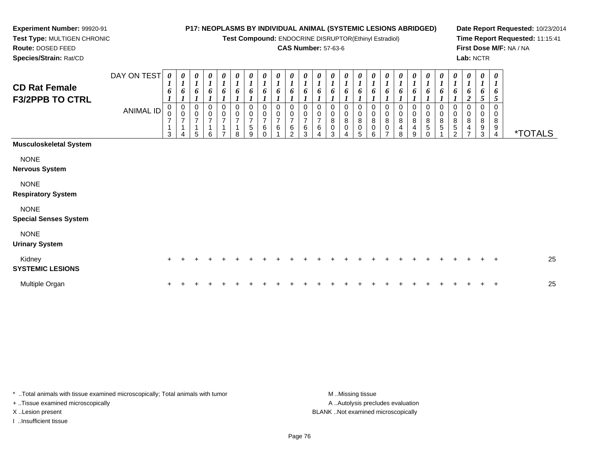**Test Compound:** ENDOCRINE DISRUPTOR(Ethinyl Estradiol)

# **CAS Number:** 57-63-6

**Date Report Requested:** 10/23/2014**Time Report Requested:** 11:15:41**First Dose M/F:** NA / NA**Lab:** NCTR

 **Test Type:** MULTIGEN CHRONIC**Route:** DOSED FEED**Species/Strain:** Rat/CD

**Experiment Number:** 99920-91

| <b>CD Rat Female</b><br><b>F3/2PPB TO CTRL</b> | DAY ON TEST<br>ANIMAL ID | 0<br>6<br>$\begin{smallmatrix}0\\0\end{smallmatrix}$<br>$\overline{7}$<br>$\overline{A}$<br>3 | 0<br>$\bm{l}$<br>6<br>$\pmb{0}$<br>$\mathbf 0$<br>$\overline{7}$<br>$\overline{1}$<br>4 | 1<br>0<br>$\pmb{0}$<br>$\overline{\mathcal{I}}$<br>1<br>5 | $\overline{I}$<br>6<br>$\pmb{0}$<br>$\pmb{0}$<br>$\overline{7}$<br>$\overline{A}$<br>6 | 0<br>$\mathbf{I}$<br>6<br>0<br>0<br>$\overline{7}$<br>⇁ | 0<br>$\boldsymbol{l}$<br>6<br>0<br>$\mathbf 0$<br>$\overline{7}$<br>8 | 0<br>$\boldsymbol{l}$<br>6<br>0<br>0<br>$\overline{7}$<br>$\,$ 5 $\,$<br>9 | 0<br>6<br>0<br>$\mathbf 0$<br>$\overline{7}$<br>6<br>$\Omega$ | $\boldsymbol{\theta}$<br>$\boldsymbol{l}$<br>6<br>0<br>0<br>$\overline{7}$<br>6 | 0<br>$\boldsymbol{l}$<br>6<br>0<br>0<br>$\boldsymbol{7}$<br>$\,6\,$<br>$\overline{2}$ | $\boldsymbol{\theta}$<br>6<br>0<br>$\overline{7}$<br>$\,6$<br>3 | 0<br>6<br>0<br>$\pmb{0}$<br>$\overline{7}$<br>6<br>4 | $\frac{\boldsymbol{\theta}}{\boldsymbol{I}}$<br>6<br>0<br>0<br>8<br>0<br>3 | $\frac{\theta}{I}$<br>6<br>0<br>$\pmb{0}$<br>8<br>0<br>4 | $\frac{\theta}{I}$<br>6<br>0<br>$\pmb{0}$<br>$\, 8$<br>$\pmb{0}$<br>5 | $\frac{\boldsymbol{\theta}}{\boldsymbol{I}}$<br>6<br>0<br>$\pmb{0}$<br>$\bf8$<br>$\mathbf 0$<br>6 | $\boldsymbol{\theta}$<br>$\boldsymbol{l}$<br>6<br>0<br>$\boldsymbol{0}$<br>$\bf 8$<br>$\pmb{0}$<br>$\overline{ }$ | 1<br>$\pmb{0}$<br>$\bf 8$<br>4<br>8 | 6<br>0<br>$\pmb{0}$<br>$\bf 8$<br>4<br>9 | 0<br>6<br>0<br>$\pmb{0}$<br>8<br>5<br>$\Omega$ | 0<br>1<br>6<br>0<br>0<br>8<br>5 | 0<br>$\boldsymbol{l}$<br>6<br>0<br>0<br>$\bf 8$<br>$\sqrt{5}$<br>2 | 0<br>$\boldsymbol{l}$<br>6<br>$\overline{c}$<br>0<br>$\mathbf 0$<br>8<br>4<br>⇁ | 0<br>$\boldsymbol{l}$<br>6<br>5<br>0<br>0<br>8<br>9<br>3 | $\boldsymbol{\theta}$<br>1<br>6<br>5<br>0<br>0<br>8<br>9<br>4 | <i><b>*TOTALS</b></i> |
|------------------------------------------------|--------------------------|-----------------------------------------------------------------------------------------------|-----------------------------------------------------------------------------------------|-----------------------------------------------------------|----------------------------------------------------------------------------------------|---------------------------------------------------------|-----------------------------------------------------------------------|----------------------------------------------------------------------------|---------------------------------------------------------------|---------------------------------------------------------------------------------|---------------------------------------------------------------------------------------|-----------------------------------------------------------------|------------------------------------------------------|----------------------------------------------------------------------------|----------------------------------------------------------|-----------------------------------------------------------------------|---------------------------------------------------------------------------------------------------|-------------------------------------------------------------------------------------------------------------------|-------------------------------------|------------------------------------------|------------------------------------------------|---------------------------------|--------------------------------------------------------------------|---------------------------------------------------------------------------------|----------------------------------------------------------|---------------------------------------------------------------|-----------------------|
| <b>Musculoskeletal System</b>                  |                          |                                                                                               |                                                                                         |                                                           |                                                                                        |                                                         |                                                                       |                                                                            |                                                               |                                                                                 |                                                                                       |                                                                 |                                                      |                                                                            |                                                          |                                                                       |                                                                                                   |                                                                                                                   |                                     |                                          |                                                |                                 |                                                                    |                                                                                 |                                                          |                                                               |                       |
| <b>NONE</b><br><b>Nervous System</b>           |                          |                                                                                               |                                                                                         |                                                           |                                                                                        |                                                         |                                                                       |                                                                            |                                                               |                                                                                 |                                                                                       |                                                                 |                                                      |                                                                            |                                                          |                                                                       |                                                                                                   |                                                                                                                   |                                     |                                          |                                                |                                 |                                                                    |                                                                                 |                                                          |                                                               |                       |
| <b>NONE</b><br><b>Respiratory System</b>       |                          |                                                                                               |                                                                                         |                                                           |                                                                                        |                                                         |                                                                       |                                                                            |                                                               |                                                                                 |                                                                                       |                                                                 |                                                      |                                                                            |                                                          |                                                                       |                                                                                                   |                                                                                                                   |                                     |                                          |                                                |                                 |                                                                    |                                                                                 |                                                          |                                                               |                       |
| <b>NONE</b><br><b>Special Senses System</b>    |                          |                                                                                               |                                                                                         |                                                           |                                                                                        |                                                         |                                                                       |                                                                            |                                                               |                                                                                 |                                                                                       |                                                                 |                                                      |                                                                            |                                                          |                                                                       |                                                                                                   |                                                                                                                   |                                     |                                          |                                                |                                 |                                                                    |                                                                                 |                                                          |                                                               |                       |
| <b>NONE</b><br><b>Urinary System</b>           |                          |                                                                                               |                                                                                         |                                                           |                                                                                        |                                                         |                                                                       |                                                                            |                                                               |                                                                                 |                                                                                       |                                                                 |                                                      |                                                                            |                                                          |                                                                       |                                                                                                   |                                                                                                                   |                                     |                                          |                                                |                                 |                                                                    |                                                                                 |                                                          |                                                               |                       |
| Kidney<br><b>SYSTEMIC LESIONS</b>              |                          | $\pm$                                                                                         |                                                                                         |                                                           |                                                                                        |                                                         |                                                                       |                                                                            |                                                               |                                                                                 |                                                                                       |                                                                 |                                                      |                                                                            |                                                          |                                                                       |                                                                                                   |                                                                                                                   |                                     |                                          |                                                |                                 |                                                                    |                                                                                 |                                                          | $\pm$                                                         | 25                    |
| Multiple Organ                                 |                          | ÷                                                                                             |                                                                                         |                                                           |                                                                                        |                                                         |                                                                       |                                                                            |                                                               |                                                                                 |                                                                                       |                                                                 |                                                      |                                                                            |                                                          |                                                                       |                                                                                                   |                                                                                                                   |                                     |                                          |                                                |                                 |                                                                    |                                                                                 |                                                          | $\mathbf +$                                                   | 25                    |

\* ..Total animals with tissue examined microscopically; Total animals with tumor **M** . Missing tissue M ..Missing tissue + ..Tissue examined microscopically

I ..Insufficient tissue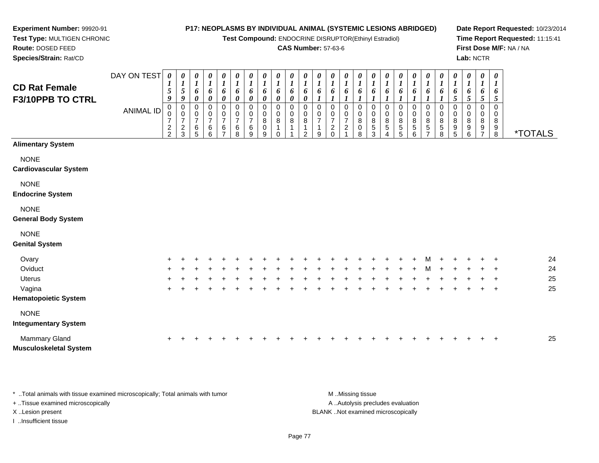**Test Compound:** ENDOCRINE DISRUPTOR(Ethinyl Estradiol)

### **CAS Number:** 57-63-6

**Date Report Requested:** 10/23/2014**Time Report Requested:** 11:15:41**First Dose M/F:** NA / NA**Lab:** NCTR

| <b>CD Rat Female</b><br>F3/10PPB TO CTRL    | DAY ON TEST<br><b>ANIMAL ID</b> | 0<br>$\boldsymbol{l}$<br>$\sqrt{5}$<br>9<br>$\mathbf 0$<br>0<br>$\overline{7}$<br>$\frac{2}{2}$ | 0<br>$\boldsymbol{l}$<br>$\sqrt{5}$<br>9<br>$\pmb{0}$<br>$\mathbf 0$<br>$\overline{7}$<br>$\frac{2}{3}$ | $\pmb{\theta}$<br>$\boldsymbol{l}$<br>6<br>$\pmb{\theta}$<br>$\pmb{0}$<br>$\,0\,$<br>$\overline{7}$<br>$\,6$<br>5 | $\frac{\theta}{I}$<br>6<br>$\pmb{\theta}$<br>$\pmb{0}$<br>$\frac{0}{7}$<br>$\,6$<br>6 | $\boldsymbol{\theta}$<br>$\boldsymbol{I}$<br>$\pmb{6}$<br>$\pmb{\theta}$<br>0<br>$\pmb{0}$<br>$\overline{7}$<br>$\frac{6}{7}$ | 0<br>$\boldsymbol{l}$<br>$\pmb{6}$<br>0<br>0<br>$\pmb{0}$<br>$\overline{\mathcal{I}}$<br>6<br>8 | 0<br>$\boldsymbol{l}$<br>6<br>$\boldsymbol{\theta}$<br>$\pmb{0}$<br>0<br>$\overline{7}$<br>$\,6$<br>9 | $\pmb{\theta}$<br>$\boldsymbol{l}$<br>6<br>$\boldsymbol{\theta}$<br>$\mathbf 0$<br>0<br>8<br>$\pmb{0}$<br>9 | 0<br>$\boldsymbol{l}$<br>6<br>$\boldsymbol{\theta}$<br>$\mathbf 0$<br>0<br>8<br>$\Omega$ | $\boldsymbol{\theta}$<br>$\boldsymbol{l}$<br>6<br>0<br>$\mathbf 0$<br>0<br>8 | $\pmb{\theta}$<br>$\boldsymbol{l}$<br>6<br>$\pmb{\theta}$<br>$\mathbf 0$<br>$_{\rm 8}^{\rm 0}$<br>$\mathcal{P}$ | $\pmb{\theta}$<br>$\boldsymbol{l}$<br>6<br>$\mathbf 0$<br>0<br>$\overline{7}$<br>9 | $\pmb{\theta}$<br>$\boldsymbol{l}$<br>6<br>0<br>0<br>$\boldsymbol{7}$<br>$\frac{2}{0}$ | $\boldsymbol{\theta}$<br>$\boldsymbol{l}$<br>6<br>$\mathbf 0$<br>0<br>$\overline{7}$<br>$\sqrt{2}$<br>4 | 0<br>$\boldsymbol{l}$<br>6<br>$\mathbf 0$<br>0<br>$\,8\,$<br>0<br>8 | $\pmb{\theta}$<br>$\boldsymbol{l}$<br>6<br>$\mathbf 0$<br>$\boldsymbol{0}$<br>$\bf 8$<br>$\,$ 5 $\,$<br>3 | 0<br>$\boldsymbol{l}$<br>6<br>$\mathbf 0$<br>0<br>8<br>$\mathbf 5$<br>$\Delta$ | $\pmb{\theta}$<br>$\boldsymbol{l}$<br>6<br>$\pmb{0}$<br>$\pmb{0}$<br>$\bf8$<br>$\,$ 5 $\,$<br>5 | $\pmb{\theta}$<br>$\boldsymbol{l}$<br>6<br>0<br>0<br>8<br>5<br>6 | $\pmb{\theta}$<br>$\boldsymbol{l}$<br>$\pmb{6}$<br>0<br>$\pmb{0}$<br>$\,8\,$<br>$\overline{5}$<br>$\overline{7}$ | 0<br>$\boldsymbol{l}$<br>6<br>$\mathbf 0$<br>0<br>8<br>5<br>8 | $\pmb{\theta}$<br>$\boldsymbol{l}$<br>6<br>5<br>$\pmb{0}$<br>0<br>8<br>$\begin{array}{c} 9 \\ 5 \end{array}$ | $\pmb{\theta}$<br>$\boldsymbol{I}$<br>$\pmb{6}$<br>$\mathfrak{s}$<br>0<br>0<br>8<br>9<br>$6\phantom{a}$ | 0<br>$\boldsymbol{l}$<br>6<br>$\mathfrak{s}$<br>$\mathbf 0$<br>0<br>8<br>$\frac{9}{7}$ | $\pmb{\theta}$<br>$\boldsymbol{l}$<br>6<br>$\mathfrak{s}$<br>$\mathbf 0$<br>0<br>8<br>$_{8}^{\rm 9}$ | <i><b>*TOTALS</b></i> |
|---------------------------------------------|---------------------------------|-------------------------------------------------------------------------------------------------|---------------------------------------------------------------------------------------------------------|-------------------------------------------------------------------------------------------------------------------|---------------------------------------------------------------------------------------|-------------------------------------------------------------------------------------------------------------------------------|-------------------------------------------------------------------------------------------------|-------------------------------------------------------------------------------------------------------|-------------------------------------------------------------------------------------------------------------|------------------------------------------------------------------------------------------|------------------------------------------------------------------------------|-----------------------------------------------------------------------------------------------------------------|------------------------------------------------------------------------------------|----------------------------------------------------------------------------------------|---------------------------------------------------------------------------------------------------------|---------------------------------------------------------------------|-----------------------------------------------------------------------------------------------------------|--------------------------------------------------------------------------------|-------------------------------------------------------------------------------------------------|------------------------------------------------------------------|------------------------------------------------------------------------------------------------------------------|---------------------------------------------------------------|--------------------------------------------------------------------------------------------------------------|---------------------------------------------------------------------------------------------------------|----------------------------------------------------------------------------------------|------------------------------------------------------------------------------------------------------|-----------------------|
| <b>Alimentary System</b>                    |                                 |                                                                                                 |                                                                                                         |                                                                                                                   |                                                                                       |                                                                                                                               |                                                                                                 |                                                                                                       |                                                                                                             |                                                                                          |                                                                              |                                                                                                                 |                                                                                    |                                                                                        |                                                                                                         |                                                                     |                                                                                                           |                                                                                |                                                                                                 |                                                                  |                                                                                                                  |                                                               |                                                                                                              |                                                                                                         |                                                                                        |                                                                                                      |                       |
| <b>NONE</b><br><b>Cardiovascular System</b> |                                 |                                                                                                 |                                                                                                         |                                                                                                                   |                                                                                       |                                                                                                                               |                                                                                                 |                                                                                                       |                                                                                                             |                                                                                          |                                                                              |                                                                                                                 |                                                                                    |                                                                                        |                                                                                                         |                                                                     |                                                                                                           |                                                                                |                                                                                                 |                                                                  |                                                                                                                  |                                                               |                                                                                                              |                                                                                                         |                                                                                        |                                                                                                      |                       |
| <b>NONE</b><br><b>Endocrine System</b>      |                                 |                                                                                                 |                                                                                                         |                                                                                                                   |                                                                                       |                                                                                                                               |                                                                                                 |                                                                                                       |                                                                                                             |                                                                                          |                                                                              |                                                                                                                 |                                                                                    |                                                                                        |                                                                                                         |                                                                     |                                                                                                           |                                                                                |                                                                                                 |                                                                  |                                                                                                                  |                                                               |                                                                                                              |                                                                                                         |                                                                                        |                                                                                                      |                       |
| <b>NONE</b><br><b>General Body System</b>   |                                 |                                                                                                 |                                                                                                         |                                                                                                                   |                                                                                       |                                                                                                                               |                                                                                                 |                                                                                                       |                                                                                                             |                                                                                          |                                                                              |                                                                                                                 |                                                                                    |                                                                                        |                                                                                                         |                                                                     |                                                                                                           |                                                                                |                                                                                                 |                                                                  |                                                                                                                  |                                                               |                                                                                                              |                                                                                                         |                                                                                        |                                                                                                      |                       |
| <b>NONE</b><br><b>Genital System</b>        |                                 |                                                                                                 |                                                                                                         |                                                                                                                   |                                                                                       |                                                                                                                               |                                                                                                 |                                                                                                       |                                                                                                             |                                                                                          |                                                                              |                                                                                                                 |                                                                                    |                                                                                        |                                                                                                         |                                                                     |                                                                                                           |                                                                                |                                                                                                 |                                                                  |                                                                                                                  |                                                               |                                                                                                              |                                                                                                         |                                                                                        |                                                                                                      |                       |
| Ovary                                       |                                 |                                                                                                 |                                                                                                         |                                                                                                                   |                                                                                       |                                                                                                                               |                                                                                                 |                                                                                                       |                                                                                                             |                                                                                          |                                                                              |                                                                                                                 |                                                                                    |                                                                                        |                                                                                                         |                                                                     |                                                                                                           |                                                                                |                                                                                                 |                                                                  |                                                                                                                  |                                                               |                                                                                                              |                                                                                                         |                                                                                        |                                                                                                      | 24                    |
| Oviduct                                     |                                 |                                                                                                 |                                                                                                         |                                                                                                                   |                                                                                       |                                                                                                                               |                                                                                                 |                                                                                                       |                                                                                                             |                                                                                          |                                                                              |                                                                                                                 |                                                                                    |                                                                                        |                                                                                                         |                                                                     |                                                                                                           |                                                                                |                                                                                                 |                                                                  |                                                                                                                  |                                                               |                                                                                                              |                                                                                                         |                                                                                        |                                                                                                      | 24                    |
| <b>Uterus</b>                               |                                 |                                                                                                 |                                                                                                         |                                                                                                                   |                                                                                       |                                                                                                                               |                                                                                                 |                                                                                                       |                                                                                                             |                                                                                          |                                                                              |                                                                                                                 |                                                                                    |                                                                                        |                                                                                                         |                                                                     |                                                                                                           |                                                                                |                                                                                                 |                                                                  |                                                                                                                  |                                                               |                                                                                                              |                                                                                                         |                                                                                        |                                                                                                      | 25                    |
| Vagina                                      |                                 | ÷                                                                                               |                                                                                                         |                                                                                                                   |                                                                                       |                                                                                                                               |                                                                                                 |                                                                                                       |                                                                                                             |                                                                                          |                                                                              |                                                                                                                 |                                                                                    |                                                                                        |                                                                                                         |                                                                     |                                                                                                           |                                                                                |                                                                                                 |                                                                  |                                                                                                                  |                                                               |                                                                                                              |                                                                                                         |                                                                                        | $\ddot{}$                                                                                            | 25                    |
| <b>Hematopoietic System</b>                 |                                 |                                                                                                 |                                                                                                         |                                                                                                                   |                                                                                       |                                                                                                                               |                                                                                                 |                                                                                                       |                                                                                                             |                                                                                          |                                                                              |                                                                                                                 |                                                                                    |                                                                                        |                                                                                                         |                                                                     |                                                                                                           |                                                                                |                                                                                                 |                                                                  |                                                                                                                  |                                                               |                                                                                                              |                                                                                                         |                                                                                        |                                                                                                      |                       |
| <b>NONE</b><br><b>Integumentary System</b>  |                                 |                                                                                                 |                                                                                                         |                                                                                                                   |                                                                                       |                                                                                                                               |                                                                                                 |                                                                                                       |                                                                                                             |                                                                                          |                                                                              |                                                                                                                 |                                                                                    |                                                                                        |                                                                                                         |                                                                     |                                                                                                           |                                                                                |                                                                                                 |                                                                  |                                                                                                                  |                                                               |                                                                                                              |                                                                                                         |                                                                                        |                                                                                                      |                       |
| Mammary Gland                               |                                 |                                                                                                 |                                                                                                         |                                                                                                                   |                                                                                       |                                                                                                                               |                                                                                                 |                                                                                                       |                                                                                                             |                                                                                          |                                                                              |                                                                                                                 |                                                                                    |                                                                                        |                                                                                                         |                                                                     |                                                                                                           |                                                                                |                                                                                                 |                                                                  |                                                                                                                  |                                                               |                                                                                                              |                                                                                                         |                                                                                        | $\div$                                                                                               | 25                    |

**Musculoskeletal System**

**Experiment Number:** 99920-91**Test Type:** MULTIGEN CHRONIC

**Route:** DOSED FEED**Species/Strain:** Rat/CD

\* ..Total animals with tissue examined microscopically; Total animals with tumor **M** ...Missing tissue M ...Missing tissue A ..Autolysis precludes evaluation + ..Tissue examined microscopically X ..Lesion present BLANK ..Not examined microscopicallyI ..Insufficient tissue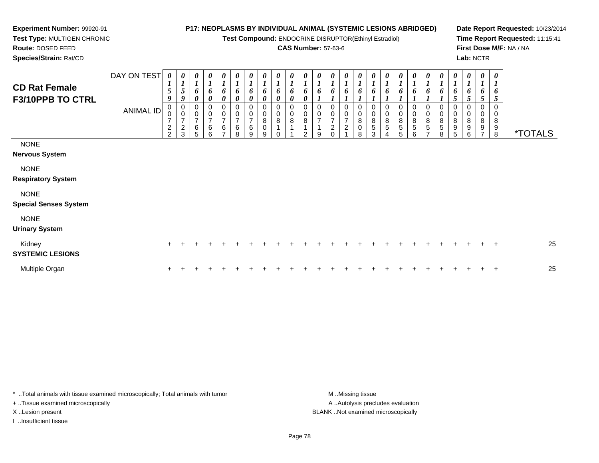**Test Compound:** ENDOCRINE DISRUPTOR(Ethinyl Estradiol)

#### **CAS Number:** 57-63-6

**Date Report Requested:** 10/23/2014**Time Report Requested:** 11:15:41**First Dose M/F:** NA / NA

**Test Type:** MULTIGEN CHRONIC**Route:** DOSED FEED

**Experiment Number:** 99920-91

 **Species/Strain:** Rat/CD**Lab:** NCTRDAY ON TEST**CD Rat Female F3/10PPB TO CTRL**ANIMAL ID*0 1 5 9* 0 0 7 2 2*0 1 5 9* 0 0 7 2 3*0 1 6 0* 0 0 7 6 5*0 1 6 0* 0 0 7 6 6*0 1 6 0* 0 0 7 6 7*0 1 6 0* 0 0 7 6 8*0 1 6 0* 0 0 7 6 9*0 1 6 0* 0 0 8 0 9*0 1 6 0*0<br>0<br>8<br>1 0*0 1 6 0* 0 0 8 1 1*0 1 6 0* 0 0 8 1 2*0 1 6 1* 0 0 7 1 9*0 1 6 1* 0 0 7 2 0*0 1 6 1* 0 0 7 2 1*0 1 6 1* 0 0 8 0 8*0 1 6 1* 0 0 8 5 3*0 1 6 1* 0 0 8 5 4*0 1 6 1* 0 0 8 5 5*0 1 6 1* 0 0 8 5 6*0 1 6 1* 0 0 8 5 7*0 1 6 1* 0 0 8 5 8*0 1 6 5* 0 0 8 9 5*0 1 6 5* 0 0 8 9 6*0 1 6 5* 0 0 8 9 7*0 1 6 5* 0 0 89<br>ه 8 \*TOTALSNONE **Nervous System**NONE **Respiratory System**NONE**Special Senses System**

# NONE

# **Urinary System**

| Kidney<br><b>SYSTEMIC LESIONS</b> |  |  |  |  |  |  |  |  |  |  |  |  |  | 25 |
|-----------------------------------|--|--|--|--|--|--|--|--|--|--|--|--|--|----|
| Multiple Organ                    |  |  |  |  |  |  |  |  |  |  |  |  |  | 25 |

\* ..Total animals with tissue examined microscopically; Total animals with tumor **M** ..Missing tissue M ..Missing tissue

+ ..Tissue examined microscopically

I ..Insufficient tissue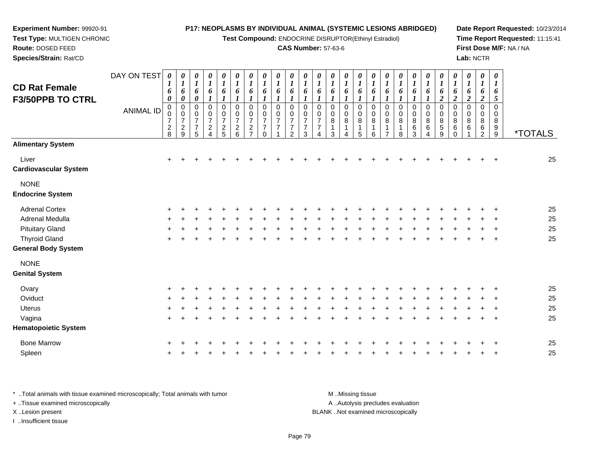**Test Compound:** ENDOCRINE DISRUPTOR(Ethinyl Estradiol)

### **CAS Number:** 57-63-6

**Date Report Requested:** 10/23/2014**Time Report Requested:** 11:15:41**First Dose M/F:** NA / NA**Lab:** NCTR

| <b>CD Rat Female</b><br><b>F3/50PPB TO CTRL</b> | DAY ON TEST<br><b>ANIMAL ID</b> | 0<br>1<br>6<br>$\boldsymbol{\theta}$<br>$\mathbf 0$<br>0<br>$\boldsymbol{7}$<br>$\frac{2}{8}$ | 0<br>$\boldsymbol{l}$<br>6<br>$\boldsymbol{\theta}$<br>$\mathbf 0$<br>$\pmb{0}$<br>$\boldsymbol{7}$<br>$\sqrt{2}$<br>9 | $\boldsymbol{\theta}$<br>$\boldsymbol{l}$<br>6<br>$\boldsymbol{\theta}$<br>$\pmb{0}$<br>0<br>$\overline{7}$<br>$\overline{7}$<br>5 | $\boldsymbol{\theta}$<br>$\boldsymbol{l}$<br>6<br>0<br>0<br>$\overline{7}$<br>$\overline{a}$<br>$\overline{A}$ | 0<br>$\boldsymbol{l}$<br>6<br>$\boldsymbol{l}$<br>0<br>$\pmb{0}$<br>$\overline{7}$<br>$\frac{2}{5}$ | $\pmb{\theta}$<br>$\boldsymbol{l}$<br>6<br>$\boldsymbol{l}$<br>$\boldsymbol{0}$<br>$\frac{0}{7}$<br>$\overline{\mathbf{c}}$<br>6 | $\pmb{\theta}$<br>$\boldsymbol{l}$<br>6<br>$\pmb{0}$<br>$\pmb{0}$<br>$\overline{7}$<br>$\boldsymbol{2}$<br>$\overline{7}$ | 0<br>$\boldsymbol{l}$<br>6<br>$\mathbf 0$<br>$\mathbf 0$<br>$\overline{7}$<br>$\overline{7}$<br>$\Omega$ | $\pmb{\theta}$<br>$\boldsymbol{l}$<br>6<br>$\mathbf 0$<br>$\mathbf 0$<br>$\overline{7}$<br>$\overline{7}$ | $\pmb{\theta}$<br>$\boldsymbol{l}$<br>6<br>$\mathbf 0$<br>$\mathbf 0$<br>$\overline{7}$<br>$\overline{7}$<br>$\overline{2}$ | $\boldsymbol{\theta}$<br>$\boldsymbol{l}$<br>6<br>$\mathsf 0$<br>$\mathbf 0$<br>$\overline{7}$<br>$\overline{7}$<br>3 | 0<br>$\boldsymbol{l}$<br>6<br>$\mathbf 0$<br>$\mathbf 0$<br>$\overline{7}$<br>$\overline{7}$<br>Δ | 0<br>$\boldsymbol{l}$<br>6<br>$\mathbf 0$<br>0<br>$\bf 8$<br>3 | 0<br>$\boldsymbol{l}$<br>6<br>$\mathbf 0$<br>$\mathbf 0$<br>$\bf8$<br>$\mathbf{1}$<br>4 | 0<br>$\boldsymbol{l}$<br>6<br>$\boldsymbol{l}$<br>$\pmb{0}$<br>$\pmb{0}$<br>$\bf 8$<br>$\mathbf{1}$<br>5 | 0<br>$\boldsymbol{l}$<br>6<br>$\mathbf 0$<br>$\mathbf 0$<br>8<br>1<br>6 | 0<br>$\boldsymbol{l}$<br>6<br>$\mathbf 0$<br>0<br>8<br>$\overline{1}$<br>7 | $\boldsymbol{\theta}$<br>$\boldsymbol{l}$<br>6<br>$\pmb{0}$<br>$\mathbf 0$<br>8<br>$\mathbf{1}$<br>8 | 0<br>$\boldsymbol{l}$<br>6<br>1<br>$\pmb{0}$<br>$\pmb{0}$<br>$\bf 8$<br>$\,6\,$<br>3 | 0<br>$\boldsymbol{l}$<br>6<br>0<br>$\pmb{0}$<br>$\bf 8$<br>6<br>$\overline{4}$ | 0<br>$\boldsymbol{l}$<br>6<br>$\overline{2}$<br>0<br>$\pmb{0}$<br>$\bf 8$<br>$\,$ 5 $\,$<br>9 | $\pmb{\theta}$<br>$\boldsymbol{l}$<br>6<br>$\boldsymbol{2}$<br>$\pmb{0}$<br>$\mathbf 0$<br>8<br>$\,6\,$<br>$\Omega$ | 0<br>$\boldsymbol{l}$<br>6<br>$\boldsymbol{2}$<br>$\pmb{0}$<br>$\,0\,$<br>$\bf 8$<br>6 | $\boldsymbol{\theta}$<br>$\boldsymbol{l}$<br>6<br>$\overline{2}$<br>$\mathbf 0$<br>0<br>8<br>6<br>$\overline{2}$ | $\pmb{\theta}$<br>$\boldsymbol{l}$<br>6<br>5<br>0<br>0<br>8<br>9<br>9 | <i><b>*TOTALS</b></i> |
|-------------------------------------------------|---------------------------------|-----------------------------------------------------------------------------------------------|------------------------------------------------------------------------------------------------------------------------|------------------------------------------------------------------------------------------------------------------------------------|----------------------------------------------------------------------------------------------------------------|-----------------------------------------------------------------------------------------------------|----------------------------------------------------------------------------------------------------------------------------------|---------------------------------------------------------------------------------------------------------------------------|----------------------------------------------------------------------------------------------------------|-----------------------------------------------------------------------------------------------------------|-----------------------------------------------------------------------------------------------------------------------------|-----------------------------------------------------------------------------------------------------------------------|---------------------------------------------------------------------------------------------------|----------------------------------------------------------------|-----------------------------------------------------------------------------------------|----------------------------------------------------------------------------------------------------------|-------------------------------------------------------------------------|----------------------------------------------------------------------------|------------------------------------------------------------------------------------------------------|--------------------------------------------------------------------------------------|--------------------------------------------------------------------------------|-----------------------------------------------------------------------------------------------|---------------------------------------------------------------------------------------------------------------------|----------------------------------------------------------------------------------------|------------------------------------------------------------------------------------------------------------------|-----------------------------------------------------------------------|-----------------------|
| <b>Alimentary System</b>                        |                                 |                                                                                               |                                                                                                                        |                                                                                                                                    |                                                                                                                |                                                                                                     |                                                                                                                                  |                                                                                                                           |                                                                                                          |                                                                                                           |                                                                                                                             |                                                                                                                       |                                                                                                   |                                                                |                                                                                         |                                                                                                          |                                                                         |                                                                            |                                                                                                      |                                                                                      |                                                                                |                                                                                               |                                                                                                                     |                                                                                        |                                                                                                                  |                                                                       |                       |
| Liver<br><b>Cardiovascular System</b>           |                                 | $\ddot{}$                                                                                     |                                                                                                                        |                                                                                                                                    |                                                                                                                |                                                                                                     |                                                                                                                                  |                                                                                                                           |                                                                                                          |                                                                                                           |                                                                                                                             |                                                                                                                       |                                                                                                   |                                                                |                                                                                         |                                                                                                          |                                                                         |                                                                            |                                                                                                      |                                                                                      |                                                                                |                                                                                               |                                                                                                                     |                                                                                        |                                                                                                                  |                                                                       | 25                    |
| <b>NONE</b><br><b>Endocrine System</b>          |                                 |                                                                                               |                                                                                                                        |                                                                                                                                    |                                                                                                                |                                                                                                     |                                                                                                                                  |                                                                                                                           |                                                                                                          |                                                                                                           |                                                                                                                             |                                                                                                                       |                                                                                                   |                                                                |                                                                                         |                                                                                                          |                                                                         |                                                                            |                                                                                                      |                                                                                      |                                                                                |                                                                                               |                                                                                                                     |                                                                                        |                                                                                                                  |                                                                       |                       |
| <b>Adrenal Cortex</b>                           |                                 |                                                                                               |                                                                                                                        |                                                                                                                                    |                                                                                                                |                                                                                                     |                                                                                                                                  |                                                                                                                           |                                                                                                          |                                                                                                           |                                                                                                                             |                                                                                                                       |                                                                                                   |                                                                |                                                                                         |                                                                                                          |                                                                         |                                                                            |                                                                                                      |                                                                                      |                                                                                |                                                                                               |                                                                                                                     |                                                                                        |                                                                                                                  |                                                                       | 25                    |
| Adrenal Medulla                                 |                                 |                                                                                               |                                                                                                                        |                                                                                                                                    |                                                                                                                |                                                                                                     |                                                                                                                                  |                                                                                                                           |                                                                                                          |                                                                                                           |                                                                                                                             |                                                                                                                       |                                                                                                   |                                                                |                                                                                         |                                                                                                          |                                                                         |                                                                            |                                                                                                      |                                                                                      |                                                                                |                                                                                               |                                                                                                                     |                                                                                        |                                                                                                                  |                                                                       | 25                    |
| <b>Pituitary Gland</b>                          |                                 |                                                                                               |                                                                                                                        |                                                                                                                                    |                                                                                                                |                                                                                                     |                                                                                                                                  |                                                                                                                           |                                                                                                          |                                                                                                           |                                                                                                                             |                                                                                                                       |                                                                                                   |                                                                |                                                                                         |                                                                                                          |                                                                         |                                                                            |                                                                                                      |                                                                                      |                                                                                |                                                                                               |                                                                                                                     |                                                                                        |                                                                                                                  |                                                                       | 25                    |
| <b>Thyroid Gland</b>                            |                                 |                                                                                               |                                                                                                                        |                                                                                                                                    |                                                                                                                |                                                                                                     |                                                                                                                                  |                                                                                                                           |                                                                                                          |                                                                                                           |                                                                                                                             |                                                                                                                       |                                                                                                   |                                                                |                                                                                         |                                                                                                          |                                                                         |                                                                            |                                                                                                      |                                                                                      |                                                                                |                                                                                               |                                                                                                                     |                                                                                        |                                                                                                                  | $\ddot{}$                                                             | 25                    |
| <b>General Body System</b>                      |                                 |                                                                                               |                                                                                                                        |                                                                                                                                    |                                                                                                                |                                                                                                     |                                                                                                                                  |                                                                                                                           |                                                                                                          |                                                                                                           |                                                                                                                             |                                                                                                                       |                                                                                                   |                                                                |                                                                                         |                                                                                                          |                                                                         |                                                                            |                                                                                                      |                                                                                      |                                                                                |                                                                                               |                                                                                                                     |                                                                                        |                                                                                                                  |                                                                       |                       |
| <b>NONE</b>                                     |                                 |                                                                                               |                                                                                                                        |                                                                                                                                    |                                                                                                                |                                                                                                     |                                                                                                                                  |                                                                                                                           |                                                                                                          |                                                                                                           |                                                                                                                             |                                                                                                                       |                                                                                                   |                                                                |                                                                                         |                                                                                                          |                                                                         |                                                                            |                                                                                                      |                                                                                      |                                                                                |                                                                                               |                                                                                                                     |                                                                                        |                                                                                                                  |                                                                       |                       |
| <b>Genital System</b>                           |                                 |                                                                                               |                                                                                                                        |                                                                                                                                    |                                                                                                                |                                                                                                     |                                                                                                                                  |                                                                                                                           |                                                                                                          |                                                                                                           |                                                                                                                             |                                                                                                                       |                                                                                                   |                                                                |                                                                                         |                                                                                                          |                                                                         |                                                                            |                                                                                                      |                                                                                      |                                                                                |                                                                                               |                                                                                                                     |                                                                                        |                                                                                                                  |                                                                       |                       |
| Ovary                                           |                                 |                                                                                               |                                                                                                                        |                                                                                                                                    |                                                                                                                |                                                                                                     |                                                                                                                                  |                                                                                                                           |                                                                                                          |                                                                                                           |                                                                                                                             |                                                                                                                       |                                                                                                   |                                                                |                                                                                         |                                                                                                          |                                                                         |                                                                            |                                                                                                      |                                                                                      |                                                                                |                                                                                               |                                                                                                                     |                                                                                        |                                                                                                                  |                                                                       | 25                    |
| Oviduct                                         |                                 |                                                                                               |                                                                                                                        |                                                                                                                                    |                                                                                                                |                                                                                                     |                                                                                                                                  |                                                                                                                           |                                                                                                          |                                                                                                           |                                                                                                                             |                                                                                                                       |                                                                                                   |                                                                |                                                                                         |                                                                                                          |                                                                         |                                                                            |                                                                                                      |                                                                                      |                                                                                |                                                                                               |                                                                                                                     |                                                                                        |                                                                                                                  |                                                                       | 25                    |
| <b>Uterus</b>                                   |                                 |                                                                                               |                                                                                                                        |                                                                                                                                    |                                                                                                                |                                                                                                     |                                                                                                                                  |                                                                                                                           |                                                                                                          |                                                                                                           |                                                                                                                             |                                                                                                                       |                                                                                                   |                                                                |                                                                                         |                                                                                                          |                                                                         |                                                                            |                                                                                                      |                                                                                      |                                                                                |                                                                                               |                                                                                                                     |                                                                                        |                                                                                                                  |                                                                       | 25                    |
| Vagina                                          |                                 | $\ddot{}$                                                                                     |                                                                                                                        |                                                                                                                                    |                                                                                                                |                                                                                                     |                                                                                                                                  |                                                                                                                           |                                                                                                          |                                                                                                           |                                                                                                                             |                                                                                                                       |                                                                                                   |                                                                |                                                                                         |                                                                                                          |                                                                         |                                                                            |                                                                                                      |                                                                                      |                                                                                |                                                                                               |                                                                                                                     |                                                                                        |                                                                                                                  | $\ddot{}$                                                             | 25                    |
| <b>Hematopoietic System</b>                     |                                 |                                                                                               |                                                                                                                        |                                                                                                                                    |                                                                                                                |                                                                                                     |                                                                                                                                  |                                                                                                                           |                                                                                                          |                                                                                                           |                                                                                                                             |                                                                                                                       |                                                                                                   |                                                                |                                                                                         |                                                                                                          |                                                                         |                                                                            |                                                                                                      |                                                                                      |                                                                                |                                                                                               |                                                                                                                     |                                                                                        |                                                                                                                  |                                                                       |                       |
| <b>Bone Marrow</b>                              |                                 |                                                                                               |                                                                                                                        |                                                                                                                                    |                                                                                                                |                                                                                                     |                                                                                                                                  |                                                                                                                           |                                                                                                          |                                                                                                           |                                                                                                                             |                                                                                                                       |                                                                                                   |                                                                |                                                                                         |                                                                                                          |                                                                         |                                                                            |                                                                                                      |                                                                                      |                                                                                |                                                                                               |                                                                                                                     |                                                                                        |                                                                                                                  |                                                                       | 25                    |
| Spleen                                          |                                 |                                                                                               |                                                                                                                        |                                                                                                                                    |                                                                                                                |                                                                                                     |                                                                                                                                  |                                                                                                                           |                                                                                                          |                                                                                                           |                                                                                                                             |                                                                                                                       |                                                                                                   |                                                                |                                                                                         |                                                                                                          |                                                                         |                                                                            |                                                                                                      |                                                                                      |                                                                                |                                                                                               |                                                                                                                     |                                                                                        |                                                                                                                  | +                                                                     | 25                    |

\* ..Total animals with tissue examined microscopically; Total animals with tumor **M** . Missing tissue M ..Missing tissue A ..Autolysis precludes evaluation + ..Tissue examined microscopically X ..Lesion present BLANK ..Not examined microscopicallyI ..Insufficient tissue

**Experiment Number:** 99920-91**Test Type:** MULTIGEN CHRONIC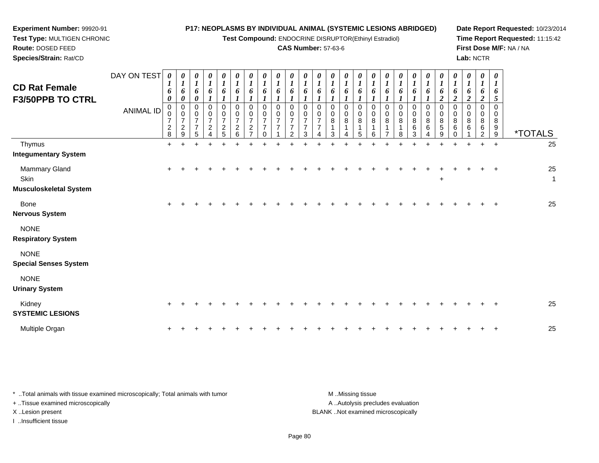**Test Compound:** ENDOCRINE DISRUPTOR(Ethinyl Estradiol)

# **CAS Number:** 57-63-6

**Date Report Requested:** 10/23/2014**Time Report Requested:** 11:15:42**First Dose M/F:** NA / NA**Lab:** NCTR

| <b>CD Rat Female</b><br><b>F3/50PPB TO CTRL</b>        | DAY ON TEST<br><b>ANIMAL ID</b> | $\boldsymbol{\theta}$<br>1<br>6<br>$\boldsymbol{\theta}$<br>$\mathbf 0$<br>0<br>$\boldsymbol{7}$<br>$\boldsymbol{2}$<br>8 | 0<br>$\boldsymbol{l}$<br>6<br>$\pmb{\theta}$<br>$\pmb{0}$<br>$\ddot{\mathbf{0}}$<br>$\boldsymbol{7}$<br>$\boldsymbol{2}$<br>$\overline{9}$ | $\frac{\theta}{I}$<br>6<br>$\boldsymbol{\theta}$<br>0<br>$\mathbf 0$<br>$\overline{7}$<br>$\overline{7}$<br>5 | 0<br>$\boldsymbol{l}$<br>6<br>$\boldsymbol{l}$<br>$\,0\,$<br>$\pmb{0}$<br>$\boldsymbol{7}$<br>$\overline{c}$<br>$\Delta$ | $\boldsymbol{\theta}$<br>$\boldsymbol{l}$<br>6<br>$\pmb{0}$<br>$\boldsymbol{0}$<br>$\overline{7}$<br>$\boldsymbol{2}$<br>5 | 0<br>$\boldsymbol{l}$<br>6<br>0<br>0<br>$\overline{7}$<br>$\overline{\mathbf{c}}$<br>6 | 0<br>$\boldsymbol{l}$<br>6<br>$\Omega$<br>0<br>$\overline{7}$<br>$\overline{c}$<br>$\overline{ }$ | 0<br>$\boldsymbol{l}$<br>6<br>0<br>0<br>$\overline{7}$<br>7 | 0<br>$\boldsymbol{I}$<br>6<br>$\Omega$<br>$\mathbf 0$<br>$\overline{7}$ | 0<br>$\boldsymbol{l}$<br>6<br>$\Omega$<br>0<br>$\overline{7}$<br>$\mathcal{P}$ | 0<br>$\boldsymbol{l}$<br>6<br>1<br>0<br>0<br>$\overline{7}$<br>7<br>3 | 0<br>$\boldsymbol{l}$<br>6<br>$\Omega$<br>$\pmb{0}$<br>$\overline{7}$<br>$\overline{7}$ | 0<br>$\boldsymbol{l}$<br>6<br>$\mathbf 0$<br>$\pmb{0}$<br>$\bf8$<br>3 | 0<br>$\boldsymbol{l}$<br>6<br>0<br>0<br>8 | $\boldsymbol{\theta}$<br>$\boldsymbol{l}$<br>6<br>$\boldsymbol{l}$<br>0<br>0<br>$\bf 8$<br>5 | $\boldsymbol{\theta}$<br>$\boldsymbol{l}$<br>6<br>$\boldsymbol{l}$<br>$\mathbf 0$<br>$\mathbf 0$<br>8 | $\boldsymbol{\theta}$<br>6<br>0<br>$\pmb{0}$<br>$\bf 8$ | 0<br>$\boldsymbol{l}$<br>6<br>0<br>$\mathbf 0$<br>8<br>8 | 0<br>$\boldsymbol{l}$<br>6<br>0<br>$\boldsymbol{0}$<br>8<br>6<br>3 | 0<br>$\boldsymbol{l}$<br>6<br>$\mathbf 0$<br>$\mathbf 0$<br>8<br>6<br>4 | 0<br>$\boldsymbol{l}$<br>6<br>$\boldsymbol{2}$<br>$\pmb{0}$<br>$\mathbf 0$<br>$\bf 8$<br>$\mathbf 5$<br>$\boldsymbol{9}$ | 0<br>$\boldsymbol{l}$<br>6<br>$\overline{c}$<br>$\mathbf 0$<br>0<br>8<br>6<br>0 | 0<br>$\boldsymbol{l}$<br>6<br>$\boldsymbol{2}$<br>0<br>$\mathbf 0$<br>8<br>6 | $\boldsymbol{\theta}$<br>$\boldsymbol{l}$<br>6<br>$\boldsymbol{2}$<br>$\mathbf 0$<br>$\mathbf 0$<br>8<br>6<br>$\mathfrak{p}$ | 0<br>1<br>6<br>5<br>$\mathbf 0$<br>0<br>8<br>9<br>$\boldsymbol{9}$ | <i><b>*TOTALS</b></i> |
|--------------------------------------------------------|---------------------------------|---------------------------------------------------------------------------------------------------------------------------|--------------------------------------------------------------------------------------------------------------------------------------------|---------------------------------------------------------------------------------------------------------------|--------------------------------------------------------------------------------------------------------------------------|----------------------------------------------------------------------------------------------------------------------------|----------------------------------------------------------------------------------------|---------------------------------------------------------------------------------------------------|-------------------------------------------------------------|-------------------------------------------------------------------------|--------------------------------------------------------------------------------|-----------------------------------------------------------------------|-----------------------------------------------------------------------------------------|-----------------------------------------------------------------------|-------------------------------------------|----------------------------------------------------------------------------------------------|-------------------------------------------------------------------------------------------------------|---------------------------------------------------------|----------------------------------------------------------|--------------------------------------------------------------------|-------------------------------------------------------------------------|--------------------------------------------------------------------------------------------------------------------------|---------------------------------------------------------------------------------|------------------------------------------------------------------------------|------------------------------------------------------------------------------------------------------------------------------|--------------------------------------------------------------------|-----------------------|
| Thymus<br><b>Integumentary System</b>                  |                                 | $\ddot{}$                                                                                                                 | $\ddot{}$                                                                                                                                  |                                                                                                               |                                                                                                                          |                                                                                                                            | ÷                                                                                      |                                                                                                   |                                                             |                                                                         |                                                                                |                                                                       |                                                                                         | ÷                                                                     | ÷                                         |                                                                                              |                                                                                                       |                                                         | 4                                                        | ٠                                                                  | ÷                                                                       | $\ddot{}$                                                                                                                | $\ddot{}$                                                                       |                                                                              | ÷                                                                                                                            | $+$                                                                | 25                    |
| Mammary Gland<br>Skin<br><b>Musculoskeletal System</b> |                                 | $\ddot{}$                                                                                                                 |                                                                                                                                            |                                                                                                               |                                                                                                                          |                                                                                                                            |                                                                                        |                                                                                                   |                                                             |                                                                         |                                                                                |                                                                       |                                                                                         |                                                                       |                                           |                                                                                              |                                                                                                       |                                                         |                                                          |                                                                    |                                                                         | $\ddot{}$                                                                                                                |                                                                                 |                                                                              |                                                                                                                              | $\overline{+}$                                                     | 25<br>$\mathbf{1}$    |
| Bone<br><b>Nervous System</b>                          |                                 | $\pm$                                                                                                                     |                                                                                                                                            |                                                                                                               |                                                                                                                          |                                                                                                                            |                                                                                        |                                                                                                   |                                                             |                                                                         |                                                                                |                                                                       |                                                                                         |                                                                       |                                           |                                                                                              |                                                                                                       |                                                         |                                                          |                                                                    |                                                                         |                                                                                                                          |                                                                                 |                                                                              |                                                                                                                              |                                                                    | 25                    |
| <b>NONE</b><br><b>Respiratory System</b>               |                                 |                                                                                                                           |                                                                                                                                            |                                                                                                               |                                                                                                                          |                                                                                                                            |                                                                                        |                                                                                                   |                                                             |                                                                         |                                                                                |                                                                       |                                                                                         |                                                                       |                                           |                                                                                              |                                                                                                       |                                                         |                                                          |                                                                    |                                                                         |                                                                                                                          |                                                                                 |                                                                              |                                                                                                                              |                                                                    |                       |
| <b>NONE</b><br><b>Special Senses System</b>            |                                 |                                                                                                                           |                                                                                                                                            |                                                                                                               |                                                                                                                          |                                                                                                                            |                                                                                        |                                                                                                   |                                                             |                                                                         |                                                                                |                                                                       |                                                                                         |                                                                       |                                           |                                                                                              |                                                                                                       |                                                         |                                                          |                                                                    |                                                                         |                                                                                                                          |                                                                                 |                                                                              |                                                                                                                              |                                                                    |                       |
| <b>NONE</b><br><b>Urinary System</b>                   |                                 |                                                                                                                           |                                                                                                                                            |                                                                                                               |                                                                                                                          |                                                                                                                            |                                                                                        |                                                                                                   |                                                             |                                                                         |                                                                                |                                                                       |                                                                                         |                                                                       |                                           |                                                                                              |                                                                                                       |                                                         |                                                          |                                                                    |                                                                         |                                                                                                                          |                                                                                 |                                                                              |                                                                                                                              |                                                                    |                       |
| Kidney<br><b>SYSTEMIC LESIONS</b>                      |                                 |                                                                                                                           |                                                                                                                                            |                                                                                                               |                                                                                                                          |                                                                                                                            |                                                                                        |                                                                                                   |                                                             |                                                                         |                                                                                |                                                                       |                                                                                         |                                                                       |                                           |                                                                                              |                                                                                                       |                                                         |                                                          |                                                                    |                                                                         |                                                                                                                          |                                                                                 |                                                                              |                                                                                                                              | $\ddot{}$                                                          | 25                    |
| Multiple Organ                                         |                                 |                                                                                                                           |                                                                                                                                            |                                                                                                               |                                                                                                                          |                                                                                                                            |                                                                                        |                                                                                                   |                                                             |                                                                         |                                                                                |                                                                       |                                                                                         |                                                                       |                                           |                                                                                              |                                                                                                       |                                                         |                                                          |                                                                    |                                                                         |                                                                                                                          |                                                                                 |                                                                              |                                                                                                                              |                                                                    | 25                    |

\* ..Total animals with tissue examined microscopically; Total animals with tumor **M** . Missing tissue M ..Missing tissue A ..Autolysis precludes evaluation + ..Tissue examined microscopically X ..Lesion present BLANK ..Not examined microscopicallyI ..Insufficient tissue

**Experiment Number:** 99920-91**Test Type:** MULTIGEN CHRONIC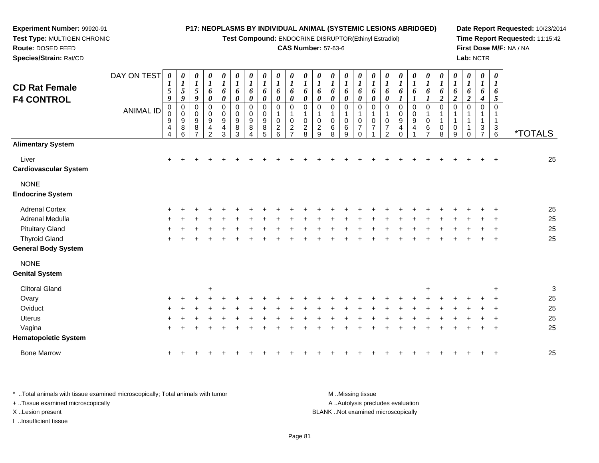**Test Compound:** ENDOCRINE DISRUPTOR(Ethinyl Estradiol)

#### **CAS Number:** 57-63-6

**Date Report Requested:** 10/23/2014**Time Report Requested:** 11:15:42**First Dose M/F:** NA / NA**Lab:** NCTR

| <b>CD Rat Female</b><br><b>F4 CONTROL</b>          | DAY ON TEST<br><b>ANIMAL ID</b> | 0<br>5<br>9<br>$\pmb{0}$<br>0<br>9<br>4<br>$\overline{4}$ | 0<br>$\boldsymbol{l}$<br>$\sqrt{5}$<br>9<br>$\mathbf 0$<br>0<br>9<br>8<br>6 | 0<br>$\boldsymbol{l}$<br>$\sqrt{5}$<br>9<br>$\pmb{0}$<br>0<br>$\boldsymbol{9}$<br>8 | 0<br>$\boldsymbol{l}$<br>6<br>0<br>$\mathbf 0$<br>0<br>$\boldsymbol{9}$<br>4<br>$\overline{2}$ | $\pmb{\theta}$<br>$\boldsymbol{l}$<br>6<br>$\pmb{\theta}$<br>0<br>$\mathbf 0$<br>$\boldsymbol{9}$<br>$\overline{4}$<br>3 | 0<br>$\boldsymbol{l}$<br>6<br>$\boldsymbol{\theta}$<br>$\mathbf 0$<br>0<br>9<br>8<br>3 | $\boldsymbol{\theta}$<br>$\boldsymbol{l}$<br>6<br>$\boldsymbol{\theta}$<br>$\mathbf 0$<br>0<br>$\boldsymbol{9}$<br>8<br>4 | 0<br>$\boldsymbol{l}$<br>6<br>0<br>$\mathbf 0$<br>0<br>9<br>8<br>5 | 0<br>$\boldsymbol{l}$<br>6<br>0<br>0<br>0<br>$\overline{c}$<br>6 | 0<br>$\boldsymbol{l}$<br>6<br>0<br>$\Omega$<br>$\Omega$<br>$\overline{c}$<br>$\overline{ }$ | 0<br>1<br>6<br>0<br>$\mathbf 0$<br>$\Omega$<br>$\overline{c}$<br>8 | 0<br>6<br>0<br>$\mathbf 0$<br>$\mathbf 0$<br>$\overline{2}$<br>9 | 0<br>$\boldsymbol{l}$<br>6<br>0<br>$\Omega$<br>$\mathbf 0$<br>6<br>8 | 0<br>1<br>6<br>0<br>0<br>1<br>0<br>6<br>9 | 0<br>$\boldsymbol{l}$<br>6<br>0<br>$\mathbf 0$<br>1<br>$\mathbf 0$<br>$\overline{7}$<br>0 | 0<br>$\boldsymbol{l}$<br>6<br>0<br>$\mathbf 0$<br>$\mathbf 1$<br>$\pmb{0}$<br>$\overline{7}$ | $\boldsymbol{\theta}$<br>$\boldsymbol{l}$<br>6<br>$\boldsymbol{\theta}$<br>$\mathbf 0$<br>$\mathbf{1}$<br>0<br>$\overline{7}$<br>$\overline{2}$ | 0<br>6<br>$\pmb{0}$<br>0<br>9<br>4<br>0 | $\boldsymbol{\theta}$<br>1<br>6<br>$\mathbf 0$<br>0<br>9<br>4 | 0<br>6<br>$\mathbf 0$<br>$\mathbf 0$<br>6<br>$\overline{\phantom{a}}$ | 0<br>6<br>$\overline{\mathbf{c}}$<br>$\Omega$<br>0<br>8 | $\pmb{\theta}$<br>$\boldsymbol{I}$<br>6<br>$\boldsymbol{2}$<br>$\Omega$<br>0<br>9 | $\pmb{\theta}$<br>$\boldsymbol{l}$<br>6<br>$\boldsymbol{2}$<br>$\mathbf 0$<br>1<br>1<br>1<br>$\Omega$ | $\boldsymbol{\theta}$<br>$\boldsymbol{l}$<br>6<br>4<br>$\mathbf 0$<br>1<br>1<br>3<br>$\overline{ }$ | $\boldsymbol{\theta}$<br>$\boldsymbol{l}$<br>6<br>5<br>0<br>1<br>$\mathbf{1}$<br>3<br>6 | <i><b>*TOTALS</b></i> |
|----------------------------------------------------|---------------------------------|-----------------------------------------------------------|-----------------------------------------------------------------------------|-------------------------------------------------------------------------------------|------------------------------------------------------------------------------------------------|--------------------------------------------------------------------------------------------------------------------------|----------------------------------------------------------------------------------------|---------------------------------------------------------------------------------------------------------------------------|--------------------------------------------------------------------|------------------------------------------------------------------|---------------------------------------------------------------------------------------------|--------------------------------------------------------------------|------------------------------------------------------------------|----------------------------------------------------------------------|-------------------------------------------|-------------------------------------------------------------------------------------------|----------------------------------------------------------------------------------------------|-------------------------------------------------------------------------------------------------------------------------------------------------|-----------------------------------------|---------------------------------------------------------------|-----------------------------------------------------------------------|---------------------------------------------------------|-----------------------------------------------------------------------------------|-------------------------------------------------------------------------------------------------------|-----------------------------------------------------------------------------------------------------|-----------------------------------------------------------------------------------------|-----------------------|
| <b>Alimentary System</b>                           |                                 |                                                           |                                                                             |                                                                                     |                                                                                                |                                                                                                                          |                                                                                        |                                                                                                                           |                                                                    |                                                                  |                                                                                             |                                                                    |                                                                  |                                                                      |                                           |                                                                                           |                                                                                              |                                                                                                                                                 |                                         |                                                               |                                                                       |                                                         |                                                                                   |                                                                                                       |                                                                                                     |                                                                                         |                       |
| Liver<br><b>Cardiovascular System</b>              |                                 | $\ddot{}$                                                 |                                                                             |                                                                                     |                                                                                                |                                                                                                                          |                                                                                        |                                                                                                                           |                                                                    |                                                                  |                                                                                             |                                                                    |                                                                  |                                                                      |                                           |                                                                                           |                                                                                              |                                                                                                                                                 |                                         |                                                               |                                                                       |                                                         |                                                                                   |                                                                                                       |                                                                                                     |                                                                                         | 25                    |
| <b>NONE</b><br><b>Endocrine System</b>             |                                 |                                                           |                                                                             |                                                                                     |                                                                                                |                                                                                                                          |                                                                                        |                                                                                                                           |                                                                    |                                                                  |                                                                                             |                                                                    |                                                                  |                                                                      |                                           |                                                                                           |                                                                                              |                                                                                                                                                 |                                         |                                                               |                                                                       |                                                         |                                                                                   |                                                                                                       |                                                                                                     |                                                                                         |                       |
| <b>Adrenal Cortex</b>                              |                                 |                                                           |                                                                             |                                                                                     |                                                                                                |                                                                                                                          |                                                                                        |                                                                                                                           |                                                                    |                                                                  |                                                                                             |                                                                    |                                                                  |                                                                      |                                           |                                                                                           |                                                                                              |                                                                                                                                                 |                                         |                                                               |                                                                       |                                                         |                                                                                   |                                                                                                       |                                                                                                     |                                                                                         | 25                    |
| Adrenal Medulla                                    |                                 |                                                           |                                                                             |                                                                                     |                                                                                                |                                                                                                                          |                                                                                        |                                                                                                                           |                                                                    |                                                                  |                                                                                             |                                                                    |                                                                  |                                                                      |                                           |                                                                                           |                                                                                              |                                                                                                                                                 |                                         |                                                               |                                                                       |                                                         |                                                                                   |                                                                                                       |                                                                                                     |                                                                                         | 25                    |
| <b>Pituitary Gland</b>                             |                                 |                                                           |                                                                             |                                                                                     |                                                                                                |                                                                                                                          |                                                                                        |                                                                                                                           |                                                                    |                                                                  |                                                                                             |                                                                    |                                                                  |                                                                      |                                           |                                                                                           |                                                                                              |                                                                                                                                                 |                                         |                                                               |                                                                       |                                                         |                                                                                   |                                                                                                       |                                                                                                     |                                                                                         | 25                    |
| <b>Thyroid Gland</b><br><b>General Body System</b> |                                 |                                                           |                                                                             |                                                                                     |                                                                                                |                                                                                                                          |                                                                                        |                                                                                                                           |                                                                    |                                                                  |                                                                                             |                                                                    |                                                                  |                                                                      |                                           |                                                                                           |                                                                                              |                                                                                                                                                 |                                         |                                                               |                                                                       |                                                         |                                                                                   |                                                                                                       |                                                                                                     |                                                                                         | 25                    |
| <b>NONE</b><br><b>Genital System</b>               |                                 |                                                           |                                                                             |                                                                                     |                                                                                                |                                                                                                                          |                                                                                        |                                                                                                                           |                                                                    |                                                                  |                                                                                             |                                                                    |                                                                  |                                                                      |                                           |                                                                                           |                                                                                              |                                                                                                                                                 |                                         |                                                               |                                                                       |                                                         |                                                                                   |                                                                                                       |                                                                                                     |                                                                                         |                       |
| <b>Clitoral Gland</b>                              |                                 |                                                           |                                                                             |                                                                                     | $\ddot{}$                                                                                      |                                                                                                                          |                                                                                        |                                                                                                                           |                                                                    |                                                                  |                                                                                             |                                                                    |                                                                  |                                                                      |                                           |                                                                                           |                                                                                              |                                                                                                                                                 |                                         |                                                               | $\ddot{}$                                                             |                                                         |                                                                                   |                                                                                                       |                                                                                                     | $\ddot{}$                                                                               | 3                     |
| Ovary                                              |                                 |                                                           |                                                                             |                                                                                     |                                                                                                |                                                                                                                          |                                                                                        |                                                                                                                           |                                                                    |                                                                  |                                                                                             |                                                                    |                                                                  |                                                                      |                                           |                                                                                           |                                                                                              |                                                                                                                                                 |                                         |                                                               |                                                                       |                                                         |                                                                                   |                                                                                                       |                                                                                                     |                                                                                         | 25                    |
| Oviduct                                            |                                 |                                                           |                                                                             |                                                                                     |                                                                                                |                                                                                                                          |                                                                                        |                                                                                                                           |                                                                    |                                                                  |                                                                                             |                                                                    |                                                                  |                                                                      |                                           |                                                                                           |                                                                                              |                                                                                                                                                 |                                         |                                                               |                                                                       |                                                         |                                                                                   |                                                                                                       |                                                                                                     |                                                                                         | 25                    |
| <b>Uterus</b>                                      |                                 |                                                           |                                                                             |                                                                                     |                                                                                                |                                                                                                                          |                                                                                        |                                                                                                                           |                                                                    |                                                                  |                                                                                             |                                                                    |                                                                  |                                                                      |                                           |                                                                                           |                                                                                              |                                                                                                                                                 |                                         |                                                               |                                                                       |                                                         |                                                                                   |                                                                                                       |                                                                                                     |                                                                                         | 25                    |
| Vagina<br><b>Hematopoietic System</b>              |                                 |                                                           |                                                                             |                                                                                     |                                                                                                |                                                                                                                          |                                                                                        |                                                                                                                           |                                                                    |                                                                  |                                                                                             |                                                                    |                                                                  |                                                                      |                                           |                                                                                           |                                                                                              |                                                                                                                                                 |                                         |                                                               |                                                                       |                                                         |                                                                                   |                                                                                                       |                                                                                                     |                                                                                         | 25                    |
| <b>Bone Marrow</b>                                 |                                 | +                                                         |                                                                             |                                                                                     |                                                                                                |                                                                                                                          |                                                                                        |                                                                                                                           |                                                                    |                                                                  |                                                                                             |                                                                    |                                                                  |                                                                      |                                           |                                                                                           |                                                                                              |                                                                                                                                                 |                                         |                                                               |                                                                       |                                                         |                                                                                   |                                                                                                       |                                                                                                     |                                                                                         | 25                    |
|                                                    |                                 |                                                           |                                                                             |                                                                                     |                                                                                                |                                                                                                                          |                                                                                        |                                                                                                                           |                                                                    |                                                                  |                                                                                             |                                                                    |                                                                  |                                                                      |                                           |                                                                                           |                                                                                              |                                                                                                                                                 |                                         |                                                               |                                                                       |                                                         |                                                                                   |                                                                                                       |                                                                                                     |                                                                                         |                       |

\* ..Total animals with tissue examined microscopically; Total animals with tumor **M** . Missing tissue M ..Missing tissue A ..Autolysis precludes evaluation + ..Tissue examined microscopically X ..Lesion present BLANK ..Not examined microscopicallyI ..Insufficient tissue

**Experiment Number:** 99920-91**Test Type:** MULTIGEN CHRONIC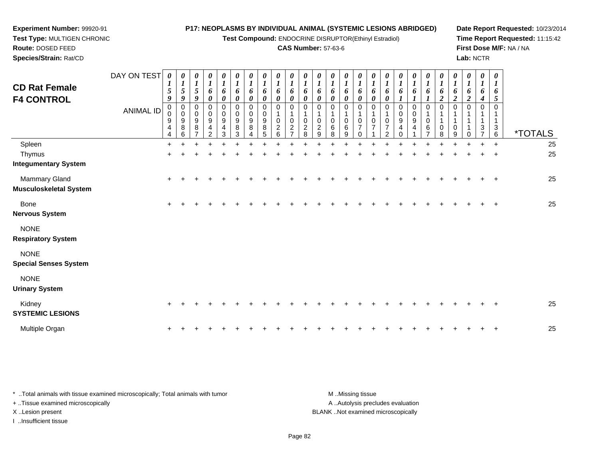**Test Compound:** ENDOCRINE DISRUPTOR(Ethinyl Estradiol)

*0 1*

*0 1*

*0*

*1 6 2*

*6 1*

**Date Report Requested:** 10/23/2014**Time Report Requested:** 11:15:42**First Dose M/F:** NA / NA**Lab:** NCTR

**Route:** DOSED FEED **Species/Strain:** Rat/CD**CAS Number:** 57-63-6DAY ON TEST**CD Rat Female F4 CONTROL**ANIMAL ID*0 1 5 9*0<br>0<br>9<br>4 *0 1 5 9* 0 0 9 8*0 1 5 9* 0 0 9 8*0 1 6 0* 0 0 94*0 1 6 0*0<br>0<br>9<br>4 *0 1 6 0* 0 0 9 8*0 1 6 0* 0 0 9 8*0 1 6 0* 0 0 9 8*0 1 6 0* 0 1 0 2*0 1 6 0* 0 1 0 2*0 1 6 0* 0 1 0 2*0 1 6 0* 0 1 0 2*0 1 6 0* 0 1 0 6*0 1 6 0* 0 1 0 6*0 1 6 0*0 1 0 7

**Experiment Number:** 99920-91**Test Type:** MULTIGEN CHRONIC

|                                                | <b>ANIMAL ID</b> | 0<br>0<br>$\boldsymbol{9}$<br>$\overline{\mathbf{4}}$<br>4 | $\overline{0}$<br>$\pmb{0}$<br>$\frac{9}{8}$<br>6 | 0<br>$\pmb{0}$<br>$\boldsymbol{9}$<br>$\bf 8$ | 0<br>$\mathsf{O}\xspace$<br>$\boldsymbol{9}$<br>$\overline{4}$<br>$\overline{2}$ | $\begin{matrix} 0 \\ 0 \end{matrix}$<br>$\boldsymbol{9}$<br>$\overline{\mathbf{4}}$<br>3 | 0<br>$\pmb{0}$<br>$\overline{9}$<br>$\,8\,$<br>3 | 0<br>$\pmb{0}$<br>$\boldsymbol{9}$<br>$\bf 8$ | 0<br>$\pmb{0}$<br>$\frac{9}{8}$<br>5 | 0<br>$\pmb{0}$<br>$\boldsymbol{2}$<br>6 | 0<br>$\pmb{0}$<br>$\sqrt{2}$<br>- | 0<br>$\pmb{0}$<br>$\overline{c}$<br>8 | 0<br>$\mathbf{1}$<br>$\pmb{0}$<br>$\sqrt{2}$<br>9 | $\mathbf 0$<br>$\overline{1}$<br>$\pmb{0}$<br>$\,6\,$<br>8 | 0<br>$\mathbf 1$<br>$\pmb{0}$<br>$\,6\,$<br>9 | 0<br>1<br>$\frac{0}{7}$<br>$\Omega$ | U<br>$\begin{array}{c} 0 \\ 7 \end{array}$ | O<br>$\mathbf{1}$<br>$\frac{0}{7}$<br>ົ | 0<br>$_{9}^{\rm 0}$<br>$\overline{4}$ | 0<br>$\mathbf 0$<br>$\boldsymbol{9}$<br>4 | 0<br>1<br>$\pmb{0}$<br>$\,6$<br>$\overline{ }$ | 0<br>$\overline{A}$<br>$\pmb{0}$<br>8 | 0<br>$\mathbf{1}$<br>$\mathbf{1}$<br>$\mathsf{O}\xspace$<br>9 | 0<br>$\overline{1}$ | 0<br>$\mathbf{1}$<br>$\ensuremath{\mathsf{3}}$ | 0<br>$\mathbf{1}$<br>$\ensuremath{\mathsf{3}}$<br>$6\phantom{1}$ | <i><b>*TOTALS</b></i> |
|------------------------------------------------|------------------|------------------------------------------------------------|---------------------------------------------------|-----------------------------------------------|----------------------------------------------------------------------------------|------------------------------------------------------------------------------------------|--------------------------------------------------|-----------------------------------------------|--------------------------------------|-----------------------------------------|-----------------------------------|---------------------------------------|---------------------------------------------------|------------------------------------------------------------|-----------------------------------------------|-------------------------------------|--------------------------------------------|-----------------------------------------|---------------------------------------|-------------------------------------------|------------------------------------------------|---------------------------------------|---------------------------------------------------------------|---------------------|------------------------------------------------|------------------------------------------------------------------|-----------------------|
| Spleen                                         |                  | $+$                                                        |                                                   |                                               |                                                                                  |                                                                                          |                                                  |                                               |                                      |                                         |                                   |                                       |                                                   |                                                            |                                               |                                     |                                            |                                         |                                       |                                           |                                                |                                       |                                                               |                     |                                                | $\ddot{}$                                                        | 25                    |
| Thymus                                         |                  | $\ddot{}$                                                  |                                                   |                                               |                                                                                  |                                                                                          |                                                  |                                               |                                      |                                         |                                   |                                       |                                                   |                                                            |                                               |                                     |                                            |                                         |                                       |                                           |                                                |                                       |                                                               |                     |                                                | $\ddot{}$                                                        | 25                    |
| <b>Integumentary System</b>                    |                  |                                                            |                                                   |                                               |                                                                                  |                                                                                          |                                                  |                                               |                                      |                                         |                                   |                                       |                                                   |                                                            |                                               |                                     |                                            |                                         |                                       |                                           |                                                |                                       |                                                               |                     |                                                |                                                                  |                       |
| Mammary Gland<br><b>Musculoskeletal System</b> |                  | $\ddot{}$                                                  |                                                   |                                               |                                                                                  |                                                                                          |                                                  |                                               |                                      |                                         |                                   |                                       |                                                   |                                                            |                                               |                                     |                                            |                                         |                                       |                                           |                                                |                                       |                                                               |                     |                                                | $\overline{+}$                                                   | 25                    |
| Bone<br><b>Nervous System</b>                  |                  | $\pm$                                                      |                                                   |                                               |                                                                                  |                                                                                          |                                                  |                                               |                                      |                                         |                                   |                                       |                                                   |                                                            |                                               |                                     |                                            |                                         |                                       |                                           |                                                |                                       |                                                               |                     |                                                | $\overline{ }$                                                   | 25                    |
| <b>NONE</b><br><b>Respiratory System</b>       |                  |                                                            |                                                   |                                               |                                                                                  |                                                                                          |                                                  |                                               |                                      |                                         |                                   |                                       |                                                   |                                                            |                                               |                                     |                                            |                                         |                                       |                                           |                                                |                                       |                                                               |                     |                                                |                                                                  |                       |
| <b>NONE</b><br><b>Special Senses System</b>    |                  |                                                            |                                                   |                                               |                                                                                  |                                                                                          |                                                  |                                               |                                      |                                         |                                   |                                       |                                                   |                                                            |                                               |                                     |                                            |                                         |                                       |                                           |                                                |                                       |                                                               |                     |                                                |                                                                  |                       |
| <b>NONE</b><br><b>Urinary System</b>           |                  |                                                            |                                                   |                                               |                                                                                  |                                                                                          |                                                  |                                               |                                      |                                         |                                   |                                       |                                                   |                                                            |                                               |                                     |                                            |                                         |                                       |                                           |                                                |                                       |                                                               |                     |                                                |                                                                  |                       |
| Kidney<br><b>SYSTEMIC LESIONS</b>              |                  | $\pm$                                                      |                                                   |                                               |                                                                                  |                                                                                          |                                                  |                                               |                                      |                                         |                                   |                                       |                                                   |                                                            |                                               |                                     |                                            |                                         |                                       |                                           |                                                |                                       |                                                               |                     |                                                | $\ddot{}$                                                        | 25                    |
| Multiple Organ                                 |                  | $\ddot{}$                                                  |                                                   |                                               |                                                                                  |                                                                                          |                                                  |                                               |                                      |                                         |                                   |                                       |                                                   |                                                            |                                               |                                     |                                            |                                         |                                       |                                           |                                                |                                       |                                                               |                     |                                                | $\ddot{}$                                                        | 25                    |

\* ..Total animals with tissue examined microscopically; Total animals with tumor **M** ..Missing tissue M ..Missing tissue A ..Autolysis precludes evaluation + ..Tissue examined microscopically X ..Lesion present BLANK ..Not examined microscopicallyI ..Insufficient tissue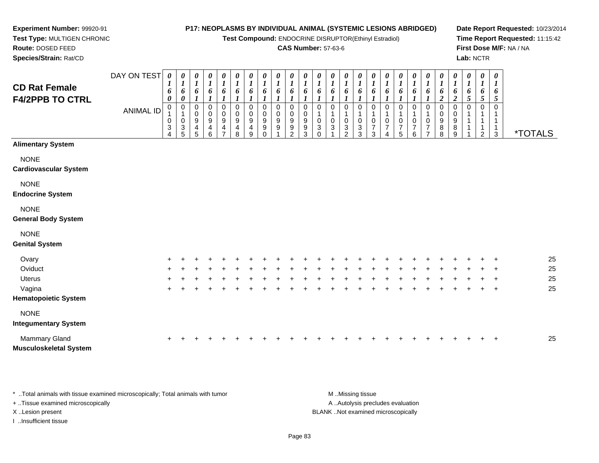**Test Compound:** ENDOCRINE DISRUPTOR(Ethinyl Estradiol)

#### **CAS Number:** 57-63-6

**Date Report Requested:** 10/23/2014**Time Report Requested:** 11:15:42**First Dose M/F:** NA / NA**Lab:** NCTR

| <b>CD Rat Female</b><br><b>F4/2PPB TO CTRL</b> | DAY ON TEST<br><b>ANIMAL ID</b> | 0<br>$\overline{ }$<br>6<br>0<br>$\mathbf 0$<br>0<br>3<br>4 | $\boldsymbol{\theta}$<br>$\mathbf{I}$<br>U<br>$\boldsymbol{0}$<br>3 | 0<br>6<br>0<br>0<br>9<br>4<br>5 | $\boldsymbol{\theta}$<br>$\boldsymbol{l}$<br>6<br>0<br>$\pmb{0}$<br>9<br>4<br>6 | 0<br>$\boldsymbol{l}$<br>6<br>0<br>$\pmb{0}$<br>9<br>4<br>$\overline{ }$ | $\pmb{\theta}$<br>$\boldsymbol{l}$<br>6<br>1<br>0<br>$\mathbf 0$<br>9<br>4<br>8 | 0<br>1<br>6<br>0<br>$\pmb{0}$<br>9<br>4<br>9 | 0<br>6<br>0<br>$\mathbf 0$<br>9<br>9<br>$\Omega$ | 0<br>6<br>0<br>$\boldsymbol{0}$<br>9<br>9 | 0<br>9<br>9<br>2 | 0<br>0<br>9<br>9<br>3 | 0<br>6<br>0<br>3<br>$\Omega$ | 0<br>6<br>0<br>3 | 0<br>$\boldsymbol{l}$<br>6<br>0<br>$\sqrt{3}$<br>$\mathcal{P}$ | $\boldsymbol{\theta}$<br>$\boldsymbol{l}$<br>6<br>0<br>0<br>$\sqrt{3}$<br>3 | 0<br>$\boldsymbol{l}$<br>6<br>0<br>$\frac{0}{7}$<br>3 | $\pmb{\theta}$<br>$\boldsymbol{l}$<br>6<br>0<br>0<br>$\overline{7}$<br>4 | 0<br>6<br>0<br>$\overline{7}$<br>5 | 0<br>6<br>0<br>7<br>6 | $\pmb{\theta}$<br>6<br>0<br>0<br>$\overline{ }$ | 0<br>6<br>$\overline{\mathbf{2}}$<br>0<br>9<br>8<br>8 | 0<br>1<br>6<br>$\boldsymbol{2}$<br>0<br>9<br>$\bf 8$<br>9 | $\boldsymbol{\theta}$<br>$\boldsymbol{l}$<br>6<br>5 | 0<br>T<br>6<br>$\mathfrak{s}$<br>0<br>$\overline{2}$ | $\boldsymbol{\theta}$<br>$\mathbf{I}$<br>6<br>5<br>3 | <i><b>*TOTALS</b></i> |
|------------------------------------------------|---------------------------------|-------------------------------------------------------------|---------------------------------------------------------------------|---------------------------------|---------------------------------------------------------------------------------|--------------------------------------------------------------------------|---------------------------------------------------------------------------------|----------------------------------------------|--------------------------------------------------|-------------------------------------------|------------------|-----------------------|------------------------------|------------------|----------------------------------------------------------------|-----------------------------------------------------------------------------|-------------------------------------------------------|--------------------------------------------------------------------------|------------------------------------|-----------------------|-------------------------------------------------|-------------------------------------------------------|-----------------------------------------------------------|-----------------------------------------------------|------------------------------------------------------|------------------------------------------------------|-----------------------|
| <b>Alimentary System</b>                       |                                 |                                                             |                                                                     |                                 |                                                                                 |                                                                          |                                                                                 |                                              |                                                  |                                           |                  |                       |                              |                  |                                                                |                                                                             |                                                       |                                                                          |                                    |                       |                                                 |                                                       |                                                           |                                                     |                                                      |                                                      |                       |
| <b>NONE</b><br><b>Cardiovascular System</b>    |                                 |                                                             |                                                                     |                                 |                                                                                 |                                                                          |                                                                                 |                                              |                                                  |                                           |                  |                       |                              |                  |                                                                |                                                                             |                                                       |                                                                          |                                    |                       |                                                 |                                                       |                                                           |                                                     |                                                      |                                                      |                       |
| <b>NONE</b><br><b>Endocrine System</b>         |                                 |                                                             |                                                                     |                                 |                                                                                 |                                                                          |                                                                                 |                                              |                                                  |                                           |                  |                       |                              |                  |                                                                |                                                                             |                                                       |                                                                          |                                    |                       |                                                 |                                                       |                                                           |                                                     |                                                      |                                                      |                       |
| <b>NONE</b><br><b>General Body System</b>      |                                 |                                                             |                                                                     |                                 |                                                                                 |                                                                          |                                                                                 |                                              |                                                  |                                           |                  |                       |                              |                  |                                                                |                                                                             |                                                       |                                                                          |                                    |                       |                                                 |                                                       |                                                           |                                                     |                                                      |                                                      |                       |
| <b>NONE</b><br><b>Genital System</b>           |                                 |                                                             |                                                                     |                                 |                                                                                 |                                                                          |                                                                                 |                                              |                                                  |                                           |                  |                       |                              |                  |                                                                |                                                                             |                                                       |                                                                          |                                    |                       |                                                 |                                                       |                                                           |                                                     |                                                      |                                                      |                       |
| Ovary<br>Oviduct                               |                                 |                                                             |                                                                     |                                 |                                                                                 |                                                                          |                                                                                 |                                              |                                                  |                                           |                  |                       |                              |                  |                                                                |                                                                             |                                                       |                                                                          |                                    |                       |                                                 |                                                       |                                                           |                                                     |                                                      | $\mathbf +$                                          | 25<br>25              |

| <b>Uterus</b>               |  |  |  |  |  |  | + + + + + + + + + + + + + + | $+$ $-$ |  |  |  | + + + + + + + | $+$ $-$ | $+$ $+$ |  | 25 |
|-----------------------------|--|--|--|--|--|--|-----------------------------|---------|--|--|--|---------------|---------|---------|--|----|
| Vagina                      |  |  |  |  |  |  |                             |         |  |  |  |               |         |         |  | 25 |
| <b>Hematopoietic System</b> |  |  |  |  |  |  |                             |         |  |  |  |               |         |         |  |    |
| <b>NONE</b>                 |  |  |  |  |  |  |                             |         |  |  |  |               |         |         |  |    |
| Integumentary System        |  |  |  |  |  |  |                             |         |  |  |  |               |         |         |  |    |
| Mammary Gland               |  |  |  |  |  |  |                             |         |  |  |  |               |         |         |  | 25 |

**Musculoskeletal System**

**Experiment Number:** 99920-91**Test Type:** MULTIGEN CHRONIC

**Route:** DOSED FEED**Species/Strain:** Rat/CD

\* ..Total animals with tissue examined microscopically; Total animals with tumor **M** ...Missing tissue M ...Missing tissue A .. Autolysis precludes evaluation + ..Tissue examined microscopically X ..Lesion present BLANK ..Not examined microscopicallyI ..Insufficient tissue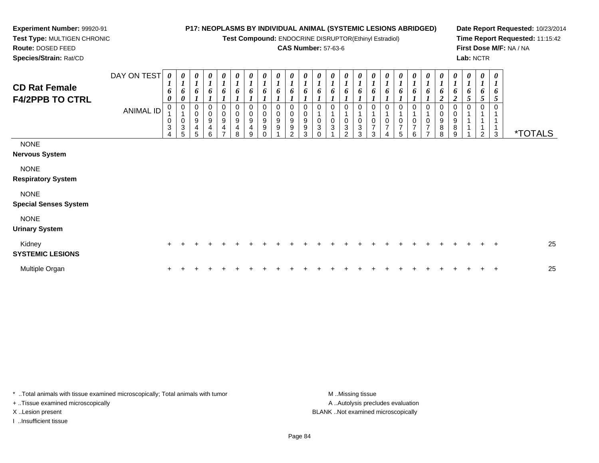**Test Compound:** ENDOCRINE DISRUPTOR(Ethinyl Estradiol)

# **CAS Number:** 57-63-6

**Date Report Requested:** 10/23/2014**Time Report Requested:** 11:15:42**First Dose M/F:** NA / NA**Lab:** NCTR

 **Test Type:** MULTIGEN CHRONIC**Route:** DOSED FEED**Species/Strain:** Rat/CD

**Experiment Number:** 99920-91

| <b>CD Rat Female</b><br><b>F4/2PPB TO CTRL</b> | DAY ON TEST<br><b>ANIMAL ID</b> | $\boldsymbol{\theta}$<br>$\boldsymbol{l}$<br>6<br>$\boldsymbol{\theta}$<br>0<br>$\mathbf{1}$<br>0<br>$\sqrt{3}$<br>4 | 0<br>$\boldsymbol{I}$<br>6<br>$\boldsymbol{\theta}$<br>0<br>$\pmb{0}$<br>$\sqrt{3}$<br>5 | $\boldsymbol{\theta}$<br>$\boldsymbol{l}$<br>6<br>0<br>$\pmb{0}$<br>$\boldsymbol{9}$<br>4<br>5 | $\boldsymbol{\theta}$<br>$\boldsymbol{l}$<br>6<br>$\mathbf 0$<br>$\mathbf 0$<br>9<br>4<br>6 | 0<br>$\boldsymbol{l}$<br>6<br>$\,0\,$<br>9<br>4<br>$\overline{ }$ | $\boldsymbol{\theta}$<br>$\boldsymbol{l}$<br>6<br>$\mathbf 0$<br>$\pmb{0}$<br>$\boldsymbol{9}$<br>4<br>8 | 0<br>$\boldsymbol{l}$<br>6<br>0<br>$\mathbf 0$<br>$\boldsymbol{9}$<br>4<br>9 | 0<br>$\boldsymbol{l}$<br>6<br>0<br>$\pmb{0}$<br>$\boldsymbol{9}$<br>$\boldsymbol{9}$<br>0 | $\pmb{\theta}$<br>$\boldsymbol{l}$<br>6<br>$\mathbf 0$<br>$\overline{0}$<br>$\boldsymbol{9}$<br>$\boldsymbol{9}$ | $\pmb{\theta}$<br>$\boldsymbol{l}$<br>6<br>$\,0\,$<br>$\pmb{0}$<br>$\mathsf g$<br>$\boldsymbol{9}$<br>$\mathcal{P}$ | $\boldsymbol{\theta}$<br>$\boldsymbol{l}$<br>6<br>$\mathbf 0$<br>$\pmb{0}$<br>$\boldsymbol{9}$<br>9<br>3 | 0<br>$\boldsymbol{l}$<br>0<br>3<br>$\Omega$ | $\boldsymbol{\theta}$<br>6<br>0<br>$\mathbf 0$<br>3 | $\boldsymbol{\theta}$<br>6<br>$\pmb{0}$<br>3<br>$\mathcal{P}$ | 0<br>6<br>$\mathbf 0$<br>$\sqrt{3}$<br>3 | $\boldsymbol{\theta}$<br>$\boldsymbol{l}$<br>6<br>$\overline{1}$<br>$\pmb{0}$<br>$\overline{7}$<br>3 | 0<br>$\boldsymbol{l}$<br>6<br>0<br>0<br>$\overline{7}$ | 0<br>$\boldsymbol{l}$<br>6<br>0<br>0<br>$\boldsymbol{7}$<br>5 | $\boldsymbol{\theta}$<br>$\boldsymbol{l}$<br>6<br>$\mathbf 0$<br>$\overline{\mathbf{7}}$<br>6 | $\frac{\theta}{I}$<br>6<br>0<br>$\mathsf 0$<br>$\overline{7}$<br>$\overline{\phantom{0}}$ | $\boldsymbol{\theta}$<br>$\boldsymbol{l}$<br>6<br>$\mathbf{\Omega}$<br>0<br>$_{9}^{\rm 0}$<br>$\bf 8$<br>8 | 0<br>$\boldsymbol{l}$<br>6<br>$\Omega$<br>0<br>$\boldsymbol{9}$<br>$\bf 8$<br>9 | $\boldsymbol{\theta}$<br>$\boldsymbol{l}$<br>6<br>5<br>$\Omega$ | $\boldsymbol{\theta}$<br>$\boldsymbol{l}$<br>6<br>$\mathfrak{H}$<br>2 | $\boldsymbol{\theta}$<br>$\boldsymbol{l}$<br>6<br>5<br>3 | <i><b>*TOTALS</b></i> |
|------------------------------------------------|---------------------------------|----------------------------------------------------------------------------------------------------------------------|------------------------------------------------------------------------------------------|------------------------------------------------------------------------------------------------|---------------------------------------------------------------------------------------------|-------------------------------------------------------------------|----------------------------------------------------------------------------------------------------------|------------------------------------------------------------------------------|-------------------------------------------------------------------------------------------|------------------------------------------------------------------------------------------------------------------|---------------------------------------------------------------------------------------------------------------------|----------------------------------------------------------------------------------------------------------|---------------------------------------------|-----------------------------------------------------|---------------------------------------------------------------|------------------------------------------|------------------------------------------------------------------------------------------------------|--------------------------------------------------------|---------------------------------------------------------------|-----------------------------------------------------------------------------------------------|-------------------------------------------------------------------------------------------|------------------------------------------------------------------------------------------------------------|---------------------------------------------------------------------------------|-----------------------------------------------------------------|-----------------------------------------------------------------------|----------------------------------------------------------|-----------------------|
| <b>NONE</b><br><b>Nervous System</b>           |                                 |                                                                                                                      |                                                                                          |                                                                                                |                                                                                             |                                                                   |                                                                                                          |                                                                              |                                                                                           |                                                                                                                  |                                                                                                                     |                                                                                                          |                                             |                                                     |                                                               |                                          |                                                                                                      |                                                        |                                                               |                                                                                               |                                                                                           |                                                                                                            |                                                                                 |                                                                 |                                                                       |                                                          |                       |
| <b>NONE</b><br><b>Respiratory System</b>       |                                 |                                                                                                                      |                                                                                          |                                                                                                |                                                                                             |                                                                   |                                                                                                          |                                                                              |                                                                                           |                                                                                                                  |                                                                                                                     |                                                                                                          |                                             |                                                     |                                                               |                                          |                                                                                                      |                                                        |                                                               |                                                                                               |                                                                                           |                                                                                                            |                                                                                 |                                                                 |                                                                       |                                                          |                       |
| <b>NONE</b><br><b>Special Senses System</b>    |                                 |                                                                                                                      |                                                                                          |                                                                                                |                                                                                             |                                                                   |                                                                                                          |                                                                              |                                                                                           |                                                                                                                  |                                                                                                                     |                                                                                                          |                                             |                                                     |                                                               |                                          |                                                                                                      |                                                        |                                                               |                                                                                               |                                                                                           |                                                                                                            |                                                                                 |                                                                 |                                                                       |                                                          |                       |
| <b>NONE</b><br><b>Urinary System</b>           |                                 |                                                                                                                      |                                                                                          |                                                                                                |                                                                                             |                                                                   |                                                                                                          |                                                                              |                                                                                           |                                                                                                                  |                                                                                                                     |                                                                                                          |                                             |                                                     |                                                               |                                          |                                                                                                      |                                                        |                                                               |                                                                                               |                                                                                           |                                                                                                            |                                                                                 |                                                                 |                                                                       |                                                          |                       |
| Kidney<br><b>SYSTEMIC LESIONS</b>              |                                 | $\pm$                                                                                                                |                                                                                          |                                                                                                |                                                                                             |                                                                   |                                                                                                          |                                                                              |                                                                                           |                                                                                                                  |                                                                                                                     |                                                                                                          |                                             |                                                     |                                                               |                                          |                                                                                                      |                                                        |                                                               |                                                                                               |                                                                                           |                                                                                                            |                                                                                 |                                                                 |                                                                       | $\overline{+}$                                           | 25                    |
| Multiple Organ                                 |                                 | $\ddot{}$                                                                                                            |                                                                                          |                                                                                                |                                                                                             |                                                                   |                                                                                                          |                                                                              |                                                                                           |                                                                                                                  |                                                                                                                     |                                                                                                          |                                             |                                                     |                                                               |                                          |                                                                                                      |                                                        |                                                               |                                                                                               |                                                                                           |                                                                                                            |                                                                                 |                                                                 |                                                                       | $\ddot{}$                                                | 25                    |

\* ..Total animals with tissue examined microscopically; Total animals with tumor **M** . Missing tissue M ..Missing tissue

+ ..Tissue examined microscopically

I ..Insufficient tissue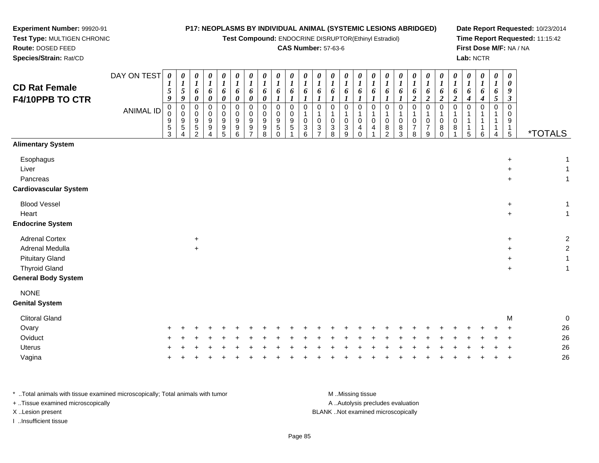**Test Compound:** ENDOCRINE DISRUPTOR(Ethinyl Estradiol)

#### **CAS Number:** 57-63-6

**Date Report Requested:** 10/23/2014**Time Report Requested:** 11:15:42**First Dose M/F:** NA / NA**Lab:** NCTR

DAY ON TEST**CD Rat Female F4/10PPB TO CTR**ANIMAL ID*0 1 5 9* 0 0 9 5 3*0 1 5 9* 0 0 9 5 4*0 1 6 0* 0 0 9 5 2*0 1 6 0* 0 0 9 9 4*0 1 6 0* 0 0 9 9 5*0 1 6 0* 0 0 9 9 6*0 1 6 0* 0 0 9 9 7*0 1 6 0* 0 0 9 9 8*0 1 6 1* 0 0 9 5 0*0 1 6 1* 0 0 9 5 1*0 1 6 1* 0 1 0 3 6*0 1 6 1* 0 1 0 3 7*0 1 6 1* 0 1 0 3 8*0 1 6 1* 0 1 0 3 9*0 1 6 1* 0 1 0 4 0*0 1 6 1* 0 1 0 4 1*0 1 6 1* 0 1 0 8 2*0 1 6 1* 0 1 0 8 3*0 1 6 2* 0 1 0 7 8*0 1 6 2* 0 1 0 7 9*0 1 6 2* 0 1 0 8 0*0 1 6 2* 0 1 0 8 1*0 1 6 4* 0 1 1 1 5*0 1 6 4* 0 1 1 1 6*0 1 6 5* 0 1 1 1 4*0 0 9 3* 0 0 9 1 $\overline{5}$ 5 \*TOTALS**Alimentary SystemEsophagus**  $\sim$   $+$  $+$  1 Livert and the contract of the contract of the contract of the contract of the contract of the contract of the contract of the contract of the contract of the contract of the contract of the contract of the contract of the cont  $+$  1 Pancreas $\sim$   $+$  $+$  1 **Cardiovascular System**Blood Vessel <sup>+</sup> $+$  1 Heart <sup>+</sup> $+$  1 **Endocrine System**Adrenal Cortex $\times$  +  $+$  2 Adrenal Medullaa  $+$  <sup>+</sup> <sup>2</sup> Pituitary Gland $\alpha$  +  $+$  1 Thyroid Gland $\alpha$  +  $+$  1 **General Body SystemNONE Genital System**Clitoral Glandd and the contract of the contract of the contract of the contract of the contract of the contract of the contract of the contract of the contract of the contract of the contract of the contract of the contract of the cont 0<br>0<br>0 Ovary $\mathsf y$  <sup>+</sup> <sup>+</sup> <sup>+</sup> <sup>+</sup> <sup>+</sup> <sup>+</sup> <sup>+</sup> <sup>+</sup> <sup>+</sup> <sup>+</sup> <sup>+</sup> <sup>+</sup> <sup>+</sup> <sup>+</sup> <sup>+</sup> <sup>+</sup> <sup>+</sup> <sup>+</sup> <sup>+</sup> <sup>+</sup> <sup>+</sup> <sup>+</sup> <sup>+</sup> <sup>+</sup> <sup>+</sup> <sup>26</sup> **Oviduct**  $\frac{1}{2}$  <sup>+</sup> <sup>+</sup> <sup>+</sup> <sup>+</sup> <sup>+</sup> <sup>+</sup> <sup>+</sup> <sup>+</sup> <sup>+</sup> <sup>+</sup> <sup>+</sup> <sup>+</sup> <sup>+</sup> <sup>+</sup> <sup>+</sup> <sup>+</sup> <sup>+</sup> <sup>+</sup> <sup>+</sup> <sup>+</sup> <sup>+</sup> <sup>+</sup> <sup>+</sup> <sup>+</sup> <sup>+</sup> <sup>26</sup> Uterus <sup>+</sup> <sup>+</sup> <sup>+</sup> <sup>+</sup> <sup>+</sup> <sup>+</sup> <sup>+</sup> <sup>+</sup> <sup>+</sup> <sup>+</sup> <sup>+</sup> <sup>+</sup> <sup>+</sup> <sup>+</sup> <sup>+</sup> <sup>+</sup> <sup>+</sup> <sup>+</sup> <sup>+</sup> <sup>+</sup> <sup>+</sup> <sup>+</sup> <sup>+</sup> <sup>+</sup> <sup>+</sup> <sup>+</sup> <sup>26</sup> Vagina<sup>+</sup> <sup>+</sup> <sup>+</sup> <sup>+</sup> <sup>+</sup> <sup>+</sup> <sup>+</sup> <sup>+</sup> <sup>+</sup> <sup>+</sup> <sup>+</sup> <sup>+</sup> <sup>+</sup> <sup>+</sup> <sup>+</sup> <sup>+</sup> <sup>+</sup> <sup>+</sup> <sup>+</sup> <sup>+</sup> <sup>+</sup> <sup>+</sup> <sup>+</sup> <sup>+</sup> <sup>+</sup> <sup>26</sup>

| Total animals with tissue examined microscopically: Total animals with tumor. | M Missing tissue                   |
|-------------------------------------------------------------------------------|------------------------------------|
| + Tissue examined microscopically                                             | A Autolysis precludes evaluation   |
| X Lesion present                                                              | BLANK Not examined microscopically |
| Insufficient tissue                                                           |                                    |

**Experiment Number:** 99920-91**Test Type:** MULTIGEN CHRONIC

a  $+$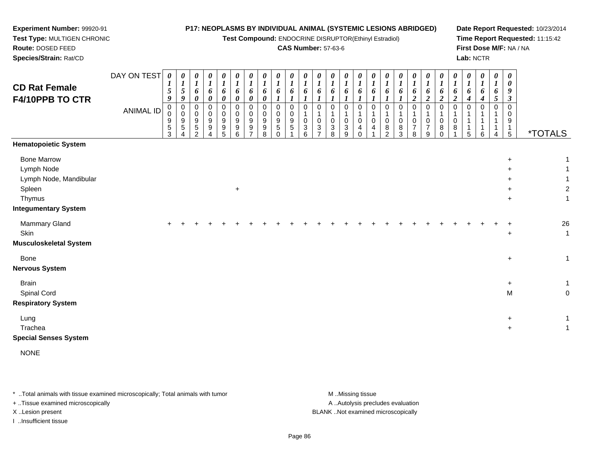**Test Compound:** ENDOCRINE DISRUPTOR(Ethinyl Estradiol)

#### **CAS Number:** 57-63-6

**Date Report Requested:** 10/23/2014**Time Report Requested:** 11:15:42**First Dose M/F:** NA / NA**Lab:** NCTR

DAY ON TEST**CD Rat Female F4/10PPB TO CTR**ANIMAL ID*0 1 5 9* 0 0 9 5 3*0 1 5 9* 0 0 9 5 4*0 1 6 0* 0 0 9 5 2*0 1 6 0* 0 0 9 9 4*0 1 6 0* 0 0 9 9 5*0 1 6 0* 0 0 9 9 6*0 1 6 0* 0 0 9 9 7*0 1 6 0* 0 0 9 9 8*0 1 6 1* 0 0 9 5 0*0 1 6 1* 0 0 9 5 1*0 1 6 1* 0 1 0 3 6*0 1 6 1* 0 1 0 3 7*0 1 6 1* 0 1 0 3 8*0 1 6 1* 0 1 0 3 9*0 1 6 1* 0 1 0 4 0*0 1 6 1* 0 1 0 4 1*0 1 6 1* 0 1 0 8 2*0 1 6 1* 0 1 0 8 3*0 1 6 2* 0 1 0 7 8*0 1 6 2* 0 1 0 7 9*0 1 6 2* 0 1 0 8 0*0 1 6 2* 0 1 0 8 1*0 1 6 4* 0 1 1 1 5*0 1 6 4* 0 1 1 1 6*0 1 6 5* 0 1 1 1 4*0 0 9 3* 0 0 9 1 $\overline{5}$ 5 \*TOTALS**Hematopoietic System**Bone Marroww  $+$  1 Lymph Nodee extensive the contract of the contract of the contract of the contract of the contract of the contract of the contract of the contract of the contract of the contract of the contract of the contract of the contract of th  $+$  1 Lymph Node, Mandibulart to the contract of the contract of the contract of the contract of the contract of the contract of the contract of the contract of the contract of the contract of the contract of the contract of the contract of the contr  $+$  1 Spleenn  $+$  $+$  2 Thymuss and the contract of the contract of the contract of the contract of the contract of the contract of the contract of the contract of the contract of the contract of the contract of the contract of the contract of the cont  $+$  1 **Integumentary System**Mammary Gland $\alpha$  + <sup>+</sup> <sup>+</sup> <sup>+</sup> <sup>+</sup> <sup>+</sup> <sup>+</sup> <sup>+</sup> <sup>+</sup> <sup>+</sup> <sup>+</sup> <sup>+</sup> <sup>+</sup> <sup>+</sup> <sup>+</sup> <sup>+</sup> <sup>+</sup> <sup>+</sup> <sup>+</sup> <sup>+</sup> <sup>+</sup> <sup>+</sup> <sup>+</sup> <sup>+</sup> <sup>+</sup> <sup>+</sup> <sup>26</sup> **Skin**  $\uparrow$  +  $+$  1 **Musculoskeletal System**Bone <sup>+</sup> $+$  1 **Nervous SystemBrain** n  $\overline{ }$  $+$  1 Spinal Cordd and the contract of the contract of the contract of the contract of the contract of the contract of the contract of the contract of the contract of the contract of the contract of the contract of the contract of the cont M 0 **Respiratory System**

Lungexpediate to the control of the control of the control of the control of the control of the control of the cont<br>Second to the control of the control of the control of the control of the control of the control of the contr  $+$  1 Tracheaа в най-верности на селото на селото на селото на селото на селото на селото на селото на селото на селото на<br>Селото на селото на селото на селото на селото на селото на селото на селото на селото на селото на селото на  $+$  1 **Special Senses System**

NONE

\* ..Total animals with tissue examined microscopically; Total animals with tumor M ...Missing tissue M ...Missing tissue + ..Tissue examined microscopically X ..Lesion present BLANK ..Not examined microscopicallyI ..Insufficient tissue

A ..Autolysis precludes evaluation

# **Route:** DOSED FEED**Species/Strain:** Rat/CD

**Experiment Number:** 99920-91**Test Type:** MULTIGEN CHRONIC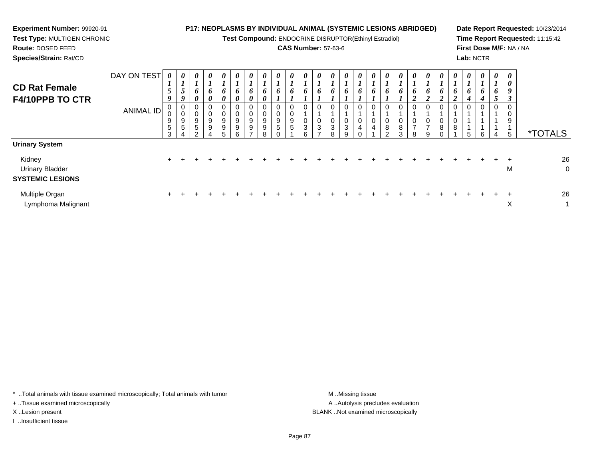**Test Compound:** ENDOCRINE DISRUPTOR(Ethinyl Estradiol)

# **CAS Number:** 57-63-6

**Date Report Requested:** 10/23/2014**Time Report Requested:** 11:15:42**First Dose M/F:** NA / NA**Lab:** NCTR

**Route:** DOSED FEED**Species/Strain:** Rat/CD

**Experiment Number:** 99920-91**Test Type:** MULTIGEN CHRONIC

| <b>CD Rat Female</b><br>F4/10PPB TO CTR                                              | DAY ON TEST<br><b>ANIMAL ID</b> | 0<br>$\mathbf{I}$<br>$\overline{5}$<br>9<br>0<br>0<br>9<br>$\sqrt{5}$<br>3 | $\boldsymbol{\theta}$<br>$\boldsymbol{l}$<br>5<br>9<br>$\mathbf 0$<br>$\pmb{0}$<br>9<br>$\overline{5}$ | 0<br>$\mathbf{I}$<br>6<br>$\boldsymbol{\theta}$<br>0<br>0<br>9<br>5<br>$\sim$ | $\boldsymbol{\theta}$<br>6<br>0<br>0<br>0<br>9<br>9 | $\boldsymbol{\theta}$<br>6<br>0<br>0<br>$\,0\,$<br>$9\,$<br>$9\,$<br>5 | $\boldsymbol{\theta}$<br>$\bm{o}$<br>$\boldsymbol{\theta}$<br>0<br>0<br>9<br>9<br>հ | $\boldsymbol{\theta}$<br>$\mathbf{I}$<br>6<br>$\boldsymbol{\theta}$<br>0<br>9<br>9 | 0<br>6<br>0<br>0<br>0<br>9<br>9<br>8 | $\boldsymbol{\theta}$<br>$\mathbf{I}$<br>6<br>0<br>0<br>9<br>$\sqrt{5}$ | $\boldsymbol{\theta}$<br>6<br>$\mathbf 0$<br>$\mathbf 0$<br>9<br>5 | 0<br>6<br>0<br>$\mathbf 0$<br>3<br>6 | $\boldsymbol{\theta}$<br>6<br>0<br>0<br>$\sqrt{3}$<br>- | $\boldsymbol{\theta}$<br>$\mathbf{I}$<br>6<br>0<br>$\pmb{0}$<br>$\sqrt{3}$<br>8 | 0<br>6<br>0<br>0<br>$\ensuremath{\mathsf{3}}$<br>g | 0<br>$\mathbf{I}$<br>6<br>0<br>$\mathbf 0$<br>$\overline{\mathbf{4}}$<br>$\sim$ | $\boldsymbol{\theta}$<br>6<br>0<br>$\pmb{0}$<br>$\overline{4}$ | $\boldsymbol{\theta}$<br>6<br>0<br>$\pmb{0}$<br>$\bf 8$<br>$\sim$ | U<br>6<br>8<br>$\sim$ | $\boldsymbol{\theta}$<br>6<br>$\mathbf{\hat{}}$<br>0<br>0<br>$\overline{ }$<br>R | $\boldsymbol{\theta}$<br>$\bm{o}$<br>0<br>0<br>$\overline{ }$<br>a | $\boldsymbol{\theta}$<br>$\bm{b}$<br>0<br>$\mathbf 0$<br>8 | $\boldsymbol{\theta}$<br>o<br>8 | $\boldsymbol{\theta}$<br>$\mathbf{I}$<br>o<br>4 | $\boldsymbol{\theta}$<br>$\bm{o}$<br>4<br>0 | $\boldsymbol{\theta}$<br>$\mathbf{I}$<br>6<br>$\overline{\phantom{0}}$<br>$\mathcal{L}$<br>0<br>4 | 0<br>0<br>9<br>$\boldsymbol{\beta}$<br>0<br>9<br>5 | <i><b>*TOTALS</b></i> |
|--------------------------------------------------------------------------------------|---------------------------------|----------------------------------------------------------------------------|--------------------------------------------------------------------------------------------------------|-------------------------------------------------------------------------------|-----------------------------------------------------|------------------------------------------------------------------------|-------------------------------------------------------------------------------------|------------------------------------------------------------------------------------|--------------------------------------|-------------------------------------------------------------------------|--------------------------------------------------------------------|--------------------------------------|---------------------------------------------------------|---------------------------------------------------------------------------------|----------------------------------------------------|---------------------------------------------------------------------------------|----------------------------------------------------------------|-------------------------------------------------------------------|-----------------------|----------------------------------------------------------------------------------|--------------------------------------------------------------------|------------------------------------------------------------|---------------------------------|-------------------------------------------------|---------------------------------------------|---------------------------------------------------------------------------------------------------|----------------------------------------------------|-----------------------|
| <b>Urinary System</b><br>Kidney<br><b>Urinary Bladder</b><br><b>SYSTEMIC LESIONS</b> |                                 | $\ddot{}$                                                                  |                                                                                                        |                                                                               |                                                     |                                                                        |                                                                                     |                                                                                    |                                      |                                                                         |                                                                    |                                      |                                                         |                                                                                 |                                                    |                                                                                 |                                                                |                                                                   |                       |                                                                                  |                                                                    |                                                            |                                 |                                                 |                                             |                                                                                                   | M                                                  | 26<br>O               |
| Multiple Organ<br>Lymphoma Malignant                                                 |                                 | $\pm$                                                                      |                                                                                                        |                                                                               |                                                     |                                                                        |                                                                                     |                                                                                    |                                      |                                                                         |                                                                    |                                      |                                                         |                                                                                 |                                                    |                                                                                 |                                                                |                                                                   |                       |                                                                                  |                                                                    |                                                            |                                 |                                                 |                                             |                                                                                                   | X                                                  | 26                    |

\* ..Total animals with tissue examined microscopically; Total animals with tumor **M** . Missing tissue M ..Missing tissue

+ ..Tissue examined microscopically

I ..Insufficient tissue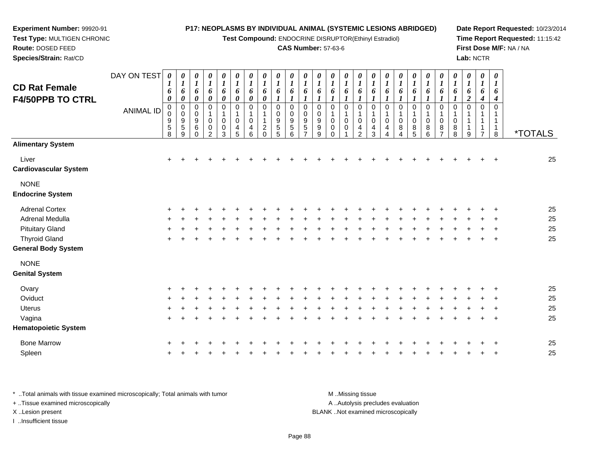**Test Compound:** ENDOCRINE DISRUPTOR(Ethinyl Estradiol)

## **CAS Number:** 57-63-6

**Date Report Requested:** 10/23/2014**Time Report Requested:** 11:15:42**First Dose M/F:** NA / NA**Lab:** NCTR

|                                                 | DAY ON TEST      |                                                     | 0                                                                                                | 0                                                                                                              | $\pmb{\theta}$                                                                                          | $\pmb{\theta}$                                                                                        | 0                                                                | 0                                                                                 | 0                                                             | 0                                                             | 0                                                                           | 0                                                                                              | 0                                                                                                | $\pmb{\theta}$                                                                                           | 0                                                                                         | 0                                                                | 0                                                                             | 0                                                                                 | $\boldsymbol{\theta}$                                               | 0                                                                                            | 0                                                                                               | 0                                                                                                           | 0                                                           | 0                                                            | 0                               | $\boldsymbol{\theta}$                                            |                       |
|-------------------------------------------------|------------------|-----------------------------------------------------|--------------------------------------------------------------------------------------------------|----------------------------------------------------------------------------------------------------------------|---------------------------------------------------------------------------------------------------------|-------------------------------------------------------------------------------------------------------|------------------------------------------------------------------|-----------------------------------------------------------------------------------|---------------------------------------------------------------|---------------------------------------------------------------|-----------------------------------------------------------------------------|------------------------------------------------------------------------------------------------|--------------------------------------------------------------------------------------------------|----------------------------------------------------------------------------------------------------------|-------------------------------------------------------------------------------------------|------------------------------------------------------------------|-------------------------------------------------------------------------------|-----------------------------------------------------------------------------------|---------------------------------------------------------------------|----------------------------------------------------------------------------------------------|-------------------------------------------------------------------------------------------------|-------------------------------------------------------------------------------------------------------------|-------------------------------------------------------------|--------------------------------------------------------------|---------------------------------|------------------------------------------------------------------|-----------------------|
| <b>CD Rat Female</b><br><b>F4/50PPB TO CTRL</b> | <b>ANIMAL ID</b> | 1<br>6<br>$\boldsymbol{\theta}$<br>0<br>9<br>5<br>8 | $\boldsymbol{l}$<br>6<br>$\pmb{\theta}$<br>0<br>$\pmb{0}$<br>$\boldsymbol{9}$<br>$\sqrt{5}$<br>9 | $\boldsymbol{l}$<br>6<br>$\pmb{\theta}$<br>0<br>$\boldsymbol{0}$<br>$\boldsymbol{9}$<br>$\,6\,$<br>$\mathbf 0$ | $\boldsymbol{l}$<br>6<br>$\pmb{\theta}$<br>0<br>$\mathbf 1$<br>$\pmb{0}$<br>$\pmb{0}$<br>$\overline{2}$ | $\boldsymbol{l}$<br>6<br>$\boldsymbol{\theta}$<br>0<br>$\mathbf 1$<br>$\mathbf 0$<br>$\mathbf 0$<br>3 | $\boldsymbol{l}$<br>6<br>$\pmb{\theta}$<br>0<br>1<br>0<br>4<br>5 | $\boldsymbol{l}$<br>6<br>$\boldsymbol{\theta}$<br>0<br>1<br>$\mathbf 0$<br>4<br>6 | $\boldsymbol{l}$<br>6<br>0<br>0<br>$\overline{c}$<br>$\Omega$ | $\boldsymbol{l}$<br>6<br>1<br>0<br>0<br>9<br>$\,$ 5 $\,$<br>5 | $\boldsymbol{l}$<br>6<br>1<br>0<br>0<br>$\boldsymbol{9}$<br>$\sqrt{5}$<br>6 | 1<br>6<br>$\boldsymbol{l}$<br>0<br>$\boldsymbol{0}$<br>$\boldsymbol{9}$<br>5<br>$\overline{ }$ | $\boldsymbol{l}$<br>6<br>$\boldsymbol{l}$<br>0<br>0<br>$\boldsymbol{9}$<br>$\boldsymbol{9}$<br>9 | $\boldsymbol{l}$<br>6<br>$\boldsymbol{l}$<br>0<br>$\mathbf{1}$<br>$\mathbf 0$<br>$\mathbf 0$<br>$\Omega$ | $\boldsymbol{l}$<br>6<br>$\boldsymbol{l}$<br>0<br>$\mathbf 1$<br>$\pmb{0}$<br>$\mathbf 0$ | $\boldsymbol{l}$<br>6<br>1<br>0<br>1<br>0<br>4<br>$\overline{2}$ | $\boldsymbol{l}$<br>6<br>$\boldsymbol{l}$<br>0<br>$\mathbf{1}$<br>0<br>4<br>3 | $\boldsymbol{l}$<br>6<br>$\boldsymbol{l}$<br>0<br>$\mathbf 1$<br>$\mathbf 0$<br>4 | $\boldsymbol{l}$<br>6<br>1<br>$\pmb{0}$<br>1<br>$\pmb{0}$<br>8<br>Δ | $\boldsymbol{I}$<br>6<br>$\boldsymbol{l}$<br>$\boldsymbol{0}$<br>$\mathbf{1}$<br>0<br>8<br>5 | $\boldsymbol{l}$<br>6<br>$\boldsymbol{l}$<br>0<br>$\mathbf 1$<br>0<br>$\bf 8$<br>$6\phantom{a}$ | $\boldsymbol{l}$<br>6<br>$\boldsymbol{l}$<br>$\pmb{0}$<br>$\mathbf 1$<br>$\mathbf 0$<br>8<br>$\overline{7}$ | $\boldsymbol{l}$<br>6<br>1<br>0<br>1<br>$\pmb{0}$<br>8<br>8 | $\boldsymbol{l}$<br>6<br>$\overline{2}$<br>0<br>1<br>-1<br>9 | $\boldsymbol{l}$<br>6<br>4<br>0 | $\boldsymbol{l}$<br>6<br>4<br>$\Omega$<br>1<br>$\mathbf{1}$<br>8 | <i><b>*TOTALS</b></i> |
| <b>Alimentary System</b>                        |                  |                                                     |                                                                                                  |                                                                                                                |                                                                                                         |                                                                                                       |                                                                  |                                                                                   |                                                               |                                                               |                                                                             |                                                                                                |                                                                                                  |                                                                                                          |                                                                                           |                                                                  |                                                                               |                                                                                   |                                                                     |                                                                                              |                                                                                                 |                                                                                                             |                                                             |                                                              |                                 |                                                                  |                       |
| Liver<br><b>Cardiovascular System</b>           |                  | $\ddot{}$                                           |                                                                                                  |                                                                                                                |                                                                                                         |                                                                                                       |                                                                  |                                                                                   |                                                               |                                                               |                                                                             |                                                                                                |                                                                                                  |                                                                                                          |                                                                                           |                                                                  |                                                                               |                                                                                   |                                                                     |                                                                                              |                                                                                                 |                                                                                                             |                                                             |                                                              |                                 | $\overline{ }$                                                   | 25                    |
| <b>NONE</b><br><b>Endocrine System</b>          |                  |                                                     |                                                                                                  |                                                                                                                |                                                                                                         |                                                                                                       |                                                                  |                                                                                   |                                                               |                                                               |                                                                             |                                                                                                |                                                                                                  |                                                                                                          |                                                                                           |                                                                  |                                                                               |                                                                                   |                                                                     |                                                                                              |                                                                                                 |                                                                                                             |                                                             |                                                              |                                 |                                                                  |                       |
| <b>Adrenal Cortex</b>                           |                  |                                                     |                                                                                                  |                                                                                                                |                                                                                                         |                                                                                                       |                                                                  |                                                                                   |                                                               |                                                               |                                                                             |                                                                                                |                                                                                                  |                                                                                                          |                                                                                           |                                                                  |                                                                               |                                                                                   |                                                                     |                                                                                              |                                                                                                 |                                                                                                             |                                                             |                                                              |                                 |                                                                  | 25                    |
| Adrenal Medulla                                 |                  |                                                     |                                                                                                  |                                                                                                                |                                                                                                         |                                                                                                       |                                                                  |                                                                                   |                                                               |                                                               |                                                                             |                                                                                                |                                                                                                  |                                                                                                          |                                                                                           |                                                                  |                                                                               |                                                                                   |                                                                     |                                                                                              |                                                                                                 |                                                                                                             |                                                             |                                                              |                                 |                                                                  | 25                    |
| <b>Pituitary Gland</b>                          |                  |                                                     |                                                                                                  |                                                                                                                |                                                                                                         |                                                                                                       |                                                                  |                                                                                   |                                                               |                                                               |                                                                             |                                                                                                |                                                                                                  |                                                                                                          |                                                                                           |                                                                  |                                                                               |                                                                                   |                                                                     |                                                                                              |                                                                                                 |                                                                                                             |                                                             |                                                              |                                 |                                                                  | 25                    |
| <b>Thyroid Gland</b>                            |                  |                                                     |                                                                                                  |                                                                                                                |                                                                                                         |                                                                                                       |                                                                  |                                                                                   |                                                               |                                                               |                                                                             |                                                                                                |                                                                                                  |                                                                                                          |                                                                                           |                                                                  |                                                                               |                                                                                   |                                                                     |                                                                                              |                                                                                                 |                                                                                                             |                                                             |                                                              |                                 |                                                                  | 25                    |
| <b>General Body System</b>                      |                  |                                                     |                                                                                                  |                                                                                                                |                                                                                                         |                                                                                                       |                                                                  |                                                                                   |                                                               |                                                               |                                                                             |                                                                                                |                                                                                                  |                                                                                                          |                                                                                           |                                                                  |                                                                               |                                                                                   |                                                                     |                                                                                              |                                                                                                 |                                                                                                             |                                                             |                                                              |                                 |                                                                  |                       |
| <b>NONE</b>                                     |                  |                                                     |                                                                                                  |                                                                                                                |                                                                                                         |                                                                                                       |                                                                  |                                                                                   |                                                               |                                                               |                                                                             |                                                                                                |                                                                                                  |                                                                                                          |                                                                                           |                                                                  |                                                                               |                                                                                   |                                                                     |                                                                                              |                                                                                                 |                                                                                                             |                                                             |                                                              |                                 |                                                                  |                       |
| <b>Genital System</b>                           |                  |                                                     |                                                                                                  |                                                                                                                |                                                                                                         |                                                                                                       |                                                                  |                                                                                   |                                                               |                                                               |                                                                             |                                                                                                |                                                                                                  |                                                                                                          |                                                                                           |                                                                  |                                                                               |                                                                                   |                                                                     |                                                                                              |                                                                                                 |                                                                                                             |                                                             |                                                              |                                 |                                                                  |                       |
| Ovary                                           |                  | $\pm$                                               |                                                                                                  |                                                                                                                |                                                                                                         |                                                                                                       |                                                                  |                                                                                   |                                                               |                                                               |                                                                             |                                                                                                |                                                                                                  |                                                                                                          |                                                                                           |                                                                  |                                                                               |                                                                                   |                                                                     |                                                                                              |                                                                                                 |                                                                                                             |                                                             |                                                              |                                 |                                                                  | 25                    |
| Oviduct                                         |                  |                                                     |                                                                                                  |                                                                                                                |                                                                                                         |                                                                                                       |                                                                  |                                                                                   |                                                               |                                                               |                                                                             |                                                                                                |                                                                                                  |                                                                                                          |                                                                                           |                                                                  |                                                                               |                                                                                   |                                                                     |                                                                                              |                                                                                                 |                                                                                                             |                                                             |                                                              |                                 |                                                                  | 25                    |
| <b>Uterus</b>                                   |                  |                                                     |                                                                                                  |                                                                                                                |                                                                                                         |                                                                                                       |                                                                  |                                                                                   |                                                               |                                                               |                                                                             |                                                                                                |                                                                                                  |                                                                                                          |                                                                                           |                                                                  |                                                                               |                                                                                   |                                                                     |                                                                                              |                                                                                                 |                                                                                                             |                                                             |                                                              |                                 |                                                                  | 25                    |
| Vagina                                          |                  | +                                                   |                                                                                                  |                                                                                                                |                                                                                                         |                                                                                                       |                                                                  |                                                                                   |                                                               |                                                               |                                                                             |                                                                                                |                                                                                                  |                                                                                                          |                                                                                           |                                                                  |                                                                               |                                                                                   |                                                                     |                                                                                              |                                                                                                 |                                                                                                             |                                                             |                                                              |                                 |                                                                  | 25                    |
| <b>Hematopoietic System</b>                     |                  |                                                     |                                                                                                  |                                                                                                                |                                                                                                         |                                                                                                       |                                                                  |                                                                                   |                                                               |                                                               |                                                                             |                                                                                                |                                                                                                  |                                                                                                          |                                                                                           |                                                                  |                                                                               |                                                                                   |                                                                     |                                                                                              |                                                                                                 |                                                                                                             |                                                             |                                                              |                                 |                                                                  |                       |
| <b>Bone Marrow</b>                              |                  |                                                     |                                                                                                  |                                                                                                                |                                                                                                         |                                                                                                       |                                                                  |                                                                                   |                                                               |                                                               |                                                                             |                                                                                                |                                                                                                  |                                                                                                          |                                                                                           |                                                                  |                                                                               |                                                                                   |                                                                     |                                                                                              |                                                                                                 |                                                                                                             |                                                             |                                                              |                                 |                                                                  | 25                    |
| Spleen                                          |                  |                                                     |                                                                                                  |                                                                                                                |                                                                                                         |                                                                                                       |                                                                  |                                                                                   |                                                               |                                                               |                                                                             |                                                                                                |                                                                                                  |                                                                                                          |                                                                                           |                                                                  |                                                                               |                                                                                   |                                                                     |                                                                                              |                                                                                                 |                                                                                                             |                                                             |                                                              |                                 |                                                                  | 25                    |

\* ..Total animals with tissue examined microscopically; Total animals with tumor **M** ...Missing tissue M ...Missing tissue A ..Autolysis precludes evaluation + ..Tissue examined microscopically X ..Lesion present BLANK ..Not examined microscopicallyI ..Insufficient tissue

**Experiment Number:** 99920-91**Test Type:** MULTIGEN CHRONIC

n  $+$ 

**Route:** DOSED FEED**Species/Strain:** Rat/CD

Page 88